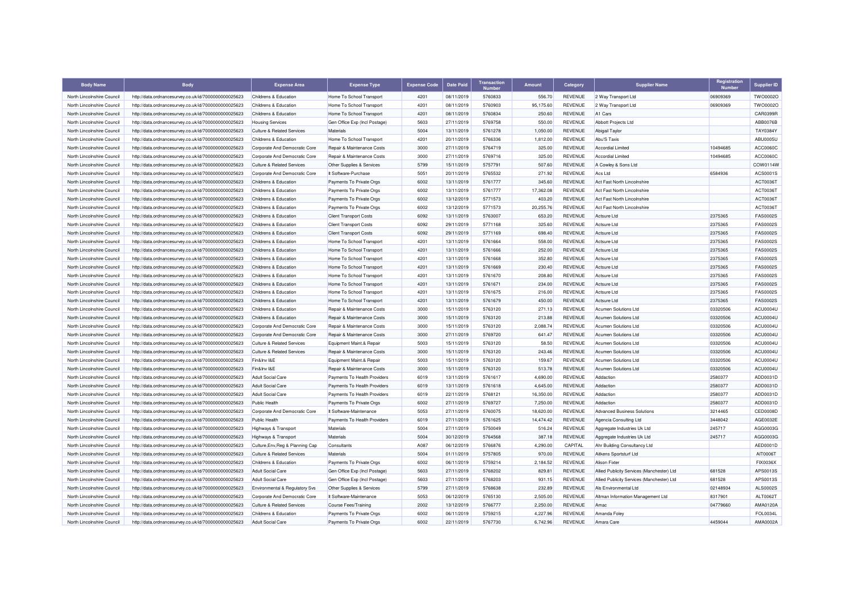| <b>Body Name</b>           | <b>Body</b>                                          | <b>Expense Area</b>                                            | <b>Expense Type</b>                                      | <b>Expense Code</b> | <b>Date Paid</b>         | <b>Transaction</b> | <b>Amount</b>    | Category       | <b>Supplier Name</b>                       | Registration<br><b>Number</b> | <b>Supplier ID</b>   |
|----------------------------|------------------------------------------------------|----------------------------------------------------------------|----------------------------------------------------------|---------------------|--------------------------|--------------------|------------------|----------------|--------------------------------------------|-------------------------------|----------------------|
| North Lincolnshire Council | http://data.ordnancesurvey.co.uk/id/7000000000025623 | Childrens & Education                                          | Home To School Transport                                 | 4201                | 08/11/2019               | 5760833            | 556.70           | REVENUE        | 2 Way Transport Ltd                        | 06909369                      | TWO0002O             |
| North Lincolnshire Council | http://data.ordnancesurvey.co.uk/id/7000000000025623 | Childrens & Education                                          | Home To School Transport                                 | 4201                | 08/11/2019               | 5760903            | 95.175.60        | <b>REVENUE</b> | 2 Way Transport Ltd                        | 06909369                      | TWO0002O             |
| North Lincolnshire Council | http://data.ordnancesurvey.co.uk/id/7000000000025623 | Childrens & Education                                          | Home To School Transport                                 | 4201                | 08/11/2019               | 5760834            | 250.60           | <b>REVENUE</b> | A <sub>1</sub> Cars                        |                               | CAR0399F             |
| North Lincolnshire Council | http://data.ordnancesurvey.co.uk/id/7000000000025623 | <b>Housing Services</b>                                        | Gen Office Exp (Incl Postage)                            | 5603                | 27/11/2019               | 5769758            | 550.00           | REVENUE        | Abbott Projects Ltd                        |                               | ABB0076B             |
| North Lincolnshire Council | http://data.ordnancesurvey.co.uk/id/7000000000025623 | <b>Culture &amp; Related Services</b>                          | Materials                                                | 5004                | 13/11/2019               | 5761278            | 1,050.00         | <b>REVENUE</b> | <b>Abigail Taylor</b>                      |                               | TAY0384Y             |
| North Lincolnshire Council | http://data.ordnancesurvey.co.uk/id/7000000000025623 | Childrens & Education                                          | Home To School Transport                                 | 4201                | 20/11/2019               | 5766336            | 1,812.00         | <b>REVENUE</b> | <b>Abu'S Taxis</b>                         |                               | ABU0005U             |
| North Lincolnshire Council | http://data.ordnancesurvey.co.uk/id/7000000000025623 | Corporate And Democratic Core                                  | Repair & Maintenance Costs                               | 3000                | 27/11/2019               | 5764719            | 325.00           | <b>REVENUE</b> | <b>Accordial Limited</b>                   | 10494685                      | ACC0060C             |
| North Lincolnshire Council | http://data.ordnancesurvey.co.uk/id/7000000000025623 | Corporate And Democratic Core                                  | Repair & Maintenance Costs                               | 3000                | 27/11/2019               | 5769716            | 325.00           | <b>REVENUE</b> | <b>Accordial Limited</b>                   | 10494685                      | ACC0060C             |
| North Lincolnshire Council | http://data.ordnancesurvey.co.uk/id/7000000000025623 | <b>Culture &amp; Related Services</b>                          | Other Supplies & Services                                | 5799                | 15/11/2019               | 5757791            | 507.60           | <b>REVENUE</b> | A Cowley & Sons Ltd                        |                               | COW0114W             |
| North Lincolnshire Council | http://data.ordnancesurvey.co.uk/id/7000000000025623 | Corporate And Democratic Core                                  | It Software-Purchase                                     | 5051                | 20/11/2019               | 5765532            | 271.92           | <b>REVENUE</b> | Acs I td                                   | 6584936                       | ACS0001S             |
| North Lincolnshire Council | http://data.ordnancesurvey.co.uk/id/7000000000025623 | Childrens & Education                                          | Payments To Private Orgs                                 | 6002                | 13/11/2019               | 5761777            | 345.60           | <b>REVENUE</b> | Act Fast North Lincolnshire                |                               | ACT0036T             |
| North Lincolnshire Council | http://data.ordnancesurvey.co.uk/id/7000000000025623 | Childrens & Education                                          | Payments To Private Orgs                                 | 6002                | 13/11/2019               | 5761777            | 17,362.08        | <b>REVENUE</b> | Act Fast North Lincolnshire                |                               | ACT0036T             |
| North Lincolnshire Council | http://data.ordnancesurvey.co.uk/id/7000000000025623 | Childrens & Education                                          | Payments To Private Orgs                                 | 6002                | 13/12/2019               | 5771573            | 403.20           | REVENUE        | Act Fast North Lincolnshire                |                               | ACT0036T             |
| North Lincolnshire Council | http://data.ordnancesurvey.co.uk/id/7000000000025623 | Childrens & Education                                          | Payments To Private Orgs                                 | 6002                | 13/12/2019               | 5771573            | 20,255.76        | REVENUE        | Act Fast North Lincolnshire                |                               | ACT0036T             |
| North Lincolnshire Council | http://data.ordnancesurvey.co.uk/id/7000000000025623 | Childrens & Education                                          | <b>Client Transport Costs</b>                            | 6092                | 13/11/2019               | 5763007            | 653.20           | <b>REVENUE</b> | Actsure I td                               | 2375365                       | <b>FAS0002S</b>      |
| North Lincolnshire Council | http://data.ordnancesurvey.co.uk/id/7000000000025623 | Childrens & Education                                          | <b>Client Transport Costs</b>                            | 6092                | 29/11/2019               | 5771168            | 325.60           | <b>REVENUE</b> | Actsure Ltd                                | 2375365                       | <b>FAS0002S</b>      |
| North Lincolnshire Council | http://data.ordnancesurvey.co.uk/id/7000000000025623 | Childrens & Education                                          | <b>Client Transport Costs</b>                            | 6092                | 29/11/2019               | 5771169            | 698.40           | <b>REVENUE</b> | Actsure Ltd                                | 2375365                       | <b>FAS0002S</b>      |
| North Lincolnshire Council | http://data.ordnancesurvey.co.uk/id/7000000000025623 | Childrens & Education                                          | Home To School Transport                                 | 4201                | 13/11/2019               | 5761664            | 558.00           | REVENUE        | Actsure Ltd                                | 2375365                       | <b>FAS0002S</b>      |
| North Lincolnshire Council | http://data.ordnancesurvey.co.uk/id/7000000000025623 | Childrens & Education                                          | Home To School Transport                                 | 4201                | 13/11/2019               | 5761666            | 252.00           | <b>REVENUE</b> | Actsure Ltd                                | 2375365                       | <b>FAS0002S</b>      |
| North Lincolnshire Council | http://data.ordnancesurvey.co.uk/id/7000000000025623 | Childrens & Education                                          | Home To School Transport                                 | 4201                | 13/11/2019               | 5761668            | 352.80           | REVENUE        | Actsure I td                               | 2375365                       | <b>FAS0002S</b>      |
| North Lincolnshire Council | http://data.ordnancesurvey.co.uk/id/7000000000025623 | Childrens & Education                                          | Home To School Transport                                 | 4201                | 13/11/2019               | 5761669            | 230.40           | <b>REVENUE</b> | Actsure Ltd                                | 2375365                       | <b>FAS0002S</b>      |
| North Lincolnshire Council | http://data.ordnancesurvey.co.uk/id/7000000000025623 | Childrens & Education                                          | Home To School Transport                                 | 4201                | 13/11/2019               | 5761670            | 208.80           | <b>REVENUE</b> | Actsure Ltd                                | 2375365                       | <b>FAS0002S</b>      |
| North Lincolnshire Council | http://data.ordnancesurvey.co.uk/id/7000000000025623 | Childrens & Education                                          | Home To School Transport                                 | 4201                | 13/11/2019               | 5761671            | 234.00           | <b>REVENUE</b> | Actsure Ltd                                | 2375365                       | <b>FAS0002S</b>      |
| North Lincolnshire Council | http://data.ordnancesurvey.co.uk/id/7000000000025623 | Childrens & Education                                          | Home To School Transport                                 | 4201                | 13/11/2019               | 5761675            | 216.00           | REVENUE        | Actsure Ltd                                | 2375365                       | <b>FAS0002S</b>      |
| North Lincolnshire Council | http://data.ordnancesurvey.co.uk/id/7000000000025623 | <b>Childrens &amp; Education</b>                               | Home To School Transport                                 | 4201                | 13/11/2019               | 5761679            | 450.00           | <b>REVENUE</b> | Actsure Ltd                                | 2375365                       | <b>FAS0002S</b>      |
| North Lincolnshire Council | http://data.ordnancesurvey.co.uk/id/7000000000025623 | Childrens & Education                                          | Repair & Maintenance Costs                               | 3000                | 15/11/2019               | 5763120            | 271.13           | <b>REVENUE</b> | Acumen Solutions Ltd                       | 03320506                      | ACU0004L             |
| North Lincolnshire Council | http://data.ordnancesurvey.co.uk/id/7000000000025623 | Childrens & Education                                          | Repair & Maintenance Costs                               | 3000                | 15/11/2019               | 5763120            | 213.88           | <b>REVENUE</b> | <b>Acumen Solutions Ltd</b>                | 03320506                      | ACU0004U             |
| North Lincolnshire Council |                                                      |                                                                |                                                          | 3000                |                          | 5763120            | 2,088.74         | REVENUE        | Acumen Solutions Ltd                       | 03320506                      | ACU0004L             |
| North Lincolnshire Council | http://data.ordnancesurvey.co.uk/id/7000000000025623 | Corporate And Democratic Core<br>Corporate And Democratic Core | Repair & Maintenance Costs<br>Repair & Maintenance Costs | 3000                | 15/11/2019<br>27/11/2019 | 5769720            | 641.47           | <b>REVENUE</b> | Acumen Solutions Ltd                       | 03320506                      | ACU0004U             |
| North Lincolnshire Council | http://data.ordnancesurvey.co.uk/id/7000000000025623 | <b>Culture &amp; Related Services</b>                          | Equipment Maint.& Repair                                 | 5003                | 15/11/2019               | 5763120            | 58.50            | REVENUE        | Acumen Solutions Ltd                       | 03320506                      | ACU0004U             |
|                            | http://data.ordnancesurvey.co.uk/id/7000000000025623 |                                                                |                                                          | 3000                |                          |                    |                  | REVENUE        |                                            |                               |                      |
| North Lincolnshire Council | http://data.ordnancesurvey.co.uk/id/7000000000025623 | <b>Culture &amp; Related Services</b><br>Fin&Inv I&E           | Repair & Maintenance Costs                               | 5003                | 15/11/2019<br>15/11/2019 | 5763120<br>5763120 | 243.46<br>159.67 | REVENUE        | Acumen Solutions Ltd                       | 03320506                      | ACU0004L<br>ACU0004U |
| North Lincolnshire Council | http://data.ordnancesurvey.co.uk/id/7000000000025623 | Fin&Inv I&E                                                    | Equipment Maint.& Repair                                 | 3000                |                          | 5763120            |                  | REVENUE        | <b>Acumen Solutions Ltd</b>                | 03320506                      | ACU0004L             |
| North Lincolnshire Council | http://data.ordnancesurvey.co.uk/id/7000000000025623 |                                                                | Repair & Maintenance Costs                               |                     | 15/11/2019               |                    | 513.78           |                | <b>Acumen Solutions Ltd</b>                | 03320506                      |                      |
| North Lincolnshire Council | http://data.ordnancesurvey.co.uk/id/7000000000025623 | <b>Adult Social Care</b>                                       | Payments To Health Providers                             | 6019                | 13/11/2019               | 5761617            | 4,690.00         | <b>REVENUE</b> | Addaction                                  | 2580377                       | ADD0031D             |
| North Lincolnshire Council | http://data.ordnancesurvey.co.uk/id/7000000000025623 | <b>Adult Social Care</b>                                       | Payments To Health Providers                             | 6019                | 13/11/2019               | 5761618            | 4,645.00         | <b>REVENUE</b> | Addaction<br>Addaction                     | 2580377                       | ADD0031D             |
| North Lincolnshire Council | http://data.ordnancesurvey.co.uk/id/7000000000025623 | <b>Adult Social Care</b>                                       | Payments To Health Providers                             | 6019                | 22/11/2019               | 5768121            | 16,350.00        | REVENUE        |                                            | 2580377                       | ADD0031D             |
| North Lincolnshire Council | http://data.ordnancesurvey.co.uk/id/7000000000025623 | Public Health                                                  | Payments To Private Orgs                                 | 6002                | 27/11/2019               | 5769727            | 7,250.00         | <b>REVENUE</b> | Addaction                                  | 2580377                       | ADD0031D             |
| North Lincolnshire Council | http://data.ordnancesurvey.co.uk/id/7000000000025623 | Corporate And Democratic Core                                  | It Software-Maintenance                                  | 5053                | 27/11/2019               | 5760075            | 18,620.00        | REVENUE        | <b>Advanced Business Solutions</b>         | 3214465                       | CED0008D             |
| North Lincolnshire Council | http://data.ordnancesurvey.co.uk/id/7000000000025623 | <b>Public Health</b>                                           | Payments To Health Providers                             | 6019                | 27/11/2019               | 5761625            | 14.474.42        | <b>REVENUE</b> | Agencia Consulting Ltd                     | 3448042                       | AGE0032E             |
| North Lincolnshire Council | http://data.ordnancesurvey.co.uk/id/7000000000025623 | Highways & Transport                                           | Materials                                                | 5004                | 27/11/2019               | 5750049            | 516.24           | <b>REVENUE</b> | Aggregate Industries Uk Ltd                | 245717                        | AGG0003C             |
| North Lincolnshire Council | http://data.ordnancesurvey.co.uk/id/7000000000025623 | Highways & Transport                                           | Materials                                                | 5004                | 30/12/2019               | 5764568            | 387.18           | REVENUE        | Aggregate Industries Uk Ltd                | 245717                        | AGG0003G             |
| North Lincolnshire Council | http://data.ordnancesurvey.co.uk/id/7000000000025623 | Culture, Env, Reg & Planning Cap                               | Consultants                                              | A087                | 06/12/2019               | 5766876            | 4.290.00         | CAPITAL        | Ahr Building Consultancy Ltd               |                               | AED0001D             |
| North Lincolnshire Council | http://data.ordnancesurvey.co.uk/id/7000000000025623 | <b>Culture &amp; Related Services</b>                          | Materials                                                | 5004                | 01/11/2019               | 5757805            | 970.00           | <b>REVENUE</b> | Aitkens Sportsturf Ltd                     |                               | AIT0006T             |
| North Lincolnshire Council | http://data.ordnancesurvey.co.uk/id/7000000000025623 | Childrens & Education                                          | Payments To Private Orgs                                 | 6002                | 06/11/2019               | 5759214            | 2,184.52         | REVENUE        | <b>Alison Fixter</b>                       |                               | <b>FIX0036X</b>      |
| North Lincolnshire Council | http://data.ordnancesurvey.co.uk/id/7000000000025623 | <b>Adult Social Care</b>                                       | Gen Office Exp (Incl Postage)                            | 5603                | 27/11/2019               | 5768202            | 829.81           | <b>REVENUE</b> | Allied Publicity Services (Manchester) Ltd | 681528                        | APS0013S             |
| North Lincolnshire Council | http://data.ordnancesurvey.co.uk/id/7000000000025623 | <b>Adult Social Care</b>                                       | Gen Office Exp (Incl Postage)                            | 5603                | 27/11/2019               | 5768203            | 931.15           | <b>REVENUE</b> | Allied Publicity Services (Manchester) Ltd | 681528                        | APS0013S             |
| North Lincolnshire Council | http://data.ordnancesurvey.co.uk/id/7000000000025623 | Environmental & Regulatory Svs                                 | Other Supplies & Services                                | 5799                | 27/11/2019               | 5768638            | 232.89           | REVENUE        | Als Environmental Ltd                      | 02148934                      | ALS0002S             |
| North Lincolnshire Council | http://data.ordnancesurvey.co.uk/id/7000000000025623 | Corporate And Democratic Core                                  | It Software-Maintenance                                  | 5053                | 06/12/2019               | 5765130            | 2.505.00         | <b>REVENUE</b> | Altman Information Management Ltd          | 8317901                       | ALT0062T             |
| North Lincolnshire Council | http://data.ordnancesurvey.co.uk/id/7000000000025623 | <b>Culture &amp; Related Services</b>                          | Course Fees/Training                                     | 2002                | 13/12/2019               | 5766777            | 2,250.00         | <b>REVENUE</b> | Amac                                       | 04779660                      | AMA0120A             |
| North Lincolnshire Council | http://data.ordnancesurvey.co.uk/id/7000000000025623 | Childrens & Education                                          | Payments To Private Orgs                                 | 6002                | 06/11/2019               | 5759215            | 4,227.96         | REVENUE        | Amanda Foley                               |                               | FOL0034L             |
| North Lincolnshire Council | http://data.ordnancesurvey.co.uk/id/7000000000025623 | <b>Adult Social Care</b>                                       | Payments To Private Orgs                                 | 6002                | 22/11/2019               | 5767730            | 6,742.96         | <b>REVENUE</b> | Amara Care                                 | 4459044                       | AMA0002A             |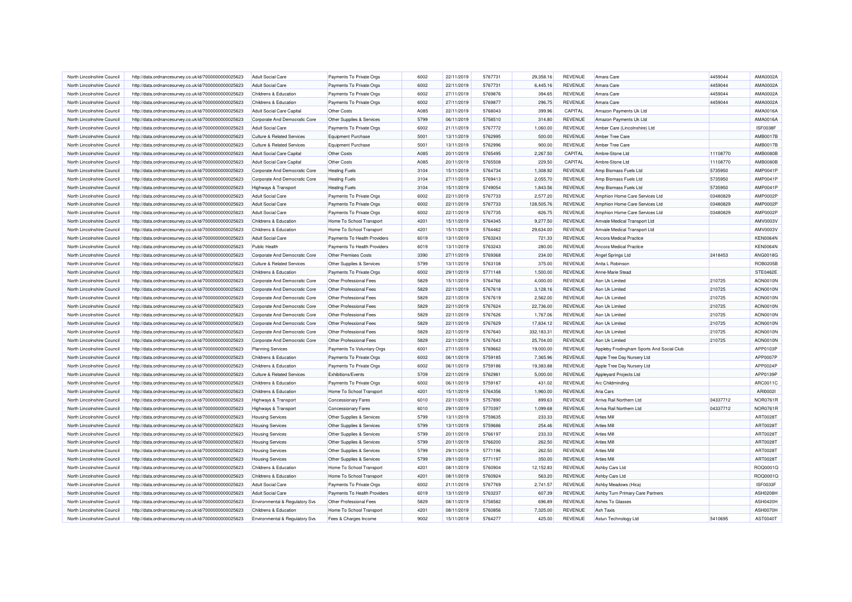| North Lincolnshire Council                               | http://data.ordnancesurvey.co.uk/id/7000000000025623 | <b>Adult Social Care</b>                                               | Payments To Private Orgs     | 6002         | 22/11/2019               | 5767731            | 29.358.16        | <b>REVENUE</b>            | Amara Care                                | 4459044  | AMA0002A                    |
|----------------------------------------------------------|------------------------------------------------------|------------------------------------------------------------------------|------------------------------|--------------|--------------------------|--------------------|------------------|---------------------------|-------------------------------------------|----------|-----------------------------|
| North Lincolnshire Council                               | http://data.ordnancesurvey.co.uk/id/7000000000025623 | <b>Adult Social Care</b>                                               | Payments To Private Orgs     | 6002         | 22/11/2019               | 5767731            | 6,445.16         | REVENUE                   | Amara Care                                | 4459044  | AMA0002A                    |
| North Lincolnshire Council                               | http://data.ordnancesurvey.co.uk/id/7000000000025623 | <b>Childrens &amp; Education</b>                                       | Payments To Private Orgs     | 6002         | 27/11/2019               | 5769876            | 394.65           | REVENUE                   | Amara Care                                | 4459044  | AMA0002A                    |
| North Lincolnshire Council                               | http://data.ordnancesurvey.co.uk/id/7000000000025623 | Childrens & Education                                                  | Payments To Private Orgs     | 6002         | 27/11/2019               | 5769877            | 296.75           | REVENUE                   | Amara Care                                | 4459044  | AMA0002A                    |
| North Lincolnshire Council                               | http://data.ordnancesurvey.co.uk/id/7000000000025623 | Adult Social Care Capital                                              | Other Costs                  | A085         | 22/11/2019               | 5768043            | 399.96           | CAPITAL                   | Amazon Payments Uk Ltd                    |          | AMA0016A                    |
| North Lincolnshire Council                               | http://data.ordnancesurvey.co.uk/id/7000000000025623 | Corporate And Democratic Core                                          | Other Supplies & Services    | 5799         | 06/11/2019               | 5758510            | 314.80           | REVENUE                   | Amazon Payments Uk Ltd                    |          | AMA0016A                    |
| North Lincolnshire Council                               | http://data.ordnancesurvey.co.uk/id/7000000000025623 | <b>Adult Social Care</b>                                               | Payments To Private Orgs     | 6002         | 21/11/2019               | 5767772            | 1,060.00         | <b>REVENUE</b>            | Amber Care (Lincolnshire) Ltd             |          | ISF0038F                    |
| North Lincolnshire Council                               | http://data.ordnancesurvey.co.uk/id/7000000000025623 | <b>Culture &amp; Related Services</b>                                  | <b>Equipment Purchase</b>    | 5001         | 13/11/2019               | 5762995            | 500.00           | <b>REVENUE</b>            | Amber Tree Care                           |          | AMB0017E                    |
| North Lincolnshire Council                               | http://data.ordnancesurvey.co.uk/id/7000000000025623 | <b>Culture &amp; Related Services</b>                                  | <b>Equipment Purchase</b>    | 5001         | 13/11/2019               | 5762996            | 900.00           | <b>REVENUE</b>            | Amber Tree Care                           |          | AMB0017E                    |
| North Lincolnshire Council                               | http://data.ordnancesurvey.co.uk/id/7000000000025623 | Adult Social Care Capital                                              | <b>Other Costs</b>           | A085         | 20/11/2019               | 5765495            | 2,267.50         | CAPITAL                   | Ambre-Stone Ltd                           | 11108770 | <b>AMB0080E</b>             |
| North Lincolnshire Council                               | http://data.ordnancesurvey.co.uk/id/7000000000025623 | Adult Social Care Capital                                              | Other Costs                  | A085         | 20/11/2019               | 5765508            | 229.50           | CAPITAL                   | Ambre-Stone Ltd                           | 11108770 | <b>AMB0080B</b>             |
| North Lincolnshire Council                               | http://data.ordnancesurvey.co.uk/id/7000000000025623 | Corporate And Democratic Core                                          | <b>Heating Fuels</b>         | 3104         | 15/11/2019               | 5764734            | 1,308.92         | REVENUE                   | Amp Biomass Fuels Ltd                     | 5735950  | AMP0041P                    |
| North Lincolnshire Council                               | http://data.ordnancesurvey.co.uk/id/7000000000025623 | Corporate And Democratic Core                                          | <b>Heating Fuels</b>         | 3104         | 27/11/2019               | 5769413            | 2,055.70         | <b>REVENUE</b>            | Amp Biomass Fuels Ltd                     | 5735950  | AMP0041F                    |
| North Lincolnshire Council                               | http://data.ordnancesurvey.co.uk/id/7000000000025623 | Highways & Transport                                                   | <b>Heating Fuels</b>         | 3104         | 15/11/2019               | 5749054            | 1,843.56         | REVENUE                   | Amp Biomass Fuels Ltd                     | 5735950  | AMP0041F                    |
| North Lincolnshire Council                               | http://data.ordnancesurvey.co.uk/id/7000000000025623 | <b>Adult Social Care</b>                                               | Payments To Private Orgs     | 6002         | 22/11/2019               | 5767733            | 2,577.20         | REVENUE                   | Amphion Home Care Services Ltd            | 03480829 | <b>AMP0002F</b>             |
| North Lincolnshire Council                               | http://data.ordnancesurvey.co.uk/id/7000000000025623 | <b>Adult Social Care</b>                                               | Payments To Private Orgs     | 6002         | 22/11/2019               | 5767733            | 128,505.76       | REVENUE                   | Amphion Home Care Services Ltd            | 03480829 | AMP0002P                    |
| North Lincolnshire Council                               | http://data.ordnancesurvey.co.uk/id/7000000000025623 | <b>Adult Social Care</b>                                               | Payments To Private Orgs     | 6002         | 22/11/2019               | 5767735            | $-826.75$        | REVENUE                   | Amphion Home Care Services Ltd            | 03480829 | AMP0002P                    |
| North Lincolnshire Council                               | http://data.ordnancesurvey.co.uk/id/7000000000025623 | Childrens & Education                                                  | Home To School Transport     | 4201         | 15/11/2019               | 5764345            | 9,277.50         | REVENUE                   | Amvale Medical Transport Ltd              |          | AMV0003\                    |
| North Lincolnshire Council                               | http://data.ordnancesurvey.co.uk/id/7000000000025623 | Childrens & Education                                                  | Home To School Transport     | 4201         | 15/11/2019               | 5764462            | 29,634.00        | <b>REVENUE</b>            | Amvale Medical Transport Ltd              |          | AMV0003\                    |
| North Lincolnshire Council                               | http://data.ordnancesurvey.co.uk/id/7000000000025623 | <b>Adult Social Care</b>                                               | Payments To Health Providers | 6019         | 13/11/2019               | 5763243            | 721.33           | <b>REVENUE</b>            | Ancora Medical Practice                   |          | <b>KEN0064N</b>             |
| North Lincolnshire Council                               | http://data.ordnancesurvey.co.uk/id/7000000000025623 | Public Health                                                          | Payments To Health Providers | 6019         | 13/11/2019               | 5763243            | 280.00           | <b>REVENUE</b>            | Ancora Medical Practice                   |          | <b>KEN0064N</b>             |
|                                                          |                                                      |                                                                        |                              |              |                          |                    |                  |                           |                                           |          |                             |
| North Lincolnshire Council<br>North Lincolnshire Council | http://data.ordnancesurvey.co.uk/id/7000000000025623 | Corporate And Democratic Core<br><b>Culture &amp; Related Services</b> | <b>Other Premises Costs</b>  | 3390<br>5799 | 27/11/2019<br>13/11/2019 | 5769368<br>5763108 | 234.00<br>375.00 | REVENUE<br><b>REVENUE</b> | Angel Springs Ltd<br>Anita L Robinson     | 2418453  | ANG0018G<br><b>ROB0205B</b> |
|                                                          | http://data.ordnancesurvey.co.uk/id/7000000000025623 |                                                                        | Other Supplies & Services    |              |                          |                    |                  |                           |                                           |          |                             |
| North Lincolnshire Council                               | http://data.ordnancesurvey.co.uk/id/7000000000025623 | Childrens & Education                                                  | Payments To Private Orgs     | 6002         | 29/11/2019               | 5771148            | 1,500.00         | REVENUE                   | Anne-Marie Stead                          |          | STE0462E                    |
| North Lincolnshire Council                               | http://data.ordnancesurvey.co.uk/id/7000000000025623 | Corporate And Democratic Core                                          | Other Professional Fees      | 5829         | 15/11/2019               | 5764766            | 4,000.00         | <b>REVENUE</b>            | Aon Uk Limited                            | 210725   | AON0010N                    |
| North Lincolnshire Council                               | http://data.ordnancesurvey.co.uk/id/7000000000025623 | Corporate And Democratic Core                                          | Other Professional Fees      | 5829         | 22/11/2019               | 5767618            | 3,128.16         | REVENUE                   | Aon Uk Limited                            | 210725   | AON0010N                    |
| North Lincolnshire Council                               | http://data.ordnancesurvey.co.uk/id/7000000000025623 | Corporate And Democratic Core                                          | Other Professional Fees      | 5829         | 22/11/2019               | 5767619            | 2,562.00         | <b>REVENUE</b>            | Aon Uk Limited                            | 210725   | AON0010N                    |
| North Lincolnshire Council                               | http://data.ordnancesurvey.co.uk/id/7000000000025623 | Corporate And Democratic Core                                          | Other Professional Fees      | 5829         | 22/11/2019               | 5767624            | 22,736.00        | REVENUE                   | Aon Uk Limited                            | 210725   | AON0010N                    |
| North Lincolnshire Council                               | http://data.ordnancesurvey.co.uk/id/7000000000025623 | Corporate And Democratic Core                                          | Other Professional Fees      | 5829         | 22/11/2019               | 5767626            | 1,767.06         | <b>REVENUE</b>            | Aon Uk Limited                            | 210725   | AON0010N                    |
| North Lincolnshire Council                               | http://data.ordnancesurvey.co.uk/id/7000000000025623 | Corporate And Democratic Core                                          | Other Professional Fees      | 5829         | 22/11/2019               | 5767629            | 17,834.12        | REVENUE                   | Aon Uk Limited                            | 210725   | AON0010N                    |
| North Lincolnshire Council                               | http://data.ordnancesurvey.co.uk/id/7000000000025623 | Corporate And Democratic Core                                          | Other Professional Fees      | 5829         | 22/11/2019               | 5767640            | 332,183.31       | <b>REVENUE</b>            | Aon Uk Limited                            | 210725   | AON0010N                    |
| North Lincolnshire Council                               | http://data.ordnancesurvey.co.uk/id/7000000000025623 | Corporate And Democratic Core                                          | Other Professional Fees      | 5829         | 22/11/2019               | 5767643            | 25,704.00        | REVENUE                   | Aon Uk Limited                            | 210725   | AON0010N                    |
| North Lincolnshire Council                               | http://data.ordnancesurvey.co.uk/id/7000000000025623 | <b>Planning Services</b>                                               | Payments To Voluntary Orgs   | 6001         | 27/11/2019               | 5769662            | 19,000.00        | REVENUE                   | Appleby Frodingham Sports And Social Club |          | APP0103P                    |
| North Lincolnshire Council                               | http://data.ordnancesurvey.co.uk/id/7000000000025623 | Childrens & Education                                                  | Payments To Private Orgs     | 6002         | 06/11/2019               | 5759185            | 7,365.96         | REVENUE                   | Apple Tree Day Nursery Ltd                |          | APP0007P                    |
| North Lincolnshire Council                               | http://data.ordnancesurvey.co.uk/id/7000000000025623 | Childrens & Education                                                  | Payments To Private Orgs     | 6002         | 06/11/2019               | 5759186            | 19,383.88        | <b>REVENUE</b>            | Apple Tree Day Nursery Ltd                |          | APP0024P                    |
| North Lincolnshire Council                               | http://data.ordnancesurvey.co.uk/id/7000000000025623 | <b>Culture &amp; Related Services</b>                                  | <b>Exhibitions/Events</b>    | 5709         | 22/11/2019               | 5762981            | 5,000.00         | REVENUE                   | Appleyard Projects Ltd                    |          | APP0139P                    |
| North Lincolnshire Council                               | http://data.ordnancesurvey.co.uk/id/7000000000025623 | Childrens & Education                                                  | Payments To Private Orgs     | 6002         | 06/11/2019               | 5759187            | 431.02           | <b>REVENUE</b>            | <b>Arc Childminding</b>                   |          | ARC0011C                    |
| North Lincolnshire Council                               | http://data.ordnancesurvey.co.uk/id/7000000000025623 | Childrens & Education                                                  | Home To School Transport     | 4201         | 15/11/2019               | 5764356            | 1,960.00         | REVENUE                   | Aria Cars                                 |          | ARI00021                    |
| North Lincolnshire Council                               | http://data.ordnancesurvey.co.uk/id/7000000000025623 | Highways & Transport                                                   | <b>Concessionary Fares</b>   | 6010         | 22/11/2019               | 5757890            | 899.63           | REVENUE                   | Arriva Rail Northern Ltd                  | 04337712 | <b>NOR0761F</b>             |
| North Lincolnshire Council                               | http://data.ordnancesurvey.co.uk/id/7000000000025623 | Highways & Transport                                                   | <b>Concessionary Fares</b>   | 6010         | 29/11/2019               | 5770397            | 1,099.68         | REVENUE                   | Arriva Rail Northern Ltd                  | 04337712 | <b>NOR0761F</b>             |
| North Lincolnshire Council                               | http://data.ordnancesurvey.co.uk/id/7000000000025623 | <b>Housing Services</b>                                                | Other Supplies & Services    | 5799         | 13/11/2019               | 5759635            | 233.33           | REVENUE                   | <b>Arties Mil</b>                         |          | ART0028T                    |
| North Lincolnshire Council                               | http://data.ordnancesurvey.co.uk/id/7000000000025623 | <b>Housing Services</b>                                                | Other Supplies & Services    | 5799         | 13/11/2019               | 5759686            | 254.46           | <b>REVENUE</b>            | <b>Arties Mill</b>                        |          | ART0028T                    |
| North Lincolnshire Council                               | http://data.ordnancesurvey.co.uk/id/7000000000025623 | <b>Housing Services</b>                                                | Other Supplies & Services    | 5799         | 20/11/2019               | 5766197            | 233.33           | <b>REVENUE</b>            | <b>Arties Mill</b>                        |          | ART0028T                    |
| North Lincolnshire Council                               | http://data.ordnancesurvey.co.uk/id/7000000000025623 | <b>Housing Services</b>                                                | Other Supplies & Services    | 5799         | 20/11/2019               | 5766200            | 262.50           | REVENUE                   | <b>Arties Mill</b>                        |          | ART0028T                    |
| North Lincolnshire Council                               | http://data.ordnancesurvey.co.uk/id/7000000000025623 | <b>Housing Services</b>                                                | Other Supplies & Services    | 5799         | 29/11/2019               | 5771196            | 262.50           | <b>REVENUE</b>            | <b>Arties Mill</b>                        |          | ART0028T                    |
| North Lincolnshire Council                               | http://data.ordnancesurvey.co.uk/id/7000000000025623 | <b>Housing Services</b>                                                | Other Supplies & Services    | 5799         | 29/11/2019               | 5771197            | 350.00           | <b>REVENUE</b>            | <b>Arties Mill</b>                        |          | <b>ART0028T</b>             |
| North Lincolnshire Council                               | http://data.ordnancesurvey.co.uk/id/7000000000025623 | Childrens & Education                                                  | Home To School Transport     | 4201         | 08/11/2019               | 5760904            | 12,152.83        | REVENUE                   | Ashby Cars Ltd                            |          | ROQ0001Q                    |
| North Lincolnshire Council                               | http://data.ordnancesurvey.co.uk/id/7000000000025623 | Childrens & Education                                                  | Home To School Transport     | 4201         | 08/11/2019               | 5760924            | 563.20           | REVENUE                   | <b>Ashby Cars Ltd</b>                     |          | ROQ0001G                    |
| North Lincolnshire Council                               | http://data.ordnancesurvey.co.uk/id/7000000000025623 | <b>Adult Social Care</b>                                               | Payments To Private Orgs     | 6002         | 21/11/2019               | 5767769            | 2,741.57         | <b>REVENUE</b>            | Ashby Meadows (Hica)                      |          | ISF0033F                    |
| North Lincolnshire Council                               | http://data.ordnancesurvey.co.uk/id/7000000000025623 | <b>Adult Social Care</b>                                               | Payments To Health Providers | 6019         | 13/11/2019               | 5763237            | 607.39           | REVENUE                   | Ashby Turn Primary Care Partners          |          | <b>ASH0208H</b>             |
| North Lincolnshire Council                               | http://data.ordnancesurvey.co.uk/id/7000000000025623 | <b>Environmental &amp; Regulatory Svs</b>                              | Other Professional Fees      | 5829         | 08/11/2019               | 5758582            | 696.89           | <b>REVENUE</b>            | Ashes To Glasses                          |          | <b>ASH0420H</b>             |
| North Lincolnshire Council                               | http://data.ordnancesurvey.co.uk/id/7000000000025623 | Childrens & Education                                                  | Home To School Transport     | 4201         | 08/11/2019               | 5760856            | 7,325.00         | REVENUE                   | <b>Ash Taxis</b>                          |          | <b>ASH0070H</b>             |
| North Lincolnshire Council                               | http://data.ordnancesurvey.co.uk/id/7000000000025623 | <b>Environmental &amp; Regulatory Svs</b>                              | Fees & Charges Income        | 9002         | 15/11/2019               | 5764277            | 425.00           | <b>REVENUE</b>            | Astun Technology Ltd                      | 5410695  | AST0040T                    |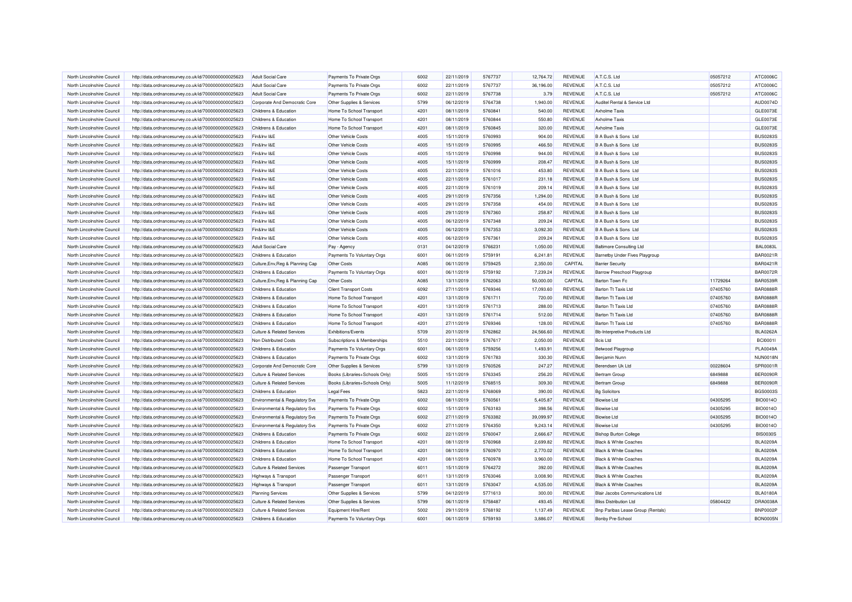| North Lincolnshire Council | http://data.ordnancesurvey.co.uk/id/7000000000025623 | <b>Adult Social Care</b>                  | Payments To Private Orgs       | 6002 | 22/11/2019 | 5767737 | 12.764.72 | <b>REVENUE</b> | A.T.C.S. Ltd                        | 05057212 | ATC0006C        |
|----------------------------|------------------------------------------------------|-------------------------------------------|--------------------------------|------|------------|---------|-----------|----------------|-------------------------------------|----------|-----------------|
| North Lincolnshire Council | http://data.ordnancesurvey.co.uk/id/7000000000025623 | <b>Adult Social Care</b>                  | Payments To Private Orgs       | 6002 | 22/11/2019 | 5767737 | 36,196.00 | REVENUE        | A.T.C.S. Ltd                        | 05057212 | ATC0006C        |
| North Lincolnshire Council | http://data.ordnancesurvey.co.uk/id/7000000000025623 | <b>Adult Social Care</b>                  | Payments To Private Orgs       | 6002 | 22/11/2019 | 5767738 | 3.79      | REVENUE        | A.T.C.S. Ltd                        | 05057212 | ATC0006C        |
| North Lincolnshire Council | http://data.ordnancesurvey.co.uk/id/7000000000025623 | Corporate And Democratic Core             | Other Supplies & Services      | 5799 | 06/12/2019 | 5764738 | 1,940.00  | REVENUE        | Auditel Rental & Service Ltd        |          | AUD0074D        |
| North Lincolnshire Council | http://data.ordnancesurvey.co.uk/id/7000000000025623 | Childrens & Education                     | Home To School Transport       | 4201 | 08/11/2019 | 5760841 | 540.00    | <b>REVENUE</b> | <b>Axholme Taxis</b>                |          | GLE0073E        |
| North Lincolnshire Council | http://data.ordnancesurvey.co.uk/id/7000000000025623 | Childrens & Education                     | Home To School Transport       | 4201 | 08/11/2019 | 5760844 | 550.80    | REVENUE        | <b>Axholme Taxis</b>                |          | GLE0073E        |
| North Lincolnshire Council | http://data.ordnancesurvey.co.uk/id/7000000000025623 | <b>Childrens &amp; Education</b>          | Home To School Transport       | 4201 | 08/11/2019 | 5760845 | 320.00    | <b>REVENUE</b> | <b>Axholme Taxis</b>                |          | GLE0073E        |
| North Lincolnshire Council | http://data.ordnancesurvey.co.uk/id/7000000000025623 | Fin&Inv I&E                               | Other Vehicle Costs            | 4005 | 15/11/2019 | 5760993 | 904.00    | REVENUE        | B A Bush & Sons Ltd                 |          | <b>BUS0283S</b> |
| North Lincolnshire Council | http://data.ordnancesurvey.co.uk/id/7000000000025623 | Fin&Inv I&F                               | Other Vehicle Costs            | 4005 | 15/11/2019 | 5760995 | 466.50    | REVENUE        | B A Bush & Sons Ltd                 |          | <b>BUS0283S</b> |
| North Lincolnshire Council | http://data.ordnancesurvey.co.uk/id/7000000000025623 | Fin&Inv I&E                               | Other Vehicle Costs            | 4005 | 15/11/2019 | 5760998 | 944.00    | REVENUE        | B A Bush & Sons Ltd                 |          | <b>BUS0283S</b> |
| North Lincolnshire Council | http://data.ordnancesurvey.co.uk/id/7000000000025623 | Fin&Inv I&E                               | Other Vehicle Costs            | 4005 | 15/11/2019 | 5760999 | 208.47    | REVENUE        | B A Bush & Sons Ltd                 |          | <b>BUS0283S</b> |
| North Lincolnshire Council | http://data.ordnancesurvey.co.uk/id/7000000000025623 | Fin&Inv I&E                               | Other Vehicle Costs            | 4005 | 22/11/2019 | 5761016 | 453.80    | REVENUE        | B A Bush & Sons Ltd                 |          | <b>BUS0283S</b> |
| North Lincolnshire Council | http://data.ordnancesurvey.co.uk/id/7000000000025623 | Fin&Inv I&E                               | Other Vehicle Costs            | 4005 | 22/11/2019 | 5761017 | 231.18    | REVENUE        | B A Bush & Sons Ltd                 |          | <b>BUS0283S</b> |
| North Lincolnshire Council | http://data.ordnancesurvey.co.uk/id/7000000000025623 | Fin&Inv I&E                               | Other Vehicle Costs            | 4005 | 22/11/2019 | 5761019 | 209.14    | REVENUE        | B A Bush & Sons Ltd                 |          | <b>BUS0283S</b> |
| North Lincolnshire Council | http://data.ordnancesurvey.co.uk/id/7000000000025623 | Fin&Inv I&E                               | Other Vehicle Costs            | 4005 | 29/11/2019 | 5767356 | 1,294.00  | <b>REVENUE</b> | B A Bush & Sons Ltd                 |          | <b>BUS0283S</b> |
| North Lincolnshire Council | http://data.ordnancesurvey.co.uk/id/7000000000025623 | Fin&Inv I&E                               | Other Vehicle Costs            | 4005 | 29/11/2019 | 5767358 | 454.00    | <b>REVENUE</b> | B A Bush & Sons Ltd                 |          | <b>BUS0283S</b> |
| North Lincolnshire Council | http://data.ordnancesurvey.co.uk/id/7000000000025623 | Fin&Inv I&E                               | Other Vehicle Costs            | 4005 | 29/11/2019 | 5767360 | 258.87    | <b>REVENUE</b> | B A Bush & Sons Ltd                 |          | <b>BUS0283S</b> |
| North Lincolnshire Council | http://data.ordnancesurvey.co.uk/id/7000000000025623 | Fin&Inv I&E                               | Other Vehicle Costs            | 4005 | 06/12/2019 | 5767348 | 209.24    | REVENUE        | B A Bush & Sons Ltd                 |          | <b>BUS0283S</b> |
| North Lincolnshire Council | http://data.ordnancesurvey.co.uk/id/7000000000025623 | Fin&Inv I&E                               | Other Vehicle Costs            | 4005 | 06/12/2019 | 5767353 | 3,092.30  | <b>REVENUE</b> | B A Bush & Sons Ltd                 |          | <b>BUS0283S</b> |
| North Lincolnshire Council | http://data.ordnancesurvey.co.uk/id/7000000000025623 | Fin&Inv I&E                               | Other Vehicle Costs            | 4005 | 06/12/2019 | 5767361 | 209.24    | <b>REVENUE</b> | B A Bush & Sons Ltd                 |          | <b>BUS0283S</b> |
| North Lincolnshire Council | http://data.ordnancesurvey.co.uk/id/7000000000025623 | <b>Adult Social Care</b>                  | Pay - Agency                   | 0131 | 04/12/2019 | 5766231 | 1,050.00  | REVENUE        | <b>Baltimore Consulting Ltd</b>     |          | <b>BAL0083L</b> |
| North Lincolnshire Council | http://data.ordnancesurvey.co.uk/id/7000000000025623 | Childrens & Education                     | Payments To Voluntary Orgs     | 6001 | 06/11/2019 | 5759191 | 6,241.81  | <b>REVENUE</b> | Barnetby Under Fives Playgroup      |          | <b>BAR0021F</b> |
| North Lincolnshire Council | http://data.ordnancesurvey.co.uk/id/7000000000025623 | Culture, Env, Reg & Planning Cap          | <b>Other Costs</b>             | A085 | 06/11/2019 | 5759425 | 2,350.00  | CAPITAL        | <b>Barrier Security</b>             |          | <b>BAR0421F</b> |
| North Lincolnshire Council | http://data.ordnancesurvey.co.uk/id/7000000000025623 | Childrens & Education                     | Payments To Voluntary Orgs     | 6001 | 06/11/2019 | 5759192 | 7,239.24  | <b>REVENUE</b> | Barrow Preschool Playgroup          |          | <b>BAR0072F</b> |
| North Lincolnshire Council | http://data.ordnancesurvey.co.uk/id/7000000000025623 | Culture, Env, Reg & Planning Cap          | Other Costs                    | A085 | 13/11/2019 | 5762063 | 50,000.00 | CAPITAL        | Barton Town Fc                      | 11729264 | <b>BAR0539R</b> |
| North Lincolnshire Council | http://data.ordnancesurvey.co.uk/id/7000000000025623 | Childrens & Education                     | <b>Client Transport Costs</b>  | 6092 | 27/11/2019 | 5769346 | 17,093.60 | REVENUE        | <b>Barton Tt Taxis Ltd</b>          | 07405760 | <b>BAR0888F</b> |
| North Lincolnshire Council | http://data.ordnancesurvey.co.uk/id/7000000000025623 | Childrens & Education                     | Home To School Transport       | 4201 | 13/11/2019 | 5761711 | 720.00    | <b>REVENUE</b> | Barton Tt Taxis Ltd                 | 07405760 | <b>BAR0888F</b> |
| North Lincolnshire Council | http://data.ordnancesurvey.co.uk/id/7000000000025623 | Childrens & Education                     | Home To School Transport       | 4201 | 13/11/2019 | 5761713 | 288.00    | <b>REVENUE</b> | <b>Barton Tt Taxis Ltd</b>          | 07405760 | <b>BAR0888F</b> |
| North Lincolnshire Council | http://data.ordnancesurvey.co.uk/id/7000000000025623 | Childrens & Education                     | Home To School Transport       | 4201 | 13/11/2019 | 5761714 | 512.00    | <b>REVENUE</b> | Barton Tt Taxis Ltd                 | 07405760 | <b>BAR0888F</b> |
| North Lincolnshire Council | http://data.ordnancesurvey.co.uk/id/7000000000025623 | Childrens & Education                     | Home To School Transport       | 4201 | 27/11/2019 | 5769346 | 128.00    | <b>REVENUE</b> | <b>Barton Tt Taxis Ltd</b>          | 07405760 | <b>BAR0888F</b> |
| North Lincolnshire Council | http://data.ordnancesurvey.co.uk/id/7000000000025623 | <b>Culture &amp; Related Services</b>     | Exhibitions/Events             | 5709 | 20/11/2019 | 5762862 | 24,566.60 | REVENUE        | <b>Bb-Interpretive Products Ltd</b> |          | <b>BLA0262A</b> |
| North Lincolnshire Council | http://data.ordnancesurvey.co.uk/id/7000000000025623 | Non Distributed Costs                     | Subscriptions & Memberships    | 5510 | 22/11/2019 | 5767617 | 2,050.00  | REVENUE        | <b>Bcis Ltd</b>                     |          | <b>BCI00011</b> |
| North Lincolnshire Council | http://data.ordnancesurvey.co.uk/id/7000000000025623 | Childrens & Education                     | Payments To Voluntary Orgs     | 6001 | 06/11/2019 | 5759256 | 1,493.91  | REVENUE        | Belwood Playgroup                   |          | <b>PLA0049A</b> |
| North Lincolnshire Council | http://data.ordnancesurvey.co.uk/id/7000000000025623 | Childrens & Education                     | Payments To Private Orgs       | 6002 | 13/11/2019 | 5761783 | 330.30    | REVENUE        | Benjamin Nunn                       |          | <b>NUN0018N</b> |
| North Lincolnshire Council | http://data.ordnancesurvey.co.uk/id/7000000000025623 | Corporate And Democratic Core             | Other Supplies & Services      | 5799 | 13/11/2019 | 5760526 | 247.27    | REVENUE        | Berendsen Uk Ltd                    | 00228604 | SPR0001F        |
| North Lincolnshire Council | http://data.ordnancesurvey.co.uk/id/7000000000025623 | <b>Culture &amp; Related Services</b>     | Books (Libraries+Schools Only) | 5005 | 15/11/2019 | 5763345 | 256.20    | <b>REVENUE</b> | <b>Bertram Group</b>                | 6849888  | BER0090F        |
| North Lincolnshire Council | http://data.ordnancesurvey.co.uk/id/7000000000025623 | <b>Culture &amp; Related Services</b>     | Books (Libraries+Schools Only) | 5005 | 11/12/2019 | 5768515 | 309.30    | REVENUE        | <b>Bertram Group</b>                | 6849888  | BER0090F        |
| North Lincolnshire Council | http://data.ordnancesurvey.co.uk/id/7000000000025623 | Childrens & Education                     | Legal Fees                     | 5823 | 22/11/2019 | 5768069 | 390.00    | <b>REVENUE</b> | <b>Bg Solicitors</b>                |          | <b>BGS0003S</b> |
| North Lincolnshire Council | http://data.ordnancesurvey.co.uk/id/7000000000025623 | Environmental & Regulatory Svs            | Payments To Private Orgs       | 6002 | 08/11/2019 | 5760561 | 5,405.87  | REVENUE        | <b>Biowise Ltd</b>                  | 04305295 | <b>BIO0014O</b> |
| North Lincolnshire Council | http://data.ordnancesurvey.co.uk/id/7000000000025623 | <b>Environmental &amp; Regulatory Svs</b> | Payments To Private Orgs       | 6002 | 15/11/2019 | 5763183 | 398.56    | <b>REVENUE</b> | <b>Biowise Ltd</b>                  | 04305295 | <b>BIO0014O</b> |
| North Lincolnshire Council | http://data.ordnancesurvey.co.uk/id/7000000000025623 | <b>Environmental &amp; Regulatory Svs</b> | Payments To Private Orgs       | 6002 | 27/11/2019 | 5763382 | 39,099.97 | REVENUE        | <b>Biowise Ltd</b>                  | 04305295 | <b>BIO0014O</b> |
| North Lincolnshire Council | http://data.ordnancesurvey.co.uk/id/7000000000025623 | Environmental & Regulatory Svs            | Payments To Private Orgs       | 6002 | 27/11/2019 | 5764350 | 9,243.14  | REVENUE        | <b>Biowise Ltd</b>                  | 04305295 | <b>BIO0014O</b> |
| North Lincolnshire Council | http://data.ordnancesurvey.co.uk/id/7000000000025623 | Childrens & Education                     | Payments To Private Orgs       | 6002 | 22/11/2019 | 5760047 | 2,666.67  | <b>REVENUE</b> | <b>Bishop Burton College</b>        |          | <b>BIS0030S</b> |
| North Lincolnshire Council | http://data.ordnancesurvey.co.uk/id/7000000000025623 | Childrens & Education                     | Home To School Transport       | 4201 | 08/11/2019 | 5760968 | 2,699.82  | <b>REVENUE</b> | <b>Black &amp; White Coaches</b>    |          | <b>BLA0209A</b> |
| North Lincolnshire Council | http://data.ordnancesurvey.co.uk/id/7000000000025623 | Childrens & Education                     | Home To School Transport       | 4201 | 08/11/2019 | 5760970 | 2,770.02  | REVENUE        | <b>Black &amp; White Coaches</b>    |          | <b>BLA0209A</b> |
| North Lincolnshire Council | http://data.ordnancesurvey.co.uk/id/7000000000025623 | Childrens & Education                     | Home To School Transport       | 4201 | 08/11/2019 | 5760978 | 3,960.00  | <b>REVENUE</b> | Black & White Coaches               |          | <b>BLA0209A</b> |
| North Lincolnshire Council | http://data.ordnancesurvey.co.uk/id/7000000000025623 | <b>Culture &amp; Related Services</b>     | <b>Passenger Transport</b>     | 6011 | 15/11/2019 | 5764272 | 392.00    | <b>REVENUE</b> | <b>Black &amp; White Coaches</b>    |          | <b>BLA0209A</b> |
| North Lincolnshire Council | http://data.ordnancesurvey.co.uk/id/7000000000025623 | Highways & Transport                      | Passenger Transport            | 6011 | 13/11/2019 | 5763046 | 3,008.90  | <b>REVENUE</b> | <b>Black &amp; White Coaches</b>    |          | <b>BLA0209A</b> |
| North Lincolnshire Council | http://data.ordnancesurvey.co.uk/id/7000000000025623 | Highways & Transport                      | Passenger Transport            | 6011 | 13/11/2019 | 5763047 | 4,535.00  | REVENUE        | <b>Black &amp; White Coaches</b>    |          | <b>BLA0209A</b> |
| North Lincolnshire Council | http://data.ordnancesurvey.co.uk/id/7000000000025623 | <b>Planning Services</b>                  | Other Supplies & Services      | 5799 | 04/12/2019 | 5771613 | 300.00    | <b>REVENUE</b> | Blair Jacobs Communications Ltd     |          | <b>BLA0180A</b> |
| North Lincolnshire Council | http://data.ordnancesurvey.co.uk/id/7000000000025623 | <b>Culture &amp; Related Services</b>     | Other Supplies & Services      | 5799 | 06/11/2019 | 5758487 | 493.45    | REVENUE        | <b>Bliss Distribution Ltd</b>       | 05804422 | DRA0038A        |
| North Lincolnshire Council | http://data.ordnancesurvey.co.uk/id/7000000000025623 | <b>Culture &amp; Related Services</b>     | Equipment Hire/Rent            | 5002 | 29/11/2019 | 5768192 | 1,137.49  | <b>REVENUE</b> | Bnp Paribas Lease Group (Rentals)   |          | <b>BNP0002P</b> |
| North Lincolnshire Council | http://data.ordnancesurvey.co.uk/id/7000000000025623 | Childrens & Education                     | Payments To Voluntary Orgs     | 6001 | 06/11/2019 | 5759193 | 3.886.07  | REVENUE        | <b>Bonby Pre-School</b>             |          | <b>BON0005N</b> |
|                            |                                                      |                                           |                                |      |            |         |           |                |                                     |          |                 |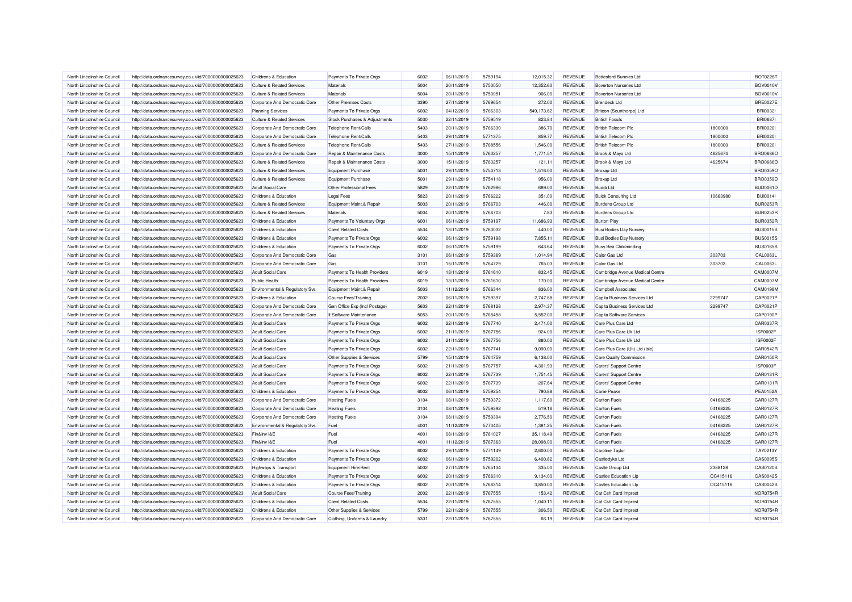| North Lincolnshire Council | http://data.ordnancesurvey.co.uk/id/7000000000025623 | Childrens & Education                 | Payments To Private Orgs      | 6002 | 06/11/2019 | 5759194 | 12.015.32  | <b>REVENUE</b> | <b>Bottesford Bunnies Ltd</b>   |          | <b>BOT0226T</b> |
|----------------------------|------------------------------------------------------|---------------------------------------|-------------------------------|------|------------|---------|------------|----------------|---------------------------------|----------|-----------------|
| North Lincolnshire Council | http://data.ordnancesurvey.co.uk/id/7000000000025623 | <b>Culture &amp; Related Services</b> | Materials                     | 5004 | 20/11/2019 | 5750050 | 12,352.60  | REVENUE        | <b>Boverton Nurseries Ltd</b>   |          | <b>BOV0010V</b> |
| North Lincolnshire Council | http://data.ordnancesurvey.co.uk/id/7000000000025623 | <b>Culture &amp; Related Services</b> | Materials                     | 5004 | 20/11/2019 | 5750051 | 906.00     | REVENUE        | <b>Boverton Nurseries Ltd</b>   |          | <b>BOV0010V</b> |
| North Lincolnshire Council | http://data.ordnancesurvey.co.uk/id/7000000000025623 | Corporate And Democratic Core         | <b>Other Premises Costs</b>   | 3390 | 27/11/2019 | 5769654 | 272.00     | <b>REVENUE</b> | <b>Brendeck I td</b>            |          | <b>BRE0027E</b> |
| North Lincolnshire Council | http://data.ordnancesurvey.co.uk/id/7000000000025623 | <b>Planning Services</b>              | Payments To Private Orgs      | 6002 | 04/12/2019 | 5766303 | 549,173.62 | <b>REVENUE</b> | Britcon (Scunthorpe) Ltd        |          | <b>BRI00321</b> |
| North Lincolnshire Council | http://data.ordnancesurvey.co.uk/id/7000000000025623 | <b>Culture &amp; Related Services</b> | Stock Purchases & Adjustments | 5030 | 22/11/2019 | 5759519 | 823.84     | <b>REVENUE</b> | <b>British Fossils</b>          |          | <b>BRI0687I</b> |
| North Lincolnshire Council | http://data.ordnancesurvey.co.uk/id/7000000000025623 | Corporate And Democratic Core         | Telephone Rent/Calls          | 5403 | 20/11/2019 | 5766330 | 386.70     | <b>REVENUE</b> | <b>British Telecom Plc</b>      | 1800000  | <b>BRI00201</b> |
| North Lincolnshire Council | http://data.ordnancesurvey.co.uk/id/7000000000025623 | Corporate And Democratic Core         | Telephone Rent/Calls          | 5403 | 29/11/2019 | 5771375 | 859.77     | <b>REVENUE</b> | <b>British Telecom Plc</b>      | 1800000  | <b>BRI00201</b> |
| North Lincolnshire Council | http://data.ordnancesurvey.co.uk/id/7000000000025623 | <b>Culture &amp; Related Services</b> | Telephone Rent/Calls          | 5403 | 27/11/2019 | 5768556 | 1,546.00   | REVENUE        | <b>British Telecom Plc</b>      | 1800000  | <b>BRI00201</b> |
| North Lincolnshire Council | http://data.ordnancesurvey.co.uk/id/7000000000025623 | Corporate And Democratic Core         | Repair & Maintenance Costs    | 3000 | 15/11/2019 | 5763257 | 1,771.51   | <b>REVENUE</b> | Brook & Mayo Ltd                | 4625674  | <b>BRO0686C</b> |
| North Lincolnshire Council | http://data.ordnancesurvey.co.uk/id/7000000000025623 | <b>Culture &amp; Related Services</b> | Repair & Maintenance Costs    | 3000 | 15/11/2019 | 5763257 | 121.11     | REVENUE        | Brook & Mayo Ltd                | 4625674  | <b>BRO0686O</b> |
| North Lincolnshire Council | http://data.ordnancesurvey.co.uk/id/7000000000025623 | <b>Culture &amp; Related Services</b> | Equipment Purchase            | 5001 | 29/11/2019 | 5753713 | 1,516.00   | <b>REVENUE</b> | <b>Broxap Ltd</b>               |          | <b>BRO0359O</b> |
| North Lincolnshire Council | http://data.ordnancesurvey.co.uk/id/7000000000025623 | <b>Culture &amp; Related Services</b> | Equipment Purchase            | 5001 | 29/11/2019 | 5754118 | 956.00     | REVENUE        | Broxap Ltd                      |          | <b>BRO0359C</b> |
| North Lincolnshire Council | http://data.ordnancesurvey.co.uk/id/7000000000025623 | <b>Adult Social Care</b>              | Other Professional Fees       | 5829 | 22/11/2019 | 5762986 | 689.00     | <b>REVENUE</b> | <b>Buddi Ltd</b>                |          | <b>BUD0061D</b> |
| North Lincolnshire Council | http://data.ordnancesurvey.co.uk/id/7000000000025623 | Childrens & Education                 | <b>Legal Fees</b>             | 5823 | 20/11/2019 | 5766222 | 351.00     | <b>REVENUE</b> | <b>Buick Consulting Ltd</b>     | 10663980 | <b>BUI0014I</b> |
| North Lincolnshire Council | http://data.ordnancesurvey.co.uk/id/7000000000025623 | <b>Culture &amp; Related Services</b> | Equipment Maint.& Repair      | 5003 | 20/11/2019 | 5766703 | 446.00     | <b>REVENUE</b> | <b>Burdens Group Ltd</b>        |          | <b>BUR0253F</b> |
| North Lincolnshire Council | http://data.ordnancesurvey.co.uk/id/7000000000025623 | <b>Culture &amp; Related Services</b> | Materials                     | 5004 | 20/11/2019 | 5766703 | 7.83       | REVENUE        | <b>Burdens Group Ltd</b>        |          | <b>BUR0253F</b> |
| North Lincolnshire Council | http://data.ordnancesurvey.co.uk/id/7000000000025623 | Childrens & Education                 | Payments To Voluntary Orgs    | 6001 | 06/11/2019 | 5759197 | 11,686.93  | <b>REVENUE</b> | <b>Burton Play</b>              |          | <b>BUR0352F</b> |
| North Lincolnshire Council | http://data.ordnancesurvey.co.uk/id/7000000000025623 | Childrens & Education                 | <b>Client Related Costs</b>   | 5534 | 13/11/2019 | 5763032 | 440.00     | <b>REVENUE</b> | Busi Bodies Day Nursery         |          | <b>BUS0015S</b> |
| North Lincolnshire Council | http://data.ordnancesurvey.co.uk/id/7000000000025623 | <b>Childrens &amp; Education</b>      | Payments To Private Orgs      | 6002 | 06/11/2019 | 5759198 | 7.855.11   | <b>REVENUE</b> | Busi Bodies Day Nursery         |          | <b>BUS0015S</b> |
| North Lincolnshire Council | http://data.ordnancesurvey.co.uk/id/7000000000025623 | Childrens & Education                 | Payments To Private Orgs      | 6002 | 06/11/2019 | 5759199 | 643.64     | REVENUE        | <b>Busy Bea Childminding</b>    |          | <b>BUS0165S</b> |
| North Lincolnshire Council | http://data.ordnancesurvey.co.uk/id/7000000000025623 | Corporate And Democratic Core         | Gas                           | 3101 | 06/11/2019 | 5759369 | 1,014.94   | <b>REVENUE</b> | Calor Gas Ltd                   | 303703   | CAL0063L        |
| North Lincolnshire Council | http://data.ordnancesurvey.co.uk/id/7000000000025623 | Corporate And Democratic Core         | Gas                           | 3101 | 15/11/2019 | 5764729 | 765.03     | REVENUE        | Calor Gas Ltd                   | 303703   | CAL0063L        |
| North Lincolnshire Council | http://data.ordnancesurvey.co.uk/id/7000000000025623 | <b>Adult Social Care</b>              | Payments To Health Providers  | 6019 | 13/11/2019 | 5761610 | 832.45     | <b>REVENUE</b> | Cambridge Avenue Medical Centre |          | <b>CAM0007M</b> |
| North Lincolnshire Council | http://data.ordnancesurvey.co.uk/id/7000000000025623 | <b>Public Health</b>                  | Payments To Health Providers  | 6019 | 13/11/2019 | 5761610 | 170.00     | REVENUE        | Cambridge Avenue Medical Centre |          | CAM0007M        |
| North Lincolnshire Council | http://data.ordnancesurvey.co.uk/id/7000000000025623 | Environmental & Regulatory Svs        | Equipment Maint.& Repair      | 5003 | 11/12/2019 | 5766344 | 836.00     | REVENUE        | <b>Campbell Associates</b>      |          | CAM0198M        |
| North Lincolnshire Council | http://data.ordnancesurvey.co.uk/id/7000000000025623 | Childrens & Education                 | Course Fees/Training          | 2002 | 06/11/2019 | 5759397 | 2.747.88   | <b>REVENUE</b> | Capita Business Services Ltd    | 2299747  | CAP0021F        |
| North Lincolnshire Council | http://data.ordnancesurvey.co.uk/id/7000000000025623 | Corporate And Democratic Core         | Gen Office Exp (Incl Postage) | 5603 | 22/11/2019 | 5768128 | 2,974.37   | <b>REVENUE</b> | Capita Business Services Ltd    | 2299747  | CAP0021P        |
| North Lincolnshire Council | http://data.ordnancesurvey.co.uk/id/7000000000025623 | Corporate And Democratic Core         | It Software-Maintenance       | 5053 | 20/11/2019 | 5765458 | 5.552.00   | <b>REVENUE</b> | Capita Software Services        |          | <b>CAP0190P</b> |
| North Lincolnshire Council | http://data.ordnancesurvey.co.uk/id/7000000000025623 | <b>Adult Social Care</b>              | Payments To Private Orgs      | 6002 | 22/11/2019 | 5767740 | 2,471.00   | <b>REVENUE</b> | Care Plus Care Ltd              |          | <b>CAR0337F</b> |
| North Lincolnshire Council | http://data.ordnancesurvey.co.uk/id/7000000000025623 | <b>Adult Social Care</b>              | Payments To Private Orgs      | 6002 | 21/11/2019 | 5767756 | 924.00     | REVENUE        | Care Plus Care Uk Ltd           |          | ISF0002F        |
| North Lincolnshire Council | http://data.ordnancesurvey.co.uk/id/7000000000025623 | <b>Adult Social Care</b>              | Payments To Private Orgs      | 6002 | 21/11/2019 | 5767756 | 880.00     | <b>REVENUE</b> | Care Plus Care Uk Ltd           |          | <b>ISF0002F</b> |
| North Lincolnshire Council | http://data.ordnancesurvey.co.uk/id/7000000000025623 | <b>Adult Social Care</b>              | Payments To Private Orgs      | 6002 | 22/11/2019 | 5767741 | 9,090.00   | REVENUE        | Care Plus Care (Uk) Ltd (Isle)  |          | CAR0542F        |
| North Lincolnshire Council | http://data.ordnancesurvey.co.uk/id/7000000000025623 | <b>Adult Social Care</b>              | Other Supplies & Services     | 5799 | 15/11/2019 | 5764759 | 6,138.00   | <b>REVENUE</b> | Care Quality Commission         |          | <b>CAR0150F</b> |
| North Lincolnshire Council | http://data.ordnancesurvey.co.uk/id/7000000000025623 | <b>Adult Social Care</b>              | Payments To Private Orgs      | 6002 | 21/11/2019 | 5767757 | 4,301.93   | REVENUE        | Carers' Support Centre          |          | ISF0003F        |
| North Lincolnshire Council | http://data.ordnancesurvey.co.uk/id/7000000000025623 | <b>Adult Social Care</b>              | Payments To Private Orgs      | 6002 | 22/11/2019 | 5767739 | 1,751.45   | <b>REVENUE</b> | Carers' Support Centre          |          | CAR0131F        |
| North Lincolnshire Council | http://data.ordnancesurvey.co.uk/id/7000000000025623 | <b>Adult Social Care</b>              | Payments To Private Orgs      | 6002 | 22/11/2019 | 5767739 | $-207.64$  | REVENUE        | Carers' Support Centre          |          | CAR0131F        |
| North Lincolnshire Council | http://data.ordnancesurvey.co.uk/id/7000000000025623 | Childrens & Education                 | Payments To Private Orgs      | 6002 | 06/11/2019 | 5759254 | 790.88     | <b>REVENUE</b> | <b>Carlie Peake</b>             |          | <b>PEA0152A</b> |
| North Lincolnshire Council | http://data.ordnancesurvey.co.uk/id/7000000000025623 | Corporate And Democratic Core         | <b>Heating Fuels</b>          | 3104 | 08/11/2019 | 5759372 | 1,117.60   | REVENUE        | <b>Carlton Fuels</b>            | 04168225 | CAR0127F        |
| North Lincolnshire Council | http://data.ordnancesurvey.co.uk/id/7000000000025623 | Corporate And Democratic Core         | <b>Heating Fuels</b>          | 3104 | 08/11/2019 | 5759392 | 519.16     | <b>REVENUE</b> | <b>Carlton Fuels</b>            | 04168225 | <b>CAR0127F</b> |
| North Lincolnshire Council | http://data.ordnancesurvey.co.uk/id/7000000000025623 | Corporate And Democratic Core         | <b>Heating Fuels</b>          | 3104 | 08/11/2019 | 5759394 | 2,776.50   | REVENUE        | <b>Carlton Fuels</b>            | 04168225 | <b>CAR0127F</b> |
| North Lincolnshire Council | http://data.ordnancesurvey.co.uk/id/7000000000025623 | Environmental & Regulatory Svs        | Fuel                          | 4001 | 11/12/2019 | 5770405 | 1,381.25   | <b>REVENUE</b> | <b>Carlton Fuels</b>            | 04168225 | <b>CAR0127F</b> |
| North Lincolnshire Council | http://data.ordnancesurvey.co.uk/id/7000000000025623 | Fin&Inv I&E                           | Fuel                          | 4001 | 08/11/2019 | 5761027 | 35,118.49  | <b>REVENUE</b> | <b>Carlton Fuels</b>            | 04168225 | <b>CAR0127F</b> |
| North Lincolnshire Council | http://data.ordnancesurvey.co.uk/id/7000000000025623 | Fin&Inv I&E                           | Fuel                          | 4001 | 11/12/2019 | 5767363 | 28,098.00  | <b>REVENUE</b> | <b>Carlton Fuels</b>            | 04168225 | <b>CAR0127F</b> |
| North Lincolnshire Council | http://data.ordnancesurvey.co.uk/id/7000000000025623 | Childrens & Education                 | Payments To Private Orgs      | 6002 | 29/11/2019 | 5771149 | 2,600.00   | <b>REVENUE</b> | Caroline Taylor                 |          | TAY0213Y        |
| North Lincolnshire Council | http://data.ordnancesurvey.co.uk/id/7000000000025623 | Childrens & Education                 | Payments To Private Orgs      | 6002 | 06/11/2019 | 5759202 | 6,400.82   | <b>REVENUE</b> | Castledyke Ltd                  |          | CAS0095S        |
| North Lincolnshire Council | http://data.ordnancesurvey.co.uk/id/7000000000025623 | Highways & Transport                  | Equipment Hire/Rent           | 5002 | 27/11/2019 | 5765134 | 335.00     | <b>REVENUE</b> | Castle Group Ltd                | 2388128  | CAS0120S        |
| North Lincolnshire Council | http://data.ordnancesurvey.co.uk/id/7000000000025623 | Childrens & Education                 | Payments To Private Orgs      | 6002 | 20/11/2019 | 5766310 | 9,134.00   | <b>REVENUE</b> | <b>Castles Education Lip</b>    | OC415116 | CAS0042S        |
| North Lincolnshire Council | http://data.ordnancesurvey.co.uk/id/7000000000025623 | Childrens & Education                 | Payments To Private Orgs      | 6002 | 20/11/2019 | 5766314 | 3,850.00   | REVENUE        | <b>Castles Education Lip</b>    | OC415116 | CAS0042S        |
| North Lincolnshire Council | http://data.ordnancesurvey.co.uk/id/7000000000025623 | <b>Adult Social Care</b>              | <b>Course Fees/Training</b>   | 2002 | 22/11/2019 | 5767555 | 153.42     | REVENUE        | Cat Csh Card Imprest            |          | NOR0754F        |
| North Lincolnshire Council | http://data.ordnancesurvey.co.uk/id/7000000000025623 | Childrens & Education                 | <b>Client Related Costs</b>   | 5534 | 22/11/2019 | 5767555 | 1.040.1    | REVENUE        | Cat Csh Card Imprest            |          | NOR0754F        |
| North Lincolnshire Council | http://data.ordnancesurvey.co.uk/id/7000000000025623 | Childrens & Education                 | Other Supplies & Services     | 5799 | 22/11/2019 | 5767555 | 306.50     | <b>REVENUE</b> | Cat Csh Card Imprest            |          | NOR0754F        |
| North Lincolnshire Council | http://data.ordnancesurvey.co.uk/id/7000000000025623 | Corporate And Democratic Core         | Clothing, Uniforms & Laundry  | 5301 | 22/11/2019 | 5767555 | 66.19      | <b>REVENUE</b> | Cat Csh Card Imprest            |          | <b>NOR0754R</b> |
|                            |                                                      |                                       |                               |      |            |         |            |                |                                 |          |                 |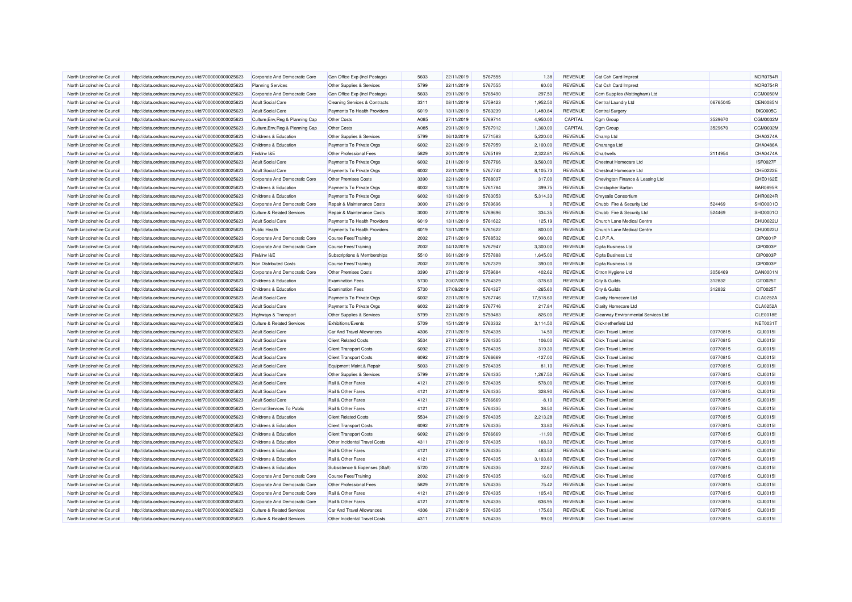| North Lincolnshire Council                               | http://data.ordnancesurvey.co.uk/id/7000000000025623                                                         | Corporate And Democratic Core                          | Gen Office Exp (Incl Postage)                 | 5603 | 22/11/2019 | 5767555            | 1.38      | REVENUE                          | Cat Csh Card Imprest                                |          | <b>NOR0754R</b> |
|----------------------------------------------------------|--------------------------------------------------------------------------------------------------------------|--------------------------------------------------------|-----------------------------------------------|------|------------|--------------------|-----------|----------------------------------|-----------------------------------------------------|----------|-----------------|
| North Lincolnshire Council                               | http://data.ordnancesurvey.co.uk/id/7000000000025623                                                         | <b>Planning Services</b>                               | Other Supplies & Services                     | 5799 | 22/11/2019 | 5767555            | 60.00     | <b>REVENUE</b>                   | Cat Csh Card Imprest                                |          | <b>NOR0754R</b> |
| North Lincolnshire Council                               | http://data.ordnancesurvey.co.uk/id/7000000000025623                                                         | Corporate And Democratic Core                          | Gen Office Exp (Incl Postage)                 | 5603 | 29/11/2019 | 5765490            | 297.50    | <b>REVENUE</b>                   | Ccm Supplies (Nottingham) Ltd                       |          | CCM0050M        |
| North Lincolnshire Council                               | http://data.ordnancesurvey.co.uk/id/7000000000025623                                                         | <b>Adult Social Care</b>                               | <b>Cleaning Services &amp; Contracts</b>      | 3311 | 08/11/2019 | 5759423            | 1,952.50  | <b>REVENUE</b>                   | Central Laundry Ltd                                 | 06765045 | <b>CEN0085N</b> |
| North Lincolnshire Council                               | http://data.ordnancesurvey.co.uk/id/7000000000025623                                                         | <b>Adult Social Care</b>                               | Payments To Health Providers                  | 6019 | 13/11/2019 | 5763239            | 1,480.84  | REVENUE                          | Central Surgery                                     |          | <b>DIC0005C</b> |
| North Lincolnshire Council                               | http://data.ordnancesurvey.co.uk/id/7000000000025623                                                         | Culture, Env, Reg & Planning Cap                       | Other Costs                                   | A085 | 27/11/2019 | 5769714            | 4,950.00  | CAPITAL                          | Cgm Group                                           | 3529670  | CGM0032M        |
| North Lincolnshire Council                               | http://data.ordnancesurvey.co.uk/id/7000000000025623                                                         | Culture, Env, Reg & Planning Cap                       | <b>Other Costs</b>                            | A085 | 29/11/2019 | 5767912            | 1,360.00  | CAPITAL                          | Cgm Group                                           | 3529670  | CGM0032M        |
| North Lincolnshire Council                               | http://data.ordnancesurvey.co.uk/id/7000000000025623                                                         | Childrens & Education                                  | Other Supplies & Services                     | 5799 | 06/12/2019 | 5771583            | 5,220.00  | REVENUE                          | Champ Ltd                                           |          | CHA0374A        |
| North Lincolnshire Council                               | http://data.ordnancesurvey.co.uk/id/7000000000025623                                                         | Childrens & Education                                  | Payments To Private Orgs                      | 6002 | 22/11/2019 | 5767959            | 2,100.00  | REVENUE                          | Charanga Ltd                                        |          | CHA0486A        |
| North Lincolnshire Council                               |                                                                                                              | Fin&Inv I&E                                            | Other Professional Fees                       | 5829 | 20/11/2019 | 5765189            | 2,322.81  | <b>REVENUE</b>                   | Chartwells                                          | 2114954  | CHA0474A        |
| North Lincolnshire Council                               | http://data.ordnancesurvey.co.uk/id/7000000000025623<br>http://data.ordnancesurvey.co.uk/id/7000000000025623 | <b>Adult Social Care</b>                               | Payments To Private Orgs                      | 6002 | 21/11/2019 | 5767766            | 3,560.00  | <b>REVENUE</b>                   | Chestnut Homecare Ltd                               |          | <b>ISF0027F</b> |
|                                                          |                                                                                                              |                                                        |                                               |      |            |                    |           |                                  |                                                     |          |                 |
| North Lincolnshire Council                               | http://data.ordnancesurvey.co.uk/id/7000000000025623                                                         | <b>Adult Social Care</b>                               | Payments To Private Orgs                      | 6002 | 22/11/2019 | 5767742            | 8,105.73  | <b>REVENUE</b>                   | Chestnut Homecare Ltd                               |          | CHE0222E        |
| North Lincolnshire Council                               | http://data.ordnancesurvey.co.uk/id/7000000000025623                                                         | Corporate And Democratic Core                          | <b>Other Premises Costs</b>                   | 3390 | 22/11/2019 | 5768037            | 317.00    | <b>REVENUE</b>                   | Chevington Finance & Leasing Ltd                    |          | CHE0162E        |
| North Lincolnshire Council                               | http://data.ordnancesurvey.co.uk/id/7000000000025623                                                         | Childrens & Education                                  | Payments To Private Orgs                      | 6002 | 13/11/2019 | 5761784            | 399.75    | <b>REVENUE</b>                   | Christopher Barton                                  |          | <b>BAR0895R</b> |
| North Lincolnshire Council                               | http://data.ordnancesurvey.co.uk/id/7000000000025623                                                         | Childrens & Education                                  | Payments To Private Orgs                      | 6002 | 13/11/2019 | 5763053            | 5,314.33  | <b>REVENUE</b>                   | Chrysalis Consortium                                |          | CHR0024F        |
| North Lincolnshire Council                               | http://data.ordnancesurvey.co.uk/id/7000000000025623                                                         | Corporate And Democratic Core                          | Repair & Maintenance Costs                    | 3000 | 27/11/2019 | 5769696            | -C        | REVENUE                          | Chubb Fire & Security Ltd                           | 524469   | SHO0001O        |
| North Lincolnshire Council                               | http://data.ordnancesurvey.co.uk/id/7000000000025623                                                         | <b>Culture &amp; Related Services</b>                  | Repair & Maintenance Costs                    | 3000 | 27/11/2019 | 5769696            | 334.35    | <b>REVENUE</b>                   | Chubb Fire & Security Ltd                           | 524469   | SHO0001O        |
| North Lincolnshire Council                               | http://data.ordnancesurvey.co.uk/id/7000000000025623                                                         | <b>Adult Social Care</b>                               | Payments To Health Providers                  | 6019 | 13/11/2019 | 5761622            | 125.19    | <b>REVENUE</b>                   | Church Lane Medical Centre                          |          | CHU0022L        |
| North Lincolnshire Council                               | http://data.ordnancesurvey.co.uk/id/7000000000025623                                                         | <b>Public Health</b>                                   | Payments To Health Providers                  | 6019 | 13/11/2019 | 5761622            | 800.00    | <b>REVENUE</b>                   | Church Lane Medical Centre                          |          | CHU0022L        |
| North Lincolnshire Council                               | http://data.ordnancesurvey.co.uk/id/7000000000025623                                                         | Corporate And Democratic Core                          | <b>Course Fees/Training</b>                   | 2002 | 27/11/2019 | 5768532            | 990.00    | REVENUE                          | C.I.P.F.A.                                          |          | CIP0001P        |
| North Lincolnshire Council                               | http://data.ordnancesurvey.co.uk/id/7000000000025623                                                         | Corporate And Democratic Core                          | <b>Course Fees/Training</b>                   | 2002 | 04/12/2019 | 5767947            | 3,300.00  | <b>REVENUE</b>                   | Cipfa Business Ltd                                  |          | CIP0003P        |
| North Lincolnshire Council                               | http://data.ordnancesurvey.co.uk/id/7000000000025623                                                         | Fin&Inv I&E                                            | Subscriptions & Memberships                   | 5510 | 06/11/2019 | 5757888            | 1,645.00  | REVENUE                          | Cipfa Business Ltd                                  |          | CIP0003P        |
| North Lincolnshire Council                               | http://data.ordnancesurvey.co.uk/id/7000000000025623                                                         | Non Distributed Costs                                  | <b>Course Fees/Training</b>                   | 2002 | 22/11/2019 | 5767329            | 390.00    | <b>REVENUE</b>                   | Cipfa Business Ltd                                  |          | <b>CIP0003P</b> |
| North Lincolnshire Council                               | http://data.ordnancesurvey.co.uk/id/7000000000025623                                                         | Corporate And Democratic Core                          | <b>Other Premises Costs</b>                   | 3390 | 27/11/2019 | 5759684            | 402.62    | <b>REVENUE</b>                   | Citron Hygiene Ltd                                  | 3056469  | CAN0001N        |
| North Lincolnshire Council                               | http://data.ordnancesurvey.co.uk/id/7000000000025623                                                         | Childrens & Education                                  | <b>Examination Fees</b>                       | 5730 | 20/07/2019 | 5764329            | $-378.60$ | <b>REVENUE</b>                   | City & Guilds                                       | 312832   | CIT0025T        |
| North Lincolnshire Council                               | http://data.ordnancesurvey.co.uk/id/7000000000025623                                                         | Childrens & Education                                  | <b>Examination Fees</b>                       | 5730 | 07/09/2019 | 5764327            | $-265.60$ | REVENUE                          | City & Guilds                                       | 312832   | CIT0025T        |
| North Lincolnshire Council                               | http://data.ordnancesurvey.co.uk/id/7000000000025623                                                         | <b>Adult Social Care</b>                               | Payments To Private Orgs                      | 6002 | 22/11/2019 | 5767746            | 17,518.60 | <b>REVENUE</b>                   | Clarity Homecare Ltd                                |          | CLA0252A        |
| North Lincolnshire Council                               | http://data.ordnancesurvey.co.uk/id/7000000000025623                                                         | <b>Adult Social Care</b>                               | Payments To Private Orgs                      | 6002 | 22/11/2019 | 5767746            | 217.84    | <b>REVENUE</b>                   | Clarity Homecare Ltd                                |          | CLA0252A        |
| North Lincolnshire Council                               | http://data.ordnancesurvey.co.uk/id/7000000000025623                                                         | Highways & Transport                                   | Other Supplies & Services                     | 5799 | 22/11/2019 | 5759483            | 826.00    | REVENUE                          | Clearway Environmental Services Ltd                 |          | <b>CLE0018E</b> |
| North Lincolnshire Council                               | http://data.ordnancesurvey.co.uk/id/7000000000025623                                                         | <b>Culture &amp; Related Services</b>                  | <b>Exhibitions/Events</b>                     | 5709 | 15/11/2019 | 5763332            | 3,114.50  | <b>REVENUE</b>                   | <b>Clicknetherfield Ltd</b>                         |          | <b>NET0031T</b> |
| North Lincolnshire Council                               | http://data.ordnancesurvey.co.uk/id/7000000000025623                                                         | <b>Adult Social Care</b>                               | Car And Travel Allowances                     | 4306 | 27/11/2019 | 5764335            | 14.50     | <b>REVENUE</b>                   | <b>Click Travel Limited</b>                         | 03770815 | CLI0015I        |
| North Lincolnshire Council                               | http://data.ordnancesurvey.co.uk/id/7000000000025623                                                         | <b>Adult Social Care</b>                               | <b>Client Related Costs</b>                   | 5534 | 27/11/2019 | 5764335            | 106.00    | <b>REVENUE</b>                   | <b>Click Travel Limited</b>                         | 03770815 | CLI0015I        |
| North Lincolnshire Council                               | http://data.ordnancesurvey.co.uk/id/7000000000025623                                                         | <b>Adult Social Care</b>                               | <b>Client Transport Costs</b>                 | 6092 | 27/11/2019 | 5764335            | 319.30    | REVENUE                          | <b>Click Travel Limited</b>                         | 03770815 | CLI0015I        |
| North Lincolnshire Council                               | http://data.ordnancesurvey.co.uk/id/7000000000025623                                                         | <b>Adult Social Care</b>                               | <b>Client Transport Costs</b>                 | 6092 | 27/11/2019 | 5766669            | $-127.00$ | <b>REVENUE</b>                   | <b>Click Travel Limited</b>                         | 03770815 | CLI0015I        |
| North Lincolnshire Council                               | http://data.ordnancesurvey.co.uk/id/7000000000025623                                                         | <b>Adult Social Care</b>                               | Equipment Maint.& Repair                      | 5003 | 27/11/2019 | 5764335            | 81.10     | REVENUE                          | <b>Click Travel Limited</b>                         | 03770815 | CLI0015I        |
| North Lincolnshire Council                               | http://data.ordnancesurvey.co.uk/id/7000000000025623                                                         | Adult Social Care                                      | Other Supplies & Services                     | 5799 | 27/11/2019 | 5764335            | 1,267.50  | <b>REVENUE</b>                   | Click Travel Limited                                | 03770815 | CLI0015I        |
| North Lincolnshire Council                               | http://data.ordnancesurvey.co.uk/id/7000000000025623                                                         | <b>Adult Social Care</b>                               | Rail & Other Fares                            | 4121 | 27/11/2019 | 5764335            | 578.00    | <b>REVENUE</b>                   | <b>Click Travel Limited</b>                         | 03770815 | CLI0015I        |
| North Lincolnshire Council                               | http://data.ordnancesurvey.co.uk/id/7000000000025623                                                         | <b>Adult Social Care</b>                               | Rail & Other Fares                            | 4121 | 27/11/2019 | 5764335            | 328.90    | <b>REVENUE</b>                   | <b>Click Travel Limited</b>                         | 03770815 | CLI0015I        |
| North Lincolnshire Council                               | http://data.ordnancesurvey.co.uk/id/7000000000025623                                                         | <b>Adult Social Care</b>                               | Rail & Other Fares                            | 4121 | 27/11/2019 | 5766669            | $-8.10$   | REVENUE                          | Click Travel Limited                                | 03770815 | CLI0015I        |
| North Lincolnshire Council                               | http://data.ordnancesurvey.co.uk/id/7000000000025623                                                         | Central Services To Public                             | Rail & Other Fares                            | 4121 | 27/11/2019 | 5764335            | 38.50     | <b>REVENUE</b>                   | <b>Click Travel Limited</b>                         | 03770815 | CLI0015I        |
| North Lincolnshire Council                               | http://data.ordnancesurvey.co.uk/id/7000000000025623                                                         | <b>Childrens &amp; Education</b>                       | <b>Client Related Costs</b>                   | 5534 | 27/11/2019 | 5764335            | 2,213.28  | REVENUE                          | <b>Click Travel Limited</b>                         | 03770815 | CLI0015I        |
| North Lincolnshire Council                               | http://data.ordnancesurvey.co.uk/id/7000000000025623                                                         | Childrens & Education                                  | <b>Client Transport Costs</b>                 | 6092 | 27/11/2019 | 5764335            | 33,80     | <b>REVENUE</b>                   | <b>Click Travel Limited</b>                         | 03770815 | CLI0015I        |
| North Lincolnshire Council                               | http://data.ordnancesurvey.co.uk/id/7000000000025623                                                         | Childrens & Education                                  | <b>Client Transport Costs</b>                 | 6092 | 27/11/2019 | 5766669            | $-11.90$  | <b>REVENUE</b>                   | <b>Click Travel Limited</b>                         | 03770815 | CLI0015I        |
| North Lincolnshire Council                               | http://data.ordnancesurvey.co.uk/id/7000000000025623                                                         | Childrens & Education                                  | Other Incidental Travel Costs                 | 4311 | 27/11/2019 | 5764335            | 168.33    | REVENUE                          | <b>Click Travel Limited</b>                         | 03770815 | CLI0015I        |
| North Lincolnshire Council                               | http://data.ordnancesurvey.co.uk/id/7000000000025623                                                         | Childrens & Education                                  | Rail & Other Fares                            | 4121 | 27/11/2019 | 5764335            | 483.52    | REVENUE                          | <b>Click Travel Limited</b>                         | 03770815 | CLI0015I        |
| North Lincolnshire Council                               | http://data.ordnancesurvey.co.uk/id/7000000000025623                                                         | Childrens & Education                                  | Rail & Other Fares                            | 4121 | 27/11/2019 | 5764335            | 3,103.80  | <b>REVENUE</b>                   | <b>Click Travel Limited</b>                         | 03770815 | CLI0015I        |
| North Lincolnshire Council                               |                                                                                                              |                                                        | Subsistence & Expenses (Staff)                | 5720 | 27/11/2019 | 5764335            | 22.67     | REVENUE                          | <b>Click Travel Limited</b>                         | 03770815 | CLI0015I        |
| North Lincolnshire Council                               | http://data.ordnancesurvey.co.uk/id/7000000000025623<br>http://data.ordnancesurvey.co.uk/id/7000000000025623 | Childrens & Education<br>Corporate And Democratic Core | Course Fees/Training                          | 2002 | 27/11/2019 | 5764335            | 16.00     | REVENUE                          | Click Travel Limited                                | 03770815 | CLI0015I        |
|                                                          |                                                                                                              |                                                        |                                               | 5829 |            |                    |           |                                  |                                                     |          |                 |
| North Lincolnshire Council<br>North Lincolnshire Council | http://data.ordnancesurvey.co.uk/id/7000000000025623                                                         | Corporate And Democratic Core                          | Other Professional Fees<br>Rail & Other Fares | 4121 | 27/11/2019 | 5764335<br>5764335 | 75.42     | <b>REVENUE</b><br><b>REVENUE</b> | <b>Click Travel Limited</b><br>Click Travel Limited | 03770815 | CLI0015I        |
|                                                          | http://data.ordnancesurvey.co.uk/id/7000000000025623                                                         | Corporate And Democratic Core                          |                                               |      | 27/11/2019 |                    | 105.40    |                                  |                                                     | 03770815 | CLI0015I        |
| North Lincolnshire Council                               | http://data.ordnancesurvey.co.uk/id/7000000000025623                                                         | Corporate And Democratic Core                          | Rail & Other Fares                            | 4121 | 27/11/2019 | 5764335            | 636.95    | <b>REVENUE</b>                   | <b>Click Travel Limited</b>                         | 03770815 | CLI0015I        |
| North Lincolnshire Council                               | http://data.ordnancesurvey.co.uk/id/7000000000025623                                                         | <b>Culture &amp; Related Services</b>                  | Car And Travel Allowances                     | 4306 | 27/11/2019 | 5764335            | 175.60    | REVENUE                          | <b>Click Travel Limited</b>                         | 03770815 | CLI0015I        |
| North Lincolnshire Council                               | http://data.ordnancesurvey.co.uk/id/7000000000025623                                                         | <b>Culture &amp; Related Services</b>                  | Other Incidental Travel Costs                 | 4311 | 27/11/2019 | 5764335            | 99.00     | <b>REVENUE</b>                   | <b>Click Travel Limited</b>                         | 03770815 | CLI0015I        |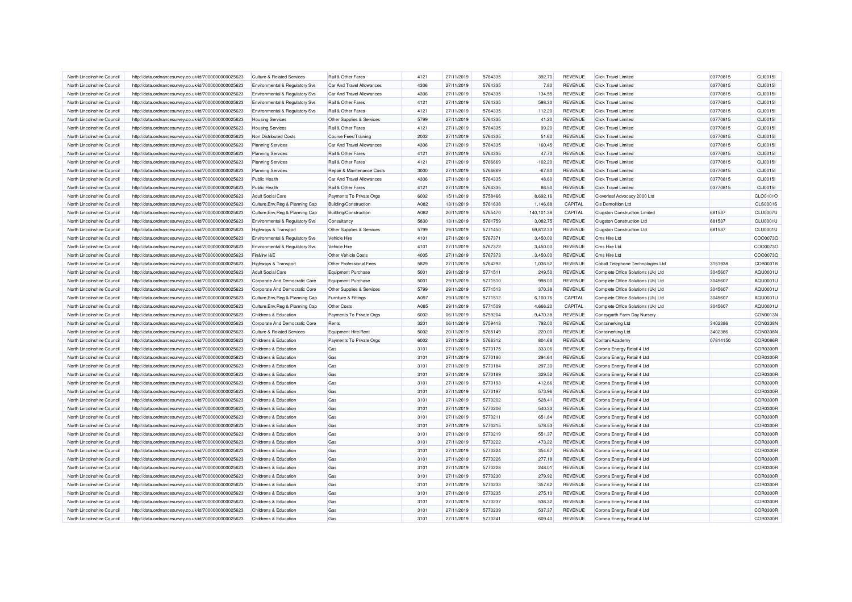| North Lincolnshire Council                               | http://data.ordnancesurvey.co.uk/id/7000000000025623                                                         | <b>Culture &amp; Related Services</b>                            | Rail & Other Fares                        | 4121 | 27/11/2019               | 5764335 | 392.70                | REVENUE        | <b>Click Travel Limited</b>          | 03770815 | CLI0015I        |
|----------------------------------------------------------|--------------------------------------------------------------------------------------------------------------|------------------------------------------------------------------|-------------------------------------------|------|--------------------------|---------|-----------------------|----------------|--------------------------------------|----------|-----------------|
| North Lincolnshire Council                               | http://data.ordnancesurvey.co.uk/id/7000000000025623                                                         | Environmental & Regulatory Svs                                   | Car And Travel Allowances                 | 4306 | 27/11/2019               | 5764335 | 7.80                  | REVENUE        | <b>Click Travel Limited</b>          | 03770815 | CLI0015I        |
| North Lincolnshire Council                               | http://data.ordnancesurvey.co.uk/id/7000000000025623                                                         | Environmental & Regulatory Svs                                   | Car And Travel Allowances                 | 4306 | 27/11/2019               | 5764335 | 134.55                | <b>REVENUE</b> | <b>Click Travel Limited</b>          | 03770815 | CLI0015I        |
| North Lincolnshire Council                               | http://data.ordnancesurvey.co.uk/id/7000000000025623                                                         | Environmental & Regulatory Svs                                   | Rail & Other Fares                        | 4121 | 27/11/2019               | 5764335 | 598.30                | REVENUE        | <b>Click Travel Limited</b>          | 03770815 | CLI0015I        |
| North Lincolnshire Council                               | http://data.ordnancesurvey.co.uk/id/7000000000025623                                                         | Environmental & Regulatory Svs                                   | Rail & Other Fares                        | 4121 | 27/11/2019               | 5764335 | 112.20                | REVENUE        | <b>Click Travel Limited</b>          | 03770815 | CLI0015I        |
| North Lincolnshire Council                               | http://data.ordnancesurvey.co.uk/id/7000000000025623                                                         | <b>Housing Services</b>                                          | Other Supplies & Services                 | 5799 | 27/11/2019               | 5764335 | 41.20                 | <b>REVENUE</b> | <b>Click Travel Limited</b>          | 03770815 | CLI0015I        |
| North Lincolnshire Council                               | http://data.ordnancesurvey.co.uk/id/7000000000025623                                                         | <b>Housing Services</b>                                          | Rail & Other Fares                        | 4121 | 27/11/2019               | 5764335 | 99.20                 | <b>REVENUE</b> | Click Travel Limited                 | 03770815 | <b>CLI0015I</b> |
| North Lincolnshire Council                               | http://data.ordnancesurvey.co.uk/id/7000000000025623                                                         | Non Distributed Costs                                            | <b>Course Fees/Training</b>               | 2002 | 27/11/2019               | 5764335 | 51.60                 | REVENUE        | <b>Click Travel Limited</b>          | 03770815 | CLI0015I        |
| North Lincolnshire Council                               | http://data.ordnancesurvey.co.uk/id/7000000000025623                                                         | <b>Planning Services</b>                                         | <b>Car And Travel Allowances</b>          | 4306 | 27/11/2019               | 5764335 | 160.45                | <b>REVENUE</b> | Click Travel Limited                 | 03770815 | CLI0015I        |
| North Lincolnshire Council                               | http://data.ordnancesurvey.co.uk/id/7000000000025623                                                         | <b>Planning Services</b>                                         | Rail & Other Fares                        | 4121 | 27/11/2019               | 5764335 | 47.70                 | <b>REVENUE</b> | <b>Click Travel Limited</b>          | 03770815 | CLI0015I        |
| North Lincolnshire Council                               | http://data.ordnancesurvey.co.uk/id/7000000000025623                                                         | <b>Planning Services</b>                                         | Rail & Other Fares                        | 4121 | 27/11/2019               | 5766669 | $-102.20$             | REVENUE        | <b>Click Travel Limited</b>          | 03770815 | CLI0015I        |
| North Lincolnshire Council                               | http://data.ordnancesurvey.co.uk/id/7000000000025623                                                         | <b>Planning Services</b>                                         | Repair & Maintenance Costs                | 3000 | 27/11/2019               | 5766669 | $-67.80$              | <b>REVENUE</b> | <b>Click Travel Limited</b>          | 03770815 | <b>CLI0015I</b> |
| North Lincolnshire Council                               | http://data.ordnancesurvey.co.uk/id/7000000000025623                                                         | Public Health                                                    | Car And Travel Allowances                 | 4306 | 27/11/2019               | 5764335 | 48.60                 | REVENUE        | <b>Click Travel Limited</b>          | 03770815 | CLI0015I        |
| North Lincolnshire Council                               | http://data.ordnancesurvey.co.uk/id/7000000000025623                                                         | Public Health                                                    | Rail & Other Fares                        | 4121 | 27/11/2019               | 5764335 | 86.50                 | REVENUE        | <b>Click Travel Limited</b>          | 03770815 | CLI0015I        |
| North Lincolnshire Council                               | http://data.ordnancesurvey.co.uk/id/7000000000025623                                                         | <b>Adult Social Care</b>                                         | Payments To Private Orgs                  | 6002 | 15/11/2019               | 5758466 | 8,692.16              | REVENUE        | Cloverleaf Advocacy 2000 Ltd         |          | CLO0101C        |
| North Lincolnshire Council                               | http://data.ordnancesurvey.co.uk/id/7000000000025623                                                         | Culture, Env, Reg & Planning Cap                                 | <b>Building/Construction</b>              | A082 | 13/11/2019               | 5761638 | 1,146.88              | CAPITAL        | <b>CIs Demolition Ltd</b>            |          | <b>CLS0001S</b> |
| North Lincolnshire Council                               | http://data.ordnancesurvey.co.uk/id/7000000000025623                                                         | Culture, Env, Reg & Planning Cap                                 | <b>Building/Construction</b>              | A082 | 20/11/2019               | 5765470 | 140.101.38            | CAPITAL        | <b>Clugston Construction Limited</b> | 681537   | <b>CLU0007U</b> |
| North Lincolnshire Council                               | http://data.ordnancesurvey.co.uk/id/7000000000025623                                                         | Environmental & Regulatory Svs                                   | Consultancy                               | 5830 | 13/11/2019               | 5761759 | 3,082.75              | <b>REVENUE</b> | <b>Clugston Construction Ltd</b>     | 681537   | <b>CLU0001U</b> |
|                                                          |                                                                                                              |                                                                  |                                           | 5799 |                          | 5771450 |                       | REVENUE        | <b>Clugston Construction Ltd</b>     | 681537   | <b>CLU0001U</b> |
| North Lincolnshire Council<br>North Lincolnshire Council | http://data.ordnancesurvey.co.uk/id/7000000000025623<br>http://data.ordnancesurvey.co.uk/id/7000000000025623 | Highways & Transport                                             | Other Supplies & Services<br>Vehicle Hire | 4101 | 29/11/2019<br>27/11/2019 | 5767371 | 59,812.33<br>3,450.00 | <b>REVENUE</b> | Cms Hire Ltd                         |          | COO0073C        |
| North Lincolnshire Council                               | http://data.ordnancesurvey.co.uk/id/7000000000025623                                                         | Environmental & Regulatory Svs<br>Environmental & Regulatory Svs | Vehicle Hire                              | 4101 | 27/11/2019               | 5767372 | 3,450.00              | <b>REVENUE</b> | Cms Hire Ltd                         |          | COO0073C        |
| North Lincolnshire Council                               |                                                                                                              |                                                                  | Other Vehicle Costs                       | 4005 |                          |         |                       |                |                                      |          |                 |
|                                                          | http://data.ordnancesurvey.co.uk/id/7000000000025623                                                         | Fin&Inv I&E                                                      |                                           | 5829 | 27/11/2019               | 5767373 | 3,450.00              | REVENUE        | Cms Hire Ltd                         |          | CO00073C        |
| North Lincolnshire Council                               | http://data.ordnancesurvey.co.uk/id/7000000000025623                                                         | Highways & Transport                                             | Other Professional Fees                   |      | 27/11/2019               | 5764292 | 1,036.52              | REVENUE        | Cobalt Telephone Technologies Ltd    | 3151938  | COB0031E        |
| North Lincolnshire Council                               | http://data.ordnancesurvey.co.uk/id/7000000000025623                                                         | <b>Adult Social Care</b>                                         | Equipment Purchase                        | 5001 | 29/11/2019               | 5771511 | 249.50                | <b>REVENUE</b> | Complete Office Solutions (Uk) Ltd   | 3045607  | AQU0001L        |
| North Lincolnshire Council                               | http://data.ordnancesurvey.co.uk/id/7000000000025623                                                         | Corporate And Democratic Core                                    | Equipment Purchase                        | 5001 | 29/11/2019               | 5771510 | 998.00                | REVENUE        | Complete Office Solutions (Uk) Ltd   | 3045607  | AQU0001L        |
| North Lincolnshire Council                               | http://data.ordnancesurvey.co.uk/id/7000000000025623                                                         | Corporate And Democratic Core                                    | Other Supplies & Services                 | 5799 | 29/11/2019               | 5771513 | 370.38                | <b>REVENUE</b> | Complete Office Solutions (Uk) Ltd   | 3045607  | AQU0001U        |
| North Lincolnshire Council                               | http://data.ordnancesurvey.co.uk/id/7000000000025623                                                         | Culture, Env, Reg & Planning Cap                                 | Furniture & Fittings                      | A097 | 29/11/2019               | 5771512 | 6,100.76              | CAPITAL        | Complete Office Solutions (Uk) Ltd   | 3045607  | AQU0001L        |
| North Lincolnshire Council                               | http://data.ordnancesurvey.co.uk/id/7000000000025623                                                         | Culture, Env, Reg & Planning Cap                                 | <b>Other Costs</b>                        | A085 | 29/11/2019               | 5771509 | 4.666.20              | CAPITAL        | Complete Office Solutions (Uk) Ltd   | 3045607  | AQU0001U        |
| North Lincolnshire Council                               | http://data.ordnancesurvey.co.uk/id/7000000000025623                                                         | Childrens & Education                                            | Payments To Private Orgs                  | 6002 | 06/11/2019               | 5759204 | 9,470.38              | REVENUE        | Coneygarth Farm Day Nursery          |          | CON0013N        |
| North Lincolnshire Council                               | http://data.ordnancesurvey.co.uk/id/7000000000025623                                                         | Corporate And Democratic Core                                    | Rents                                     | 3201 | 06/11/2019               | 5759413 | 792.00                | REVENUE        | Containerking Ltd                    | 3402386  | CON0338N        |
| North Lincolnshire Council                               | http://data.ordnancesurvey.co.uk/id/7000000000025623                                                         | <b>Culture &amp; Related Services</b>                            | Equipment Hire/Rent                       | 5002 | 20/11/2019               | 5765149 | 220.00                | REVENUE        | Containerking Ltd                    | 3402386  | CON0338N        |
| North Lincolnshire Council                               | http://data.ordnancesurvey.co.uk/id/7000000000025623                                                         | Childrens & Education                                            | Payments To Private Orgs                  | 6002 | 27/11/2019               | 5766312 | 804.68                | <b>REVENUE</b> | Coritani Academy                     | 07814150 | COR0086F        |
| North Lincolnshire Council                               | http://data.ordnancesurvey.co.uk/id/7000000000025623                                                         | Childrens & Education                                            | Gas                                       | 3101 | 27/11/2019               | 5770175 | 333.06                | REVENUE        | Corona Energy Retail 4 Ltd           |          | COR0300R        |
| North Lincolnshire Council                               | http://data.ordnancesurvey.co.uk/id/7000000000025623                                                         | Childrens & Education                                            | Gas                                       | 3101 | 27/11/2019               | 5770180 | 294.64                | <b>REVENUE</b> | Corona Energy Retail 4 Ltd           |          | COR0300R        |
| North Lincolnshire Council                               | http://data.ordnancesurvey.co.uk/id/7000000000025623                                                         | Childrens & Education                                            | Gas                                       | 3101 | 27/11/2019               | 5770184 | 297.30                | REVENUE        | Corona Energy Retail 4 Ltd           |          | <b>COR0300F</b> |
| North Lincolnshire Council                               | http://data.ordnancesurvey.co.uk/id/7000000000025623                                                         | Childrens & Education                                            | Gas                                       | 3101 | 27/11/2019               | 5770189 | 329.52                | REVENUE        | Corona Energy Retail 4 Ltd           |          | COR0300R        |
| North Lincolnshire Council                               | http://data.ordnancesurvey.co.uk/id/7000000000025623                                                         | Childrens & Education                                            | Gas                                       | 3101 | 27/11/2019               | 5770193 | 412.66                | REVENUE        | Corona Energy Retail 4 Ltd           |          | <b>COR0300F</b> |
| North Lincolnshire Council                               | http://data.ordnancesurvey.co.uk/id/7000000000025623                                                         | <b>Childrens &amp; Education</b>                                 | Gas                                       | 3101 | 27/11/2019               | 5770197 | 573.96                | <b>REVENUE</b> | Corona Energy Retail 4 Ltd           |          | COR0300R        |
| North Lincolnshire Council                               | http://data.ordnancesurvey.co.uk/id/7000000000025623                                                         | Childrens & Education                                            | Gas                                       | 3101 | 27/11/2019               | 5770202 | 528.41                | REVENUE        | Corona Energy Retail 4 Ltd           |          | COR0300R        |
| North Lincolnshire Council                               | http://data.ordnancesurvey.co.uk/id/7000000000025623                                                         | Childrens & Education                                            | Gas                                       | 3101 | 27/11/2019               | 5770206 | 540.33                | <b>REVENUE</b> | Corona Energy Retail 4 Ltd           |          | <b>COR0300R</b> |
| North Lincolnshire Council                               | http://data.ordnancesurvey.co.uk/id/7000000000025623                                                         | Childrens & Education                                            | Gas                                       | 3101 | 27/11/2019               | 5770211 | 651.84                | REVENUE        | Corona Energy Retail 4 Ltd           |          | <b>COR0300F</b> |
| North Lincolnshire Council                               | http://data.ordnancesurvey.co.uk/id/7000000000025623                                                         | Childrens & Education                                            | Gas                                       | 3101 | 27/11/2019               | 5770215 | 578.53                | <b>REVENUE</b> | Corona Energy Retail 4 Ltd           |          | COR0300R        |
| North Lincolnshire Council                               | http://data.ordnancesurvey.co.uk/id/7000000000025623                                                         | Childrens & Education                                            | Gas                                       | 3101 | 27/11/2019               | 5770219 | 551.37                | <b>REVENUE</b> | Corona Energy Retail 4 Ltd           |          | COR0300F        |
| North Lincolnshire Council                               | http://data.ordnancesurvey.co.uk/id/7000000000025623                                                         | Childrens & Education                                            | Gas                                       | 3101 | 27/11/2019               | 5770222 | 473.22                | REVENUE        | Corona Energy Retail 4 Ltd           |          | COR0300R        |
| North Lincolnshire Council                               | http://data.ordnancesurvey.co.uk/id/7000000000025623                                                         | Childrens & Education                                            | Gas                                       | 3101 | 27/11/2019               | 5770224 | 354.67                | REVENUE        | Corona Energy Retail 4 Ltd           |          | COR0300R        |
| North Lincolnshire Council                               | http://data.ordnancesurvey.co.uk/id/7000000000025623                                                         | Childrens & Education                                            | Gas                                       | 3101 | 27/11/2019               | 5770226 | 277.18                | REVENUE        | Corona Energy Retail 4 Ltd           |          | COR0300R        |
| North Lincolnshire Council                               | http://data.ordnancesurvey.co.uk/id/7000000000025623                                                         | <b>Childrens &amp; Education</b>                                 | Gas                                       | 3101 | 27/11/2019               | 5770228 | 248.01                | REVENUE        | Corona Energy Retail 4 Ltd           |          | COR0300F        |
| North Lincolnshire Council                               | http://data.ordnancesurvey.co.uk/id/7000000000025623                                                         | Childrens & Education                                            | Gas                                       | 3101 | 27/11/2019               | 5770230 | 279.92                | REVENUE        | Corona Energy Retail 4 Ltd           |          | <b>COR0300F</b> |
| North Lincolnshire Council                               | http://data.ordnancesurvey.co.uk/id/7000000000025623                                                         | Childrens & Education                                            | Gas                                       | 3101 | 27/11/2019               | 5770233 | 357.62                | REVENUE        | Corona Energy Retail 4 Ltd           |          | COR0300R        |
| North Lincolnshire Council                               | http://data.ordnancesurvey.co.uk/id/7000000000025623                                                         | Childrens & Education                                            | Gas                                       | 3101 | 27/11/2019               | 5770235 | 275.10                | <b>REVENUE</b> | Corona Energy Retail 4 Ltd           |          | COR0300R        |
| North Lincolnshire Council                               | http://data.ordnancesurvey.co.uk/id/7000000000025623                                                         | Childrens & Education                                            | Gas                                       | 3101 | 27/11/2019               | 5770237 | 536.32                | <b>REVENUE</b> | Corona Energy Retail 4 Ltd           |          | <b>COR0300F</b> |
| North Lincolnshire Council                               | http://data.ordnancesurvey.co.uk/id/7000000000025623                                                         | Childrens & Education                                            | Gas                                       | 3101 | 27/11/2019               | 5770239 | 537.37                | REVENUE        | Corona Energy Retail 4 Ltd           |          | COR0300R        |
| North Lincolnshire Council                               | http://data.ordnancesurvey.co.uk/id/7000000000025623                                                         | Childrens & Education                                            | Gas                                       | 3101 | 27/11/2019               | 5770241 | 609.40                | <b>REVENUE</b> | Corona Energy Retail 4 Ltd           |          | COR0300R        |
|                                                          |                                                                                                              |                                                                  |                                           |      |                          |         |                       |                |                                      |          |                 |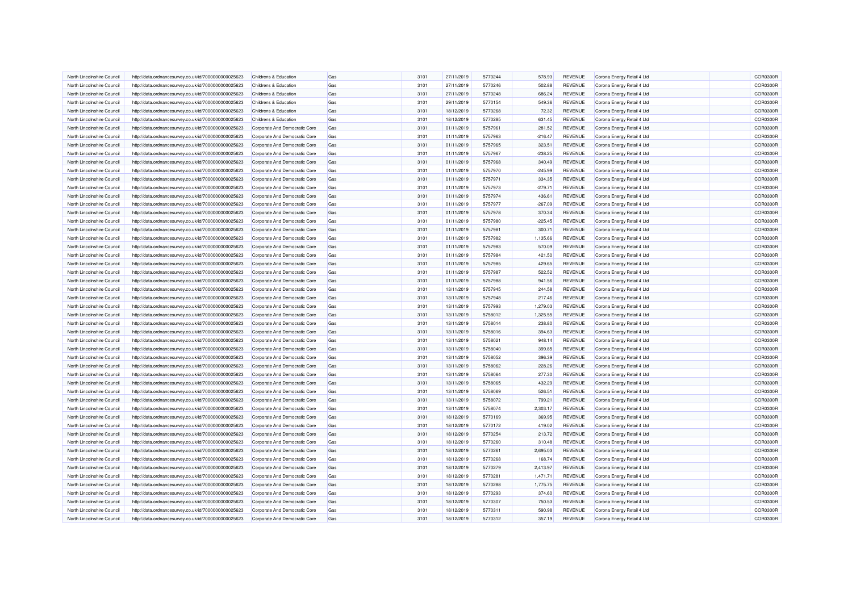| North Lincolnshire Council | http://data.ordnancesurvey.co.uk/id/7000000000025623 | Childrens & Education         | Gas | 3101 | 27/11/2019 | 5770244 | 578.93    | <b>REVENUE</b> | Corona Energy Retail 4 Ltd | COR0300R        |
|----------------------------|------------------------------------------------------|-------------------------------|-----|------|------------|---------|-----------|----------------|----------------------------|-----------------|
| North Lincolnshire Council | http://data.ordnancesurvey.co.uk/id/7000000000025623 | Childrens & Education         | Gas | 3101 | 27/11/2019 | 5770246 | 502.88    | REVENUE        | Corona Energy Retail 4 Ltd | COR0300R        |
| North Lincolnshire Council | http://data.ordnancesurvey.co.uk/id/7000000000025623 | Childrens & Education         | Gas | 3101 | 27/11/2019 | 5770248 | 686.24    | <b>REVENUE</b> | Corona Energy Retail 4 Ltd | COR0300F        |
| North Lincolnshire Council | http://data.ordnancesurvey.co.uk/id/7000000000025623 | Childrens & Education         | Gas | 3101 | 29/11/2019 | 5770154 | 549.36    | REVENUE        | Corona Energy Retail 4 Ltd | COR0300R        |
| North Lincolnshire Council | http://data.ordnancesurvey.co.uk/id/7000000000025623 | Childrens & Education         | Gas | 3101 | 18/12/2019 | 5770268 | 72.32     | <b>REVENUE</b> | Corona Energy Retail 4 Ltd | <b>COR0300F</b> |
| North Lincolnshire Council | http://data.ordnancesurvey.co.uk/id/7000000000025623 | Childrens & Education         | Gas | 3101 | 18/12/2019 | 5770285 | 631.45    | REVENUE        | Corona Energy Retail 4 Ltd | COR0300R        |
| North Lincolnshire Council | http://data.ordnancesurvey.co.uk/id/7000000000025623 | Corporate And Democratic Core | Gas | 3101 | 01/11/2019 | 5757961 | 281.52    | <b>REVENUE</b> | Corona Energy Retail 4 Ltd | COR0300R        |
| North Lincolnshire Council | http://data.ordnancesurvey.co.uk/id/7000000000025623 | Corporate And Democratic Core | Gas | 3101 | 01/11/2019 | 5757963 | $-216.47$ | <b>REVENUE</b> | Corona Energy Retail 4 Ltd | <b>COR0300F</b> |
| North Lincolnshire Council | http://data.ordnancesurvey.co.uk/id/7000000000025623 | Corporate And Democratic Core | Gas | 3101 | 01/11/2019 | 5757965 | 323.51    | REVENUE        | Corona Energy Retail 4 Ltd | COR0300R        |
| North Lincolnshire Council | http://data.ordnancesurvey.co.uk/id/7000000000025623 | Corporate And Democratic Core | Gas | 3101 | 01/11/2019 | 5757967 | $-238.25$ | REVENUE        | Corona Energy Retail 4 Ltd | COR0300R        |
| North Lincolnshire Council | http://data.ordnancesurvey.co.uk/id/7000000000025623 | Corporate And Democratic Core | Gas | 3101 | 01/11/2019 | 5757968 | 340.49    | REVENUE        | Corona Energy Retail 4 Ltd | COR0300R        |
| North Lincolnshire Council | http://data.ordnancesurvey.co.uk/id/7000000000025623 | Corporate And Democratic Core | Gas | 3101 | 01/11/2019 | 5757970 | $-245.99$ | REVENUE        | Corona Energy Retail 4 Ltd | COR0300R        |
| North Lincolnshire Council | http://data.ordnancesurvey.co.uk/id/7000000000025623 | Corporate And Democratic Core | Gas | 3101 | 01/11/2019 | 5757971 | 334.35    | REVENUE        | Corona Energy Retail 4 Ltd | COR0300R        |
| North Lincolnshire Council | http://data.ordnancesurvey.co.uk/id/7000000000025623 | Corporate And Democratic Core | Gas | 3101 | 01/11/2019 | 5757973 | $-279.71$ | REVENUE        | Corona Energy Retail 4 Ltd | COR0300R        |
| North Lincolnshire Council | http://data.ordnancesurvey.co.uk/id/7000000000025623 | Corporate And Democratic Core | Gas | 3101 | 01/11/2019 | 5757974 | 436.61    | <b>REVENUE</b> | Corona Energy Retail 4 Ltd | COR0300R        |
| North Lincolnshire Council | http://data.ordnancesurvey.co.uk/id/7000000000025623 | Corporate And Democratic Core | Gas | 3101 | 01/11/2019 | 5757977 | $-267.09$ | <b>REVENUE</b> | Corona Energy Retail 4 Ltd | <b>COR0300F</b> |
| North Lincolnshire Council | http://data.ordnancesurvey.co.uk/id/7000000000025623 | Corporate And Democratic Core | Gas | 3101 | 01/11/2019 | 5757978 | 370.34    | REVENUE        | Corona Energy Retail 4 Ltd | COR0300R        |
| North Lincolnshire Council | http://data.ordnancesurvey.co.uk/id/7000000000025623 | Corporate And Democratic Core | Gas | 3101 | 01/11/2019 | 5757980 | $-225.45$ | REVENUE        | Corona Energy Retail 4 Ltd | COR0300R        |
| North Lincolnshire Council | http://data.ordnancesurvey.co.uk/id/7000000000025623 | Corporate And Democratic Core | Gas | 3101 | 01/11/2019 | 5757981 | 300.71    | <b>REVENUE</b> | Corona Energy Retail 4 Ltd | COR0300R        |
| North Lincolnshire Council | http://data.ordnancesurvey.co.uk/id/7000000000025623 | Corporate And Democratic Core | Gas | 3101 | 01/11/2019 | 5757982 | 1,135.66  | REVENUE        | Corona Energy Retail 4 Ltd | COR0300R        |
| North Lincolnshire Council | http://data.ordnancesurvey.co.uk/id/7000000000025623 | Corporate And Democratic Core | Gas | 3101 | 01/11/2019 | 5757983 | 570.09    | <b>REVENUE</b> | Corona Energy Retail 4 Ltd | <b>COR0300F</b> |
| North Lincolnshire Council | http://data.ordnancesurvey.co.uk/id/7000000000025623 | Corporate And Democratic Core | Gas | 3101 | 01/11/2019 | 5757984 | 421.50    | REVENUE        | Corona Energy Retail 4 Ltd | COR0300R        |
| North Lincolnshire Council | http://data.ordnancesurvey.co.uk/id/7000000000025623 | Corporate And Democratic Core | Gas | 3101 | 01/11/2019 | 5757985 | 429.65    | <b>REVENUE</b> | Corona Energy Retail 4 Ltd | COR0300R        |
| North Lincolnshire Council | http://data.ordnancesurvey.co.uk/id/7000000000025623 | Corporate And Democratic Core | Gas | 3101 | 01/11/2019 | 5757987 | 522.52    | REVENUE        | Corona Energy Retail 4 Ltd | COR0300R        |
| North Lincolnshire Council | http://data.ordnancesurvey.co.uk/id/7000000000025623 | Corporate And Democratic Core | Gas | 3101 | 01/11/2019 | 5757988 | 941.56    | <b>REVENUE</b> | Corona Energy Retail 4 Ltd | <b>COR0300F</b> |
| North Lincolnshire Council | http://data.ordnancesurvey.co.uk/id/7000000000025623 | Corporate And Democratic Core | Gas | 3101 | 13/11/2019 | 5757945 | 244.58    | REVENUE        | Corona Energy Retail 4 Ltd | COR0300R        |
| North Lincolnshire Council | http://data.ordnancesurvey.co.uk/id/7000000000025623 | Corporate And Democratic Core | Gas | 3101 | 13/11/2019 | 5757948 | 217.46    | <b>REVENUE</b> | Corona Energy Retail 4 Ltd | <b>COR0300F</b> |
| North Lincolnshire Council | http://data.ordnancesurvey.co.uk/id/7000000000025623 | Corporate And Democratic Core | Gas | 3101 | 13/11/2019 | 5757993 | 1,279.03  | REVENUE        | Corona Energy Retail 4 Ltd | COR0300R        |
| North Lincolnshire Council | http://data.ordnancesurvey.co.uk/id/7000000000025623 | Corporate And Democratic Core | Gas | 3101 | 13/11/2019 | 5758012 | 1,325.55  | <b>REVENUE</b> | Corona Energy Retail 4 Ltd | <b>COR0300R</b> |
| North Lincolnshire Council | http://data.ordnancesurvey.co.uk/id/7000000000025623 | Corporate And Democratic Core | Gas | 3101 | 13/11/2019 | 5758014 | 238.80    | REVENUE        | Corona Energy Retail 4 Ltd | <b>COR0300F</b> |
| North Lincolnshire Council | http://data.ordnancesurvey.co.uk/id/7000000000025623 | Corporate And Democratic Core | Gas | 3101 | 13/11/2019 | 5758016 | 394.63    | REVENUE        | Corona Energy Retail 4 Ltd | COR0300R        |
| North Lincolnshire Council | http://data.ordnancesurvey.co.uk/id/7000000000025623 | Corporate And Democratic Core | Gas | 3101 | 13/11/2019 | 5758021 | 948.14    | REVENUE        | Corona Energy Retail 4 Ltd | <b>COR0300F</b> |
| North Lincolnshire Council | http://data.ordnancesurvey.co.uk/id/7000000000025623 | Corporate And Democratic Core | Gas | 3101 | 13/11/2019 | 5758040 | 399.85    | REVENUE        | Corona Energy Retail 4 Ltd | COR0300R        |
| North Lincolnshire Council | http://data.ordnancesurvey.co.uk/id/7000000000025623 | Corporate And Democratic Core | Gas | 3101 | 13/11/2019 | 5758052 | 396.39    | REVENUE        | Corona Energy Retail 4 Ltd | COR0300R        |
| North Lincolnshire Council | http://data.ordnancesurvey.co.uk/id/7000000000025623 | Corporate And Democratic Core | Gas | 3101 | 13/11/2019 | 5758062 | 228.26    | <b>REVENUE</b> | Corona Energy Retail 4 Ltd | COR0300F        |
| North Lincolnshire Council | http://data.ordnancesurvey.co.uk/id/7000000000025623 | Corporate And Democratic Core | Gas | 3101 | 13/11/2019 | 5758064 | 277.30    | REVENUE        | Corona Energy Retail 4 Ltd | COR0300R        |
| North Lincolnshire Council | http://data.ordnancesurvey.co.uk/id/7000000000025623 | Corporate And Democratic Core | Gas | 3101 | 13/11/2019 | 5758065 | 432.29    | <b>REVENUE</b> | Corona Energy Retail 4 Ltd | <b>COR0300R</b> |
| North Lincolnshire Council | http://data.ordnancesurvey.co.uk/id/7000000000025623 | Corporate And Democratic Core | Gas | 3101 | 13/11/2019 | 5758069 | 526.51    | <b>REVENUE</b> | Corona Energy Retail 4 Ltd | COR0300R        |
| North Lincolnshire Council | http://data.ordnancesurvey.co.uk/id/7000000000025623 | Corporate And Democratic Core | Gas | 3101 | 13/11/2019 | 5758072 | 799.21    | <b>REVENUE</b> | Corona Energy Retail 4 Ltd | COR0300R        |
| North Lincolnshire Council | http://data.ordnancesurvey.co.uk/id/7000000000025623 | Corporate And Democratic Core | Gas | 3101 | 13/11/2019 | 5758074 | 2,303.17  | REVENUE        | Corona Energy Retail 4 Ltd | COR0300R        |
| North Lincolnshire Council | http://data.ordnancesurvey.co.uk/id/7000000000025623 | Corporate And Democratic Core | Gas | 3101 | 18/12/2019 | 5770169 | 369.95    | <b>REVENUE</b> | Corona Energy Retail 4 Ltd | <b>COR0300F</b> |
| North Lincolnshire Council | http://data.ordnancesurvey.co.uk/id/7000000000025623 | Corporate And Democratic Core | Gas | 3101 | 18/12/2019 | 5770172 | 419.02    | REVENUE        | Corona Energy Retail 4 Ltd | COR0300R        |
| North Lincolnshire Council | http://data.ordnancesurvey.co.uk/id/7000000000025623 | Corporate And Democratic Core | Gas | 3101 | 18/12/2019 | 5770254 | 213.72    | <b>REVENUE</b> | Corona Energy Retail 4 Ltd | COR0300F        |
| North Lincolnshire Council | http://data.ordnancesurvey.co.uk/id/7000000000025623 | Corporate And Democratic Core | Gas | 3101 | 18/12/2019 | 5770260 | 310.48    | REVENUE        | Corona Energy Retail 4 Ltd | COR0300R        |
| North Lincolnshire Council | http://data.ordnancesurvey.co.uk/id/7000000000025623 | Corporate And Democratic Core | Gas | 3101 | 18/12/2019 | 5770261 | 2,695.03  | <b>REVENUE</b> | Corona Energy Retail 4 Ltd | <b>COR0300R</b> |
| North Lincolnshire Council | http://data.ordnancesurvey.co.uk/id/7000000000025623 | Corporate And Democratic Core | Gas | 3101 | 18/12/2019 | 5770268 | 168.74    | <b>REVENUE</b> | Corona Energy Retail 4 Ltd | COR0300R        |
| North Lincolnshire Council | http://data.ordnancesurvey.co.uk/id/7000000000025623 | Corporate And Democratic Core | Gas | 3101 | 18/12/2019 | 5770279 | 2,413.97  | <b>REVENUE</b> | Corona Energy Retail 4 Ltd | <b>COR0300F</b> |
| North Lincolnshire Council | http://data.ordnancesurvey.co.uk/id/7000000000025623 | Corporate And Democratic Core | Gas | 3101 | 18/12/2019 | 5770281 | 1,471.71  | <b>REVENUE</b> | Corona Energy Retail 4 Ltd | COR0300R        |
| North Lincolnshire Council | http://data.ordnancesurvey.co.uk/id/7000000000025623 | Corporate And Democratic Core | Gas | 3101 | 18/12/2019 | 5770288 | 1,775.75  | <b>REVENUE</b> | Corona Energy Retail 4 Ltd | <b>COR0300R</b> |
| North Lincolnshire Council | http://data.ordnancesurvey.co.uk/id/7000000000025623 | Corporate And Democratic Core | Gas | 3101 | 18/12/2019 | 5770293 | 374.60    | REVENUE        | Corona Energy Retail 4 Ltd | COR0300R        |
| North Lincolnshire Council | http://data.ordnancesurvey.co.uk/id/7000000000025623 | Corporate And Democratic Core | Gas | 3101 | 18/12/2019 | 5770307 | 750.53    | <b>REVENUE</b> | Corona Energy Retail 4 Ltd | <b>COR0300F</b> |
| North Lincolnshire Council | http://data.ordnancesurvey.co.uk/id/7000000000025623 | Corporate And Democratic Core | Gas | 3101 | 18/12/2019 | 5770311 | 590.98    | REVENUE        | Corona Energy Retail 4 Ltd | <b>COR0300F</b> |
| North Lincolnshire Council | http://data.ordnancesurvey.co.uk/id/7000000000025623 | Corporate And Democratic Core | Gas | 3101 | 18/12/2019 | 5770312 | 357.19    | <b>REVENUE</b> | Corona Energy Retail 4 Ltd | COR0300R        |
|                            |                                                      |                               |     |      |            |         |           |                |                            |                 |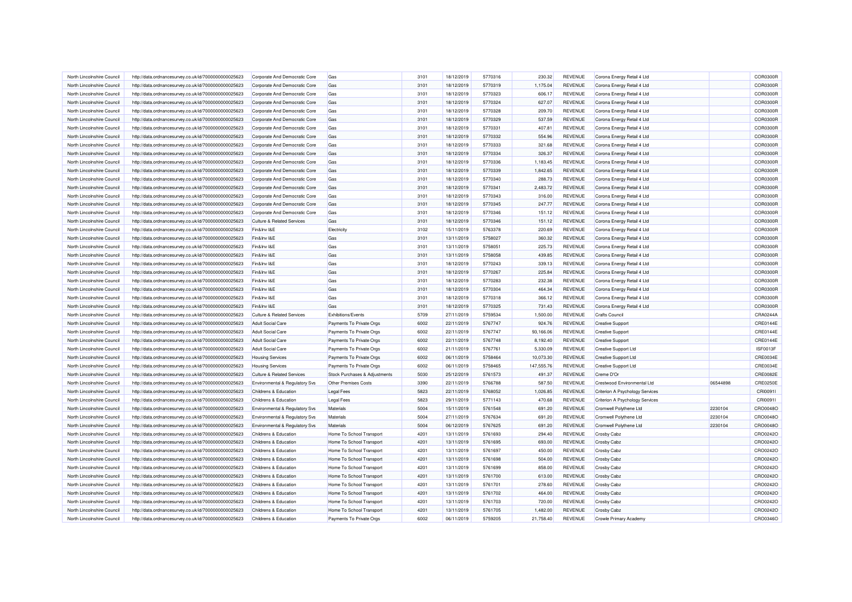| North Lincolnshire Council                               | http://data.ordnancesurvey.co.uk/id/7000000000025623 | Corporate And Democratic Core         | Gas                           | 3101 | 18/12/2019 | 5770316            | 230.32     | REVENUE                          | Corona Energy Retail 4 Ltd      |          | COR0300R             |
|----------------------------------------------------------|------------------------------------------------------|---------------------------------------|-------------------------------|------|------------|--------------------|------------|----------------------------------|---------------------------------|----------|----------------------|
| North Lincolnshire Council                               | http://data.ordnancesurvey.co.uk/id/7000000000025623 | Corporate And Democratic Core         | Gas                           | 3101 | 18/12/2019 | 5770319            | 1,175.04   | REVENUE                          | Corona Energy Retail 4 Ltd      |          | COR0300R             |
| North Lincolnshire Council                               | http://data.ordnancesurvey.co.uk/id/7000000000025623 | Corporate And Democratic Core         | Gas                           | 3101 | 18/12/2019 | 5770323            | 606.17     | REVENUE                          | Corona Energy Retail 4 Ltd      |          | COR0300F             |
| North Lincolnshire Council                               | http://data.ordnancesurvey.co.uk/id/7000000000025623 | Corporate And Democratic Core         | Gas                           | 3101 | 18/12/2019 | 5770324            | 627.07     | <b>REVENUE</b>                   | Corona Energy Retail 4 Ltd      |          | COR0300R             |
| North Lincolnshire Council                               | http://data.ordnancesurvey.co.uk/id/7000000000025623 | Corporate And Democratic Core         | Gas                           | 3101 | 18/12/2019 | 5770328            | 209.70     | <b>REVENUE</b>                   | Corona Energy Retail 4 Ltd      |          | <b>COR0300F</b>      |
| North Lincolnshire Council                               | http://data.ordnancesurvey.co.uk/id/7000000000025623 | Corporate And Democratic Core         | Gas                           | 3101 | 18/12/2019 | 5770329            | 537.59     | REVENUE                          | Corona Energy Retail 4 Ltd      |          | COR0300R             |
| North Lincolnshire Council                               | http://data.ordnancesurvey.co.uk/id/7000000000025623 | Corporate And Democratic Core         | Gas                           | 3101 | 18/12/2019 | 5770331            | 407.81     | <b>REVENUE</b>                   | Corona Energy Retail 4 Ltd      |          | COR0300R             |
| North Lincolnshire Council                               | http://data.ordnancesurvey.co.uk/id/7000000000025623 | Corporate And Democratic Core         | Gas                           | 3101 | 18/12/2019 | 5770332            | 554.96     | <b>REVENUE</b>                   | Corona Energy Retail 4 Ltd      |          | COR0300F             |
| North Lincolnshire Council                               | http://data.ordnancesurvey.co.uk/id/7000000000025623 | Corporate And Democratic Core         | Gas                           | 3101 | 18/12/2019 | 5770333            | 321.68     | REVENUE                          | Corona Energy Retail 4 Ltd      |          | COR0300R             |
| North Lincolnshire Council                               | http://data.ordnancesurvey.co.uk/id/7000000000025623 | Corporate And Democratic Core         | Gas                           | 3101 | 18/12/2019 | 5770334            | 326.37     | REVENUE                          | Corona Energy Retail 4 Ltd      |          | COR0300R             |
| North Lincolnshire Council                               | http://data.ordnancesurvey.co.uk/id/7000000000025623 | Corporate And Democratic Core         | Gas                           | 3101 | 18/12/2019 | 5770336            | 1,183.45   | REVENUE                          | Corona Energy Retail 4 Ltd      |          | COR0300R             |
| North Lincolnshire Council                               | http://data.ordnancesurvey.co.uk/id/7000000000025623 | Corporate And Democratic Core         | Gas                           | 3101 | 18/12/2019 | 5770339            | 1,842.65   | <b>REVENUE</b>                   | Corona Energy Retail 4 Ltd      |          | COR0300R             |
| North Lincolnshire Council                               | http://data.ordnancesurvey.co.uk/id/7000000000025623 | Corporate And Democratic Core         | Gas                           | 3101 | 18/12/2019 | 5770340            | 288.73     | REVENUE                          | Corona Energy Retail 4 Ltd      |          | <b>COR0300F</b>      |
| North Lincolnshire Council                               | http://data.ordnancesurvey.co.uk/id/7000000000025623 | Corporate And Democratic Core         | Gas                           | 3101 | 18/12/2019 | 5770341            | 2,483.72   | <b>REVENUE</b>                   | Corona Energy Retail 4 Ltd      |          | COR0300R             |
| North Lincolnshire Council                               | http://data.ordnancesurvey.co.uk/id/7000000000025623 | Corporate And Democratic Core         | Gas                           | 3101 | 18/12/2019 | 5770343            | 316.00     | <b>REVENUE</b>                   | Corona Energy Retail 4 Ltd      |          | COR0300R             |
| North Lincolnshire Council                               | http://data.ordnancesurvey.co.uk/id/7000000000025623 | Corporate And Democratic Core         | Gas                           | 3101 | 18/12/2019 | 5770345            | 247.77     | <b>REVENUE</b>                   | Corona Energy Retail 4 Ltd      |          | COR0300R             |
| North Lincolnshire Council                               | http://data.ordnancesurvey.co.uk/id/7000000000025623 | Corporate And Democratic Core         | Gas                           | 3101 | 18/12/2019 | 5770346            | 151.12     | REVENUE                          | Corona Energy Retail 4 Ltd      |          | COR0300R             |
| North Lincolnshire Council                               | http://data.ordnancesurvey.co.uk/id/7000000000025623 | <b>Culture &amp; Related Services</b> | Gas                           | 3101 | 18/12/2019 | 5770346            | 151.12     | REVENUE                          | Corona Energy Retail 4 Ltd      |          | COR0300R             |
| North Lincolnshire Council                               | http://data.ordnancesurvey.co.uk/id/7000000000025623 | Fin&Inv I&E                           | Electricity                   | 3102 | 15/11/2019 | 5763378            | 220.69     | <b>REVENUE</b>                   | Corona Energy Retail 4 Ltd      |          | <b>COR0300F</b>      |
| North Lincolnshire Council                               | http://data.ordnancesurvey.co.uk/id/7000000000025623 | Fin&Inv I&E                           | Gas                           | 3101 | 13/11/2019 | 5758027            | 360.32     | REVENUE                          | Corona Energy Retail 4 Ltd      |          | COR0300R             |
| North Lincolnshire Council                               | http://data.ordnancesurvey.co.uk/id/7000000000025623 | Fin&Inv I&E                           | Gas                           | 3101 | 13/11/2019 | 5758051            | 225.73     | <b>REVENUE</b>                   | Corona Energy Retail 4 Ltd      |          | <b>COR0300F</b>      |
| North Lincolnshire Council                               | http://data.ordnancesurvey.co.uk/id/7000000000025623 | Fin&Inv I&E                           | Gas                           | 3101 | 13/11/2019 | 5758058            | 439.85     | <b>REVENUE</b>                   | Corona Energy Retail 4 Ltd      |          | COR0300R             |
| North Lincolnshire Council                               | http://data.ordnancesurvey.co.uk/id/7000000000025623 | Fin&Inv I&E                           | Gas                           | 3101 | 18/12/2019 | 5770243            | 339.13     | <b>REVENUE</b>                   | Corona Energy Retail 4 Ltd      |          | COR0300R             |
| North Lincolnshire Council                               | http://data.ordnancesurvey.co.uk/id/7000000000025623 | Fin&Inv I&E                           | Gas                           | 3101 | 18/12/2019 | 5770267            | 225.84     | REVENUE                          | Corona Energy Retail 4 Ltd      |          | COR0300R             |
| North Lincolnshire Council                               | http://data.ordnancesurvey.co.uk/id/7000000000025623 | Fin&Inv I&E                           | Gas                           | 3101 | 18/12/2019 | 5770283            | 232.38     | REVENUE                          | Corona Energy Retail 4 Ltd      |          | <b>COR0300F</b>      |
| North Lincolnshire Council                               |                                                      | Fin&Inv I&E                           |                               |      |            |                    |            |                                  |                                 |          |                      |
|                                                          | http://data.ordnancesurvey.co.uk/id/7000000000025623 |                                       | Gas                           | 3101 | 18/12/2019 | 5770304            | 464.34     | <b>REVENUE</b>                   | Corona Energy Retail 4 Ltd      |          | COR0300R             |
| North Lincolnshire Council<br>North Lincolnshire Council | http://data.ordnancesurvey.co.uk/id/7000000000025623 | Fin&Inv I&E                           | Gas                           | 3101 | 18/12/2019 | 5770318<br>5770325 | 366.12     | <b>REVENUE</b><br><b>REVENUE</b> | Corona Energy Retail 4 Ltd      |          | COR0300F<br>COR0300R |
|                                                          | http://data.ordnancesurvey.co.uk/id/7000000000025623 | Fin&Inv I&E                           | Gas                           | 3101 | 18/12/2019 |                    | 731.43     |                                  | Corona Energy Retail 4 Ltd      |          |                      |
| North Lincolnshire Council                               | http://data.ordnancesurvey.co.uk/id/7000000000025623 | <b>Culture &amp; Related Services</b> | <b>Exhibitions/Events</b>     | 5709 | 27/11/2019 | 5759534            | 1,500.00   | <b>REVENUE</b>                   | <b>Crafts Council</b>           |          | CRA0244A             |
| North Lincolnshire Council                               | http://data.ordnancesurvey.co.uk/id/7000000000025623 | <b>Adult Social Care</b>              | Payments To Private Orgs      | 6002 | 22/11/2019 | 5767747            | 924.76     | REVENUE                          | <b>Creative Support</b>         |          | CRE0144E             |
| North Lincolnshire Council                               | http://data.ordnancesurvey.co.uk/id/7000000000025623 | <b>Adult Social Care</b>              | Payments To Private Orgs      | 6002 | 22/11/2019 | 5767747            | 93,166.06  | REVENUE                          | <b>Creative Support</b>         |          | CRE0144E             |
| North Lincolnshire Council                               | http://data.ordnancesurvey.co.uk/id/7000000000025623 | <b>Adult Social Care</b>              | Payments To Private Orgs      | 6002 | 22/11/2019 | 5767748            | 8,192.40   | REVENUE                          | <b>Creative Support</b>         |          | CRE0144E             |
| North Lincolnshire Council                               | http://data.ordnancesurvey.co.uk/id/7000000000025623 | <b>Adult Social Care</b>              | Payments To Private Orgs      | 6002 | 21/11/2019 | 5767761            | 5,330.09   | REVENUE                          | <b>Creative Support Ltd</b>     |          | ISF0013F             |
| North Lincolnshire Council                               | http://data.ordnancesurvey.co.uk/id/7000000000025623 | <b>Housing Services</b>               | Payments To Private Orgs      | 6002 | 06/11/2019 | 5758464            | 10,073.30  | <b>REVENUE</b>                   | Creative Support Ltd            |          | CRE0034E             |
| North Lincolnshire Council                               | http://data.ordnancesurvey.co.uk/id/7000000000025623 | <b>Housing Services</b>               | Payments To Private Orgs      | 6002 | 06/11/2019 | 5758465            | 147,555.76 | <b>REVENUE</b>                   | Creative Support Ltd            |          | <b>CRE0034E</b>      |
| North Lincolnshire Council                               | http://data.ordnancesurvey.co.uk/id/7000000000025623 | <b>Culture &amp; Related Services</b> | Stock Purchases & Adjustments | 5030 | 25/12/2019 | 5761573            | 491.37     | REVENUE                          | Creme D'Or                      |          | CRE0082E             |
| North Lincolnshire Council                               | http://data.ordnancesurvey.co.uk/id/7000000000025623 | Environmental & Regulatory Svs        | Other Premises Costs          | 3390 | 22/11/2019 | 5766788            | 587.50     | <b>REVENUE</b>                   | Crestwood Environmental Ltd     | 06544898 | <b>CRE0250E</b>      |
| North Lincolnshire Council                               | http://data.ordnancesurvey.co.uk/id/7000000000025623 | Childrens & Education                 | <b>Legal Fees</b>             | 5823 | 22/11/2019 | 5768052            | 1,026.85   | REVENUE                          | Criterion A Psychology Services |          | CRI0091I             |
| North Lincolnshire Council                               | http://data.ordnancesurvey.co.uk/id/7000000000025623 | Childrens & Education                 | <b>Legal Fees</b>             | 5823 | 29/11/2019 | 5771143            | 470.68     | REVENUE                          | Criterion A Psychology Services |          | CRI0091I             |
| North Lincolnshire Council                               | http://data.ordnancesurvey.co.uk/id/7000000000025623 | Environmental & Regulatory Svs        | Materials                     | 5004 | 15/11/2019 | 5761548            | 691.20     | REVENUE                          | Cromwell Polythene Ltd          | 2230104  | CRO0048O             |
| North Lincolnshire Council                               | http://data.ordnancesurvey.co.uk/id/7000000000025623 | Environmental & Regulatory Svs        | Materials                     | 5004 | 27/11/2019 | 5767634            | 691.20     | <b>REVENUE</b>                   | Cromwell Polythene Ltd          | 2230104  | CRO0048O             |
| North Lincolnshire Council                               | http://data.ordnancesurvey.co.uk/id/7000000000025623 | Environmental & Regulatory Svs        | Materials                     | 5004 | 06/12/2019 | 5767625            | 691.20     | REVENUE                          | Cromwell Polythene Ltd          | 2230104  | CRO0048C             |
| North Lincolnshire Council                               | http://data.ordnancesurvey.co.uk/id/7000000000025623 | Childrens & Education                 | Home To School Transport      | 4201 | 13/11/2019 | 5761693            | 294.40     | <b>REVENUE</b>                   | Crosby Cabz                     |          | CRO0242C             |
| North Lincolnshire Council                               | http://data.ordnancesurvey.co.uk/id/7000000000025623 | Childrens & Education                 | Home To School Transport      | 4201 | 13/11/2019 | 5761695            | 693.00     | <b>REVENUE</b>                   | <b>Crosby Cabz</b>              |          | CRO0242O             |
| North Lincolnshire Council                               | http://data.ordnancesurvey.co.uk/id/7000000000025623 | Childrens & Education                 | Home To School Transport      | 4201 | 13/11/2019 | 5761697            | 450.00     | <b>REVENUE</b>                   | <b>Crosby Cabz</b>              |          | CRO0242O             |
| North Lincolnshire Council                               | http://data.ordnancesurvey.co.uk/id/7000000000025623 | Childrens & Education                 | Home To School Transport      | 4201 | 13/11/2019 | 5761698            | 504.00     | <b>REVENUE</b>                   | <b>Crosby Cabz</b>              |          | CRO0242O             |
| North Lincolnshire Council                               | http://data.ordnancesurvey.co.uk/id/7000000000025623 | Childrens & Education                 | Home To School Transport      | 4201 | 13/11/2019 | 5761699            | 858.00     | REVENUE                          | Crosby Cabz                     |          | CRO0242O             |
| North Lincolnshire Council                               | http://data.ordnancesurvey.co.uk/id/7000000000025623 | Childrens & Education                 | Home To School Transport      | 4201 | 13/11/2019 | 5761700            | 613.00     | <b>REVENUE</b>                   | <b>Crosby Cabz</b>              |          | CRO0242O             |
| North Lincolnshire Council                               | http://data.ordnancesurvey.co.uk/id/7000000000025623 | Childrens & Education                 | Home To School Transport      | 4201 | 13/11/2019 | 5761701            | 278.60     | <b>REVENUE</b>                   | Crosby Cabz                     |          | CRO0242C             |
| North Lincolnshire Council                               | http://data.ordnancesurvey.co.uk/id/7000000000025623 | Childrens & Education                 | Home To School Transport      | 4201 | 13/11/2019 | 5761702            | 464.00     | REVENUE                          | <b>Crosby Cabz</b>              |          | CRO0242O             |
| North Lincolnshire Council                               | http://data.ordnancesurvey.co.uk/id/7000000000025623 | Childrens & Education                 | Home To School Transport      | 4201 | 13/11/2019 | 5761703            | 720.00     | <b>REVENUE</b>                   | <b>Crosby Cabz</b>              |          | CRO0242C             |
| North Lincolnshire Council                               | http://data.ordnancesurvey.co.uk/id/7000000000025623 | Childrens & Education                 | Home To School Transport      | 4201 | 13/11/2019 | 5761705            | 1,482.00   | REVENUE                          | <b>Crosby Cabz</b>              |          | CRO0242O             |
| North Lincolnshire Council                               | http://data.ordnancesurvey.co.uk/id/7000000000025623 | Childrens & Education                 | Payments To Private Orgs      | 6002 | 06/11/2019 | 5759205            | 21,758.40  | <b>REVENUE</b>                   | Crowle Primary Academy          |          | CRO0346O             |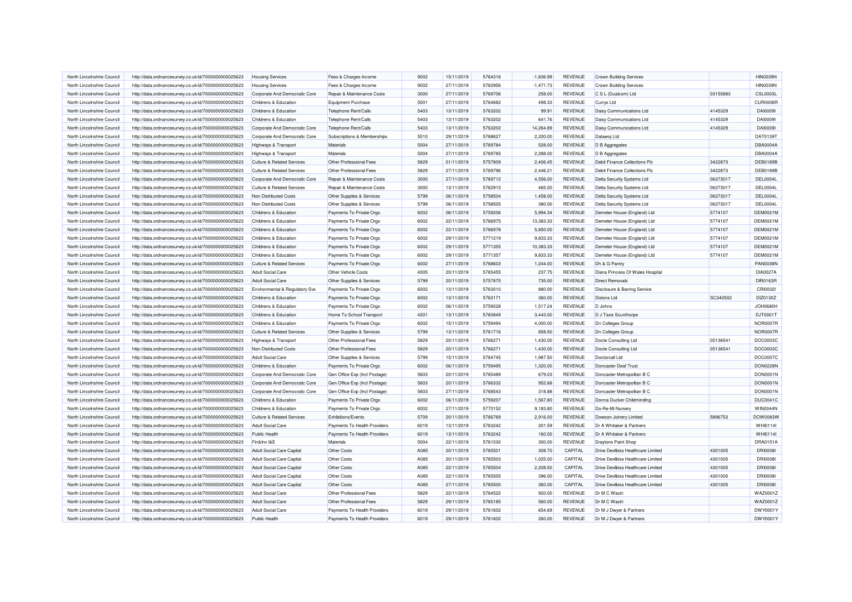| North Lincolnshire Council                               | http://data.ordnancesurvey.co.uk/id/7000000000025623 | <b>Housing Services</b>                   | Fees & Charges Income                                 | 9002         | 15/11/2019 | 5764316            | $-1,836.99$ | REVENUE        | <b>Crown Building Services</b>                       |          | <b>HIN0039N</b>             |
|----------------------------------------------------------|------------------------------------------------------|-------------------------------------------|-------------------------------------------------------|--------------|------------|--------------------|-------------|----------------|------------------------------------------------------|----------|-----------------------------|
| North Lincolnshire Council                               | http://data.ordnancesurvey.co.uk/id/7000000000025623 | <b>Housing Services</b>                   | Fees & Charges Income                                 | 9002         | 27/11/2019 | 5762956            | $-1,471.73$ | <b>REVENUE</b> | <b>Crown Building Services</b>                       |          | <b>HIN0039N</b>             |
| North Lincolnshire Council                               | http://data.ordnancesurvey.co.uk/id/7000000000025623 | Corporate And Democratic Core             | Repair & Maintenance Costs                            | 3000         | 27/11/2019 | 5769706            | 258.00      | <b>REVENUE</b> | C S L (Dualcom) Ltd                                  | 03155883 | <b>CSL0003L</b>             |
| North Lincolnshire Council                               | http://data.ordnancesurvey.co.uk/id/7000000000025623 | Childrens & Education                     | <b>Equipment Purchase</b>                             | 5001         | 27/11/2019 | 5764682            | 498.33      | REVENUE        | Currys Ltd                                           |          | CUR0006F                    |
| North Lincolnshire Council                               | http://data.ordnancesurvey.co.uk/id/7000000000025623 | Childrens & Education                     | Telephone Rent/Calls                                  | 5403         | 13/11/2019 | 5763202            | 99.91       | REVENUE        | Daisy Communications Ltd                             | 4145329  | <b>DAI00091</b>             |
| North Lincolnshire Council                               | http://data.ordnancesurvey.co.uk/id/7000000000025623 | Childrens & Education                     | Telephone Rent/Calls                                  | 5403         | 13/11/2019 | 5763202            | 641.76      | <b>REVENUE</b> | Daisy Communications Ltd                             | 4145329  | <b>DAI00091</b>             |
|                                                          |                                                      |                                           |                                                       |              |            |                    |             |                |                                                      |          |                             |
| North Lincolnshire Council                               | http://data.ordnancesurvey.co.uk/id/7000000000025623 | Corporate And Democratic Core             | Telephone Rent/Calls                                  | 5403         | 13/11/2019 | 5763202            | 14,264.89   | <b>REVENUE</b> | Daisy Communications Ltd                             | 4145329  | <b>DAI00091</b>             |
| North Lincolnshire Council                               | http://data.ordnancesurvey.co.uk/id/7000000000025623 | Corporate And Democratic Core             | Subscriptions & Memberships                           | 5510         | 29/11/2019 | 5768627            | 2,200.00    | <b>REVENUE</b> | Datawoj Ltd                                          |          | DAT0139T<br><b>DBA0004A</b> |
| North Lincolnshire Council                               | http://data.ordnancesurvey.co.uk/id/7000000000025623 | Highways & Transport                      | Materials                                             | 5004         | 27/11/2019 | 5769784            | 528.00      | REVENUE        | D B Aggregates                                       |          |                             |
| North Lincolnshire Council                               | http://data.ordnancesurvey.co.uk/id/7000000000025623 | Highways & Transport                      | Materials                                             | 5004         | 27/11/2019 | 5769785            | 2,288.00    | <b>REVENUE</b> | D B Aggregates                                       |          | <b>DBA0004A</b>             |
| North Lincolnshire Council                               | http://data.ordnancesurvey.co.uk/id/7000000000025623 | <b>Culture &amp; Related Services</b>     | Other Professional Fees                               | 5829         | 01/11/2019 | 5757809            | 2,406.45    | REVENUE        | Debit Finance Collections Plc                        | 3422873  | <b>DEB0189B</b>             |
| North Lincolnshire Council                               | http://data.ordnancesurvey.co.uk/id/7000000000025623 | <b>Culture &amp; Related Services</b>     | Other Professional Fees                               | 5829         | 27/11/2019 | 5769796            | 2,446.21    | REVENUE        | Debit Finance Collections Plc                        | 3422873  | <b>DEB0189B</b>             |
| North Lincolnshire Council                               | http://data.ordnancesurvey.co.uk/id/7000000000025623 | Corporate And Democratic Core             | Repair & Maintenance Costs                            | 3000         | 27/11/2019 | 5769712            | 4,556.00    | <b>REVENUE</b> | Delta Security Systems Ltd                           | 06373017 | <b>DEL0004L</b>             |
| North Lincolnshire Council                               | http://data.ordnancesurvey.co.uk/id/7000000000025623 | <b>Culture &amp; Related Services</b>     | Repair & Maintenance Costs                            | 3000         | 13/11/2019 | 5762915            | 465.00      | <b>REVENUE</b> | Delta Security Systems Ltd                           | 06373017 | DEL0004L                    |
| North Lincolnshire Council                               | http://data.ordnancesurvey.co.uk/id/7000000000025623 | Non Distributed Costs                     | Other Supplies & Services                             | 5799         | 06/11/2019 | 5758504            | 1,458.00    | REVENUE        | Delta Security Systems Ltd                           | 06373017 | <b>DEL0004L</b>             |
| North Lincolnshire Council                               | http://data.ordnancesurvey.co.uk/id/7000000000025623 | Non Distributed Costs                     | Other Supplies & Services                             | 5799         | 06/11/2019 | 5758505            | 380.00      | <b>REVENUE</b> | Delta Security Systems Ltd                           | 06373017 | DEL0004L                    |
| North Lincolnshire Council                               | http://data.ordnancesurvey.co.uk/id/7000000000025623 | Childrens & Education                     | Payments To Private Orgs                              | 6002         | 06/11/2019 | 5759206            | 5.994.34    | <b>REVENUE</b> | Demeter House (England) Ltd                          | 5774107  | <b>DEM0021M</b>             |
| North Lincolnshire Council                               | http://data.ordnancesurvey.co.uk/id/7000000000025623 | Childrens & Education                     | Payments To Private Orgs                              | 6002         | 22/11/2019 | 5766975            | 13,383.33   | <b>REVENUE</b> | Demeter House (England) Ltd                          | 5774107  | <b>DEM0021M</b>             |
| North Lincolnshire Council                               | http://data.ordnancesurvey.co.uk/id/7000000000025623 | Childrens & Education                     | Payments To Private Orgs                              | 6002         | 22/11/2019 | 5766978            | 5,850.00    | REVENUE        | Demeter House (England) Ltd                          | 5774107  | <b>DEM0021M</b>             |
| North Lincolnshire Council                               | http://data.ordnancesurvey.co.uk/id/7000000000025623 | Childrens & Education                     | Payments To Private Orgs                              | 6002         | 29/11/2019 | 5771219            | 9,833.33    | REVENUE        | Demeter House (England) Ltd                          | 5774107  | <b>DEM0021M</b>             |
| North Lincolnshire Council                               | http://data.ordnancesurvey.co.uk/id/7000000000025623 | Childrens & Education                     | Payments To Private Orgs                              | 6002         | 29/11/2019 | 5771355            | 10,383.33   | REVENUE        | Demeter House (England) Ltd                          | 5774107  | DEM0021M                    |
| North Lincolnshire Council                               | http://data.ordnancesurvey.co.uk/id/7000000000025623 | Childrens & Education                     | Payments To Private Orgs                              | 6002         | 29/11/2019 | 5771357            | 9,833.33    | REVENUE        | Demeter House (England) Ltd                          | 5774107  | DEM0021N                    |
| North Lincolnshire Council                               | http://data.ordnancesurvey.co.uk/id/7000000000025623 | <b>Culture &amp; Related Services</b>     | Payments To Private Orgs                              | 6002         | 27/11/2019 | 5768603            | 1,244.00    | <b>REVENUE</b> | Dh & G Pantry                                        |          | <b>PAN0038N</b>             |
| North Lincolnshire Council                               | http://data.ordnancesurvey.co.uk/id/7000000000025623 | <b>Adult Social Care</b>                  | Other Vehicle Costs                                   | 4005         | 20/11/2019 | 5765455            | 237.75      | REVENUE        | Diana Princess Of Wales Hospital                     |          | <b>DIA0027A</b>             |
| North Lincolnshire Council                               | http://data.ordnancesurvey.co.uk/id/7000000000025623 | Adult Social Care                         | Other Supplies & Services                             | 5799         | 20/11/2019 | 5757875            | 735.00      | <b>REVENUE</b> | <b>Direct Removals</b>                               |          | DIR0163R                    |
| North Lincolnshire Council                               | http://data.ordnancesurvey.co.uk/id/7000000000025623 | <b>Environmental &amp; Regulatory Svs</b> | Payments To Private Orgs                              | 6002         | 13/11/2019 | 5763010            | 880.00      | REVENUE        | Disclosure & Barring Service                         |          | CRI0032I                    |
| North Lincolnshire Council                               | http://data.ordnancesurvey.co.uk/id/7000000000025623 | Childrens & Education                     | Payments To Private Orgs                              | 6002         | 13/11/2019 | 5763171            | 360.00      | <b>REVENUE</b> | <b>Dizions Ltd</b>                                   | SC340502 | DIZ0130Z                    |
| North Lincolnshire Council                               | http://data.ordnancesurvey.co.uk/id/7000000000025623 | Childrens & Education                     | Payments To Private Orgs                              | 6002         | 06/11/2019 | 5759228            | 1,517.24    | <b>REVENUE</b> | D Johns                                              |          | <b>JOH0680H</b>             |
| North Lincolnshire Council                               | http://data.ordnancesurvey.co.uk/id/7000000000025623 | Childrens & Education                     | Home To School Transport                              | 4201         | 13/11/2019 | 5760849            | 3,443.00    | <b>REVENUE</b> | D J Taxis Scunthorpe                                 |          | DJT0001T                    |
| North Lincolnshire Council                               | http://data.ordnancesurvey.co.uk/id/7000000000025623 | Childrens & Education                     |                                                       | 6002         | 15/11/2019 | 5759494            | 4,000.00    | <b>REVENUE</b> |                                                      |          | NOR0007F                    |
| North Lincolnshire Council                               |                                                      | <b>Culture &amp; Related Services</b>     | Payments To Private Orgs<br>Other Supplies & Services | 5799         | 13/11/2019 | 5761716            | 858.50      | <b>REVENUE</b> | <b>Dn Colleges Group</b><br><b>Dn Colleges Group</b> |          | <b>NOR0007R</b>             |
|                                                          | http://data.ordnancesurvey.co.uk/id/7000000000025623 |                                           |                                                       |              |            |                    |             |                |                                                      |          | DOC0003C                    |
| North Lincolnshire Council<br>North Lincolnshire Council | http://data.ordnancesurvey.co.uk/id/7000000000025623 | Highways & Transport                      | Other Professional Fees<br>Other Professional Fees    | 5829<br>5829 | 20/11/2019 | 5766271<br>5766271 | 1,430.00    | <b>REVENUE</b> | Docte Consulting Ltd                                 | 05136541 |                             |
|                                                          | http://data.ordnancesurvey.co.uk/id/7000000000025623 | Non Distributed Costs                     |                                                       |              | 20/11/2019 |                    | 1,430.00    | REVENUE        | Docte Consulting Ltd                                 | 05136541 | DOC0003C                    |
| North Lincolnshire Council                               | http://data.ordnancesurvey.co.uk/id/7000000000025623 | <b>Adult Social Care</b>                  | Other Supplies & Services                             | 5799         | 15/11/2019 | 5764745            | 1,987.50    | REVENUE        | Doctorcall I td                                      |          | DOC0007C                    |
| North Lincolnshire Council                               | http://data.ordnancesurvey.co.uk/id/7000000000025623 | Childrens & Education                     | Payments To Private Orgs                              | 6002         | 06/11/2019 | 5759495            | 1,320.00    | REVENUE        | Doncaster Deaf Trust                                 |          | DON0228M                    |
| North Lincolnshire Council                               | http://data.ordnancesurvey.co.uk/id/7000000000025623 | Corporate And Democratic Core             | Gen Office Exp (Incl Postage)                         | 5603         | 20/11/2019 | 5765489            | 679.03      | REVENUE        | Doncaster Metropolitan B C                           |          | <b>DON0001N</b>             |
| North Lincolnshire Council                               | http://data.ordnancesurvey.co.uk/id/7000000000025623 | Corporate And Democratic Core             | Gen Office Exp (Incl Postage)                         | 5603         | 20/11/2019 | 5766332            | 952.68      | REVENUE        | Doncaster Metropolitan B C                           |          | DON0001N                    |
| North Lincolnshire Council                               | http://data.ordnancesurvey.co.uk/id/7000000000025623 | Corporate And Democratic Core             | Gen Office Exp (Incl Postage)                         | 5603         | 27/11/2019 | 5768543            | 318.88      | REVENUE        | Doncaster Metropolitan B C                           |          | <b>DON0001N</b>             |
| North Lincolnshire Council                               | http://data.ordnancesurvey.co.uk/id/7000000000025623 | Childrens & Education                     | Payments To Private Orgs                              | 6002         | 06/11/2019 | 5759207            | 1.567.80    | <b>REVENUE</b> | Donna Ducker Childminding                            |          | <b>DUC0041C</b>             |
| North Lincolnshire Council                               | http://data.ordnancesurvey.co.uk/id/7000000000025623 | Childrens & Education                     | Payments To Private Orgs                              | 6002         | 27/11/2019 | 5770152            | 9,183.80    | REVENUE        | Do-Re-Mi Nursery                                     |          | <b>WIN0044N</b>             |
| North Lincolnshire Council                               | http://data.ordnancesurvey.co.uk/id/7000000000025623 | <b>Culture &amp; Related Services</b>     | Exhibitions/Events                                    | 5709         | 20/11/2019 | 5766769            | 2,916.00    | REVENUE        | Dowson Joinery Limited                               | 5896753  | DOW0083W                    |
| North Lincolnshire Council                               | http://data.ordnancesurvey.co.uk/id/7000000000025623 | <b>Adult Social Care</b>                  | Payments To Health Providers                          | 6019         | 13/11/2019 | 5763242            | 201.59      | REVENUE        | Dr A Whitaker & Partners                             |          | WHI0114I                    |
| North Lincolnshire Council                               | http://data.ordnancesurvey.co.uk/id/7000000000025623 | <b>Public Health</b>                      | Payments To Health Providers                          | 6019         | 13/11/2019 | 5763242            | 160.00      | REVENUE        | Dr A Whitaker & Partners                             |          | WHI0114I                    |
| North Lincolnshire Council                               | http://data.ordnancesurvey.co.uk/id/7000000000025623 | Fin&Inv I&E                               | Materials                                             | 5004         | 22/11/2019 | 5761030            | 300.00      | REVENUE        | Draytons Paint Shop                                  |          | DRA0151A                    |
| North Lincolnshire Council                               | http://data.ordnancesurvey.co.uk/id/7000000000025623 | <b>Adult Social Care Capital</b>          | <b>Other Costs</b>                                    | A085         | 20/11/2019 | 5765501            | 308.70      | CAPITAL        | Drive Devilbiss Healthcare Limited                   | 4301005  | <b>DRI0008I</b>             |
| North Lincolnshire Council                               | http://data.ordnancesurvey.co.uk/id/7000000000025623 | Adult Social Care Capital                 | <b>Other Costs</b>                                    | A085         | 20/11/2019 | 5765503            | 1,025.00    | CAPITAL        | Drive Devilbiss Healthcare Limited                   | 4301005  | <b>DRI00081</b>             |
| North Lincolnshire Council                               | http://data.ordnancesurvey.co.uk/id/7000000000025623 | <b>Adult Social Care Capital</b>          | <b>Other Costs</b>                                    | A085         | 22/11/2019 | 5765504            | 2.208.50    | CAPITAL        | Drive Devilbiss Healthcare Limited                   | 4301005  | <b>DRI0008I</b>             |
| North Lincolnshire Council                               | http://data.ordnancesurvey.co.uk/id/7000000000025623 | Adult Social Care Capital                 | Other Costs                                           | A085         | 22/11/2019 | 5765505            | 396.00      | CAPITAL        | Drive Devilbiss Healthcare Limited                   | 4301005  | <b>DRI0008I</b>             |
| North Lincolnshire Council                               | http://data.ordnancesurvey.co.uk/id/7000000000025623 | Adult Social Care Capital                 | Other Costs                                           | A085         | 27/11/2019 | 5765500            | 360.00      | CAPITAL        | Drive Devilbiss Healthcare Limited                   | 4301005  | <b>DRI0008I</b>             |
| North Lincolnshire Council                               | http://data.ordnancesurvey.co.uk/id/7000000000025623 | <b>Adult Social Care</b>                  | Other Professional Fees                               | 5829         | 22/11/2019 | 5764522            | 920.00      | <b>REVENUE</b> | Dr M C Waziri                                        |          | WAZ0001Z                    |
| North Lincolnshire Council                               | http://data.ordnancesurvey.co.uk/id/7000000000025623 | <b>Adult Social Care</b>                  | Other Professional Fees                               | 5829         | 29/11/2019 | 5765185            | 560.00      | <b>REVENUE</b> | Dr M C Waziri                                        |          | WAZ0001Z                    |
| North Lincolnshire Council                               | http://data.ordnancesurvey.co.uk/id/7000000000025623 | <b>Adult Social Care</b>                  | Payments To Health Providers                          | 6019         | 29/11/2019 | 5761602            | 654.69      | <b>REVENUE</b> | Dr M J Dwyer & Partners                              |          | DWY0001Y                    |
| North Lincolnshire Council                               | http://data.ordnancesurvey.co.uk/id/7000000000025623 | <b>Public Health</b>                      | Payments To Health Providers                          | 6019         | 29/11/2019 | 5761602            | 260.00      | REVENUE        | Dr M J Dwyer & Partners                              |          | DWY0001Y                    |
|                                                          |                                                      |                                           |                                                       |              |            |                    |             |                |                                                      |          |                             |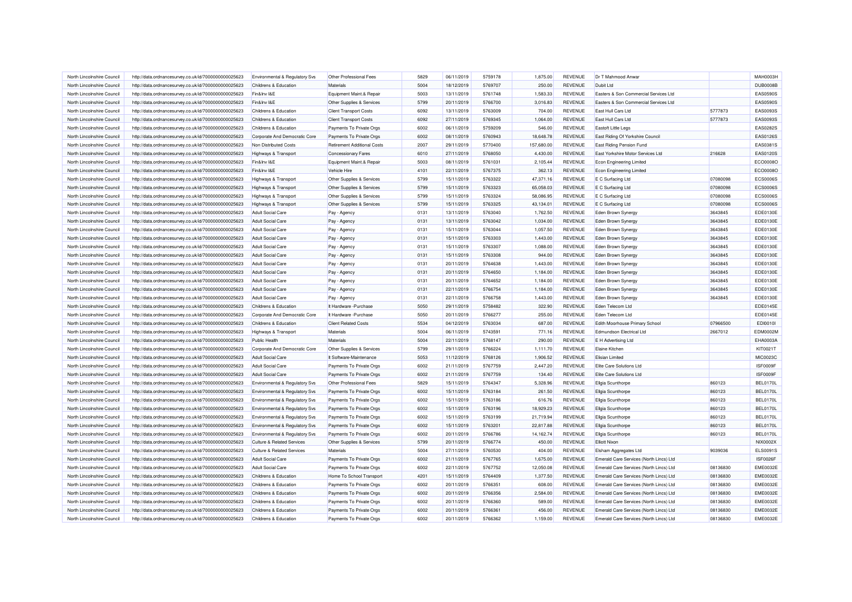| North Lincolnshire Council                               | http://data.ordnancesurvey.co.uk/id/7000000000025623                                                         | Environmental & Regulatory Svs                       | Other Professional Fees            | 5829         | 06/11/2019               | 5759178            | 1.875.00   | <b>REVENUE</b> | Dr T Mahmood Anwar                       |                    | <b>MAH0003H</b>             |
|----------------------------------------------------------|--------------------------------------------------------------------------------------------------------------|------------------------------------------------------|------------------------------------|--------------|--------------------------|--------------------|------------|----------------|------------------------------------------|--------------------|-----------------------------|
| North Lincolnshire Council                               | http://data.ordnancesurvey.co.uk/id/7000000000025623                                                         | Childrens & Education                                | Materials                          | 5004         | 18/12/2019               | 5769707            | 250.00     | REVENUE        | Dubit I td                               |                    | <b>DUB0008B</b>             |
| North Lincolnshire Council                               | http://data.ordnancesurvey.co.uk/id/7000000000025623                                                         | Fin&Inv I&E                                          | Equipment Maint.& Repair           | 5003         | 13/11/2019               | 5761748            | 1,583.33   | REVENUE        | Easters & Son Commercial Services Ltd    |                    | <b>EAS0590S</b>             |
| North Lincolnshire Council                               | http://data.ordnancesurvey.co.uk/id/7000000000025623                                                         | Fin&Inv I&E                                          | Other Supplies & Services          | 5799         | 20/11/2019               | 5766700            | 3,016.83   | REVENUE        | Easters & Son Commercial Services Ltd    |                    | <b>EAS0590S</b>             |
| North Lincolnshire Council                               | http://data.ordnancesurvey.co.uk/id/7000000000025623                                                         | Childrens & Education                                | <b>Client Transport Costs</b>      | 6092         | 13/11/2019               | 5763009            | 704.00     | <b>REVENUE</b> | East Hull Cars Ltd                       | 5777873            | EAS0093S                    |
| North Lincolnshire Council                               | http://data.ordnancesurvey.co.uk/id/7000000000025623                                                         | Childrens & Education                                | <b>Client Transport Costs</b>      | 6092         | 27/11/2019               | 5769345            | 1,064.00   | <b>REVENUE</b> | East Hull Cars Ltd                       | 5777873            | EAS0093S                    |
| North Lincolnshire Council                               | http://data.ordnancesurvey.co.uk/id/7000000000025623                                                         | Childrens & Education                                | Payments To Private Orgs           | 6002         | 06/11/2019               | 5759209            | 546.00     | <b>REVENUE</b> | Eastoft Little Leas                      |                    | EAS0282S                    |
| North Lincolnshire Council                               | http://data.ordnancesurvey.co.uk/id/7000000000025623                                                         | Corporate And Democratic Core                        | Payments To Private Orgs           | 6002         | 08/11/2019               | 5760943            | 18,648.78  | <b>REVENUE</b> | East Riding Of Yorkshire Council         |                    | EAS0126S                    |
| North Lincolnshire Council                               | http://data.ordnancesurvey.co.uk/id/7000000000025623                                                         | Non Distributed Costs                                | <b>Retirement Additional Costs</b> | 2007         | 29/11/2019               | 5770400            | 157,680.00 | REVENUE        | East Riding Pension Fund                 |                    | EAS0381S                    |
| North Lincolnshire Council                               | http://data.ordnancesurvey.co.uk/id/7000000000025623                                                         | Highways & Transport                                 | <b>Concessionary Fares</b>         | 6010         | 27/11/2019               | 5768050            | 4,430.00   | REVENUE        | East Yorkshire Motor Services Ltd        | 216628             | EAS0120S                    |
| North Lincolnshire Council                               | http://data.ordnancesurvey.co.uk/id/7000000000025623                                                         | Fin&Inv I&E                                          | Equipment Maint.& Repair           | 5003         | 08/11/2019               | 5761031            | 2,105.44   | REVENUE        | <b>Econ Engineering Limited</b>          |                    | ECO0008C                    |
| North Lincolnshire Council                               | http://data.ordnancesurvey.co.uk/id/7000000000025623                                                         | Fin&Inv I&E                                          | Vehicle Hire                       | 4101         | 22/11/2019               | 5767375            | 362.13     | REVENUE        | Econ Engineering Limited                 |                    | ECO0008O                    |
| North Lincolnshire Council                               | http://data.ordnancesurvey.co.uk/id/7000000000025623                                                         | Highways & Transport                                 | Other Supplies & Services          | 5799         | 15/11/2019               | 5763322            | 47,371.16  | REVENUE        | E C Surfacing Ltd                        | 07080098           | <b>ECS0006S</b>             |
| North Lincolnshire Council                               | http://data.ordnancesurvey.co.uk/id/7000000000025623                                                         | Highways & Transport                                 | Other Supplies & Services          | 5799         | 15/11/2019               | 5763323            | 65,058.03  | REVENUE        | E C Surfacing Ltd                        | 07080098           | <b>ECS0006S</b>             |
| North Lincolnshire Council                               | http://data.ordnancesurvey.co.uk/id/7000000000025623                                                         | Highways & Transport                                 | Other Supplies & Services          | 5799         | 15/11/2019               | 5763324            | 58.086.95  | <b>REVENUE</b> | E C Surfacing Ltd                        | 07080098           | <b>ECS0006S</b>             |
| North Lincolnshire Council                               | http://data.ordnancesurvey.co.uk/id/7000000000025623                                                         | <b>Highways &amp; Transport</b>                      | Other Supplies & Services          | 5799         | 15/11/2019               | 5763325            | 43,134.01  | <b>REVENUE</b> | E C Surfacing Ltd                        | 07080098           | <b>ECS0006S</b>             |
| North Lincolnshire Council                               | http://data.ordnancesurvey.co.uk/id/7000000000025623                                                         | <b>Adult Social Care</b>                             | Pay - Agency                       | 0131         | 13/11/2019               | 5763040            | 1,762.50   | REVENUE        | Eden Brown Synergy                       | 3643845            | EDE0130E                    |
| North Lincolnshire Council                               | http://data.ordnancesurvey.co.uk/id/7000000000025623                                                         | <b>Adult Social Care</b>                             | Pay - Agency                       | 0131         | 13/11/2019               | 5763042            | 1,034.00   | <b>REVENUE</b> | Eden Brown Synergy                       | 3643845            | EDE0130E                    |
| North Lincolnshire Council                               |                                                                                                              | <b>Adult Social Care</b>                             |                                    | 0131         |                          | 5763044            | 1,057.50   | <b>REVENUE</b> |                                          |                    |                             |
| North Lincolnshire Council                               | http://data.ordnancesurvey.co.uk/id/7000000000025623                                                         |                                                      | Pay - Agency                       | 0131         | 15/11/2019<br>15/11/2019 | 5763303            | 1,443.00   | <b>REVENUE</b> | Eden Brown Synergy                       | 3643845<br>3643845 | EDE0130E<br><b>EDE0130E</b> |
| North Lincolnshire Council                               | http://data.ordnancesurvey.co.uk/id/7000000000025623<br>http://data.ordnancesurvey.co.uk/id/7000000000025623 | <b>Adult Social Care</b><br><b>Adult Social Care</b> | Pay - Agency                       | 0131         | 15/11/2019               | 5763307            | 1,088.00   | REVENUE        | Eden Brown Synergy<br>Eden Brown Synergy | 3643845            | EDE0130E                    |
|                                                          |                                                                                                              |                                                      | Pay - Agency                       |              |                          |                    |            |                |                                          |                    |                             |
| North Lincolnshire Council<br>North Lincolnshire Council | http://data.ordnancesurvey.co.uk/id/7000000000025623                                                         | <b>Adult Social Care</b>                             | Pay - Agency                       | 0131<br>0131 | 15/11/2019               | 5763308<br>5764638 | 944.00     | <b>REVENUE</b> | Eden Brown Synergy                       | 3643845            | EDE0130E                    |
|                                                          | http://data.ordnancesurvey.co.uk/id/7000000000025623                                                         | <b>Adult Social Care</b>                             | Pay - Agency                       |              | 20/11/2019               |                    | 1,443.00   | REVENUE        | Eden Brown Synergy                       | 3643845            | EDE0130E                    |
| North Lincolnshire Council                               | http://data.ordnancesurvey.co.uk/id/7000000000025623                                                         | <b>Adult Social Care</b>                             | Pay - Agency                       | 0131         | 20/11/2019               | 5764650            | 1,184.00   | <b>REVENUE</b> | Eden Brown Synergy                       | 3643845            | EDE0130E                    |
| North Lincolnshire Council                               | http://data.ordnancesurvey.co.uk/id/7000000000025623                                                         | <b>Adult Social Care</b>                             | Pay - Agency                       | 0131         | 20/11/2019               | 5764652            | 1,184.00   | REVENUE        | Eden Brown Synergy                       | 3643845            | <b>EDE0130E</b>             |
| North Lincolnshire Council                               | http://data.ordnancesurvey.co.uk/id/7000000000025623                                                         | <b>Adult Social Care</b>                             | Pay - Agency                       | 0131         | 22/11/2019               | 5766754            | 1,184.00   | REVENUE        | Eden Brown Synergy                       | 3643845            | EDE0130E                    |
| North Lincolnshire Council                               | http://data.ordnancesurvey.co.uk/id/7000000000025623                                                         | <b>Adult Social Care</b>                             | Pay - Agency                       | 0131         | 22/11/2019               | 5766758            | 1,443.00   | <b>REVENUE</b> | Eden Brown Synergy                       | 3643845            | EDE0130E                    |
| North Lincolnshire Council                               | http://data.ordnancesurvey.co.uk/id/7000000000025623                                                         | Childrens & Education                                | It Hardware - Purchase             | 5050         | 29/11/2019               | 5758482            | 322.90     | <b>REVENUE</b> | Eden Telecom Ltd                         |                    | EDE0145E                    |
| North Lincolnshire Council                               | http://data.ordnancesurvey.co.uk/id/7000000000025623                                                         | Corporate And Democratic Core                        | It Hardware - Purchase             | 5050         | 20/11/2019               | 5766277            | 255.00     | <b>REVENUE</b> | Eden Telecom Ltd                         |                    | EDE0145E                    |
| North Lincolnshire Council                               | http://data.ordnancesurvey.co.uk/id/7000000000025623                                                         | Childrens & Education                                | <b>Client Related Costs</b>        | 5534         | 04/12/2019               | 5763034            | 687.00     | <b>REVENUE</b> | Edith Moorhouse Primary School           | 07966500           | <b>EDI0010I</b>             |
| North Lincolnshire Council                               | http://data.ordnancesurvey.co.uk/id/7000000000025623                                                         | Highways & Transport                                 | Materials                          | 5004         | 06/11/2019               | 5743591            | 771.16     | REVENUE        | <b>Edmundson Electrical Ltd</b>          | 2667012            | EDM0002M                    |
| North Lincolnshire Council                               | http://data.ordnancesurvey.co.uk/id/7000000000025623                                                         | <b>Public Health</b>                                 | Materials                          | 5004         | 22/11/2019               | 5768147            | 290.00     | <b>REVENUE</b> | E H Advertising Ltd                      |                    | EHA0003A                    |
| North Lincolnshire Council                               | http://data.ordnancesurvey.co.uk/id/7000000000025623                                                         | Corporate And Democratic Core                        | Other Supplies & Services          | 5799         | 29/11/2019               | 5766224            | 1,111.70   | REVENUE        | <b>Elaine Kitchen</b>                    |                    | KIT0021T                    |
| North Lincolnshire Council                               | http://data.ordnancesurvey.co.uk/id/7000000000025623                                                         | <b>Adult Social Care</b>                             | It Software-Maintenance            | 5053         | 11/12/2019               | 5768126            | 1.906.52   | <b>REVENUE</b> | <b>Elisian Limited</b>                   |                    | MIC0023C                    |
| North Lincolnshire Council                               | http://data.ordnancesurvey.co.uk/id/7000000000025623                                                         | <b>Adult Social Care</b>                             | Payments To Private Orgs           | 6002         | 21/11/2019               | 5767759            | 2.447.20   | REVENUE        | Elite Care Solutions Ltd                 |                    | ISF0009F                    |
| North Lincolnshire Council                               | http://data.ordnancesurvey.co.uk/id/7000000000025623                                                         | <b>Adult Social Care</b>                             | Payments To Private Orgs           | 6002         | 21/11/2019               | 5767759            | 134.40     | <b>REVENUE</b> | Elite Care Solutions Ltd                 |                    | ISF0009F                    |
| North Lincolnshire Council                               | http://data.ordnancesurvey.co.uk/id/7000000000025623                                                         | Environmental & Regulatory Svs                       | Other Professional Fees            | 5829         | 15/11/2019               | 5764347            | 5,328.96   | REVENUE        | Ellgia Scunthorpe                        | 860123             | <b>BEL0170L</b>             |
| North Lincolnshire Council                               | http://data.ordnancesurvey.co.uk/id/7000000000025623                                                         | Environmental & Regulatory Svs                       | Payments To Private Orgs           | 6002         | 15/11/2019               | 5763184            | 261.50     | <b>REVENUE</b> | <b>Ellgia Scunthorpe</b>                 | 860123             | <b>BEL0170L</b>             |
| North Lincolnshire Council                               | http://data.ordnancesurvey.co.uk/id/7000000000025623                                                         | Environmental & Regulatory Svs                       | Payments To Private Orgs           | 6002         | 15/11/2019               | 5763186            | 616.76     | REVENUE        | Ellgia Scunthorpe                        | 860123             | <b>BEL0170L</b>             |
| North Lincolnshire Council                               | http://data.ordnancesurvey.co.uk/id/7000000000025623                                                         | Environmental & Regulatory Svs                       | Payments To Private Orgs           | 6002         | 15/11/2019               | 5763196            | 18.929.23  | <b>REVENUE</b> | <b>Ellgia Scunthorpe</b>                 | 860123             | BEL0170L                    |
| North Lincolnshire Council                               | http://data.ordnancesurvey.co.uk/id/7000000000025623                                                         | Environmental & Regulatory Svs                       | Payments To Private Orgs           | 6002         | 15/11/2019               | 5763199            | 21,719.94  | REVENUE        | <b>Ellgia Scunthorpe</b>                 | 860123             | <b>BEL0170L</b>             |
| North Lincolnshire Council                               | http://data.ordnancesurvey.co.uk/id/7000000000025623                                                         | Environmental & Regulatory Svs                       | Payments To Private Orgs           | 6002         | 15/11/2019               | 5763201            | 22,817.88  | <b>REVENUE</b> | Ellgia Scunthorpe                        | 860123             | <b>BEL0170L</b>             |
| North Lincolnshire Council                               | http://data.ordnancesurvey.co.uk/id/7000000000025623                                                         | Environmental & Regulatory Svs                       | Payments To Private Orgs           | 6002         | 20/11/2019               | 5766786            | 14,162.74  | <b>REVENUE</b> | <b>Ellgia Scunthorpe</b>                 | 860123             | <b>BEL0170L</b>             |
| North Lincolnshire Council                               | http://data.ordnancesurvey.co.uk/id/7000000000025623                                                         | <b>Culture &amp; Related Services</b>                | Other Supplies & Services          | 5799         | 20/11/2019               | 5766774            | 450.00     | <b>REVENUE</b> | <b>Elliott Nixon</b>                     |                    | <b>NIX0002X</b>             |
| North Lincolnshire Council                               | http://data.ordnancesurvey.co.uk/id/7000000000025623                                                         | <b>Culture &amp; Related Services</b>                | Materials                          | 5004         | 27/11/2019               | 5760530            | 404.00     | REVENUE        | Elsham Aggregates Ltd                    | 9039036            | <b>ELS0091S</b>             |
| North Lincolnshire Council                               | http://data.ordnancesurvey.co.uk/id/7000000000025623                                                         | <b>Adult Social Care</b>                             | Payments To Private Orgs           | 6002         | 21/11/2019               | 5767765            | 1,675.00   | <b>REVENUE</b> | Emerald Care Services (North Lincs) Ltd  |                    | ISF0026F                    |
| North Lincolnshire Council                               | http://data.ordnancesurvey.co.uk/id/7000000000025623                                                         | <b>Adult Social Care</b>                             | Payments To Private Orgs           | 6002         | 22/11/2019               | 5767752            | 12,050.08  | <b>REVENUE</b> | Emerald Care Services (North Lincs) Ltd  | 08136830           | <b>EME0032E</b>             |
| North Lincolnshire Council                               | http://data.ordnancesurvey.co.uk/id/7000000000025623                                                         | Childrens & Education                                | Home To School Transport           | 4201         | 15/11/2019               | 5764409            | 1,377.50   | <b>REVENUE</b> | Emerald Care Services (North Lincs) Ltd  | 08136830           | <b>EME0032E</b>             |
| North Lincolnshire Council                               | http://data.ordnancesurvey.co.uk/id/7000000000025623                                                         | Childrens & Education                                | Payments To Private Orgs           | 6002         | 20/11/2019               | 5766351            | 608.00     | REVENUE        | Emerald Care Services (North Lincs) Ltd  | 08136830           | <b>EME0032E</b>             |
| North Lincolnshire Council                               | http://data.ordnancesurvey.co.uk/id/7000000000025623                                                         | <b>Childrens &amp; Education</b>                     | Payments To Private Orgs           | 6002         | 20/11/2019               | 5766356            | 2,584.00   | REVENUE        | Emerald Care Services (North Lincs) Ltd  | 08136830           | <b>EME0032E</b>             |
| North Lincolnshire Council                               | http://data.ordnancesurvey.co.uk/id/7000000000025623                                                         | Childrens & Education                                | Payments To Private Orgs           | 6002         | 20/11/2019               | 5766360            | 589.00     | REVENUE        | Emerald Care Services (North Lincs) Ltd  | 08136830           | <b>EME0032E</b>             |
| North Lincolnshire Council                               | http://data.ordnancesurvey.co.uk/id/7000000000025623                                                         | Childrens & Education                                | Payments To Private Orgs           | 6002         | 20/11/2019               | 5766361            | 456.00     | <b>REVENUE</b> | Emerald Care Services (North Lincs) Ltd  | 08136830           | <b>EME0032E</b>             |
| North Lincolnshire Council                               | http://data.ordnancesurvey.co.uk/id/7000000000025623                                                         | Childrens & Education                                | Payments To Private Orgs           | 6002         | 20/11/2019               | 5766362            | 1.159.00   | <b>REVENUE</b> | Emerald Care Services (North Lincs) Ltd  | 08136830           | <b>EME0032E</b>             |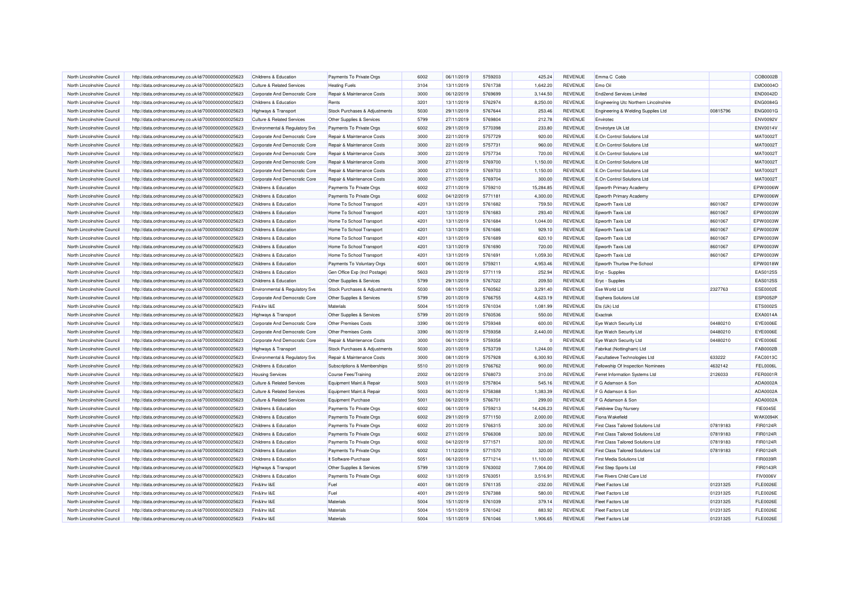| North Lincolnshire Council | http://data.ordnancesurvey.co.uk/id/7000000000025623 | <b>Childrens &amp; Education</b>      | Payments To Private Orgs      | 6002 | 06/11/2019 | 5759203 | 425.24    | <b>REVENUE</b> | Emma C Cobb                               |          | COB0002B        |
|----------------------------|------------------------------------------------------|---------------------------------------|-------------------------------|------|------------|---------|-----------|----------------|-------------------------------------------|----------|-----------------|
| North Lincolnshire Council | http://data.ordnancesurvey.co.uk/id/7000000000025623 | <b>Culture &amp; Related Services</b> | <b>Heating Fuels</b>          | 3104 | 13/11/2019 | 5761738 | 1,642.20  | REVENUE        | Emo Oil                                   |          | EMO0004C        |
| North Lincolnshire Council | http://data.ordnancesurvey.co.uk/id/7000000000025623 | Corporate And Democratic Core         | Repair & Maintenance Costs    | 3000 | 06/12/2019 | 5769699 | 3,144.50  | <b>REVENUE</b> | End2end Services Limited                  |          | <b>END0042D</b> |
| North Lincolnshire Council | http://data.ordnancesurvey.co.uk/id/7000000000025623 | Childrens & Education                 | Rents                         | 3201 | 13/11/2019 | 5762974 | 8,250.00  | <b>REVENUE</b> | Engineering Utc Northern Lincolnshire     |          | <b>ENG0084G</b> |
| North Lincolnshire Council | http://data.ordnancesurvey.co.uk/id/7000000000025623 | Highways & Transport                  | Stock Purchases & Adjustments | 5030 | 29/11/2019 | 5767644 | 253.46    | REVENUE        | Engineering & Welding Supplies Ltd        | 00815796 | ENG0001G        |
| North Lincolnshire Council | http://data.ordnancesurvey.co.uk/id/7000000000025623 | <b>Culture &amp; Related Services</b> | Other Supplies & Services     | 5799 | 27/11/2019 | 5769804 | 212.78    | <b>REVENUE</b> | Envirotec                                 |          | <b>ENV0092V</b> |
| North Lincolnshire Council | http://data.ordnancesurvey.co.uk/id/7000000000025623 | Environmental & Regulatory Svs        | Payments To Private Orgs      | 6002 | 29/11/2019 | 5770398 | 233.80    | <b>REVENUE</b> | Envirotyre Uk Ltd                         |          | <b>ENV0014V</b> |
| North Lincolnshire Council | http://data.ordnancesurvey.co.uk/id/7000000000025623 | Corporate And Democratic Core         | Repair & Maintenance Costs    | 3000 | 22/11/2019 | 5757729 | 920.00    | REVENUE        | E.On Control Solutions Ltd                |          | <b>MAT0002T</b> |
| North Lincolnshire Council | http://data.ordnancesurvey.co.uk/id/7000000000025623 | Corporate And Democratic Core         | Repair & Maintenance Costs    | 3000 | 22/11/2019 | 5757731 | 960.00    | <b>REVENUE</b> | E.On Control Solutions Ltd                |          | <b>MAT0002T</b> |
| North Lincolnshire Council | http://data.ordnancesurvey.co.uk/id/7000000000025623 | Corporate And Democratic Core         | Repair & Maintenance Costs    | 3000 | 22/11/2019 | 5757734 | 720.00    | <b>REVENUE</b> | E.On Control Solutions Ltd                |          | <b>MAT0002T</b> |
| North Lincolnshire Council | http://data.ordnancesurvey.co.uk/id/7000000000025623 | Corporate And Democratic Core         | Repair & Maintenance Costs    | 3000 | 27/11/2019 | 5769700 | 1,150.00  | REVENUE        | E.On Control Solutions Ltd                |          | <b>MAT0002T</b> |
| North Lincolnshire Council | http://data.ordnancesurvey.co.uk/id/7000000000025623 | Corporate And Democratic Core         | Repair & Maintenance Costs    | 3000 | 27/11/2019 | 5769703 | 1,150.00  | <b>REVENUE</b> | E.On Control Solutions Ltd                |          | <b>MAT0002T</b> |
| North Lincolnshire Council | http://data.ordnancesurvey.co.uk/id/7000000000025623 | Corporate And Democratic Core         | Repair & Maintenance Costs    | 3000 | 27/11/2019 | 5769704 | 300.00    | <b>REVENUE</b> | E.On Control Solutions Ltd                |          | <b>MAT0002T</b> |
| North Lincolnshire Council | http://data.ordnancesurvey.co.uk/id/7000000000025623 | Childrens & Education                 | Payments To Private Orgs      | 6002 | 27/11/2019 | 5759210 | 15,284.85 | REVENUE        | Epworth Primary Academy                   |          | EPW0006W        |
| North Lincolnshire Council | http://data.ordnancesurvey.co.uk/id/7000000000025623 | Childrens & Education                 | Payments To Private Orgs      | 6002 | 04/12/2019 | 5771181 | 4,300.00  | REVENUE        | Epworth Primary Academy                   |          | EPW0006W        |
| North Lincolnshire Council | http://data.ordnancesurvey.co.uk/id/7000000000025623 | Childrens & Education                 | Home To School Transport      | 4201 | 13/11/2019 | 5761682 | 759.50    | REVENUE        | Epworth Taxis Ltd                         | 8601067  | EPW0003W        |
| North Lincolnshire Council | http://data.ordnancesurvey.co.uk/id/7000000000025623 | Childrens & Education                 | Home To School Transport      | 4201 | 13/11/2019 | 5761683 | 293.40    | REVENUE        | Epworth Taxis Ltd                         | 8601067  | EPW0003W        |
| North Lincolnshire Council | http://data.ordnancesurvey.co.uk/id/7000000000025623 | Childrens & Education                 | Home To School Transport      | 4201 | 13/11/2019 | 5761684 | 1,044.00  | <b>REVENUE</b> | Epworth Taxis Ltd                         | 8601067  | EPW0003W        |
| North Lincolnshire Council | http://data.ordnancesurvey.co.uk/id/7000000000025623 | Childrens & Education                 | Home To School Transport      | 4201 | 13/11/2019 | 5761686 | 929.10    | <b>REVENUE</b> | Epworth Taxis Ltd                         | 8601067  | EPW0003W        |
| North Lincolnshire Council | http://data.ordnancesurvey.co.uk/id/7000000000025623 | Childrens & Education                 | Home To School Transport      | 4201 | 13/11/2019 | 5761689 | 620.10    | <b>REVENUE</b> | Epworth Taxis Ltd                         | 8601067  | EPW0003W        |
| North Lincolnshire Council | http://data.ordnancesurvey.co.uk/id/7000000000025623 | Childrens & Education                 | Home To School Transport      | 4201 | 13/11/2019 | 5761690 | 720.00    | <b>REVENUE</b> | Epworth Taxis Ltd                         | 8601067  | EPW0003W        |
| North Lincolnshire Council |                                                      | Childrens & Education                 |                               | 4201 | 13/11/2019 | 5761691 | 1,059.30  | REVENUE        | Epworth Taxis Ltd                         | 8601067  | EPW0003W        |
| North Lincolnshire Council | http://data.ordnancesurvey.co.uk/id/7000000000025623 | Childrens & Education                 | Home To School Transport      | 6001 | 06/11/2019 | 5759211 | 4,953.46  | REVENUE        | Epworth Thurlow Pre-School                |          | EPW0018W        |
|                            | http://data.ordnancesurvey.co.uk/id/7000000000025623 |                                       | Payments To Voluntary Orgs    |      |            |         |           |                |                                           |          |                 |
| North Lincolnshire Council | http://data.ordnancesurvey.co.uk/id/7000000000025623 | Childrens & Education                 | Gen Office Exp (Incl Postage) | 5603 | 29/11/2019 | 5771119 | 252.94    | <b>REVENUE</b> | Eryc - Supplies                           |          | EAS0125S        |
| North Lincolnshire Council | http://data.ordnancesurvey.co.uk/id/7000000000025623 | Childrens & Education                 | Other Supplies & Services     | 5799 | 29/11/2019 | 5767022 | 209.50    | REVENUE        | Eryc - Supplies                           |          | EAS0125S        |
| North Lincolnshire Council | http://data.ordnancesurvey.co.uk/id/7000000000025623 | Environmental & Regulatory Svs        | Stock Purchases & Adjustments | 5030 | 08/11/2019 | 5760562 | 3,291.40  | <b>REVENUE</b> | Ese World Ltd                             | 2327763  | <b>ESE0002E</b> |
| North Lincolnshire Council | http://data.ordnancesurvey.co.uk/id/7000000000025623 | Corporate And Democratic Core         | Other Supplies & Services     | 5799 | 20/11/2019 | 5766755 | 4,623.19  | <b>REVENUE</b> | <b>Esphera Solutions Ltd</b>              |          | <b>ESP0052P</b> |
| North Lincolnshire Council | http://data.ordnancesurvey.co.uk/id/7000000000025623 | Fin&Inv I&E                           | Materials                     | 5004 | 15/11/2019 | 5761034 | 1.081.99  | <b>REVENUE</b> | Ets (Uk) Ltd                              |          | ETS0002S        |
| North Lincolnshire Council | http://data.ordnancesurvey.co.uk/id/7000000000025623 | Highways & Transport                  | Other Supplies & Services     | 5799 | 20/11/2019 | 5760536 | 550.00    | REVENUE        | Exactrak                                  |          | EXA0014A        |
| North Lincolnshire Council | http://data.ordnancesurvey.co.uk/id/7000000000025623 | Corporate And Democratic Core         | <b>Other Premises Costs</b>   | 3390 | 06/11/2019 | 5759348 | 600.00    | REVENUE        | Eye Watch Security Ltd                    | 04480210 | <b>EYE0006E</b> |
| North Lincolnshire Council | http://data.ordnancesurvey.co.uk/id/7000000000025623 | Corporate And Democratic Core         | <b>Other Premises Costs</b>   | 3390 | 06/11/2019 | 5759358 | 2,440.00  | REVENUE        | Eye Watch Security Ltd                    | 04480210 | <b>EYE0006E</b> |
| North Lincolnshire Council | http://data.ordnancesurvey.co.uk/id/7000000000025623 | Corporate And Democratic Core         | Repair & Maintenance Costs    | 3000 | 06/11/2019 | 5759358 |           | <b>REVENUE</b> | Eye Watch Security Ltd                    | 04480210 | EYE0006E        |
| North Lincolnshire Council | http://data.ordnancesurvey.co.uk/id/7000000000025623 | Highways & Transport                  | Stock Purchases & Adjustments | 5030 | 20/11/2019 | 5753739 | 1,244.00  | <b>REVENUE</b> | Fabrikat (Nottingham) Ltd                 |          | FAB0002B        |
| North Lincolnshire Council | http://data.ordnancesurvey.co.uk/id/7000000000025623 | Environmental & Regulatory Svs        | Repair & Maintenance Costs    | 3000 | 08/11/2019 | 5757928 | 6.300.93  | <b>REVENUE</b> | Facultatieve Technologies Ltd             | 633222   | FAC0013C        |
| North Lincolnshire Council | http://data.ordnancesurvey.co.uk/id/7000000000025623 | Childrens & Education                 | Subscriptions & Memberships   | 5510 | 20/11/2019 | 5766762 | 900.00    | REVENUE        | Fellowship Of Inspection Nominees         | 4632142  | <b>FEL0006L</b> |
| North Lincolnshire Council | http://data.ordnancesurvey.co.uk/id/7000000000025623 | <b>Housing Services</b>               | <b>Course Fees/Training</b>   | 2002 | 06/12/2019 | 5768073 | 310.00    | REVENUE        | Ferret Information Systems Ltd            | 2126033  | <b>FER0001R</b> |
| North Lincolnshire Council | http://data.ordnancesurvey.co.uk/id/7000000000025623 | <b>Culture &amp; Related Services</b> | Equipment Maint.& Repair      | 5003 | 01/11/2019 | 5757804 | 545.16    | REVENUE        | F G Adamson & Son                         |          | ADA0002A        |
| North Lincolnshire Council | http://data.ordnancesurvey.co.uk/id/7000000000025623 | <b>Culture &amp; Related Services</b> | Equipment Maint.& Repair      | 5003 | 06/11/2019 | 5758388 | 1,383.39  | <b>REVENUE</b> | F G Adamson & Son                         |          | ADA0002A        |
| North Lincolnshire Council | http://data.ordnancesurvey.co.uk/id/7000000000025623 | <b>Culture &amp; Related Services</b> | <b>Equipment Purchase</b>     | 5001 | 06/12/2019 | 5766701 | 299.00    | REVENUE        | F G Adamson & Son                         |          | ADA0002A        |
| North Lincolnshire Council | http://data.ordnancesurvey.co.uk/id/7000000000025623 | Childrens & Education                 | Payments To Private Orgs      | 6002 | 06/11/2019 | 5759213 | 14,426.23 | <b>REVENUE</b> | Fieldview Day Nursery                     |          | <b>FIE0045E</b> |
| North Lincolnshire Council | http://data.ordnancesurvey.co.uk/id/7000000000025623 | Childrens & Education                 | Payments To Private Orgs      | 6002 | 29/11/2019 | 5771150 | 2,000.00  | REVENUE        | Fiona Wakefield                           |          | <b>WAK0094K</b> |
| North Lincolnshire Council | http://data.ordnancesurvey.co.uk/id/7000000000025623 | Childrens & Education                 | Payments To Private Orgs      | 6002 | 20/11/2019 | 5766315 | 320.00    | <b>REVENUE</b> | First Class Tailored Solutions Ltd        | 07819183 | FIR0124R        |
| North Lincolnshire Council | http://data.ordnancesurvey.co.uk/id/7000000000025623 | Childrens & Education                 | Payments To Private Orgs      | 6002 | 27/11/2019 | 5766308 | 320.00    | <b>REVENUE</b> | <b>First Class Tailored Solutions Ltd</b> | 07819183 | <b>FIR0124R</b> |
| North Lincolnshire Council | http://data.ordnancesurvey.co.uk/id/7000000000025623 | Childrens & Education                 | Payments To Private Orgs      | 6002 | 04/12/2019 | 5771571 | 320.00    | REVENUE        | <b>First Class Tailored Solutions Ltd</b> | 07819183 | <b>FIR0124R</b> |
| North Lincolnshire Council | http://data.ordnancesurvey.co.uk/id/7000000000025623 | Childrens & Education                 | Payments To Private Orgs      | 6002 | 11/12/2019 | 5771570 | 320.00    | REVENUE        | <b>First Class Tailored Solutions Ltd</b> | 07819183 | <b>FIR0124R</b> |
| North Lincolnshire Council | http://data.ordnancesurvey.co.uk/id/7000000000025623 | Childrens & Education                 | It Software-Purchase          | 5051 | 06/12/2019 | 5771214 | 11,100.00 | REVENUE        | <b>First Media Solutions Ltd</b>          |          | <b>FIR0039R</b> |
| North Lincolnshire Council | http://data.ordnancesurvey.co.uk/id/7000000000025623 | Highways & Transport                  | Other Supplies & Services     | 5799 | 13/11/2019 | 5763002 | 7,904.00  | <b>REVENUE</b> | <b>First Step Sports Ltd</b>              |          | FIR0143R        |
| North Lincolnshire Council | http://data.ordnancesurvey.co.uk/id/7000000000025623 | Childrens & Education                 | Payments To Private Orgs      | 6002 | 13/11/2019 | 5763051 | 3,516.91  | REVENUE        | Five Rivers Child Care Ltd                |          | <b>FIV0006V</b> |
| North Lincolnshire Council | http://data.ordnancesurvey.co.uk/id/7000000000025623 | Fin&Inv I&E                           | Fuel                          | 4001 | 08/11/2019 | 5761135 | $-232.00$ | <b>REVENUE</b> | <b>Fleet Factors Ltd</b>                  | 01231325 | <b>FLE0026E</b> |
| North Lincolnshire Council | http://data.ordnancesurvey.co.uk/id/7000000000025623 | Fin&Inv I&E                           | Fuel                          | 4001 | 29/11/2019 | 5767388 | 580.00    | REVENUE        | <b>Fleet Factors Ltd</b>                  | 01231325 | <b>FLE0026E</b> |
| North Lincolnshire Council | http://data.ordnancesurvey.co.uk/id/7000000000025623 | Fin&Inv I&E                           | Materials                     | 5004 | 15/11/2019 | 5761039 | 379.14    | <b>REVENUE</b> | <b>Fleet Factors Ltd</b>                  | 01231325 | <b>FLE0026E</b> |
| North Lincolnshire Council | http://data.ordnancesurvey.co.uk/id/7000000000025623 | Fin&Inv I&E                           | Materials                     | 5004 | 15/11/2019 | 5761042 | 883.92    | <b>REVENUE</b> | <b>Fleet Factors Ltd</b>                  | 01231325 | <b>FLE0026E</b> |
| North Lincolnshire Council | http://data.ordnancesurvey.co.uk/id/7000000000025623 | Fin&Inv I&E                           | Materials                     | 5004 | 15/11/2019 | 5761046 | 1,906.65  | <b>REVENUE</b> | <b>Fleet Factors Ltd</b>                  | 01231325 | <b>FLE0026E</b> |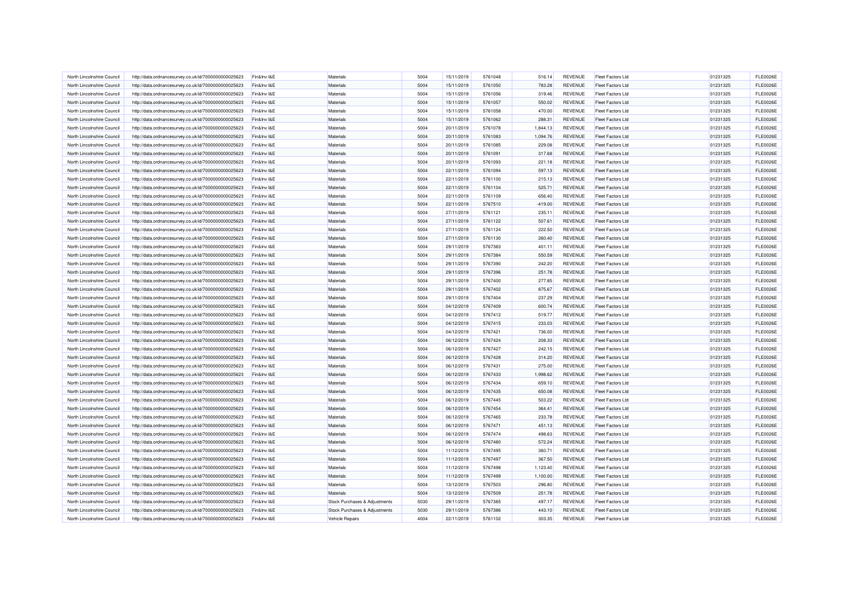| North Lincolnshire Council | http://data.ordnancesurvey.co.uk/id/7000000000025623 | Fin&Inv I&E | Materials                     | 5004 | 15/11/2019 | 5761048 | 516.14    | REVENUE        | <b>Fleet Factors Ltd</b> | 01231325 | <b>FLE0026E</b> |
|----------------------------|------------------------------------------------------|-------------|-------------------------------|------|------------|---------|-----------|----------------|--------------------------|----------|-----------------|
| North Lincolnshire Council | http://data.ordnancesurvey.co.uk/id/7000000000025623 | Fin&Inv I&E | Materials                     | 5004 | 15/11/2019 | 5761050 | 783.28    | REVENUE        | <b>Fleet Factors Ltd</b> | 01231325 | <b>FLE0026E</b> |
| North Lincolnshire Council | http://data.ordnancesurvey.co.uk/id/7000000000025623 | Fin&Inv I&E | Materials                     | 5004 | 15/11/2019 | 5761056 | 319.46    | REVENUE        | <b>Fleet Factors Ltd</b> | 01231325 | <b>FLE0026E</b> |
| North Lincolnshire Council | http://data.ordnancesurvey.co.uk/id/7000000000025623 | Fin&Inv I&E | Materials                     | 5004 | 15/11/2019 | 5761057 | 550.02    | <b>REVENUE</b> | <b>Fleet Factors Ltd</b> | 01231325 | <b>FLE0026E</b> |
| North Lincolnshire Council | http://data.ordnancesurvey.co.uk/id/7000000000025623 | Fin&Inv I&E | Materials                     | 5004 | 15/11/2019 | 5761058 | 470.00    | REVENUE        | <b>Fleet Factors Ltd</b> | 01231325 | <b>FLE0026E</b> |
| North Lincolnshire Council | http://data.ordnancesurvey.co.uk/id/7000000000025623 | Fin&Inv I&E | Materials                     | 5004 | 15/11/2019 | 5761062 | 288.31    | REVENUE        | <b>Fleet Factors Ltd</b> | 01231325 | <b>FLE0026E</b> |
| North Lincolnshire Council | http://data.ordnancesurvey.co.uk/id/7000000000025623 | Fin&Inv I&E | Materials                     | 5004 | 20/11/2019 | 5761078 | 1,844.13  | <b>REVENUE</b> | <b>Fleet Factors Ltd</b> | 01231325 | <b>FLE0026E</b> |
| North Lincolnshire Council | http://data.ordnancesurvey.co.uk/id/7000000000025623 | Fin&Inv I&E | Materials                     | 5004 | 20/11/2019 | 5761083 | 1.094.76  | <b>REVENUE</b> | <b>Fleet Factors Ltd</b> | 01231325 | <b>FLE0026E</b> |
| North Lincolnshire Council | http://data.ordnancesurvey.co.uk/id/7000000000025623 | Fin&Inv I&E | Materials                     | 5004 | 20/11/2019 | 5761085 | 229.08    | <b>REVENUE</b> | <b>Fleet Factors Ltd</b> | 01231325 | <b>FLE0026E</b> |
| North Lincolnshire Council | http://data.ordnancesurvey.co.uk/id/7000000000025623 | Fin&Inv I&E | Materials                     | 5004 | 20/11/2019 | 5761091 | 317.68    | REVENUE        | <b>Fleet Factors Ltd</b> | 01231325 | <b>FLE0026E</b> |
| North Lincolnshire Council | http://data.ordnancesurvey.co.uk/id/7000000000025623 | Fin&Inv I&E | Materials                     | 5004 | 20/11/2019 | 5761093 | 221.18    | <b>REVENUE</b> | <b>Fleet Factors Ltd</b> | 01231325 | <b>FLE0026E</b> |
| North Lincolnshire Council | http://data.ordnancesurvey.co.uk/id/7000000000025623 | Fin&Inv I&E | Materials                     | 5004 | 22/11/2019 | 5761094 | 597.13    | REVENUE        | <b>Fleet Factors Ltd</b> | 01231325 | <b>FLE0026E</b> |
| North Lincolnshire Council | http://data.ordnancesurvey.co.uk/id/7000000000025623 | Fin&Inv I&E | Materials                     | 5004 | 22/11/2019 | 5761100 | 215.13    | REVENUE        | <b>Fleet Factors Ltd</b> | 01231325 | <b>FLE0026E</b> |
| North Lincolnshire Council | http://data.ordnancesurvey.co.uk/id/7000000000025623 | Fin&Inv I&E | Materials                     | 5004 | 22/11/2019 | 5761104 | 525.71    | <b>REVENUE</b> | <b>Fleet Factors Ltd</b> | 01231325 | <b>FLE0026E</b> |
| North Lincolnshire Council | http://data.ordnancesurvey.co.uk/id/7000000000025623 | Fin&Inv I&E | Materials                     | 5004 | 22/11/2019 | 5761109 | 656.40    | <b>REVENUE</b> | <b>Fleet Factors Ltd</b> | 01231325 | <b>FLE0026E</b> |
| North Lincolnshire Council | http://data.ordnancesurvey.co.uk/id/7000000000025623 | Fin&Inv I&E | Materials                     | 5004 | 22/11/2019 | 5767510 | $-419.00$ | REVENUE        | <b>Fleet Factors Ltd</b> | 01231325 | <b>FLE0026E</b> |
| North Lincolnshire Council | http://data.ordnancesurvey.co.uk/id/7000000000025623 | Fin&Inv I&E | Materials                     | 5004 | 27/11/2019 | 5761121 | 235.11    | <b>REVENUE</b> | <b>Fleet Factors Ltd</b> | 01231325 | <b>FLE0026E</b> |
| North Lincolnshire Council | http://data.ordnancesurvey.co.uk/id/7000000000025623 | Fin&Inv I&E | Materials                     | 5004 | 27/11/2019 | 5761122 | 507.61    | REVENUE        | <b>Fleet Factors Ltd</b> | 01231325 | <b>FLE0026E</b> |
| North Lincolnshire Council | http://data.ordnancesurvey.co.uk/id/7000000000025623 | Fin&Inv I&E | Materials                     | 5004 | 27/11/2019 | 5761124 | 222.50    | REVENUE        | <b>Fleet Factors Ltd</b> | 01231325 | <b>FLE0026E</b> |
| North Lincolnshire Council | http://data.ordnancesurvey.co.uk/id/7000000000025623 | Fin&Inv I&E | Materials                     | 5004 | 27/11/2019 | 5761130 | 260.40    | REVENUE        | <b>Fleet Factors Ltd</b> | 01231325 | <b>FLE0026E</b> |
| North Lincolnshire Council | http://data.ordnancesurvey.co.uk/id/7000000000025623 | Fin&Inv I&E | Materials                     | 5004 | 29/11/2019 | 5767383 | 401.11    | <b>REVENUE</b> | <b>Fleet Factors Ltd</b> | 01231325 | <b>FLE0026E</b> |
| North Lincolnshire Council | http://data.ordnancesurvey.co.uk/id/7000000000025623 | Fin&Inv I&E | Materials                     | 5004 | 29/11/2019 | 5767384 | 550.59    | REVENUE        | <b>Fleet Factors Ltd</b> | 01231325 | <b>FLE0026E</b> |
| North Lincolnshire Council | http://data.ordnancesurvey.co.uk/id/7000000000025623 | Fin&Inv I&E | Materials                     | 5004 | 29/11/2019 | 5767390 | 242.20    | <b>REVENUE</b> | <b>Fleet Factors Ltd</b> | 01231325 | <b>FLE0026E</b> |
| North Lincolnshire Council | http://data.ordnancesurvey.co.uk/id/7000000000025623 | Fin&Inv I&E | Materials                     | 5004 | 29/11/2019 | 5767396 | 251.78    | <b>REVENUE</b> | <b>Fleet Factors Ltd</b> | 01231325 | <b>FLE0026E</b> |
| North Lincolnshire Council | http://data.ordnancesurvey.co.uk/id/7000000000025623 | Fin&Inv I&E | Materials                     | 5004 | 29/11/2019 | 5767400 | 277.85    | <b>REVENUE</b> | <b>Fleet Factors Ltd</b> | 01231325 | <b>FLE0026E</b> |
| North Lincolnshire Council | http://data.ordnancesurvey.co.uk/id/7000000000025623 | Fin&Inv I&E | Materials                     | 5004 | 29/11/2019 | 5767402 | 875.67    | <b>REVENUE</b> | <b>Fleet Factors Ltd</b> | 01231325 | <b>FLE0026E</b> |
| North Lincolnshire Council | http://data.ordnancesurvey.co.uk/id/7000000000025623 | Fin&Inv I&E | Materials                     | 5004 | 29/11/2019 | 5767404 | 237.29    | REVENUE        | <b>Fleet Factors Ltd</b> | 01231325 | <b>FLE0026E</b> |
| North Lincolnshire Council | http://data.ordnancesurvey.co.uk/id/7000000000025623 | Fin&Inv I&E | Materials                     | 5004 | 04/12/2019 | 5767409 | 600.74    | REVENUE        | <b>Fleet Factors Ltd</b> | 01231325 | <b>FLE0026E</b> |
| North Lincolnshire Council | http://data.ordnancesurvey.co.uk/id/7000000000025623 | Fin&Inv I&E | Materials                     | 5004 | 04/12/2019 | 5767412 | 519.77    | <b>REVENUE</b> | <b>Fleet Factors Ltd</b> | 01231325 | <b>FLE0026E</b> |
| North Lincolnshire Council | http://data.ordnancesurvey.co.uk/id/7000000000025623 | Fin&Inv I&E | Materials                     | 5004 | 04/12/2019 | 5767415 | 233.03    | <b>REVENUE</b> | <b>Fleet Factors Ltd</b> | 01231325 | <b>FLE0026E</b> |
| North Lincolnshire Council | http://data.ordnancesurvey.co.uk/id/7000000000025623 | Fin&Inv I&E | Materials                     | 5004 | 04/12/2019 | 5767421 | 736.00    | <b>REVENUE</b> | <b>Fleet Factors Ltd</b> | 01231325 | <b>FLE0026E</b> |
| North Lincolnshire Council | http://data.ordnancesurvey.co.uk/id/7000000000025623 | Fin&Inv I&E | Materials                     | 5004 | 06/12/2019 | 5767424 | 208.33    | <b>REVENUE</b> | <b>Fleet Factors Ltd</b> | 01231325 | <b>FLE0026E</b> |
| North Lincolnshire Council | http://data.ordnancesurvey.co.uk/id/7000000000025623 | Fin&Inv I&E | Materials                     | 5004 | 06/12/2019 | 5767427 | 242.15    | REVENUE        | <b>Fleet Factors Ltd</b> | 01231325 | <b>FLE0026E</b> |
| North Lincolnshire Council | http://data.ordnancesurvey.co.uk/id/7000000000025623 | Fin&Inv I&E | Materials                     | 5004 | 06/12/2019 | 5767428 | 314.20    | REVENUE        | <b>Fleet Factors Ltd</b> | 01231325 | <b>FLE0026E</b> |
| North Lincolnshire Council | http://data.ordnancesurvey.co.uk/id/7000000000025623 | Fin&Inv I&E | Materials                     | 5004 | 06/12/2019 | 5767431 | 275.00    | REVENUE        | <b>Fleet Factors Ltd</b> | 01231325 | <b>FLE0026E</b> |
| North Lincolnshire Council | http://data.ordnancesurvey.co.uk/id/7000000000025623 | Fin&Inv I&E | Materials                     | 5004 | 06/12/2019 | 5767433 | 1,998.62  | <b>REVENUE</b> | <b>Fleet Factors Ltd</b> | 01231325 | <b>FLE0026E</b> |
| North Lincolnshire Council | http://data.ordnancesurvey.co.uk/id/7000000000025623 | Fin&Inv I&E | Materials                     | 5004 | 06/12/2019 | 5767434 | 659.10    | REVENUE        | <b>Fleet Factors Ltd</b> | 01231325 | <b>FLE0026E</b> |
| North Lincolnshire Council | http://data.ordnancesurvey.co.uk/id/7000000000025623 | Fin&Inv I&E | Materials                     | 5004 | 06/12/2019 | 5767435 | 650.08    | REVENUE        | <b>Fleet Factors Ltd</b> | 01231325 | <b>FLE0026E</b> |
| North Lincolnshire Council | http://data.ordnancesurvey.co.uk/id/7000000000025623 | Fin&Inv I&E | Materials                     | 5004 | 06/12/2019 | 5767445 | 503.22    | REVENUE        | <b>Fleet Factors Ltd</b> | 01231325 | <b>FLE0026E</b> |
| North Lincolnshire Council | http://data.ordnancesurvey.co.uk/id/7000000000025623 | Fin&Inv I&E | Materials                     | 5004 | 06/12/2019 | 5767454 | 364.41    | REVENUE        | <b>Fleet Factors Ltd</b> | 01231325 | <b>FLE0026E</b> |
| North Lincolnshire Council | http://data.ordnancesurvey.co.uk/id/7000000000025623 | Fin&Inv I&E | Materials                     | 5004 | 06/12/2019 | 5767465 | 233.78    | REVENUE        | <b>Fleet Factors Ltd</b> | 01231325 | <b>FLE0026E</b> |
| North Lincolnshire Council | http://data.ordnancesurvey.co.uk/id/7000000000025623 | Fin&Inv I&E | Materials                     | 5004 | 06/12/2019 | 5767471 | 451.13    | <b>REVENUE</b> | <b>Fleet Factors Ltd</b> | 01231325 | <b>FLE0026E</b> |
| North Lincolnshire Council | http://data.ordnancesurvey.co.uk/id/7000000000025623 | Fin&Inv I&E | Materials                     | 5004 | 06/12/2019 | 5767474 | 498.63    | <b>REVENUE</b> | <b>Fleet Factors Ltd</b> | 01231325 | <b>FLE0026E</b> |
| North Lincolnshire Council | http://data.ordnancesurvey.co.uk/id/7000000000025623 | Fin&Inv I&E | Materials                     | 5004 | 06/12/2019 | 5767480 | 572.24    | REVENUE        | <b>Fleet Factors Ltd</b> | 01231325 | <b>FLE0026E</b> |
| North Lincolnshire Council | http://data.ordnancesurvey.co.uk/id/7000000000025623 | Fin&Inv I&E | Materials                     | 5004 | 11/12/2019 | 5767495 | 360.71    | <b>REVENUE</b> | <b>Fleet Factors Ltd</b> | 01231325 | <b>FLE0026E</b> |
| North Lincolnshire Council | http://data.ordnancesurvey.co.uk/id/7000000000025623 | Fin&Inv I&E | Materials                     | 5004 | 11/12/2019 | 5767497 | 367.50    | <b>REVENUE</b> | <b>Fleet Factors Ltd</b> | 01231325 | <b>FLE0026E</b> |
| North Lincolnshire Council | http://data.ordnancesurvey.co.uk/id/7000000000025623 | Fin&Inv I&E | Materials                     | 5004 | 11/12/2019 | 5767498 | 1,123.40  | REVENUE        | <b>Fleet Factors Ltd</b> | 01231325 | <b>FLE0026E</b> |
| North Lincolnshire Council | http://data.ordnancesurvey.co.uk/id/7000000000025623 | Fin&Inv I&E | Materials                     | 5004 | 11/12/2019 | 5767499 | 1,100.00  | REVENUE        | <b>Fleet Factors Ltd</b> | 01231325 | <b>FLE0026E</b> |
| North Lincolnshire Council | http://data.ordnancesurvey.co.uk/id/7000000000025623 | Fin&Inv I&E | Materials                     | 5004 | 13/12/2019 | 5767503 | 296.80    | <b>REVENUE</b> | <b>Fleet Factors Ltd</b> | 01231325 | <b>FLE0026E</b> |
| North Lincolnshire Council | http://data.ordnancesurvey.co.uk/id/7000000000025623 | Fin&Inv I&E | Materials                     | 5004 | 13/12/2019 | 5767509 | 251.78    | REVENUE        | <b>Fleet Factors Ltd</b> | 01231325 | <b>FLE0026E</b> |
| North Lincolnshire Council | http://data.ordnancesurvey.co.uk/id/7000000000025623 | Fin&Inv I&E | Stock Purchases & Adjustments | 5030 | 29/11/2019 | 5767385 | 497.17    | <b>REVENUE</b> | <b>Fleet Factors Ltd</b> | 01231325 | <b>FLE0026E</b> |
| North Lincolnshire Council | http://data.ordnancesurvey.co.uk/id/7000000000025623 | Fin&Inv I&E | Stock Purchases & Adjustments | 5030 | 29/11/2019 | 5767386 | 443.10    | REVENUE        | <b>Fleet Factors Ltd</b> | 01231325 | <b>FLE0026E</b> |
| North Lincolnshire Council | http://data.ordnancesurvey.co.uk/id/7000000000025623 | Fin&Inv I&E | Vehicle Repairs               | 4004 | 22/11/2019 | 5761102 | 303.35    | <b>REVENUE</b> | <b>Fleet Factors Ltd</b> | 01231325 | <b>FLE0026E</b> |
|                            |                                                      |             |                               |      |            |         |           |                |                          |          |                 |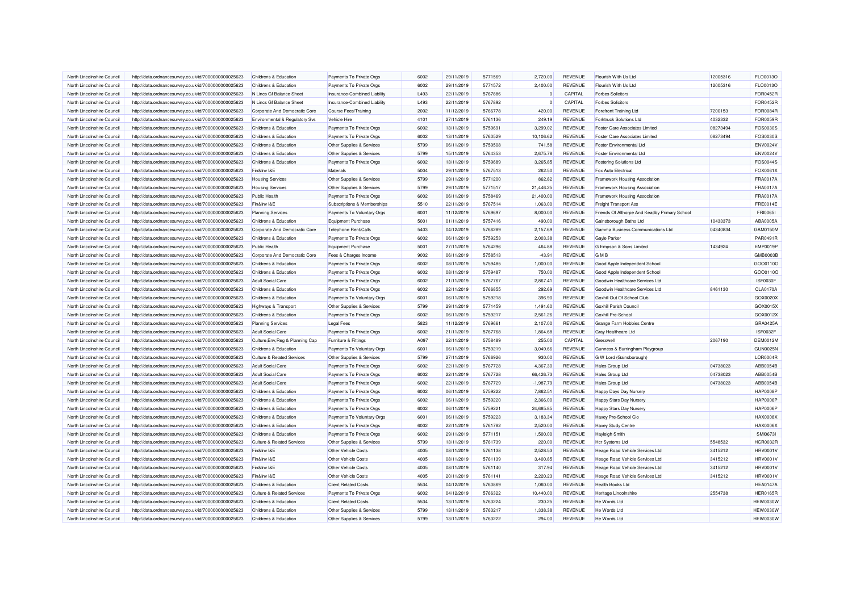| North Lincolnshire Council | http://data.ordnancesurvey.co.uk/id/7000000000025623 | Childrens & Education                 | Payments To Private Orgs     | 6002 | 29/11/2019 | 5771569 | 2,720.00    | REVENUE        | Flourish With Us Ltd                          | 12005316 | FLO0013O                    |
|----------------------------|------------------------------------------------------|---------------------------------------|------------------------------|------|------------|---------|-------------|----------------|-----------------------------------------------|----------|-----------------------------|
| North Lincolnshire Council | http://data.ordnancesurvey.co.uk/id/7000000000025623 | Childrens & Education                 | Payments To Private Orgs     | 6002 | 29/11/2019 | 5771572 | 2,400.00    | REVENUE        | Flourish With Us Ltd                          | 12005316 | FLO0013O                    |
| North Lincolnshire Council | http://data.ordnancesurvey.co.uk/id/7000000000025623 | N Lincs Gf Balance Sheet              | Insurance-Combined Liability | L493 | 22/11/2019 | 5767886 | $\Omega$    | CAPITAL        | <b>Forbes Solicitors</b>                      |          | <b>FOR0452F</b>             |
| North Lincolnshire Council | http://data.ordnancesurvey.co.uk/id/7000000000025623 | N Lincs Gf Balance Sheet              | Insurance-Combined Liability | L493 | 22/11/2019 | 5767892 |             | CAPITAL        | <b>Forbes Solicitors</b>                      |          | <b>FOR0452F</b>             |
| North Lincolnshire Council | http://data.ordnancesurvey.co.uk/id/7000000000025623 | Corporate And Democratic Core         | Course Fees/Training         | 2002 | 11/12/2019 | 5766778 | 420.00      | REVENUE        | <b>Forefront Training Ltd</b>                 | 7200153  | FOR0084F                    |
| North Lincolnshire Council | http://data.ordnancesurvey.co.uk/id/7000000000025623 | Environmental & Regulatory Svs        | Vehicle Hire                 | 4101 | 27/11/2019 | 5761136 | 249.19      | <b>REVENUE</b> | <b>Forktruck Solutions Ltd</b>                | 4032332  | <b>FOR0059F</b>             |
| North Lincolnshire Council | http://data.ordnancesurvey.co.uk/id/7000000000025623 | Childrens & Education                 | Payments To Private Orgs     | 6002 | 13/11/2019 | 5759691 | 3.299.02    | <b>REVENUE</b> | <b>Foster Care Associates Limited</b>         | 08273494 | FOS0030S                    |
| North Lincolnshire Council | http://data.ordnancesurvey.co.uk/id/7000000000025623 | Childrens & Education                 | Payments To Private Orgs     | 6002 | 13/11/2019 | 5760529 | 10,106.62   | <b>REVENUE</b> | <b>Foster Care Associates Limited</b>         | 08273494 | FOS0030S                    |
| North Lincolnshire Council | http://data.ordnancesurvey.co.uk/id/7000000000025623 | Childrens & Education                 | Other Supplies & Services    | 5799 | 06/11/2019 | 5759508 | 741.58      | <b>REVENUE</b> | <b>Foster Environmental Ltd</b>               |          | ENV0024V                    |
| North Lincolnshire Council | http://data.ordnancesurvey.co.uk/id/7000000000025623 | Childrens & Education                 | Other Supplies & Services    | 5799 | 15/11/2019 | 5764353 | 2,675.78    | <b>REVENUE</b> | <b>Foster Environmental Ltd</b>               |          | ENV0024V                    |
| North Lincolnshire Council | http://data.ordnancesurvey.co.uk/id/7000000000025623 | Childrens & Education                 | Payments To Private Orgs     | 6002 | 13/11/2019 | 5759689 | 3,265.85    | REVENUE        | <b>Fostering Solutions Ltd</b>                |          | FOS0044S                    |
| North Lincolnshire Council | http://data.ordnancesurvey.co.uk/id/7000000000025623 | Fin&Inv I&E                           | Materials                    | 5004 | 29/11/2019 | 5767513 | 262.50      | REVENUE        | Fox Auto Electrical                           |          | FOX0061X                    |
| North Lincolnshire Council | http://data.ordnancesurvey.co.uk/id/7000000000025623 | <b>Housing Services</b>               | Other Supplies & Services    | 5799 | 29/11/2019 | 5771200 | 862.82      | REVENUE        | Framework Housing Association                 |          | FRA0017A                    |
| North Lincolnshire Council | http://data.ordnancesurvey.co.uk/id/7000000000025623 | <b>Housing Services</b>               | Other Supplies & Services    | 5799 | 29/11/2019 | 5771517 | 21,446.25   | REVENUE        | Framework Housing Association                 |          | FRA0017A                    |
| North Lincolnshire Council | http://data.ordnancesurvey.co.uk/id/7000000000025623 | <b>Public Health</b>                  | Payments To Private Orgs     | 6002 | 06/11/2019 | 5758469 | 21,400.00   | REVENUE        | Framework Housing Association                 |          | FRA0017A                    |
| North Lincolnshire Council | http://data.ordnancesurvey.co.uk/id/7000000000025623 | Fin&Inv I&E                           | Subscriptions & Memberships  | 5510 | 22/11/2019 | 5767514 | 1,063.00    | REVENUE        | <b>Freight Transport Ass</b>                  |          | FRE0014E                    |
| North Lincolnshire Council | http://data.ordnancesurvey.co.uk/id/7000000000025623 | <b>Planning Services</b>              | Payments To Voluntary Orgs   | 6001 | 11/12/2019 | 5769697 | 8,000.00    | REVENUE        | Friends Of Althorpe And Keadby Primary School |          | FRI00651                    |
| North Lincolnshire Council | http://data.ordnancesurvey.co.uk/id/7000000000025623 | Childrens & Education                 | Equipment Purchase           | 5001 | 01/11/2019 | 5757416 | 490.00      | <b>REVENUE</b> |                                               | 10433373 | ABA0005A                    |
|                            |                                                      |                                       |                              |      |            |         |             |                | Gainsborough Baths Ltd                        |          |                             |
| North Lincolnshire Council | http://data.ordnancesurvey.co.uk/id/7000000000025623 | Corporate And Democratic Core         | Telephone Rent/Calls         | 5403 | 04/12/2019 | 5766289 | 2,157.69    | REVENUE        | Gamma Business Communications Ltd             | 04340834 | GAM0150M                    |
| North Lincolnshire Council | http://data.ordnancesurvey.co.uk/id/7000000000025623 | Childrens & Education                 | Payments To Private Orgs     | 6002 | 06/11/2019 | 5759253 | 2,003.38    | REVENUE        | <b>Gayle Parker</b>                           |          | PAR0491F<br><b>EMP0019P</b> |
| North Lincolnshire Council | http://data.ordnancesurvey.co.uk/id/7000000000025623 | <b>Public Health</b>                  | <b>Equipment Purchase</b>    | 5001 | 27/11/2019 | 5764296 | 464.88      | REVENUE        | G Empson & Sons Limited                       | 1434924  |                             |
| North Lincolnshire Council | http://data.ordnancesurvey.co.uk/id/7000000000025623 | Corporate And Democratic Core         | Fees & Charges Income        | 9002 | 06/11/2019 | 5758513 | $-43.91$    | <b>REVENUE</b> | <b>GMB</b>                                    |          | GMB0003E                    |
| North Lincolnshire Council | http://data.ordnancesurvey.co.uk/id/7000000000025623 | Childrens & Education                 | Payments To Private Orgs     | 6002 | 08/11/2019 | 5759485 | 1,000.00    | REVENUE        | Good Apple Independent School                 |          | GOO0110C                    |
| North Lincolnshire Council | http://data.ordnancesurvey.co.uk/id/7000000000025623 | Childrens & Education                 | Payments To Private Orgs     | 6002 | 08/11/2019 | 5759487 | 750.00      | <b>REVENUE</b> | Good Apple Independent School                 |          | GOO0110C                    |
| North Lincolnshire Council | http://data.ordnancesurvey.co.uk/id/7000000000025623 | <b>Adult Social Care</b>              | Payments To Private Orgs     | 6002 | 21/11/2019 | 5767767 | 2,867.41    | REVENUE        | Goodwin Healthcare Services Ltd               |          | ISF0030F                    |
| North Lincolnshire Council | http://data.ordnancesurvey.co.uk/id/7000000000025623 | Childrens & Education                 | Payments To Private Orgs     | 6002 | 22/11/2019 | 5766855 | 292.69      | <b>REVENUE</b> | Goodwin Healthcare Services Ltd               | 8461130  | <b>CLA0170A</b>             |
| North Lincolnshire Council | http://data.ordnancesurvey.co.uk/id/7000000000025623 | <b>Childrens &amp; Education</b>      | Payments To Voluntary Orgs   | 6001 | 06/11/2019 | 5759218 | 396.90      | <b>REVENUE</b> | Goxhill Out Of School Club                    |          | GOX0020>                    |
| North Lincolnshire Council | http://data.ordnancesurvey.co.uk/id/7000000000025623 | Highways & Transport                  | Other Supplies & Services    | 5799 | 29/11/2019 | 5771459 | 1,491.60    | <b>REVENUE</b> | Goxhill Parish Council                        |          | GOX0015X                    |
| North Lincolnshire Council | http://data.ordnancesurvey.co.uk/id/7000000000025623 | Childrens & Education                 | Payments To Private Orgs     | 6002 | 06/11/2019 | 5759217 | 2,561.26    | REVENUE        | Goxhill Pre-School                            |          | GOX0012X                    |
| North Lincolnshire Council | http://data.ordnancesurvey.co.uk/id/7000000000025623 | <b>Planning Services</b>              | <b>Legal Fees</b>            | 5823 | 11/12/2019 | 5769661 | 2,107.00    | <b>REVENUE</b> | Grange Farm Hobbies Centre                    |          | GRA0425A                    |
| North Lincolnshire Council | http://data.ordnancesurvey.co.uk/id/7000000000025623 | <b>Adult Social Care</b>              | Payments To Private Orgs     | 6002 | 21/11/2019 | 5767768 | 1,864.68    | REVENUE        | <b>Gray Healthcare Ltd</b>                    |          | ISF0032F                    |
| North Lincolnshire Council | http://data.ordnancesurvey.co.uk/id/7000000000025623 | Culture, Env, Reg & Planning Cap      | Furniture & Fittings         | A097 | 22/11/2019 | 5758489 | 255.00      | CAPITAL        | Gresswell                                     | 2067190  | DEM0012M                    |
| North Lincolnshire Council | http://data.ordnancesurvey.co.uk/id/7000000000025623 | Childrens & Education                 | Payments To Voluntary Orgs   | 6001 | 06/11/2019 | 5759219 | 3,049.66    | <b>REVENUE</b> | Gunness & Burringham Playgroup                |          | <b>GUN0025M</b>             |
| North Lincolnshire Council | http://data.ordnancesurvey.co.uk/id/7000000000025623 | <b>Culture &amp; Related Services</b> | Other Supplies & Services    | 5799 | 27/11/2019 | 5766926 | 930.00      | <b>REVENUE</b> | G W Lord (Gainsborough)                       |          | LOR0004R                    |
| North Lincolnshire Council | http://data.ordnancesurvey.co.uk/id/7000000000025623 | <b>Adult Social Care</b>              | Payments To Private Orgs     | 6002 | 22/11/2019 | 5767728 | 4,367.30    | REVENUE        | <b>Hales Group Ltd</b>                        | 04738023 | ABB0054B                    |
| North Lincolnshire Council | http://data.ordnancesurvey.co.uk/id/7000000000025623 | <b>Adult Social Care</b>              | Payments To Private Orgs     | 6002 | 22/11/2019 | 5767728 | 66,426.73   | REVENUE        | Hales Group Ltd                               | 04738023 | ABB0054B                    |
| North Lincolnshire Council | http://data.ordnancesurvey.co.uk/id/7000000000025623 | <b>Adult Social Care</b>              | Payments To Private Orgs     | 6002 | 22/11/2019 | 5767729 | $-1,987.79$ | REVENUE        | Hales Group Ltd                               | 04738023 | ABB0054B                    |
| North Lincolnshire Council | http://data.ordnancesurvey.co.uk/id/7000000000025623 | Childrens & Education                 | Payments To Private Orgs     | 6002 | 06/11/2019 | 5759222 | 7,862.51    | REVENUE        | Happy Days Day Nursery                        |          | <b>HAP0008P</b>             |
| North Lincolnshire Council | http://data.ordnancesurvey.co.uk/id/7000000000025623 | Childrens & Education                 | Payments To Private Orgs     | 6002 | 06/11/2019 | 5759220 | 2,366.00    | REVENUE        | Happy Stars Day Nursery                       |          | <b>HAP0006P</b>             |
| North Lincolnshire Council | http://data.ordnancesurvey.co.uk/id/7000000000025623 | Childrens & Education                 | Payments To Private Orgs     | 6002 | 06/11/2019 | 5759221 | 24.685.85   | <b>REVENUE</b> | Happy Stars Day Nursery                       |          | <b>HAP0006F</b>             |
| North Lincolnshire Council | http://data.ordnancesurvey.co.uk/id/7000000000025623 | Childrens & Education                 | Payments To Voluntary Orgs   | 6001 | 06/11/2019 | 5759223 | 3,183.34    | REVENUE        | Haxey Pre-School Cio                          |          | HAX0008X                    |
| North Lincolnshire Council | http://data.ordnancesurvey.co.uk/id/7000000000025623 | Childrens & Education                 | Payments To Private Orgs     | 6002 | 22/11/2019 | 5761782 | 2,520.00    | <b>REVENUE</b> | <b>Haxey Study Centre</b>                     |          | <b>HAX0006X</b>             |
| North Lincolnshire Council | http://data.ordnancesurvey.co.uk/id/7000000000025623 | Childrens & Education                 | Payments To Private Orgs     | 6002 | 29/11/2019 | 5771151 | 1,500.00    | <b>REVENUE</b> | Hayleigh Smith                                |          | SMI06731                    |
| North Lincolnshire Council | http://data.ordnancesurvey.co.uk/id/7000000000025623 | <b>Culture &amp; Related Services</b> | Other Supplies & Services    | 5799 | 13/11/2019 | 5761739 | 220.00      | REVENUE        | <b>Hcr Systems Ltd</b>                        | 5548532  | HCR0032F                    |
| North Lincolnshire Council | http://data.ordnancesurvey.co.uk/id/7000000000025623 | Fin&Inv I&E                           | Other Vehicle Costs          | 4005 | 08/11/2019 | 5761138 | 2,528.53    | REVENUE        | Heage Road Vehicle Services Ltd               | 3415212  | HRV0001V                    |
|                            |                                                      |                                       |                              |      |            |         |             |                |                                               |          |                             |
| North Lincolnshire Council | http://data.ordnancesurvey.co.uk/id/7000000000025623 | Fin&Inv I&E                           | Other Vehicle Costs          | 4005 | 08/11/2019 | 5761139 | 3,400.85    | <b>REVENUE</b> | Heage Road Vehicle Services Ltd               | 3415212  | <b>HRV0001V</b>             |
| North Lincolnshire Council | http://data.ordnancesurvey.co.uk/id/7000000000025623 | Fin&Inv I&E                           | <b>Other Vehicle Costs</b>   | 4005 | 08/11/2019 | 5761140 | 317.94      | <b>REVENUE</b> | Heage Road Vehicle Services Ltd               | 3415212  | HRV0001V                    |
| North Lincolnshire Council | http://data.ordnancesurvey.co.uk/id/7000000000025623 | Fin&Inv I&E                           | Other Vehicle Costs          | 4005 | 20/11/2019 | 5761141 | 2,220.23    | REVENUE        | Heage Road Vehicle Services Ltd               | 3415212  | HRV0001V                    |
| North Lincolnshire Council | http://data.ordnancesurvey.co.uk/id/7000000000025623 | Childrens & Education                 | <b>Client Related Costs</b>  | 5534 | 04/12/2019 | 5760869 | 1,060.00    | REVENUE        | <b>Health Books Ltd</b>                       |          | <b>HEA0147A</b>             |
| North Lincolnshire Council | http://data.ordnancesurvey.co.uk/id/7000000000025623 | <b>Culture &amp; Related Services</b> | Payments To Private Orgs     | 6002 | 04/12/2019 | 5766322 | 10,440.00   | <b>REVENUE</b> | Heritage Lincolnshire                         | 2554738  | <b>HER0165F</b>             |
| North Lincolnshire Council | http://data.ordnancesurvey.co.uk/id/7000000000025623 | Childrens & Education                 | <b>Client Related Costs</b>  | 5534 | 13/11/2019 | 5763224 | 230.25      | <b>REVENUE</b> | He Words Ltd                                  |          | <b>HEW0030W</b>             |
| North Lincolnshire Council | http://data.ordnancesurvey.co.uk/id/7000000000025623 | Childrens & Education                 | Other Supplies & Services    | 5799 | 13/11/2019 | 5763217 | 1,338.38    | REVENUE        | He Words Ltd                                  |          | <b>HEW0030W</b>             |
| North Lincolnshire Council | http://data.ordnancesurvey.co.uk/id/7000000000025623 | Childrens & Education                 | Other Supplies & Services    | 5799 | 13/11/2019 | 5763222 | 294.00      | REVENUE        | He Words Ltd                                  |          | HEW0030W                    |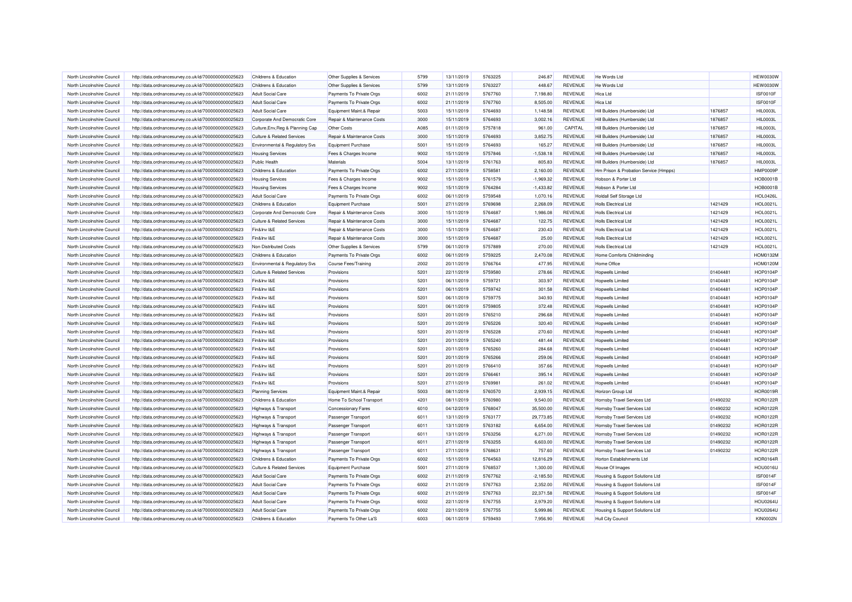| North Lincolnshire Council | http://data.ordnancesurvey.co.uk/id/7000000000025623 | Childrens & Education                 | Other Supplies & Services  | 5799         | 13/11/2019 | 5763225            | 246.87      | <b>REVENUE</b>                   | He Words Ltd                          |          | <b>HEW0030W</b> |
|----------------------------|------------------------------------------------------|---------------------------------------|----------------------------|--------------|------------|--------------------|-------------|----------------------------------|---------------------------------------|----------|-----------------|
| North Lincolnshire Council | http://data.ordnancesurvey.co.uk/id/7000000000025623 | Childrens & Education                 | Other Supplies & Services  | 5799         | 13/11/2019 | 5763227            | 448.67      | <b>REVENUE</b>                   | He Words Ltd                          |          | <b>HEW0030W</b> |
| North Lincolnshire Council | http://data.ordnancesurvey.co.uk/id/7000000000025623 | <b>Adult Social Care</b>              | Payments To Private Orgs   | 6002         | 21/11/2019 | 5767760            | 7,198.80    | <b>REVENUE</b>                   | <b>Hica Ltd</b>                       |          | ISF0010F        |
| North Lincolnshire Council | http://data.ordnancesurvey.co.uk/id/7000000000025623 | <b>Adult Social Care</b>              | Payments To Private Orgs   | 6002         | 21/11/2019 | 5767760            | 8,505.00    | <b>REVENUE</b>                   | Hica I td                             |          | ISF0010F        |
| North Lincolnshire Council | http://data.ordnancesurvey.co.uk/id/7000000000025623 | <b>Adult Social Care</b>              | Equipment Maint.& Repair   | 5003         | 15/11/2019 | 5764693            | 1,148.58    | <b>REVENUE</b>                   | Hill Builders (Humberside) Ltd        | 1876857  | <b>HIL0003L</b> |
| North Lincolnshire Council | http://data.ordnancesurvey.co.uk/id/7000000000025623 | Corporate And Democratic Core         | Repair & Maintenance Costs | 3000         | 15/11/2019 | 5764693            | 3,002.16    | <b>REVENUE</b>                   | Hill Builders (Humberside) Ltd        | 1876857  | HIL0003L        |
| North Lincolnshire Council | http://data.ordnancesurvey.co.uk/id/7000000000025623 | Culture, Env, Reg & Planning Cap      | <b>Other Costs</b>         | A085         | 01/11/2019 | 5757818            | 961.00      | CAPITAL                          | Hill Builders (Humberside) Ltd        | 1876857  | <b>HIL0003L</b> |
| North Lincolnshire Council | http://data.ordnancesurvey.co.uk/id/7000000000025623 | <b>Culture &amp; Related Services</b> | Repair & Maintenance Costs | 3000         | 15/11/2019 | 5764693            | 3,852.75    | <b>REVENUE</b>                   | Hill Builders (Humberside) Ltd        | 1876857  | <b>HIL0003L</b> |
| North Lincolnshire Council | http://data.ordnancesurvey.co.uk/id/7000000000025623 | Environmental & Regulatory Svs        | <b>Equipment Purchase</b>  | 5001         | 15/11/2019 | 5764693            | 165.27      | <b>REVENUE</b>                   | Hill Builders (Humberside) Ltd        | 1876857  | <b>HIL0003L</b> |
| North Lincolnshire Council | http://data.ordnancesurvey.co.uk/id/7000000000025623 | <b>Housing Services</b>               | Fees & Charges Income      | 9002         | 15/11/2019 | 5757846            | $-1,538.18$ | <b>REVENUE</b>                   | Hill Builders (Humberside) Ltd        | 1876857  | <b>HIL0003L</b> |
| North Lincolnshire Council | http://data.ordnancesurvey.co.uk/id/7000000000025623 | Public Health                         | Materials                  | 5004         | 13/11/2019 | 5761763            | 805.83      | <b>REVENUE</b>                   | Hill Builders (Humberside) Ltd        | 1876857  | HIL0003L        |
| North Lincolnshire Council | http://data.ordnancesurvey.co.uk/id/7000000000025623 | Childrens & Education                 | Payments To Private Orgs   | 6002         | 27/11/2019 | 5758581            | 2,160.00    | <b>REVENUE</b>                   | Hm Prison & Probation Service (Hmpps) |          | HMP0009P        |
| North Lincolnshire Council | http://data.ordnancesurvey.co.uk/id/7000000000025623 | <b>Housing Services</b>               | Fees & Charges Income      | 9002         | 15/11/2019 | 5761579            | $-1,969.32$ | REVENUE                          | Hobson & Porter Ltd                   |          | <b>HOB0001B</b> |
| North Lincolnshire Council | http://data.ordnancesurvey.co.uk/id/7000000000025623 | <b>Housing Services</b>               | Fees & Charges Income      | 9002         | 15/11/2019 | 5764284            | $-1,433.82$ | <b>REVENUE</b>                   | Hobson & Porter Ltd                   |          | <b>HOB0001B</b> |
| North Lincolnshire Council | http://data.ordnancesurvey.co.uk/id/7000000000025623 | <b>Adult Social Care</b>              | Payments To Private Orgs   | 6002         | 06/11/2019 | 5759548            | 1.070.16    | <b>REVENUE</b>                   | <b>Holdall Self Storage Ltd</b>       |          | <b>HOL0426L</b> |
| North Lincolnshire Council | http://data.ordnancesurvey.co.uk/id/7000000000025623 | Childrens & Education                 | <b>Equipment Purchase</b>  | 5001         | 27/11/2019 | 5769698            | 2,268.09    | <b>REVENUE</b>                   | <b>Holls Electrical Ltd</b>           | 1421429  | HOL0021L        |
| North Lincolnshire Council | http://data.ordnancesurvey.co.uk/id/7000000000025623 | Corporate And Democratic Core         | Repair & Maintenance Costs | 3000         | 15/11/2019 | 5764687            | 1,986.08    | <b>REVENUE</b>                   | <b>Holls Electrical Ltd</b>           | 1421429  | <b>HOL0021L</b> |
| North Lincolnshire Council | http://data.ordnancesurvey.co.uk/id/7000000000025623 | <b>Culture &amp; Related Services</b> | Repair & Maintenance Costs | 3000         | 15/11/2019 | 5764687            | 122.75      | <b>REVENUE</b>                   | <b>Holls Electrical Ltd</b>           | 1421429  | HOL0021L        |
|                            |                                                      |                                       |                            |              |            |                    |             |                                  |                                       |          |                 |
| North Lincolnshire Council | http://data.ordnancesurvey.co.uk/id/7000000000025623 | Fin&Inv I&E                           | Repair & Maintenance Costs | 3000<br>3000 | 15/11/2019 | 5764687<br>5764687 | 230.43      | <b>REVENUE</b><br><b>REVENUE</b> | <b>Holls Electrical Ltd</b>           | 1421429  | <b>HOL0021L</b> |
| North Lincolnshire Council | http://data.ordnancesurvey.co.uk/id/7000000000025623 | Fin&Inv I&E                           | Repair & Maintenance Costs |              | 15/11/2019 |                    | 25.00       |                                  | <b>Holls Electrical Ltd</b>           | 1421429  | HOL0021L        |
| North Lincolnshire Council | http://data.ordnancesurvey.co.uk/id/7000000000025623 | Non Distributed Costs                 | Other Supplies & Services  | 5799         | 06/11/2019 | 5757889            | 270.00      | <b>REVENUE</b>                   | Holls Flectrical Ltd                  | 1421429  | HOL0021L        |
| North Lincolnshire Council | http://data.ordnancesurvey.co.uk/id/7000000000025623 | Childrens & Education                 | Payments To Private Orgs   | 6002         | 06/11/2019 | 5759225            | 2,470.08    | <b>REVENUE</b>                   | Home Comforts Childminding            |          | <b>HOM0132M</b> |
| North Lincolnshire Council | http://data.ordnancesurvey.co.uk/id/7000000000025623 | Environmental & Regulatory Svs        | Course Fees/Training       | 2002         | 20/11/2019 | 5766764            | 477.95      | <b>REVENUE</b>                   | Home Office                           |          | <b>HOM0120M</b> |
| North Lincolnshire Council | http://data.ordnancesurvey.co.uk/id/7000000000025623 | <b>Culture &amp; Related Services</b> | Provisions                 | 5201         | 22/11/2019 | 5759580            | 278.66      | <b>REVENUE</b>                   | <b>Hopwells Limited</b>               | 01404481 | <b>HOP0104P</b> |
| North Lincolnshire Council | http://data.ordnancesurvey.co.uk/id/7000000000025623 | Fin&Inv I&E                           | Provisions                 | 5201         | 06/11/2019 | 5759721            | 303.97      | REVENUE                          | Hopwells Limited                      | 01404481 | <b>HOP0104P</b> |
| North Lincolnshire Council | http://data.ordnancesurvey.co.uk/id/7000000000025623 | Fin&Inv I&E                           | Provisions                 | 5201         | 06/11/2019 | 5759742            | 301.58      | <b>REVENUE</b>                   | <b>Hopwells Limited</b>               | 01404481 | <b>HOP0104P</b> |
| North Lincolnshire Council | http://data.ordnancesurvey.co.uk/id/7000000000025623 | Fin&Inv I&E                           | Provisions                 | 5201         | 06/11/2019 | 5759775            | 340.93      | <b>REVENUE</b>                   | <b>Hopwells Limited</b>               | 01404481 | <b>HOP0104P</b> |
| North Lincolnshire Council | http://data.ordnancesurvey.co.uk/id/7000000000025623 | Fin&Inv I&E                           | Provisions                 | 5201         | 06/11/2019 | 5759805            | 372.48      | REVENUE                          | <b>Hopwells Limited</b>               | 01404481 | <b>HOP0104P</b> |
| North Lincolnshire Council | http://data.ordnancesurvey.co.uk/id/7000000000025623 | Fin&Inv I&E                           | Provisions                 | 5201         | 20/11/2019 | 5765210            | 296.68      | <b>REVENUE</b>                   | <b>Hopwells Limited</b>               | 01404481 | <b>HOP0104P</b> |
| North Lincolnshire Council | http://data.ordnancesurvey.co.uk/id/7000000000025623 | Fin&Inv I&E                           | Provisions                 | 5201         | 20/11/2019 | 5765226            | 320.40      | <b>REVENUE</b>                   | <b>Hopwells Limited</b>               | 01404481 | <b>HOP0104P</b> |
| North Lincolnshire Council | http://data.ordnancesurvey.co.uk/id/7000000000025623 | Fin&Inv I&E                           | Provisions                 | 5201         | 20/11/2019 | 5765228            | 270.60      | <b>REVENUE</b>                   | Hopwells Limited                      | 01404481 | <b>HOP0104P</b> |
| North Lincolnshire Council | http://data.ordnancesurvey.co.uk/id/7000000000025623 | Fin&Inv I&E                           | Provisions                 | 5201         | 20/11/2019 | 5765240            | 481.44      | <b>REVENUE</b>                   | <b>Hopwells Limited</b>               | 01404481 | <b>HOP0104P</b> |
| North Lincolnshire Council | http://data.ordnancesurvey.co.uk/id/7000000000025623 | Fin&Inv I&E                           | Provisions                 | 5201         | 20/11/2019 | 5765260            | 284.68      | REVENUE                          | Hopwells Limited                      | 01404481 | <b>HOP0104P</b> |
| North Lincolnshire Council | http://data.ordnancesurvey.co.uk/id/7000000000025623 | Fin&Inv I&E                           | Provisions                 | 5201         | 20/11/2019 | 5765266            | 259.06      | REVENUE                          | <b>Hopwells Limited</b>               | 01404481 | <b>HOP0104P</b> |
| North Lincolnshire Council | http://data.ordnancesurvey.co.uk/id/7000000000025623 | Fin&Inv I&E                           | Provisions                 | 5201         | 20/11/2019 | 5766410            | 357.66      | <b>REVENUE</b>                   | <b>Hopwells Limited</b>               | 01404481 | <b>HOP0104P</b> |
| North Lincolnshire Council | http://data.ordnancesurvey.co.uk/id/7000000000025623 | Fin&Inv I&E                           | Provisions                 | 5201         | 20/11/2019 | 5766461            | 395.14      | <b>REVENUE</b>                   | <b>Hopwells Limited</b>               | 01404481 | <b>HOP0104P</b> |
| North Lincolnshire Council | http://data.ordnancesurvey.co.uk/id/7000000000025623 | Fin&Inv I&E                           | Provisions                 | 5201         | 27/11/2019 | 5769981            | 261.02      | REVENUE                          | <b>Hopwells Limited</b>               | 01404481 | <b>HOP0104P</b> |
| North Lincolnshire Council | http://data.ordnancesurvey.co.uk/id/7000000000025623 | <b>Planning Services</b>              | Equipment Maint.& Repair   | 5003         | 08/11/2019 | 5760570            | 2,939.15    | <b>REVENUE</b>                   | Horizon Group Ltd                     |          | <b>HOR0019R</b> |
| North Lincolnshire Council | http://data.ordnancesurvey.co.uk/id/7000000000025623 | Childrens & Education                 | Home To School Transport   | 4201         | 08/11/2019 | 5760980            | 9,540.00    | REVENUE                          | Hornsby Travel Services Ltd           | 01490232 | <b>HOR0122F</b> |
| North Lincolnshire Council | http://data.ordnancesurvey.co.uk/id/7000000000025623 | <b>Highways &amp; Transport</b>       | <b>Concessionary Fares</b> | 6010         | 04/12/2019 | 5768047            | 35,500.00   | <b>REVENUE</b>                   | <b>Hornsby Travel Services Ltd</b>    | 01490232 | <b>HOR0122F</b> |
| North Lincolnshire Council | http://data.ordnancesurvey.co.uk/id/7000000000025623 | Highways & Transport                  | Passenger Transport        | 6011         | 13/11/2019 | 5763177            | 29,773.85   | <b>REVENUE</b>                   | Hornsby Travel Services Ltd           | 01490232 | <b>HOR0122F</b> |
| North Lincolnshire Council | http://data.ordnancesurvey.co.uk/id/7000000000025623 | Highways & Transport                  | Passenger Transport        | 6011         | 13/11/2019 | 5763182            | 6,654.00    | REVENUE                          | Hornsby Travel Services Ltd           | 01490232 | HOR0122R        |
| North Lincolnshire Council | http://data.ordnancesurvey.co.uk/id/7000000000025623 | <b>Highways &amp; Transport</b>       | Passenger Transport        | 6011         | 13/11/2019 | 5763256            | 6,271.00    | <b>REVENUE</b>                   | Hornsby Travel Services Ltd           | 01490232 | <b>HOR0122F</b> |
| North Lincolnshire Council | http://data.ordnancesurvey.co.uk/id/7000000000025623 | Highways & Transport                  | Passenger Transport        | 6011         | 27/11/2019 | 5763255            | 6,603.00    | <b>REVENUE</b>                   | Hornsby Travel Services Ltd           | 01490232 | <b>HOR0122R</b> |
| North Lincolnshire Council | http://data.ordnancesurvey.co.uk/id/7000000000025623 | <b>Highways &amp; Transport</b>       | Passenger Transport        | 6011         | 27/11/2019 | 5768631            | 757.60      | REVENUE                          | Hornsby Travel Services Ltd           | 01490232 | <b>HOR0122F</b> |
| North Lincolnshire Council | http://data.ordnancesurvey.co.uk/id/7000000000025623 | <b>Childrens &amp; Education</b>      | Payments To Private Orgs   | 6002         | 15/11/2019 | 5764563            | 12,816.29   | <b>REVENUE</b>                   | Horton Establishments Ltd             |          | <b>HOR0164R</b> |
| North Lincolnshire Council | http://data.ordnancesurvey.co.uk/id/7000000000025623 | <b>Culture &amp; Related Services</b> | <b>Equipment Purchase</b>  | 5001         | 27/11/2019 | 5768537            | 1,300.00    | <b>REVENUE</b>                   | House Of Images                       |          | HOU0016U        |
| North Lincolnshire Council | http://data.ordnancesurvey.co.uk/id/7000000000025623 | <b>Adult Social Care</b>              | Payments To Private Orgs   | 6002         | 21/11/2019 | 5767762            | $-2,185.50$ | <b>REVENUE</b>                   | Housing & Support Solutions Ltd       |          | <b>ISF0014F</b> |
| North Lincolnshire Council | http://data.ordnancesurvey.co.uk/id/7000000000025623 | <b>Adult Social Care</b>              | Payments To Private Orgs   | 6002         | 21/11/2019 | 5767763            | 2,352.00    | <b>REVENUE</b>                   | Housing & Support Solutions Ltd       |          | ISF0014F        |
| North Lincolnshire Council | http://data.ordnancesurvey.co.uk/id/7000000000025623 | <b>Adult Social Care</b>              | Payments To Private Orgs   | 6002         | 21/11/2019 | 5767763            | 22,371.58   | REVENUE                          | Housing & Support Solutions Ltd       |          | ISF0014F        |
| North Lincolnshire Council | http://data.ordnancesurvey.co.uk/id/7000000000025623 | <b>Adult Social Care</b>              | Payments To Private Orgs   | 6002         | 22/11/2019 | 5767755            | 2,979.20    | <b>REVENUE</b>                   | Housing & Support Solutions Ltd       |          | <b>HOU0264U</b> |
| North Lincolnshire Council |                                                      | <b>Adult Social Care</b>              | Payments To Private Orgs   | 6002         | 22/11/2019 | 5767755            | 5,999.86    | <b>REVENUE</b>                   | Housing & Support Solutions Ltd       |          | <b>HOU0264U</b> |
| North Lincolnshire Council | http://data.ordnancesurvey.co.uk/id/7000000000025623 | Childrens & Education                 | Payments To Other La'S     | 6003         | 06/11/2019 | 5759493            | 7.956.90    | <b>REVENUE</b>                   |                                       |          | <b>KIN0002N</b> |
|                            | http://data.ordnancesurvey.co.uk/id/7000000000025623 |                                       |                            |              |            |                    |             |                                  | <b>Hull City Council</b>              |          |                 |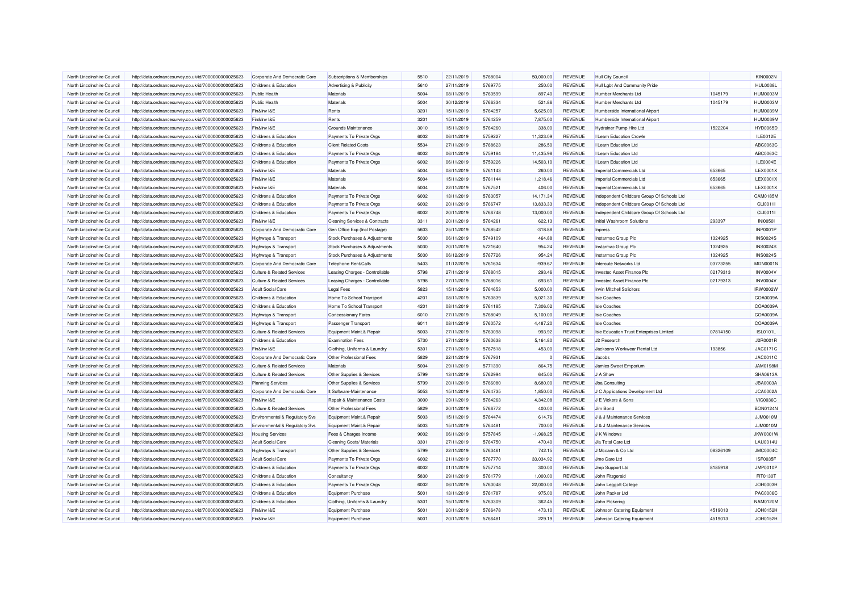| North Lincolnshire Council | http://data.ordnancesurvey.co.uk/id/7000000000025623 | Corporate And Democratic Core             | Subscriptions & Memberships              | 5510 | 22/11/2019 | 5768004 | 50,000.00   | REVENUE        | <b>Hull City Council</b>                   |          | <b>KIN0002N</b> |
|----------------------------|------------------------------------------------------|-------------------------------------------|------------------------------------------|------|------------|---------|-------------|----------------|--------------------------------------------|----------|-----------------|
| North Lincolnshire Council | http://data.ordnancesurvey.co.uk/id/7000000000025623 | Childrens & Education                     | Advertising & Publicity                  | 5610 | 27/11/2019 | 5769775 | 250.00      | <b>REVENUE</b> | Hull Labt And Community Pride              |          | HUL0038L        |
| North Lincolnshire Council | http://data.ordnancesurvey.co.uk/id/7000000000025623 | <b>Public Health</b>                      | Materials                                | 5004 | 08/11/2019 | 5760599 | 897.40      | <b>REVENUE</b> | Humber Merchants Ltd                       | 1045179  | <b>HUM0003M</b> |
| North Lincolnshire Council | http://data.ordnancesurvey.co.uk/id/7000000000025623 | <b>Public Health</b>                      | Materials                                | 5004 | 30/12/2019 | 5766334 | 521.86      | REVENUE        | Humber Merchants Ltd                       | 1045179  | <b>HUM0003M</b> |
| North Lincolnshire Council | http://data.ordnancesurvey.co.uk/id/7000000000025623 | Fin&Inv I&E                               | Rents                                    | 3201 | 15/11/2019 | 5764257 | 5,625.00    | <b>REVENUE</b> | Humberside International Airport           |          | <b>HUM0039M</b> |
| North Lincolnshire Council | http://data.ordnancesurvey.co.uk/id/7000000000025623 | Fin&Inv I&E                               | Rents                                    | 3201 | 15/11/2019 | 5764259 | 7,875.00    | REVENUE        | Humberside International Airport           |          | <b>HUM0039M</b> |
| North Lincolnshire Council | http://data.ordnancesurvey.co.uk/id/7000000000025623 | Fin&Inv I&E                               | Grounds Maintenance                      | 3010 | 15/11/2019 | 5764260 | 338.00      | REVENUE        | Hydrainer Pump Hire Ltd                    | 1522204  | <b>HYD0065D</b> |
| North Lincolnshire Council | http://data.ordnancesurvey.co.uk/id/7000000000025623 | Childrens & Education                     | Payments To Private Orgs                 | 6002 | 06/11/2019 | 5759227 | 11,323.09   | <b>REVENUE</b> | I Learn Education Crowle                   |          | ILE0012E        |
| North Lincolnshire Council | http://data.ordnancesurvey.co.uk/id/7000000000025623 | Childrens & Education                     | <b>Client Related Costs</b>              | 5534 | 27/11/2019 | 5768623 | 286.50      | <b>REVENUE</b> | I Learn Education Ltd                      |          | ABC0063C        |
| North Lincolnshire Council | http://data.ordnancesurvey.co.uk/id/7000000000025623 | Childrens & Education                     | Payments To Private Orgs                 | 6002 | 06/11/2019 | 5759184 | 11.435.98   | <b>REVENUE</b> | I Learn Education Ltd                      |          | ABC0063C        |
| North Lincolnshire Council | http://data.ordnancesurvey.co.uk/id/7000000000025623 | Childrens & Education                     | Payments To Private Orgs                 | 6002 | 06/11/2019 | 5759226 | 14,503.10   | <b>REVENUE</b> | I Learn Education Ltd                      |          | ILE0004E        |
| North Lincolnshire Council | http://data.ordnancesurvey.co.uk/id/7000000000025623 | Fin&Inv I&E                               | Materials                                | 5004 | 08/11/2019 | 5761143 | 260.00      | REVENUE        | Imperial Commercials Ltd                   | 653665   | LEX0001X        |
| North Lincolnshire Council | http://data.ordnancesurvey.co.uk/id/7000000000025623 | Fin&Inv I&E                               | Materials                                | 5004 | 15/11/2019 | 5761144 | 1,218.46    | <b>REVENUE</b> | Imperial Commercials Ltd                   | 653665   | LEX0001X        |
| North Lincolnshire Council | http://data.ordnancesurvey.co.uk/id/7000000000025623 | Fin&Inv I&E                               | Materials                                | 5004 | 22/11/2019 | 5767521 | 406.00      | REVENUE        | Imperial Commercials Ltd                   | 653665   | LEX0001X        |
| North Lincolnshire Council | http://data.ordnancesurvey.co.uk/id/7000000000025623 | Childrens & Education                     | Payments To Private Orgs                 | 6002 | 13/11/2019 | 5763057 | 14,171.34   | <b>REVENUE</b> | Independent Childcare Group Of Schools Ltd |          | CAM0185M        |
| North Lincolnshire Council | http://data.ordnancesurvey.co.uk/id/7000000000025623 | Childrens & Education                     | Payments To Private Orgs                 | 6002 | 20/11/2019 | 5766747 | 13,833.33   | REVENUE        | Independent Childcare Group Of Schools Ltd |          | CLI00111        |
| North Lincolnshire Council | http://data.ordnancesurvey.co.uk/id/7000000000025623 | Childrens & Education                     | Payments To Private Orgs                 | 6002 | 20/11/2019 | 5766748 | 13,000.00   | <b>REVENUE</b> | Independent Childcare Group Of Schools Ltd |          | CLI0011I        |
| North Lincolnshire Council |                                                      | Fin&Inv I&E                               |                                          | 3311 | 20/11/2019 | 5764261 | 622.13      | <b>REVENUE</b> | Initial Washroom Solutions                 | 293397   | <b>INI00501</b> |
|                            | http://data.ordnancesurvey.co.uk/id/7000000000025623 |                                           | <b>Cleaning Services &amp; Contracts</b> |      |            |         |             |                |                                            |          |                 |
| North Lincolnshire Council | http://data.ordnancesurvey.co.uk/id/7000000000025623 | Corporate And Democratic Core             | Gen Office Exp (Incl Postage)            | 5603 | 25/11/2019 | 5768542 | $-318.88$   | <b>REVENUE</b> | Inpress                                    |          | <b>INP0001P</b> |
| North Lincolnshire Council | http://data.ordnancesurvey.co.uk/id/7000000000025623 | Highways & Transport                      | Stock Purchases & Adjustments            | 5030 | 06/11/2019 | 5749109 | 464.88      | REVENUE        | Instarmac Group Plc                        | 1324925  | <b>INS0024S</b> |
| North Lincolnshire Council | http://data.ordnancesurvey.co.uk/id/7000000000025623 | Highways & Transport                      | Stock Purchases & Adjustments            | 5030 | 20/11/2019 | 5721640 | 954.24      | <b>REVENUE</b> | Instarmac Group Plc                        | 1324925  | <b>INS0024S</b> |
| North Lincolnshire Council | http://data.ordnancesurvey.co.uk/id/7000000000025623 | Highways & Transport                      | Stock Purchases & Adjustments            | 5030 | 06/12/2019 | 5767726 | 954.24      | <b>REVENUE</b> | Instarmac Group Plc                        | 1324925  | <b>INS0024S</b> |
| North Lincolnshire Council | http://data.ordnancesurvey.co.uk/id/7000000000025623 | Corporate And Democratic Core             | Telephone Rent/Calls                     | 5403 | 01/12/2019 | 5761634 | $-939.67$   | <b>REVENUE</b> | Interoute Networks Ltd                     | 03773255 | <b>MDN0001N</b> |
| North Lincolnshire Council | http://data.ordnancesurvey.co.uk/id/7000000000025623 | <b>Culture &amp; Related Services</b>     | Leasing Charges - Controllable           | 5798 | 27/11/2019 | 5768015 | 293.46      | <b>REVENUE</b> | Investec Asset Finance Plc                 | 02179313 | <b>INV0004V</b> |
| North Lincolnshire Council | http://data.ordnancesurvey.co.uk/id/7000000000025623 | <b>Culture &amp; Related Services</b>     | Leasing Charges - Controllable           | 5798 | 27/11/2019 | 5768016 | 693.61      | <b>REVENUE</b> | Investec Asset Finance Plo                 | 02179313 | <b>INV0004V</b> |
| North Lincolnshire Council | http://data.ordnancesurvey.co.uk/id/7000000000025623 | <b>Adult Social Care</b>                  | <b>Legal Fees</b>                        | 5823 | 15/11/2019 | 5764653 | 5,000.00    | <b>REVENUE</b> | Irwin Mitchell Solicitors                  |          | IRW0002W        |
| North Lincolnshire Council | http://data.ordnancesurvey.co.uk/id/7000000000025623 | Childrens & Education                     | Home To School Transport                 | 4201 | 08/11/2019 | 5760839 | 5,021.30    | <b>REVENUE</b> | <b>Isle Coaches</b>                        |          | COA0039A        |
| North Lincolnshire Council | http://data.ordnancesurvey.co.uk/id/7000000000025623 | Childrens & Education                     | Home To School Transport                 | 4201 | 08/11/2019 | 5761185 | 7,306.02    | REVENUE        | <b>Isle Coaches</b>                        |          | COA0039A        |
| North Lincolnshire Council | http://data.ordnancesurvey.co.uk/id/7000000000025623 | Highways & Transport                      | Concessionary Fares                      | 6010 | 27/11/2019 | 5768049 | 5,100.00    | <b>REVENUE</b> | <b>Isle Coaches</b>                        |          | COA0039A        |
| North Lincolnshire Council | http://data.ordnancesurvey.co.uk/id/7000000000025623 | Highways & Transport                      | Passenger Transport                      | 6011 | 08/11/2019 | 5760572 | 4,487.20    | REVENUE        | <b>Isle Coaches</b>                        |          | COA0039A        |
| North Lincolnshire Council | http://data.ordnancesurvey.co.uk/id/7000000000025623 | <b>Culture &amp; Related Services</b>     | Equipment Maint.& Repair                 | 5003 | 27/11/2019 | 5763098 | 993.92      | <b>REVENUE</b> | Isle Education Trust Enterprises Limited   | 07814150 | <b>ISL0101L</b> |
| North Lincolnshire Council | http://data.ordnancesurvey.co.uk/id/7000000000025623 | Childrens & Education                     | <b>Examination Fees</b>                  | 5730 | 27/11/2019 | 5760638 | 5.164.80    | <b>REVENUE</b> | J <sub>2</sub> Research                    |          | J2R0001R        |
| North Lincolnshire Council | http://data.ordnancesurvey.co.uk/id/7000000000025623 | Fin&Inv I&E                               | Clothing, Uniforms & Laundry             | 5301 | 27/11/2019 | 5767518 | 453.00      | <b>REVENUE</b> | Jacksons Workwear Rental Ltd               | 193856   | <b>JAC0171C</b> |
| North Lincolnshire Council | http://data.ordnancesurvey.co.uk/id/7000000000025623 | Corporate And Democratic Core             | Other Professional Fees                  | 5829 | 22/11/2019 | 5767931 |             | REVENUE        | Jacobs                                     |          | JAC0011C        |
| North Lincolnshire Council | http://data.ordnancesurvey.co.uk/id/7000000000025623 | <b>Culture &amp; Related Services</b>     | <b>Materials</b>                         | 5004 | 29/11/2019 | 5771390 | 864.75      | REVENUE        | Jamies Sweet Emporium                      |          | <b>JAM0198M</b> |
| North Lincolnshire Council | http://data.ordnancesurvey.co.uk/id/7000000000025623 | <b>Culture &amp; Related Services</b>     | Other Supplies & Services                | 5799 | 13/11/2019 | 5762994 | 645.00      | <b>REVENUE</b> | J A Shaw                                   |          | SHA0613A        |
| North Lincolnshire Council | http://data.ordnancesurvey.co.uk/id/7000000000025623 | <b>Planning Services</b>                  | Other Supplies & Services                | 5799 | 20/11/2019 | 5766080 | 8,680.00    | REVENUE        | Jba Consulting                             |          | <b>JBA0003A</b> |
| North Lincolnshire Council | http://data.ordnancesurvey.co.uk/id/7000000000025623 | Corporate And Democratic Core             | It Software-Maintenance                  | 5053 | 15/11/2019 | 5764735 | 1,850.00    | <b>REVENUE</b> | J C Applications Development Ltd           |          | <b>JCA0002A</b> |
| North Lincolnshire Council | http://data.ordnancesurvey.co.uk/id/7000000000025623 | Fin&Inv I&E                               | Repair & Maintenance Costs               | 3000 | 29/11/2019 | 5764263 | 4,342.08    | REVENUE        | J E Vickers & Sons                         |          | <b>VIC0036C</b> |
| North Lincolnshire Council | http://data.ordnancesurvey.co.uk/id/7000000000025623 | <b>Culture &amp; Related Services</b>     | Other Professional Fees                  | 5829 | 20/11/2019 | 5766772 | 400.00      | <b>REVENUE</b> | Jim Bond                                   |          | <b>BON0124N</b> |
| North Lincolnshire Council | http://data.ordnancesurvey.co.uk/id/7000000000025623 | <b>Environmental &amp; Regulatory Svs</b> | Equipment Maint.& Repair                 | 5003 | 15/11/2019 | 5764474 | 614.76      | <b>REVENUE</b> | J & J Maintenance Services                 |          | <b>JJM0010M</b> |
| North Lincolnshire Council | http://data.ordnancesurvey.co.uk/id/7000000000025623 | Environmental & Regulatory Svs            | Equipment Maint.& Repair                 | 5003 | 15/11/2019 | 5764481 | 700.00      | REVENUE        | J & J Maintenance Services                 |          | <b>JJM0010M</b> |
| North Lincolnshire Council | http://data.ordnancesurvey.co.uk/id/7000000000025623 | <b>Housing Services</b>                   | Fees & Charges Income                    | 9002 | 06/11/2019 | 5757845 | $-1,968.25$ | <b>REVENUE</b> | J K Windows                                |          | JKW0001W        |
| North Lincolnshire Council | http://data.ordnancesurvey.co.uk/id/7000000000025623 | <b>Adult Social Care</b>                  | Cleaning Costs/ Materials                | 3301 | 27/11/2019 | 5764750 | 470.40      | <b>REVENUE</b> | Jla Total Care Ltd                         |          | <b>LAU0014U</b> |
| North Lincolnshire Council | http://data.ordnancesurvey.co.uk/id/7000000000025623 | Highways & Transport                      | Other Supplies & Services                | 5799 | 22/11/2019 | 5763461 | 742.15      | <b>REVENUE</b> | J Mccann & Co Ltd                          | 08326109 | <b>JMC0004C</b> |
| North Lincolnshire Council | http://data.ordnancesurvey.co.uk/id/7000000000025623 | Adult Social Care                         | Payments To Private Orgs                 | 6002 | 21/11/2019 | 5767770 | 33.034.92   | <b>REVENUE</b> | Jme Care Ltd                               |          | ISF0035F        |
| North Lincolnshire Council | http://data.ordnancesurvey.co.uk/id/7000000000025623 | Childrens & Education                     | Payments To Private Orgs                 | 6002 | 01/11/2019 | 5757714 | 300.00      | REVENUE        | Jmp Support Ltd                            | 8185918  | <b>JMP0010P</b> |
| North Lincolnshire Council | http://data.ordnancesurvey.co.uk/id/7000000000025623 | Childrens & Education                     | Consultancy                              | 5830 | 29/11/2019 | 5761779 | 1,000.00    | REVENUE        | John Fitzgerald                            |          | FIT0130T        |
| North Lincolnshire Council | http://data.ordnancesurvey.co.uk/id/7000000000025623 | <b>Childrens &amp; Education</b>          | Payments To Private Orgs                 | 6002 | 06/11/2019 | 5760048 | 22,000.00   | REVENUE        | John Leggott College                       |          | JOH0003H        |
| North Lincolnshire Council | http://data.ordnancesurvey.co.uk/id/7000000000025623 | Childrens & Education                     | <b>Equipment Purchase</b>                | 5001 | 13/11/2019 | 5761787 | 975.00      | REVENUE        | John Packer Ltd                            |          | <b>PAC0006C</b> |
| North Lincolnshire Council | http://data.ordnancesurvey.co.uk/id/7000000000025623 | Childrens & Education                     | Clothing, Uniforms & Laundry             | 5301 | 15/11/2019 | 5763309 | 362.45      | REVENUE        | John Pickering                             |          | <b>NAM0120M</b> |
| North Lincolnshire Council | http://data.ordnancesurvey.co.uk/id/7000000000025623 | Fin&Inv I&E                               | Equipment Purchase                       | 5001 | 20/11/2019 | 5766478 | 473.10      | <b>REVENUE</b> | Johnson Catering Equipment                 | 4519013  | JOH0152H        |
| North Lincolnshire Council | http://data.ordnancesurvey.co.uk/id/7000000000025623 | Fin&Inv I&E                               | <b>Equipment Purchase</b>                | 5001 | 20/11/2019 | 5766481 | 229.19      | <b>REVENUE</b> | Johnson Catering Equipment                 | 4519013  | JOH0152H        |
|                            |                                                      |                                           |                                          |      |            |         |             |                |                                            |          |                 |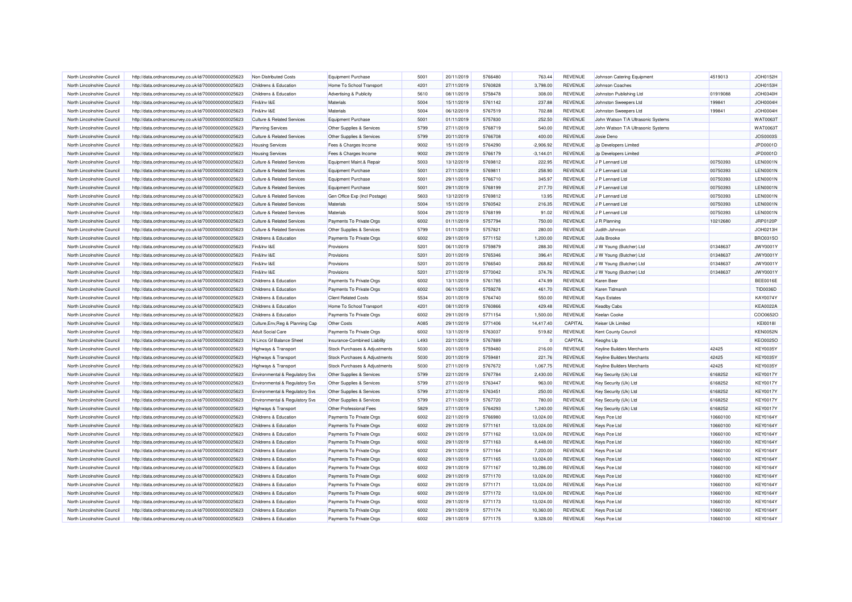| North Lincolnshire Council                               | http://data.ordnancesurvey.co.uk/id/7000000000025623 | Non Distributed Costs                 | <b>Equipment Purchase</b>     | 5001 | 20/11/2019               | 5766480 | 763.44             | REVENUE                          | Johnson Catering Equipment         | 4519013  | <b>JOH0152H</b> |
|----------------------------------------------------------|------------------------------------------------------|---------------------------------------|-------------------------------|------|--------------------------|---------|--------------------|----------------------------------|------------------------------------|----------|-----------------|
| North Lincolnshire Council                               | http://data.ordnancesurvey.co.uk/id/7000000000025623 | Childrens & Education                 | Home To School Transport      | 4201 | 27/11/2019               | 5760828 | 3,798.00           | REVENUE                          | Johnson Coaches                    |          | <b>JOH0153H</b> |
| North Lincolnshire Council                               | http://data.ordnancesurvey.co.uk/id/7000000000025623 | Childrens & Education                 | Advertising & Publicity       | 5610 | 08/11/2019               | 5758478 | 308.00             | <b>REVENUE</b>                   | Johnston Publishing Ltd            | 01919088 | <b>JOH0340H</b> |
| North Lincolnshire Council                               | http://data.ordnancesurvey.co.uk/id/7000000000025623 | Fin&Inv I&E                           | Materials                     | 5004 | 15/11/2019               | 5761142 | 237.88             | REVENUE                          | Johnston Sweepers Ltd              | 199841   | JOH0004H        |
| North Lincolnshire Council                               | http://data.ordnancesurvey.co.uk/id/7000000000025623 | Fin&Inv I&E                           | Materials                     | 5004 | 06/12/2019               | 5767519 | 702.88             | <b>REVENUE</b>                   | Johnston Sweepers Ltd              | 199841   | JOH0004H        |
| North Lincolnshire Council                               | http://data.ordnancesurvey.co.uk/id/7000000000025623 | <b>Culture &amp; Related Services</b> | <b>Equipment Purchase</b>     | 5001 | 01/11/2019               | 5757830 | 252.50             | REVENUE                          | John Watson T/A Ultrasonic Systems |          | WAT0063T        |
| North Lincolnshire Council                               | http://data.ordnancesurvey.co.uk/id/7000000000025623 | <b>Planning Services</b>              | Other Supplies & Services     | 5799 | 27/11/2019               | 5768719 | 540.00             | <b>REVENUE</b>                   | John Watson T/A Ultrasonic Systems |          | WAT00631        |
| North Lincolnshire Council                               | http://data.ordnancesurvey.co.uk/id/7000000000025623 | <b>Culture &amp; Related Services</b> | Other Supplies & Services     | 5799 | 20/11/2019               | 5766708 | 400.00             | REVENUE                          | Josie Deno                         |          | <b>JOS0003S</b> |
| North Lincolnshire Council                               | http://data.ordnancesurvey.co.uk/id/7000000000025623 | <b>Housing Services</b>               | Fees & Charges Income         | 9002 | 15/11/2019               | 5764290 | $-2,906.92$        | REVENUE                          | Jp Developers Limited              |          | JPD0001D        |
| North Lincolnshire Council                               | http://data.ordnancesurvey.co.uk/id/7000000000025623 | <b>Housing Services</b>               | Fees & Charges Income         | 9002 | 29/11/2019               | 5766179 | $-3,144.01$        | REVENUE                          | Jp Developers Limited              |          | JPD0001D        |
| North Lincolnshire Council                               | http://data.ordnancesurvey.co.uk/id/7000000000025623 | <b>Culture &amp; Related Services</b> | Equipment Maint.& Repair      | 5003 | 13/12/2019               | 5769812 | 222.95             | REVENUE                          | J P Lennard Ltd                    | 00750393 | <b>LEN0001N</b> |
| North Lincolnshire Council                               | http://data.ordnancesurvey.co.uk/id/7000000000025623 | <b>Culture &amp; Related Services</b> | <b>Equipment Purchase</b>     | 5001 | 27/11/2019               | 5769811 | 258.90             | REVENUE                          | J P Lennard Ltd                    | 00750393 | <b>LEN0001N</b> |
| North Lincolnshire Council                               | http://data.ordnancesurvey.co.uk/id/7000000000025623 | <b>Culture &amp; Related Services</b> | <b>Equipment Purchase</b>     | 5001 | 29/11/2019               | 5766710 | 345.97             | <b>REVENUE</b>                   | J P Lennard Ltd                    | 00750393 | <b>LEN0001N</b> |
| North Lincolnshire Council                               | http://data.ordnancesurvey.co.uk/id/7000000000025623 | <b>Culture &amp; Related Services</b> | <b>Equipment Purchase</b>     | 5001 | 29/11/2019               | 5768199 | 217.70             | REVENUE                          | J P Lennard Ltd                    | 00750393 | <b>LEN0001N</b> |
| North Lincolnshire Council                               | http://data.ordnancesurvey.co.uk/id/7000000000025623 | <b>Culture &amp; Related Services</b> | Gen Office Exp (Incl Postage) | 5603 | 13/12/2019               | 5769812 | 13.95              | <b>REVENUE</b>                   | J P Lennard Ltd                    | 00750393 | <b>LEN0001N</b> |
| North Lincolnshire Council                               | http://data.ordnancesurvey.co.uk/id/7000000000025623 | <b>Culture &amp; Related Services</b> | Materials                     | 5004 | 15/11/2019               | 5760542 | 216.35             | REVENUE                          | J P Lennard Ltd                    | 00750393 | <b>LEN0001N</b> |
| North Lincolnshire Council                               | http://data.ordnancesurvey.co.uk/id/7000000000025623 | <b>Culture &amp; Related Services</b> | Materials                     | 5004 | 29/11/2019               | 5768199 | 91.02              | REVENUE                          | J P Lennard Ltd                    | 00750393 | <b>LEN0001N</b> |
| North Lincolnshire Council                               | http://data.ordnancesurvey.co.uk/id/7000000000025623 | <b>Culture &amp; Related Services</b> | Payments To Private Orgs      | 6002 | 01/11/2019               | 5757794 | 750.00             | REVENUE                          | J R Planning                       | 10212680 | JRP0120P        |
|                                                          |                                                      |                                       |                               | 5799 |                          | 5757821 |                    |                                  |                                    |          | JOH0213H        |
| North Lincolnshire Council<br>North Lincolnshire Council | http://data.ordnancesurvey.co.uk/id/7000000000025623 | <b>Culture &amp; Related Services</b> | Other Supplies & Services     | 6002 | 01/11/2019<br>29/11/2019 | 5771152 | 280.00<br>1,200.00 | <b>REVENUE</b><br><b>REVENUE</b> | Judith Johnson                     |          | BRO0315O        |
|                                                          | http://data.ordnancesurvey.co.uk/id/7000000000025623 | Childrens & Education                 | Payments To Private Orgs      |      |                          |         |                    |                                  | Julia Brooke                       |          |                 |
| North Lincolnshire Council                               | http://data.ordnancesurvey.co.uk/id/7000000000025623 | Fin&Inv I&E                           | Provisions                    | 5201 | 06/11/2019               | 5759879 | 288.30             | <b>REVENUE</b>                   | J W Young (Butcher) Ltd            | 01348637 | <b>JWY0001Y</b> |
| North Lincolnshire Council                               | http://data.ordnancesurvey.co.uk/id/7000000000025623 | Fin&Inv I&E                           | Provisions                    | 5201 | 20/11/2019               | 5765346 | 396.41             | REVENUE                          | J W Young (Butcher) Ltd            | 01348637 | <b>JWY0001Y</b> |
| North Lincolnshire Council                               | http://data.ordnancesurvey.co.uk/id/7000000000025623 | Fin&Inv I&E                           | Provisions                    | 5201 | 20/11/2019               | 5766540 | 268.82             | <b>REVENUE</b>                   | J W Young (Butcher) Ltd            | 01348637 | <b>JWY0001Y</b> |
| North Lincolnshire Council                               | http://data.ordnancesurvey.co.uk/id/7000000000025623 | Fin&Inv I&E                           | Provisions                    | 5201 | 27/11/2019               | 5770042 | 374.76             | REVENUE                          | J W Young (Butcher) Ltd            | 01348637 | <b>JWY0001Y</b> |
| North Lincolnshire Council                               | http://data.ordnancesurvey.co.uk/id/7000000000025623 | Childrens & Education                 | Payments To Private Orgs      | 6002 | 13/11/2019               | 5761785 | 474.99             | <b>REVENUE</b>                   | Karen Beer                         |          | <b>BEE0016E</b> |
| North Lincolnshire Council                               | http://data.ordnancesurvey.co.uk/id/7000000000025623 | Childrens & Education                 | Payments To Private Orgs      | 6002 | 06/11/2019               | 5759278 | 461.70             | REVENUE                          | Karen Tidmarsh                     |          | TID0036D        |
| North Lincolnshire Council                               | http://data.ordnancesurvey.co.uk/id/7000000000025623 | Childrens & Education                 | <b>Client Related Costs</b>   | 5534 | 20/11/2019               | 5764740 | 550.00             | <b>REVENUE</b>                   | <b>Kays Estates</b>                |          | KAY0074Y        |
| North Lincolnshire Council                               | http://data.ordnancesurvey.co.uk/id/7000000000025623 | Childrens & Education                 | Home To School Transport      | 4201 | 08/11/2019               | 5760866 | 429.48             | REVENUE                          | <b>Keadby Cabs</b>                 |          | <b>KEA0022A</b> |
| North Lincolnshire Council                               | http://data.ordnancesurvey.co.uk/id/7000000000025623 | Childrens & Education                 | Payments To Private Orgs      | 6002 | 29/11/2019               | 5771154 | 1,500.00           | <b>REVENUE</b>                   | Keelan Cooke                       |          | COO0652C        |
| North Lincolnshire Council                               | http://data.ordnancesurvey.co.uk/id/7000000000025623 | Culture, Env, Reg & Planning Cap      | Other Costs                   | A085 | 29/11/2019               | 5771406 | 14,417.40          | CAPITAL                          | Keiser Uk Limited                  |          | <b>KEI0018I</b> |
| North Lincolnshire Council                               | http://data.ordnancesurvey.co.uk/id/7000000000025623 | <b>Adult Social Care</b>              | Payments To Private Orgs      | 6002 | 13/11/2019               | 5763037 | 519.82             | REVENUE                          | Kent County Council                |          | <b>KEN0052N</b> |
| North Lincolnshire Council                               | http://data.ordnancesurvey.co.uk/id/7000000000025623 | N Lincs Gf Balance Sheet              | Insurance-Combined Liability  | L493 | 22/11/2019               | 5767889 |                    | CAPITAL                          | Keoghs Llp                         |          | <b>KEO0025C</b> |
| North Lincolnshire Council                               | http://data.ordnancesurvey.co.uk/id/7000000000025623 | Highways & Transport                  | Stock Purchases & Adjustments | 5030 | 20/11/2019               | 5759480 | 216.00             | REVENUE                          | Keyline Builders Merchants         | 42425    | <b>KEY0035Y</b> |
| North Lincolnshire Council                               | http://data.ordnancesurvey.co.uk/id/7000000000025623 | Highways & Transport                  | Stock Purchases & Adjustments | 5030 | 20/11/2019               | 5759481 | 221.76             | REVENUE                          | Keyline Builders Merchants         | 42425    | <b>KEY0035Y</b> |
| North Lincolnshire Council                               | http://data.ordnancesurvey.co.uk/id/7000000000025623 | Highways & Transport                  | Stock Purchases & Adjustments | 5030 | 27/11/2019               | 5767672 | 1,067.75           | <b>REVENUE</b>                   | Keyline Builders Merchants         | 42425    | <b>KEY0035Y</b> |
| North Lincolnshire Council                               | http://data.ordnancesurvey.co.uk/id/7000000000025623 | Environmental & Regulatory Svs        | Other Supplies & Services     | 5799 | 22/11/2019               | 5767784 | 2,430.00           | REVENUE                          | Key Security (Uk) Ltd              | 6168252  | <b>KEY0017Y</b> |
| North Lincolnshire Council                               | http://data.ordnancesurvey.co.uk/id/7000000000025623 | Environmental & Regulatory Svs        | Other Supplies & Services     | 5799 | 27/11/2019               | 5763447 | 963.00             | <b>REVENUE</b>                   | Key Security (Uk) Ltd              | 6168252  | <b>KEY0017Y</b> |
| North Lincolnshire Council                               | http://data.ordnancesurvey.co.uk/id/7000000000025623 | Environmental & Regulatory Svs        | Other Supplies & Services     | 5799 | 27/11/2019               | 5763451 | 250.00             | REVENUE                          | Key Security (Uk) Ltd              | 6168252  | <b>KEY0017Y</b> |
| North Lincolnshire Council                               | http://data.ordnancesurvey.co.uk/id/7000000000025623 | Environmental & Regulatory Svs        | Other Supplies & Services     | 5799 | 27/11/2019               | 5767720 | 780.00             | REVENUE                          | Key Security (Uk) Ltd              | 6168252  | <b>KEY0017Y</b> |
| North Lincolnshire Council                               | http://data.ordnancesurvey.co.uk/id/7000000000025623 | Highways & Transport                  | Other Professional Fees       | 5829 | 27/11/2019               | 5764293 | 1,240.00           | REVENUE                          | Key Security (Uk) Ltd              | 6168252  | <b>KEY0017Y</b> |
| North Lincolnshire Council                               | http://data.ordnancesurvey.co.uk/id/7000000000025623 | Childrens & Education                 | Payments To Private Orgs      | 6002 | 22/11/2019               | 5766980 | 13,024.00          | <b>REVENUE</b>                   | Keys Pce Ltd                       | 10660100 | <b>KEY0164Y</b> |
| North Lincolnshire Council                               | http://data.ordnancesurvey.co.uk/id/7000000000025623 | Childrens & Education                 | Payments To Private Orgs      | 6002 | 29/11/2019               | 5771161 | 13,024.00          | REVENUE                          | Keys Pce Ltd                       | 10660100 | <b>KEY0164Y</b> |
| North Lincolnshire Council                               | http://data.ordnancesurvey.co.uk/id/7000000000025623 | Childrens & Education                 | Payments To Private Orgs      | 6002 | 29/11/2019               | 5771162 | 13,024.00          | <b>REVENUE</b>                   | Keys Pce Ltd                       | 10660100 | KEY0164Y        |
| North Lincolnshire Council                               | http://data.ordnancesurvey.co.uk/id/7000000000025623 | Childrens & Education                 | Payments To Private Orgs      | 6002 | 29/11/2019               | 5771163 | 8,448.00           | REVENUE                          | Keys Pce Ltd                       | 10660100 | <b>KEY0164Y</b> |
| North Lincolnshire Council                               | http://data.ordnancesurvey.co.uk/id/7000000000025623 | Childrens & Education                 | Payments To Private Orgs      | 6002 | 29/11/2019               | 5771164 | 7,200.00           | <b>REVENUE</b>                   | Keys Pce Ltd                       | 10660100 | KEY0164Y        |
| North Lincolnshire Council                               | http://data.ordnancesurvey.co.uk/id/7000000000025623 | Childrens & Education                 | Payments To Private Orgs      | 6002 | 29/11/2019               | 5771165 | 13,024.00          | <b>REVENUE</b>                   | <b>Keys Pce Ltd</b>                | 10660100 | KEY0164Y        |
| North Lincolnshire Council                               | http://data.ordnancesurvey.co.uk/id/7000000000025623 | Childrens & Education                 | Payments To Private Orgs      | 6002 | 29/11/2019               | 5771167 | 10,286.00          | <b>REVENUE</b>                   | Keys Pce Ltd                       | 10660100 | <b>KEY0164Y</b> |
| North Lincolnshire Council                               | http://data.ordnancesurvey.co.uk/id/7000000000025623 | Childrens & Education                 | Payments To Private Orgs      | 6002 | 29/11/2019               | 5771170 | 13,024.00          | REVENUE                          | <b>Keys Pce Ltd</b>                | 10660100 | <b>KEY0164Y</b> |
| North Lincolnshire Council                               | http://data.ordnancesurvey.co.uk/id/7000000000025623 | Childrens & Education                 | Payments To Private Orgs      | 6002 | 29/11/2019               | 5771171 | 13,024.00          | <b>REVENUE</b>                   | Keys Pce Ltd                       | 10660100 | KEY0164Y        |
| North Lincolnshire Council                               | http://data.ordnancesurvey.co.uk/id/7000000000025623 | Childrens & Education                 | Payments To Private Orgs      | 6002 | 29/11/2019               | 5771172 | 13,024.00          | REVENUE                          | Keys Pce Ltd                       | 10660100 | <b>KEY0164Y</b> |
| North Lincolnshire Council                               | http://data.ordnancesurvey.co.uk/id/7000000000025623 | Childrens & Education                 | Payments To Private Orgs      | 6002 | 29/11/2019               | 5771173 | 13,024.00          | <b>REVENUE</b>                   | Keys Pce Ltd                       | 10660100 | <b>KEY0164Y</b> |
| North Lincolnshire Council                               | http://data.ordnancesurvey.co.uk/id/7000000000025623 | Childrens & Education                 | Payments To Private Orgs      | 6002 | 29/11/2019               | 5771174 | 10,360.00          | REVENUE                          | Keys Pce Ltd                       | 10660100 | <b>KEY0164Y</b> |
| North Lincolnshire Council                               | http://data.ordnancesurvey.co.uk/id/7000000000025623 | Childrens & Education                 | Payments To Private Orgs      | 6002 | 29/11/2019               | 5771175 | 9,328.00           | <b>REVENUE</b>                   | Keys Pce Ltd                       | 10660100 | <b>KEY0164Y</b> |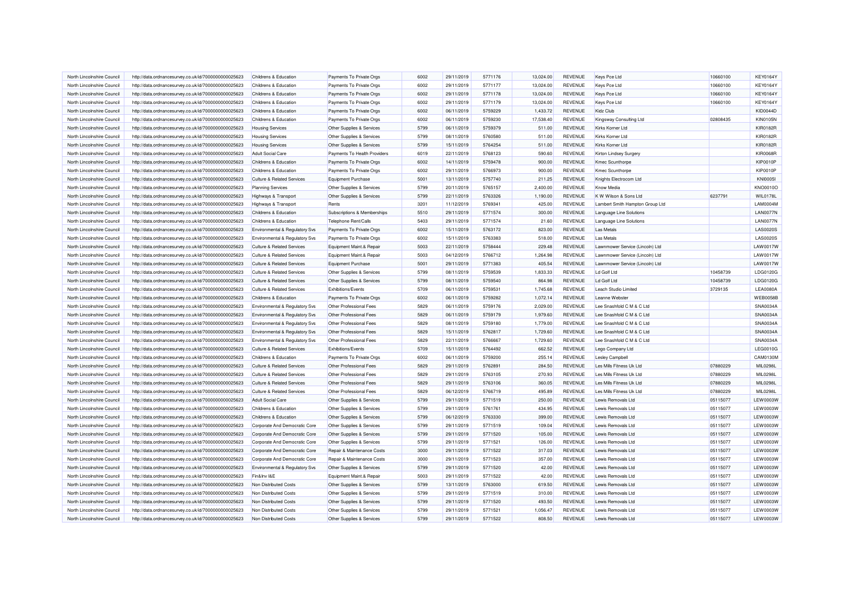| North Lincolnshire Council                               | http://data.ordnancesurvey.co.uk/id/7000000000025623 | Childrens & Education                                                          | Payments To Private Orgs     | 6002         | 29/11/2019               | 5771176            | 13.024.00          | REVENUE                   | Keys Pce Ltd                    | 10660100 | <b>KEY0164Y</b>      |
|----------------------------------------------------------|------------------------------------------------------|--------------------------------------------------------------------------------|------------------------------|--------------|--------------------------|--------------------|--------------------|---------------------------|---------------------------------|----------|----------------------|
| North Lincolnshire Council                               | http://data.ordnancesurvey.co.uk/id/7000000000025623 | <b>Childrens &amp; Education</b>                                               | Payments To Private Orgs     | 6002         | 29/11/2019               | 5771177            | 13,024.00          | REVENUE                   | Keys Pce Ltd                    | 10660100 | <b>KEY0164Y</b>      |
| North Lincolnshire Council                               | http://data.ordnancesurvey.co.uk/id/7000000000025623 | Childrens & Education                                                          | Payments To Private Orgs     | 6002         | 29/11/2019               | 5771178            | 13,024.00          | REVENUE                   | Keys Pce Ltd                    | 10660100 | <b>KEY0164Y</b>      |
| North Lincolnshire Council                               | http://data.ordnancesurvey.co.uk/id/7000000000025623 | Childrens & Education                                                          | Payments To Private Orgs     | 6002         | 29/11/2019               | 5771179            | 13,024.00          | REVENUE                   | Keys Pce Ltd                    | 10660100 | <b>KEY0164Y</b>      |
| North Lincolnshire Council                               | http://data.ordnancesurvey.co.uk/id/7000000000025623 | Childrens & Education                                                          | Payments To Private Orgs     | 6002         | 06/11/2019               | 5759229            | 1,433.72           | <b>REVENUE</b>            | Kidz Club                       |          | <b>KID0044D</b>      |
| North Lincolnshire Council                               | http://data.ordnancesurvey.co.uk/id/7000000000025623 | Childrens & Education                                                          | Payments To Private Orgs     | 6002         | 06/11/2019               | 5759230            | 17,538.40          | REVENUE                   | Kingsway Consulting Ltd         | 02808435 | <b>KIN0105N</b>      |
| North Lincolnshire Council                               | http://data.ordnancesurvey.co.uk/id/7000000000025623 | <b>Housing Services</b>                                                        | Other Supplies & Services    | 5799         | 06/11/2019               | 5759379            | 511.00             | <b>REVENUE</b>            | Kirks Korner Ltd                |          | <b>KIR0182R</b>      |
| North Lincolnshire Council                               | http://data.ordnancesurvey.co.uk/id/7000000000025623 | <b>Housing Services</b>                                                        | Other Supplies & Services    | 5799         | 08/11/2019               | 5760580            | 511.00             | <b>REVENUE</b>            | Kirks Korner Ltd                |          | <b>KIR0182R</b>      |
| North Lincolnshire Council                               | http://data.ordnancesurvey.co.uk/id/7000000000025623 | <b>Housing Services</b>                                                        | Other Supplies & Services    | 5799         | 15/11/2019               | 5764254            | 511.00             | REVENUE                   | Kirks Korner I td               |          | <b>KIR0182R</b>      |
| North Lincolnshire Council                               | http://data.ordnancesurvey.co.uk/id/7000000000025623 | <b>Adult Social Care</b>                                                       | Payments To Health Providers | 6019         | 22/11/2019               | 5768123            | 590.60             | REVENUE                   | Kirton Lindsey Surgery          |          | <b>KIR0068F</b>      |
| North Lincolnshire Council                               | http://data.ordnancesurvey.co.uk/id/7000000000025623 | Childrens & Education                                                          | Payments To Private Orgs     | 6002         | 14/11/2019               | 5759478            | 900.00             | REVENUE                   | Kmec Scunthorpe                 |          | <b>KIP0010P</b>      |
| North Lincolnshire Council                               | http://data.ordnancesurvey.co.uk/id/7000000000025623 | Childrens & Education                                                          | Payments To Private Orgs     | 6002         | 29/11/2019               | 5766973            | 900.00             | <b>REVENUE</b>            | <b>Kmec Scunthorpe</b>          |          | <b>KIP0010P</b>      |
| North Lincolnshire Council                               | http://data.ordnancesurvey.co.uk/id/7000000000025623 | <b>Culture &amp; Related Services</b>                                          | <b>Equipment Purchase</b>    | 5001         | 13/11/2019               | 5757740            | 211.25             | REVENUE                   | Knights Electrocom Ltd          |          | <b>KNI00051</b>      |
| North Lincolnshire Council                               | http://data.ordnancesurvey.co.uk/id/7000000000025623 | <b>Planning Services</b>                                                       | Other Supplies & Services    | 5799         | 20/11/2019               | 5765157            | 2,400.00           | REVENUE                   | <b>Know Media</b>               |          | KNO0010O             |
| North Lincolnshire Council                               | http://data.ordnancesurvey.co.uk/id/7000000000025623 | Highways & Transport                                                           | Other Supplies & Services    | 5799         | 22/11/2019               | 5763326            | 1,190.00           | <b>REVENUE</b>            | K W Wilson & Sons Ltd           | 6237791  | <b>WIL0178L</b>      |
| North Lincolnshire Council                               | http://data.ordnancesurvey.co.uk/id/7000000000025623 | Highways & Transport                                                           | Rents                        | 3201         | 11/12/2019               | 5769341            | 425.00             | REVENUE                   | Lambert Smith Hampton Group Ltd |          | LAM0004N             |
| North Lincolnshire Council                               | http://data.ordnancesurvey.co.uk/id/7000000000025623 | Childrens & Education                                                          | Subscriptions & Memberships  | 5510         | 29/11/2019               | 5771574            | 300.00             | REVENUE                   | Language Line Solutions         |          | <b>LAN0077N</b>      |
| North Lincolnshire Council                               | http://data.ordnancesurvey.co.uk/id/7000000000025623 | Childrens & Education                                                          | Telephone Rent/Calls         | 5403         | 29/11/2019               | 5771574            | 21.60              | REVENUE                   | Language Line Solutions         |          | <b>LAN0077N</b>      |
| North Lincolnshire Council                               |                                                      |                                                                                | Payments To Private Orgs     | 6002         | 15/11/2019               | 5763172            | 823.00             | <b>REVENUE</b>            | <b>Las Metals</b>               |          | <b>LAS0020S</b>      |
| North Lincolnshire Council                               | http://data.ordnancesurvey.co.uk/id/7000000000025623 | Environmental & Regulatory Svs                                                 |                              | 6002         | 15/11/2019               | 5763383            | 518.00             | <b>REVENUE</b>            | Las Metals                      |          | <b>LAS0020S</b>      |
| North Lincolnshire Council                               | http://data.ordnancesurvey.co.uk/id/7000000000025623 | Environmental & Regulatory Svs<br><b>Culture &amp; Related Services</b>        | Payments To Private Orgs     | 5003         | 22/11/2019               | 5758444            | 229.48             | <b>REVENUE</b>            |                                 |          | LAW0017W             |
|                                                          | http://data.ordnancesurvey.co.uk/id/7000000000025623 |                                                                                | Equipment Maint.& Repair     |              |                          |                    |                    |                           | Lawnmower Service (Lincoln) Ltd |          |                      |
| North Lincolnshire Council<br>North Lincolnshire Council | http://data.ordnancesurvey.co.uk/id/7000000000025623 | <b>Culture &amp; Related Services</b><br><b>Culture &amp; Related Services</b> | Equipment Maint.& Repair     | 5003<br>5001 | 04/12/2019<br>29/11/2019 | 5766712<br>5771383 | 1,264.98<br>405.54 | REVENUE<br><b>REVENUE</b> | Lawnmower Service (Lincoln) Ltd |          | LAW0017W<br>LAW0017W |
|                                                          | http://data.ordnancesurvey.co.uk/id/7000000000025623 |                                                                                | <b>Equipment Purchase</b>    |              |                          |                    |                    |                           | Lawnmower Service (Lincoln) Ltd |          |                      |
| North Lincolnshire Council                               | http://data.ordnancesurvey.co.uk/id/7000000000025623 | <b>Culture &amp; Related Services</b>                                          | Other Supplies & Services    | 5799         | 08/11/2019               | 5759539            | 1,833.33           | REVENUE                   | Ld Golf Ltd                     | 10458739 | LDG0120G             |
| North Lincolnshire Council                               | http://data.ordnancesurvey.co.uk/id/7000000000025623 | <b>Culture &amp; Related Services</b>                                          | Other Supplies & Services    | 5799         | 08/11/2019               | 5759540            | 864.98             | REVENUE                   | Ld Golf Ltd                     | 10458739 | LDG0120G             |
| North Lincolnshire Council                               | http://data.ordnancesurvey.co.uk/id/7000000000025623 | Culture & Related Services                                                     | Exhibitions/Events           | 5709         | 06/11/2019               | 5759531            | 1,745.68           | REVENUE                   | Leach Studio Limited            | 3729135  | <b>LEA0080A</b>      |
| North Lincolnshire Council                               | http://data.ordnancesurvey.co.uk/id/7000000000025623 | Childrens & Education                                                          | Payments To Private Orgs     | 6002         | 06/11/2019               | 5759282            | 1,072.14           | <b>REVENUE</b>            | Leanne Webster                  |          | <b>WEB0058E</b>      |
| North Lincolnshire Council                               | http://data.ordnancesurvey.co.uk/id/7000000000025623 | Environmental & Regulatory Svs                                                 | Other Professional Fees      | 5829         | 06/11/2019               | 5759176            | 2,029.00           | REVENUE                   | Lee Snashfold C M & C Ltd       |          | SNA0034A             |
| North Lincolnshire Council                               | http://data.ordnancesurvey.co.uk/id/7000000000025623 | Environmental & Regulatory Svs                                                 | Other Professional Fees      | 5829         | 06/11/2019               | 5759179            | 1,979.60           | <b>REVENUE</b>            | Lee Snashfold C M & C Ltd       |          | SNA0034A             |
| North Lincolnshire Council                               | http://data.ordnancesurvey.co.uk/id/7000000000025623 | Environmental & Regulatory Svs                                                 | Other Professional Fees      | 5829         | 08/11/2019               | 5759180            | 1,779.00           | REVENUE                   | Lee Snashfold C M & C Ltd       |          | SNA0034A             |
| North Lincolnshire Council                               | http://data.ordnancesurvey.co.uk/id/7000000000025623 | Environmental & Regulatory Svs                                                 | Other Professional Fees      | 5829         | 15/11/2019               | 5762817            | 1,729.60           | REVENUE                   | Lee Snashfold C M & C Ltd       |          | <b>SNA0034A</b>      |
| North Lincolnshire Council                               | http://data.ordnancesurvey.co.uk/id/7000000000025623 | <b>Environmental &amp; Regulatory Svs</b>                                      | Other Professional Fees      | 5829         | 22/11/2019               | 5766667            | 1,729.60           | REVENUE                   | Lee Snashfold C M & C Ltd       |          | SNA0034A             |
| North Lincolnshire Council                               | http://data.ordnancesurvey.co.uk/id/7000000000025623 | <b>Culture &amp; Related Services</b>                                          | <b>Exhibitions/Events</b>    | 5709         | 15/11/2019               | 5764492            | 662.52             | REVENUE                   | Lego Company Ltd                |          | <b>LEG0010G</b>      |
| North Lincolnshire Council                               | http://data.ordnancesurvey.co.uk/id/7000000000025623 | Childrens & Education                                                          | Payments To Private Orgs     | 6002         | 06/11/2019               | 5759200            | 255.14             | REVENUE                   | Lesley Campbell                 |          | CAM0130M             |
| North Lincolnshire Council                               | http://data.ordnancesurvey.co.uk/id/7000000000025623 | <b>Culture &amp; Related Services</b>                                          | Other Professional Fees      | 5829         | 29/11/2019               | 5762891            | 284.50             | <b>REVENUE</b>            | Les Mills Fitness Uk Ltd        | 07880229 | <b>MIL0298L</b>      |
| North Lincolnshire Council                               | http://data.ordnancesurvey.co.uk/id/7000000000025623 | <b>Culture &amp; Related Services</b>                                          | Other Professional Fees      | 5829         | 29/11/2019               | 5763105            | 270.93             | REVENUE                   | Les Mills Fitness Uk Ltd        | 07880229 | MIL0298L             |
| North Lincolnshire Council                               | http://data.ordnancesurvey.co.uk/id/7000000000025623 | <b>Culture &amp; Related Services</b>                                          | Other Professional Fees      | 5829         | 29/11/2019               | 5763106            | 360.05             | <b>REVENUE</b>            | Les Mills Fitness Uk Ltd        | 07880229 | <b>MIL0298L</b>      |
| North Lincolnshire Council                               | http://data.ordnancesurvey.co.uk/id/7000000000025623 | <b>Culture &amp; Related Services</b>                                          | Other Professional Fees      | 5829         | 06/12/2019               | 5766719            | 495.89             | REVENUE                   | Les Mills Fitness Uk Ltd        | 07880229 | <b>MIL0298L</b>      |
| North Lincolnshire Council                               | http://data.ordnancesurvey.co.uk/id/7000000000025623 | <b>Adult Social Care</b>                                                       | Other Supplies & Services    | 5799         | 29/11/2019               | 5771519            | 250.00             | REVENUE                   | Lewis Removals Ltd              | 05115077 | LEW0003W             |
| North Lincolnshire Council                               | http://data.ordnancesurvey.co.uk/id/7000000000025623 | Childrens & Education                                                          | Other Supplies & Services    | 5799         | 29/11/2019               | 5761761            | 434.95             | REVENUE                   | Lewis Removals Ltd              | 05115077 | LEW0003W             |
| North Lincolnshire Council                               | http://data.ordnancesurvey.co.uk/id/7000000000025623 | Childrens & Education                                                          | Other Supplies & Services    | 5799         | 06/12/2019               | 5763330            | 399.00             | <b>REVENUE</b>            | Lewis Removals Ltd              | 05115077 | <b>LEW0003W</b>      |
| North Lincolnshire Council                               | http://data.ordnancesurvey.co.uk/id/7000000000025623 | Corporate And Democratic Core                                                  | Other Supplies & Services    | 5799         | 29/11/2019               | 5771519            | 109.04             | <b>REVENUE</b>            | I ewis Removals I td            | 05115077 | <b>LEW0003W</b>      |
| North Lincolnshire Council                               | http://data.ordnancesurvey.co.uk/id/7000000000025623 | Corporate And Democratic Core                                                  | Other Supplies & Services    | 5799         | 29/11/2019               | 5771520            | 105.00             | <b>REVENUE</b>            | Lewis Removals Ltd              | 05115077 | <b>LEW0003W</b>      |
| North Lincolnshire Council                               | http://data.ordnancesurvey.co.uk/id/7000000000025623 | Corporate And Democratic Core                                                  | Other Supplies & Services    | 5799         | 29/11/2019               | 5771521            | 126.00             | REVENUE                   | Lewis Removals Ltd              | 05115077 | <b>LEW0003W</b>      |
| North Lincolnshire Council                               | http://data.ordnancesurvey.co.uk/id/7000000000025623 | Corporate And Democratic Core                                                  | Repair & Maintenance Costs   | 3000         | 29/11/2019               | 5771522            | 317.03             | <b>REVENUE</b>            | Lewis Removals Ltd              | 05115077 | <b>LEW0003W</b>      |
| North Lincolnshire Council                               | http://data.ordnancesurvey.co.uk/id/7000000000025623 | Corporate And Democratic Core                                                  | Repair & Maintenance Costs   | 3000         | 29/11/2019               | 5771523            | 357.00             | <b>REVENUE</b>            | Lewis Removals Ltd              | 05115077 | <b>LEW0003W</b>      |
| North Lincolnshire Council                               | http://data.ordnancesurvey.co.uk/id/7000000000025623 | Environmental & Regulatory Svs                                                 | Other Supplies & Services    | 5799         | 29/11/2019               | 5771520            | 42.00              | <b>REVENUE</b>            | Lewis Removals Ltd              | 05115077 | <b>LEW0003W</b>      |
| North Lincolnshire Council                               | http://data.ordnancesurvey.co.uk/id/7000000000025623 | Fin&Inv I&E                                                                    | Equipment Maint.& Repair     | 5003         | 29/11/2019               | 5771522            | 42.00              | REVENUE                   | Lewis Removals Ltd              | 05115077 | LEW0003W             |
| North Lincolnshire Council                               | http://data.ordnancesurvey.co.uk/id/7000000000025623 | Non Distributed Costs                                                          | Other Supplies & Services    | 5799         | 13/11/2019               | 5763000            | 619.50             | <b>REVENUE</b>            | Lewis Removals Ltd              | 05115077 | <b>LEW0003W</b>      |
| North Lincolnshire Council                               | http://data.ordnancesurvey.co.uk/id/7000000000025623 | Non Distributed Costs                                                          | Other Supplies & Services    | 5799         | 29/11/2019               | 5771519            | 310.00             | <b>REVENUE</b>            | Lewis Removals Ltd              | 05115077 | LEW0003W             |
| North Lincolnshire Council                               | http://data.ordnancesurvey.co.uk/id/7000000000025623 | Non Distributed Costs                                                          | Other Supplies & Services    | 5799         | 29/11/2019               | 5771520            | 493.50             | <b>REVENUE</b>            | Lewis Removals Ltd              | 05115077 | LEW0003W             |
| North Lincolnshire Council                               | http://data.ordnancesurvey.co.uk/id/7000000000025623 | Non Distributed Costs                                                          | Other Supplies & Services    | 5799         | 29/11/2019               | 5771521            | 1,056.47           | REVENUE                   | Lewis Removals Ltd              | 05115077 | <b>LEW0003W</b>      |
| North Lincolnshire Council                               | http://data.ordnancesurvey.co.uk/id/7000000000025623 | Non Distributed Costs                                                          | Other Supplies & Services    | 5799         | 29/11/2019               | 5771522            | 808.50             | <b>REVENUE</b>            | Lewis Removals Ltd              | 05115077 | <b>LEW0003W</b>      |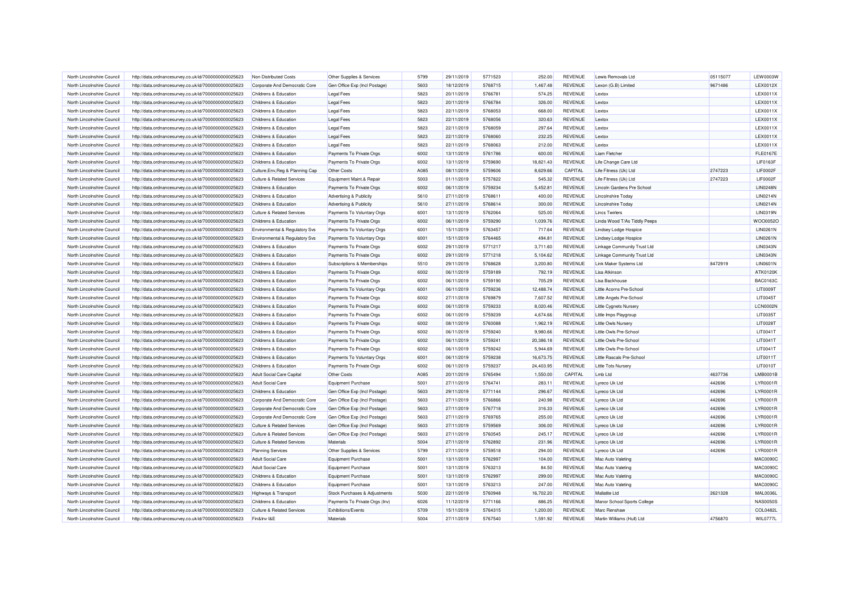| North Lincolnshire Council | http://data.ordnancesurvey.co.uk/id/7000000000025623 | Non Distributed Costs                     | Other Supplies & Services      | 5799 | 29/11/2019 | 5771523 | 252.00    | <b>REVENUE</b> | Lewis Removals Ltd           | 05115077 | <b>LEW0003W</b> |
|----------------------------|------------------------------------------------------|-------------------------------------------|--------------------------------|------|------------|---------|-----------|----------------|------------------------------|----------|-----------------|
| North Lincolnshire Council | http://data.ordnancesurvey.co.uk/id/7000000000025623 | Corporate And Democratic Core             | Gen Office Exp (Incl Postage)  | 5603 | 18/12/2019 | 5768715 | 1,467.48  | REVENUE        | Lexon (G.B) Limited          | 9671486  | LEX0012X        |
| North Lincolnshire Council | http://data.ordnancesurvey.co.uk/id/7000000000025623 | Childrens & Education                     | Legal Fees                     | 5823 | 20/11/2019 | 5766781 | 574.25    | <b>REVENUE</b> | Lextox                       |          | LEX0011X        |
| North Lincolnshire Council | http://data.ordnancesurvey.co.uk/id/7000000000025623 | Childrens & Education                     | Legal Fees                     | 5823 | 20/11/2019 | 5766784 | 326.00    | REVENUE        | Lextox                       |          | LEX0011X        |
| North Lincolnshire Council | http://data.ordnancesurvey.co.uk/id/7000000000025623 | Childrens & Education                     | Legal Fees                     | 5823 | 22/11/2019 | 5768053 | 668.00    | <b>REVENUE</b> | Lextox                       |          | LEX0011X        |
| North Lincolnshire Council | http://data.ordnancesurvey.co.uk/id/7000000000025623 | Childrens & Education                     | Legal Fees                     | 5823 | 22/11/2019 | 5768056 | 320.63    | REVENUE        | <b>Lextox</b>                |          | LEX0011X        |
| North Lincolnshire Council | http://data.ordnancesurvey.co.uk/id/7000000000025623 | Childrens & Education                     | Legal Fees                     | 5823 | 22/11/2019 | 5768059 | 297.64    | <b>REVENUE</b> | Lextox                       |          | LEX0011X        |
| North Lincolnshire Council | http://data.ordnancesurvey.co.uk/id/7000000000025623 | <b>Childrens &amp; Education</b>          | <b>Legal Fees</b>              | 5823 | 22/11/2019 | 5768060 | 232.25    | REVENUE        | Lextox                       |          | LEX0011X        |
| North Lincolnshire Council | http://data.ordnancesurvey.co.uk/id/7000000000025623 | Childrens & Education                     | Legal Fees                     | 5823 | 22/11/2019 | 5768063 | 212.00    | REVENUE        | <b>Lextox</b>                |          | LEX0011X        |
| North Lincolnshire Council | http://data.ordnancesurvey.co.uk/id/7000000000025623 | Childrens & Education                     | Payments To Private Orgs       | 6002 | 13/11/2019 | 5761786 | 600.00    | REVENUE        | Liam Fletcher                |          | <b>FLE0167E</b> |
| North Lincolnshire Council | http://data.ordnancesurvey.co.uk/id/7000000000025623 | Childrens & Education                     | Payments To Private Orgs       | 6002 | 13/11/2019 | 5759690 | 18,821.43 | REVENUE        | Life Change Care Ltd         |          | <b>LIF0163F</b> |
| North Lincolnshire Council | http://data.ordnancesurvey.co.uk/id/7000000000025623 | Culture, Env, Reg & Planning Cap          | Other Costs                    | A085 | 08/11/2019 | 5759606 | 8,629.66  | CAPITAL        | Life Fitness (Uk) Ltd        | 2747223  | <b>LIF0002F</b> |
| North Lincolnshire Council | http://data.ordnancesurvey.co.uk/id/7000000000025623 | <b>Culture &amp; Related Services</b>     | Equipment Maint.& Repair       | 5003 | 01/11/2019 | 5757822 | 545.32    | <b>REVENUE</b> | Life Fitness (Uk) Ltd        | 2747223  | LIF0002F        |
| North Lincolnshire Council | http://data.ordnancesurvey.co.uk/id/7000000000025623 | Childrens & Education                     | Payments To Private Orgs       | 6002 | 06/11/2019 | 5759234 | 5,452.81  | REVENUE        | Lincoln Gardens Pre School   |          | <b>LIN0248N</b> |
| North Lincolnshire Council | http://data.ordnancesurvey.co.uk/id/7000000000025623 | Childrens & Education                     | Advertising & Publicity        | 5610 | 27/11/2019 | 5768611 | 400.00    | <b>REVENUE</b> | <b>Lincolnshire Today</b>    |          | <b>LIN0214N</b> |
| North Lincolnshire Council | http://data.ordnancesurvey.co.uk/id/7000000000025623 | Childrens & Education                     | Advertising & Publicity        | 5610 | 27/11/2019 | 5768614 | 300.00    | REVENUE        | <b>Lincolnshire Today</b>    |          | LIN0214N        |
| North Lincolnshire Council |                                                      |                                           |                                | 6001 | 13/11/2019 | 5762064 |           | REVENUE        |                              |          | <b>LIN0319N</b> |
|                            | http://data.ordnancesurvey.co.uk/id/7000000000025623 | <b>Culture &amp; Related Services</b>     | Payments To Voluntary Orgs     |      |            |         | 525.00    |                | <b>Lincs Twirlers</b>        |          |                 |
| North Lincolnshire Council | http://data.ordnancesurvey.co.uk/id/7000000000025623 | Childrens & Education                     | Payments To Private Orgs       | 6002 | 06/11/2019 | 5759290 | 1,039.76  | REVENUE        | Linda Wood T/As Tiddly Peeps |          | WOO0052O        |
| North Lincolnshire Council | http://data.ordnancesurvey.co.uk/id/7000000000025623 | <b>Environmental &amp; Regulatory Svs</b> | Payments To Voluntary Orgs     | 6001 | 15/11/2019 | 5763457 | 717.64    | <b>REVENUE</b> | <b>Lindsey Lodge Hospice</b> |          | LIN0261N        |
| North Lincolnshire Council | http://data.ordnancesurvey.co.uk/id/7000000000025623 | Environmental & Regulatory Svs            | Payments To Voluntary Orgs     | 6001 | 15/11/2019 | 5764465 | 494.81    | REVENUE        | <b>Lindsey Lodge Hospice</b> |          | LIN0261N        |
| North Lincolnshire Council | http://data.ordnancesurvey.co.uk/id/7000000000025623 | <b>Childrens &amp; Education</b>          | Payments To Private Orgs       | 6002 | 29/11/2019 | 5771217 | 3,711.60  | <b>REVENUE</b> | Linkage Community Trust Ltd  |          | <b>LIN0343N</b> |
| North Lincolnshire Council | http://data.ordnancesurvey.co.uk/id/7000000000025623 | Childrens & Education                     | Payments To Private Orgs       | 6002 | 29/11/2019 | 5771218 | 5,104.62  | REVENUE        | Linkage Community Trust Ltd  |          | <b>LIN0343N</b> |
| North Lincolnshire Council | http://data.ordnancesurvey.co.uk/id/7000000000025623 | <b>Childrens &amp; Education</b>          | Subscriptions & Memberships    | 5510 | 29/11/2019 | 5768628 | 3,200.80  | <b>REVENUE</b> | Link Maker Systems Ltd       | 8472919  | <b>LIN0601N</b> |
| North Lincolnshire Council | http://data.ordnancesurvey.co.uk/id/7000000000025623 | Childrens & Education                     | Payments To Private Orgs       | 6002 | 06/11/2019 | 5759189 | 792.19    | REVENUE        | I isa Atkinsor               |          | ATK0120K        |
| North Lincolnshire Council | http://data.ordnancesurvey.co.uk/id/7000000000025623 | Childrens & Education                     | Payments To Private Orgs       | 6002 | 06/11/2019 | 5759190 | 705.29    | <b>REVENUE</b> | Lisa Backhouse               |          | <b>BAC0163C</b> |
| North Lincolnshire Council | http://data.ordnancesurvey.co.uk/id/7000000000025623 | Childrens & Education                     | Payments To Voluntary Orgs     | 6001 | 06/11/2019 | 5759236 | 12,488.74 | <b>REVENUE</b> | Little Acorns Pre-School     |          | LIT0009T        |
| North Lincolnshire Council | http://data.ordnancesurvey.co.uk/id/7000000000025623 | Childrens & Education                     | Payments To Private Orgs       | 6002 | 27/11/2019 | 5769879 | 7,607.52  | <b>REVENUE</b> | Little Angels Pre-School     |          | LIT0045T        |
| North Lincolnshire Council | http://data.ordnancesurvey.co.uk/id/7000000000025623 | Childrens & Education                     | Payments To Private Orgs       | 6002 | 06/11/2019 | 5759233 | 8,020.46  | REVENUE        | Little Cygnets Nursen        |          | <b>LCN0002N</b> |
| North Lincolnshire Council | http://data.ordnancesurvey.co.uk/id/7000000000025623 | Childrens & Education                     | Payments To Private Orgs       | 6002 | 06/11/2019 | 5759239 | 4,674.66  | <b>REVENUE</b> | Little Imps Playgroup        |          | LIT0035T        |
| North Lincolnshire Council | http://data.ordnancesurvey.co.uk/id/7000000000025623 | Childrens & Education                     | Payments To Private Orgs       | 6002 | 08/11/2019 | 5760088 | 1,962.19  | REVENUE        | <b>Little Owls Nursery</b>   |          | LIT0028T        |
| North Lincolnshire Council | http://data.ordnancesurvey.co.uk/id/7000000000025623 | Childrens & Education                     | Payments To Private Orgs       | 6002 | 06/11/2019 | 5759240 | 9,980.66  | <b>REVENUE</b> | Little Owls Pre-School       |          | LIT0041T        |
| North Lincolnshire Council | http://data.ordnancesurvey.co.uk/id/7000000000025623 | Childrens & Education                     | Payments To Private Orgs       | 6002 | 06/11/2019 | 5759241 | 20,386.18 | <b>REVENUE</b> | Little Owls Pre-School       |          | LIT0041T        |
| North Lincolnshire Council | http://data.ordnancesurvey.co.uk/id/7000000000025623 | Childrens & Education                     | Payments To Private Orgs       | 6002 | 06/11/2019 | 5759242 | 5,944.69  | REVENUE        | Little Owls Pre-Schoo        |          | LIT0041T        |
| North Lincolnshire Council | http://data.ordnancesurvey.co.uk/id/7000000000025623 | Childrens & Education                     | Payments To Voluntary Orgs     | 6001 | 06/11/2019 | 5759238 | 16,673.75 | REVENUE        | Little Rascals Pre-School    |          | LIT0011T        |
| North Lincolnshire Council | http://data.ordnancesurvey.co.uk/id/7000000000025623 | Childrens & Education                     | Payments To Private Orgs       | 6002 | 06/11/2019 | 5759237 | 24,403.95 | <b>REVENUE</b> | Little Tots Nursen           |          | LIT0010T        |
| North Lincolnshire Council | http://data.ordnancesurvey.co.uk/id/7000000000025623 | Adult Social Care Capital                 | Other Costs                    | A085 | 20/11/2019 | 5765494 | 1,550.00  | CAPITAL        | Lmb Ltd                      | 4637736  | LMB0001B        |
| North Lincolnshire Council | http://data.ordnancesurvey.co.uk/id/7000000000025623 | <b>Adult Social Care</b>                  | Equipment Purchase             | 5001 | 27/11/2019 | 5764741 | 283.11    | <b>REVENUE</b> | Lyreco Uk Ltd                | 442696   | LYR0001R        |
| North Lincolnshire Council | http://data.ordnancesurvey.co.uk/id/7000000000025623 | Childrens & Education                     | Gen Office Exp (Incl Postage)  | 5603 | 29/11/2019 | 5771144 | 296.67    | REVENUE        | Lyreco Uk Ltd                | 442696   | LYR0001R        |
| North Lincolnshire Council | http://data.ordnancesurvey.co.uk/id/7000000000025623 | Corporate And Democratic Core             | Gen Office Exp (Incl Postage)  | 5603 | 27/11/2019 | 5766866 | 240.98    | REVENUE        | Lyreco Uk Ltd                | 442696   | LYR0001R        |
| North Lincolnshire Council | http://data.ordnancesurvey.co.uk/id/7000000000025623 | Corporate And Democratic Core             | Gen Office Exp (Incl Postage)  | 5603 | 27/11/2019 | 5767718 | 316.33    | REVENUE        | Lyreco Uk Ltd                | 442696   | LYR0001R        |
| North Lincolnshire Council | http://data.ordnancesurvey.co.uk/id/7000000000025623 | Corporate And Democratic Core             | Gen Office Exp (Incl Postage)  | 5603 | 27/11/2019 | 5769765 | 255.00    | <b>REVENUE</b> | Lyreco Uk Ltd                | 442696   | LYR0001R        |
| North Lincolnshire Council | http://data.ordnancesurvey.co.uk/id/7000000000025623 | <b>Culture &amp; Related Services</b>     | Gen Office Exp (Incl Postage)  | 5603 | 27/11/2019 | 5759569 | 306.00    | <b>REVENUE</b> | Lyreco Uk Ltd                | 442696   | LYR0001R        |
| North Lincolnshire Council | http://data.ordnancesurvey.co.uk/id/7000000000025623 | <b>Culture &amp; Related Services</b>     | Gen Office Exp (Incl Postage)  | 5603 | 27/11/2019 | 5760545 | 245.17    | <b>REVENUE</b> | Lyreco Uk Ltd                | 442696   | LYR0001R        |
| North Lincolnshire Council | http://data.ordnancesurvey.co.uk/id/7000000000025623 | <b>Culture &amp; Related Services</b>     | Materials                      | 5004 | 27/11/2019 | 5762892 | 231.96    | REVENUE        | Lyreco Uk Ltd                | 442696   | LYR0001R        |
| North Lincolnshire Council | http://data.ordnancesurvey.co.uk/id/7000000000025623 | <b>Planning Services</b>                  | Other Supplies & Services      | 5799 | 27/11/2019 | 5759518 | 294.00    | <b>REVENUE</b> | Lyreco Uk Ltd                | 442696   | LYR0001R        |
| North Lincolnshire Council | http://data.ordnancesurvey.co.uk/id/7000000000025623 | <b>Adult Social Care</b>                  | <b>Equipment Purchase</b>      | 5001 | 13/11/2019 | 5762997 | 104.00    | REVENUE        | Mac Auto Valeting            |          | <b>MAC0090C</b> |
| North Lincolnshire Council |                                                      | <b>Adult Social Care</b>                  | <b>Equipment Purchase</b>      | 5001 | 13/11/2019 | 5763213 | 84.50     | REVENUE        |                              |          | <b>MAC0090C</b> |
|                            | http://data.ordnancesurvey.co.uk/id/7000000000025623 |                                           |                                | 5001 | 13/11/2019 | 5762997 |           | REVENUE        | Mac Auto Valeting            |          | <b>MAC0090C</b> |
| North Lincolnshire Council | http://data.ordnancesurvey.co.uk/id/7000000000025623 | Childrens & Education                     | <b>Equipment Purchase</b>      |      |            |         | 299.00    |                | Mac Auto Valeting            |          |                 |
| North Lincolnshire Council | http://data.ordnancesurvey.co.uk/id/7000000000025623 | Childrens & Education                     | <b>Equipment Purchase</b>      | 5001 | 13/11/2019 | 5763213 | 247.00    | <b>REVENUE</b> | Mac Auto Valeting            |          | <b>MAC0090C</b> |
| North Lincolnshire Council | http://data.ordnancesurvey.co.uk/id/7000000000025623 | Highways & Transport                      | Stock Purchases & Adjustments  | 5030 | 22/11/2019 | 5760948 | 16,702.20 | REVENUE        | Mallatite I td               | 2621328  | <b>MAL0036L</b> |
| North Lincolnshire Council | http://data.ordnancesurvey.co.uk/id/7000000000025623 | Childrens & Education                     | Payments To Private Orgs (Inv) | 6026 | 11/12/2019 | 5771166 | 886.25    | <b>REVENUE</b> | Manor School Sports College  |          | <b>NAS0050S</b> |
| North Lincolnshire Council | http://data.ordnancesurvey.co.uk/id/7000000000025623 | <b>Culture &amp; Related Services</b>     | <b>Exhibitions/Events</b>      | 5709 | 15/11/2019 | 5764315 | 1,200.00  | REVENUE        | <b>Marc Renshav</b>          |          | COL0482L        |
| North Lincolnshire Council | http://data.ordnancesurvey.co.uk/id/7000000000025623 | Fin&Inv I&E                               | Materials                      | 5004 | 27/11/2019 | 5767540 | 1,591.92  | <b>REVENUE</b> | Martin Williams (Hull) Ltd   | 4756870  | <b>WIL0777L</b> |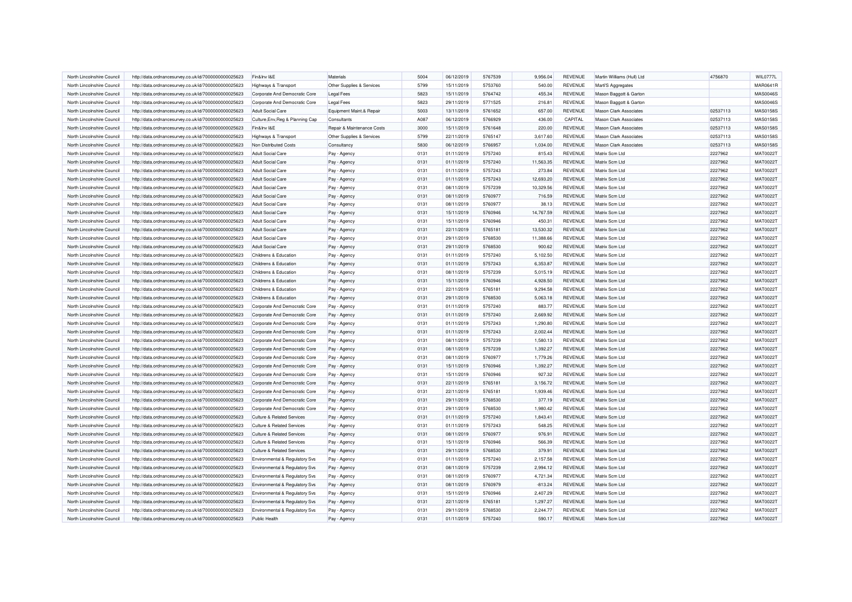| North Lincolnshire Council | http://data.ordnancesurvey.co.uk/id/7000000000025623                                                         | Fin&Inv I&E                           | Materials                  | 5004 | 06/12/2019 | 5767539 | 9,956.04  | REVENUE        | Martin Williams (Hull) Ltd    | 4756870  | <b>WIL0777L</b>                    |
|----------------------------|--------------------------------------------------------------------------------------------------------------|---------------------------------------|----------------------------|------|------------|---------|-----------|----------------|-------------------------------|----------|------------------------------------|
| North Lincolnshire Council | http://data.ordnancesurvey.co.uk/id/7000000000025623                                                         | Highways & Transport                  | Other Supplies & Services  | 5799 | 15/11/2019 | 5753760 | 540.00    | <b>REVENUE</b> | Marti'S Aggregates            |          | MAR0641R                           |
| North Lincolnshire Council | http://data.ordnancesurvey.co.uk/id/7000000000025623                                                         | Corporate And Democratic Core         | <b>Legal Fees</b>          | 5823 | 15/11/2019 | 5764742 | 455.34    | REVENUE        | Mason Baggott & Garton        |          | <b>MAS0046S</b>                    |
| North Lincolnshire Council | http://data.ordnancesurvey.co.uk/id/7000000000025623                                                         | Corporate And Democratic Core         | <b>Legal Fees</b>          | 5823 | 29/11/2019 | 5771525 | 216.81    | <b>REVENUE</b> | Mason Baggott & Garton        |          | <b>MAS0046S</b>                    |
| North Lincolnshire Council | http://data.ordnancesurvey.co.uk/id/7000000000025623                                                         | <b>Adult Social Care</b>              | Equipment Maint.& Repair   | 5003 | 13/11/2019 | 5761652 | 657.00    | REVENUE        | <b>Mason Clark Associates</b> | 02537113 | <b>MAS0158S</b>                    |
| North Lincolnshire Council | http://data.ordnancesurvey.co.uk/id/7000000000025623                                                         | Culture, Env, Reg & Planning Cap      | Consultants                | A087 | 06/12/2019 | 5766929 | 436.00    | CAPITAL        | <b>Mason Clark Associates</b> | 02537113 | <b>MAS0158S</b>                    |
| North Lincolnshire Council | http://data.ordnancesurvey.co.uk/id/7000000000025623                                                         | Fin&Inv I&E                           | Repair & Maintenance Costs | 3000 | 15/11/2019 | 5761648 | 220.00    | <b>REVENUE</b> | <b>Mason Clark Associates</b> | 02537113 | MAS0158S                           |
| North Lincolnshire Council | http://data.ordnancesurvey.co.uk/id/7000000000025623                                                         | Highways & Transport                  | Other Supplies & Services  | 5799 | 22/11/2019 | 5765147 | 3,617.60  | <b>REVENUE</b> | <b>Mason Clark Associates</b> | 02537113 | <b>MAS0158S</b>                    |
| North Lincolnshire Council | http://data.ordnancesurvey.co.uk/id/7000000000025623                                                         | Non Distributed Costs                 | Consultancy                | 5830 | 06/12/2019 | 5766957 | 1,034.00  | REVENUE        | <b>Mason Clark Associates</b> | 02537113 | <b>MAS0158S</b>                    |
| North Lincolnshire Council | http://data.ordnancesurvey.co.uk/id/7000000000025623                                                         | <b>Adult Social Care</b>              | Pay - Agency               | 0131 | 01/11/2019 | 5757240 | 815.43    | <b>REVENUE</b> | Matrix Scm Ltd                | 2227962  | MAT0022T                           |
| North Lincolnshire Council | http://data.ordnancesurvey.co.uk/id/7000000000025623                                                         | <b>Adult Social Care</b>              | Pay - Agency               | 0131 | 01/11/2019 | 5757240 | 11,563.35 | REVENUE        | Matrix Scm Ltd                | 2227962  | <b>MAT0022T</b>                    |
| North Lincolnshire Council | http://data.ordnancesurvey.co.uk/id/7000000000025623                                                         | <b>Adult Social Care</b>              | Pay - Agency               | 0131 | 01/11/2019 | 5757243 | 273.84    | <b>REVENUE</b> | Matrix Scm Ltd                | 2227962  | <b>MAT0022T</b>                    |
| North Lincolnshire Council | http://data.ordnancesurvey.co.uk/id/7000000000025623                                                         | <b>Adult Social Care</b>              | Pay - Agency               | 0131 | 01/11/2019 | 5757243 | 12.693.20 | <b>REVENUE</b> | Matrix Scm Ltd                | 2227962  | MAT0022T                           |
| North Lincolnshire Council | http://data.ordnancesurvey.co.uk/id/7000000000025623                                                         | <b>Adult Social Care</b>              | Pay - Agency               | 0131 | 08/11/2019 | 5757239 | 10.329.56 | <b>REVENUE</b> | Matrix Scm Ltd                | 2227962  | <b>MAT0022T</b>                    |
| North Lincolnshire Council | http://data.ordnancesurvey.co.uk/id/7000000000025623                                                         | <b>Adult Social Care</b>              | Pay - Agency               | 0131 | 08/11/2019 | 5760977 | 716.59    | REVENUE        | Matrix Scm Ltd                | 2227962  | <b>MAT0022T</b>                    |
| North Lincolnshire Council | http://data.ordnancesurvey.co.uk/id/7000000000025623                                                         | <b>Adult Social Care</b>              | Pay - Agency               | 0131 | 08/11/2019 | 5760977 | 38.13     | REVENUE        | Matrix Scm Ltd                | 2227962  | <b>MAT0022T</b>                    |
| North Lincolnshire Council | http://data.ordnancesurvey.co.uk/id/7000000000025623                                                         | <b>Adult Social Care</b>              | Pay - Agency               | 0131 | 15/11/2019 | 5760946 | 14,767.59 | REVENUE        | Matrix Scm Ltd                | 2227962  | <b>MAT0022T</b>                    |
| North Lincolnshire Council | http://data.ordnancesurvey.co.uk/id/7000000000025623                                                         | <b>Adult Social Care</b>              | Pay - Agency               | 0131 | 15/11/2019 | 5760946 | 450.31    | REVENUE        | Matrix Scm Ltd                | 2227962  | <b>MAT0022T</b>                    |
| North Lincolnshire Council |                                                                                                              | <b>Adult Social Care</b>              |                            | 0131 | 22/11/2019 | 5765181 | 13,530.32 | REVENUE        | Matrix Scm Ltd                | 2227962  | MAT0022T                           |
| North Lincolnshire Council | http://data.ordnancesurvey.co.uk/id/7000000000025623<br>http://data.ordnancesurvey.co.uk/id/7000000000025623 | <b>Adult Social Care</b>              | Pay - Agency               | 0131 | 29/11/2019 | 5768530 | 11,388.66 | REVENUE        | Matrix Scm Ltd                | 2227962  | <b>MAT0022T</b>                    |
| North Lincolnshire Council |                                                                                                              | <b>Adult Social Care</b>              | Pay - Agency               | 0131 | 29/11/2019 | 5768530 |           | <b>REVENUE</b> | Matrix Scm Ltd                | 2227962  | <b>MAT0022T</b>                    |
| North Lincolnshire Council | http://data.ordnancesurvey.co.uk/id/7000000000025623                                                         |                                       | Pay - Agency               | 0131 | 01/11/2019 | 5757240 | 900.62    | <b>REVENUE</b> | Matrix Scm Ltd                | 2227962  | <b>MAT0022T</b>                    |
|                            | http://data.ordnancesurvey.co.uk/id/7000000000025623                                                         | Childrens & Education                 | Pay - Agency               |      |            |         | 5,102.50  |                |                               |          |                                    |
| North Lincolnshire Council | http://data.ordnancesurvey.co.uk/id/7000000000025623                                                         | Childrens & Education                 | Pay - Agency               | 0131 | 01/11/2019 | 5757243 | 6,353.87  | <b>REVENUE</b> | Matrix Scm Ltd                | 2227962  | MAT0022T                           |
| North Lincolnshire Council | http://data.ordnancesurvey.co.uk/id/7000000000025623                                                         | Childrens & Education                 | Pay - Agency               | 0131 | 08/11/2019 | 5757239 | 5,015.19  | <b>REVENUE</b> | Matrix Scm Ltd                | 2227962  | <b>MAT0022T</b><br><b>MAT0022T</b> |
| North Lincolnshire Council | http://data.ordnancesurvey.co.uk/id/7000000000025623                                                         | Childrens & Education                 | Pay - Agency               | 0131 | 15/11/2019 | 5760946 | 4.928.50  | <b>REVENUE</b> | Matrix Scm Ltd                | 2227962  |                                    |
| North Lincolnshire Council | http://data.ordnancesurvey.co.uk/id/7000000000025623                                                         | Childrens & Education                 | Pay - Agency               | 0131 | 22/11/2019 | 5765181 | 9,294.58  | <b>REVENUE</b> | Matrix Scm Ltd                | 2227962  | <b>MAT0022T</b>                    |
| North Lincolnshire Council | http://data.ordnancesurvey.co.uk/id/7000000000025623                                                         | Childrens & Education                 | Pay - Agency               | 0131 | 29/11/2019 | 5768530 | 5,063.18  | REVENUE        | Matrix Scm Ltd                | 2227962  | <b>MAT0022T</b>                    |
| North Lincolnshire Council | http://data.ordnancesurvey.co.uk/id/7000000000025623                                                         | Corporate And Democratic Core         | Pay - Agency               | 0131 | 01/11/2019 | 5757240 | 883.77    | REVENUE        | Matrix Scm Ltd                | 2227962  | <b>MAT0022T</b>                    |
| North Lincolnshire Council | http://data.ordnancesurvey.co.uk/id/7000000000025623                                                         | Corporate And Democratic Core         | Pay - Agency               | 0131 | 01/11/2019 | 5757240 | 2,669.92  | <b>REVENUE</b> | Matrix Scm Ltd                | 2227962  | <b>MAT0022T</b>                    |
| North Lincolnshire Council | http://data.ordnancesurvey.co.uk/id/7000000000025623                                                         | Corporate And Democratic Core         | Pay - Agency               | 0131 | 01/11/2019 | 5757243 | 1.290.80  | <b>REVENUE</b> | Matrix Scm Ltd                | 2227962  | <b>MAT0022T</b>                    |
| North Lincolnshire Council | http://data.ordnancesurvey.co.uk/id/7000000000025623                                                         | Corporate And Democratic Core         | Pay - Agency               | 0131 | 01/11/2019 | 5757243 | 2.002.44  | <b>REVENUE</b> | Matrix Scm Ltd                | 2227962  | <b>MAT0022T</b>                    |
| North Lincolnshire Council | http://data.ordnancesurvey.co.uk/id/7000000000025623                                                         | Corporate And Democratic Core         | Pay - Agency               | 0131 | 08/11/2019 | 5757239 | 1,580.13  | <b>REVENUE</b> | Matrix Scm Ltd                | 2227962  | MAT0022T                           |
| North Lincolnshire Council | http://data.ordnancesurvey.co.uk/id/7000000000025623                                                         | Corporate And Democratic Core         | Pay - Agency               | 0131 | 08/11/2019 | 5757239 | 1,392.27  | REVENUE        | Matrix Scm Ltd                | 2227962  | <b>MAT0022T</b>                    |
| North Lincolnshire Council | http://data.ordnancesurvey.co.uk/id/7000000000025623                                                         | Corporate And Democratic Core         | Pay - Agency               | 0131 | 08/11/2019 | 5760977 | 1,779.26  | <b>REVENUE</b> | Matrix Scm Ltd                | 2227962  | <b>MAT0022T</b>                    |
| North Lincolnshire Council | http://data.ordnancesurvey.co.uk/id/7000000000025623                                                         | Corporate And Democratic Core         | Pay - Agency               | 0131 | 15/11/2019 | 5760946 | 1,392.27  | REVENUE        | Matrix Scm Ltd                | 2227962  | <b>MAT0022T</b>                    |
| North Lincolnshire Council | http://data.ordnancesurvey.co.uk/id/7000000000025623                                                         | Corporate And Democratic Core         | Pay - Agency               | 0131 | 15/11/2019 | 5760946 | 927.32    | <b>REVENUE</b> | Matrix Scm Ltd                | 2227962  | <b>MAT0022T</b>                    |
| North Lincolnshire Council | http://data.ordnancesurvey.co.uk/id/7000000000025623                                                         | Corporate And Democratic Core         | Pay - Agency               | 0131 | 22/11/2019 | 5765181 | 3,156.72  | <b>REVENUE</b> | Matrix Scm Ltd                | 2227962  | <b>MAT0022T</b>                    |
| North Lincolnshire Council | http://data.ordnancesurvey.co.uk/id/7000000000025623                                                         | Corporate And Democratic Core         | Pay - Agency               | 0131 | 22/11/2019 | 5765181 | 1,939.46  | REVENUE        | Matrix Scm Ltd                | 2227962  | MAT0022T                           |
| North Lincolnshire Council | http://data.ordnancesurvey.co.uk/id/7000000000025623                                                         | Corporate And Democratic Core         | Pay - Agency               | 0131 | 29/11/2019 | 5768530 | 377.19    | <b>REVENUE</b> | Matrix Scm Ltd                | 2227962  | <b>MAT0022T</b>                    |
| North Lincolnshire Council | http://data.ordnancesurvey.co.uk/id/7000000000025623                                                         | Corporate And Democratic Core         | Pay - Agency               | 0131 | 29/11/2019 | 5768530 | 1,980.42  | <b>REVENUE</b> | Matrix Scm Ltd                | 2227962  | MAT0022T                           |
| North Lincolnshire Council | http://data.ordnancesurvey.co.uk/id/7000000000025623                                                         | <b>Culture &amp; Related Services</b> | Pay - Agency               | 0131 | 01/11/2019 | 5757240 | 1,843.41  | REVENUE        | Matrix Scm Ltd                | 2227962  | <b>MAT0022T</b>                    |
| North Lincolnshire Council | http://data.ordnancesurvey.co.uk/id/7000000000025623                                                         | <b>Culture &amp; Related Services</b> | Pay - Agency               | 0131 | 01/11/2019 | 5757243 | 548.25    | <b>REVENUE</b> | Matrix Scm Ltd                | 2227962  | <b>MAT0022T</b>                    |
| North Lincolnshire Council | http://data.ordnancesurvey.co.uk/id/7000000000025623                                                         | <b>Culture &amp; Related Services</b> | Pay - Agency               | 0131 | 08/11/2019 | 5760977 | 976.91    | REVENUE        | Matrix Scm Ltd                | 2227962  | MAT0022T                           |
| North Lincolnshire Council | http://data.ordnancesurvey.co.uk/id/7000000000025623                                                         | <b>Culture &amp; Related Services</b> | Pay - Agency               | 0131 | 15/11/2019 | 5760946 | 566.39    | REVENUE        | Matrix Scm Ltd                | 2227962  | MAT0022T                           |
| North Lincolnshire Council | http://data.ordnancesurvey.co.uk/id/7000000000025623                                                         | <b>Culture &amp; Related Services</b> | Pay - Agency               | 0131 | 29/11/2019 | 5768530 | 379.91    | REVENUE        | Matrix Scm Ltd                | 2227962  | MAT0022T                           |
| North Lincolnshire Council | http://data.ordnancesurvey.co.uk/id/7000000000025623                                                         | Environmental & Regulatory Svs        | Pay - Agency               | 0131 | 01/11/2019 | 5757240 | 2,157.58  | <b>REVENUE</b> | Matrix Scm Ltd                | 2227962  | MAT0022T                           |
| North Lincolnshire Council | http://data.ordnancesurvey.co.uk/id/7000000000025623                                                         | Environmental & Regulatory Svs        | Pay - Agency               | 0131 | 08/11/2019 | 5757239 | 2,994.12  | REVENUE        | Matrix Scm Ltd                | 2227962  | <b>MAT0022T</b>                    |
| North Lincolnshire Council | http://data.ordnancesurvey.co.uk/id/7000000000025623                                                         | Environmental & Regulatory Svs        | Pay - Agency               | 0131 | 08/11/2019 | 5760977 | 4,721.34  | <b>REVENUE</b> | Matrix Scm Ltd                | 2227962  | MAT0022T                           |
| North Lincolnshire Council | http://data.ordnancesurvey.co.uk/id/7000000000025623                                                         | Environmental & Regulatory Svs        | Pay - Agency               | 0131 | 08/11/2019 | 5760979 | $-813.24$ | <b>REVENUE</b> | Matrix Scm Ltd                | 2227962  | MAT0022T                           |
| North Lincolnshire Council | http://data.ordnancesurvey.co.uk/id/7000000000025623                                                         | Environmental & Regulatory Svs        | Pay - Agency               | 0131 | 15/11/2019 | 5760946 | 2.407.29  | <b>REVENUE</b> | Matrix Scm Ltd                | 2227962  | <b>MAT0022T</b>                    |
| North Lincolnshire Council | http://data.ordnancesurvey.co.uk/id/7000000000025623                                                         | Environmental & Regulatory Svs        | Pay - Agency               | 0131 | 22/11/2019 | 5765181 | 1,297.27  | <b>REVENUE</b> | Matrix Scm Ltd                | 2227962  | <b>MAT0022T</b>                    |
| North Lincolnshire Council | http://data.ordnancesurvey.co.uk/id/7000000000025623                                                         | Environmental & Regulatory Svs        | Pay - Agency               | 0131 | 29/11/2019 | 5768530 | 2,244.77  | REVENUE        | Matrix Scm Ltd                | 2227962  | MAT0022T                           |
| North Lincolnshire Council | http://data.ordnancesurvey.co.uk/id/7000000000025623                                                         | <b>Public Health</b>                  | Pay - Agency               | 0131 | 01/11/2019 | 5757240 | 590.17    | <b>REVENUE</b> | Matrix Scm Ltd                | 2227962  | <b>MAT0022T</b>                    |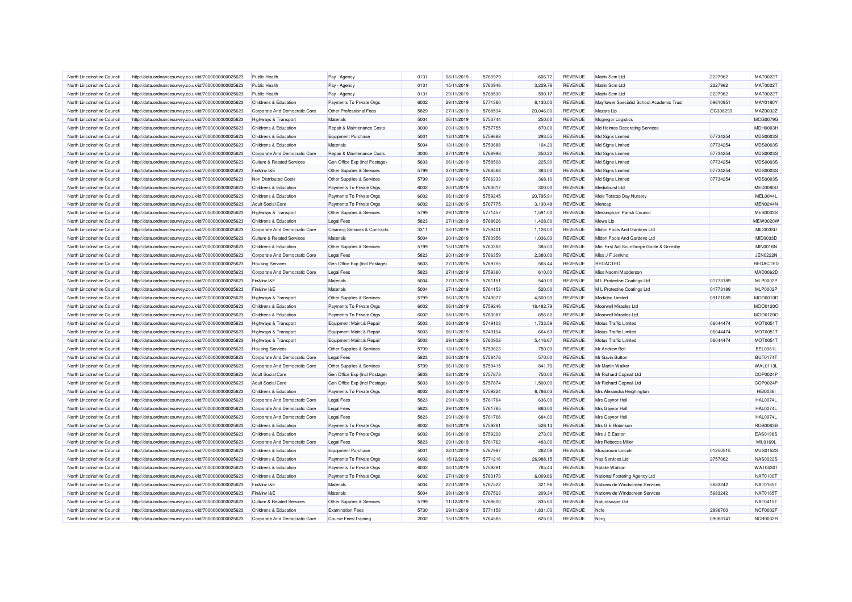| North Lincolnshire Council | http://data.ordnancesurvey.co.uk/id/7000000000025623 | <b>Public Health</b>                                     | Pay - Agency                             | 0131 | 08/11/2019 | 5760979 | $-606.72$ | REVENUE        | Matrix Scm Ltd                             | 2227962  | MAT0022T        |
|----------------------------|------------------------------------------------------|----------------------------------------------------------|------------------------------------------|------|------------|---------|-----------|----------------|--------------------------------------------|----------|-----------------|
| North Lincolnshire Council | http://data.ordnancesurvey.co.uk/id/7000000000025623 | <b>Public Health</b>                                     | Pay - Agency                             | 0131 | 15/11/2019 | 5760946 | 3,229.76  | <b>REVENUE</b> | Matrix Scm Ltd                             | 2227962  | MAT0022T        |
| North Lincolnshire Council | http://data.ordnancesurvey.co.uk/id/7000000000025623 | Public Health                                            | Pay - Agency                             | 0131 | 29/11/2019 | 5768530 | 590.17    | <b>REVENUE</b> | Matrix Scm Ltd                             | 2227962  | <b>MAT0022T</b> |
| North Lincolnshire Council | http://data.ordnancesurvey.co.uk/id/7000000000025623 | Childrens & Education                                    | Payments To Private Orgs                 | 6002 | 29/11/2019 | 5771360 | 8,130.00  | REVENUE        | Mayflower Specialist School Academic Trust | 09610951 | MAY0180Y        |
| North Lincolnshire Council | http://data.ordnancesurvey.co.uk/id/7000000000025623 | Corporate And Democratic Core                            | Other Professional Fees                  | 5829 | 27/11/2019 | 5768534 | 20,046.00 | REVENUE        | Mazars Llp                                 | OC308299 | MAZ0032Z        |
| North Lincolnshire Council | http://data.ordnancesurvey.co.uk/id/7000000000025623 | Highways & Transport                                     | Materials                                | 5004 | 06/11/2019 | 5753744 | 250.00    | <b>REVENUE</b> | Mcgregor Logistics                         |          | MCG0079G        |
| North Lincolnshire Council | http://data.ordnancesurvey.co.uk/id/7000000000025623 | Childrens & Education                                    | Repair & Maintenance Costs               | 3000 | 20/11/2019 | 5757755 | 870.00    | <b>REVENUE</b> | Md Holmes Decorating Services              |          | MDH0003H        |
| North Lincolnshire Council | http://data.ordnancesurvey.co.uk/id/7000000000025623 | Childrens & Education                                    | <b>Equipment Purchase</b>                | 5001 | 13/11/2019 | 5759688 | 293.55    | <b>REVENUE</b> | Md Signs Limited                           | 07734254 | MDS0003S        |
| North Lincolnshire Council | http://data.ordnancesurvey.co.uk/id/7000000000025623 | Childrens & Education                                    | Materials                                | 5004 | 13/11/2019 | 5759688 | 104.20    | <b>REVENUE</b> | Md Signs Limited                           | 07734254 | MDS0003S        |
| North Lincolnshire Council | http://data.ordnancesurvey.co.uk/id/7000000000025623 | Corporate And Democratic Core                            | Repair & Maintenance Costs               | 3000 | 27/11/2019 | 5768998 | 350.20    | <b>REVENUE</b> | Md Signs Limited                           | 07734254 | MDS0003S        |
| North Lincolnshire Council | http://data.ordnancesurvey.co.uk/id/7000000000025623 | <b>Culture &amp; Related Services</b>                    | Gen Office Exp (Incl Postage)            | 5603 | 06/11/2019 | 5758508 | 225.90    | REVENUE        | Md Signs Limited                           | 07734254 | MDS0003S        |
| North Lincolnshire Council | http://data.ordnancesurvey.co.uk/id/7000000000025623 | Fin&Inv I&E                                              | Other Supplies & Services                | 5799 | 27/11/2019 | 5768568 | 383.00    | <b>REVENUE</b> | Md Signs Limited                           | 07734254 | MDS0003S        |
| North Lincolnshire Council | http://data.ordnancesurvey.co.uk/id/7000000000025623 | Non Distributed Costs                                    | Other Supplies & Services                | 5799 | 20/11/2019 | 5766333 | 368.10    | REVENUE        | Md Signs Limited                           | 07734254 | MDS0003S        |
| North Lincolnshire Council | http://data.ordnancesurvey.co.uk/id/7000000000025623 | Childrens & Education                                    | Payments To Private Orgs                 | 6002 | 20/11/2019 | 5763017 | 300.00    | <b>REVENUE</b> | Mediaburst Ltd                             |          | MED0080D        |
| North Lincolnshire Council | http://data.ordnancesurvey.co.uk/id/7000000000025623 | Childrens & Education                                    | Payments To Private Orgs                 | 6002 | 06/11/2019 | 5759245 | 20,795.91 | REVENUE        | Mels Totstop Day Nursery                   |          | MEL0044L        |
| North Lincolnshire Council | http://data.ordnancesurvey.co.uk/id/7000000000025623 | <b>Adult Social Care</b>                                 | Payments To Private Orgs                 | 6002 | 22/11/2019 | 5767775 | 3,130.48  | <b>REVENUE</b> | Mencap                                     |          | MEN0244N        |
| North Lincolnshire Council | http://data.ordnancesurvey.co.uk/id/7000000000025623 | Highways & Transport                                     | Other Supplies & Services                | 5799 | 29/11/2019 | 5771457 | 1,591.00  | REVENUE        | Messingham Parish Council                  |          | <b>MES0002S</b> |
| North Lincolnshire Council | http://data.ordnancesurvey.co.uk/id/7000000000025623 | Childrens & Education                                    | <b>Legal Fees</b>                        | 5823 | 27/11/2019 | 5768626 | 1,428.00  | <b>REVENUE</b> | Mewa Lip                                   |          | <b>MEW0020V</b> |
| North Lincolnshire Council | http://data.ordnancesurvey.co.uk/id/7000000000025623 | Corporate And Democratic Core                            | <b>Cleaning Services &amp; Contracts</b> | 3311 | 08/11/2019 | 5759401 | 1,126.00  | REVENUE        | Midori Pools And Gardens Ltd               |          | MID0033D        |
| North Lincolnshire Council | http://data.ordnancesurvey.co.uk/id/7000000000025623 | <b>Culture &amp; Related Services</b>                    | Materials                                | 5004 | 20/11/2019 | 5760956 | 1,036.00  | <b>REVENUE</b> | Midori Pools And Gardens Ltd               |          | MID0033D        |
| North Lincolnshire Council | http://data.ordnancesurvey.co.uk/id/7000000000025623 | Childrens & Education                                    | Other Supplies & Services                | 5799 | 15/11/2019 | 5763362 | 385.00    | REVENUE        | Mini First Aid Scunthorpe Goole & Grimsby  |          | <b>MIN0016N</b> |
| North Lincolnshire Council | http://data.ordnancesurvey.co.uk/id/7000000000025623 | Corporate And Democratic Core                            | Legal Fees                               | 5823 | 20/11/2019 | 5766359 | 2,380.00  | <b>REVENUE</b> | Miss J F Jenkins                           |          | <b>JEN0222N</b> |
| North Lincolnshire Council | http://data.ordnancesurvey.co.uk/id/7000000000025623 | <b>Housing Services</b>                                  | Gen Office Exp (Incl Postage)            | 5603 | 27/11/2019 | 5769755 | 565.44    | REVENUE        | <b>REDACTED</b>                            |          | REDACTED        |
| North Lincolnshire Council | http://data.ordnancesurvey.co.uk/id/7000000000025623 | Corporate And Democratic Core                            | Legal Fees                               | 5823 | 27/11/2019 | 5759360 | 610.00    | <b>REVENUE</b> | Miss Naomi Madderson                       |          | MAD0062D        |
| North Lincolnshire Council | http://data.ordnancesurvey.co.uk/id/7000000000025623 | Fin&Inv I&E                                              | Materials                                | 5004 | 27/11/2019 | 5761151 | 540.00    | REVENUE        | M L Protective Coatings Ltd                | 01773189 | MLP0002P        |
| North Lincolnshire Council | http://data.ordnancesurvey.co.uk/id/7000000000025623 | Fin&Inv I&E                                              | Materials                                | 5004 | 27/11/2019 | 5761153 | 520.00    | <b>REVENUE</b> | M L Protective Coatings Ltd                | 01773189 | MLP0002P        |
| North Lincolnshire Council | http://data.ordnancesurvey.co.uk/id/7000000000025623 | Highways & Transport                                     | Other Supplies & Services                | 5799 | 06/11/2019 | 5749077 | 4,500.00  | <b>REVENUE</b> | Modatso Limited                            | 09121089 | MOD0010D        |
| North Lincolnshire Council | http://data.ordnancesurvey.co.uk/id/7000000000025623 | Childrens & Education                                    | Payments To Private Orgs                 | 6002 | 06/11/2019 | 5759246 | 18,482.79 | <b>REVENUE</b> | Moorwell Miracles Ltd                      |          | MOO0120O        |
| North Lincolnshire Council | http://data.ordnancesurvey.co.uk/id/7000000000025623 | Childrens & Education                                    | Payments To Private Orgs                 | 6002 | 08/11/2019 | 5760087 | 656.80    | REVENUE        | Moorwell Miracles Ltd                      |          | MOO0120O        |
| North Lincolnshire Council | http://data.ordnancesurvey.co.uk/id/7000000000025623 | Highways & Transport                                     | Equipment Maint.& Repair                 | 5003 | 06/11/2019 | 5749103 | 1,733.59  | <b>REVENUE</b> | Motus Traffic Limited                      | 06044474 | <b>MOT0051T</b> |
| North Lincolnshire Council | http://data.ordnancesurvey.co.uk/id/7000000000025623 | Highways & Transport                                     | Equipment Maint.& Repair                 | 5003 | 06/11/2019 | 5749104 | 664.63    | REVENUE        | Motus Traffic Limited                      | 06044474 | <b>MOT0051T</b> |
| North Lincolnshire Council | http://data.ordnancesurvey.co.uk/id/7000000000025623 |                                                          | Equipment Maint.& Repair                 | 5003 | 29/11/2019 | 5760958 | 5,416.67  | <b>REVENUE</b> | Motus Traffic Limited                      | 06044474 | <b>MOT0051T</b> |
| North Lincolnshire Council | http://data.ordnancesurvey.co.uk/id/7000000000025623 | Highways & Transport                                     |                                          | 5799 | 13/11/2019 | 5759623 | 750.00    | REVENUE        | Mr Andrew Bell                             |          | <b>BEL0081L</b> |
| North Lincolnshire Council |                                                      | <b>Housing Services</b><br>Corporate And Democratic Core | Other Supplies & Services                | 5823 | 06/11/2019 | 5758476 | 570.00    | <b>REVENUE</b> | Mr Gavin Button                            |          | <b>BUT0174T</b> |
|                            | http://data.ordnancesurvey.co.uk/id/7000000000025623 |                                                          | <b>Legal Fees</b>                        |      |            |         |           |                | Mr Martin Walker                           |          |                 |
| North Lincolnshire Council | http://data.ordnancesurvey.co.uk/id/7000000000025623 | Corporate And Democratic Core                            | Other Supplies & Services                | 5799 | 06/11/2019 | 5759415 | 841.70    | REVENUE        |                                            |          | <b>WAL0113L</b> |
| North Lincolnshire Council | http://data.ordnancesurvey.co.uk/id/7000000000025623 | <b>Adult Social Care</b>                                 | Gen Office Exp (Incl Postage)            | 5603 | 08/11/2019 | 5757873 | 750.00    | <b>REVENUE</b> | Mr Richard Copnall Ltd                     |          | COP0024P        |
| North Lincolnshire Council | http://data.ordnancesurvey.co.uk/id/7000000000025623 | <b>Adult Social Care</b>                                 | Gen Office Exp (Incl Postage)            | 5603 | 08/11/2019 | 5757874 | 1,500.00  | REVENUE        | Mr Richard Copnall Ltd                     |          | COP0024P        |
| North Lincolnshire Council | http://data.ordnancesurvey.co.uk/id/7000000000025623 | <b>Childrens &amp; Education</b>                         | Payments To Private Orgs                 | 6002 | 06/11/2019 | 5759224 | 6,786.03  | REVENUE        | Mrs Alexandra Heighington                  |          | <b>HEI0036I</b> |
| North Lincolnshire Council | http://data.ordnancesurvey.co.uk/id/7000000000025623 | Corporate And Democratic Core                            | Legal Fees                               | 5823 | 29/11/2019 | 5761764 | 636.00    | REVENUE        | Mrs Gaynor Hall                            |          | <b>HAL0074L</b> |
| North Lincolnshire Council | http://data.ordnancesurvey.co.uk/id/7000000000025623 | Corporate And Democratic Core                            | <b>Legal Fees</b>                        | 5823 | 29/11/2019 | 5761765 | 660.00    | <b>REVENUE</b> | Mrs Gaynor Hall                            |          | <b>HAL0074L</b> |
| North Lincolnshire Council | http://data.ordnancesurvey.co.uk/id/7000000000025623 | Corporate And Democratic Core                            | <b>Legal Fees</b>                        | 5823 | 29/11/2019 | 5761766 | 684.00    | REVENUE        | Mrs Gaynor Hall                            |          | <b>HAL0074L</b> |
| North Lincolnshire Council | http://data.ordnancesurvey.co.uk/id/7000000000025623 | Childrens & Education                                    | Payments To Private Orgs                 | 6002 | 06/11/2019 | 5759261 | 528.14    | <b>REVENUE</b> | Mrs G E Robinson                           |          | ROB0063B        |
| North Lincolnshire Council | http://data.ordnancesurvey.co.uk/id/7000000000025623 | Childrens & Education                                    | Payments To Private Orgs                 | 6002 | 06/11/2019 | 5759208 | 273.00    | <b>REVENUE</b> | Mrs J E Easton                             |          | <b>EAS0196S</b> |
| North Lincolnshire Council | http://data.ordnancesurvey.co.uk/id/7000000000025623 | Corporate And Democratic Core                            | Legal Fees                               | 5823 | 29/11/2019 | 5761762 | 483.00    | <b>REVENUE</b> | Mrs Rebecca Miller                         |          | MIL0169L        |
| North Lincolnshire Council | http://data.ordnancesurvey.co.uk/id/7000000000025623 | Childrens & Education                                    | <b>Equipment Purchase</b>                | 5001 | 22/11/2019 | 5767987 | 262.08    | REVENUE        | Musicroom Lincoln                          | 01250515 | <b>MUS0152S</b> |
| North Lincolnshire Council | http://data.ordnancesurvey.co.uk/id/7000000000025623 | Childrens & Education                                    | Payments To Private Orgs                 | 6002 | 15/12/2019 | 5771216 | 26,988.15 | <b>REVENUE</b> | Nas Services Ltd                           | 2757062  | <b>NAS0022S</b> |
| North Lincolnshire Council | http://data.ordnancesurvey.co.uk/id/7000000000025623 | Childrens & Education                                    | Payments To Private Orgs                 | 6002 | 06/11/2019 | 5759281 | 765.44    | <b>REVENUE</b> | Natalie Watson                             |          | WAT0430T        |
| North Lincolnshire Council | http://data.ordnancesurvey.co.uk/id/7000000000025623 | Childrens & Education                                    | Payments To Private Orgs                 | 6002 | 27/11/2019 | 5763173 | 6,009.66  | REVENUE        | National Fostering Agency Ltd              |          | <b>NAT0100T</b> |
| North Lincolnshire Council | http://data.ordnancesurvey.co.uk/id/7000000000025623 | Fin&Inv I&E                                              | Materials                                | 5004 | 22/11/2019 | 5767522 | 321.96    | REVENUE        | Nationwide Windscreen Services             | 5683242  | NAT0165T        |
| North Lincolnshire Council | http://data.ordnancesurvey.co.uk/id/7000000000025623 | Fin&Inv I&E                                              | <b>Materials</b>                         | 5004 | 29/11/2019 | 5767523 | 209.34    | REVENUE        | Nationwide Windscreen Services             | 5683242  | NAT0165T        |
| North Lincolnshire Council | http://data.ordnancesurvey.co.uk/id/7000000000025623 | <b>Culture &amp; Related Services</b>                    | Other Supplies & Services                | 5799 | 11/12/2019 | 5768600 | 835.60    | REVENUE        | Naturescape Ltd                            |          | <b>NAT0415T</b> |
| North Lincolnshire Council | http://data.ordnancesurvey.co.uk/id/7000000000025623 | <b>Childrens &amp; Education</b>                         | <b>Examination Fees</b>                  | 5730 | 29/11/2019 | 5771158 | 1,831.00  | REVENUE        | Ncfe                                       | 2896700  | NCF0002F        |
| North Lincolnshire Council | http://data.ordnancesurvey.co.uk/id/7000000000025623 | Corporate And Democratic Core                            | <b>Course Fees/Training</b>              | 2002 | 15/11/2019 | 5764565 | 625.00    | <b>REVENUE</b> | Ncrg                                       | 09063141 | NCR0032R        |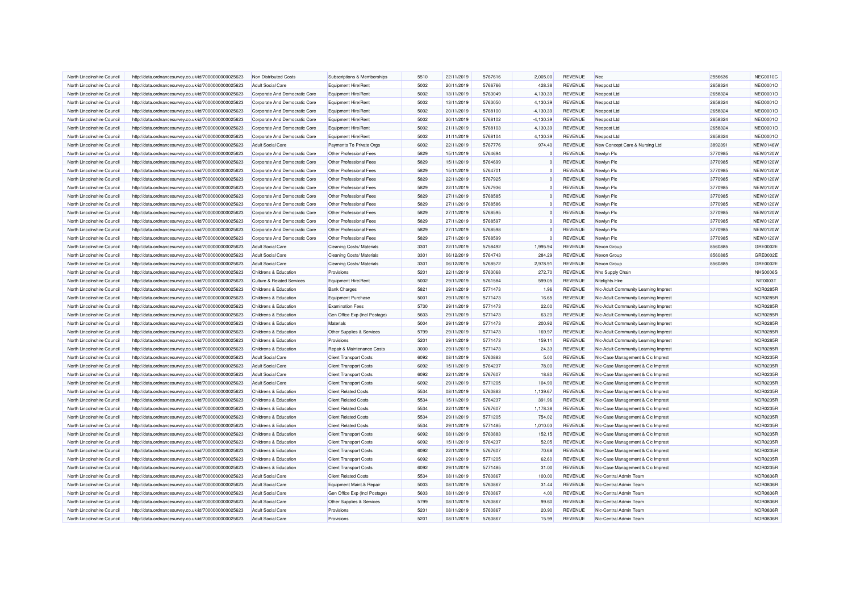| North Lincolnshire Council | http://data.ordnancesurvey.co.uk/id/7000000000025623 | Non Distributed Costs                 | Subscriptions & Memberships                        | 5510 | 22/11/2019               | 5767616 | 2.005.00    | <b>REVENUE</b> | <b>Nec</b>                           | 2556636 | <b>NEC0010C</b> |
|----------------------------|------------------------------------------------------|---------------------------------------|----------------------------------------------------|------|--------------------------|---------|-------------|----------------|--------------------------------------|---------|-----------------|
| North Lincolnshire Council | http://data.ordnancesurvey.co.uk/id/7000000000025623 | <b>Adult Social Care</b>              | <b>Equipment Hire/Rent</b>                         | 5002 | 20/11/2019               | 5766766 | 428.38      | REVENUE        | Neopost Ltd                          | 2658324 | NEO0001O        |
| North Lincolnshire Council | http://data.ordnancesurvey.co.uk/id/7000000000025623 | Corporate And Democratic Core         | Equipment Hire/Rent                                | 5002 | 13/11/2019               | 5763049 | 4,130.39    | REVENUE        | Neopost Ltd                          | 2658324 | NEO0001O        |
| North Lincolnshire Council | http://data.ordnancesurvey.co.uk/id/7000000000025623 | Corporate And Democratic Core         | <b>Equipment Hire/Rent</b>                         | 5002 | 13/11/2019               | 5763050 | 4,130.39    | REVENUE        | Neopost Ltd                          | 2658324 | NEO0001O        |
| North Lincolnshire Council | http://data.ordnancesurvey.co.uk/id/7000000000025623 | Corporate And Democratic Core         | <b>Equipment Hire/Rent</b>                         | 5002 | 20/11/2019               | 5768100 | $-4,130.39$ | <b>REVENUE</b> | Neopost Ltd                          | 2658324 | NEO0001O        |
| North Lincolnshire Council | http://data.ordnancesurvey.co.uk/id/7000000000025623 | Corporate And Democratic Core         | Equipment Hire/Rent                                | 5002 | 20/11/2019               | 5768102 | $-4,130.39$ | REVENUE        | Neopost Ltd                          | 2658324 | NEO0001O        |
| North Lincolnshire Council | http://data.ordnancesurvey.co.uk/id/7000000000025623 | Corporate And Democratic Core         | <b>Equipment Hire/Rent</b>                         | 5002 | 21/11/2019               | 5768103 | 4,130.39    | <b>REVENUE</b> | Neopost Ltd                          | 2658324 | NEO0001O        |
| North Lincolnshire Council | http://data.ordnancesurvey.co.uk/id/7000000000025623 | Corporate And Democratic Core         | <b>Equipment Hire/Rent</b>                         | 5002 | 21/11/2019               | 5768104 | 4,130.39    | REVENUE        | Neopost Ltd                          | 2658324 | NEO0001O        |
| North Lincolnshire Council | http://data.ordnancesurvey.co.uk/id/7000000000025623 | <b>Adult Social Care</b>              | Payments To Private Orgs                           | 6002 | 22/11/2019               | 5767776 | 974.40      | REVENUE        | New Concept Care & Nursing Ltd       | 3892391 | <b>NEW0146W</b> |
| North Lincolnshire Council | http://data.ordnancesurvey.co.uk/id/7000000000025623 | Corporate And Democratic Core         | Other Professional Fees                            | 5829 | 15/11/2019               | 5764694 |             | <b>REVENUE</b> | Newlyn Plc                           | 3770985 | <b>NEW0120W</b> |
| North Lincolnshire Council | http://data.ordnancesurvey.co.uk/id/7000000000025623 | Corporate And Democratic Core         | Other Professional Fees                            | 5829 | 15/11/2019               | 5764699 | $^{\circ}$  | <b>REVENUE</b> | Newlyn Plc                           | 3770985 | <b>NEW0120W</b> |
| North Lincolnshire Council | http://data.ordnancesurvey.co.uk/id/7000000000025623 | Corporate And Democratic Core         | Other Professional Fees                            | 5829 | 15/11/2019               | 5764701 | $\Omega$    | <b>REVENUE</b> | Newlyn Plc                           | 3770985 | <b>NEW0120W</b> |
| North Lincolnshire Council | http://data.ordnancesurvey.co.uk/id/7000000000025623 | Corporate And Democratic Core         | Other Professional Fees                            | 5829 | 22/11/2019               | 5767925 | $\mathbf 0$ | <b>REVENUE</b> | Newlyn Plc                           | 3770985 | <b>NEW0120W</b> |
| North Lincolnshire Council | http://data.ordnancesurvey.co.uk/id/7000000000025623 | Corporate And Democratic Core         | Other Professional Fees                            | 5829 | 22/11/2019               | 5767936 | $\Omega$    | REVENUE        | Newlyn Plc                           | 3770985 | <b>NEW0120W</b> |
| North Lincolnshire Council | http://data.ordnancesurvey.co.uk/id/7000000000025623 | Corporate And Democratic Core         | Other Professional Fees                            | 5829 | 27/11/2019               | 5768585 | $\Omega$    | <b>REVENUE</b> | Newlyn Plc                           | 3770985 | <b>NEW0120W</b> |
| North Lincolnshire Council | http://data.ordnancesurvey.co.uk/id/7000000000025623 | Corporate And Democratic Core         | Other Professional Fees                            | 5829 | 27/11/2019               | 5768586 | $\Omega$    | <b>REVENUE</b> | Newlyn Plc                           | 3770985 | <b>NEW0120W</b> |
| North Lincolnshire Council | http://data.ordnancesurvey.co.uk/id/7000000000025623 | Corporate And Democratic Core         | Other Professional Fees                            | 5829 | 27/11/2019               | 5768595 | $\Omega$    | REVENUE        | Newlyn Plc                           | 3770985 | <b>NEW0120W</b> |
| North Lincolnshire Council | http://data.ordnancesurvey.co.uk/id/7000000000025623 | Corporate And Democratic Core         | Other Professional Fees                            | 5829 | 27/11/2019               | 5768597 | $\Omega$    | <b>REVENUE</b> | Newlyn Plc                           | 3770985 | <b>NEW0120W</b> |
|                            |                                                      |                                       |                                                    | 5829 |                          | 5768598 | $\Omega$    |                |                                      | 3770985 | <b>NEW0120W</b> |
| North Lincolnshire Council | http://data.ordnancesurvey.co.uk/id/7000000000025623 | Corporate And Democratic Core         | Other Professional Fees<br>Other Professional Fees | 5829 | 27/11/2019<br>27/11/2019 |         | $\Omega$    | <b>REVENUE</b> | Newlyn Plc                           | 3770985 | <b>NEW0120W</b> |
| North Lincolnshire Council | http://data.ordnancesurvey.co.uk/id/7000000000025623 | Corporate And Democratic Core         |                                                    |      |                          | 5768599 |             | <b>REVENUE</b> | Newlyn Plc                           |         |                 |
| North Lincolnshire Council | http://data.ordnancesurvey.co.uk/id/7000000000025623 | <b>Adult Social Care</b>              | Cleaning Costs/ Materials                          | 3301 | 22/11/2019               | 5758492 | 1,995.94    | <b>REVENUE</b> | Nexon Group                          | 8560885 | GRE0002E        |
| North Lincolnshire Council | http://data.ordnancesurvey.co.uk/id/7000000000025623 | <b>Adult Social Care</b>              | Cleaning Costs/ Materials                          | 3301 | 06/12/2019               | 5764743 | 284.29      | <b>REVENUE</b> | Nexon Group                          | 8560885 | GRE0002E        |
| North Lincolnshire Council | http://data.ordnancesurvey.co.uk/id/7000000000025623 | <b>Adult Social Care</b>              | <b>Cleaning Costs/ Materials</b>                   | 3301 | 06/12/2019               | 5768572 | 2,978.91    | <b>REVENUE</b> | Nexon Group                          | 8560885 | GRE0002E        |
| North Lincolnshire Council | http://data.ordnancesurvey.co.uk/id/7000000000025623 | Childrens & Education                 | Provisions                                         | 5201 | 22/11/2019               | 5763068 | 272.70      | REVENUE        | Nhs Supply Chain                     |         | <b>NHS0006S</b> |
| North Lincolnshire Council | http://data.ordnancesurvey.co.uk/id/7000000000025623 | <b>Culture &amp; Related Services</b> | Equipment Hire/Rent                                | 5002 | 29/11/2019               | 5761584 | 599.05      | <b>REVENUE</b> | Nitelights Hire                      |         | NIT0003T        |
| North Lincolnshire Council | http://data.ordnancesurvey.co.uk/id/7000000000025623 | Childrens & Education                 | <b>Bank Charges</b>                                | 5821 | 29/11/2019               | 5771473 | 1.96        | <b>REVENUE</b> | Nic-Adult Community Learning Imprest |         | <b>NOR0285F</b> |
| North Lincolnshire Council | http://data.ordnancesurvey.co.uk/id/7000000000025623 | Childrens & Education                 | <b>Equipment Purchase</b>                          | 5001 | 29/11/2019               | 5771473 | 16.65       | <b>REVENUE</b> | Nic-Adult Community Learning Imprest |         | <b>NOR0285R</b> |
| North Lincolnshire Council | http://data.ordnancesurvey.co.uk/id/7000000000025623 | Childrens & Education                 | <b>Examination Fees</b>                            | 5730 | 29/11/2019               | 5771473 | 22.00       | REVENUE        | Nic-Adult Community Learning Imprest |         | <b>NOR0285F</b> |
| North Lincolnshire Council | http://data.ordnancesurvey.co.uk/id/7000000000025623 | Childrens & Education                 | Gen Office Exp (Incl Postage)                      | 5603 | 29/11/2019               | 5771473 | 63.20       | <b>REVENUE</b> | Nic-Adult Community Learning Imprest |         | <b>NOR0285F</b> |
| North Lincolnshire Council | http://data.ordnancesurvey.co.uk/id/7000000000025623 | Childrens & Education                 | Materials                                          | 5004 | 29/11/2019               | 5771473 | 200.92      | <b>REVENUE</b> | Nic-Adult Community Learning Imprest |         | <b>NOR0285R</b> |
| North Lincolnshire Council | http://data.ordnancesurvey.co.uk/id/7000000000025623 | Childrens & Education                 | Other Supplies & Services                          | 5799 | 29/11/2019               | 5771473 | 169.97      | <b>REVENUE</b> | Nic-Adult Community Learning Imprest |         | <b>NOR0285R</b> |
| North Lincolnshire Council | http://data.ordnancesurvey.co.uk/id/7000000000025623 | Childrens & Education                 | Provisions                                         | 5201 | 29/11/2019               | 5771473 | 159.11      | <b>REVENUE</b> | Nic-Adult Community Learning Imprest |         | <b>NOR0285R</b> |
| North Lincolnshire Council | http://data.ordnancesurvey.co.uk/id/7000000000025623 | Childrens & Education                 | Repair & Maintenance Costs                         | 3000 | 29/11/2019               | 5771473 | 24.33       | <b>REVENUE</b> | Nic-Adult Community Learning Imprest |         | <b>NOR0285R</b> |
| North Lincolnshire Council | http://data.ordnancesurvey.co.uk/id/7000000000025623 | <b>Adult Social Care</b>              | <b>Client Transport Costs</b>                      | 6092 | 08/11/2019               | 5760883 | 5.00        | <b>REVENUE</b> | Nlc-Case Management & Cic Imprest    |         | NOR0235F        |
| North Lincolnshire Council | http://data.ordnancesurvey.co.uk/id/7000000000025623 | <b>Adult Social Care</b>              | <b>Client Transport Costs</b>                      | 6092 | 15/11/2019               | 5764237 | 78.00       | <b>REVENUE</b> | NIc-Case Management & Cic Imprest    |         | NOR0235F        |
| North Lincolnshire Council | http://data.ordnancesurvey.co.uk/id/7000000000025623 | <b>Adult Social Care</b>              | <b>Client Transport Costs</b>                      | 6092 | 22/11/2019               | 5767607 | 18.80       | <b>REVENUE</b> | NIc-Case Management & Cic Imprest    |         | NOR0235R        |
| North Lincolnshire Council | http://data.ordnancesurvey.co.uk/id/7000000000025623 | <b>Adult Social Care</b>              | <b>Client Transport Costs</b>                      | 6092 | 29/11/2019               | 5771205 | 104.90      | REVENUE        | Nic-Case Management & Cic Imprest    |         | NOR0235F        |
| North Lincolnshire Council | http://data.ordnancesurvey.co.uk/id/7000000000025623 | Childrens & Education                 | <b>Client Related Costs</b>                        | 5534 | 08/11/2019               | 5760883 | 1,139.67    | <b>REVENUE</b> | Nic-Case Management & Cic Imprest    |         | NOR0235R        |
| North Lincolnshire Council | http://data.ordnancesurvey.co.uk/id/7000000000025623 | Childrens & Education                 | <b>Client Related Costs</b>                        | 5534 | 15/11/2019               | 5764237 | 391.96      | REVENUE        | Nlc-Case Management & Cic Imprest    |         | NOR0235R        |
| North Lincolnshire Council | http://data.ordnancesurvey.co.uk/id/7000000000025623 | Childrens & Education                 | <b>Client Related Costs</b>                        | 5534 | 22/11/2019               | 5767607 | 1,178.38    | REVENUE        | NIc-Case Management & Cic Imprest    |         | NOR0235F        |
| North Lincolnshire Council | http://data.ordnancesurvev.co.uk/id/7000000000025623 | Childrens & Education                 | <b>Client Related Costs</b>                        | 5534 | 29/11/2019               | 5771205 | 754.02      | <b>REVENUE</b> | Nic-Case Management & Cic Imprest    |         | <b>NOR0235R</b> |
| North Lincolnshire Council | http://data.ordnancesurvey.co.uk/id/7000000000025623 | Childrens & Education                 | <b>Client Related Costs</b>                        | 5534 | 29/11/2019               | 5771485 | 1,010.03    | <b>REVENUE</b> | Nic-Case Management & Cic Imprest    |         | <b>NOR0235F</b> |
| North Lincolnshire Council | http://data.ordnancesurvey.co.uk/id/7000000000025623 | Childrens & Education                 | <b>Client Transport Costs</b>                      | 6092 | 08/11/2019               | 5760883 | 152.15      | <b>REVENUE</b> | Nic-Case Management & Cic Imprest    |         | <b>NOR0235R</b> |
| North Lincolnshire Council | http://data.ordnancesurvey.co.uk/id/7000000000025623 | Childrens & Education                 | <b>Client Transport Costs</b>                      | 6092 | 15/11/2019               | 5764237 | 52.05       | <b>REVENUE</b> | Nic-Case Management & Cic Imprest    |         | NOR0235R        |
| North Lincolnshire Council | http://data.ordnancesurvey.co.uk/id/7000000000025623 | Childrens & Education                 | <b>Client Transport Costs</b>                      | 6092 | 22/11/2019               | 5767607 | 70.68       | <b>REVENUE</b> | NIc-Case Management & Cic Imprest    |         | <b>NOR0235F</b> |
| North Lincolnshire Council | http://data.ordnancesurvey.co.uk/id/7000000000025623 | Childrens & Education                 | <b>Client Transport Costs</b>                      | 6092 | 29/11/2019               | 5771205 | 62.60       | <b>REVENUE</b> | NIc-Case Management & Cic Imprest    |         | NOR0235R        |
| North Lincolnshire Council | http://data.ordnancesurvey.co.uk/id/7000000000025623 | Childrens & Education                 | <b>Client Transport Costs</b>                      | 6092 | 29/11/2019               | 5771485 | 31.00       | <b>REVENUE</b> | NIc-Case Management & Cic Imprest    |         | NOR0235F        |
| North Lincolnshire Council | http://data.ordnancesurvey.co.uk/id/7000000000025623 | <b>Adult Social Care</b>              | <b>Client Related Costs</b>                        | 5534 | 08/11/2019               | 5760867 | 100.00      | REVENUE        | Nic-Central Admin Team               |         | NOR0836R        |
| North Lincolnshire Council | http://data.ordnancesurvey.co.uk/id/7000000000025623 | <b>Adult Social Care</b>              | Equipment Maint.& Repair                           | 5003 | 08/11/2019               | 5760867 | 31.44       | <b>REVENUE</b> | Nic-Central Admin Team               |         | NOR0836R        |
| North Lincolnshire Council | http://data.ordnancesurvey.co.uk/id/7000000000025623 | <b>Adult Social Care</b>              | Gen Office Exp (Incl Postage)                      | 5603 | 08/11/2019               | 5760867 | 4.00        | REVENUE        | Nic-Central Admin Team               |         | <b>NOR0836F</b> |
| North Lincolnshire Council | http://data.ordnancesurvey.co.uk/id/7000000000025623 | <b>Adult Social Care</b>              | Other Supplies & Services                          | 5799 | 08/11/2019               | 5760867 | 99.60       | REVENUE        | Nic-Central Admin Team               |         | NOR0836R        |
| North Lincolnshire Council | http://data.ordnancesurvey.co.uk/id/7000000000025623 | <b>Adult Social Care</b>              | Provisions                                         | 5201 | 08/11/2019               | 5760867 | 20.90       | <b>REVENUE</b> | Nic-Central Admin Team               |         | NOR0836F        |
| North Lincolnshire Council | http://data.ordnancesurvey.co.uk/id/7000000000025623 | <b>Adult Social Care</b>              | Provisions                                         | 5201 | 08/11/2019               | 5760867 | 15.99       | <b>REVENUE</b> | Nic-Central Admin Team               |         | NOR0836R        |
|                            |                                                      |                                       |                                                    |      |                          |         |             |                |                                      |         |                 |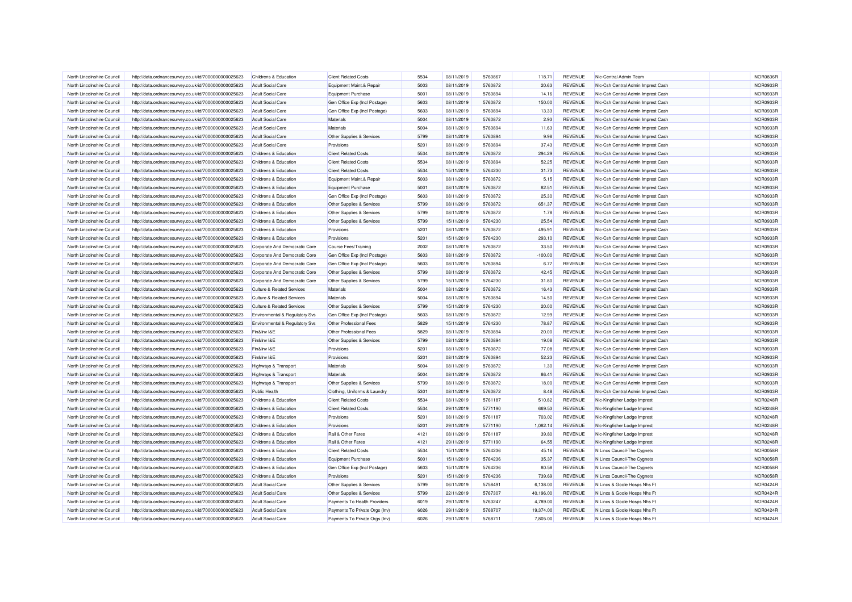| North Lincolnshire Council | http://data.ordnancesurvey.co.uk/id/7000000000025623 | Childrens & Education                 | <b>Client Related Costs</b>    | 5534          | 08/11/2019 | 5760867            | 118.71    | <b>REVENUE</b> | Nic-Central Admin Team             | <b>NOR0836R</b> |
|----------------------------|------------------------------------------------------|---------------------------------------|--------------------------------|---------------|------------|--------------------|-----------|----------------|------------------------------------|-----------------|
| North Lincolnshire Council | http://data.ordnancesurvey.co.uk/id/7000000000025623 | <b>Adult Social Care</b>              | Equipment Maint.& Repair       | 5003          | 08/11/2019 | 5760872            | 20.63     | REVENUE        | Nlc-Csh Central Admin Imprest Cash | NOR0933R        |
| North Lincolnshire Council | http://data.ordnancesurvey.co.uk/id/7000000000025623 | <b>Adult Social Care</b>              | Equipment Purchase             | 5001          | 08/11/2019 | 5760894            | 14.16     | <b>REVENUE</b> | Nlc-Csh Central Admin Imprest Cash | NOR0933R        |
| North Lincolnshire Council | http://data.ordnancesurvey.co.uk/id/7000000000025623 | <b>Adult Social Care</b>              | Gen Office Exp (Incl Postage)  | 5603          | 08/11/2019 | 5760872            | 150.00    | REVENUE        | Nlc-Csh Central Admin Imprest Cash | NOR0933R        |
| North Lincolnshire Council | http://data.ordnancesurvey.co.uk/id/7000000000025623 | <b>Adult Social Care</b>              | Gen Office Exp (Incl Postage)  | 5603          | 08/11/2019 | 5760894            | 13.33     | <b>REVENUE</b> | Nlc-Csh Central Admin Imprest Cash | NOR0933R        |
| North Lincolnshire Council | http://data.ordnancesurvey.co.uk/id/7000000000025623 | <b>Adult Social Care</b>              | <b>Materials</b>               | 5004          | 08/11/2019 | 5760872            | 2.93      | REVENUE        | Nic-Csh Central Admin Imprest Cash | NOR0933R        |
| North Lincolnshire Council | http://data.ordnancesurvey.co.uk/id/7000000000025623 | Adult Social Care                     | Materials                      | 5004          | 08/11/2019 | 5760894            | 11.63     | <b>REVENUE</b> | Nlc-Csh Central Admin Imprest Cash | <b>NOR0933R</b> |
| North Lincolnshire Council | http://data.ordnancesurvey.co.uk/id/7000000000025623 | <b>Adult Social Care</b>              | Other Supplies & Services      | 5799          | 08/11/2019 | 5760894            | 9.98      | <b>REVENUE</b> | Nic-Csh Central Admin Imprest Cash | NOR0933F        |
| North Lincolnshire Council | http://data.ordnancesurvey.co.uk/id/7000000000025623 | <b>Adult Social Care</b>              | Provisions                     | 5201          | 08/11/2019 | 5760894            | 37.43     | <b>REVENUE</b> | Nlc-Csh Central Admin Imprest Cash | NOR0933R        |
| North Lincolnshire Council | http://data.ordnancesurvey.co.uk/id/7000000000025623 | Childrens & Education                 | <b>Client Related Costs</b>    | 5534          | 08/11/2019 | 5760872            | 294.29    | <b>REVENUE</b> | Nlc-Csh Central Admin Imprest Cash | NOR0933R        |
| North Lincolnshire Council | http://data.ordnancesurvey.co.uk/id/7000000000025623 | Childrens & Education                 | <b>Client Related Costs</b>    | 5534          | 08/11/2019 | 5760894            | 52.25     | REVENUE        | Nlc-Csh Central Admin Imprest Cash | NOR0933R        |
| North Lincolnshire Council | http://data.ordnancesurvey.co.uk/id/7000000000025623 | Childrens & Education                 | <b>Client Related Costs</b>    | 5534          | 15/11/2019 | 5764230            | 31.73     | <b>REVENUE</b> | Nlc-Csh Central Admin Imprest Cash | NOR0933R        |
| North Lincolnshire Council | http://data.ordnancesurvey.co.uk/id/7000000000025623 | Childrens & Education                 | Equipment Maint.& Repair       | 5003          | 08/11/2019 | 5760872            | 5.15      | <b>REVENUE</b> | Nlc-Csh Central Admin Imprest Cash | NOR0933R        |
| North Lincolnshire Council | http://data.ordnancesurvey.co.uk/id/7000000000025623 | Childrens & Education                 | Equipment Purchase             | 5001          | 08/11/2019 | 5760872            | 82.51     | <b>REVENUE</b> | Nlc-Csh Central Admin Imprest Cash | NOR0933R        |
| North Lincolnshire Council | http://data.ordnancesurvey.co.uk/id/7000000000025623 | Childrens & Education                 | Gen Office Exp (Incl Postage)  | 5603          | 08/11/2019 | 5760872            | 25.30     | <b>REVENUE</b> | Nic-Csh Central Admin Imprest Cash | NOR0933R        |
| North Lincolnshire Council | http://data.ordnancesurvey.co.uk/id/7000000000025623 | Childrens & Education                 | Other Supplies & Services      | 5799          | 08/11/2019 | 5760872            | 651.37    | <b>REVENUE</b> | Nlc-Csh Central Admin Imprest Cash | NOR0933R        |
| North Lincolnshire Council | http://data.ordnancesurvey.co.uk/id/7000000000025623 | Childrens & Education                 | Other Supplies & Services      | 5799          | 08/11/2019 | 5760872            | 1.78      | <b>REVENUE</b> | Nlc-Csh Central Admin Imprest Cash | NOR0933R        |
| North Lincolnshire Council | http://data.ordnancesurvey.co.uk/id/7000000000025623 | Childrens & Education                 | Other Supplies & Services      | 5799          | 15/11/2019 | 5764230            | 25.54     | REVENUE        | Nlc-Csh Central Admin Imprest Cash | NOR0933R        |
|                            |                                                      |                                       |                                |               |            |                    |           |                |                                    |                 |
| North Lincolnshire Council | http://data.ordnancesurvey.co.uk/id/7000000000025623 | Childrens & Education                 | Provisions                     | 5201          | 08/11/2019 | 5760872<br>5764230 | 495.91    | REVENUE        | Nlc-Csh Central Admin Imprest Cash | NOR0933R        |
| North Lincolnshire Council | http://data.ordnancesurvey.co.uk/id/7000000000025623 | Childrens & Education                 | Provisions                     | 5201<br>2002  | 15/11/2019 |                    | 293.10    | <b>REVENUE</b> | Nic-Csh Central Admin Imprest Cash | NOR0933R        |
| North Lincolnshire Council | http://data.ordnancesurvey.co.uk/id/7000000000025623 | Corporate And Democratic Core         | <b>Course Fees/Training</b>    |               | 08/11/2019 | 5760872            | 33.50     | <b>REVENUE</b> | Nlc-Csh Central Admin Imprest Cash | NOR0933R        |
| North Lincolnshire Council | http://data.ordnancesurvey.co.uk/id/7000000000025623 | Corporate And Democratic Core         | Gen Office Exp (Incl Postage)  | 5603          | 08/11/2019 | 5760872            | $-100.00$ | <b>REVENUE</b> | Nlc-Csh Central Admin Imprest Cash | NOR0933R        |
| North Lincolnshire Council | http://data.ordnancesurvey.co.uk/id/7000000000025623 | Corporate And Democratic Core         | Gen Office Exp (Incl Postage)  | 5603          | 08/11/2019 | 5760894            | 6.77      | <b>REVENUE</b> | Nlc-Csh Central Admin Imprest Cash | NOR0933R        |
| North Lincolnshire Council | http://data.ordnancesurvey.co.uk/id/7000000000025623 | Corporate And Democratic Core         | Other Supplies & Services      | 5799          | 08/11/2019 | 5760872            | 42.45     | REVENUE        | Nlc-Csh Central Admin Imprest Cash | NOR0933R        |
| North Lincolnshire Council | http://data.ordnancesurvey.co.uk/id/7000000000025623 | Corporate And Democratic Core         | Other Supplies & Services      | 5799          | 15/11/2019 | 5764230            | 31.80     | REVENUE        | Nic-Csh Central Admin Imprest Cash | NOR0933R        |
| North Lincolnshire Council | http://data.ordnancesurvey.co.uk/id/7000000000025623 | <b>Culture &amp; Related Services</b> | Materials                      | 5004          | 08/11/2019 | 5760872            | 16.43     | REVENUE        | Nlc-Csh Central Admin Imprest Cash | <b>NOR0933R</b> |
| North Lincolnshire Council | http://data.ordnancesurvey.co.uk/id/7000000000025623 | <b>Culture &amp; Related Services</b> | Materials                      | 5004          | 08/11/2019 | 5760894            | 14.50     | <b>REVENUE</b> | Nlc-Csh Central Admin Imprest Cash | NOR0933R        |
| North Lincolnshire Council | http://data.ordnancesurvey.co.uk/id/7000000000025623 | <b>Culture &amp; Related Services</b> | Other Supplies & Services      | 5799          | 15/11/2019 | 5764230            | 20.00     | REVENUE        | Nlc-Csh Central Admin Imprest Cash | NOR0933R        |
| North Lincolnshire Council | http://data.ordnancesurvey.co.uk/id/7000000000025623 | Environmental & Regulatory Svs        | Gen Office Exp (Incl Postage)  | 5603          | 08/11/2019 | 5760872            | 12.99     | <b>REVENUE</b> | Nlc-Csh Central Admin Imprest Cash | NOR0933R        |
| North Lincolnshire Council | http://data.ordnancesurvey.co.uk/id/7000000000025623 | Environmental & Regulatory Svs        | Other Professional Fees        | 5829          | 15/11/2019 | 5764230            | 78.87     | <b>REVENUE</b> | Nlc-Csh Central Admin Imprest Cash | NOR0933R        |
| North Lincolnshire Council | http://data.ordnancesurvey.co.uk/id/7000000000025623 | Fin&Inv I&E                           | Other Professional Fees        | 5829          | 08/11/2019 | 5760894            | 20.00     | <b>REVENUE</b> | Nlc-Csh Central Admin Imprest Cash | <b>NOR0933R</b> |
| North Lincolnshire Council | http://data.ordnancesurvey.co.uk/id/7000000000025623 | Fin&Inv I&E                           | Other Supplies & Services      | 5799          | 08/11/2019 | 5760894            | 19.08     | <b>REVENUE</b> | Nlc-Csh Central Admin Imprest Cash | NOR0933R        |
| North Lincolnshire Council | http://data.ordnancesurvey.co.uk/id/7000000000025623 | Fin&Inv I&E                           | Provisions                     | $520^{\circ}$ | 08/11/2019 | 5760872            | 77.08     | <b>REVENUE</b> | Nlc-Csh Central Admin Imprest Cash | NOR0933R        |
| North Lincolnshire Council | http://data.ordnancesurvey.co.uk/id/7000000000025623 | Fin&Inv I&E                           | Provisions                     | 5201          | 08/11/2019 | 5760894            | 52.23     | REVENUE        | Nic-Csh Central Admin Imprest Cash | NOR0933R        |
| North Lincolnshire Council | http://data.ordnancesurvey.co.uk/id/7000000000025623 | Highways & Transport                  | Materials                      | 5004          | 08/11/2019 | 5760872            | 1.30      | <b>REVENUE</b> | Nlc-Csh Central Admin Imprest Cash | NOR0933R        |
| North Lincolnshire Council | http://data.ordnancesurvey.co.uk/id/7000000000025623 | Highways & Transport                  | Materials                      | 5004          | 08/11/2019 | 5760872            | 86.41     | <b>REVENUE</b> | Nlc-Csh Central Admin Imprest Cash | <b>NOR0933R</b> |
| North Lincolnshire Council | http://data.ordnancesurvey.co.uk/id/7000000000025623 | Highways & Transport                  | Other Supplies & Services      | 5799          | 08/11/2019 | 5760872            | 18.00     | <b>REVENUE</b> | Nlc-Csh Central Admin Imprest Cash | NOR0933R        |
| North Lincolnshire Council | http://data.ordnancesurvey.co.uk/id/7000000000025623 | <b>Public Health</b>                  | Clothing, Uniforms & Laundry   | 5301          | 08/11/2019 | 5760872            | 8.48      | <b>REVENUE</b> | Nlc-Csh Central Admin Imprest Cash | NOR0933R        |
| North Lincolnshire Council | http://data.ordnancesurvey.co.uk/id/7000000000025623 | Childrens & Education                 | <b>Client Related Costs</b>    | 5534          | 08/11/2019 | 5761187            | 510.82    | <b>REVENUE</b> | Nic-Kingfisher Lodge Imprest       | <b>NOR0248R</b> |
| North Lincolnshire Council | http://data.ordnancesurvey.co.uk/id/7000000000025623 | <b>Childrens &amp; Education</b>      | <b>Client Related Costs</b>    | 5534          | 29/11/2019 | 5771190            | 669.53    | <b>REVENUE</b> | Nic-Kingfisher Lodge Imprest       | <b>NOR0248R</b> |
| North Lincolnshire Council | http://data.ordnancesurvey.co.uk/id/7000000000025623 | Childrens & Education                 | Provisions                     | 5201          | 08/11/2019 | 5761187            | 703.02    | <b>REVENUE</b> | Nic-Kingfisher Lodge Imprest       | NOR0248R        |
| North Lincolnshire Council | http://data.ordnancesurvey.co.uk/id/7000000000025623 | <b>Childrens &amp; Education</b>      | Provisions                     | 5201          | 29/11/2019 | 5771190            | 1,082.14  | REVENUE        | Nic-Kingfisher Lodge Imprest       | NOR0248R        |
| North Lincolnshire Council | http://data.ordnancesurvey.co.uk/id/7000000000025623 | Childrens & Education                 | Rail & Other Fares             | 4121          | 08/11/2019 | 5761187            | 39.80     | <b>REVENUE</b> | Nlc-Kingfisher Lodge Imprest       | NOR0248R        |
| North Lincolnshire Council | http://data.ordnancesurvey.co.uk/id/7000000000025623 | Childrens & Education                 | Rail & Other Fares             | 4121          | 29/11/2019 | 5771190            | 64.55     | <b>REVENUE</b> | Nic-Kingfisher Lodge Imprest       | <b>NOR0248R</b> |
| North Lincolnshire Council | http://data.ordnancesurvey.co.uk/id/7000000000025623 | Childrens & Education                 | <b>Client Related Costs</b>    | 5534          | 15/11/2019 | 5764236            | 45.16     | <b>REVENUE</b> | N Lincs Council-The Cygnets        | NOR0058R        |
| North Lincolnshire Council | http://data.ordnancesurvey.co.uk/id/7000000000025623 | Childrens & Education                 | Equipment Purchase             | 5001          | 15/11/2019 | 5764236            | 35.37     | <b>REVENUE</b> | N Lincs Council-The Cygnets        | NOR0058R        |
| North Lincolnshire Council | http://data.ordnancesurvey.co.uk/id/7000000000025623 | <b>Childrens &amp; Education</b>      | Gen Office Exp (Incl Postage)  | 5603          | 15/11/2019 | 5764236            | 80.58     | <b>REVENUE</b> | N Lincs Council-The Cygnets        | NOR0058R        |
| North Lincolnshire Council | http://data.ordnancesurvey.co.uk/id/7000000000025623 | Childrens & Education                 | Provisions                     | 5201          | 15/11/2019 | 5764236            | 739.69    | <b>REVENUE</b> | N Lincs Council-The Cygnets        | NOR0058R        |
| North Lincolnshire Council | http://data.ordnancesurvey.co.uk/id/7000000000025623 | <b>Adult Social Care</b>              | Other Supplies & Services      | 5799          | 06/11/2019 | 5758491            | 6,138.00  | REVENUE        | N Lincs & Goole Hosps Nhs Ft       | <b>NOR0424R</b> |
| North Lincolnshire Council | http://data.ordnancesurvey.co.uk/id/7000000000025623 | <b>Adult Social Care</b>              | Other Supplies & Services      | 5799          | 22/11/2019 | 5767307            | 40,196.00 | REVENUE        | N Lincs & Goole Hosps Nhs Ft       | <b>NOR0424R</b> |
| North Lincolnshire Council | http://data.ordnancesurvey.co.uk/id/7000000000025623 | <b>Adult Social Care</b>              | Payments To Health Providers   | 6019          | 29/11/2019 | 5763247            | 4,789.00  | <b>REVENUE</b> | N Lincs & Goole Hosps Nhs Ft       | <b>NOR0424R</b> |
| North Lincolnshire Council | http://data.ordnancesurvey.co.uk/id/7000000000025623 | <b>Adult Social Care</b>              | Payments To Private Orgs (Inv) | 6026          | 29/11/2019 | 5768707            | 19,374.00 | <b>REVENUE</b> | N Lincs & Goole Hosps Nhs Ft       | NOR0424F        |
| North Lincolnshire Council | http://data.ordnancesurvey.co.uk/id/7000000000025623 | <b>Adult Social Care</b>              | Payments To Private Orgs (Inv) | 6026          | 29/11/2019 | 5768711            | 7,805.00  | <b>REVENUE</b> | N Lincs & Goole Hosps Nhs Ft       | <b>NOR0424R</b> |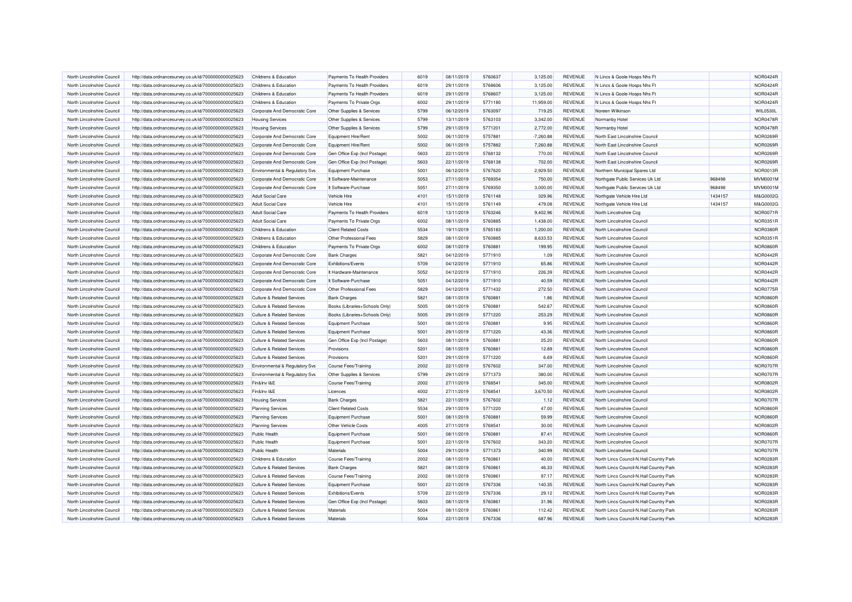| North Lincolnshire Council                               | http://data.ordnancesurvey.co.uk/id/7000000000025623 | Childrens & Education                                                  | Payments To Health Providers   | 6019 | 08/11/2019               | 5760637 | 3,125.00       | REVENUE        | N Lincs & Goole Hosps Nhs Ft            |         | <b>NOR0424R</b> |
|----------------------------------------------------------|------------------------------------------------------|------------------------------------------------------------------------|--------------------------------|------|--------------------------|---------|----------------|----------------|-----------------------------------------|---------|-----------------|
| North Lincolnshire Council                               | http://data.ordnancesurvey.co.uk/id/7000000000025623 | <b>Childrens &amp; Education</b>                                       | Payments To Health Providers   | 6019 | 29/11/2019               | 5768606 | 3,125.00       | REVENUE        | N Lincs & Goole Hosps Nhs Ft            |         | <b>NOR0424R</b> |
| North Lincolnshire Council                               | http://data.ordnancesurvey.co.uk/id/7000000000025623 | <b>Childrens &amp; Education</b>                                       | Payments To Health Providers   | 6019 | 29/11/2019               | 5768607 | 3,125.00       | REVENUE        | N Lincs & Goole Hosps Nhs Ft            |         | NOR0424F        |
| North Lincolnshire Council                               | http://data.ordnancesurvey.co.uk/id/7000000000025623 | Childrens & Education                                                  | Payments To Private Orgs       | 6002 | 29/11/2019               | 5771180 | 11,959.00      | REVENUE        | N Lincs & Goole Hosps Nhs Ft            |         | <b>NOR0424R</b> |
| North Lincolnshire Council                               | http://data.ordnancesurvey.co.uk/id/7000000000025623 | Corporate And Democratic Core                                          | Other Supplies & Services      | 5799 | 06/12/2019               | 5763097 | 719.25         | <b>REVENUE</b> | Noreen Wilkinson                        |         | <b>WIL0530L</b> |
| North Lincolnshire Council                               | http://data.ordnancesurvey.co.uk/id/7000000000025623 | <b>Housing Services</b>                                                | Other Supplies & Services      | 5799 | 13/11/2019               | 5763103 | 3,342.00       | REVENUE        | Normanby Hotel                          |         | <b>NOR0478R</b> |
| North Lincolnshire Council                               | http://data.ordnancesurvey.co.uk/id/7000000000025623 | <b>Housing Services</b>                                                | Other Supplies & Services      | 5799 | 29/11/2019               | 5771201 | 2,772.00       | <b>REVENUE</b> | Normanby Hotel                          |         | <b>NOR0478R</b> |
| North Lincolnshire Council                               | http://data.ordnancesurvey.co.uk/id/7000000000025623 | Corporate And Democratic Core                                          | Equipment Hire/Rent            | 5002 | 06/11/2019               | 5757881 | $-7,260.88$    | <b>REVENUE</b> | North East Lincolnshire Counci          |         | <b>NOR0269F</b> |
| North Lincolnshire Council                               | http://data.ordnancesurvey.co.uk/id/7000000000025623 | Corporate And Democratic Core                                          | Equipment Hire/Ren             | 5002 | 06/11/2019               | 5757882 | 7,260.88       | REVENUE        | North East Lincolnshire Council         |         | NOR0269R        |
| North Lincolnshire Council                               | http://data.ordnancesurvey.co.uk/id/7000000000025623 | Corporate And Democratic Core                                          | Gen Office Exp (Incl Postage)  | 5603 | 22/11/2019               | 5768132 | 770.00         | REVENUE        | North East Lincolnshire Counci          |         | NOR0269F        |
| North Lincolnshire Council                               | http://data.ordnancesurvey.co.uk/id/7000000000025623 | Corporate And Democratic Core                                          | Gen Office Exp (Incl Postage)  | 5603 | 22/11/2019               | 5768138 | 702.00         | REVENUE        | North East Lincolnshire Council         |         | NOR0269R        |
| North Lincolnshire Council                               | http://data.ordnancesurvey.co.uk/id/7000000000025623 | Environmental & Regulatory Svs                                         | <b>Equipment Purchase</b>      | 5001 | 06/12/2019               | 5767620 | 2,929.50       | REVENUE        | Northern Municipal Spares Ltd           |         | NOR0013R        |
| North Lincolnshire Council                               | http://data.ordnancesurvey.co.uk/id/7000000000025623 | Corporate And Democratic Core                                          | It Software-Maintenance        | 5053 | 27/11/2019               | 5769354 | 750.00         | REVENUE        | Northgate Public Services Uk Ltd        | 968498  | <b>MVM0001M</b> |
| North Lincolnshire Council                               | http://data.ordnancesurvey.co.uk/id/7000000000025623 | Corporate And Democratic Core                                          | It Software-Purchase           | 5051 | 27/11/2019               | 5769350 | 3,000.00       | REVENUE        | Northgate Public Services Uk Ltd        | 968498  | <b>MVM0001N</b> |
| North Lincolnshire Council                               | http://data.ordnancesurvey.co.uk/id/7000000000025623 | <b>Adult Social Care</b>                                               | Vehicle Hire                   | 4101 | 15/11/2019               | 5761148 | 329.96         | <b>REVENUE</b> | Northgate Vehicle Hire Ltd              | 1434157 | M&G0002G        |
| North Lincolnshire Council                               | http://data.ordnancesurvey.co.uk/id/7000000000025623 | <b>Adult Social Care</b>                                               | Vehicle Hire                   | 4101 | 15/11/2019               | 5761149 | 479.08         | <b>REVENUE</b> | Northgate Vehicle Hire Ltd              | 1434157 | M&G0002G        |
| North Lincolnshire Council                               | http://data.ordnancesurvey.co.uk/id/7000000000025623 | <b>Adult Social Care</b>                                               | Payments To Health Providers   | 6019 | 13/11/2019               | 5763246 | 9,402.96       | REVENUE        | North Lincolnshire Ccg                  |         | <b>NOR0071R</b> |
| North Lincolnshire Council                               | http://data.ordnancesurvey.co.uk/id/7000000000025623 | <b>Adult Social Care</b>                                               | Payments To Private Orgs       | 6002 | 08/11/2019               | 5760885 | 1,438.00       | REVENUE        | North Lincolnshire Council              |         | <b>NOR0351R</b> |
| North Lincolnshire Council                               | http://data.ordnancesurvey.co.uk/id/7000000000025623 | Childrens & Education                                                  | <b>Client Related Costs</b>    | 5534 | 19/11/2019               | 5765183 | 1,200.00       | <b>REVENUE</b> | North Lincolnshire Council              |         | NOR0380F        |
| North Lincolnshire Council                               | http://data.ordnancesurvey.co.uk/id/7000000000025623 | Childrens & Education                                                  | Other Professional Fees        | 5829 | 08/11/2019               | 5760885 | 8,633.53       | REVENUE        | North Lincolnshire Council              |         | NOR0351F        |
| North Lincolnshire Council                               | http://data.ordnancesurvey.co.uk/id/7000000000025623 | Childrens & Education                                                  | Payments To Private Orgs       | 6002 | 08/11/2019               | 5760881 | 199.95         | REVENUE        | North Lincolnshire Council              |         | <b>NOR0860F</b> |
| North Lincolnshire Council                               | http://data.ordnancesurvey.co.uk/id/7000000000025623 | Corporate And Democratic Core                                          | <b>Bank Charges</b>            | 5821 | 04/12/2019               | 5771910 | 1.09           | REVENUE        | North Lincolnshire Council              |         | NOR0442R        |
| North Lincolnshire Council                               | http://data.ordnancesurvey.co.uk/id/7000000000025623 | Corporate And Democratic Core                                          | Exhibitions/Events             | 5709 | 04/12/2019               | 5771910 | 65.86          | REVENUE        | North Lincolnshire Council              |         | NOR0442R        |
| North Lincolnshire Council                               | http://data.ordnancesurvey.co.uk/id/7000000000025623 | Corporate And Democratic Core                                          | It Hardware-Maintenance        | 5052 | 04/12/2019               | 5771910 | 226.39         | REVENUE        | North Lincolnshire Council              |         | NOR0442F        |
|                                                          |                                                      |                                                                        | It Software-Purchase           | 5051 | 04/12/2019               | 5771910 | 40.59          | <b>REVENUE</b> | North Lincolnshire Council              |         | NOR0442F        |
| North Lincolnshire Council<br>North Lincolnshire Council | http://data.ordnancesurvey.co.uk/id/7000000000025623 | Corporate And Democratic Core                                          | Other Professional Fees        | 5829 |                          | 5771432 |                | REVENUE        | North Lincolnshire Council              |         | NOR0775R        |
| North Lincolnshire Council                               | http://data.ordnancesurvey.co.uk/id/7000000000025623 | Corporate And Democratic Core<br><b>Culture &amp; Related Services</b> | <b>Bank Charges</b>            | 5821 | 04/12/2019<br>08/11/2019 | 5760881 | 272.50<br>1.86 | <b>REVENUE</b> | North Lincolnshire Council              |         | NOR0860F        |
| North Lincolnshire Council                               | http://data.ordnancesurvey.co.uk/id/7000000000025623 | <b>Culture &amp; Related Services</b>                                  |                                | 5005 | 08/11/2019               | 5760881 | 542.67         | REVENUE        | North Lincolnshire Council              |         | <b>NOR0860R</b> |
| North Lincolnshire Council                               | http://data.ordnancesurvey.co.uk/id/7000000000025623 |                                                                        | Books (Libraries+Schools Only) | 5005 |                          | 5771220 |                | <b>REVENUE</b> | North Lincolnshire Council              |         |                 |
|                                                          | http://data.ordnancesurvey.co.uk/id/7000000000025623 | <b>Culture &amp; Related Services</b>                                  | Books (Libraries+Schools Only) |      | 29/11/2019               |         | 253.29         |                |                                         |         | <b>NOR0860R</b> |
| North Lincolnshire Council                               | http://data.ordnancesurvey.co.uk/id/7000000000025623 | <b>Culture &amp; Related Services</b>                                  | Equipment Purchase             | 5001 | 08/11/2019               | 5760881 | 9.95           | <b>REVENUE</b> | North Lincolnshire Council              |         | <b>NOR0860F</b> |
| North Lincolnshire Council                               | http://data.ordnancesurvey.co.uk/id/7000000000025623 | <b>Culture &amp; Related Services</b>                                  | <b>Equipment Purchase</b>      | 5001 | 29/11/2019               | 5771220 | 43.36          | REVENUE        | North Lincolnshire Council              |         | <b>NOR0860R</b> |
| North Lincolnshire Council                               | http://data.ordnancesurvey.co.uk/id/7000000000025623 | <b>Culture &amp; Related Services</b>                                  | Gen Office Exp (Incl Postage)  | 5603 | 08/11/2019               | 5760881 | 25.20          | REVENUE        | North Lincolnshire Council              |         | <b>NOR0860R</b> |
| North Lincolnshire Council                               | http://data.ordnancesurvey.co.uk/id/7000000000025623 | <b>Culture &amp; Related Services</b>                                  | Provisions                     | 5201 | 08/11/2019               | 5760881 | 12.89          | REVENUE        | North Lincolnshire Council              |         | <b>NOR0860R</b> |
| North Lincolnshire Council                               | http://data.ordnancesurvey.co.uk/id/7000000000025623 | <b>Culture &amp; Related Services</b>                                  | Provisions                     | 5201 | 29/11/2019               | 5771220 | 6.69           | REVENUE        | North Lincolnshire Council              |         | <b>NOR0860R</b> |
| North Lincolnshire Council                               | http://data.ordnancesurvey.co.uk/id/7000000000025623 | <b>Environmental &amp; Regulatory Svs</b>                              | <b>Course Fees/Training</b>    | 2002 | 22/11/2019               | 5767602 | 347.00         | REVENUE        | North Lincolnshire Council              |         | <b>NOR0707R</b> |
| North Lincolnshire Council                               | http://data.ordnancesurvey.co.uk/id/7000000000025623 | <b>Environmental &amp; Regulatory Svs</b>                              | Other Supplies & Services      | 5799 | 29/11/2019               | 5771373 | 380.00         | <b>REVENUE</b> | North Lincolnshire Council              |         | <b>NOR0707F</b> |
| North Lincolnshire Council                               | http://data.ordnancesurvey.co.uk/id/7000000000025623 | Fin&Inv I&E                                                            | Course Fees/Training           | 2002 | 27/11/2019               | 5768541 | 345.00         | REVENUE        | North Lincolnshire Council              |         | <b>NOR0802F</b> |
| North Lincolnshire Council                               | http://data.ordnancesurvey.co.uk/id/7000000000025623 | Fin&Inv I&E                                                            | Licences                       | 4002 | 27/11/2019               | 5768541 | 3,670.50       | <b>REVENUE</b> | North Lincolnshire Council              |         | NOR0802F        |
| North Lincolnshire Council                               | http://data.ordnancesurvey.co.uk/id/7000000000025623 | <b>Housing Services</b>                                                | <b>Bank Charges</b>            | 5821 | 22/11/2019               | 5767602 | 1.12           | REVENUE        | North Lincolnshire Council              |         | <b>NOR0707R</b> |
| North Lincolnshire Council                               | http://data.ordnancesurvey.co.uk/id/7000000000025623 | <b>Planning Services</b>                                               | <b>Client Related Costs</b>    | 5534 | 29/11/2019               | 5771220 | 47.00          | <b>REVENUE</b> | North Lincolnshire Council              |         | <b>NOR0860R</b> |
| North Lincolnshire Council                               | http://data.ordnancesurvey.co.uk/id/7000000000025623 | <b>Planning Services</b>                                               | <b>Equipment Purchase</b>      | 5001 | 08/11/2019               | 5760881 | 59.99          | REVENUE        | North Lincolnshire Council              |         | <b>NOR0860F</b> |
| North Lincolnshire Council                               | http://data.ordnancesurvey.co.uk/id/7000000000025623 | <b>Planning Services</b>                                               | Other Vehicle Costs            | 4005 | 27/11/2019               | 5768541 | 30.00          | REVENUE        | North Lincolnshire Council              |         | <b>NOR0802F</b> |
| North Lincolnshire Council                               | http://data.ordnancesurvey.co.uk/id/7000000000025623 | <b>Public Health</b>                                                   | <b>Equipment Purchase</b>      | 5001 | 08/11/2019               | 5760881 | 87.41          | <b>REVENUE</b> | North Lincolnshire Council              |         | <b>NOR0860R</b> |
| North Lincolnshire Council                               | http://data.ordnancesurvey.co.uk/id/7000000000025623 | <b>Public Health</b>                                                   | <b>Equipment Purchase</b>      | 5001 | 22/11/2019               | 5767602 | 343.20         | <b>REVENUE</b> | North Lincolnshire Council              |         | <b>NOR0707F</b> |
| North Lincolnshire Council                               | http://data.ordnancesurvey.co.uk/id/7000000000025623 | <b>Public Health</b>                                                   | Materials                      | 5004 | 29/11/2019               | 5771373 | 340.99         | REVENUE        | North Lincolnshire Council              |         | <b>NOR0707R</b> |
| North Lincolnshire Council                               | http://data.ordnancesurvey.co.uk/id/7000000000025623 | Childrens & Education                                                  | Course Fees/Training           | 2002 | 08/11/2019               | 5760861 | 40.00          | <b>REVENUE</b> | North Lincs Council-N.Hall Country Park |         | NOR0283R        |
| North Lincolnshire Council                               | http://data.ordnancesurvey.co.uk/id/7000000000025623 | <b>Culture &amp; Related Services</b>                                  | <b>Bank Charges</b>            | 5821 | 08/11/2019               | 5760861 | 46.33          | <b>REVENUE</b> | North Lincs Council-N.Hall Country Park |         | NOR0283F        |
| North Lincolnshire Council                               | http://data.ordnancesurvey.co.uk/id/7000000000025623 | <b>Culture &amp; Related Services</b>                                  | <b>Course Fees/Training</b>    | 2002 | 08/11/2019               | 5760861 | 97.17          | REVENUE        | North Lincs Council-N.Hall Country Park |         | NOR0283R        |
| North Lincolnshire Council                               | http://data.ordnancesurvey.co.uk/id/7000000000025623 | <b>Culture &amp; Related Services</b>                                  | <b>Equipment Purchase</b>      | 5001 | 22/11/2019               | 5767336 | 140.35         | REVENUE        | North Lincs Council-N.Hall Country Park |         | NOR0283R        |
| North Lincolnshire Council                               | http://data.ordnancesurvey.co.uk/id/7000000000025623 | <b>Culture &amp; Related Services</b>                                  | Exhibitions/Events             | 5709 | 22/11/2019               | 5767336 | 29.12          | REVENUE        | North Lincs Council-N.Hall Country Park |         | NOR0283R        |
| North Lincolnshire Council                               | http://data.ordnancesurvey.co.uk/id/7000000000025623 | <b>Culture &amp; Related Services</b>                                  | Gen Office Exp (Incl Postage)  | 5603 | 08/11/2019               | 5760861 | 31.96          | REVENUE        | North Lincs Council-N.Hall Country Park |         | NOR0283R        |
| North Lincolnshire Council                               | http://data.ordnancesurvey.co.uk/id/7000000000025623 | <b>Culture &amp; Related Services</b>                                  | Materials                      | 5004 | 08/11/2019               | 5760861 | 112.42         | <b>REVENUE</b> | North Lincs Council-N.Hall Country Park |         | NOR0283F        |
| North Lincolnshire Council                               | http://data.ordnancesurvey.co.uk/id/7000000000025623 | Culture & Related Services                                             | Materials                      | 5004 | 22/11/2019               | 5767336 | 687.96         | REVENUE        | North Lincs Council-N.Hall Country Park |         | <b>NOR0283R</b> |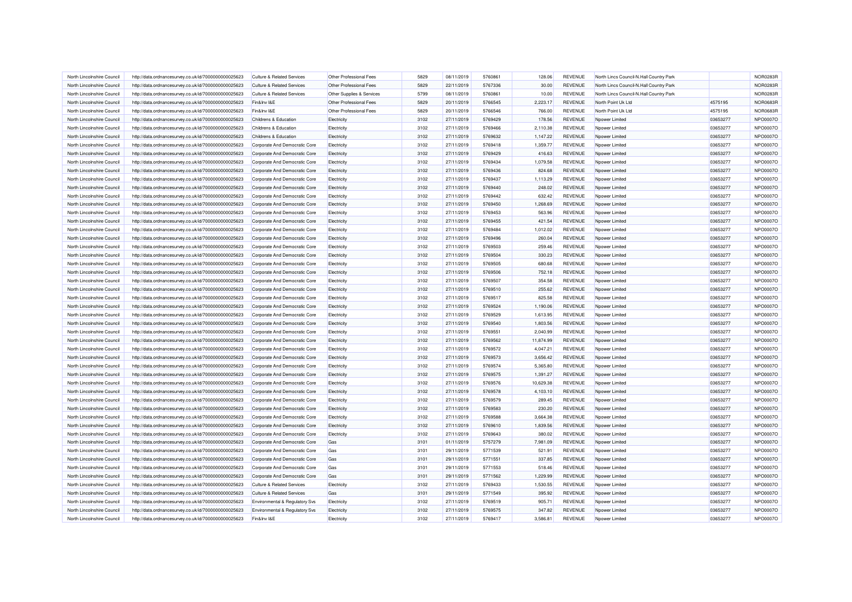| North Lincolnshire Council                               | http://data.ordnancesurvey.co.uk/id/7000000000025623                                                         | <b>Culture &amp; Related Services</b>                          | Other Professional Fees    | 5829         | 08/11/2019               | 5760861            | 128.06           | REVENUE                          | North Lincs Council-N.Hall Country Park |          | <b>NOR0283R</b>      |
|----------------------------------------------------------|--------------------------------------------------------------------------------------------------------------|----------------------------------------------------------------|----------------------------|--------------|--------------------------|--------------------|------------------|----------------------------------|-----------------------------------------|----------|----------------------|
| North Lincolnshire Council                               | http://data.ordnancesurvey.co.uk/id/7000000000025623                                                         | <b>Culture &amp; Related Services</b>                          | Other Professional Fees    | 5829         | 22/11/2019               | 5767336            | 30.00            | <b>REVENUE</b>                   | North Lincs Council-N.Hall Country Park |          | NOR0283R             |
| North Lincolnshire Council                               | http://data.ordnancesurvey.co.uk/id/7000000000025623                                                         | <b>Culture &amp; Related Services</b>                          | Other Supplies & Services  | 5799         | 08/11/2019               | 5760861            | 10.00            | <b>REVENUE</b>                   | North Lincs Council-N.Hall Country Park |          | NOR0283R             |
| North Lincolnshire Council                               | http://data.ordnancesurvey.co.uk/id/7000000000025623                                                         | Fin&Inv I&E                                                    | Other Professional Fees    | 5829         | 20/11/2019               | 5766545            | 2,223.17         | <b>REVENUE</b>                   | North Point Uk Ltd                      | 4575195  | <b>NOR0683R</b>      |
| North Lincolnshire Council                               | http://data.ordnancesurvey.co.uk/id/7000000000025623                                                         | Fin&Inv I&E                                                    | Other Professional Fees    | 5829         | 20/11/2019               | 5766546            | 766.00           | REVENUE                          | North Point Uk Ltd                      | 4575195  | <b>NOR0683R</b>      |
| North Lincolnshire Council                               | http://data.ordnancesurvey.co.uk/id/7000000000025623                                                         | Childrens & Education                                          | Electricity                | 3102         | 27/11/2019               | 5769429            | 178.56           | REVENUE                          | Noower Limited                          | 03653277 | NPO0007O             |
| North Lincolnshire Council                               | http://data.ordnancesurvey.co.uk/id/7000000000025623                                                         | Childrens & Education                                          | Electricity                | 3102         | 27/11/2019               | 5769466            | 2.110.38         | <b>REVENUE</b>                   | Noower Limited                          | 03653277 | NPO0007O             |
| North Lincolnshire Council                               | http://data.ordnancesurvey.co.uk/id/7000000000025623                                                         | Childrens & Education                                          | Electricity                | 3102         | 27/11/2019               | 5769632            | 1,147.22         | <b>REVENUE</b>                   | Noower Limited                          | 03653277 | NPO0007O             |
| North Lincolnshire Council                               | http://data.ordnancesurvey.co.uk/id/7000000000025623                                                         | Corporate And Democratic Core                                  | Electricity                | 3102         | 27/11/2019               | 5769418            | 1,359.77         | <b>REVENUE</b>                   | Nnower I imited                         | 03653277 | NPO0007O             |
| North Lincolnshire Council                               | http://data.ordnancesurvey.co.uk/id/7000000000025623                                                         | Corporate And Democratic Core                                  | Electricity                | 3102         | 27/11/2019               | 5769429            | 416.63           | REVENUE                          | Npower Limited                          | 03653277 | NPO0007O             |
| North Lincolnshire Council                               | http://data.ordnancesurvey.co.uk/id/7000000000025623                                                         | Corporate And Democratic Core                                  | Electricity                | 3102         | 27/11/2019               | 5769434            | 1,079.58         | REVENUE                          | Npower Limited                          | 03653277 | NPO0007O             |
| North Lincolnshire Council                               | http://data.ordnancesurvey.co.uk/id/7000000000025623                                                         | Corporate And Democratic Core                                  | Electricity                | 3102         | 27/11/2019               | 5769436            | 824.68           | REVENUE                          | Npower Limited                          | 03653277 | NPO0007O             |
| North Lincolnshire Council                               | http://data.ordnancesurvey.co.uk/id/7000000000025623                                                         | Corporate And Democratic Core                                  | Electricity                | 3102         | 27/11/2019               | 5769437            | 1,113.29         | REVENUE                          | Npower Limited                          | 03653277 | NPO0007O             |
| North Lincolnshire Council                               | http://data.ordnancesurvey.co.uk/id/7000000000025623                                                         | Corporate And Democratic Core                                  | Electricity                | 3102         | 27/11/2019               | 5769440            | 248.02           | <b>REVENUE</b>                   | Npower Limited                          | 03653277 | NPO0007O             |
| North Lincolnshire Council                               | http://data.ordnancesurvey.co.uk/id/7000000000025623                                                         | Corporate And Democratic Core                                  | Electricity                | 3102         | 27/11/2019               | 5769442            | 632.42           | <b>REVENUE</b>                   | Npower Limited                          | 03653277 | NPO0007O             |
| North Lincolnshire Council                               | http://data.ordnancesurvey.co.uk/id/7000000000025623                                                         | Corporate And Democratic Core                                  | Electricity                | 3102         | 27/11/2019               | 5769450            | 1,268.69         | REVENUE                          | Noower Limited                          | 03653277 | NPO0007O             |
| North Lincolnshire Council                               | http://data.ordnancesurvey.co.uk/id/7000000000025623                                                         | Corporate And Democratic Core                                  | Electricity                | 3102         | 27/11/2019               | 5769453            | 563.96           | <b>REVENUE</b>                   | Nnower I imited                         | 03653277 | NPO0007O             |
| North Lincolnshire Council                               | http://data.ordnancesurvey.co.uk/id/7000000000025623                                                         | Corporate And Democratic Core                                  | Electricity                | 3102         | 27/11/2019               | 5769455            | 421.54           | <b>REVENUE</b>                   | Noower Limited                          | 03653277 | NPO0007O             |
| North Lincolnshire Council                               | http://data.ordnancesurvey.co.uk/id/7000000000025623                                                         | Corporate And Democratic Core                                  | Electricity                | 3102         | 27/11/2019               | 5769484            | 1,012.02         | <b>REVENUE</b>                   | Noower Limited                          | 03653277 | NPO0007O             |
| North Lincolnshire Council                               | http://data.ordnancesurvey.co.uk/id/7000000000025623                                                         | Corporate And Democratic Core                                  | Electricity                | 3102         | 27/11/2019               | 5769496            | 260.04           | REVENUE                          | Npower Limited                          | 03653277 | NPO0007O             |
| North Lincolnshire Council                               | http://data.ordnancesurvey.co.uk/id/7000000000025623                                                         | Corporate And Democratic Core                                  | Electricity                | 3102         | 27/11/2019               | 5769503            | 259.46           | REVENUE                          | Npower Limited                          | 03653277 | NPO0007O             |
| North Lincolnshire Council                               | http://data.ordnancesurvey.co.uk/id/7000000000025623                                                         | Corporate And Democratic Core                                  | Electricity                | 3102         | 27/11/2019               | 5769504            | 330.23           | REVENUE                          | Noower Limited                          | 03653277 | NPO0007O             |
| North Lincolnshire Council                               | http://data.ordnancesurvey.co.uk/id/7000000000025623                                                         | Corporate And Democratic Core                                  | Electricity                | 3102         | 27/11/2019               | 5769505            | 680.68           | <b>REVENUE</b>                   | Npower Limited                          | 03653277 | NPO0007O             |
| North Lincolnshire Council                               | http://data.ordnancesurvey.co.uk/id/7000000000025623                                                         | Corporate And Democratic Core                                  | Electricity                | 3102         | 27/11/2019               | 5769506            | 752.18           | <b>REVENUE</b>                   | Npower Limited                          | 03653277 | NPO0007O             |
| North Lincolnshire Council                               | http://data.ordnancesurvey.co.uk/id/7000000000025623                                                         | Corporate And Democratic Core                                  | Electricity                | 3102         | 27/11/2019               | 5769507            | 354.58           | <b>REVENUE</b>                   | Npower Limited                          | 03653277 | NPO0007O             |
| North Lincolnshire Council                               | http://data.ordnancesurvey.co.uk/id/7000000000025623                                                         | Corporate And Democratic Core                                  | Electricity                | 3102         | 27/11/2019               | 5769510            | 255.62           | <b>REVENUE</b>                   | Npower Limited                          | 03653277 | NPO0007O             |
| North Lincolnshire Council                               | http://data.ordnancesurvey.co.uk/id/7000000000025623                                                         | Corporate And Democratic Core                                  | Electricity                | 3102         | 27/11/2019               | 5769517            | 825.58           | REVENUE                          | Npower Limited                          | 03653277 | NPO0007O             |
| North Lincolnshire Council                               | http://data.ordnancesurvey.co.uk/id/7000000000025623                                                         | Corporate And Democratic Core                                  | Electricity                | 3102         | 27/11/2019               | 5769524            | 1,190.06         | REVENUE                          | Noower Limited                          | 03653277 | NPO0007O             |
| North Lincolnshire Council                               | http://data.ordnancesurvey.co.uk/id/7000000000025623                                                         | Corporate And Democratic Core                                  | Electricity                | 3102         | 27/11/2019               | 5769529            | 1,613.95         | <b>REVENUE</b>                   | Noower Limited                          | 03653277 | NPO0007O             |
| North Lincolnshire Council                               | http://data.ordnancesurvey.co.uk/id/7000000000025623                                                         | Corporate And Democratic Core                                  | Electricity                | 3102         | 27/11/2019               | 5769540            | 1,803.56         | REVENUE                          | Npower Limited                          | 03653277 | NPO0007O             |
| North Lincolnshire Council                               | http://data.ordnancesurvey.co.uk/id/7000000000025623                                                         | Corporate And Democratic Core                                  | Electricity                | 3102         | 27/11/2019               | 5769551            | 2.040.99         | <b>REVENUE</b>                   | Nnower I imited                         | 03653277 | NPO0007O             |
| North Lincolnshire Council                               | http://data.ordnancesurvey.co.uk/id/7000000000025623                                                         | Corporate And Democratic Core                                  | Electricity                | 3102         | 27/11/2019               | 5769562            | 11,874.99        | REVENUE                          | Npower Limited                          | 03653277 | NPO0007O             |
| North Lincolnshire Council                               | http://data.ordnancesurvey.co.uk/id/7000000000025623                                                         | Corporate And Democratic Core                                  | Electricity                | 3102         | 27/11/2019               | 5769572            | 4.047.21         | <b>REVENUE</b>                   | Nnower Limited                          | 03653277 | NPO0007O             |
| North Lincolnshire Council                               | http://data.ordnancesurvey.co.uk/id/7000000000025623                                                         | Corporate And Democratic Core                                  | Electricity                | 3102         | 27/11/2019               | 5769573            | 3,656.42         | REVENUE                          | Npower Limited                          | 03653277 | NPO0007O             |
| North Lincolnshire Council                               | http://data.ordnancesurvey.co.uk/id/7000000000025623                                                         | Corporate And Democratic Core                                  | Electricity                | 3102         | 27/11/2019               | 5769574            | 5,365.80         | REVENUE                          | Npower Limited                          | 03653277 | NPO0007O             |
| North Lincolnshire Council                               |                                                                                                              | Corporate And Democratic Core                                  |                            | 3102         | 27/11/2019               | 5769575            | 1,391.27         | <b>REVENUE</b>                   | Npower Limited                          | 03653277 | NPO0007O             |
| North Lincolnshire Council                               | http://data.ordnancesurvey.co.uk/id/7000000000025623<br>http://data.ordnancesurvey.co.uk/id/7000000000025623 | Corporate And Democratic Core                                  | Electricity<br>Electricity | 3102         | 27/11/2019               | 5769576            | 10,629.38        | <b>REVENUE</b>                   | Npower Limited                          | 03653277 | NPO0007O             |
| North Lincolnshire Council                               | http://data.ordnancesurvey.co.uk/id/7000000000025623                                                         | Corporate And Democratic Core                                  |                            | 3102         | 27/11/2019               | 5769578            | 4,103.10         | REVENUE                          | Npower Limited                          | 03653277 | NPO0007O             |
| North Lincolnshire Council                               | http://data.ordnancesurvey.co.uk/id/7000000000025623                                                         | Corporate And Democratic Core                                  | Electricity<br>Electricity | 3102         | 27/11/2019               | 5769579            | 289.45           | <b>REVENUE</b>                   | Nnower I imited                         | 03653277 | NPO0007O             |
| North Lincolnshire Council                               | http://data.ordnancesurvey.co.uk/id/7000000000025623                                                         | Corporate And Democratic Core                                  | Electricity                | 3102         | 27/11/2019               | 5769583            | 230.20           | <b>REVENUE</b>                   | Noower Limited                          | 03653277 | NPO0007O             |
| North Lincolnshire Council                               | http://data.ordnancesurvey.co.uk/id/7000000000025623                                                         | Corporate And Democratic Core                                  | Electricity                | 3102         | 27/11/2019               | 5769588            | 3,664.38         | <b>REVENUE</b>                   | Noower Limited                          | 03653277 | NPO0007O             |
| North Lincolnshire Council                               | http://data.ordnancesurvey.co.uk/id/7000000000025623                                                         | Corporate And Democratic Core                                  | Electricity                | 3102         | 27/11/2019               | 5769610            | 1,839.56         | <b>REVENUE</b>                   | Npower Limited                          | 03653277 | NPO0007O             |
| North Lincolnshire Council                               | http://data.ordnancesurvey.co.uk/id/7000000000025623                                                         | Corporate And Democratic Core                                  | Electricity                | 3102         | 27/11/2019               | 5769643            | 380.02           | <b>REVENUE</b>                   | Npower Limited                          | 03653277 | NPO0007O             |
| North Lincolnshire Council                               |                                                                                                              | Corporate And Democratic Core                                  | Gas                        | 3101         | 01/11/2019               | 5757279            | 7,981.09         | REVENUE                          | Noower Limited                          | 03653277 | NPO0007O             |
| North Lincolnshire Council                               | http://data.ordnancesurvey.co.uk/id/7000000000025623                                                         |                                                                | Gas                        | 3101         | 29/11/2019               | 5771539            | 521.91           | <b>REVENUE</b>                   | Noower Limited                          | 03653277 | NPO0007O             |
|                                                          | http://data.ordnancesurvey.co.uk/id/7000000000025623                                                         | Corporate And Democratic Core                                  |                            |              |                          | 5771551            |                  |                                  |                                         | 03653277 | NPO0007O             |
| North Lincolnshire Council<br>North Lincolnshire Council | http://data.ordnancesurvey.co.uk/id/7000000000025623                                                         | Corporate And Democratic Core<br>Corporate And Democratic Core | Gas<br>Gas                 | 3101<br>3101 | 29/11/2019<br>29/11/2019 | 5771553            | 337.85<br>518.46 | <b>REVENUE</b><br><b>REVENUE</b> | Npower Limited<br>Nnower I imited       | 03653277 | NPO0007O             |
| North Lincolnshire Council                               | http://data.ordnancesurvey.co.uk/id/7000000000025623                                                         | Corporate And Democratic Core                                  | Gas                        | 3101         | 29/11/2019               | 5771562            | 1,229.99         | <b>REVENUE</b>                   | Npower Limited                          | 03653277 | NPO0007O             |
|                                                          | http://data.ordnancesurvey.co.uk/id/7000000000025623                                                         |                                                                |                            |              |                          |                    |                  |                                  |                                         |          |                      |
| North Lincolnshire Council                               | http://data.ordnancesurvey.co.uk/id/7000000000025623                                                         | <b>Culture &amp; Related Services</b>                          | Electricity                | 3102         | 27/11/2019               | 5769433            | 1,530.55         | REVENUE                          | Noower Limited                          | 03653277 | NPO0007O<br>NPO0007O |
| North Lincolnshire Council                               | http://data.ordnancesurvey.co.uk/id/7000000000025623                                                         | <b>Culture &amp; Related Services</b>                          | Gas                        | 3101         | 29/11/2019               | 5771549            | 395.92           | REVENUE                          | Noower Limited                          | 03653277 |                      |
| North Lincolnshire Council<br>North Lincolnshire Council | http://data.ordnancesurvey.co.uk/id/7000000000025623                                                         | Environmental & Regulatory Svs                                 | Electricity                | 3102         | 27/11/2019               | 5769519<br>5769575 | 905.71           | <b>REVENUE</b><br><b>REVENUE</b> | Noower Limited                          | 03653277 | NPO0007O<br>NPO0007O |
|                                                          | http://data.ordnancesurvey.co.uk/id/7000000000025623                                                         | Environmental & Regulatory Svs                                 | Electricity                | 3102         | 27/11/2019               |                    | 347.82           |                                  | Npower Limited                          | 03653277 |                      |
| North Lincolnshire Council                               | http://data.ordnancesurvey.co.uk/id/7000000000025623                                                         | Fin&Inv I&E                                                    | Electricity                | 3102         | 27/11/2019               | 5769417            | 3,586.81         | <b>REVENUE</b>                   | Noower Limited                          | 03653277 | NPO0007O             |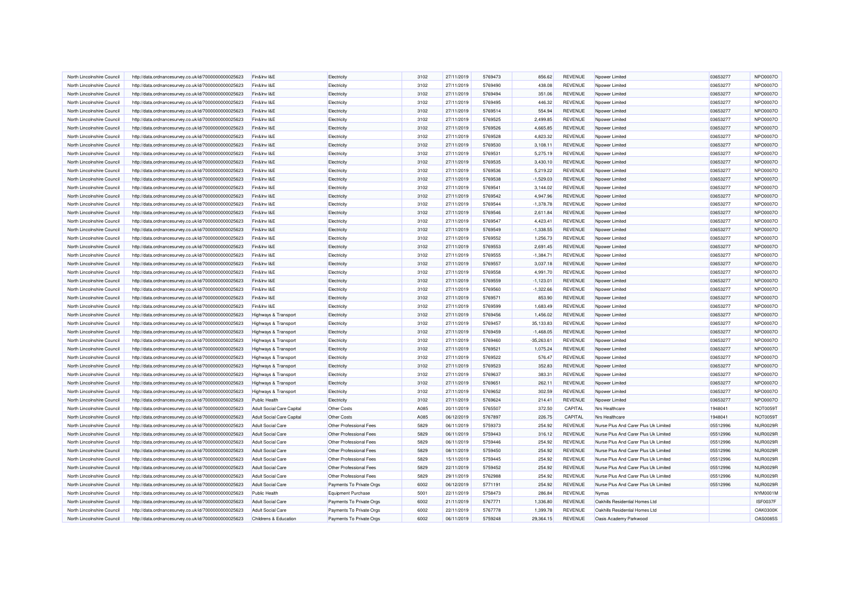| North Lincolnshire Council | http://data.ordnancesurvey.co.uk/id/7000000000025623 | Fin&Inv I&E                      | Electricity               | 3102 | 27/11/2019 | 5769473 | 856.62       | REVENUE        | Npower Limited                       | 03653277 | NPO0007O        |
|----------------------------|------------------------------------------------------|----------------------------------|---------------------------|------|------------|---------|--------------|----------------|--------------------------------------|----------|-----------------|
| North Lincolnshire Council | http://data.ordnancesurvey.co.uk/id/7000000000025623 | Fin&Inv I&E                      | Electricity               | 3102 | 27/11/2019 | 5769490 | 438.08       | REVENUE        | Noower Limited                       | 03653277 | NPO0007O        |
| North Lincolnshire Council | http://data.ordnancesurvey.co.uk/id/7000000000025623 | Fin&Inv I&E                      | Electricity               | 3102 | 27/11/2019 | 5769494 | 351.06       | <b>REVENUE</b> | Npower Limited                       | 03653277 | NPO0007O        |
| North Lincolnshire Council | http://data.ordnancesurvey.co.uk/id/7000000000025623 | Fin&Inv I&E                      | Electricity               | 3102 | 27/11/2019 | 5769495 | 446.32       | <b>REVENUE</b> | Noower Limited                       | 03653277 | NPO0007O        |
| North Lincolnshire Council | http://data.ordnancesurvey.co.uk/id/7000000000025623 | Fin&Inv I&E                      | Electricity               | 3102 | 27/11/2019 | 5769514 | 554.94       | REVENUE        | Noower Limited                       | 03653277 | NPO0007O        |
| North Lincolnshire Council | http://data.ordnancesurvey.co.uk/id/7000000000025623 | Fin&Inv I&E                      | Electricity               | 3102 | 27/11/2019 | 5769525 | 2,499.85     | <b>REVENUE</b> | Npower Limited                       | 03653277 | NPO0007O        |
| North Lincolnshire Council | http://data.ordnancesurvey.co.uk/id/7000000000025623 | Fin&Inv I&E                      | Electricity               | 3102 | 27/11/2019 | 5769526 | 4,665.85     | <b>REVENUE</b> | Npower Limited                       | 03653277 | NPO0007O        |
| North Lincolnshire Council |                                                      | Fin&Inv I&E                      |                           | 3102 | 27/11/2019 | 5769528 | 4.823.32     | <b>REVENUE</b> | Noower Limited                       | 03653277 | NPO0007O        |
|                            | http://data.ordnancesurvey.co.uk/id/7000000000025623 |                                  | Electricity               |      |            |         |              |                |                                      |          |                 |
| North Lincolnshire Council | http://data.ordnancesurvey.co.uk/id/7000000000025623 | Fin&Inv I&E                      | Electricity               | 3102 | 27/11/2019 | 5769530 | 3,108.11     | <b>REVENUE</b> | Npower Limited                       | 03653277 | NPO0007O        |
| North Lincolnshire Council | http://data.ordnancesurvey.co.uk/id/7000000000025623 | Fin&Inv I&E                      | Electricity               | 3102 | 27/11/2019 | 5769531 | 5,275.19     | REVENUE        | Npower Limited                       | 03653277 | NPO0007O        |
| North Lincolnshire Council | http://data.ordnancesurvey.co.uk/id/7000000000025623 | Fin&Inv I&E                      | Electricity               | 3102 | 27/11/2019 | 5769535 | 3,430.10     | <b>REVENUE</b> | Noower Limited                       | 03653277 | NPO0007O        |
| North Lincolnshire Council | http://data.ordnancesurvey.co.uk/id/7000000000025623 | Fin&Inv I&E                      | Electricity               | 3102 | 27/11/2019 | 5769536 | 5,219.22     | <b>REVENUE</b> | Npower Limited                       | 03653277 | NPO0007O        |
| North Lincolnshire Council | http://data.ordnancesurvey.co.uk/id/7000000000025623 | Fin&Inv I&E                      | Electricity               | 3102 | 27/11/2019 | 5769538 | $-1,529.03$  | REVENUE        | Noower Limited                       | 03653277 | NPO0007O        |
| North Lincolnshire Council | http://data.ordnancesurvey.co.uk/id/7000000000025623 | Fin&Inv I&E                      | Electricity               | 3102 | 27/11/2019 | 5769541 | 3,144.02     | REVENUE        | Noower Limited                       | 03653277 | NPO0007O        |
| North Lincolnshire Council | http://data.ordnancesurvey.co.uk/id/7000000000025623 | Fin&Inv I&E                      | Electricity               | 3102 | 27/11/2019 | 5769542 | 4,947.96     | <b>REVENUE</b> | Noower Limited                       | 03653277 | NPO0007O        |
| North Lincolnshire Council | http://data.ordnancesurvey.co.uk/id/7000000000025623 | Fin&Inv I&E                      | Electricity               | 3102 | 27/11/2019 | 5769544 | $-1,378.78$  | <b>REVENUE</b> | Noower Limited                       | 03653277 | NPO0007O        |
| North Lincolnshire Council | http://data.ordnancesurvey.co.uk/id/7000000000025623 | Fin&Inv I&E                      | Electricity               | 3102 | 27/11/2019 | 5769546 | 2,611.84     | <b>REVENUE</b> | Noower Limited                       | 03653277 | NPO0007O        |
| North Lincolnshire Council | http://data.ordnancesurvey.co.uk/id/7000000000025623 | Fin&Inv I&E                      | Electricity               | 3102 | 27/11/2019 | 5769547 | 4,423.41     | <b>REVENUE</b> | Npower Limited                       | 03653277 | NPO0007O        |
| North Lincolnshire Council | http://data.ordnancesurvey.co.uk/id/7000000000025623 | Fin&Inv I&E                      | Electricity               | 3102 | 27/11/2019 | 5769549 | $-1,338.55$  | REVENUE        | Noower Limited                       | 03653277 | NPO0007O        |
| North Lincolnshire Council | http://data.ordnancesurvey.co.uk/id/7000000000025623 | Fin&Inv I&E                      | Electricity               | 3102 | 27/11/2019 | 5769552 | 1,256.73     | REVENUE        | Npower Limited                       | 03653277 | NPO0007O        |
| North Lincolnshire Council | http://data.ordnancesurvey.co.uk/id/7000000000025623 | Fin&Inv I&E                      | Electricity               | 3102 | 27/11/2019 | 5769553 | 2,691.45     | <b>REVENUE</b> | Npower Limited                       | 03653277 | NPO0007O        |
| North Lincolnshire Council | http://data.ordnancesurvey.co.uk/id/7000000000025623 | Fin&Inv I&E                      | Electricity               | 3102 | 27/11/2019 | 5769555 | $-1,384.71$  | REVENUE        | Noower Limited                       | 03653277 | NPO0007O        |
| North Lincolnshire Council | http://data.ordnancesurvey.co.uk/id/7000000000025623 | Fin&Inv I&E                      | Electricity               | 3102 | 27/11/2019 | 5769557 | 3,037.18     | REVENUE        | Npower Limited                       | 03653277 | NPO0007O        |
| North Lincolnshire Council | http://data.ordnancesurvey.co.uk/id/7000000000025623 | Fin&Inv I&E                      | Electricity               | 3102 | 27/11/2019 | 5769558 | 4,991.70     | <b>REVENUE</b> | Npower Limited                       | 03653277 | NPO0007O        |
| North Lincolnshire Council | http://data.ordnancesurvey.co.uk/id/7000000000025623 | Fin&Inv I&E                      | Electricity               | 3102 | 27/11/2019 | 5769559 | $-1.123.01$  | <b>REVENUE</b> |                                      | 03653277 | NPO0007O        |
|                            |                                                      |                                  |                           |      |            |         |              |                | Npower Limited                       |          |                 |
| North Lincolnshire Council | http://data.ordnancesurvey.co.uk/id/7000000000025623 | Fin&Inv I&E                      | Electricity               | 3102 | 27/11/2019 | 5769560 | $-1,322.66$  | <b>REVENUE</b> | Npower Limited                       | 03653277 | NPO0007O        |
| North Lincolnshire Council | http://data.ordnancesurvey.co.uk/id/7000000000025623 | Fin&Inv I&E                      | Electricity               | 3102 | 27/11/2019 | 5769571 | 853.90       | REVENUE        | Npower Limited                       | 03653277 | NPO0007O        |
| North Lincolnshire Council | http://data.ordnancesurvey.co.uk/id/7000000000025623 | Fin&Inv I&E                      | Electricity               | 3102 | 27/11/2019 | 5769599 | 1,683.49     | <b>REVENUE</b> | Noower Limited                       | 03653277 | NPO0007O        |
| North Lincolnshire Council | http://data.ordnancesurvey.co.uk/id/7000000000025623 | Highways & Transport             | Electricity               | 3102 | 27/11/2019 | 5769456 | 1,456.02     | <b>REVENUE</b> | Npower Limited                       | 03653277 | NPO0007O        |
| North Lincolnshire Council | http://data.ordnancesurvey.co.uk/id/7000000000025623 | Highways & Transport             | Electricity               | 3102 | 27/11/2019 | 5769457 | 35,133.83    | REVENUE        | Noower Limited                       | 03653277 | NPO0007O        |
| North Lincolnshire Council | http://data.ordnancesurvey.co.uk/id/7000000000025623 | Highways & Transport             | Electricity               | 3102 | 27/11/2019 | 5769459 | $-1,468.05$  | REVENUE        | Npower Limited                       | 03653277 | NPO0007O        |
| North Lincolnshire Council | http://data.ordnancesurvey.co.uk/id/7000000000025623 | Highways & Transport             | Electricity               | 3102 | 27/11/2019 | 5769460 | $-35,263.61$ | <b>REVENUE</b> | Npower Limited                       | 03653277 | NPO0007O        |
| North Lincolnshire Council | http://data.ordnancesurvey.co.uk/id/7000000000025623 | Highways & Transport             | Electricity               | 3102 | 27/11/2019 | 5769521 | 1,075.24     | REVENUE        | Npower Limited                       | 03653277 | NPO0007O        |
| North Lincolnshire Council | http://data.ordnancesurvey.co.uk/id/7000000000025623 | Highways & Transport             | Electricity               | 3102 | 27/11/2019 | 5769522 | 576.47       | <b>REVENUE</b> | Npower Limited                       | 03653277 | NPO0007O        |
| North Lincolnshire Council | http://data.ordnancesurvey.co.uk/id/7000000000025623 | Highways & Transport             | Electricity               | 3102 | 27/11/2019 | 5769523 | 352.83       | REVENUE        | Npower Limited                       | 03653277 | NPO0007O        |
| North Lincolnshire Council | http://data.ordnancesurvey.co.uk/id/7000000000025623 | Highways & Transport             | Electricity               | 3102 | 27/11/2019 | 5769637 | 383.31       | <b>REVENUE</b> | Noower Limited                       | 03653277 | NPO0007O        |
| North Lincolnshire Council | http://data.ordnancesurvey.co.uk/id/7000000000025623 | Highways & Transport             | Electricity               | 3102 | 27/11/2019 | 5769651 | 262.11       | REVENUE        | Npower Limited                       | 03653277 | NPO0007O        |
| North Lincolnshire Council | http://data.ordnancesurvey.co.uk/id/7000000000025623 | Highways & Transport             | Electricity               | 3102 | 27/11/2019 | 5769652 | 302.59       | REVENUE        | Noower Limited                       | 03653277 | NPO0007O        |
| North Lincolnshire Council | http://data.ordnancesurvey.co.uk/id/7000000000025623 | <b>Public Health</b>             | Electricity               | 3102 | 27/11/2019 | 5769624 | 214.41       | REVENUE        | Noower Limited                       | 03653277 | NPO0007O        |
| North Lincolnshire Council | http://data.ordnancesurvey.co.uk/id/7000000000025623 | <b>Adult Social Care Capital</b> | <b>Other Costs</b>        | A085 | 20/11/2019 | 5765507 | 372.50       | CAPITAL        | <b>Nrs Healthcare</b>                | 1948041  | NOT0059T        |
| North Lincolnshire Council | http://data.ordnancesurvey.co.uk/id/7000000000025623 | Adult Social Care Capital        | Other Costs               | A085 | 06/12/2019 | 5767897 | 226.75       | CAPITAL        | <b>Nrs Healthcare</b>                | 1948041  | NOT0059T        |
| North Lincolnshire Council | http://data.ordnancesurvey.co.uk/id/7000000000025623 | <b>Adult Social Care</b>         | Other Professional Fees   | 5829 | 06/11/2019 | 5759373 | 254.92       | <b>REVENUE</b> | Nurse Plus And Carer Plus Uk Limited | 05512996 | <b>NUR0029R</b> |
| North Lincolnshire Council | http://data.ordnancesurvey.co.uk/id/7000000000025623 | <b>Adult Social Care</b>         | Other Professional Fees   | 5829 | 06/11/2019 | 5759443 | 316.12       | REVENUE        | Nurse Plus And Carer Plus Uk Limited | 05512996 | <b>NUR0029R</b> |
| North Lincolnshire Council |                                                      | <b>Adult Social Care</b>         | Other Professional Fees   | 5829 | 06/11/2019 | 5759446 | 254.92       | REVENUE        | Nurse Plus And Carer Plus Uk Limited | 05512996 | <b>NUR0029R</b> |
|                            | http://data.ordnancesurvey.co.uk/id/7000000000025623 |                                  |                           |      |            |         |              |                |                                      |          |                 |
| North Lincolnshire Council | http://data.ordnancesurvey.co.uk/id/7000000000025623 | <b>Adult Social Care</b>         | Other Professional Fees   | 5829 | 08/11/2019 | 5759450 | 254.92       | REVENUE        | Nurse Plus And Carer Plus Uk Limited | 05512996 | <b>NUR0029R</b> |
| North Lincolnshire Council | http://data.ordnancesurvey.co.uk/id/7000000000025623 | <b>Adult Social Care</b>         | Other Professional Fees   | 5829 | 15/11/2019 | 5759445 | 254.92       | <b>REVENUE</b> | Nurse Plus And Carer Plus Uk Limited | 05512996 | NUR0029R        |
| North Lincolnshire Council | http://data.ordnancesurvey.co.uk/id/7000000000025623 | <b>Adult Social Care</b>         | Other Professional Fees   | 5829 | 22/11/2019 | 5759452 | 254.92       | REVENUE        | Nurse Plus And Carer Plus Uk Limited | 05512996 | <b>NUR0029R</b> |
| North Lincolnshire Council | http://data.ordnancesurvey.co.uk/id/7000000000025623 | <b>Adult Social Care</b>         | Other Professional Fees   | 5829 | 29/11/2019 | 5762988 | 254.92       | REVENUE        | Nurse Plus And Carer Plus Uk Limited | 05512996 | <b>NUR0029R</b> |
| North Lincolnshire Council | http://data.ordnancesurvey.co.uk/id/7000000000025623 | <b>Adult Social Care</b>         | Payments To Private Orgs  | 6002 | 06/12/2019 | 5771191 | 254.92       | REVENUE        | Nurse Plus And Carer Plus Uk Limited | 05512996 | <b>NUR0029R</b> |
| North Lincolnshire Council | http://data.ordnancesurvey.co.uk/id/7000000000025623 | Public Health                    | <b>Equipment Purchase</b> | 5001 | 22/11/2019 | 5758473 | 286.84       | REVENUE        | Nymas                                |          | NYM0001M        |
| North Lincolnshire Council | http://data.ordnancesurvey.co.uk/id/7000000000025623 | <b>Adult Social Care</b>         | Payments To Private Orgs  | 6002 | 21/11/2019 | 5767771 | 1,336.80     | <b>REVENUE</b> | Oakhills Residential Homes Ltd       |          | ISF0037F        |
| North Lincolnshire Council | http://data.ordnancesurvey.co.uk/id/7000000000025623 | <b>Adult Social Care</b>         | Payments To Private Orgs  | 6002 | 22/11/2019 | 5767778 | 1,399.78     | REVENUE        | Oakhills Residential Homes Ltd       |          | <b>OAK0300K</b> |
| North Lincolnshire Council | http://data.ordnancesurvey.co.uk/id/7000000000025623 | Childrens & Education            | Payments To Private Orgs  | 6002 | 06/11/2019 | 5759248 | 29,364.15    | REVENUE        | Oasis Academy Parkwood               |          | <b>OAS0085S</b> |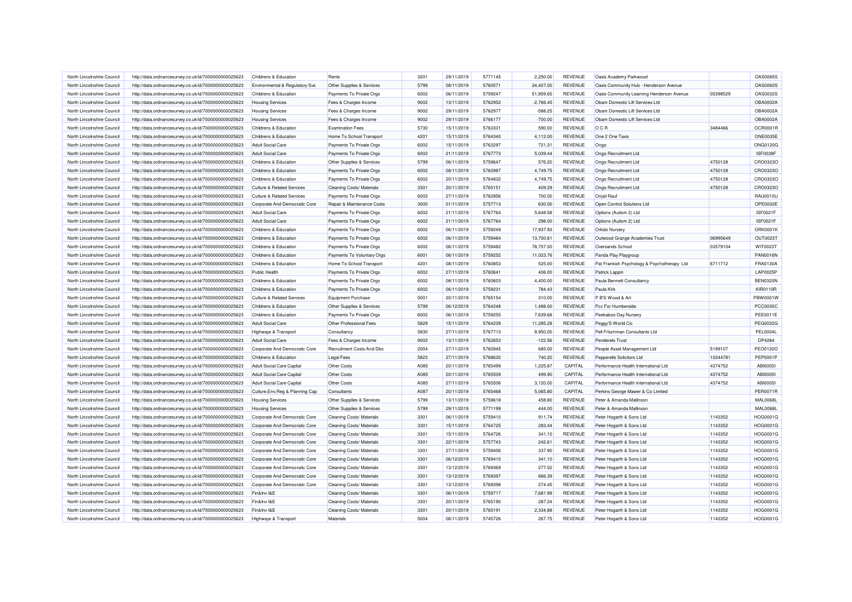| North Lincolnshire Council                               | http://data.ordnancesurvey.co.uk/id/7000000000025623 | Childrens & Education                          | Rents                            | 3201             | 29/11/2019               | 5771145            | 2,250,00            | <b>REVENUE</b>                   | Oasis Academy Parkwood                             |          | OAS0085S                           |
|----------------------------------------------------------|------------------------------------------------------|------------------------------------------------|----------------------------------|------------------|--------------------------|--------------------|---------------------|----------------------------------|----------------------------------------------------|----------|------------------------------------|
| North Lincolnshire Council                               | http://data.ordnancesurvey.co.uk/id/7000000000025623 | Environmental & Regulatory Svs                 | Other Supplies & Services        | 5799             | 08/11/2019               | 5760571            | 24,407.00           | REVENUE                          | Oasis Community Hub - Henderson Avenue             |          | <b>OAS0060S</b>                    |
| North Lincolnshire Council                               | http://data.ordnancesurvey.co.uk/id/7000000000025623 | Childrens & Education                          | Payments To Private Orgs         | 6002             | 06/11/2019               | 5759247            | 51,859.65           | REVENUE                          | Oasis Community Learning Henderson Avenue          | 05398529 | OAS0032S                           |
| North Lincolnshire Council                               | http://data.ordnancesurvey.co.uk/id/7000000000025623 | <b>Housing Services</b>                        | Fees & Charges Income            | 9002             | 13/11/2019               | 5762952            | $-2,766.45$         | <b>REVENUE</b>                   | Oham Domestic Lift Services Ltd                    |          | OBA0002A                           |
| North Lincolnshire Council                               | http://data.ordnancesurvey.co.uk/id/7000000000025623 | <b>Housing Services</b>                        | Fees & Charges Income            | 9002             | 29/11/2019               | 5762977            | $-588.25$           | <b>REVENUE</b>                   | Obam Domestic Lift Services Ltd                    |          | OBA0002A                           |
| North Lincolnshire Council                               | http://data.ordnancesurvey.co.uk/id/7000000000025623 | <b>Housing Services</b>                        | Fees & Charges Income            | 9002             | 29/11/2019               | 5766177            | $-700.00$           | <b>REVENUE</b>                   | Obam Domestic Lift Services Ltd                    |          | OBA0002A                           |
| North Lincolnshire Council                               | http://data.ordnancesurvey.co.uk/id/7000000000025623 | Childrens & Education                          | <b>Examination Fees</b>          | 5730             | 15/11/2019               | 5763331            | 590.00              | <b>REVENUE</b>                   | OCR                                                | 3484466  | OCR0001R                           |
| North Lincolnshire Council                               | http://data.ordnancesurvey.co.uk/id/7000000000025623 | Childrens & Education                          | Home To School Transport         | 4201             | 15/11/2019               | 5764340            | 4,112.00            | <b>REVENUE</b>                   | One 2 One Taxis                                    |          | <b>ONE0035E</b>                    |
| North Lincolnshire Council                               | http://data.ordnancesurvey.co.uk/id/7000000000025623 | <b>Adult Social Care</b>                       | Payments To Private Orgs         | 6002             | 15/11/2019               | 5763297            | 721.31              | <b>REVENUE</b>                   | Ongo                                               |          | ONG0120G                           |
| North Lincolnshire Council                               | http://data.ordnancesurvey.co.uk/id/7000000000025623 | <b>Adult Social Care</b>                       | Payments To Private Orgs         | 6002             | 21/11/2019               | 5767773            | 5,039.44            | REVENUE                          | Ongo Recruitment Ltd                               |          | ISF0039F                           |
| North Lincolnshire Council                               | http://data.ordnancesurvey.co.uk/id/7000000000025623 | Childrens & Education                          | Other Supplies & Services        | 5799             | 06/11/2019               | 5759647            | 576.20              | REVENUE                          | Ongo Recruitment Ltd                               | 4750128  | CRO0323O                           |
| North Lincolnshire Council                               | http://data.ordnancesurvey.co.uk/id/7000000000025623 | Childrens & Education                          | Payments To Private Orgs         | 6002             | 08/11/2019               | 5760987            | 4,749.75            | <b>REVENUE</b>                   | Ongo Recruitment Ltd                               | 4750128  | CRO0323C                           |
| North Lincolnshire Council                               | http://data.ordnancesurvey.co.uk/id/7000000000025623 | Childrens & Education                          | Payments To Private Orgs         | 6002             | 20/11/2019               | 5764832            | 4,749.75            | <b>REVENUE</b>                   | Ongo Recruitment Ltd                               | 4750128  | CRO0323C                           |
| North Lincolnshire Council                               | http://data.ordnancesurvey.co.uk/id/7000000000025623 | <b>Culture &amp; Related Services</b>          | Cleaning Costs/ Materials        | 3301             | 20/11/2019               | 5765151            | 409.29              | REVENUE                          | Ongo Recruitment Ltd                               | 4750128  | CRO0323O                           |
| North Lincolnshire Council                               | http://data.ordnancesurvey.co.uk/id/7000000000025623 | <b>Culture &amp; Related Services</b>          | Payments To Private Orgs         | 6002             | 27/11/2019               | 5762856            | 700.00              | REVENUE                          | Onjali Rauf                                        |          | <b>RAU0010L</b>                    |
| North Lincolnshire Council                               | http://data.ordnancesurvey.co.uk/id/7000000000025623 | Corporate And Democratic Core                  | Repair & Maintenance Costs       | 3000             | 01/11/2019               | 5757713            | 630.00              | <b>REVENUE</b>                   | Open Control Solutions Ltd                         |          | OPE0032E                           |
| North Lincolnshire Council                               | http://data.ordnancesurvey.co.uk/id/7000000000025623 | <b>Adult Social Care</b>                       | Payments To Private Orgs         | 6002             | 21/11/2019               | 5767764            | 5,648.58            | REVENUE                          | Options (Autism 2) Ltd                             |          | <b>ISF0021F</b>                    |
| North Lincolnshire Council                               | http://data.ordnancesurvey.co.uk/id/7000000000025623 | <b>Adult Social Care</b>                       | Payments To Private Orgs         | 6002             | 21/11/2019               | 5767764            | 298.00              | <b>REVENUE</b>                   | Options (Autism 2) Ltd                             |          | <b>ISF0021F</b>                    |
| North Lincolnshire Council                               |                                                      | Childrens & Education                          | Payments To Private Orgs         | 6002             | 06/11/2019               | 5759249            | 17,937.93           | <b>REVENUE</b>                   | <b>Orkidz Nursery</b>                              |          | ORK0001K                           |
| North Lincolnshire Council                               | http://data.ordnancesurvey.co.uk/id/7000000000025623 | Childrens & Education                          |                                  | 6002             | 06/11/2019               | 5759484            | 13,700.61           | <b>REVENUE</b>                   |                                                    | 06995649 | OUT0023T                           |
| North Lincolnshire Council                               | http://data.ordnancesurvey.co.uk/id/7000000000025623 | Childrens & Education                          | Payments To Private Orgs         | 6002             | 06/11/2019               | 5759482            | 78,707.00           | <b>REVENUE</b>                   | Outwood Grange Academies Trust<br>Oversands School | 03579104 |                                    |
|                                                          | http://data.ordnancesurvey.co.uk/id/7000000000025623 |                                                | Payments To Private Orgs         |                  |                          |                    |                     |                                  |                                                    |          | WIT0023T                           |
| North Lincolnshire Council<br>North Lincolnshire Council | http://data.ordnancesurvey.co.uk/id/7000000000025623 | Childrens & Education<br>Childrens & Education | Payments To Voluntary Orgs       | 6001<br>4201     | 06/11/2019<br>08/11/2019 | 5759252<br>5760853 | 11,023.76<br>525.00 | <b>REVENUE</b><br><b>REVENUE</b> | Panda Play Playgroup                               |          | <b>PAN0016N</b><br><b>FRA0130A</b> |
|                                                          | http://data.ordnancesurvey.co.uk/id/7000000000025623 |                                                | Home To School Transport         |                  |                          |                    |                     |                                  | Pat Frankish Psychology & Psychotherapy Ltd        | 6711712  |                                    |
| North Lincolnshire Council                               | http://data.ordnancesurvey.co.uk/id/7000000000025623 | Public Health                                  | Payments To Private Orgs         | 6002             | 27/11/2019               | 5760641            | 406.00              | REVENUE                          | Patrick Lappin                                     |          | LAP0025P                           |
| North Lincolnshire Council                               | http://data.ordnancesurvey.co.uk/id/7000000000025623 | Childrens & Education                          | Payments To Private Orgs         | 6002             | 08/11/2019               | 5760603            | 4,400.00            | REVENUE                          | Paula Bennett Consultancy                          |          | <b>BEN0320N</b>                    |
| North Lincolnshire Council                               | http://data.ordnancesurvey.co.uk/id/7000000000025623 | Childrens & Education                          | Payments To Private Orgs         | 6002             | 06/11/2019               | 5759231            | 784.43              | <b>REVENUE</b>                   | Paula Kirk                                         |          | <b>KIR0110R</b>                    |
| North Lincolnshire Council                               | http://data.ordnancesurvey.co.uk/id/7000000000025623 | <b>Culture &amp; Related Services</b>          | Equipment Purchase               | 5001             | 20/11/2019               | 5765154            | 310.00              | <b>REVENUE</b>                   | P B'S Wood & Art                                   |          | PBW0001V                           |
| North Lincolnshire Council                               | http://data.ordnancesurvey.co.uk/id/7000000000025623 | Childrens & Education                          | Other Supplies & Services        | 5799             | 06/12/2019               | 5764248            | 1,488.00            | <b>REVENUE</b>                   | Pcc For Humberside                                 |          | <b>PCC0030C</b>                    |
| North Lincolnshire Council                               | http://data.ordnancesurvey.co.uk/id/7000000000025623 | Childrens & Education                          | Payments To Private Orgs         | 6002             | 06/11/2019               | 5759255            | 7,639.68            | <b>REVENUE</b>                   | Peekaboo Day Nursery                               |          | PEE0011E                           |
| North Lincolnshire Council                               | http://data.ordnancesurvey.co.uk/id/7000000000025623 | <b>Adult Social Care</b>                       | Other Professional Fees          | 5829             | 15/11/2019               | 5764239            | 11,285.28           | REVENUE                          | Peggy'S World Cic                                  |          | PEG0032G                           |
| North Lincolnshire Council                               | http://data.ordnancesurvey.co.uk/id/7000000000025623 | Highways & Transport                           | Consultancy                      | 5830             | 27/11/2019               | 5767713            | 8,950.00            | <b>REVENUE</b>                   | Pell Frischman Consultants Ltd                     |          | <b>PEL0004L</b>                    |
| North Lincolnshire Council                               | http://data.ordnancesurvey.co.uk/id/7000000000025623 | <b>Adult Social Care</b>                       | Fees & Charges Income            | 9002             | 13/11/2019               | 5762653            | $-122.56$           | REVENUE                          | <b>Penderels Trust</b>                             |          | DP4284                             |
| North Lincolnshire Council                               | http://data.ordnancesurvey.co.uk/id/7000000000025623 | Corporate And Democratic Core                  | Recruitment Costs And Dbs        | 2004             | 27/11/2019               | 5760945            | 685.00              | REVENUE                          | People Asset Management Ltd                        | 5199107  | PEO0120C                           |
| North Lincolnshire Council                               | http://data.ordnancesurvey.co.uk/id/7000000000025623 | Childrens & Education                          | <b>Legal Fees</b>                | 5823             | 27/11/2019               | 5768630            | 740.20              | <b>REVENUE</b>                   | Pepperells Solicitors Ltd                          | 10244781 | <b>PEP0001P</b>                    |
| North Lincolnshire Council                               | http://data.ordnancesurvey.co.uk/id/7000000000025623 | <b>Adult Social Care Capital</b>               | Other Costs                      | A085             | 20/11/2019               | 5765499            | 1,225.87            | CAPITAL                          | Performance Health International Ltd               | 4374752  | ABI00051                           |
| North Lincolnshire Council                               | http://data.ordnancesurvey.co.uk/id/7000000000025623 | Adult Social Care Capital                      | Other Costs                      | A085             | 20/11/2019               | 5765509            | 499.90              | CAPITAL                          | Performance Health International Ltd               | 4374752  | ABI00051                           |
| North Lincolnshire Council                               | http://data.ordnancesurvey.co.uk/id/7000000000025623 | <b>Adult Social Care Capital</b>               | Other Costs                      | A085             | 27/11/2019               | 5765506            | 3,120.00            | CAPITAL                          | Performance Health International Ltd               | 4374752  | ABI00051                           |
| North Lincolnshire Council                               | http://data.ordnancesurvey.co.uk/id/7000000000025623 | Culture, Env, Reg & Planning Cap               | Consultants                      | A087             | 20/11/2019               | 5765468            | 5,065.80            | CAPITAL                          | Perkins George Mawer & Co Limited                  |          | <b>PER0071R</b>                    |
| North Lincolnshire Council                               | http://data.ordnancesurvey.co.uk/id/7000000000025623 | <b>Housing Services</b>                        | Other Supplies & Services        | 5799             | 13/11/2019               | 5759618            | 458.80              | REVENUE                          | Peter & Amanda Mallinson                           |          | <b>MAL0068L</b>                    |
| North Lincolnshire Council                               | http://data.ordnancesurvey.co.uk/id/7000000000025623 | <b>Housing Services</b>                        | Other Supplies & Services        | 5799             | 29/11/2019               | 5771199            | 444.00              | REVENUE                          | Peter & Amanda Mallinson                           |          | <b>MAL0068L</b>                    |
| North Lincolnshire Council                               | http://data.ordnancesurvey.co.uk/id/7000000000025623 | Corporate And Democratic Core                  | <b>Cleaning Costs/ Materials</b> | 3301             | 06/11/2019               | 5759410            | 911.74              | REVENUE                          | Peter Hogarth & Sons Ltd                           | 1143352  | HOG0001G                           |
| North Lincolnshire Council                               | http://data.ordnancesurvey.co.uk/id/7000000000025623 | Corporate And Democratic Core                  | <b>Cleaning Costs/ Materials</b> | 3301             | 15/11/2019               | 5764725            | 283.44              | <b>REVENUE</b>                   | Peter Hogarth & Sons Ltd                           | 1143352  | HOG0001G                           |
| North Lincolnshire Council                               | http://data.ordnancesurvey.co.uk/id/7000000000025623 | Corporate And Democratic Core                  | Cleaning Costs/ Materials        | 3301             | 15/11/2019               | 5764726            | 341.10              | <b>REVENUE</b>                   | Peter Hogarth & Sons Ltd                           | 1143352  | HOG0001G                           |
| North Lincolnshire Council                               | http://data.ordnancesurvey.co.uk/id/7000000000025623 | Corporate And Democratic Core                  | <b>Cleaning Costs/ Materials</b> | 3301             | 22/11/2019               | 5757743            | 242.61              | REVENUE                          | Peter Hogarth & Sons Ltd                           | 1143352  | HOG0001G                           |
| North Lincolnshire Council                               | http://data.ordnancesurvey.co.uk/id/7000000000025623 | Corporate And Democratic Core                  | Cleaning Costs/ Materials        | 3301             | 27/11/2019               | 5759406            | 337.90              | <b>REVENUE</b>                   | Peter Hogarth & Sons Ltd                           | 1143352  | HOG0001G                           |
| North Lincolnshire Council                               | http://data.ordnancesurvey.co.uk/id/7000000000025623 | Corporate And Democratic Core                  | Cleaning Costs/ Materials        | 3301             | 06/12/2019               | 5769410            | 341.10              | <b>REVENUE</b>                   | Peter Hogarth & Sons Ltd                           | 1143352  | HOG0001G                           |
| North Lincolnshire Council                               | http://data.ordnancesurvey.co.uk/id/7000000000025623 | Corporate And Democratic Core                  | Cleaning Costs/ Materials        | 3301             | 13/12/2019               | 5769369            | 277.02              | REVENUE                          | Peter Hogarth & Sons Ltd                           | 1143352  | HOG00010                           |
| North Lincolnshire Council                               | http://data.ordnancesurvey.co.uk/id/7000000000025623 | Corporate And Democratic Core                  | Cleaning Costs/ Materials        | 3301             | 13/12/2019               | 5769397            | 666.39              | REVENUE                          | Peter Hogarth & Sons Ltd                           | 1143352  | HOG0001G                           |
| North Lincolnshire Council                               | http://data.ordnancesurvey.co.uk/id/7000000000025623 | Corporate And Democratic Core                  | Cleaning Costs/ Materials        | 3301             | 13/12/2019               | 5769398            | 274.45              | <b>REVENUE</b>                   | Peter Hogarth & Sons Ltd                           | 1143352  | HOG0001G                           |
| North Lincolnshire Council                               | http://data.ordnancesurvey.co.uk/id/7000000000025623 | Fin&Inv I&E                                    | <b>Cleaning Costs/ Materials</b> | 3301             | 06/11/2019               | 5759717            | 7,681.99            | <b>REVENUE</b>                   | Peter Hogarth & Sons Ltd                           | 1143352  | HOG0001G                           |
| North Lincolnshire Council                               | http://data.ordnancesurvey.co.uk/id/7000000000025623 | Fin&Inv I&E                                    | Cleaning Costs/ Materials        | 330 <sup>4</sup> | 20/11/2019               | 5765190            | 287.24              | <b>REVENUE</b>                   | Peter Hogarth & Sons Ltd                           | 1143352  | HOG0001C                           |
| North Lincolnshire Council                               | http://data.ordnancesurvey.co.uk/id/7000000000025623 | Fin&Inv I&E                                    | <b>Cleaning Costs/ Materials</b> | 3301             | 20/11/2019               | 5765191            | 2,334.88            | REVENUE                          | Peter Hogarth & Sons Ltd                           | 1143352  | HOG00010                           |
| North Lincolnshire Council                               | http://data.ordnancesurvey.co.uk/id/7000000000025623 | Highways & Transport                           | Materials                        | 5004             | 06/11/2019               | 5745726            | 267.75              | <b>REVENUE</b>                   | Peter Hogarth & Sons Ltd                           | 1143352  | HOG0001G                           |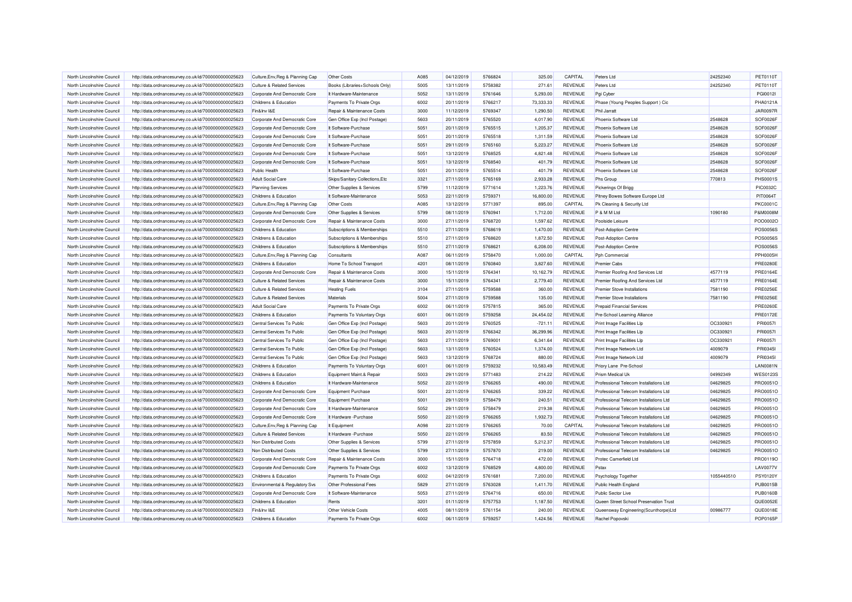| North Lincolnshire Council | http://data.ordnancesurvey.co.uk/id/7000000000025623 | Culture, Env, Reg & Planning Cap                          | Other Costs                     | A085 | 04/12/2019 | 5766824 | 325.00    | CAPITAL        | Peters I td                            | 24252340   | <b>PET0110T</b> |
|----------------------------|------------------------------------------------------|-----------------------------------------------------------|---------------------------------|------|------------|---------|-----------|----------------|----------------------------------------|------------|-----------------|
| North Lincolnshire Council | http://data.ordnancesurvey.co.uk/id/7000000000025623 | <b>Culture &amp; Related Services</b>                     | Books (Libraries+Schools Only)  | 5005 | 13/11/2019 | 5758382 | 271.61    | <b>REVENUE</b> | Peters Ltd                             | 24252340   | <b>PET0110T</b> |
| North Lincolnshire Council | http://data.ordnancesurvey.co.uk/id/7000000000025623 | Corporate And Democratic Core                             | It Hardware-Maintenance         | 5052 | 13/11/2019 | 5761646 | 5,293.00  | <b>REVENUE</b> | Pgi Cyber                              |            | PGI0012I        |
| North Lincolnshire Council | http://data.ordnancesurvey.co.uk/id/7000000000025623 | Childrens & Education                                     | Payments To Private Orgs        | 6002 | 20/11/2019 | 5766217 | 73,333.33 | <b>REVENUE</b> | Phase (Young Peoples Support) Cic      |            | PHA0121A        |
| North Lincolnshire Council | http://data.ordnancesurvey.co.uk/id/7000000000025623 | Fin&Inv I&E                                               | Repair & Maintenance Costs      | 3000 | 11/12/2019 | 5769347 | 1,290.50  | REVENUE        | <b>Phil Jarratt</b>                    |            | <b>JAR0097R</b> |
| North Lincolnshire Council | http://data.ordnancesurvey.co.uk/id/7000000000025623 | Corporate And Democratic Core                             | Gen Office Exp (Incl Postage)   | 5603 | 20/11/2019 | 5765520 | 4,017.90  | <b>REVENUE</b> | Phoenix Software Ltd                   | 2548628    | SOF0026F        |
| North Lincolnshire Council | http://data.ordnancesurvey.co.uk/id/7000000000025623 | Corporate And Democratic Core                             | It Software-Purchase            | 5051 | 20/11/2019 | 5765515 | 1,205.37  | <b>REVENUE</b> | Phoenix Software Ltd                   | 2548628    | SOF0026F        |
| North Lincolnshire Council | http://data.ordnancesurvey.co.uk/id/7000000000025623 | Corporate And Democratic Core                             | It Software-Purchase            | 5051 | 20/11/2019 | 5765518 | 1,311.59  | REVENUE        | Phoenix Software Ltd                   | 2548628    | SOF0026F        |
| North Lincolnshire Council | http://data.ordnancesurvey.co.uk/id/7000000000025623 | Corporate And Democratic Core                             | It Software-Purchase            | 5051 | 29/11/2019 | 5765160 | 5,223.27  | <b>REVENUE</b> | Phoenix Software Ltd                   | 2548628    | SOF0026F        |
| North Lincolnshire Council | http://data.ordnancesurvey.co.uk/id/7000000000025623 | Corporate And Democratic Core                             | It Software-Purchase            | 5051 | 13/12/2019 | 5768525 | 4,821.48  | <b>REVENUE</b> | Phoenix Software Ltd                   | 2548628    | SOF0026F        |
| North Lincolnshire Council | http://data.ordnancesurvey.co.uk/id/7000000000025623 | Corporate And Democratic Core                             | It Software-Purchase            | 5051 | 13/12/2019 | 5768540 | 401.79    | <b>REVENUE</b> | Phoenix Software Ltd                   | 2548628    | SOF0026F        |
| North Lincolnshire Council | http://data.ordnancesurvey.co.uk/id/7000000000025623 | Public Health                                             | It Software-Purchase            | 5051 | 20/11/2019 | 5765514 | 401.79    | <b>REVENUE</b> | Phoenix Software Ltd                   | 2548628    | SOF0026F        |
| North Lincolnshire Council | http://data.ordnancesurvey.co.uk/id/7000000000025623 | <b>Adult Social Care</b>                                  | Skips/Sanitary Collections, Etc | 3321 | 27/11/2019 | 5765169 | 2,933.28  | REVENUE        | <b>Phs Group</b>                       | 770813     | <b>PHS0001S</b> |
| North Lincolnshire Council | http://data.ordnancesurvey.co.uk/id/7000000000025623 | <b>Planning Services</b>                                  | Other Supplies & Services       | 5799 | 11/12/2019 | 5771614 | 1,223.76  | <b>REVENUE</b> | Pickerings Of Brigg                    |            | <b>PIC0032C</b> |
| North Lincolnshire Council | http://data.ordnancesurvey.co.uk/id/7000000000025623 | Childrens & Education                                     | It Software-Maintenance         | 5053 | 22/11/2019 | 5759371 | 16,800.00 | <b>REVENUE</b> | Pitney Bowes Software Europe Ltd       |            | PIT0064T        |
| North Lincolnshire Council | http://data.ordnancesurvey.co.uk/id/7000000000025623 | Culture, Env, Reg & Planning Cap                          | Other Costs                     | A085 | 13/12/2019 | 5771397 | 895.00    | CAPITAL        | Pk Cleaning & Security Ltd             |            | <b>PKC0001C</b> |
| North Lincolnshire Council | http://data.ordnancesurvey.co.uk/id/7000000000025623 | Corporate And Democratic Core                             | Other Supplies & Services       | 5799 | 08/11/2019 | 5760941 | 1,712.00  | <b>REVENUE</b> | P & M M Ltd                            | 1090180    | P&M0008M        |
| North Lincolnshire Council | http://data.ordnancesurvey.co.uk/id/7000000000025623 | Corporate And Democratic Core                             | Repair & Maintenance Costs      | 3000 | 27/11/2019 | 5768720 | 1,597.62  | <b>REVENUE</b> | Poolside Leisure                       |            | PO00002C        |
| North Lincolnshire Council | http://data.ordnancesurvey.co.uk/id/7000000000025623 | Childrens & Education                                     | Subscriptions & Memberships     | 5510 | 27/11/2019 | 5768619 | 1,470.00  | REVENUE        | <b>Post-Adoption Centre</b>            |            | POS0056S        |
| North Lincolnshire Council | http://data.ordnancesurvey.co.uk/id/7000000000025623 | Childrens & Education                                     | Subscriptions & Memberships     | 5510 | 27/11/2019 | 5768620 | 1,872.50  | <b>REVENUE</b> | Post-Adoption Centre                   |            | <b>POS0056S</b> |
| North Lincolnshire Council | http://data.ordnancesurvey.co.uk/id/7000000000025623 | Childrens & Education                                     | Subscriptions & Memberships     | 5510 | 27/11/2019 | 5768621 | 6,208.00  | <b>REVENUE</b> | Post-Adoption Centre                   |            | <b>POS0056S</b> |
| North Lincolnshire Council |                                                      |                                                           | Consultants                     | A087 | 06/11/2019 | 5758470 | 1,000.00  | CAPITAL        | Pph Commercial                         |            | <b>PPH0005H</b> |
| North Lincolnshire Council | http://data.ordnancesurvey.co.uk/id/7000000000025623 | Culture, Env, Reg & Planning Cap<br>Childrens & Education | Home To School Transport        | 4201 | 08/11/2019 | 5760840 | 3,827.60  | <b>REVENUE</b> | <b>Premier Cabs</b>                    |            | <b>PRE0280E</b> |
|                            | http://data.ordnancesurvey.co.uk/id/7000000000025623 |                                                           |                                 |      |            |         |           |                |                                        |            |                 |
| North Lincolnshire Council | http://data.ordnancesurvey.co.uk/id/7000000000025623 | Corporate And Democratic Core                             | Repair & Maintenance Costs      | 3000 | 15/11/2019 | 5764341 | 10,162.79 | <b>REVENUE</b> | Premier Roofing And Services Ltd       | 4577119    | <b>PRE0164E</b> |
| North Lincolnshire Council | http://data.ordnancesurvey.co.uk/id/7000000000025623 | <b>Culture &amp; Related Services</b>                     | Repair & Maintenance Costs      | 3000 | 15/11/2019 | 5764341 | 2,779.40  | REVENUE        | Premier Roofing And Services Ltd       | 4577119    | <b>PRE0164E</b> |
| North Lincolnshire Council | http://data.ordnancesurvey.co.uk/id/7000000000025623 | <b>Culture &amp; Related Services</b>                     | <b>Heating Fuels</b>            | 3104 | 27/11/2019 | 5759588 | 360.00    | <b>REVENUE</b> | <b>Premier Stove Installations</b>     | 7581190    | <b>PRE0256E</b> |
| North Lincolnshire Council | http://data.ordnancesurvey.co.uk/id/7000000000025623 | <b>Culture &amp; Related Services</b>                     | Materials                       | 5004 | 27/11/2019 | 5759588 | 135.00    | <b>REVENUE</b> | <b>Premier Stove Installations</b>     | 7581190    | <b>PRE0256E</b> |
| North Lincolnshire Council | http://data.ordnancesurvey.co.uk/id/7000000000025623 | <b>Adult Social Care</b>                                  | Payments To Private Orgs        | 6002 | 06/11/2019 | 5757815 | 365.00    | <b>REVENUE</b> | <b>Prepaid Financial Services</b>      |            | <b>PRE0260E</b> |
| North Lincolnshire Council | http://data.ordnancesurvey.co.uk/id/7000000000025623 | Childrens & Education                                     | Payments To Voluntary Orgs      | 6001 | 06/11/2019 | 5759258 | 24,454.02 | <b>REVENUE</b> | Pre-School Learning Alliance           |            | <b>PRE0172E</b> |
| North Lincolnshire Council | http://data.ordnancesurvey.co.uk/id/7000000000025623 | Central Services To Public                                | Gen Office Exp (Incl Postage)   | 5603 | 20/11/2019 | 5760525 | $-721.11$ | REVENUE        | Print Image Facilities Llp             | OC330921   | <b>PRI00571</b> |
| North Lincolnshire Council | http://data.ordnancesurvey.co.uk/id/7000000000025623 | Central Services To Public                                | Gen Office Exp (Incl Postage)   | 5603 | 20/11/2019 | 5766342 | 36,299.96 | <b>REVENUE</b> | <b>Print Image Facilities LIp</b>      | OC330921   | <b>PRI00571</b> |
| North Lincolnshire Council | http://data.ordnancesurvey.co.uk/id/7000000000025623 | Central Services To Public                                | Gen Office Exp (Incl Postage)   | 5603 | 27/11/2019 | 5769001 | 6,341.64  | <b>REVENUE</b> | Print Image Facilities Llp             | OC330921   | <b>PRI00571</b> |
| North Lincolnshire Council | http://data.ordnancesurvey.co.uk/id/7000000000025623 | Central Services To Public                                | Gen Office Exp (Incl Postage)   | 5603 | 13/11/2019 | 5760524 | 1,374.00  | REVENUE        | Print Image Network Ltd                | 4009079    | PRI0345I        |
| North Lincolnshire Council | http://data.ordnancesurvey.co.uk/id/7000000000025623 | Central Services To Public                                | Gen Office Exp (Incl Postage)   | 5603 | 13/12/2019 | 5768724 | 880.00    | <b>REVENUE</b> | Print Image Network Ltd                | 4009079    | PRI03451        |
| North Lincolnshire Council | http://data.ordnancesurvey.co.uk/id/7000000000025623 | Childrens & Education                                     | Payments To Voluntary Orgs      | 6001 | 06/11/2019 | 5759232 | 10,583.49 | <b>REVENUE</b> | Priory Lane Pre-School                 |            | <b>LAN0081N</b> |
| North Lincolnshire Council | http://data.ordnancesurvey.co.uk/id/7000000000025623 | Childrens & Education                                     | Equipment Maint.& Repair        | 5003 | 29/11/2019 | 5771483 | 214.22    | <b>REVENUE</b> | Prism Medical Uk                       | 04992349   | <b>WES0123S</b> |
| North Lincolnshire Council | http://data.ordnancesurvey.co.uk/id/7000000000025623 | Childrens & Education                                     | It Hardware-Maintenance         | 5052 | 22/11/2019 | 5766265 | 490.00    | <b>REVENUE</b> | Professional Telecom Installations Ltd | 04629825   | PRO0051C        |
| North Lincolnshire Council | http://data.ordnancesurvey.co.uk/id/7000000000025623 | Corporate And Democratic Core                             | <b>Equipment Purchase</b>       | 5001 | 22/11/2019 | 5766265 | 339.22    | REVENUE        | Professional Telecom Installations Ltd | 04629825   | PRO0051O        |
| North Lincolnshire Council | http://data.ordnancesurvey.co.uk/id/7000000000025623 | Corporate And Democratic Core                             | <b>Equipment Purchase</b>       | 5001 | 29/11/2019 | 5758479 | 240.51    | REVENUE        | Professional Telecom Installations Ltd | 04629825   | PRO0051O        |
| North Lincolnshire Council | http://data.ordnancesurvey.co.uk/id/7000000000025623 | Corporate And Democratic Core                             | It Hardware-Maintenance         | 5052 | 29/11/2019 | 5758479 | 219.38    | <b>REVENUE</b> | Professional Telecom Installations Ltd | 04629825   | PRO0051O        |
| North Lincolnshire Council | http://data.ordnancesurvey.co.uk/id/7000000000025623 | Corporate And Democratic Core                             | It Hardware - Purchase          | 5050 | 22/11/2019 | 5766265 | 1,932.73  | <b>REVENUE</b> | Professional Telecom Installations Ltd | 04629825   | PRO0051C        |
| North Lincolnshire Council | http://data.ordnancesurvey.co.uk/id/7000000000025623 | Culture, Env, Reg & Planning Cap                          | It Equipment                    | A098 | 22/11/2019 | 5766265 | 70.00     | CAPITAL        | Professional Telecom Installations Ltd | 04629825   | PRO0051C        |
| North Lincolnshire Council | http://data.ordnancesurvey.co.uk/id/7000000000025623 | <b>Culture &amp; Related Services</b>                     | It Hardware - Purchase          | 5050 | 22/11/2019 | 5766265 | 83.50     | <b>REVENUE</b> | Professional Telecom Installations Ltd | 04629825   | PRO0051C        |
| North Lincolnshire Council | http://data.ordnancesurvey.co.uk/id/7000000000025623 | Non Distributed Costs                                     | Other Supplies & Services       | 5799 | 27/11/2019 | 5757859 | 5,212.37  | <b>REVENUE</b> | Professional Telecom Installations Ltd | 04629825   | PRO0051C        |
| North Lincolnshire Council | http://data.ordnancesurvey.co.uk/id/7000000000025623 | Non Distributed Costs                                     | Other Supplies & Services       | 5799 | 27/11/2019 | 5757870 | 219.00    | <b>REVENUE</b> | Professional Telecom Installations Ltd | 04629825   | PRO0051C        |
| North Lincolnshire Council | http://data.ordnancesurvey.co.uk/id/7000000000025623 | Corporate And Democratic Core                             | Repair & Maintenance Costs      | 3000 | 15/11/2019 | 5764718 | 472.00    | <b>REVENUE</b> | Protec Camerfield Ltd                  |            | PRO0119C        |
| North Lincolnshire Council | http://data.ordnancesurvey.co.uk/id/7000000000025623 | Corporate And Democratic Core                             | Payments To Private Orgs        | 6002 | 13/12/2019 | 5768529 | 4.800.00  | <b>REVENUE</b> | Pstax                                  |            | <b>LAV0077V</b> |
| North Lincolnshire Council | http://data.ordnancesurvey.co.uk/id/7000000000025623 | Childrens & Education                                     | Payments To Private Orgs        | 6002 | 04/12/2019 | 5761681 | 7,200.00  | <b>REVENUE</b> | Psychology Together                    | 1055440510 | <b>PSY0120Y</b> |
| North Lincolnshire Council | http://data.ordnancesurvey.co.uk/id/7000000000025623 | Environmental & Regulatory Svs                            | Other Professional Fees         | 5829 | 27/11/2019 | 5763028 | 1,411.70  | <b>REVENUE</b> | <b>Public Health England</b>           |            | <b>PUB0015B</b> |
| North Lincolnshire Council | http://data.ordnancesurvey.co.uk/id/7000000000025623 | Corporate And Democratic Core                             | It Software-Maintenance         | 5053 | 27/11/2019 | 5764716 | 650.00    | REVENUE        | Public Sector Live                     |            | <b>PUB0160B</b> |
| North Lincolnshire Council | http://data.ordnancesurvey.co.uk/id/7000000000025623 | Childrens & Education                                     | <b>Rents</b>                    | 3201 | 01/11/2019 | 5757753 | 1,187.50  | <b>REVENUE</b> | Queen Street School Preservation Trust |            | QUE0052E        |
| North Lincolnshire Council | http://data.ordnancesurvey.co.uk/id/7000000000025623 | Fin&Inv I&E                                               | Other Vehicle Costs             | 4005 | 08/11/2019 | 5761154 | 240.00    | REVENUE        | Queensway Engineering(Scunthorpe)Ltd   | 00986777   | QUE0018E        |
| North Lincolnshire Council | http://data.ordnancesurvey.co.uk/id/7000000000025623 | Childrens & Education                                     | Payments To Private Orgs        | 6002 | 06/11/2019 | 5759257 | 1,424.56  | <b>REVENUE</b> | Rachel Popovski                        |            | POP0165P        |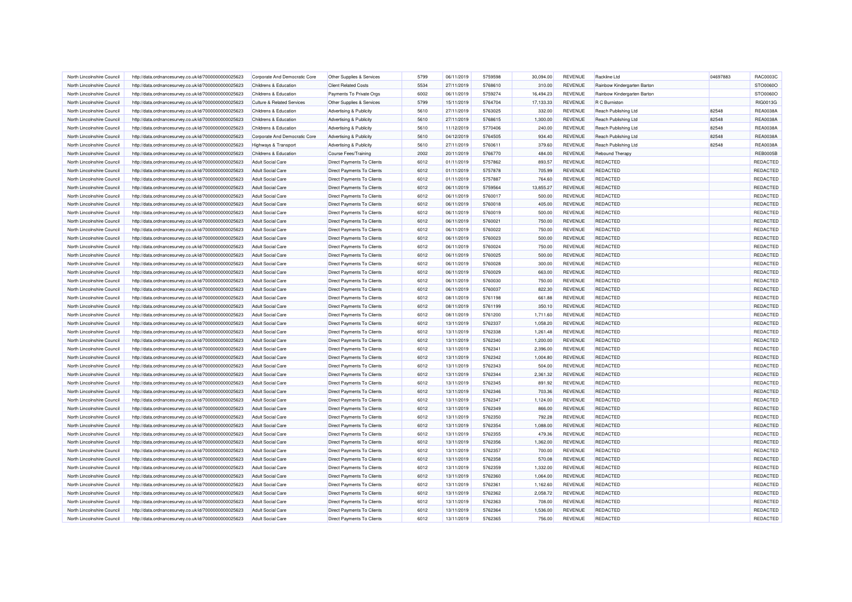| North Lincolnshire Council                               | http://data.ordnancesurvey.co.uk/id/7000000000025623                                                         | Corporate And Democratic Core                        | Other Supplies & Services         | 5799         | 06/11/2019 | 5759598            | 30.094.00 | <b>REVENUE</b>                   | Rackline Ltd                | 04697883 | RAC0003C        |
|----------------------------------------------------------|--------------------------------------------------------------------------------------------------------------|------------------------------------------------------|-----------------------------------|--------------|------------|--------------------|-----------|----------------------------------|-----------------------------|----------|-----------------|
| North Lincolnshire Council                               | http://data.ordnancesurvey.co.uk/id/7000000000025623                                                         | Childrens & Education                                | <b>Client Related Costs</b>       | 5534         | 27/11/2019 | 5768610            | 310.00    | <b>REVENUE</b>                   | Rainbow Kindergarten Barton |          | STO0060O        |
| North Lincolnshire Council                               | http://data.ordnancesurvey.co.uk/id/7000000000025623                                                         | Childrens & Education                                | Payments To Private Orgs          | 6002         | 06/11/2019 | 5759274            | 16,494.23 | REVENUE                          | Rainbow Kindergarten Barton |          | STO0060C        |
| North Lincolnshire Council                               | http://data.ordnancesurvey.co.uk/id/7000000000025623                                                         | <b>Culture &amp; Related Services</b>                | Other Supplies & Services         | 5799         | 15/11/2019 | 5764704            | 17,133.33 | <b>REVENUE</b>                   | R C Burniston               |          | RIG0013G        |
| North Lincolnshire Council                               | http://data.ordnancesurvey.co.uk/id/7000000000025623                                                         | Childrens & Education                                | Advertising & Publicity           | 5610         | 27/11/2019 | 5763025            | 332.00    | <b>REVENUE</b>                   | Reach Publishing Ltd        | 82548    | REA0038/        |
| North Lincolnshire Council                               | http://data.ordnancesurvey.co.uk/id/7000000000025623                                                         | Childrens & Education                                | Advertising & Publicity           | 5610         | 27/11/2019 | 5768615            | 1,300.00  | <b>REVENUE</b>                   | <b>Reach Publishing Ltd</b> | 82548    | <b>REA0038A</b> |
| North Lincolnshire Council                               | http://data.ordnancesurvey.co.uk/id/7000000000025623                                                         | Childrens & Education                                | Advertising & Publicity           | 5610         | 11/12/2019 | 5770406            | 240.00    | <b>REVENUE</b>                   | Reach Publishing Ltd        | 82548    | <b>REA0038A</b> |
| North Lincolnshire Council                               | http://data.ordnancesurvey.co.uk/id/7000000000025623                                                         | Corporate And Democratic Core                        | Advertising & Publicity           | 5610         | 04/12/2019 | 5764505            | 934.40    | REVENUE                          | <b>Reach Publishing Ltd</b> | 82548    | REA0038/        |
| North Lincolnshire Council                               | http://data.ordnancesurvey.co.uk/id/7000000000025623                                                         | Highways & Transport                                 | Advertising & Publicity           | 5610         | 27/11/2019 | 5760611            | 379.60    | <b>REVENUE</b>                   | Reach Publishing Ltd        | 82548    | <b>REA0038A</b> |
| North Lincolnshire Council                               | http://data.ordnancesurvey.co.uk/id/7000000000025623                                                         | Childrens & Education                                | <b>Course Fees/Training</b>       | 2002         | 20/11/2019 | 5766770            | 484.00    | <b>REVENUE</b>                   | Rebound Therapy             |          | <b>REB0005B</b> |
| North Lincolnshire Council                               | http://data.ordnancesurvey.co.uk/id/7000000000025623                                                         | <b>Adult Social Care</b>                             | Direct Payments To Clients        | 6012         | 01/11/2019 | 5757862            | 893.57    | <b>REVENUE</b>                   | <b>REDACTED</b>             |          | REDACTED        |
| North Lincolnshire Council                               | http://data.ordnancesurvey.co.uk/id/7000000000025623                                                         | <b>Adult Social Care</b>                             | <b>Direct Payments To Clients</b> | 6012         | 01/11/2019 | 5757878            | 705.99    | <b>REVENUE</b>                   | <b>REDACTED</b>             |          | REDACTED        |
| North Lincolnshire Council                               | http://data.ordnancesurvey.co.uk/id/7000000000025623                                                         | <b>Adult Social Care</b>                             | Direct Payments To Clients        | 6012         | 01/11/2019 | 5757887            | 764.60    | <b>REVENUE</b>                   | <b>REDACTED</b>             |          | REDACTED        |
| North Lincolnshire Council                               | http://data.ordnancesurvey.co.uk/id/7000000000025623                                                         | <b>Adult Social Care</b>                             | Direct Payments To Clients        | 6012         | 06/11/2019 | 5759564            | 13,855.27 | <b>REVENUE</b>                   | <b>REDACTED</b>             |          | REDACTED        |
| North Lincolnshire Council                               | http://data.ordnancesurvey.co.uk/id/7000000000025623                                                         | <b>Adult Social Care</b>                             | Direct Payments To Clients        | 6012         | 06/11/2019 | 5760017            | 500.00    | <b>REVENUE</b>                   | REDACTED                    |          | REDACTED        |
| North Lincolnshire Council                               | http://data.ordnancesurvey.co.uk/id/7000000000025623                                                         | <b>Adult Social Care</b>                             | Direct Payments To Clients        | 6012         | 06/11/2019 | 5760018            | 405.00    | REVENUE                          | REDACTED                    |          | REDACTED        |
| North Lincolnshire Council                               | http://data.ordnancesurvey.co.uk/id/7000000000025623                                                         | Adult Social Care                                    | Direct Payments To Clients        | 6012         | 06/11/2019 | 5760019            | 500.00    | <b>REVENUE</b>                   | <b>REDACTED</b>             |          | REDACTED        |
| North Lincolnshire Council                               | http://data.ordnancesurvey.co.uk/id/7000000000025623                                                         | <b>Adult Social Care</b>                             | <b>Direct Payments To Clients</b> | 6012         | 06/11/2019 | 5760021            | 750.00    | <b>REVENUE</b>                   | <b>REDACTED</b>             |          | REDACTED        |
| North Lincolnshire Council                               | http://data.ordnancesurvey.co.uk/id/7000000000025623                                                         | <b>Adult Social Care</b>                             | Direct Payments To Clients        | 6012         | 06/11/2019 | 5760022            | 750.00    | <b>REVENUE</b>                   | REDACTED                    |          | REDACTED        |
| North Lincolnshire Council                               | http://data.ordnancesurvey.co.uk/id/7000000000025623                                                         | <b>Adult Social Care</b>                             | <b>Direct Payments To Clients</b> | 6012         | 06/11/2019 | 5760023            | 500.00    | <b>REVENUE</b>                   | <b>REDACTED</b>             |          | REDACTED        |
| North Lincolnshire Council                               | http://data.ordnancesurvey.co.uk/id/7000000000025623                                                         | <b>Adult Social Care</b>                             | Direct Payments To Clients        | 6012         | 06/11/2019 | 5760024            | 750.00    | REVENUE                          | REDACTED                    |          | REDACTED        |
| North Lincolnshire Council                               |                                                                                                              | <b>Adult Social Care</b>                             | Direct Payments To Clients        | 6012         | 06/11/2019 | 5760025            | 500.00    | <b>REVENUE</b>                   | REDACTED                    |          | REDACTED        |
| North Lincolnshire Council                               | http://data.ordnancesurvey.co.uk/id/7000000000025623<br>http://data.ordnancesurvey.co.uk/id/7000000000025623 | <b>Adult Social Care</b>                             | Direct Payments To Clients        | 6012         | 06/11/2019 | 5760028            | 300.00    | <b>REVENUE</b>                   | REDACTED                    |          | REDACTED        |
|                                                          |                                                                                                              |                                                      |                                   |              |            |                    |           |                                  |                             |          |                 |
| North Lincolnshire Council<br>North Lincolnshire Council | http://data.ordnancesurvey.co.uk/id/7000000000025623                                                         | <b>Adult Social Care</b><br><b>Adult Social Care</b> | <b>Direct Payments To Clients</b> | 6012<br>6012 | 06/11/2019 | 5760029<br>5760030 | 663.00    | <b>REVENUE</b><br><b>REVENUE</b> | <b>REDACTED</b>             |          | REDACTED        |
|                                                          | http://data.ordnancesurvey.co.uk/id/7000000000025623                                                         |                                                      | Direct Payments To Clients        |              | 06/11/2019 |                    | 750.00    |                                  | REDACTED                    |          | REDACTED        |
| North Lincolnshire Council                               | http://data.ordnancesurvey.co.uk/id/7000000000025623                                                         | <b>Adult Social Care</b>                             | Direct Payments To Clients        | 6012         | 06/11/2019 | 5760037            | 822.30    | <b>REVENUE</b>                   | REDACTED                    |          | REDACTED        |
| North Lincolnshire Council                               | http://data.ordnancesurvey.co.uk/id/7000000000025623                                                         | <b>Adult Social Care</b>                             | Direct Payments To Clients        | 6012         | 08/11/2019 | 5761198            | 661.88    | <b>REVENUE</b>                   | REDACTED                    |          | REDACTED        |
| North Lincolnshire Council                               | http://data.ordnancesurvey.co.uk/id/7000000000025623                                                         | <b>Adult Social Care</b>                             | Direct Payments To Clients        | 6012         | 08/11/2019 | 5761199            | 350.10    | <b>REVENUE</b>                   | <b>REDACTED</b>             |          | REDACTED        |
| North Lincolnshire Council                               | http://data.ordnancesurvey.co.uk/id/7000000000025623                                                         | <b>Adult Social Care</b>                             | Direct Payments To Clients        | 6012         | 08/11/2019 | 5761200            | 1,711.60  | <b>REVENUE</b>                   | <b>REDACTED</b>             |          | REDACTED        |
| North Lincolnshire Council                               | http://data.ordnancesurvey.co.uk/id/7000000000025623                                                         | <b>Adult Social Care</b>                             | Direct Payments To Clients        | 6012         | 13/11/2019 | 5762337            | 1,058.20  | <b>REVENUE</b>                   | <b>REDACTED</b>             |          | REDACTED        |
| North Lincolnshire Council                               | http://data.ordnancesurvey.co.uk/id/7000000000025623                                                         | <b>Adult Social Care</b>                             | Direct Payments To Clients        | 6012         | 13/11/2019 | 5762338            | 1,261.48  | <b>REVENUE</b>                   | REDACTED                    |          | REDACTED        |
| North Lincolnshire Council                               | http://data.ordnancesurvey.co.uk/id/7000000000025623                                                         | <b>Adult Social Care</b>                             | <b>Direct Payments To Clients</b> | 6012         | 13/11/2019 | 5762340            | 1,200.00  | <b>REVENUE</b>                   | <b>REDACTED</b>             |          | REDACTED        |
| North Lincolnshire Council                               | http://data.ordnancesurvey.co.uk/id/7000000000025623                                                         | <b>Adult Social Care</b>                             | <b>Direct Payments To Clients</b> | 6012         | 13/11/2019 | 5762341            | 2,396.00  | <b>REVENUE</b>                   | <b>REDACTED</b>             |          | REDACTED        |
| North Lincolnshire Council                               | http://data.ordnancesurvey.co.uk/id/7000000000025623                                                         | <b>Adult Social Care</b>                             | <b>Direct Payments To Clients</b> | 6012         | 13/11/2019 | 5762342            | 1,004.80  | <b>REVENUE</b>                   | <b>REDACTED</b>             |          | REDACTED        |
| North Lincolnshire Council                               | http://data.ordnancesurvey.co.uk/id/7000000000025623                                                         | <b>Adult Social Care</b>                             | Direct Payments To Clients        | 6012         | 13/11/2019 | 5762343            | 504.00    | REVENUE                          | REDACTED                    |          | REDACTED        |
| North Lincolnshire Council                               | http://data.ordnancesurvey.co.uk/id/7000000000025623                                                         | <b>Adult Social Care</b>                             | Direct Payments To Clients        | 6012         | 13/11/2019 | 5762344            | 2,361.32  | <b>REVENUE</b>                   | REDACTED                    |          | REDACTED        |
| North Lincolnshire Council                               | http://data.ordnancesurvey.co.uk/id/7000000000025623                                                         | <b>Adult Social Care</b>                             | Direct Payments To Clients        | 6012         | 13/11/2019 | 5762345            | 891.92    | <b>REVENUE</b>                   | <b>REDACTED</b>             |          | REDACTED        |
| North Lincolnshire Council                               | http://data.ordnancesurvey.co.uk/id/7000000000025623                                                         | <b>Adult Social Care</b>                             | Direct Payments To Clients        | 6012         | 13/11/2019 | 5762346            | 703.36    | <b>REVENUE</b>                   | <b>REDACTED</b>             |          | REDACTED        |
| North Lincolnshire Council                               | http://data.ordnancesurvey.co.uk/id/7000000000025623                                                         | <b>Adult Social Care</b>                             | Direct Payments To Clients        | 6012         | 13/11/2019 | 5762347            | 1,124.00  | <b>REVENUE</b>                   | <b>REDACTED</b>             |          | REDACTED        |
| North Lincolnshire Council                               | http://data.ordnancesurvey.co.uk/id/7000000000025623                                                         | <b>Adult Social Care</b>                             | Direct Payments To Clients        | 6012         | 13/11/2019 | 5762349            | 866.00    | REVENUE                          | <b>REDACTED</b>             |          | REDACTED        |
| North Lincolnshire Council                               | http://data.ordnancesurvey.co.uk/id/7000000000025623                                                         | <b>Adult Social Care</b>                             | Direct Payments To Clients        | 6012         | 13/11/2019 | 5762350            | 792.28    | <b>REVENUE</b>                   | REDACTED                    |          | REDACTED        |
| North Lincolnshire Council                               | http://data.ordnancesurvey.co.uk/id/7000000000025623                                                         | <b>Adult Social Care</b>                             | Direct Payments To Clients        | 6012         | 13/11/2019 | 5762354            | 1,088.00  | <b>REVENUE</b>                   | <b>REDACTED</b>             |          | REDACTED        |
| North Lincolnshire Council                               | http://data.ordnancesurvey.co.uk/id/7000000000025623                                                         | <b>Adult Social Care</b>                             | Direct Payments To Clients        | 6012         | 13/11/2019 | 5762355            | 479.36    | <b>REVENUE</b>                   | <b>REDACTED</b>             |          | REDACTED        |
| North Lincolnshire Council                               | http://data.ordnancesurvey.co.uk/id/7000000000025623                                                         | <b>Adult Social Care</b>                             | <b>Direct Payments To Clients</b> | 6012         | 13/11/2019 | 5762356            | 1.362.00  | <b>REVENUE</b>                   | <b>REDACTED</b>             |          | REDACTED        |
| North Lincolnshire Council                               | http://data.ordnancesurvey.co.uk/id/7000000000025623                                                         | <b>Adult Social Care</b>                             | Direct Payments To Clients        | 6012         | 13/11/2019 | 5762357            | 700.00    | <b>REVENUE</b>                   | <b>REDACTED</b>             |          | REDACTED        |
| North Lincolnshire Council                               | http://data.ordnancesurvey.co.uk/id/7000000000025623                                                         | <b>Adult Social Care</b>                             | Direct Payments To Clients        | 6012         | 13/11/2019 | 5762358            | 570.08    | <b>REVENUE</b>                   | <b>REDACTED</b>             |          | REDACTED        |
| North Lincolnshire Council                               | http://data.ordnancesurvey.co.uk/id/7000000000025623                                                         | <b>Adult Social Care</b>                             | Direct Payments To Clients        | 6012         | 13/11/2019 | 5762359            | 1,332.00  | <b>REVENUE</b>                   | REDACTED                    |          | REDACTED        |
| North Lincolnshire Council                               | http://data.ordnancesurvey.co.uk/id/7000000000025623                                                         | <b>Adult Social Care</b>                             | Direct Payments To Clients        | 6012         | 13/11/2019 | 5762360            | 1,064.00  | <b>REVENUE</b>                   | <b>REDACTED</b>             |          | REDACTED        |
| North Lincolnshire Council                               | http://data.ordnancesurvey.co.uk/id/7000000000025623                                                         | <b>Adult Social Care</b>                             | Direct Payments To Clients        | 6012         | 13/11/2019 | 5762361            | 1,162.60  | REVENUE                          | <b>REDACTED</b>             |          | REDACTED        |
| North Lincolnshire Council                               | http://data.ordnancesurvey.co.uk/id/7000000000025623                                                         | <b>Adult Social Care</b>                             | Direct Payments To Clients        | 6012         | 13/11/2019 | 5762362            | 2,058.72  | <b>REVENUE</b>                   | <b>REDACTED</b>             |          | REDACTED        |
| North Lincolnshire Council                               | http://data.ordnancesurvey.co.uk/id/7000000000025623                                                         | <b>Adult Social Care</b>                             | Direct Payments To Clients        | 6012         | 13/11/2019 | 5762363            | 708.00    | <b>REVENUE</b>                   | <b>REDACTED</b>             |          | REDACTED        |
| North Lincolnshire Council                               | http://data.ordnancesurvey.co.uk/id/7000000000025623                                                         | <b>Adult Social Care</b>                             | Direct Payments To Clients        | 6012         | 13/11/2019 | 5762364            | 1,536.00  | <b>REVENUE</b>                   | <b>REDACTED</b>             |          | REDACTED        |
| North Lincolnshire Council                               | http://data.ordnancesurvey.co.uk/id/7000000000025623                                                         | <b>Adult Social Care</b>                             | Direct Payments To Clients        | 6012         | 13/11/2019 | 5762365            | 756.00    | <b>REVENUE</b>                   | <b>REDACTED</b>             |          | REDACTED        |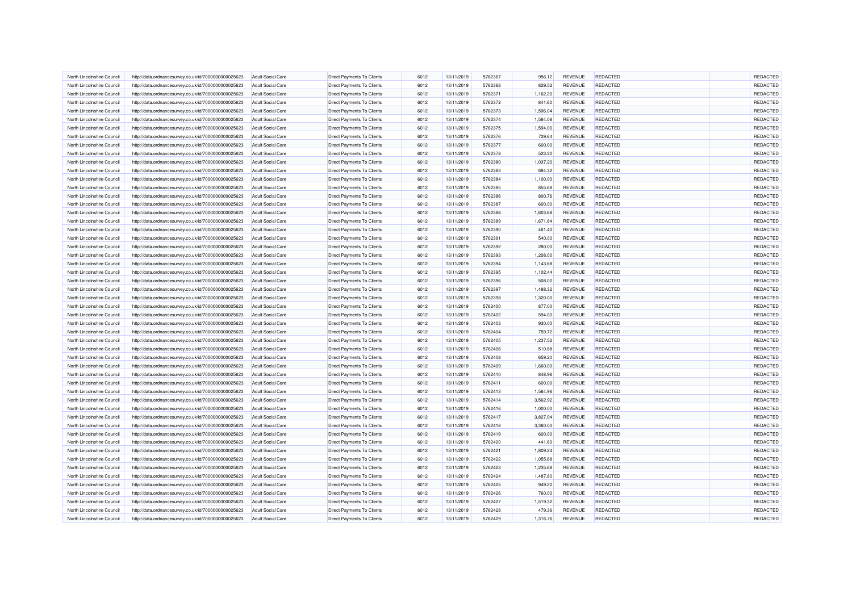| North Lincolnshire Council                               | http://data.ordnancesurvey.co.uk/id/7000000000025623                                                         | <b>Adult Social Care</b>                             | <b>Direct Payments To Clients</b> | 6012 | 13/11/2019               | 5762367 | 956.12             | REVENUE                   | <b>REDACTED</b>                    | <b>REDACTED</b>      |
|----------------------------------------------------------|--------------------------------------------------------------------------------------------------------------|------------------------------------------------------|-----------------------------------|------|--------------------------|---------|--------------------|---------------------------|------------------------------------|----------------------|
| North Lincolnshire Council                               | http://data.ordnancesurvey.co.uk/id/7000000000025623                                                         | <b>Adult Social Care</b>                             | <b>Direct Payments To Clients</b> | 6012 | 13/11/2019               | 5762368 | 829.52             | REVENUE                   | REDACTED                           | REDACTED             |
| North Lincolnshire Council                               | http://data.ordnancesurvey.co.uk/id/7000000000025623                                                         | <b>Adult Social Care</b>                             | Direct Payments To Clients        | 6012 | 13/11/2019               | 5762371 | 1,162.20           | REVENUE                   | <b>REDACTED</b>                    | REDACTED             |
| North Lincolnshire Council                               | http://data.ordnancesurvey.co.uk/id/7000000000025623                                                         | <b>Adult Social Care</b>                             | <b>Direct Payments To Clients</b> | 6012 | 13/11/2019               | 5762372 | 841.60             | REVENUE                   | REDACTED                           | REDACTED             |
| North Lincolnshire Council                               | http://data.ordnancesurvey.co.uk/id/7000000000025623                                                         | <b>Adult Social Care</b>                             | Direct Payments To Clients        | 6012 | 13/11/2019               | 5762373 | 1,596.04           | <b>REVENUE</b>            | <b>REDACTED</b>                    | REDACTED             |
| North Lincolnshire Council                               | http://data.ordnancesurvey.co.uk/id/7000000000025623                                                         | <b>Adult Social Care</b>                             | Direct Payments To Clients        | 6012 | 13/11/2019               | 5762374 | 1,584.08           | REVENUE                   | <b>REDACTED</b>                    | REDACTED             |
| North Lincolnshire Council                               | http://data.ordnancesurvey.co.uk/id/7000000000025623                                                         | <b>Adult Social Care</b>                             | Direct Payments To Clients        | 6012 | 13/11/2019               | 5762375 | 1,594.00           | <b>REVENUE</b>            | <b>REDACTED</b>                    | REDACTED             |
| North Lincolnshire Council                               | http://data.ordnancesurvey.co.uk/id/7000000000025623                                                         | <b>Adult Social Care</b>                             | Direct Payments To Clients        | 6012 | 13/11/2019               | 5762376 | 729.64             | REVENUE                   | <b>REDACTED</b>                    | REDACTED             |
| North Lincolnshire Council                               | http://data.ordnancesurvey.co.uk/id/7000000000025623                                                         | <b>Adult Social Care</b>                             | Direct Payments To Clients        | 6012 | 13/11/2019               | 5762377 | 600.00             | REVENUE                   | REDACTED                           | REDACTED             |
| North Lincolnshire Council                               | http://data.ordnancesurvey.co.uk/id/7000000000025623                                                         | <b>Adult Social Care</b>                             | Direct Payments To Clients        | 6012 | 13/11/2019               | 5762378 | 523.20             | <b>REVENUE</b>            | <b>REDACTED</b>                    | REDACTED             |
| North Lincolnshire Council                               | http://data.ordnancesurvey.co.uk/id/7000000000025623                                                         | <b>Adult Social Care</b>                             | <b>Direct Payments To Clients</b> | 6012 | 13/11/2019               | 5762380 | 1,037.20           | <b>REVENUE</b>            | <b>REDACTED</b>                    | REDACTED             |
| North Lincolnshire Council                               | http://data.ordnancesurvey.co.uk/id/7000000000025623                                                         | Adult Social Care                                    | <b>Direct Payments To Clients</b> | 6012 | 13/11/2019               | 5762383 | 684.32             | <b>REVENUE</b>            | <b>REDACTED</b>                    | REDACTED             |
| North Lincolnshire Council                               | http://data.ordnancesurvey.co.uk/id/7000000000025623                                                         | <b>Adult Social Care</b>                             | Direct Payments To Clients        | 6012 | 13/11/2019               | 5762384 | 1,100.00           | <b>REVENUE</b>            | <b>REDACTED</b>                    | REDACTED             |
| North Lincolnshire Council                               | http://data.ordnancesurvey.co.uk/id/7000000000025623                                                         | <b>Adult Social Care</b>                             | Direct Payments To Clients        | 6012 | 13/11/2019               | 5762385 | 855.68             | REVENUE                   | REDACTED                           | REDACTED             |
| North Lincolnshire Council                               | http://data.ordnancesurvey.co.uk/id/7000000000025623                                                         | <b>Adult Social Care</b>                             | <b>Direct Payments To Clients</b> | 6012 | 13/11/2019               | 5762386 | 800.76             | REVENUE                   | <b>REDACTED</b>                    | REDACTED             |
| North Lincolnshire Council                               | http://data.ordnancesurvey.co.uk/id/7000000000025623                                                         | <b>Adult Social Care</b>                             | Direct Payments To Clients        | 6012 | 13/11/2019               | 5762387 | 600.00             | REVENUE                   | <b>REDACTED</b>                    | REDACTED             |
| North Lincolnshire Council                               | http://data.ordnancesurvey.co.uk/id/7000000000025623                                                         | <b>Adult Social Care</b>                             | Direct Payments To Clients        | 6012 | 13/11/2019               | 5762388 | 1,603.68           | REVENUE                   | <b>REDACTED</b>                    | REDACTED             |
| North Lincolnshire Council                               | http://data.ordnancesurvey.co.uk/id/7000000000025623                                                         | <b>Adult Social Care</b>                             | Direct Payments To Clients        | 6012 | 13/11/2019               | 5762389 | 1,671.84           | <b>REVENUE</b>            | <b>REDACTED</b>                    | REDACTED             |
| North Lincolnshire Council                               | http://data.ordnancesurvey.co.uk/id/7000000000025623                                                         | <b>Adult Social Care</b>                             | Direct Payments To Clients        | 6012 | 13/11/2019               | 5762390 | 461.40             | REVENUE                   | <b>REDACTED</b>                    | REDACTED             |
| North Lincolnshire Council                               | http://data.ordnancesurvey.co.uk/id/7000000000025623                                                         | <b>Adult Social Care</b>                             | Direct Payments To Clients        | 6012 | 13/11/2019               | 5762391 | 540.00             | <b>REVENUE</b>            | <b>REDACTED</b>                    | REDACTED             |
| North Lincolnshire Council                               | http://data.ordnancesurvey.co.uk/id/7000000000025623                                                         | <b>Adult Social Care</b>                             | Direct Payments To Clients        | 6012 | 13/11/2019               | 5762392 | 280.00             | REVENUE                   | <b>REDACTED</b>                    | REDACTED             |
| North Lincolnshire Council                               |                                                                                                              | <b>Adult Social Care</b>                             | Direct Payments To Clients        | 6012 | 13/11/2019               | 5762393 | 1,208.00           | REVENUE                   | <b>REDACTED</b>                    | REDACTED             |
| North Lincolnshire Council                               | http://data.ordnancesurvey.co.uk/id/7000000000025623<br>http://data.ordnancesurvey.co.uk/id/7000000000025623 | <b>Adult Social Care</b>                             | <b>Direct Payments To Clients</b> | 6012 | 13/11/2019               | 5762394 | 1,143.68           | REVENUE                   | <b>REDACTED</b>                    | REDACTED             |
|                                                          |                                                                                                              |                                                      |                                   | 6012 |                          | 5762395 |                    |                           |                                    | REDACTED             |
| North Lincolnshire Council<br>North Lincolnshire Council | http://data.ordnancesurvey.co.uk/id/7000000000025623                                                         | <b>Adult Social Care</b><br><b>Adult Social Care</b> | <b>Direct Payments To Clients</b> | 6012 | 13/11/2019<br>13/11/2019 | 5762396 | 1,102.44<br>508.00 | <b>REVENUE</b><br>REVENUE | <b>REDACTED</b><br><b>REDACTED</b> | REDACTED             |
|                                                          | http://data.ordnancesurvey.co.uk/id/7000000000025623                                                         |                                                      | Direct Payments To Clients        |      |                          |         |                    |                           |                                    |                      |
| North Lincolnshire Council                               | http://data.ordnancesurvey.co.uk/id/7000000000025623                                                         | <b>Adult Social Care</b>                             | <b>Direct Payments To Clients</b> | 6012 | 13/11/2019               | 5762397 | 1,488.32           | REVENUE                   | REDACTED                           | REDACTED             |
| North Lincolnshire Council                               | http://data.ordnancesurvey.co.uk/id/7000000000025623                                                         | <b>Adult Social Care</b>                             | Direct Payments To Clients        | 6012 | 13/11/2019               | 5762398 | 1,320.00           | REVENUE                   | <b>REDACTED</b>                    | REDACTED<br>REDACTED |
| North Lincolnshire Council                               | http://data.ordnancesurvey.co.uk/id/7000000000025623                                                         | <b>Adult Social Care</b>                             | Direct Payments To Clients        | 6012 | 13/11/2019               | 5762400 | 877.00             | <b>REVENUE</b>            | REDACTED                           |                      |
| North Lincolnshire Council                               | http://data.ordnancesurvey.co.uk/id/7000000000025623                                                         | <b>Adult Social Care</b>                             | Direct Payments To Clients        | 6012 | 13/11/2019               | 5762402 | 594.00             | REVENUE                   | <b>REDACTED</b>                    | REDACTED             |
| North Lincolnshire Council                               | http://data.ordnancesurvey.co.uk/id/7000000000025623                                                         | <b>Adult Social Care</b>                             | Direct Payments To Clients        | 6012 | 13/11/2019               | 5762403 | 930.00             | <b>REVENUE</b>            | <b>REDACTED</b>                    | REDACTED             |
| North Lincolnshire Council                               | http://data.ordnancesurvey.co.uk/id/7000000000025623                                                         | <b>Adult Social Care</b>                             | Direct Payments To Clients        | 6012 | 13/11/2019               | 5762404 | 759.72             | <b>REVENUE</b>            | REDACTED                           | REDACTED             |
| North Lincolnshire Council                               | http://data.ordnancesurvey.co.uk/id/7000000000025623                                                         | <b>Adult Social Care</b>                             | <b>Direct Payments To Clients</b> | 6012 | 13/11/2019               | 5762405 | 1,237.52           | <b>REVENUE</b>            | <b>REDACTED</b>                    | REDACTED             |
| North Lincolnshire Council                               | http://data.ordnancesurvey.co.uk/id/7000000000025623                                                         | Adult Social Care                                    | <b>Direct Payments To Clients</b> | 6012 | 13/11/2019               | 5762406 | 510.88             | <b>REVENUE</b>            | <b>REDACTED</b>                    | REDACTED             |
| North Lincolnshire Council                               | http://data.ordnancesurvey.co.uk/id/7000000000025623                                                         | <b>Adult Social Care</b>                             | <b>Direct Payments To Clients</b> | 6012 | 13/11/2019               | 5762408 | 659.20             | REVENUE                   | REDACTED                           | REDACTED             |
| North Lincolnshire Council                               | http://data.ordnancesurvey.co.uk/id/7000000000025623                                                         | <b>Adult Social Care</b>                             | Direct Payments To Clients        | 6012 | 13/11/2019               | 5762409 | 1,660.00           | REVENUE                   | <b>REDACTED</b>                    | REDACTED             |
| North Lincolnshire Council                               | http://data.ordnancesurvey.co.uk/id/7000000000025623                                                         | Adult Social Care                                    | <b>Direct Payments To Clients</b> | 6012 | 13/11/2019               | 5762410 | 848.96             | <b>REVENUE</b>            | REDACTED                           | REDACTED             |
| North Lincolnshire Council                               | http://data.ordnancesurvey.co.uk/id/7000000000025623                                                         | <b>Adult Social Care</b>                             | Direct Payments To Clients        | 6012 | 13/11/2019               | 5762411 | 600.00             | <b>REVENUE</b>            | <b>REDACTED</b>                    | REDACTED             |
| North Lincolnshire Council                               | http://data.ordnancesurvey.co.uk/id/7000000000025623                                                         | <b>Adult Social Care</b>                             | Direct Payments To Clients        | 6012 | 13/11/2019               | 5762413 | 1,564.96           | REVENUE                   | <b>REDACTED</b>                    | REDACTED             |
| North Lincolnshire Council                               | http://data.ordnancesurvey.co.uk/id/7000000000025623                                                         | <b>Adult Social Care</b>                             | Direct Payments To Clients        | 6012 | 13/11/2019               | 5762414 | 3,562.92           | <b>REVENUE</b>            | <b>REDACTED</b>                    | REDACTED             |
| North Lincolnshire Council                               | http://data.ordnancesurvey.co.uk/id/7000000000025623                                                         | <b>Adult Social Care</b>                             | Direct Payments To Clients        | 6012 | 13/11/2019               | 5762416 | 1,000.00           | REVENUE                   | <b>REDACTED</b>                    | REDACTED             |
| North Lincolnshire Council                               | http://data.ordnancesurvey.co.uk/id/7000000000025623                                                         | <b>Adult Social Care</b>                             | Direct Payments To Clients        | 6012 | 13/11/2019               | 5762417 | 3,827.04           | REVENUE                   | REDACTED                           | REDACTED             |
| North Lincolnshire Council                               | http://data.ordnancesurvey.co.uk/id/7000000000025623                                                         | <b>Adult Social Care</b>                             | Direct Payments To Clients        | 6012 | 13/11/2019               | 5762418 | 3,360.00           | REVENUE                   | <b>REDACTED</b>                    | REDACTED             |
| North Lincolnshire Council                               | http://data.ordnancesurvey.co.uk/id/7000000000025623                                                         | <b>Adult Social Care</b>                             | Direct Payments To Clients        | 6012 | 13/11/2019               | 5762419 | 600.00             | <b>REVENUE</b>            | <b>REDACTED</b>                    | REDACTED             |
| North Lincolnshire Council                               | http://data.ordnancesurvey.co.uk/id/7000000000025623                                                         | Adult Social Care                                    | <b>Direct Payments To Clients</b> | 6012 | 13/11/2019               | 5762420 | 441.60             | <b>REVENUE</b>            | <b>REDACTED</b>                    | REDACTED             |
| North Lincolnshire Council                               | http://data.ordnancesurvey.co.uk/id/7000000000025623                                                         | <b>Adult Social Care</b>                             | Direct Payments To Clients        | 6012 | 13/11/2019               | 5762421 | 1,809.24           | REVENUE                   | <b>REDACTED</b>                    | REDACTED             |
| North Lincolnshire Council                               | http://data.ordnancesurvey.co.uk/id/7000000000025623                                                         | <b>Adult Social Care</b>                             | Direct Payments To Clients        | 6012 | 13/11/2019               | 5762422 | 1,055.68           | REVENUE                   | REDACTED                           | REDACTED             |
| North Lincolnshire Council                               | http://data.ordnancesurvey.co.uk/id/7000000000025623                                                         | <b>Adult Social Care</b>                             | Direct Payments To Clients        | 6012 | 13/11/2019               | 5762423 | 1,235.68           | <b>REVENUE</b>            | REDACTED                           | REDACTED             |
| North Lincolnshire Council                               | http://data.ordnancesurvey.co.uk/id/7000000000025623                                                         | <b>Adult Social Care</b>                             | Direct Payments To Clients        | 6012 | 13/11/2019               | 5762424 | 1,487.80           | REVENUE                   | <b>REDACTED</b>                    | REDACTED             |
| North Lincolnshire Council                               | http://data.ordnancesurvey.co.uk/id/7000000000025623                                                         | <b>Adult Social Care</b>                             | Direct Payments To Clients        | 6012 | 13/11/2019               | 5762425 | 949.20             | REVENUE                   | <b>REDACTED</b>                    | REDACTED             |
| North Lincolnshire Council                               | http://data.ordnancesurvey.co.uk/id/7000000000025623                                                         | <b>Adult Social Care</b>                             | Direct Payments To Clients        | 6012 | 13/11/2019               | 5762426 | 760.00             | <b>REVENUE</b>            | <b>REDACTED</b>                    | REDACTED             |
| North Lincolnshire Council                               | http://data.ordnancesurvey.co.uk/id/7000000000025623                                                         | <b>Adult Social Care</b>                             | Direct Payments To Clients        | 6012 | 13/11/2019               | 5762427 | 1,519.32           | REVENUE                   | <b>REDACTED</b>                    | REDACTED             |
| North Lincolnshire Council                               | http://data.ordnancesurvey.co.uk/id/7000000000025623                                                         | <b>Adult Social Care</b>                             | Direct Payments To Clients        | 6012 | 13/11/2019               | 5762428 | 479.36             | <b>REVENUE</b>            | <b>REDACTED</b>                    | REDACTED             |
| North Lincolnshire Council                               | http://data.ordnancesurvey.co.uk/id/7000000000025623                                                         | <b>Adult Social Care</b>                             | Direct Payments To Clients        | 6012 | 13/11/2019               | 5762429 | 1,316.76           | REVENUE                   | <b>REDACTED</b>                    | REDACTED             |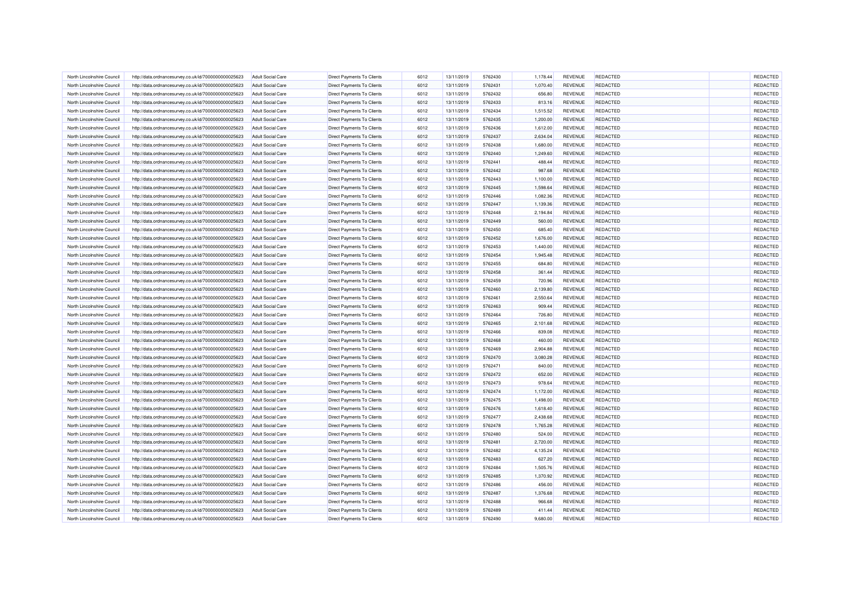| North Lincolnshire Council | http://data.ordnancesurvey.co.uk/id/7000000000025623 | <b>Adult Social Care</b> | <b>Direct Payments To Clients</b> | 6012         | 13/11/2019 | 5762430            | 1,178.44 | REVENUE        | <b>REDACTED</b> | REDACTED             |
|----------------------------|------------------------------------------------------|--------------------------|-----------------------------------|--------------|------------|--------------------|----------|----------------|-----------------|----------------------|
| North Lincolnshire Council | http://data.ordnancesurvey.co.uk/id/7000000000025623 | <b>Adult Social Care</b> | <b>Direct Payments To Clients</b> | 6012         | 13/11/2019 | 5762431            | 1,070.40 | <b>REVENUE</b> | <b>REDACTED</b> | REDACTED             |
| North Lincolnshire Council | http://data.ordnancesurvey.co.uk/id/7000000000025623 | <b>Adult Social Care</b> | Direct Payments To Clients        | 6012         | 13/11/2019 | 5762432            | 656.80   | REVENUE        | <b>REDACTED</b> | REDACTED             |
| North Lincolnshire Council | http://data.ordnancesurvey.co.uk/id/7000000000025623 | <b>Adult Social Care</b> | <b>Direct Payments To Clients</b> | 6012         | 13/11/2019 | 5762433            | 813.16   | <b>REVENUE</b> | REDACTED        | REDACTED             |
| North Lincolnshire Council | http://data.ordnancesurvey.co.uk/id/7000000000025623 | <b>Adult Social Care</b> | Direct Payments To Clients        | 6012         | 13/11/2019 | 5762434            | 1,515.52 | REVENUE        | <b>REDACTED</b> | REDACTED             |
| North Lincolnshire Council | http://data.ordnancesurvey.co.uk/id/7000000000025623 | <b>Adult Social Care</b> | Direct Payments To Clients        | 6012         | 13/11/2019 | 5762435            | 1,200.00 | <b>REVENUE</b> | <b>REDACTED</b> | REDACTED             |
| North Lincolnshire Council | http://data.ordnancesurvey.co.uk/id/7000000000025623 | <b>Adult Social Care</b> | Direct Payments To Clients        | 6012         | 13/11/2019 | 5762436            | 1,612.00 | <b>REVENUE</b> | <b>REDACTED</b> | REDACTED             |
| North Lincolnshire Council | http://data.ordnancesurvey.co.uk/id/7000000000025623 | <b>Adult Social Care</b> | <b>Direct Payments To Clients</b> | 6012         | 13/11/2019 | 5762437            | 2,634.04 | REVENUE        | <b>REDACTED</b> | REDACTED             |
| North Lincolnshire Council | http://data.ordnancesurvey.co.uk/id/7000000000025623 | Adult Social Care        | <b>Direct Payments To Clients</b> | 6012         | 13/11/2019 | 5762438            | 1,680.00 | <b>REVENUE</b> | REDACTED        | REDACTED             |
| North Lincolnshire Council | http://data.ordnancesurvey.co.uk/id/7000000000025623 | <b>Adult Social Care</b> | Direct Payments To Clients        | 6012         | 13/11/2019 | 5762440            | 1,249.60 | <b>REVENUE</b> | <b>REDACTED</b> | REDACTED             |
| North Lincolnshire Council | http://data.ordnancesurvey.co.uk/id/7000000000025623 | <b>Adult Social Care</b> | Direct Payments To Clients        | 6012         | 13/11/2019 | 5762441            | 488.44   | REVENUE        | <b>REDACTED</b> | REDACTED             |
| North Lincolnshire Council | http://data.ordnancesurvey.co.uk/id/7000000000025623 | <b>Adult Social Care</b> | <b>Direct Payments To Clients</b> | 6012         | 13/11/2019 | 5762442            | 987.68   | REVENUE        | REDACTED        | REDACTED             |
| North Lincolnshire Council | http://data.ordnancesurvey.co.uk/id/7000000000025623 | <b>Adult Social Care</b> | Direct Payments To Clients        | 6012         | 13/11/2019 | 5762443            | 1,100.00 | REVENUE        | <b>REDACTED</b> | REDACTED             |
| North Lincolnshire Council | http://data.ordnancesurvey.co.uk/id/7000000000025623 | <b>Adult Social Care</b> | Direct Payments To Clients        | 6012         | 13/11/2019 | 5762445            | 1,598.64 | REVENUE        | <b>REDACTED</b> | REDACTED             |
| North Lincolnshire Council | http://data.ordnancesurvey.co.uk/id/7000000000025623 | <b>Adult Social Care</b> | Direct Payments To Clients        | 6012         | 13/11/2019 | 5762446            | 1,082.36 | REVENUE        | <b>REDACTED</b> | REDACTED             |
| North Lincolnshire Council | http://data.ordnancesurvey.co.uk/id/7000000000025623 | <b>Adult Social Care</b> | Direct Payments To Clients        | 6012         | 13/11/2019 | 5762447            | 1,139.36 | REVENUE        | <b>REDACTED</b> | REDACTED             |
| North Lincolnshire Council | http://data.ordnancesurvey.co.uk/id/7000000000025623 | <b>Adult Social Care</b> | Direct Payments To Clients        | 6012         | 13/11/2019 | 5762448            | 2,194.84 | <b>REVENUE</b> | <b>REDACTED</b> | REDACTED             |
| North Lincolnshire Council | http://data.ordnancesurvey.co.uk/id/7000000000025623 | <b>Adult Social Care</b> | <b>Direct Payments To Clients</b> | 6012         | 13/11/2019 | 5762449            | 560.00   | <b>REVENUE</b> | <b>REDACTED</b> | REDACTED             |
| North Lincolnshire Council | http://data.ordnancesurvey.co.uk/id/7000000000025623 | <b>Adult Social Care</b> | Direct Payments To Clients        | 6012         | 13/11/2019 | 5762450            | 685.40   | REVENUE        | REDACTED        | REDACTED             |
| North Lincolnshire Council | http://data.ordnancesurvey.co.uk/id/7000000000025623 | <b>Adult Social Care</b> | Direct Payments To Clients        | 6012         | 13/11/2019 | 5762452            | 1,676.00 | REVENUE        | REDACTED        | REDACTED             |
| North Lincolnshire Council | http://data.ordnancesurvey.co.uk/id/7000000000025623 | <b>Adult Social Care</b> | Direct Payments To Clients        | 6012         | 13/11/2019 | 5762453            | 1,440.00 | <b>REVENUE</b> | <b>REDACTED</b> | REDACTED             |
| North Lincolnshire Council | http://data.ordnancesurvey.co.uk/id/7000000000025623 | <b>Adult Social Care</b> | Direct Payments To Clients        | 6012         | 13/11/2019 | 5762454            | 1,945.48 | REVENUE        | <b>REDACTED</b> | REDACTED             |
| North Lincolnshire Council | http://data.ordnancesurvey.co.uk/id/7000000000025623 | <b>Adult Social Care</b> | Direct Payments To Clients        | 6012         | 13/11/2019 | 5762455            | 684.80   | <b>REVENUE</b> | <b>REDACTED</b> | REDACTED             |
|                            |                                                      |                          |                                   |              |            |                    |          |                | REDACTED        |                      |
| North Lincolnshire Council | http://data.ordnancesurvey.co.uk/id/7000000000025623 | <b>Adult Social Care</b> | Direct Payments To Clients        | 6012         | 13/11/2019 | 5762458            | 361.44   | REVENUE        | <b>REDACTED</b> | REDACTED<br>REDACTED |
| North Lincolnshire Council | http://data.ordnancesurvey.co.uk/id/7000000000025623 | <b>Adult Social Care</b> | Direct Payments To Clients        | 6012         | 13/11/2019 | 5762459            | 720.96   | <b>REVENUE</b> |                 |                      |
| North Lincolnshire Council | http://data.ordnancesurvey.co.uk/id/7000000000025623 | <b>Adult Social Care</b> | Direct Payments To Clients        | 6012         | 13/11/2019 | 5762460            | 2,139.80 | REVENUE        | <b>REDACTED</b> | REDACTED             |
| North Lincolnshire Council | http://data.ordnancesurvey.co.uk/id/7000000000025623 | <b>Adult Social Care</b> | Direct Payments To Clients        | 6012<br>6012 | 13/11/2019 | 5762461<br>5762463 | 2,550.64 | <b>REVENUE</b> | <b>REDACTED</b> | REDACTED             |
| North Lincolnshire Council | http://data.ordnancesurvey.co.uk/id/7000000000025623 | <b>Adult Social Care</b> | <b>Direct Payments To Clients</b> |              | 13/11/2019 |                    | 909.44   | REVENUE        | REDACTED        | REDACTED             |
| North Lincolnshire Council | http://data.ordnancesurvey.co.uk/id/7000000000025623 | <b>Adult Social Care</b> | Direct Payments To Clients        | 6012         | 13/11/2019 | 5762464            | 726.80   | <b>REVENUE</b> | REDACTED        | REDACTED             |
| North Lincolnshire Council | http://data.ordnancesurvey.co.uk/id/7000000000025623 | <b>Adult Social Care</b> | Direct Payments To Clients        | 6012         | 13/11/2019 | 5762465            | 2,101.68 | REVENUE        | <b>REDACTED</b> | REDACTED             |
| North Lincolnshire Council | http://data.ordnancesurvey.co.uk/id/7000000000025623 | <b>Adult Social Care</b> | <b>Direct Payments To Clients</b> | 6012         | 13/11/2019 | 5762466            | 839.08   | <b>REVENUE</b> | REDACTED        | REDACTED             |
| North Lincolnshire Council | http://data.ordnancesurvey.co.uk/id/7000000000025623 | <b>Adult Social Care</b> | <b>Direct Payments To Clients</b> | 6012         | 13/11/2019 | 5762468            | 460.00   | REVENUE        | <b>REDACTED</b> | REDACTED             |
| North Lincolnshire Council | http://data.ordnancesurvey.co.uk/id/7000000000025623 | <b>Adult Social Care</b> | Direct Payments To Clients        | 6012         | 13/11/2019 | 5762469            | 2,904.88 | <b>REVENUE</b> | <b>REDACTED</b> | REDACTED             |
| North Lincolnshire Council | http://data.ordnancesurvey.co.uk/id/7000000000025623 | <b>Adult Social Care</b> | Direct Payments To Clients        | 6012         | 13/11/2019 | 5762470            | 3,080.28 | REVENUE        | <b>REDACTED</b> | REDACTED             |
| North Lincolnshire Council | http://data.ordnancesurvey.co.uk/id/7000000000025623 | <b>Adult Social Care</b> | Direct Payments To Clients        | 6012         | 13/11/2019 | 5762471            | 840.00   | <b>REVENUE</b> | <b>REDACTED</b> | REDACTED             |
| North Lincolnshire Council | http://data.ordnancesurvey.co.uk/id/7000000000025623 | Adult Social Care        | <b>Direct Payments To Clients</b> | 6012         | 13/11/2019 | 5762472            | 652.00   | <b>REVENUE</b> | <b>REDACTED</b> | REDACTED             |
| North Lincolnshire Council | http://data.ordnancesurvey.co.uk/id/7000000000025623 | <b>Adult Social Care</b> | Direct Payments To Clients        | 6012         | 13/11/2019 | 5762473            | 978.64   | <b>REVENUE</b> | <b>REDACTED</b> | REDACTED             |
| North Lincolnshire Council | http://data.ordnancesurvey.co.uk/id/7000000000025623 | <b>Adult Social Care</b> | Direct Payments To Clients        | 6012         | 13/11/2019 | 5762474            | 1,172.00 | REVENUE        | <b>REDACTED</b> | REDACTED             |
| North Lincolnshire Council | http://data.ordnancesurvey.co.uk/id/7000000000025623 | <b>Adult Social Care</b> | <b>Direct Payments To Clients</b> | 6012         | 13/11/2019 | 5762475            | 1,498.00 | REVENUE        | REDACTED        | REDACTED             |
| North Lincolnshire Council | http://data.ordnancesurvey.co.uk/id/7000000000025623 | <b>Adult Social Care</b> | <b>Direct Payments To Clients</b> | 6012         | 13/11/2019 | 5762476            | 1,618.40 | REVENUE        | <b>REDACTED</b> | REDACTED             |
| North Lincolnshire Council | http://data.ordnancesurvey.co.uk/id/7000000000025623 | <b>Adult Social Care</b> | Direct Payments To Clients        | 6012         | 13/11/2019 | 5762477            | 2,438.68 | REVENUE        | REDACTED        | REDACTED             |
| North Lincolnshire Council | http://data.ordnancesurvey.co.uk/id/7000000000025623 | <b>Adult Social Care</b> | Direct Payments To Clients        | 6012         | 13/11/2019 | 5762478            | 1,765.28 | REVENUE        | <b>REDACTED</b> | REDACTED             |
| North Lincolnshire Council | http://data.ordnancesurvey.co.uk/id/7000000000025623 | <b>Adult Social Care</b> | Direct Payments To Clients        | 6012         | 13/11/2019 | 5762480            | 524.00   | REVENUE        | <b>REDACTED</b> | REDACTED             |
| North Lincolnshire Council | http://data.ordnancesurvey.co.uk/id/7000000000025623 | <b>Adult Social Care</b> | Direct Payments To Clients        | 6012         | 13/11/2019 | 5762481            | 2,720.00 | <b>REVENUE</b> | <b>REDACTED</b> | REDACTED             |
| North Lincolnshire Council | http://data.ordnancesurvey.co.uk/id/7000000000025623 | <b>Adult Social Care</b> | <b>Direct Payments To Clients</b> | 6012         | 13/11/2019 | 5762482            | 4,135.24 | REVENUE        | <b>REDACTED</b> | REDACTED             |
| North Lincolnshire Council | http://data.ordnancesurvey.co.uk/id/7000000000025623 | <b>Adult Social Care</b> | Direct Payments To Clients        | 6012         | 13/11/2019 | 5762483            | 627.20   | REVENUE        | REDACTED        | REDACTED             |
| North Lincolnshire Council | http://data.ordnancesurvey.co.uk/id/7000000000025623 | <b>Adult Social Care</b> | Direct Payments To Clients        | 6012         | 13/11/2019 | 5762484            | 1,505.76 | REVENUE        | REDACTED        | REDACTED             |
| North Lincolnshire Council | http://data.ordnancesurvey.co.uk/id/7000000000025623 | <b>Adult Social Care</b> | Direct Payments To Clients        | 6012         | 13/11/2019 | 5762485            | 1,370.92 | REVENUE        | <b>REDACTED</b> | REDACTED             |
| North Lincolnshire Council | http://data.ordnancesurvey.co.uk/id/7000000000025623 | <b>Adult Social Care</b> | Direct Payments To Clients        | 6012         | 13/11/2019 | 5762486            | 456.00   | REVENUE        | <b>REDACTED</b> | REDACTED             |
| North Lincolnshire Council | http://data.ordnancesurvey.co.uk/id/7000000000025623 | <b>Adult Social Care</b> | Direct Payments To Clients        | 6012         | 13/11/2019 | 5762487            | 1,376.68 | <b>REVENUE</b> | <b>REDACTED</b> | REDACTED             |
| North Lincolnshire Council | http://data.ordnancesurvey.co.uk/id/7000000000025623 | <b>Adult Social Care</b> | Direct Payments To Clients        | 6012         | 13/11/2019 | 5762488            | 966.68   | REVENUE        | REDACTED        | REDACTED             |
| North Lincolnshire Council | http://data.ordnancesurvey.co.uk/id/7000000000025623 | <b>Adult Social Care</b> | Direct Payments To Clients        | 6012         | 13/11/2019 | 5762489            | 411.44   | <b>REVENUE</b> | <b>REDACTED</b> | REDACTED             |
| North Lincolnshire Council | http://data.ordnancesurvey.co.uk/id/7000000000025623 | <b>Adult Social Care</b> | Direct Payments To Clients        | 6012         | 13/11/2019 | 5762490            | 9,680.00 | <b>REVENUE</b> | <b>REDACTED</b> | REDACTED             |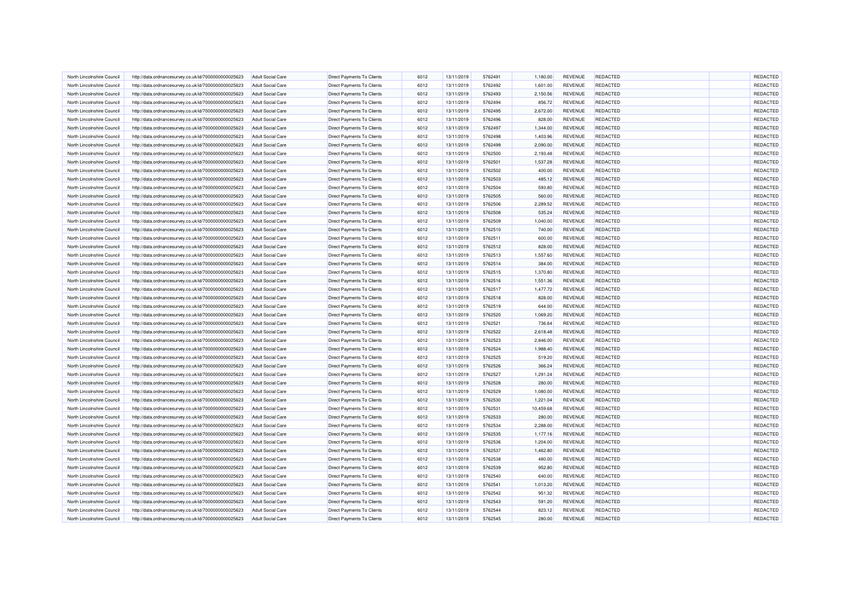| North Lincolnshire Council | http://data.ordnancesurvey.co.uk/id/7000000000025623 | <b>Adult Social Care</b> | <b>Direct Payments To Clients</b> | 6012 | 13/11/2019 | 5762491 | 1,180.00  | REVENUE        | <b>REDACTED</b> | REDACTED |
|----------------------------|------------------------------------------------------|--------------------------|-----------------------------------|------|------------|---------|-----------|----------------|-----------------|----------|
| North Lincolnshire Council | http://data.ordnancesurvey.co.uk/id/7000000000025623 | <b>Adult Social Care</b> | <b>Direct Payments To Clients</b> | 6012 | 13/11/2019 | 5762492 | 1,601.00  | REVENUE        | <b>REDACTED</b> | REDACTED |
| North Lincolnshire Council | http://data.ordnancesurvey.co.uk/id/7000000000025623 | <b>Adult Social Care</b> | Direct Payments To Clients        | 6012 | 13/11/2019 | 5762493 | 2,150.56  | REVENUE        | <b>REDACTED</b> | REDACTED |
| North Lincolnshire Council | http://data.ordnancesurvey.co.uk/id/7000000000025623 | <b>Adult Social Care</b> | Direct Payments To Clients        | 6012 | 13/11/2019 | 5762494 | 856.72    | <b>REVENUE</b> | REDACTED        | REDACTED |
| North Lincolnshire Council | http://data.ordnancesurvey.co.uk/id/7000000000025623 | <b>Adult Social Care</b> | <b>Direct Payments To Clients</b> | 6012 | 13/11/2019 | 5762495 | 2,672.00  | REVENUE        | <b>REDACTED</b> | REDACTED |
| North Lincolnshire Council | http://data.ordnancesurvey.co.uk/id/7000000000025623 | <b>Adult Social Care</b> | Direct Payments To Clients        | 6012 | 13/11/2019 | 5762496 | 828.00    | <b>REVENUE</b> | REDACTED        | REDACTED |
| North Lincolnshire Council | http://data.ordnancesurvey.co.uk/id/7000000000025623 | <b>Adult Social Care</b> | Direct Payments To Clients        | 6012 | 13/11/2019 | 5762497 | 1,344.00  | REVENUE        | <b>REDACTED</b> | REDACTED |
| North Lincolnshire Council | http://data.ordnancesurvey.co.uk/id/7000000000025623 | <b>Adult Social Care</b> | Direct Payments To Clients        | 6012 | 13/11/2019 | 5762498 | 1,403.96  | REVENUE        | <b>REDACTED</b> | REDACTED |
| North Lincolnshire Council | http://data.ordnancesurvey.co.uk/id/7000000000025623 | Adult Social Care        | <b>Direct Payments To Clients</b> | 6012 | 13/11/2019 | 5762499 | 2,090.00  | <b>REVENUE</b> | <b>REDACTED</b> | REDACTED |
| North Lincolnshire Council | http://data.ordnancesurvey.co.uk/id/7000000000025623 | <b>Adult Social Care</b> | Direct Payments To Clients        | 6012 | 13/11/2019 | 5762500 | 2,193.48  | <b>REVENUE</b> | <b>REDACTED</b> | REDACTED |
| North Lincolnshire Council | http://data.ordnancesurvey.co.uk/id/7000000000025623 | <b>Adult Social Care</b> | Direct Payments To Clients        | 6012 | 13/11/2019 | 5762501 | 1,537.28  | REVENUE        | <b>REDACTED</b> | REDACTED |
| North Lincolnshire Council | http://data.ordnancesurvey.co.uk/id/7000000000025623 | <b>Adult Social Care</b> | <b>Direct Payments To Clients</b> | 6012 | 13/11/2019 | 5762502 | 400.00    | REVENUE        | REDACTED        | REDACTED |
| North Lincolnshire Council | http://data.ordnancesurvey.co.uk/id/7000000000025623 | <b>Adult Social Care</b> | <b>Direct Payments To Clients</b> | 6012 | 13/11/2019 | 5762503 | 485.12    | REVENUE        | <b>REDACTED</b> | REDACTED |
| North Lincolnshire Council | http://data.ordnancesurvey.co.uk/id/7000000000025623 | <b>Adult Social Care</b> | Direct Payments To Clients        | 6012 | 13/11/2019 | 5762504 | 593.80    | REVENUE        | REDACTED        | REDACTED |
| North Lincolnshire Council | http://data.ordnancesurvey.co.uk/id/7000000000025623 | <b>Adult Social Care</b> | Direct Payments To Clients        | 6012 | 13/11/2019 | 5762505 | 560.00    | <b>REVENUE</b> | <b>REDACTED</b> | REDACTED |
| North Lincolnshire Council | http://data.ordnancesurvey.co.uk/id/7000000000025623 | <b>Adult Social Care</b> | Direct Payments To Clients        | 6012 | 13/11/2019 | 5762506 | 2,289.52  | REVENUE        | <b>REDACTED</b> | REDACTED |
| North Lincolnshire Council | http://data.ordnancesurvey.co.uk/id/7000000000025623 | <b>Adult Social Care</b> | Direct Payments To Clients        | 6012 | 13/11/2019 | 5762508 | 535.24    | <b>REVENUE</b> | <b>REDACTED</b> | REDACTED |
| North Lincolnshire Council | http://data.ordnancesurvey.co.uk/id/7000000000025623 | <b>Adult Social Care</b> | <b>Direct Payments To Clients</b> | 6012 | 13/11/2019 | 5762509 | 1,040.00  | <b>REVENUE</b> | <b>REDACTED</b> | REDACTED |
| North Lincolnshire Council | http://data.ordnancesurvey.co.uk/id/7000000000025623 | <b>Adult Social Care</b> | <b>Direct Payments To Clients</b> | 6012 | 13/11/2019 | 5762510 | 740.00    | REVENUE        | REDACTED        | REDACTED |
| North Lincolnshire Council | http://data.ordnancesurvey.co.uk/id/7000000000025623 | <b>Adult Social Care</b> | <b>Direct Payments To Clients</b> | 6012 | 13/11/2019 | 5762511 | 600.00    | REVENUE        | REDACTED        | REDACTED |
| North Lincolnshire Council |                                                      | <b>Adult Social Care</b> | Direct Payments To Clients        | 6012 | 13/11/2019 | 5762512 | 828.00    | REVENUE        | <b>REDACTED</b> | REDACTED |
| North Lincolnshire Council | http://data.ordnancesurvey.co.uk/id/7000000000025623 | <b>Adult Social Care</b> |                                   | 6012 | 13/11/2019 | 5762513 | 1,557.60  | REVENUE        | <b>REDACTED</b> | REDACTED |
|                            | http://data.ordnancesurvey.co.uk/id/7000000000025623 |                          | Direct Payments To Clients        |      |            |         |           |                |                 | REDACTED |
| North Lincolnshire Council | http://data.ordnancesurvey.co.uk/id/7000000000025623 | <b>Adult Social Care</b> | Direct Payments To Clients        | 6012 | 13/11/2019 | 5762514 | 384.00    | <b>REVENUE</b> | <b>REDACTED</b> |          |
| North Lincolnshire Council | http://data.ordnancesurvey.co.uk/id/7000000000025623 | <b>Adult Social Care</b> | Direct Payments To Clients        | 6012 | 13/11/2019 | 5762515 | 1,370.80  | REVENUE        | REDACTED        | REDACTED |
| North Lincolnshire Council | http://data.ordnancesurvey.co.uk/id/7000000000025623 | <b>Adult Social Care</b> | Direct Payments To Clients        | 6012 | 13/11/2019 | 5762516 | 1,551.36  | <b>REVENUE</b> | <b>REDACTED</b> | REDACTED |
| North Lincolnshire Council | http://data.ordnancesurvey.co.uk/id/7000000000025623 | <b>Adult Social Care</b> | Direct Payments To Clients        | 6012 | 13/11/2019 | 5762517 | 1,477.72  | REVENUE        | REDACTED        | REDACTED |
| North Lincolnshire Council | http://data.ordnancesurvey.co.uk/id/7000000000025623 | <b>Adult Social Care</b> | <b>Direct Payments To Clients</b> | 6012 | 13/11/2019 | 5762518 | 828.00    | <b>REVENUE</b> | <b>REDACTED</b> | REDACTED |
| North Lincolnshire Council | http://data.ordnancesurvey.co.uk/id/7000000000025623 | <b>Adult Social Care</b> | <b>Direct Payments To Clients</b> | 6012 | 13/11/2019 | 5762519 | 644.00    | REVENUE        | REDACTED        | REDACTED |
| North Lincolnshire Council | http://data.ordnancesurvey.co.uk/id/7000000000025623 | <b>Adult Social Care</b> | Direct Payments To Clients        | 6012 | 13/11/2019 | 5762520 | 1,069.20  | <b>REVENUE</b> | <b>REDACTED</b> | REDACTED |
| North Lincolnshire Council | http://data.ordnancesurvey.co.uk/id/7000000000025623 | <b>Adult Social Care</b> | Direct Payments To Clients        | 6012 | 13/11/2019 | 5762521 | 736.64    | REVENUE        | <b>REDACTED</b> | REDACTED |
| North Lincolnshire Council | http://data.ordnancesurvey.co.uk/id/7000000000025623 | <b>Adult Social Care</b> | <b>Direct Payments To Clients</b> | 6012 | 13/11/2019 | 5762522 | 2,618.48  | <b>REVENUE</b> | REDACTED        | REDACTED |
| North Lincolnshire Council | http://data.ordnancesurvey.co.uk/id/7000000000025623 | <b>Adult Social Care</b> | Direct Payments To Clients        | 6012 | 13/11/2019 | 5762523 | 2,846.00  | REVENUE        | <b>REDACTED</b> | REDACTED |
| North Lincolnshire Council | http://data.ordnancesurvey.co.uk/id/7000000000025623 | <b>Adult Social Care</b> | Direct Payments To Clients        | 6012 | 13/11/2019 | 5762524 | 1,988.40  | <b>REVENUE</b> | <b>REDACTED</b> | REDACTED |
| North Lincolnshire Council | http://data.ordnancesurvey.co.uk/id/7000000000025623 | <b>Adult Social Care</b> | Direct Payments To Clients        | 6012 | 13/11/2019 | 5762525 | 519.20    | REVENUE        | REDACTED        | REDACTED |
| North Lincolnshire Council | http://data.ordnancesurvey.co.uk/id/7000000000025623 | <b>Adult Social Care</b> | Direct Payments To Clients        | 6012 | 13/11/2019 | 5762526 | 366.24    | REVENUE        | <b>REDACTED</b> | REDACTED |
| North Lincolnshire Council | http://data.ordnancesurvey.co.uk/id/7000000000025623 | Adult Social Care        | <b>Direct Payments To Clients</b> | 6012 | 13/11/2019 | 5762527 | 1,291.24  | <b>REVENUE</b> | <b>REDACTED</b> | REDACTED |
| North Lincolnshire Council | http://data.ordnancesurvey.co.uk/id/7000000000025623 | <b>Adult Social Care</b> | Direct Payments To Clients        | 6012 | 13/11/2019 | 5762528 | 280.00    | REVENUE        | <b>REDACTED</b> | REDACTED |
| North Lincolnshire Council | http://data.ordnancesurvey.co.uk/id/7000000000025623 | <b>Adult Social Care</b> | Direct Payments To Clients        | 6012 | 13/11/2019 | 5762529 | 1,080.00  | REVENUE        | <b>REDACTED</b> | REDACTED |
| North Lincolnshire Council | http://data.ordnancesurvey.co.uk/id/7000000000025623 | <b>Adult Social Care</b> | <b>Direct Payments To Clients</b> | 6012 | 13/11/2019 | 5762530 | 1,221.04  | REVENUE        | REDACTED        | REDACTED |
| North Lincolnshire Council | http://data.ordnancesurvey.co.uk/id/7000000000025623 | <b>Adult Social Care</b> | Direct Payments To Clients        | 6012 | 13/11/2019 | 5762531 | 10,459.68 | <b>REVENUE</b> | <b>REDACTED</b> | REDACTED |
| North Lincolnshire Council | http://data.ordnancesurvey.co.uk/id/7000000000025623 | <b>Adult Social Care</b> | Direct Payments To Clients        | 6012 | 13/11/2019 | 5762533 | 280.00    | REVENUE        | <b>REDACTED</b> | REDACTED |
| North Lincolnshire Council | http://data.ordnancesurvey.co.uk/id/7000000000025623 | <b>Adult Social Care</b> | Direct Payments To Clients        | 6012 | 13/11/2019 | 5762534 | 2,288.00  | REVENUE        | <b>REDACTED</b> | REDACTED |
| North Lincolnshire Council | http://data.ordnancesurvey.co.uk/id/7000000000025623 | <b>Adult Social Care</b> | Direct Payments To Clients        | 6012 | 13/11/2019 | 5762535 | 1,177.16  | REVENUE        | <b>REDACTED</b> | REDACTED |
| North Lincolnshire Council | http://data.ordnancesurvey.co.uk/id/7000000000025623 | <b>Adult Social Care</b> | Direct Payments To Clients        | 6012 | 13/11/2019 | 5762536 | 1,204.00  | <b>REVENUE</b> | REDACTED        | REDACTED |
| North Lincolnshire Council | http://data.ordnancesurvey.co.uk/id/7000000000025623 | <b>Adult Social Care</b> | <b>Direct Payments To Clients</b> | 6012 | 13/11/2019 | 5762537 | 1,462.80  | REVENUE        | <b>REDACTED</b> | REDACTED |
| North Lincolnshire Council | http://data.ordnancesurvey.co.uk/id/7000000000025623 | <b>Adult Social Care</b> | Direct Payments To Clients        | 6012 | 13/11/2019 | 5762538 | 480.00    | REVENUE        | REDACTED        | REDACTED |
| North Lincolnshire Council | http://data.ordnancesurvey.co.uk/id/7000000000025623 | <b>Adult Social Care</b> | Direct Payments To Clients        | 6012 | 13/11/2019 | 5762539 | 952.80    | REVENUE        | REDACTED        | REDACTED |
| North Lincolnshire Council | http://data.ordnancesurvey.co.uk/id/7000000000025623 | <b>Adult Social Care</b> | Direct Payments To Clients        | 6012 | 13/11/2019 | 5762540 | 640.00    | REVENUE        | <b>REDACTED</b> | REDACTED |
| North Lincolnshire Council | http://data.ordnancesurvey.co.uk/id/7000000000025623 | <b>Adult Social Care</b> | <b>Direct Payments To Clients</b> | 6012 | 13/11/2019 | 5762541 | 1,013.20  | REVENUE        | <b>REDACTED</b> | REDACTED |
| North Lincolnshire Council | http://data.ordnancesurvey.co.uk/id/7000000000025623 | <b>Adult Social Care</b> | Direct Payments To Clients        | 6012 | 13/11/2019 | 5762542 | 951.32    | <b>REVENUE</b> | <b>REDACTED</b> | REDACTED |
| North Lincolnshire Council | http://data.ordnancesurvey.co.uk/id/7000000000025623 | <b>Adult Social Care</b> | Direct Payments To Clients        | 6012 | 13/11/2019 | 5762543 | 591.20    | REVENUE        | REDACTED        | REDACTED |
| North Lincolnshire Council | http://data.ordnancesurvey.co.uk/id/7000000000025623 | <b>Adult Social Care</b> | Direct Payments To Clients        | 6012 | 13/11/2019 | 5762544 | 823.12    | <b>REVENUE</b> | <b>REDACTED</b> | REDACTED |
| North Lincolnshire Council | http://data.ordnancesurvey.co.uk/id/7000000000025623 | <b>Adult Social Care</b> | Direct Payments To Clients        | 6012 | 13/11/2019 | 5762545 | 280.00    | REVENUE        | <b>REDACTED</b> | REDACTED |
|                            |                                                      |                          |                                   |      |            |         |           |                |                 |          |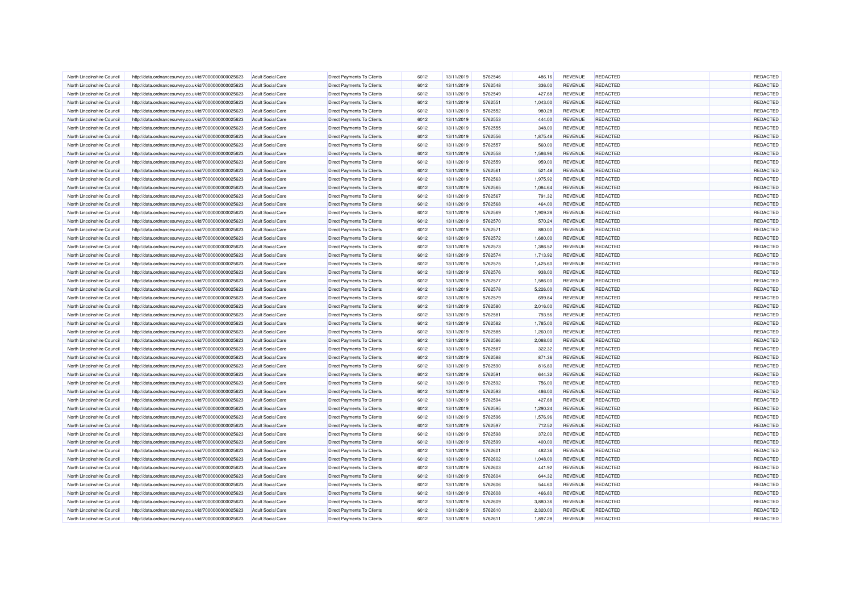| North Lincolnshire Council | http://data.ordnancesurvey.co.uk/id/7000000000025623                                                         | <b>Adult Social Care</b> | Direct Payments To Clients        | 6012 | 13/11/2019 | 5762546 | 486.16   | REVENUE        | <b>REDACTED</b> | REDACTED |
|----------------------------|--------------------------------------------------------------------------------------------------------------|--------------------------|-----------------------------------|------|------------|---------|----------|----------------|-----------------|----------|
| North Lincolnshire Council | http://data.ordnancesurvey.co.uk/id/7000000000025623                                                         | <b>Adult Social Care</b> | <b>Direct Payments To Clients</b> | 6012 | 13/11/2019 | 5762548 | 336.00   | <b>REVENUE</b> | <b>REDACTED</b> | REDACTED |
| North Lincolnshire Council | http://data.ordnancesurvey.co.uk/id/7000000000025623                                                         | <b>Adult Social Care</b> | Direct Payments To Clients        | 6012 | 13/11/2019 | 5762549 | 427.68   | REVENUE        | <b>REDACTED</b> | REDACTED |
| North Lincolnshire Council | http://data.ordnancesurvey.co.uk/id/7000000000025623                                                         | <b>Adult Social Care</b> | Direct Payments To Clients        | 6012 | 13/11/2019 | 5762551 | 1,043.00 | REVENUE        | REDACTED        | REDACTED |
| North Lincolnshire Council | http://data.ordnancesurvey.co.uk/id/7000000000025623                                                         | <b>Adult Social Care</b> | Direct Payments To Clients        | 6012 | 13/11/2019 | 5762552 | 980.28   | REVENUE        | <b>REDACTED</b> | REDACTED |
| North Lincolnshire Council | http://data.ordnancesurvey.co.uk/id/7000000000025623                                                         | <b>Adult Social Care</b> | Direct Payments To Clients        | 6012 | 13/11/2019 | 5762553 | 444.00   | <b>REVENUE</b> | <b>REDACTED</b> | REDACTED |
| North Lincolnshire Council | http://data.ordnancesurvey.co.uk/id/7000000000025623                                                         | <b>Adult Social Care</b> | Direct Payments To Clients        | 6012 | 13/11/2019 | 5762555 | 348.00   | <b>REVENUE</b> | <b>REDACTED</b> | REDACTED |
| North Lincolnshire Council | http://data.ordnancesurvey.co.uk/id/7000000000025623                                                         | <b>Adult Social Care</b> | Direct Payments To Clients        | 6012 | 13/11/2019 | 5762556 | 1,875.48 | <b>REVENUE</b> | <b>REDACTED</b> | REDACTED |
| North Lincolnshire Council | http://data.ordnancesurvey.co.uk/id/7000000000025623                                                         | <b>Adult Social Care</b> | <b>Direct Payments To Clients</b> | 6012 | 13/11/2019 | 5762557 | 560.00   | <b>REVENUE</b> | <b>REDACTED</b> | REDACTED |
| North Lincolnshire Council | http://data.ordnancesurvey.co.uk/id/7000000000025623                                                         | <b>Adult Social Care</b> | <b>Direct Payments To Clients</b> | 6012 | 13/11/2019 | 5762558 | 1,586.96 | <b>REVENUE</b> | <b>REDACTED</b> | REDACTED |
| North Lincolnshire Council | http://data.ordnancesurvey.co.uk/id/7000000000025623                                                         | <b>Adult Social Care</b> | <b>Direct Payments To Clients</b> | 6012 | 13/11/2019 | 5762559 | 959.00   | REVENUE        | <b>REDACTED</b> | REDACTED |
| North Lincolnshire Council | http://data.ordnancesurvey.co.uk/id/7000000000025623                                                         | <b>Adult Social Care</b> | <b>Direct Payments To Clients</b> | 6012 | 13/11/2019 | 5762561 | 521.48   | REVENUE        | REDACTED        | REDACTED |
| North Lincolnshire Council | http://data.ordnancesurvey.co.uk/id/7000000000025623                                                         | <b>Adult Social Care</b> | Direct Payments To Clients        | 6012 | 13/11/2019 | 5762563 | 1,975.92 | REVENUE        | <b>REDACTED</b> | REDACTED |
| North Lincolnshire Council | http://data.ordnancesurvey.co.uk/id/7000000000025623                                                         | <b>Adult Social Care</b> | Direct Payments To Clients        | 6012 | 13/11/2019 | 5762565 | 1,084.64 | <b>REVENUE</b> | <b>REDACTED</b> | REDACTED |
| North Lincolnshire Council | http://data.ordnancesurvey.co.uk/id/7000000000025623                                                         | <b>Adult Social Care</b> | Direct Payments To Clients        | 6012 | 13/11/2019 | 5762567 | 791.32   | <b>REVENUE</b> | <b>REDACTED</b> | REDACTED |
| North Lincolnshire Council | http://data.ordnancesurvey.co.uk/id/7000000000025623                                                         | <b>Adult Social Care</b> | Direct Payments To Clients        | 6012 | 13/11/2019 | 5762568 | 464.00   | REVENUE        | <b>REDACTED</b> | REDACTED |
| North Lincolnshire Council | http://data.ordnancesurvey.co.uk/id/7000000000025623                                                         | <b>Adult Social Care</b> | Direct Payments To Clients        | 6012 | 13/11/2019 | 5762569 | 1,909.28 | <b>REVENUE</b> | <b>REDACTED</b> | REDACTED |
| North Lincolnshire Council | http://data.ordnancesurvey.co.uk/id/7000000000025623                                                         | <b>Adult Social Care</b> | <b>Direct Payments To Clients</b> | 6012 | 13/11/2019 | 5762570 | 570.24   | <b>REVENUE</b> | <b>REDACTED</b> | REDACTED |
| North Lincolnshire Council |                                                                                                              | <b>Adult Social Care</b> | <b>Direct Payments To Clients</b> | 6012 | 13/11/2019 | 5762571 | 880.00   | REVENUE        | REDACTED        | REDACTED |
| North Lincolnshire Council | http://data.ordnancesurvey.co.uk/id/7000000000025623<br>http://data.ordnancesurvey.co.uk/id/7000000000025623 | <b>Adult Social Care</b> | Direct Payments To Clients        | 6012 | 13/11/2019 | 5762572 | 1,680.00 | REVENUE        | <b>REDACTED</b> | REDACTED |
| North Lincolnshire Council |                                                                                                              | <b>Adult Social Care</b> |                                   | 6012 | 13/11/2019 | 5762573 |          | <b>REVENUE</b> | <b>REDACTED</b> | REDACTED |
| North Lincolnshire Council | http://data.ordnancesurvey.co.uk/id/7000000000025623                                                         | <b>Adult Social Care</b> | Direct Payments To Clients        | 6012 | 13/11/2019 | 5762574 | 1,386.52 | <b>REVENUE</b> | REDACTED        | REDACTED |
|                            | http://data.ordnancesurvey.co.uk/id/7000000000025623                                                         |                          | Direct Payments To Clients        |      |            |         | 1,713.92 |                |                 | REDACTED |
| North Lincolnshire Council | http://data.ordnancesurvey.co.uk/id/7000000000025623                                                         | <b>Adult Social Care</b> | Direct Payments To Clients        | 6012 | 13/11/2019 | 5762575 | 1,425.60 | <b>REVENUE</b> | <b>REDACTED</b> |          |
| North Lincolnshire Council | http://data.ordnancesurvey.co.uk/id/7000000000025623                                                         | <b>Adult Social Care</b> | Direct Payments To Clients        | 6012 | 13/11/2019 | 5762576 | 938.00   | REVENUE        | REDACTED        | REDACTED |
| North Lincolnshire Council | http://data.ordnancesurvey.co.uk/id/7000000000025623                                                         | <b>Adult Social Care</b> | Direct Payments To Clients        | 6012 | 13/11/2019 | 5762577 | 1,586.00 | <b>REVENUE</b> | REDACTED        | REDACTED |
| North Lincolnshire Council | http://data.ordnancesurvey.co.uk/id/7000000000025623                                                         | <b>Adult Social Care</b> | Direct Payments To Clients        | 6012 | 13/11/2019 | 5762578 | 5,226.00 | REVENUE        | <b>REDACTED</b> | REDACTED |
| North Lincolnshire Council | http://data.ordnancesurvey.co.uk/id/7000000000025623                                                         | <b>Adult Social Care</b> | Direct Payments To Clients        | 6012 | 13/11/2019 | 5762579 | 699.84   | <b>REVENUE</b> | <b>REDACTED</b> | REDACTED |
| North Lincolnshire Council | http://data.ordnancesurvey.co.uk/id/7000000000025623                                                         | <b>Adult Social Care</b> | <b>Direct Payments To Clients</b> | 6012 | 13/11/2019 | 5762580 | 2,016.00 | REVENUE        | <b>REDACTED</b> | REDACTED |
| North Lincolnshire Council | http://data.ordnancesurvey.co.uk/id/7000000000025623                                                         | <b>Adult Social Care</b> | Direct Payments To Clients        | 6012 | 13/11/2019 | 5762581 | 793.56   | <b>REVENUE</b> | <b>REDACTED</b> | REDACTED |
| North Lincolnshire Council | http://data.ordnancesurvey.co.uk/id/7000000000025623                                                         | <b>Adult Social Care</b> | Direct Payments To Clients        | 6012 | 13/11/2019 | 5762582 | 1,785.00 | <b>REVENUE</b> | REDACTED        | REDACTED |
| North Lincolnshire Council | http://data.ordnancesurvey.co.uk/id/7000000000025623                                                         | <b>Adult Social Care</b> | Direct Payments To Clients        | 6012 | 13/11/2019 | 5762585 | 1,260.00 | <b>REVENUE</b> | REDACTED        | REDACTED |
| North Lincolnshire Council | http://data.ordnancesurvey.co.uk/id/7000000000025623                                                         | <b>Adult Social Care</b> | Direct Payments To Clients        | 6012 | 13/11/2019 | 5762586 | 2,088.00 | REVENUE        | <b>REDACTED</b> | REDACTED |
| North Lincolnshire Council | http://data.ordnancesurvey.co.uk/id/7000000000025623                                                         | <b>Adult Social Care</b> | Direct Payments To Clients        | 6012 | 13/11/2019 | 5762587 | 322.32   | <b>REVENUE</b> | <b>REDACTED</b> | REDACTED |
| North Lincolnshire Council | http://data.ordnancesurvey.co.uk/id/7000000000025623                                                         | <b>Adult Social Care</b> | Direct Payments To Clients        | 6012 | 13/11/2019 | 5762588 | 871.36   | REVENUE        | <b>REDACTED</b> | REDACTED |
| North Lincolnshire Council | http://data.ordnancesurvey.co.uk/id/7000000000025623                                                         | <b>Adult Social Care</b> | Direct Payments To Clients        | 6012 | 13/11/2019 | 5762590 | 816.80   | REVENUE        | REDACTED        | REDACTED |
| North Lincolnshire Council | http://data.ordnancesurvey.co.uk/id/7000000000025623                                                         | <b>Adult Social Care</b> | <b>Direct Payments To Clients</b> | 6012 | 13/11/2019 | 5762591 | 644.32   | <b>REVENUE</b> | <b>REDACTED</b> | REDACTED |
| North Lincolnshire Council | http://data.ordnancesurvey.co.uk/id/7000000000025623                                                         | <b>Adult Social Care</b> | <b>Direct Payments To Clients</b> | 6012 | 13/11/2019 | 5762592 | 756.00   | <b>REVENUE</b> | <b>REDACTED</b> | REDACTED |
| North Lincolnshire Council | http://data.ordnancesurvey.co.uk/id/7000000000025623                                                         | <b>Adult Social Care</b> | <b>Direct Payments To Clients</b> | 6012 | 13/11/2019 | 5762593 | 486.00   | <b>REVENUE</b> | <b>REDACTED</b> | REDACTED |
| North Lincolnshire Council | http://data.ordnancesurvey.co.uk/id/7000000000025623                                                         | <b>Adult Social Care</b> | Direct Payments To Clients        | 6012 | 13/11/2019 | 5762594 | 427.68   | REVENUE        | REDACTED        | REDACTED |
| North Lincolnshire Council | http://data.ordnancesurvey.co.uk/id/7000000000025623                                                         | <b>Adult Social Care</b> | Direct Payments To Clients        | 6012 | 13/11/2019 | 5762595 | 1,290.24 | <b>REVENUE</b> | <b>REDACTED</b> | REDACTED |
| North Lincolnshire Council | http://data.ordnancesurvey.co.uk/id/7000000000025623                                                         | <b>Adult Social Care</b> | Direct Payments To Clients        | 6012 | 13/11/2019 | 5762596 | 1,576.96 | REVENUE        | REDACTED        | REDACTED |
| North Lincolnshire Council | http://data.ordnancesurvey.co.uk/id/7000000000025623                                                         | <b>Adult Social Care</b> | Direct Payments To Clients        | 6012 | 13/11/2019 | 5762597 | 712.52   | REVENUE        | <b>REDACTED</b> | REDACTED |
| North Lincolnshire Council | http://data.ordnancesurvey.co.uk/id/7000000000025623                                                         | <b>Adult Social Care</b> | Direct Payments To Clients        | 6012 | 13/11/2019 | 5762598 | 372.00   | REVENUE        | <b>REDACTED</b> | REDACTED |
| North Lincolnshire Council | http://data.ordnancesurvey.co.uk/id/7000000000025623                                                         | <b>Adult Social Care</b> | Direct Payments To Clients        | 6012 | 13/11/2019 | 5762599 | 400.00   | <b>REVENUE</b> | <b>REDACTED</b> | REDACTED |
| North Lincolnshire Council | http://data.ordnancesurvey.co.uk/id/7000000000025623                                                         | <b>Adult Social Care</b> | <b>Direct Payments To Clients</b> | 6012 | 13/11/2019 | 5762601 | 482.36   | REVENUE        | <b>REDACTED</b> | REDACTED |
| North Lincolnshire Council | http://data.ordnancesurvey.co.uk/id/7000000000025623                                                         | <b>Adult Social Care</b> | Direct Payments To Clients        | 6012 | 13/11/2019 | 5762602 | 1,048.00 | <b>REVENUE</b> | <b>REDACTED</b> | REDACTED |
| North Lincolnshire Council | http://data.ordnancesurvey.co.uk/id/7000000000025623                                                         | <b>Adult Social Care</b> | Direct Payments To Clients        | 6012 | 13/11/2019 | 5762603 | 441.92   | REVENUE        | REDACTED        | REDACTED |
| North Lincolnshire Council | http://data.ordnancesurvey.co.uk/id/7000000000025623                                                         | <b>Adult Social Care</b> | Direct Payments To Clients        | 6012 | 13/11/2019 | 5762604 | 644.32   | REVENUE        | <b>REDACTED</b> | REDACTED |
| North Lincolnshire Council | http://data.ordnancesurvey.co.uk/id/7000000000025623                                                         | Adult Social Care        | Direct Payments To Clients        | 6012 | 13/11/2019 | 5762606 | 544.60   | REVENUE        | <b>REDACTED</b> | REDACTED |
| North Lincolnshire Council | http://data.ordnancesurvey.co.uk/id/7000000000025623                                                         | <b>Adult Social Care</b> | Direct Payments To Clients        | 6012 | 13/11/2019 | 5762608 | 466.80   | <b>REVENUE</b> | <b>REDACTED</b> | REDACTED |
| North Lincolnshire Council | http://data.ordnancesurvey.co.uk/id/7000000000025623                                                         | <b>Adult Social Care</b> | Direct Payments To Clients        | 6012 | 13/11/2019 | 5762609 | 3,880.36 | REVENUE        | REDACTED        | REDACTED |
| North Lincolnshire Council | http://data.ordnancesurvey.co.uk/id/7000000000025623                                                         | <b>Adult Social Care</b> | Direct Payments To Clients        | 6012 | 13/11/2019 | 5762610 | 2,320.00 | <b>REVENUE</b> | <b>REDACTED</b> | REDACTED |
| North Lincolnshire Council | http://data.ordnancesurvey.co.uk/id/7000000000025623                                                         | <b>Adult Social Care</b> | Direct Payments To Clients        | 6012 | 13/11/2019 | 5762611 | 1,897.28 | <b>REVENUE</b> | <b>REDACTED</b> | REDACTED |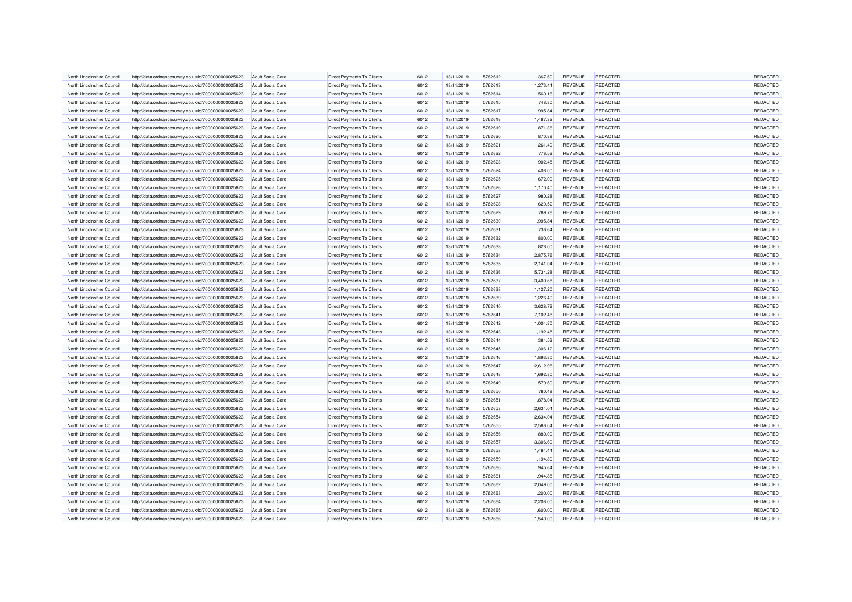| North Lincolnshire Council                               | http://data.ordnancesurvey.co.uk/id/7000000000025623 | <b>Adult Social Care</b>                             | <b>Direct Payments To Clients</b> | 6012         | 13/11/2019 | 5762612            | 367.60   | <b>REVENUE</b> | <b>REDACTED</b>                    | REDACTED             |
|----------------------------------------------------------|------------------------------------------------------|------------------------------------------------------|-----------------------------------|--------------|------------|--------------------|----------|----------------|------------------------------------|----------------------|
| North Lincolnshire Council                               | http://data.ordnancesurvey.co.uk/id/7000000000025623 | <b>Adult Social Care</b>                             | <b>Direct Payments To Clients</b> | 6012         | 13/11/2019 | 5762613            | 1,273.44 | REVENUE        | REDACTED                           | REDACTED             |
| North Lincolnshire Council                               | http://data.ordnancesurvey.co.uk/id/7000000000025623 | <b>Adult Social Care</b>                             | <b>Direct Payments To Clients</b> | 6012         | 13/11/2019 | 5762614            | 560.16   | REVENUE        | <b>REDACTED</b>                    | REDACTED             |
| North Lincolnshire Council                               | http://data.ordnancesurvey.co.uk/id/7000000000025623 | <b>Adult Social Care</b>                             | <b>Direct Payments To Clients</b> | 6012         | 13/11/2019 | 5762615            | 748.80   | REVENUE        | REDACTED                           | REDACTED             |
| North Lincolnshire Council                               | http://data.ordnancesurvey.co.uk/id/7000000000025623 | <b>Adult Social Care</b>                             | Direct Payments To Clients        | 6012         | 13/11/2019 | 5762617            | 995.84   | <b>REVENUE</b> | <b>REDACTED</b>                    | REDACTED             |
| North Lincolnshire Council                               | http://data.ordnancesurvey.co.uk/id/7000000000025623 | <b>Adult Social Care</b>                             | Direct Payments To Clients        | 6012         | 13/11/2019 | 5762618            | 1,467.32 | REVENUE        | <b>REDACTED</b>                    | REDACTED             |
| North Lincolnshire Council                               | http://data.ordnancesurvey.co.uk/id/7000000000025623 | <b>Adult Social Care</b>                             | Direct Payments To Clients        | 6012         | 13/11/2019 | 5762619            | 871.36   | <b>REVENUE</b> | <b>REDACTED</b>                    | REDACTED             |
| North Lincolnshire Council                               | http://data.ordnancesurvey.co.uk/id/7000000000025623 | <b>Adult Social Care</b>                             | Direct Payments To Clients        | 6012         | 13/11/2019 | 5762620            | 870.88   | REVENUE        | <b>REDACTED</b>                    | REDACTED             |
| North Lincolnshire Council                               | http://data.ordnancesurvey.co.uk/id/7000000000025623 | <b>Adult Social Care</b>                             | Direct Payments To Clients        | 6012         | 13/11/2019 | 5762621            | 261.40   | REVENUE        | REDACTED                           | REDACTED             |
| North Lincolnshire Council                               | http://data.ordnancesurvey.co.uk/id/7000000000025623 | <b>Adult Social Care</b>                             | Direct Payments To Clients        | 6012         | 13/11/2019 | 5762622            | 778.52   | REVENUE        | <b>REDACTED</b>                    | REDACTED             |
| North Lincolnshire Council                               | http://data.ordnancesurvey.co.uk/id/7000000000025623 | <b>Adult Social Care</b>                             | <b>Direct Payments To Clients</b> | 6012         | 13/11/2019 | 5762623            | 902.48   | <b>REVENUE</b> | <b>REDACTED</b>                    | REDACTED             |
| North Lincolnshire Council                               | http://data.ordnancesurvey.co.uk/id/7000000000025623 | Adult Social Care                                    | <b>Direct Payments To Clients</b> | 6012         | 13/11/2019 | 5762624            | 408.00   | <b>REVENUE</b> | <b>REDACTED</b>                    | REDACTED             |
| North Lincolnshire Council                               | http://data.ordnancesurvey.co.uk/id/7000000000025623 | <b>Adult Social Care</b>                             | <b>Direct Payments To Clients</b> | 6012         | 13/11/2019 | 5762625            | 672.00   | <b>REVENUE</b> | <b>REDACTED</b>                    | REDACTED             |
| North Lincolnshire Council                               | http://data.ordnancesurvey.co.uk/id/7000000000025623 | <b>Adult Social Care</b>                             | Direct Payments To Clients        | 6012         | 13/11/2019 | 5762626            | 1,170.40 | REVENUE        | REDACTED                           | REDACTED             |
| North Lincolnshire Council                               | http://data.ordnancesurvey.co.uk/id/7000000000025623 | <b>Adult Social Care</b>                             | <b>Direct Payments To Clients</b> | 6012         | 13/11/2019 | 5762627            | 980.28   | REVENUE        | <b>REDACTED</b>                    | REDACTED             |
| North Lincolnshire Council                               | http://data.ordnancesurvey.co.uk/id/7000000000025623 | <b>Adult Social Care</b>                             | Direct Payments To Clients        | 6012         | 13/11/2019 | 5762628            | 629.52   | <b>REVENUE</b> | <b>REDACTED</b>                    | REDACTED             |
| North Lincolnshire Council                               | http://data.ordnancesurvey.co.uk/id/7000000000025623 | <b>Adult Social Care</b>                             | <b>Direct Payments To Clients</b> | 6012         | 13/11/2019 | 5762629            | 769.76   | REVENUE        | <b>REDACTED</b>                    | REDACTED             |
| North Lincolnshire Council                               | http://data.ordnancesurvey.co.uk/id/7000000000025623 | <b>Adult Social Care</b>                             | Direct Payments To Clients        | 6012         | 13/11/2019 | 5762630            | 1,995.84 | <b>REVENUE</b> | <b>REDACTED</b>                    | REDACTED             |
|                                                          |                                                      |                                                      | <b>Direct Payments To Clients</b> | 6012         | 13/11/2019 | 5762631            | 736.64   | REVENUE        | <b>REDACTED</b>                    | REDACTED             |
| North Lincolnshire Council<br>North Lincolnshire Council | http://data.ordnancesurvey.co.uk/id/7000000000025623 | <b>Adult Social Care</b><br><b>Adult Social Care</b> |                                   | 6012         | 13/11/2019 | 5762632            | 800.00   | <b>REVENUE</b> | <b>REDACTED</b>                    | REDACTED             |
| North Lincolnshire Council                               | http://data.ordnancesurvey.co.uk/id/7000000000025623 |                                                      | Direct Payments To Clients        |              |            |                    |          |                |                                    |                      |
| North Lincolnshire Council                               | http://data.ordnancesurvey.co.uk/id/7000000000025623 | <b>Adult Social Care</b>                             | Direct Payments To Clients        | 6012<br>6012 | 13/11/2019 | 5762633<br>5762634 | 828.00   | <b>REVENUE</b> | <b>REDACTED</b><br><b>REDACTED</b> | REDACTED<br>REDACTED |
|                                                          | http://data.ordnancesurvey.co.uk/id/7000000000025623 | <b>Adult Social Care</b>                             | Direct Payments To Clients        | 6012         | 13/11/2019 |                    | 2,875.76 | REVENUE        |                                    |                      |
| North Lincolnshire Council                               | http://data.ordnancesurvey.co.uk/id/7000000000025623 | <b>Adult Social Care</b>                             | <b>Direct Payments To Clients</b> |              | 13/11/2019 | 5762635            | 2,141.04 | REVENUE        | <b>REDACTED</b>                    | REDACTED             |
| North Lincolnshire Council                               | http://data.ordnancesurvey.co.uk/id/7000000000025623 | <b>Adult Social Care</b>                             | <b>Direct Payments To Clients</b> | 6012         | 13/11/2019 | 5762636            | 5,734.28 | <b>REVENUE</b> | <b>REDACTED</b>                    | REDACTED             |
| North Lincolnshire Council                               | http://data.ordnancesurvey.co.uk/id/7000000000025623 | <b>Adult Social Care</b>                             | Direct Payments To Clients        | 6012         | 13/11/2019 | 5762637            | 3,400.68 | REVENUE        | <b>REDACTED</b>                    | REDACTED             |
| North Lincolnshire Council                               | http://data.ordnancesurvey.co.uk/id/7000000000025623 | <b>Adult Social Care</b>                             | <b>Direct Payments To Clients</b> | 6012         | 13/11/2019 | 5762638            | 1,127.20 | REVENUE        | REDACTED                           | REDACTED             |
| North Lincolnshire Council                               | http://data.ordnancesurvey.co.uk/id/7000000000025623 | <b>Adult Social Care</b>                             | Direct Payments To Clients        | 6012         | 13/11/2019 | 5762639            | 1,226.40 | REVENUE        | <b>REDACTED</b>                    | REDACTED             |
| North Lincolnshire Council                               | http://data.ordnancesurvey.co.uk/id/7000000000025623 | <b>Adult Social Care</b>                             | Direct Payments To Clients        | 6012         | 13/11/2019 | 5762640            | 3,628.72 | <b>REVENUE</b> | REDACTED                           | REDACTED             |
| North Lincolnshire Council                               | http://data.ordnancesurvey.co.uk/id/7000000000025623 | <b>Adult Social Care</b>                             | Direct Payments To Clients        | 6012         | 13/11/2019 | 5762641            | 7,102.48 | REVENUE        | <b>REDACTED</b>                    | REDACTED             |
| North Lincolnshire Council                               | http://data.ordnancesurvey.co.uk/id/7000000000025623 | <b>Adult Social Care</b>                             | Direct Payments To Clients        | 6012         | 13/11/2019 | 5762642            | 1,004.80 | REVENUE        | <b>REDACTED</b>                    | REDACTED             |
| North Lincolnshire Council                               | http://data.ordnancesurvey.co.uk/id/7000000000025623 | <b>Adult Social Care</b>                             | Direct Payments To Clients        | 6012         | 13/11/2019 | 5762643            | 1,192.48 | <b>REVENUE</b> | REDACTED                           | REDACTED             |
| North Lincolnshire Council                               | http://data.ordnancesurvey.co.uk/id/7000000000025623 | <b>Adult Social Care</b>                             | <b>Direct Payments To Clients</b> | 6012         | 13/11/2019 | 5762644            | 384.52   | <b>REVENUE</b> | <b>REDACTED</b>                    | REDACTED             |
| North Lincolnshire Council                               | http://data.ordnancesurvey.co.uk/id/7000000000025623 | Adult Social Care                                    | <b>Direct Payments To Clients</b> | 6012         | 13/11/2019 | 5762645            | 1,306.12 | <b>REVENUE</b> | <b>REDACTED</b>                    | <b>REDACTED</b>      |
| North Lincolnshire Council                               | http://data.ordnancesurvey.co.uk/id/7000000000025623 | <b>Adult Social Care</b>                             | <b>Direct Payments To Clients</b> | 6012         | 13/11/2019 | 5762646            | 1,893.80 | REVENUE        | REDACTED                           | REDACTED             |
| North Lincolnshire Council                               | http://data.ordnancesurvey.co.uk/id/7000000000025623 | <b>Adult Social Care</b>                             | <b>Direct Payments To Clients</b> | 6012         | 13/11/2019 | 5762647            | 2,612.96 | REVENUE        | <b>REDACTED</b>                    | REDACTED             |
| North Lincolnshire Council                               | http://data.ordnancesurvey.co.uk/id/7000000000025623 | Adult Social Care                                    | <b>Direct Payments To Clients</b> | 6012         | 13/11/2019 | 5762648            | 1,692.80 | REVENUE        | REDACTED                           | REDACTED             |
| North Lincolnshire Council                               | http://data.ordnancesurvey.co.uk/id/7000000000025623 | <b>Adult Social Care</b>                             | Direct Payments To Clients        | 6012         | 13/11/2019 | 5762649            | 579.60   | <b>REVENUE</b> | <b>REDACTED</b>                    | REDACTED             |
| North Lincolnshire Council                               | http://data.ordnancesurvey.co.uk/id/7000000000025623 | <b>Adult Social Care</b>                             | Direct Payments To Clients        | 6012         | 13/11/2019 | 5762650            | 760.48   | REVENUE        | <b>REDACTED</b>                    | REDACTED             |
| North Lincolnshire Council                               | http://data.ordnancesurvey.co.uk/id/7000000000025623 | <b>Adult Social Care</b>                             | Direct Payments To Clients        | 6012         | 13/11/2019 | 5762651            | 1,878.04 | <b>REVENUE</b> | <b>REDACTED</b>                    | REDACTED             |
| North Lincolnshire Council                               | http://data.ordnancesurvey.co.uk/id/7000000000025623 | <b>Adult Social Care</b>                             | Direct Payments To Clients        | 6012         | 13/11/2019 | 5762653            | 2,634.04 | REVENUE        | <b>REDACTED</b>                    | REDACTED             |
| North Lincolnshire Council                               | http://data.ordnancesurvey.co.uk/id/7000000000025623 | <b>Adult Social Care</b>                             | Direct Payments To Clients        | 6012         | 13/11/2019 | 5762654            | 2,634.04 | REVENUE        | REDACTED                           | REDACTED             |
| North Lincolnshire Council                               | http://data.ordnancesurvey.co.uk/id/7000000000025623 | <b>Adult Social Care</b>                             | Direct Payments To Clients        | 6012         | 13/11/2019 | 5762655            | 2,566.04 | REVENUE        | <b>REDACTED</b>                    | REDACTED             |
| North Lincolnshire Council                               | http://data.ordnancesurvey.co.uk/id/7000000000025623 | <b>Adult Social Care</b>                             | Direct Payments To Clients        | 6012         | 13/11/2019 | 5762656            | 880.00   | <b>REVENUE</b> | <b>REDACTED</b>                    | REDACTED             |
| North Lincolnshire Council                               | http://data.ordnancesurvey.co.uk/id/7000000000025623 | Adult Social Care                                    | <b>Direct Payments To Clients</b> | 6012         | 13/11/2019 | 5762657            | 3.306.60 | <b>REVENUE</b> | <b>REDACTED</b>                    | REDACTED             |
| North Lincolnshire Council                               | http://data.ordnancesurvey.co.uk/id/7000000000025623 | <b>Adult Social Care</b>                             | <b>Direct Payments To Clients</b> | 6012         | 13/11/2019 | 5762658            | 1,464.44 | REVENUE        | <b>REDACTED</b>                    | REDACTED             |
| North Lincolnshire Council                               | http://data.ordnancesurvey.co.uk/id/7000000000025623 | <b>Adult Social Care</b>                             | Direct Payments To Clients        | 6012         | 13/11/2019 | 5762659            | 1,194.80 | REVENUE        | REDACTED                           | REDACTED             |
| North Lincolnshire Council                               | http://data.ordnancesurvey.co.uk/id/7000000000025623 | <b>Adult Social Care</b>                             | Direct Payments To Clients        | 6012         | 13/11/2019 | 5762660            | 945.64   | <b>REVENUE</b> | REDACTED                           | REDACTED             |
| North Lincolnshire Council                               | http://data.ordnancesurvey.co.uk/id/7000000000025623 | <b>Adult Social Care</b>                             | Direct Payments To Clients        | 6012         | 13/11/2019 | 5762661            | 1,944.88 | REVENUE        | <b>REDACTED</b>                    | REDACTED             |
| North Lincolnshire Council                               | http://data.ordnancesurvey.co.uk/id/7000000000025623 | <b>Adult Social Care</b>                             | <b>Direct Payments To Clients</b> | 6012         | 13/11/2019 | 5762662            | 2,049.00 | REVENUE        | <b>REDACTED</b>                    | REDACTED             |
| North Lincolnshire Council                               | http://data.ordnancesurvey.co.uk/id/7000000000025623 | <b>Adult Social Care</b>                             | Direct Payments To Clients        | 6012         | 13/11/2019 | 5762663            | 1,200.00 | <b>REVENUE</b> | <b>REDACTED</b>                    | REDACTED             |
| North Lincolnshire Council                               | http://data.ordnancesurvey.co.uk/id/7000000000025623 | <b>Adult Social Care</b>                             | Direct Payments To Clients        | 6012         | 13/11/2019 | 5762664            | 2,208.00 | REVENUE        | <b>REDACTED</b>                    | REDACTED             |
| North Lincolnshire Council                               | http://data.ordnancesurvey.co.uk/id/7000000000025623 | <b>Adult Social Care</b>                             | Direct Payments To Clients        | 6012         | 13/11/2019 | 5762665            | 1,600.00 | <b>REVENUE</b> | <b>REDACTED</b>                    | REDACTED             |
| North Lincolnshire Council                               | http://data.ordnancesurvey.co.uk/id/7000000000025623 | <b>Adult Social Care</b>                             | Direct Payments To Clients        | 6012         | 13/11/2019 | 5762666            | 1,540.00 | REVENUE        | <b>REDACTED</b>                    | REDACTED             |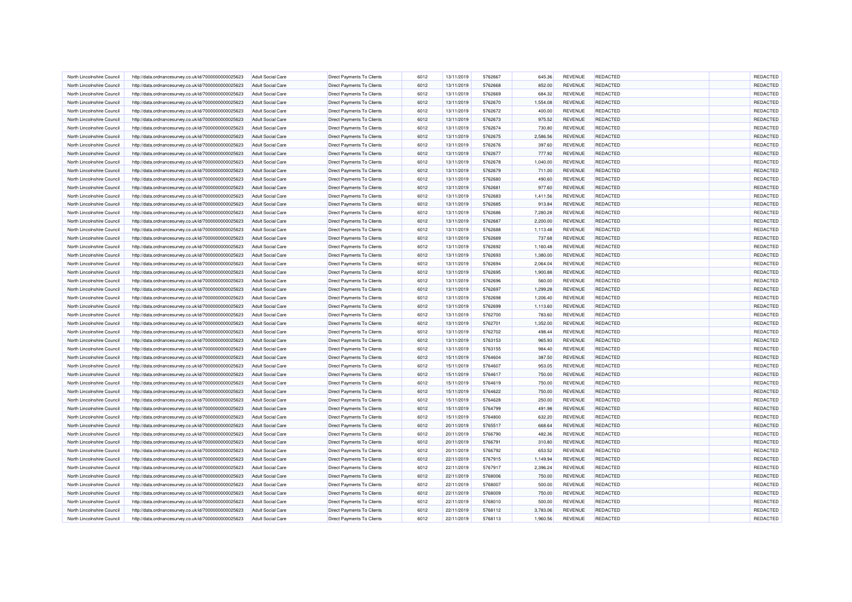| North Lincolnshire Council                               | http://data.ordnancesurvey.co.uk/id/7000000000025623                                                         | <b>Adult Social Care</b>                             | <b>Direct Payments To Clients</b> | 6012 | 13/11/2019               | 5762667 | 645.36             | REVENUE                   | <b>REDACTED</b> | REDACTED |
|----------------------------------------------------------|--------------------------------------------------------------------------------------------------------------|------------------------------------------------------|-----------------------------------|------|--------------------------|---------|--------------------|---------------------------|-----------------|----------|
| North Lincolnshire Council                               | http://data.ordnancesurvey.co.uk/id/7000000000025623                                                         | <b>Adult Social Care</b>                             | <b>Direct Payments To Clients</b> | 6012 | 13/11/2019               | 5762668 | 852.00             | REVENUE                   | REDACTED        | REDACTED |
| North Lincolnshire Council                               | http://data.ordnancesurvey.co.uk/id/7000000000025623                                                         | <b>Adult Social Care</b>                             | Direct Payments To Clients        | 6012 | 13/11/2019               | 5762669 | 684.32             | REVENUE                   | <b>REDACTED</b> | REDACTED |
| North Lincolnshire Council                               | http://data.ordnancesurvey.co.uk/id/7000000000025623                                                         | <b>Adult Social Care</b>                             | <b>Direct Payments To Clients</b> | 6012 | 13/11/2019               | 5762670 | 1,554.08           | REVENUE                   | REDACTED        | REDACTED |
| North Lincolnshire Council                               | http://data.ordnancesurvey.co.uk/id/7000000000025623                                                         | <b>Adult Social Care</b>                             | Direct Payments To Clients        | 6012 | 13/11/2019               | 5762672 | 400.00             | <b>REVENUE</b>            | <b>REDACTED</b> | REDACTED |
| North Lincolnshire Council                               | http://data.ordnancesurvey.co.uk/id/7000000000025623                                                         | <b>Adult Social Care</b>                             | Direct Payments To Clients        | 6012 | 13/11/2019               | 5762673 | 975.52             | <b>REVENUE</b>            | <b>REDACTED</b> | REDACTED |
| North Lincolnshire Council                               | http://data.ordnancesurvey.co.uk/id/7000000000025623                                                         | <b>Adult Social Care</b>                             | Direct Payments To Clients        | 6012 | 13/11/2019               | 5762674 | 730.80             | <b>REVENUE</b>            | REDACTED        | REDACTED |
| North Lincolnshire Council                               | http://data.ordnancesurvey.co.uk/id/7000000000025623                                                         | <b>Adult Social Care</b>                             | Direct Payments To Clients        | 6012 | 13/11/2019               | 5762675 | 2,586.56           | REVENUE                   | <b>REDACTED</b> | REDACTED |
| North Lincolnshire Council                               | http://data.ordnancesurvey.co.uk/id/7000000000025623                                                         | <b>Adult Social Care</b>                             | Direct Payments To Clients        | 6012 | 13/11/2019               | 5762676 | 397.60             | REVENUE                   | REDACTED        | REDACTED |
| North Lincolnshire Council                               | http://data.ordnancesurvey.co.uk/id/7000000000025623                                                         | <b>Adult Social Care</b>                             | Direct Payments To Clients        | 6012 | 13/11/2019               | 5762677 | 777.92             | REVENUE                   | <b>REDACTED</b> | REDACTED |
| North Lincolnshire Council                               | http://data.ordnancesurvey.co.uk/id/7000000000025623                                                         | <b>Adult Social Care</b>                             | Direct Payments To Clients        | 6012 | 13/11/2019               | 5762678 | 1,040.00           | <b>REVENUE</b>            | <b>REDACTED</b> | REDACTED |
| North Lincolnshire Council                               | http://data.ordnancesurvey.co.uk/id/7000000000025623                                                         | Adult Social Care                                    | <b>Direct Payments To Clients</b> | 6012 | 13/11/2019               | 5762679 | 711.00             | <b>REVENUE</b>            | <b>REDACTED</b> | REDACTED |
| North Lincolnshire Council                               | http://data.ordnancesurvey.co.uk/id/7000000000025623                                                         | <b>Adult Social Care</b>                             | Direct Payments To Clients        | 6012 | 13/11/2019               | 5762680 | 490.60             | <b>REVENUE</b>            | <b>REDACTED</b> | REDACTED |
| North Lincolnshire Council                               | http://data.ordnancesurvey.co.uk/id/7000000000025623                                                         | <b>Adult Social Care</b>                             | <b>Direct Payments To Clients</b> | 6012 | 13/11/2019               | 5762681 | 977.60             | REVENUE                   | REDACTED        | REDACTED |
| North Lincolnshire Council                               | http://data.ordnancesurvey.co.uk/id/7000000000025623                                                         | <b>Adult Social Care</b>                             | <b>Direct Payments To Clients</b> | 6012 | 13/11/2019               | 5762683 | 1,411.56           | REVENUE                   | <b>REDACTED</b> | REDACTED |
| North Lincolnshire Council                               | http://data.ordnancesurvey.co.uk/id/7000000000025623                                                         | <b>Adult Social Care</b>                             | Direct Payments To Clients        | 6012 | 13/11/2019               | 5762685 | 913.84             | REVENUE                   | <b>REDACTED</b> | REDACTED |
| North Lincolnshire Council                               | http://data.ordnancesurvey.co.uk/id/7000000000025623                                                         | <b>Adult Social Care</b>                             | Direct Payments To Clients        | 6012 | 13/11/2019               | 5762686 | 7,280.28           | REVENUE                   | <b>REDACTED</b> | REDACTED |
| North Lincolnshire Council                               | http://data.ordnancesurvey.co.uk/id/7000000000025623                                                         | <b>Adult Social Care</b>                             | Direct Payments To Clients        | 6012 | 13/11/2019               | 5762687 | 2,200.00           | <b>REVENUE</b>            | <b>REDACTED</b> | REDACTED |
| North Lincolnshire Council                               | http://data.ordnancesurvey.co.uk/id/7000000000025623                                                         | <b>Adult Social Care</b>                             | Direct Payments To Clients        | 6012 | 13/11/2019               | 5762688 | 1,113.48           | REVENUE                   | <b>REDACTED</b> | REDACTED |
| North Lincolnshire Council                               | http://data.ordnancesurvey.co.uk/id/7000000000025623                                                         | <b>Adult Social Care</b>                             | Direct Payments To Clients        | 6012 | 13/11/2019               | 5762689 | 737.68             | <b>REVENUE</b>            | <b>REDACTED</b> | REDACTED |
| North Lincolnshire Council                               | http://data.ordnancesurvey.co.uk/id/7000000000025623                                                         | <b>Adult Social Care</b>                             | Direct Payments To Clients        | 6012 | 13/11/2019               | 5762692 | 1,160.48           | <b>REVENUE</b>            | <b>REDACTED</b> | REDACTED |
| North Lincolnshire Council                               |                                                                                                              | <b>Adult Social Care</b>                             | Direct Payments To Clients        | 6012 | 13/11/2019               | 5762693 | 1,380.00           | REVENUE                   | <b>REDACTED</b> | REDACTED |
| North Lincolnshire Council                               | http://data.ordnancesurvey.co.uk/id/7000000000025623<br>http://data.ordnancesurvey.co.uk/id/7000000000025623 | <b>Adult Social Care</b>                             | <b>Direct Payments To Clients</b> | 6012 | 13/11/2019               | 5762694 | 2,064.04           | REVENUE                   | REDACTED        | REDACTED |
|                                                          |                                                                                                              |                                                      |                                   | 6012 |                          | 5762695 |                    |                           | <b>REDACTED</b> | REDACTED |
| North Lincolnshire Council<br>North Lincolnshire Council | http://data.ordnancesurvey.co.uk/id/7000000000025623                                                         | <b>Adult Social Care</b><br><b>Adult Social Care</b> | <b>Direct Payments To Clients</b> | 6012 | 13/11/2019<br>13/11/2019 | 5762696 | 1,900.88<br>560.00 | <b>REVENUE</b><br>REVENUE | <b>REDACTED</b> | REDACTED |
|                                                          | http://data.ordnancesurvey.co.uk/id/7000000000025623                                                         |                                                      | Direct Payments To Clients        |      |                          |         |                    |                           |                 |          |
| North Lincolnshire Council                               | http://data.ordnancesurvey.co.uk/id/7000000000025623                                                         | <b>Adult Social Care</b>                             | <b>Direct Payments To Clients</b> | 6012 | 13/11/2019               | 5762697 | 1,299.28           | REVENUE                   | REDACTED        | REDACTED |
| North Lincolnshire Council                               | http://data.ordnancesurvey.co.uk/id/7000000000025623                                                         | <b>Adult Social Care</b>                             | Direct Payments To Clients        | 6012 | 13/11/2019               | 5762698 | 1,206.40           | REVENUE                   | <b>REDACTED</b> | REDACTED |
| North Lincolnshire Council                               | http://data.ordnancesurvey.co.uk/id/7000000000025623                                                         | <b>Adult Social Care</b>                             | Direct Payments To Clients        | 6012 | 13/11/2019               | 5762699 | 1,113.60           | <b>REVENUE</b>            | <b>REDACTED</b> | REDACTED |
| North Lincolnshire Council                               | http://data.ordnancesurvey.co.uk/id/7000000000025623                                                         | <b>Adult Social Care</b>                             | Direct Payments To Clients        | 6012 | 13/11/2019               | 5762700 | 783.60             | REVENUE                   | <b>REDACTED</b> | REDACTED |
| North Lincolnshire Council                               | http://data.ordnancesurvey.co.uk/id/7000000000025623                                                         | <b>Adult Social Care</b>                             | Direct Payments To Clients        | 6012 | 13/11/2019               | 5762701 | 1,352.00           | <b>REVENUE</b>            | <b>REDACTED</b> | REDACTED |
| North Lincolnshire Council                               | http://data.ordnancesurvey.co.uk/id/7000000000025623                                                         | <b>Adult Social Care</b>                             | Direct Payments To Clients        | 6012 | 13/11/2019               | 5762702 | 498.44             | <b>REVENUE</b>            | REDACTED        | REDACTED |
| North Lincolnshire Council                               | http://data.ordnancesurvey.co.uk/id/7000000000025623                                                         | <b>Adult Social Care</b>                             | <b>Direct Payments To Clients</b> | 6012 | 13/11/2019               | 5763153 | 965.93             | <b>REVENUE</b>            | <b>REDACTED</b> | REDACTED |
| North Lincolnshire Council                               | http://data.ordnancesurvey.co.uk/id/7000000000025623                                                         | Adult Social Care                                    | <b>Direct Payments To Clients</b> | 6012 | 13/11/2019               | 5763155 | 984.40             | <b>REVENUE</b>            | <b>REDACTED</b> | REDACTED |
| North Lincolnshire Council                               | http://data.ordnancesurvey.co.uk/id/7000000000025623                                                         | <b>Adult Social Care</b>                             | <b>Direct Payments To Clients</b> | 6012 | 15/11/2019               | 5764604 | 387.50             | REVENUE                   | REDACTED        | REDACTED |
| North Lincolnshire Council                               | http://data.ordnancesurvey.co.uk/id/7000000000025623                                                         | <b>Adult Social Care</b>                             | Direct Payments To Clients        | 6012 | 15/11/2019               | 5764607 | 953.05             | REVENUE                   | <b>REDACTED</b> | REDACTED |
| North Lincolnshire Council                               | http://data.ordnancesurvey.co.uk/id/7000000000025623                                                         | Adult Social Care                                    | <b>Direct Payments To Clients</b> | 6012 | 15/11/2019               | 5764617 | 750.00             | <b>REVENUE</b>            | REDACTED        | REDACTED |
| North Lincolnshire Council                               | http://data.ordnancesurvey.co.uk/id/7000000000025623                                                         | <b>Adult Social Care</b>                             | Direct Payments To Clients        | 6012 | 15/11/2019               | 5764619 | 750.00             | <b>REVENUE</b>            | <b>REDACTED</b> | REDACTED |
| North Lincolnshire Council                               | http://data.ordnancesurvey.co.uk/id/7000000000025623                                                         | <b>Adult Social Care</b>                             | Direct Payments To Clients        | 6012 | 15/11/2019               | 5764622 | 750.00             | <b>REVENUE</b>            | <b>REDACTED</b> | REDACTED |
| North Lincolnshire Council                               | http://data.ordnancesurvey.co.uk/id/7000000000025623                                                         | <b>Adult Social Care</b>                             | Direct Payments To Clients        | 6012 | 15/11/2019               | 5764628 | 250.00             | <b>REVENUE</b>            | <b>REDACTED</b> | REDACTED |
| North Lincolnshire Council                               | http://data.ordnancesurvey.co.uk/id/7000000000025623                                                         | <b>Adult Social Care</b>                             | <b>Direct Payments To Clients</b> | 6012 | 15/11/2019               | 5764799 | 491.98             | <b>REVENUE</b>            | <b>REDACTED</b> | REDACTED |
| North Lincolnshire Council                               | http://data.ordnancesurvey.co.uk/id/7000000000025623                                                         | <b>Adult Social Care</b>                             | Direct Payments To Clients        | 6012 | 15/11/2019               | 5764800 | 632.20             | REVENUE                   | REDACTED        | REDACTED |
| North Lincolnshire Council                               | http://data.ordnancesurvey.co.uk/id/7000000000025623                                                         | <b>Adult Social Care</b>                             | Direct Payments To Clients        | 6012 | 20/11/2019               | 5765517 | 668.64             | REVENUE                   | <b>REDACTED</b> | REDACTED |
| North Lincolnshire Council                               | http://data.ordnancesurvey.co.uk/id/7000000000025623                                                         | <b>Adult Social Care</b>                             | Direct Payments To Clients        | 6012 | 20/11/2019               | 5766790 | 482.36             | <b>REVENUE</b>            | <b>REDACTED</b> | REDACTED |
| North Lincolnshire Council                               | http://data.ordnancesurvey.co.uk/id/7000000000025623                                                         | Adult Social Care                                    | <b>Direct Payments To Clients</b> | 6012 | 20/11/2019               | 5766791 | 310.80             | <b>REVENUE</b>            | <b>REDACTED</b> | REDACTED |
| North Lincolnshire Council                               | http://data.ordnancesurvey.co.uk/id/7000000000025623                                                         | <b>Adult Social Care</b>                             | Direct Payments To Clients        | 6012 | 20/11/2019               | 5766792 | 653.52             | REVENUE                   | <b>REDACTED</b> | REDACTED |
| North Lincolnshire Council                               | http://data.ordnancesurvey.co.uk/id/7000000000025623                                                         | <b>Adult Social Care</b>                             | Direct Payments To Clients        | 6012 | 22/11/2019               | 5767915 | 1,149.94           | REVENUE                   | REDACTED        | REDACTED |
| North Lincolnshire Council                               | http://data.ordnancesurvey.co.uk/id/7000000000025623                                                         | <b>Adult Social Care</b>                             | Direct Payments To Clients        | 6012 | 22/11/2019               | 5767917 | 2,396.24           | REVENUE                   | REDACTED        | REDACTED |
| North Lincolnshire Council                               | http://data.ordnancesurvey.co.uk/id/7000000000025623                                                         | <b>Adult Social Care</b>                             | Direct Payments To Clients        | 6012 | 22/11/2019               | 5768006 | 750.00             | REVENUE                   | <b>REDACTED</b> | REDACTED |
| North Lincolnshire Council                               | http://data.ordnancesurvey.co.uk/id/7000000000025623                                                         | <b>Adult Social Care</b>                             | Direct Payments To Clients        | 6012 | 22/11/2019               | 5768007 | 500.00             | REVENUE                   | <b>REDACTED</b> | REDACTED |
| North Lincolnshire Council                               | http://data.ordnancesurvey.co.uk/id/7000000000025623                                                         | <b>Adult Social Care</b>                             | Direct Payments To Clients        | 6012 | 22/11/2019               | 5768009 | 750.00             | REVENUE                   | <b>REDACTED</b> | REDACTED |
| North Lincolnshire Council                               | http://data.ordnancesurvey.co.uk/id/7000000000025623                                                         | <b>Adult Social Care</b>                             | Direct Payments To Clients        | 6012 | 22/11/2019               | 5768010 | 500.00             | REVENUE                   | REDACTED        | REDACTED |
| North Lincolnshire Council                               | http://data.ordnancesurvey.co.uk/id/7000000000025623                                                         | <b>Adult Social Care</b>                             | Direct Payments To Clients        | 6012 | 22/11/2019               | 5768112 | 3,783.06           | <b>REVENUE</b>            | <b>REDACTED</b> | REDACTED |
| North Lincolnshire Council                               | http://data.ordnancesurvey.co.uk/id/7000000000025623                                                         | <b>Adult Social Care</b>                             | Direct Payments To Clients        | 6012 | 22/11/2019               | 5768113 | 1,960.56           | REVENUE                   | <b>REDACTED</b> | REDACTED |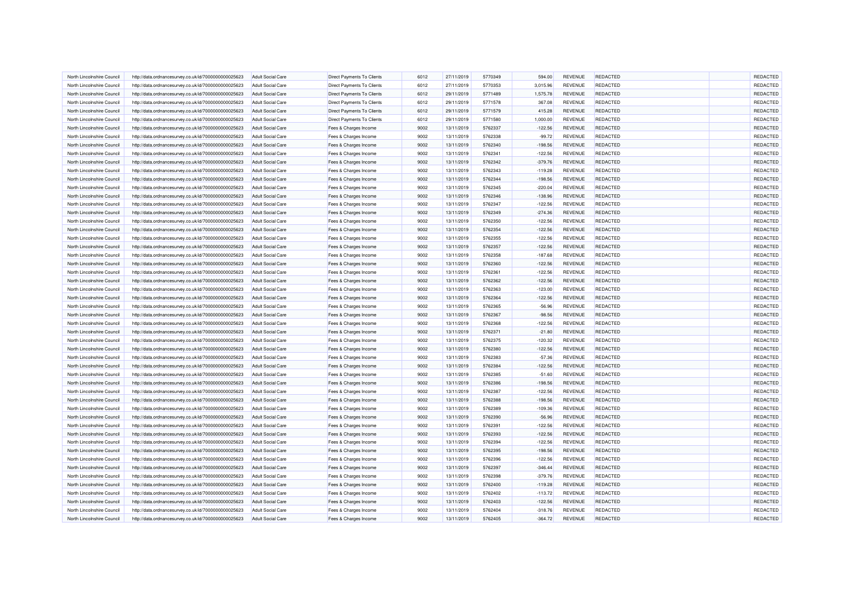| North Lincolnshire Council | http://data.ordnancesurvey.co.uk/id/7000000000025623 | Adult Social Care        | <b>Direct Payments To Clients</b> | 6012 | 27/11/2019 | 5770349 | 594.00    | <b>REVENUE</b> | <b>REDACTED</b> | REDACTED |
|----------------------------|------------------------------------------------------|--------------------------|-----------------------------------|------|------------|---------|-----------|----------------|-----------------|----------|
| North Lincolnshire Council | http://data.ordnancesurvey.co.uk/id/7000000000025623 | <b>Adult Social Care</b> | <b>Direct Payments To Clients</b> | 6012 | 27/11/2019 | 5770353 | 3,015.96  | REVENUE        | REDACTED        | REDACTED |
| North Lincolnshire Council | http://data.ordnancesurvey.co.uk/id/7000000000025623 | <b>Adult Social Care</b> | Direct Payments To Clients        | 6012 | 29/11/2019 | 5771489 | 1,575.78  | <b>REVENUE</b> | REDACTED        | REDACTED |
| North Lincolnshire Council | http://data.ordnancesurvey.co.uk/id/7000000000025623 | <b>Adult Social Care</b> | <b>Direct Payments To Clients</b> | 6012 | 29/11/2019 | 5771578 | 367.08    | REVENUE        | REDACTED        | REDACTED |
| North Lincolnshire Council | http://data.ordnancesurvey.co.uk/id/7000000000025623 | <b>Adult Social Care</b> | Direct Payments To Clients        | 6012 | 29/11/2019 | 5771579 | 415.28    | <b>REVENUE</b> | <b>REDACTED</b> | REDACTED |
| North Lincolnshire Council | http://data.ordnancesurvey.co.uk/id/7000000000025623 | <b>Adult Social Care</b> | Direct Payments To Clients        | 6012 | 29/11/2019 | 5771580 | 1,000.00  | REVENUE        | REDACTED        | REDACTED |
| North Lincolnshire Council | http://data.ordnancesurvey.co.uk/id/7000000000025623 | <b>Adult Social Care</b> | Fees & Charges Income             | 9002 | 13/11/2019 | 5762337 | $-122.56$ | <b>REVENUE</b> | <b>REDACTED</b> | REDACTED |
| North Lincolnshire Council | http://data.ordnancesurvey.co.uk/id/7000000000025623 | Adult Social Care        | Fees & Charges Income             | 9002 | 13/11/2019 | 5762338 | $-99.72$  | REVENUE        | <b>REDACTED</b> | REDACTED |
| North Lincolnshire Council | http://data.ordnancesurvey.co.uk/id/7000000000025623 | <b>Adult Social Care</b> | Fees & Charges Income             | 9002 | 13/11/2019 | 5762340 | $-198.56$ | <b>REVENUE</b> | REDACTED        | REDACTED |
| North Lincolnshire Council | http://data.ordnancesurvey.co.uk/id/7000000000025623 | <b>Adult Social Care</b> | Fees & Charges Income             | 9002 | 13/11/2019 | 5762341 | $-122.56$ | <b>REVENUE</b> | <b>REDACTED</b> | REDACTED |
| North Lincolnshire Council | http://data.ordnancesurvey.co.uk/id/7000000000025623 | <b>Adult Social Care</b> | Fees & Charges Income             | 9002 | 13/11/2019 | 5762342 | $-379.76$ | <b>REVENUE</b> | <b>REDACTED</b> | REDACTED |
| North Lincolnshire Council | http://data.ordnancesurvey.co.uk/id/7000000000025623 | <b>Adult Social Care</b> | Fees & Charges Income             | 9002 | 13/11/2019 | 5762343 | $-119.28$ | <b>REVENUE</b> | <b>REDACTED</b> | REDACTED |
| North Lincolnshire Council | http://data.ordnancesurvey.co.uk/id/7000000000025623 | <b>Adult Social Care</b> | Fees & Charges Income             | 9002 | 13/11/2019 | 5762344 | $-198.56$ | <b>REVENUE</b> | <b>REDACTED</b> | REDACTED |
| North Lincolnshire Council | http://data.ordnancesurvey.co.uk/id/7000000000025623 | <b>Adult Social Care</b> | Fees & Charges Income             | 9002 | 13/11/2019 | 5762345 | $-220.04$ | REVENUE        | REDACTED        | REDACTED |
| North Lincolnshire Council | http://data.ordnancesurvey.co.uk/id/7000000000025623 | <b>Adult Social Care</b> | Fees & Charges Income             | 9002 | 13/11/2019 | 5762346 | $-138.96$ | <b>REVENUE</b> | <b>REDACTED</b> | REDACTED |
| North Lincolnshire Council | http://data.ordnancesurvey.co.uk/id/7000000000025623 | <b>Adult Social Care</b> | Fees & Charges Income             | 9002 | 13/11/2019 | 5762347 | $-122.56$ | REVENUE        | <b>REDACTED</b> | REDACTED |
| North Lincolnshire Council | http://data.ordnancesurvey.co.uk/id/7000000000025623 | <b>Adult Social Care</b> | Fees & Charges Income             | 9002 | 13/11/2019 | 5762349 | $-274.36$ | <b>REVENUE</b> | <b>REDACTED</b> | REDACTED |
| North Lincolnshire Council | http://data.ordnancesurvey.co.uk/id/7000000000025623 | <b>Adult Social Care</b> | Fees & Charges Income             | 9002 | 13/11/2019 | 5762350 | $-122.56$ | <b>REVENUE</b> | <b>REDACTED</b> | REDACTED |
| North Lincolnshire Council | http://data.ordnancesurvey.co.uk/id/7000000000025623 | <b>Adult Social Care</b> | Fees & Charges Income             | 9002 | 13/11/2019 | 5762354 | $-122.56$ | REVENUE        | <b>REDACTED</b> | REDACTED |
| North Lincolnshire Council | http://data.ordnancesurvey.co.uk/id/7000000000025623 | <b>Adult Social Care</b> | Fees & Charges Income             | 9002 | 13/11/2019 | 5762355 | $-122.56$ | <b>REVENUE</b> | REDACTED        | REDACTED |
| North Lincolnshire Council | http://data.ordnancesurvey.co.uk/id/7000000000025623 | <b>Adult Social Care</b> | Fees & Charges Income             | 9002 | 13/11/2019 | 5762357 | $-122.56$ | REVENUE        | <b>REDACTED</b> | REDACTED |
| North Lincolnshire Council | http://data.ordnancesurvey.co.uk/id/7000000000025623 | Adult Social Care        | Fees & Charges Income             | 9002 | 13/11/2019 | 5762358 | $-187.68$ | REVENUE        | REDACTED        | REDACTED |
| North Lincolnshire Council | http://data.ordnancesurvey.co.uk/id/7000000000025623 | <b>Adult Social Care</b> | Fees & Charges Income             | 9002 | 13/11/2019 | 5762360 | $-122.56$ | <b>REVENUE</b> | REDACTED        | REDACTED |
| North Lincolnshire Council | http://data.ordnancesurvey.co.uk/id/7000000000025623 | <b>Adult Social Care</b> | Fees & Charges Income             | 9002 | 13/11/2019 | 5762361 | $-122.56$ | <b>REVENUE</b> | REDACTED        | REDACTED |
| North Lincolnshire Council | http://data.ordnancesurvey.co.uk/id/7000000000025623 | Adult Social Care        | Fees & Charges Income             | 9002 | 13/11/2019 | 5762362 | $-122.56$ | <b>REVENUE</b> | <b>REDACTED</b> | REDACTED |
| North Lincolnshire Council | http://data.ordnancesurvey.co.uk/id/7000000000025623 | <b>Adult Social Care</b> | Fees & Charges Income             | 9002 | 13/11/2019 | 5762363 | $-123.00$ | REVENUE        | REDACTED        | REDACTED |
| North Lincolnshire Council | http://data.ordnancesurvey.co.uk/id/7000000000025623 | <b>Adult Social Care</b> | Fees & Charges Income             | 9002 | 13/11/2019 | 5762364 | $-122.56$ | <b>REVENUE</b> | <b>REDACTED</b> | REDACTED |
| North Lincolnshire Council | http://data.ordnancesurvey.co.uk/id/7000000000025623 | <b>Adult Social Care</b> | Fees & Charges Income             | 9002 | 13/11/2019 | 5762365 | $-56.96$  | <b>REVENUE</b> | <b>REDACTED</b> | REDACTED |
| North Lincolnshire Council | http://data.ordnancesurvey.co.uk/id/7000000000025623 | <b>Adult Social Care</b> | Fees & Charges Income             | 9002 | 13/11/2019 | 5762367 | $-98.56$  | REVENUE        | <b>REDACTED</b> | REDACTED |
| North Lincolnshire Council | http://data.ordnancesurvey.co.uk/id/7000000000025623 | <b>Adult Social Care</b> | Fees & Charges Income             | 9002 | 13/11/2019 | 5762368 | $-122.56$ | REVENUE        | REDACTED        | REDACTED |
| North Lincolnshire Council | http://data.ordnancesurvey.co.uk/id/7000000000025623 | <b>Adult Social Care</b> | Fees & Charges Income             | 9002 | 13/11/2019 | 5762371 | $-21.80$  | <b>REVENUE</b> | REDACTED        | REDACTED |
| North Lincolnshire Council | http://data.ordnancesurvey.co.uk/id/7000000000025623 | <b>Adult Social Care</b> | Fees & Charges Income             | 9002 | 13/11/2019 | 5762375 | $-120.32$ | <b>REVENUE</b> | <b>REDACTED</b> | REDACTED |
| North Lincolnshire Council | http://data.ordnancesurvey.co.uk/id/7000000000025623 | Adult Social Care        | Fees & Charges Income             | 9002 | 13/11/2019 | 5762380 | $-122.56$ | <b>REVENUE</b> | <b>REDACTED</b> | REDACTED |
| North Lincolnshire Council | http://data.ordnancesurvey.co.uk/id/7000000000025623 | <b>Adult Social Care</b> | Fees & Charges Income             | 9002 | 13/11/2019 | 5762383 | $-57.36$  | REVENUE        | REDACTED        | REDACTED |
| North Lincolnshire Council | http://data.ordnancesurvey.co.uk/id/7000000000025623 | <b>Adult Social Care</b> | Fees & Charges Income             | 9002 | 13/11/2019 | 5762384 | $-122.56$ | <b>REVENUE</b> | REDACTED        | REDACTED |
| North Lincolnshire Council | http://data.ordnancesurvey.co.uk/id/7000000000025623 | Adult Social Care        | Fees & Charges Income             | 9002 | 13/11/2019 | 5762385 | $-51.60$  | <b>REVENUE</b> | REDACTED        | REDACTED |
| North Lincolnshire Council | http://data.ordnancesurvey.co.uk/id/7000000000025623 | <b>Adult Social Care</b> | Fees & Charges Income             | 9002 | 13/11/2019 | 5762386 | $-198.56$ | <b>REVENUE</b> | <b>REDACTED</b> | REDACTED |
| North Lincolnshire Council | http://data.ordnancesurvey.co.uk/id/7000000000025623 | <b>Adult Social Care</b> | Fees & Charges Income             | 9002 | 13/11/2019 | 5762387 | $-122.56$ | <b>REVENUE</b> | REDACTED        | REDACTED |
| North Lincolnshire Council | http://data.ordnancesurvey.co.uk/id/7000000000025623 | <b>Adult Social Care</b> | Fees & Charges Income             | 9002 | 13/11/2019 | 5762388 | $-198.56$ | <b>REVENUE</b> | REDACTED        | REDACTED |
| North Lincolnshire Council | http://data.ordnancesurvey.co.uk/id/7000000000025623 | Adult Social Care        | Fees & Charges Income             | 9002 | 13/11/2019 | 5762389 | $-109.36$ | <b>REVENUE</b> | REDACTED        | REDACTED |
| North Lincolnshire Council | http://data.ordnancesurvey.co.uk/id/7000000000025623 | <b>Adult Social Care</b> | Fees & Charges Income             | 9002 | 13/11/2019 | 5762390 | $-56.96$  | <b>REVENUE</b> | REDACTED        | REDACTED |
| North Lincolnshire Council | http://data.ordnancesurvey.co.uk/id/7000000000025623 | <b>Adult Social Care</b> | Fees & Charges Income             | 9002 | 13/11/2019 | 5762391 | $-122.56$ | <b>REVENUE</b> | <b>REDACTED</b> | REDACTED |
| North Lincolnshire Council | http://data.ordnancesurvey.co.uk/id/7000000000025623 | Adult Social Care        | Fees & Charges Income             | 9002 | 13/11/2019 | 5762393 | $-122.56$ | <b>REVENUE</b> | <b>REDACTED</b> | REDACTED |
| North Lincolnshire Council | http://data.ordnancesurvey.co.uk/id/7000000000025623 | Adult Social Care        | Fees & Charges Income             | 9002 | 13/11/2019 | 5762394 | $-122.56$ | <b>REVENUE</b> | <b>REDACTED</b> | REDACTED |
| North Lincolnshire Council | http://data.ordnancesurvey.co.uk/id/7000000000025623 | <b>Adult Social Care</b> | Fees & Charges Income             | 9002 | 13/11/2019 | 5762395 | $-198.56$ | <b>REVENUE</b> | <b>REDACTED</b> | REDACTED |
| North Lincolnshire Council | http://data.ordnancesurvey.co.uk/id/7000000000025623 | <b>Adult Social Care</b> | Fees & Charges Income             | 9002 | 13/11/2019 | 5762396 | $-122.56$ | <b>REVENUE</b> | REDACTED        | REDACTED |
| North Lincolnshire Council | http://data.ordnancesurvey.co.uk/id/7000000000025623 | <b>Adult Social Care</b> | Fees & Charges Income             | 9002 | 13/11/2019 | 5762397 | $-346.44$ | <b>REVENUE</b> | REDACTED        | REDACTED |
| North Lincolnshire Council | http://data.ordnancesurvey.co.uk/id/7000000000025623 | <b>Adult Social Care</b> | Fees & Charges Income             | 9002 | 13/11/2019 | 5762398 | $-379.76$ | <b>REVENUE</b> | <b>REDACTED</b> | REDACTED |
| North Lincolnshire Council | http://data.ordnancesurvey.co.uk/id/7000000000025623 | <b>Adult Social Care</b> | Fees & Charges Income             | 9002 | 13/11/2019 | 5762400 | $-119.28$ | <b>REVENUE</b> | <b>REDACTED</b> | REDACTED |
| North Lincolnshire Council | http://data.ordnancesurvey.co.uk/id/7000000000025623 | <b>Adult Social Care</b> | Fees & Charges Income             | 9002 | 13/11/2019 | 5762402 | $-113.72$ | <b>REVENUE</b> | <b>REDACTED</b> | REDACTED |
| North Lincolnshire Council | http://data.ordnancesurvey.co.uk/id/7000000000025623 | <b>Adult Social Care</b> | Fees & Charges Income             | 9002 | 13/11/2019 | 5762403 | $-122.56$ | <b>REVENUE</b> | REDACTED        | REDACTED |
| North Lincolnshire Council | http://data.ordnancesurvey.co.uk/id/7000000000025623 | <b>Adult Social Care</b> | Fees & Charges Income             | 9002 | 13/11/2019 | 5762404 | $-318.76$ | <b>REVENUE</b> | REDACTED        | REDACTED |
| North Lincolnshire Council | http://data.ordnancesurvey.co.uk/id/7000000000025623 | <b>Adult Social Care</b> | Fees & Charges Income             | 9002 | 13/11/2019 | 5762405 | $-364.72$ | <b>REVENUE</b> | <b>REDACTED</b> | REDACTED |
|                            |                                                      |                          |                                   |      |            |         |           |                |                 |          |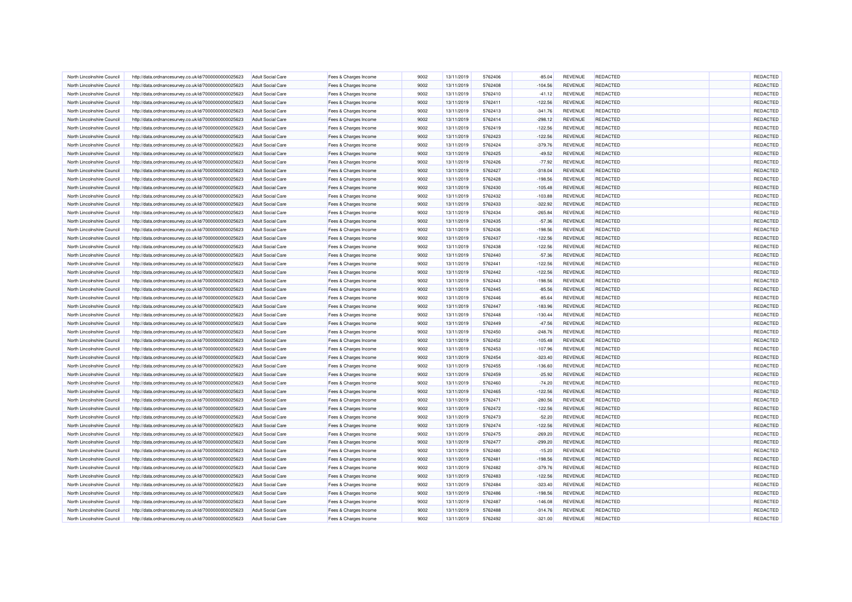| North Lincolnshire Council                               | http://data.ordnancesurvey.co.uk/id/7000000000025623                                                         | <b>Adult Social Care</b>                             | Fees & Charges Income | 9002 | 13/11/2019               | 5762406 | $-85.04$               | <b>REVENUE</b>            | <b>REDACTED</b> | REDACTED |
|----------------------------------------------------------|--------------------------------------------------------------------------------------------------------------|------------------------------------------------------|-----------------------|------|--------------------------|---------|------------------------|---------------------------|-----------------|----------|
| North Lincolnshire Council                               | http://data.ordnancesurvey.co.uk/id/7000000000025623                                                         | <b>Adult Social Care</b>                             | Fees & Charges Income | 9002 | 13/11/2019               | 5762408 | $-104.56$              | REVENUE                   | REDACTED        | REDACTED |
| North Lincolnshire Council                               | http://data.ordnancesurvey.co.uk/id/7000000000025623                                                         | <b>Adult Social Care</b>                             | Fees & Charges Income | 9002 | 13/11/2019               | 5762410 | $-41.12$               | REVENUE                   | <b>REDACTED</b> | REDACTED |
| North Lincolnshire Council                               | http://data.ordnancesurvey.co.uk/id/7000000000025623                                                         | <b>Adult Social Care</b>                             | Fees & Charges Income | 9002 | 13/11/2019               | 5762411 | $-122.56$              | REVENUE                   | REDACTED        | REDACTED |
| North Lincolnshire Council                               | http://data.ordnancesurvey.co.uk/id/7000000000025623                                                         | <b>Adult Social Care</b>                             | Fees & Charges Income | 9002 | 13/11/2019               | 5762413 | $-341.76$              | <b>REVENUE</b>            | <b>REDACTED</b> | REDACTED |
| North Lincolnshire Council                               | http://data.ordnancesurvey.co.uk/id/7000000000025623                                                         | <b>Adult Social Care</b>                             | Fees & Charges Income | 9002 | 13/11/2019               | 5762414 | $-298.12$              | <b>REVENUE</b>            | <b>REDACTED</b> | REDACTED |
| North Lincolnshire Council                               | http://data.ordnancesurvey.co.uk/id/7000000000025623                                                         | <b>Adult Social Care</b>                             | Fees & Charges Income | 9002 | 13/11/2019               | 5762419 | $-122.56$              | <b>REVENUE</b>            | <b>REDACTED</b> | REDACTED |
| North Lincolnshire Council                               | http://data.ordnancesurvey.co.uk/id/7000000000025623                                                         | <b>Adult Social Care</b>                             | Fees & Charges Income | 9002 | 13/11/2019               | 5762423 | $-122.56$              | REVENUE                   | <b>REDACTED</b> | REDACTED |
| North Lincolnshire Council                               | http://data.ordnancesurvey.co.uk/id/7000000000025623                                                         | <b>Adult Social Care</b>                             | Fees & Charges Income | 9002 | 13/11/2019               | 5762424 | $-379.76$              | REVENUE                   | REDACTED        | REDACTED |
| North Lincolnshire Council                               | http://data.ordnancesurvey.co.uk/id/7000000000025623                                                         | <b>Adult Social Care</b>                             | Fees & Charges Income | 9002 | 13/11/2019               | 5762425 | $-49.52$               | <b>REVENUE</b>            | <b>REDACTED</b> | REDACTED |
| North Lincolnshire Council                               | http://data.ordnancesurvey.co.uk/id/7000000000025623                                                         | <b>Adult Social Care</b>                             | Fees & Charges Income | 9002 | 13/11/2019               | 5762426 | $-77.92$               | <b>REVENUE</b>            | <b>REDACTED</b> | REDACTED |
| North Lincolnshire Council                               | http://data.ordnancesurvey.co.uk/id/7000000000025623                                                         | <b>Adult Social Care</b>                             | Fees & Charges Income | 9002 | 13/11/2019               | 5762427 | $-318.04$              | <b>REVENUE</b>            | <b>REDACTED</b> | REDACTED |
| North Lincolnshire Council                               | http://data.ordnancesurvey.co.uk/id/7000000000025623                                                         | <b>Adult Social Care</b>                             | Fees & Charges Income | 9002 | 13/11/2019               | 5762428 | $-198.56$              | REVENUE                   | REDACTED        | REDACTED |
| North Lincolnshire Council                               | http://data.ordnancesurvey.co.uk/id/7000000000025623                                                         | <b>Adult Social Care</b>                             | Fees & Charges Income | 9002 | 13/11/2019               | 5762430 | $-105.48$              | REVENUE                   | REDACTED        | REDACTED |
| North Lincolnshire Council                               | http://data.ordnancesurvey.co.uk/id/7000000000025623                                                         | <b>Adult Social Care</b>                             | Fees & Charges Income | 9002 | 13/11/2019               | 5762432 | $-103.88$              | REVENUE                   | REDACTED        | REDACTED |
| North Lincolnshire Council                               | http://data.ordnancesurvey.co.uk/id/7000000000025623                                                         | <b>Adult Social Care</b>                             | Fees & Charges Income | 9002 | 13/11/2019               | 5762433 | $-322.92$              | <b>REVENUE</b>            | <b>REDACTED</b> | REDACTED |
| North Lincolnshire Council                               | http://data.ordnancesurvey.co.uk/id/7000000000025623                                                         | <b>Adult Social Care</b>                             | Fees & Charges Income | 9002 | 13/11/2019               | 5762434 | $-265.84$              | REVENUE                   | <b>REDACTED</b> | REDACTED |
| North Lincolnshire Council                               | http://data.ordnancesurvey.co.uk/id/7000000000025623                                                         | <b>Adult Social Care</b>                             | Fees & Charges Income | 9002 | 13/11/2019               | 5762435 | $-57.36$               | <b>REVENUE</b>            | <b>REDACTED</b> | REDACTED |
| North Lincolnshire Council                               | http://data.ordnancesurvey.co.uk/id/7000000000025623                                                         | <b>Adult Social Care</b>                             | Fees & Charges Income | 9002 | 13/11/2019               | 5762436 | $-198.56$              | REVENUE                   | <b>REDACTED</b> | REDACTED |
| North Lincolnshire Council                               | http://data.ordnancesurvey.co.uk/id/7000000000025623                                                         | <b>Adult Social Care</b>                             | Fees & Charges Income | 9002 | 13/11/2019               | 5762437 | $-122.56$              | <b>REVENUE</b>            | REDACTED        | REDACTED |
| North Lincolnshire Council                               | http://data.ordnancesurvey.co.uk/id/7000000000025623                                                         | <b>Adult Social Care</b>                             | Fees & Charges Income | 9002 | 13/11/2019               | 5762438 | $-122.56$              | REVENUE                   | <b>REDACTED</b> | REDACTED |
| North Lincolnshire Council                               |                                                                                                              | <b>Adult Social Care</b>                             | Fees & Charges Income | 9002 | 13/11/2019               | 5762440 | $-57.36$               | REVENUE                   | <b>REDACTED</b> | REDACTED |
| North Lincolnshire Council                               | http://data.ordnancesurvey.co.uk/id/7000000000025623<br>http://data.ordnancesurvey.co.uk/id/7000000000025623 | <b>Adult Social Care</b>                             | Fees & Charges Income | 9002 | 13/11/2019               | 5762441 | $-122.56$              | REVENUE                   | REDACTED        | REDACTED |
|                                                          |                                                                                                              |                                                      |                       | 9002 |                          | 5762442 |                        |                           | <b>REDACTED</b> | REDACTED |
| North Lincolnshire Council<br>North Lincolnshire Council | http://data.ordnancesurvey.co.uk/id/7000000000025623                                                         | <b>Adult Social Care</b><br><b>Adult Social Care</b> | Fees & Charges Income | 9002 | 13/11/2019<br>13/11/2019 | 5762443 | $-122.56$<br>$-198.56$ | <b>REVENUE</b><br>REVENUE | <b>REDACTED</b> | REDACTED |
|                                                          | http://data.ordnancesurvey.co.uk/id/7000000000025623                                                         |                                                      | Fees & Charges Income |      |                          |         |                        |                           |                 |          |
| North Lincolnshire Council                               | http://data.ordnancesurvey.co.uk/id/7000000000025623                                                         | <b>Adult Social Care</b>                             | Fees & Charges Income | 9002 | 13/11/2019               | 5762445 | $-85.56$               | REVENUE                   | REDACTED        | REDACTED |
| North Lincolnshire Council                               | http://data.ordnancesurvey.co.uk/id/7000000000025623                                                         | <b>Adult Social Care</b>                             | Fees & Charges Income | 9002 | 13/11/2019               | 5762446 | $-85.64$               | REVENUE                   | REDACTED        | REDACTED |
| North Lincolnshire Council                               | http://data.ordnancesurvey.co.uk/id/7000000000025623                                                         | <b>Adult Social Care</b>                             | Fees & Charges Income | 9002 | 13/11/2019               | 5762447 | $-183.96$              | REVENUE                   | <b>REDACTED</b> | REDACTED |
| North Lincolnshire Council                               | http://data.ordnancesurvey.co.uk/id/7000000000025623                                                         | <b>Adult Social Care</b>                             | Fees & Charges Income | 9002 | 13/11/2019               | 5762448 | $-130.44$              | REVENUE                   | <b>REDACTED</b> | REDACTED |
| North Lincolnshire Council                               | http://data.ordnancesurvey.co.uk/id/7000000000025623                                                         | <b>Adult Social Care</b>                             | Fees & Charges Income | 9002 | 13/11/2019               | 5762449 | $-47.56$               | REVENUE                   | REDACTED        | REDACTED |
| North Lincolnshire Council                               | http://data.ordnancesurvey.co.uk/id/7000000000025623                                                         | <b>Adult Social Care</b>                             | Fees & Charges Income | 9002 | 13/11/2019               | 5762450 | $-248.76$              | <b>REVENUE</b>            | REDACTED        | REDACTED |
| North Lincolnshire Council                               | http://data.ordnancesurvey.co.uk/id/7000000000025623                                                         | <b>Adult Social Care</b>                             | Fees & Charges Income | 9002 | 13/11/2019               | 5762452 | $-105.48$              | <b>REVENUE</b>            | <b>REDACTED</b> | REDACTED |
| North Lincolnshire Council                               | http://data.ordnancesurvey.co.uk/id/7000000000025623                                                         | Adult Social Care                                    | Fees & Charges Income | 9002 | 13/11/2019               | 5762453 | $-107.96$              | <b>REVENUE</b>            | <b>REDACTED</b> | REDACTED |
| North Lincolnshire Council                               | http://data.ordnancesurvey.co.uk/id/7000000000025623                                                         | <b>Adult Social Care</b>                             | Fees & Charges Income | 9002 | 13/11/2019               | 5762454 | $-323.40$              | REVENUE                   | REDACTED        | REDACTED |
| North Lincolnshire Council                               | http://data.ordnancesurvey.co.uk/id/7000000000025623                                                         | <b>Adult Social Care</b>                             | Fees & Charges Income | 9002 | 13/11/2019               | 5762455 | $-136.60$              | REVENUE                   | REDACTED        | REDACTED |
| North Lincolnshire Council                               | http://data.ordnancesurvey.co.uk/id/7000000000025623                                                         | Adult Social Care                                    | Fees & Charges Income | 9002 | 13/11/2019               | 5762459 | $-25.92$               | <b>REVENUE</b>            | REDACTED        | REDACTED |
| North Lincolnshire Council                               | http://data.ordnancesurvey.co.uk/id/7000000000025623                                                         | <b>Adult Social Care</b>                             | Fees & Charges Income | 9002 | 13/11/2019               | 5762460 | $-74.20$               | <b>REVENUE</b>            | <b>REDACTED</b> | REDACTED |
| North Lincolnshire Council                               | http://data.ordnancesurvey.co.uk/id/7000000000025623                                                         | <b>Adult Social Care</b>                             | Fees & Charges Income | 9002 | 13/11/2019               | 5762465 | $-122.56$              | REVENUE                   | <b>REDACTED</b> | REDACTED |
| North Lincolnshire Council                               | http://data.ordnancesurvey.co.uk/id/7000000000025623                                                         | <b>Adult Social Care</b>                             | Fees & Charges Income | 9002 | 13/11/2019               | 5762471 | $-280.56$              | <b>REVENUE</b>            | REDACTED        | REDACTED |
| North Lincolnshire Council                               | http://data.ordnancesurvey.co.uk/id/7000000000025623                                                         | <b>Adult Social Care</b>                             | Fees & Charges Income | 9002 | 13/11/2019               | 5762472 | $-122.56$              | <b>REVENUE</b>            | REDACTED        | REDACTED |
| North Lincolnshire Council                               | http://data.ordnancesurvey.co.uk/id/7000000000025623                                                         | <b>Adult Social Care</b>                             | Fees & Charges Income | 9002 | 13/11/2019               | 5762473 | $-52.20$               | <b>REVENUE</b>            | REDACTED        | REDACTED |
| North Lincolnshire Council                               | http://data.ordnancesurvey.co.uk/id/7000000000025623                                                         | <b>Adult Social Care</b>                             | Fees & Charges Income | 9002 | 13/11/2019               | 5762474 | $-122.56$              | <b>REVENUE</b>            | <b>REDACTED</b> | REDACTED |
| North Lincolnshire Council                               | http://data.ordnancesurvey.co.uk/id/7000000000025623                                                         | <b>Adult Social Care</b>                             | Fees & Charges Income | 9002 | 13/11/2019               | 5762475 | $-269.20$              | <b>REVENUE</b>            | <b>REDACTED</b> | REDACTED |
| North Lincolnshire Council                               | http://data.ordnancesurvey.co.uk/id/7000000000025623                                                         | Adult Social Care                                    | Fees & Charges Income | 9002 | 13/11/2019               | 5762477 | $-299.20$              | <b>REVENUE</b>            | <b>REDACTED</b> | REDACTED |
| North Lincolnshire Council                               | http://data.ordnancesurvey.co.uk/id/7000000000025623                                                         | <b>Adult Social Care</b>                             | Fees & Charges Income | 9002 | 13/11/2019               | 5762480 | $-15.20$               | <b>REVENUE</b>            | <b>REDACTED</b> | REDACTED |
| North Lincolnshire Council                               | http://data.ordnancesurvey.co.uk/id/7000000000025623                                                         | <b>Adult Social Care</b>                             | Fees & Charges Income | 9002 | 13/11/2019               | 5762481 | $-198.56$              | <b>REVENUE</b>            | REDACTED        | REDACTED |
| North Lincolnshire Council                               | http://data.ordnancesurvey.co.uk/id/7000000000025623                                                         | <b>Adult Social Care</b>                             | Fees & Charges Income | 9002 | 13/11/2019               | 5762482 | $-379.76$              | <b>REVENUE</b>            | REDACTED        | REDACTED |
| North Lincolnshire Council                               | http://data.ordnancesurvey.co.uk/id/7000000000025623                                                         | <b>Adult Social Care</b>                             | Fees & Charges Income | 9002 | 13/11/2019               | 5762483 | $-122.56$              | REVENUE                   | <b>REDACTED</b> | REDACTED |
| North Lincolnshire Council                               | http://data.ordnancesurvey.co.uk/id/7000000000025623                                                         | <b>Adult Social Care</b>                             | Fees & Charges Income | 9002 | 13/11/2019               | 5762484 | $-323.40$              | REVENUE                   | <b>REDACTED</b> | REDACTED |
| North Lincolnshire Council                               | http://data.ordnancesurvey.co.uk/id/7000000000025623                                                         | <b>Adult Social Care</b>                             | Fees & Charges Income | 9002 | 13/11/2019               | 5762486 | $-198.56$              | <b>REVENUE</b>            | <b>REDACTED</b> | REDACTED |
| North Lincolnshire Council                               | http://data.ordnancesurvey.co.uk/id/7000000000025623                                                         | <b>Adult Social Care</b>                             | Fees & Charges Income | 9002 | 13/11/2019               | 5762487 | $-146.08$              | REVENUE                   | REDACTED        | REDACTED |
| North Lincolnshire Council                               | http://data.ordnancesurvey.co.uk/id/7000000000025623                                                         | <b>Adult Social Care</b>                             | Fees & Charges Income | 9002 | 13/11/2019               | 5762488 | $-314.76$              | <b>REVENUE</b>            | REDACTED        | REDACTED |
| North Lincolnshire Council                               | http://data.ordnancesurvey.co.uk/id/7000000000025623                                                         | <b>Adult Social Care</b>                             | Fees & Charges Income | 9002 | 13/11/2019               | 5762492 | $-321.00$              | <b>REVENUE</b>            | <b>REDACTED</b> | REDACTED |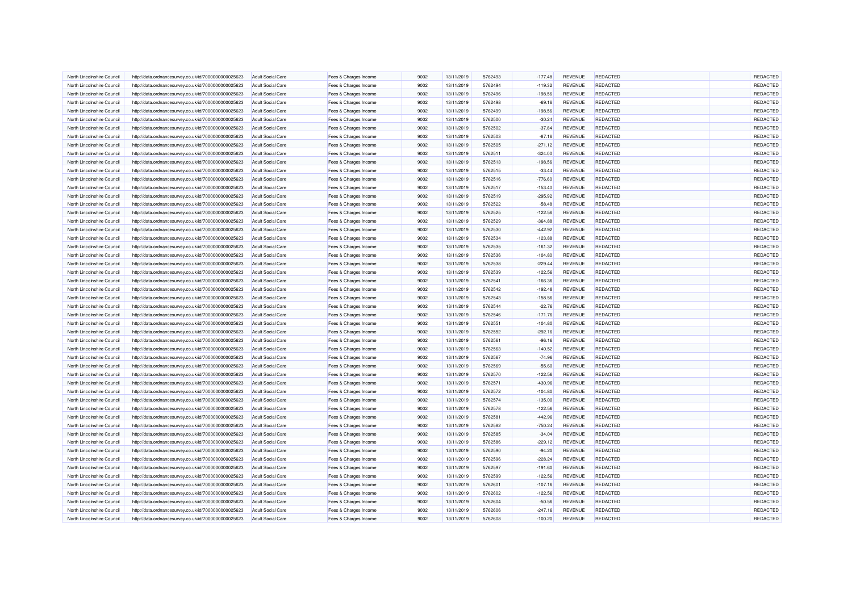| North Lincolnshire Council                               | http://data.ordnancesurvey.co.uk/id/7000000000025623 | <b>Adult Social Care</b>                      | Fees & Charges Income | 9002         | 13/11/2019 | 5762493            | $-177.48$             | <b>REVENUE</b>                   | <b>REDACTED</b>                    | <b>REDACTED</b>      |
|----------------------------------------------------------|------------------------------------------------------|-----------------------------------------------|-----------------------|--------------|------------|--------------------|-----------------------|----------------------------------|------------------------------------|----------------------|
| North Lincolnshire Council                               | http://data.ordnancesurvey.co.uk/id/7000000000025623 | <b>Adult Social Care</b>                      | Fees & Charges Income | 9002         | 13/11/2019 | 5762494            | $-119.32$             | REVENUE                          | REDACTED                           | REDACTED             |
| North Lincolnshire Council                               | http://data.ordnancesurvey.co.uk/id/7000000000025623 | <b>Adult Social Care</b>                      | Fees & Charges Income | 9002         | 13/11/2019 | 5762496            | $-198.56$             | <b>REVENUE</b>                   | REDACTED                           | REDACTED             |
| North Lincolnshire Council                               | http://data.ordnancesurvey.co.uk/id/7000000000025623 | <b>Adult Social Care</b>                      | Fees & Charges Income | 9002         | 13/11/2019 | 5762498            | $-69.16$              | REVENUE                          | REDACTED                           | REDACTED             |
| North Lincolnshire Council                               | http://data.ordnancesurvey.co.uk/id/7000000000025623 | <b>Adult Social Care</b>                      | Fees & Charges Income | 9002         | 13/11/2019 | 5762499            | $-198.56$             | <b>REVENUE</b>                   | <b>REDACTED</b>                    | REDACTED             |
| North Lincolnshire Council                               | http://data.ordnancesurvey.co.uk/id/7000000000025623 | <b>Adult Social Care</b>                      | Fees & Charges Income | 9002         | 13/11/2019 | 5762500            | $-30.24$              | REVENUE                          | <b>REDACTED</b>                    | REDACTED             |
| North Lincolnshire Council                               | http://data.ordnancesurvey.co.uk/id/7000000000025623 | <b>Adult Social Care</b>                      | Fees & Charges Income | 9002         | 13/11/2019 | 5762502            | $-37.84$              | <b>REVENUE</b>                   | <b>REDACTED</b>                    | REDACTED             |
| North Lincolnshire Council                               | http://data.ordnancesurvey.co.uk/id/7000000000025623 | <b>Adult Social Care</b>                      | Fees & Charges Income | 9002         | 13/11/2019 | 5762503            | $-87.16$              | REVENUE                          | <b>REDACTED</b>                    | REDACTED             |
| North Lincolnshire Council                               | http://data.ordnancesurvey.co.uk/id/7000000000025623 | <b>Adult Social Care</b>                      | Fees & Charges Income | 9002         | 13/11/2019 | 5762505            | $-271.12$             | <b>REVENUE</b>                   | REDACTED                           | REDACTED             |
| North Lincolnshire Council                               | http://data.ordnancesurvey.co.uk/id/7000000000025623 | <b>Adult Social Care</b>                      | Fees & Charges Income | 9002         | 13/11/2019 | 5762511            | $-324.00$             | <b>REVENUE</b>                   | <b>REDACTED</b>                    | REDACTED             |
| North Lincolnshire Council                               | http://data.ordnancesurvey.co.uk/id/7000000000025623 | <b>Adult Social Care</b>                      | Fees & Charges Income | 9002         | 13/11/2019 | 5762513            | $-198.56$             | <b>REVENUE</b>                   | <b>REDACTED</b>                    | REDACTED             |
| North Lincolnshire Council                               | http://data.ordnancesurvey.co.uk/id/7000000000025623 | <b>Adult Social Care</b>                      | Fees & Charges Income | 9002         | 13/11/2019 | 5762515            | $-33.44$              | <b>REVENUE</b>                   | <b>REDACTED</b>                    | REDACTED             |
| North Lincolnshire Council                               | http://data.ordnancesurvey.co.uk/id/7000000000025623 | <b>Adult Social Care</b>                      | Fees & Charges Income | 9002         | 13/11/2019 | 5762516            | $-776.60$             | <b>REVENUE</b>                   | <b>REDACTED</b>                    | REDACTED             |
| North Lincolnshire Council                               | http://data.ordnancesurvey.co.uk/id/7000000000025623 | <b>Adult Social Care</b>                      | Fees & Charges Income | 9002         | 13/11/2019 | 5762517            | $-153.40$             | REVENUE                          | REDACTED                           | REDACTED             |
| North Lincolnshire Council                               | http://data.ordnancesurvey.co.uk/id/7000000000025623 | <b>Adult Social Care</b>                      | Fees & Charges Income | 9002         | 13/11/2019 | 5762519            | $-295.92$             | REVENUE                          | <b>REDACTED</b>                    | REDACTED             |
| North Lincolnshire Council                               | http://data.ordnancesurvey.co.uk/id/7000000000025623 | <b>Adult Social Care</b>                      | Fees & Charges Income | 9002         | 13/11/2019 | 5762522            | $-58.48$              | REVENUE                          | <b>REDACTED</b>                    | REDACTED             |
| North Lincolnshire Council                               | http://data.ordnancesurvey.co.uk/id/7000000000025623 | <b>Adult Social Care</b>                      | Fees & Charges Income | 9002         | 13/11/2019 | 5762525            | $-122.56$             | REVENUE                          | REDACTED                           | REDACTED             |
| North Lincolnshire Council                               | http://data.ordnancesurvey.co.uk/id/7000000000025623 | <b>Adult Social Care</b>                      | Fees & Charges Income | 9002         | 13/11/2019 | 5762529            | $-364.88$             | <b>REVENUE</b>                   | <b>REDACTED</b>                    | REDACTED             |
| North Lincolnshire Council                               | http://data.ordnancesurvey.co.uk/id/7000000000025623 | <b>Adult Social Care</b>                      | Fees & Charges Income | 9002         | 13/11/2019 | 5762530            | $-442.92$             | <b>REVENUE</b>                   | <b>REDACTED</b>                    | REDACTED             |
| North Lincolnshire Council                               | http://data.ordnancesurvey.co.uk/id/7000000000025623 | <b>Adult Social Care</b>                      | Fees & Charges Income | 9002         | 13/11/2019 | 5762534            | $-123.88$             | REVENUE                          | <b>REDACTED</b>                    | REDACTED             |
| North Lincolnshire Council                               | http://data.ordnancesurvey.co.uk/id/7000000000025623 | <b>Adult Social Care</b>                      | Fees & Charges Income | 9002         | 13/11/2019 | 5762535            | $-161.32$             | <b>REVENUE</b>                   | <b>REDACTED</b>                    | REDACTED             |
| North Lincolnshire Council                               | http://data.ordnancesurvey.co.uk/id/7000000000025623 | <b>Adult Social Care</b>                      | Fees & Charges Income | 9002         | 13/11/2019 | 5762536            | $-104.80$             | REVENUE                          | <b>REDACTED</b>                    | REDACTED             |
| North Lincolnshire Council                               | http://data.ordnancesurvey.co.uk/id/7000000000025623 | <b>Adult Social Care</b>                      | Fees & Charges Income | 9002         | 13/11/2019 | 5762538            | $-229.44$             | REVENUE                          | <b>REDACTED</b>                    | REDACTED             |
| North Lincolnshire Council                               | http://data.ordnancesurvey.co.uk/id/7000000000025623 | <b>Adult Social Care</b>                      | Fees & Charges Income | 9002         | 13/11/2019 | 5762539            | $-122.56$             | REVENUE                          | <b>REDACTED</b>                    | REDACTED             |
| North Lincolnshire Council                               | http://data.ordnancesurvey.co.uk/id/7000000000025623 | <b>Adult Social Care</b>                      | Fees & Charges Income | 9002         | 13/11/2019 | 5762541            | $-166.36$             | <b>REVENUE</b>                   | <b>REDACTED</b>                    | REDACTED             |
| North Lincolnshire Council                               | http://data.ordnancesurvey.co.uk/id/7000000000025623 | <b>Adult Social Care</b>                      | Fees & Charges Income | 9002         | 13/11/2019 | 5762542            | $-192.48$             | REVENUE                          | REDACTED                           | REDACTED             |
| North Lincolnshire Council                               | http://data.ordnancesurvey.co.uk/id/7000000000025623 | <b>Adult Social Care</b>                      | Fees & Charges Income | 9002         | 13/11/2019 | 5762543            | $-158.56$             | REVENUE                          | REDACTED                           | REDACTED             |
| North Lincolnshire Council                               | http://data.ordnancesurvey.co.uk/id/7000000000025623 | <b>Adult Social Care</b>                      | Fees & Charges Income | 9002         | 13/11/2019 | 5762544            | $-22.76$              | <b>REVENUE</b>                   | REDACTED                           | REDACTED             |
| North Lincolnshire Council                               |                                                      | <b>Adult Social Care</b>                      |                       | 9002         | 13/11/2019 | 5762546            | $-171.76$             | <b>REVENUE</b>                   | <b>REDACTED</b>                    | REDACTED             |
| North Lincolnshire Council                               | http://data.ordnancesurvey.co.uk/id/7000000000025623 | <b>Adult Social Care</b>                      | Fees & Charges Income | 9002         | 13/11/2019 | 5762551            | $-104.80$             | REVENUE                          | <b>REDACTED</b>                    | REDACTED             |
|                                                          | http://data.ordnancesurvey.co.uk/id/7000000000025623 |                                               | Fees & Charges Income |              |            |                    |                       |                                  |                                    |                      |
| North Lincolnshire Council                               | http://data.ordnancesurvey.co.uk/id/7000000000025623 | <b>Adult Social Care</b>                      | Fees & Charges Income | 9002         | 13/11/2019 | 5762552            | $-292.16$             | <b>REVENUE</b>                   | REDACTED                           | REDACTED             |
| North Lincolnshire Council<br>North Lincolnshire Council | http://data.ordnancesurvey.co.uk/id/7000000000025623 | <b>Adult Social Care</b><br>Adult Social Care | Fees & Charges Income | 9002<br>9002 | 13/11/2019 | 5762561<br>5762563 | $-96.16$<br>$-140.52$ | <b>REVENUE</b><br><b>REVENUE</b> | <b>REDACTED</b><br><b>REDACTED</b> | REDACTED<br>REDACTED |
|                                                          | http://data.ordnancesurvey.co.uk/id/7000000000025623 |                                               | Fees & Charges Income |              | 13/11/2019 |                    |                       |                                  |                                    |                      |
| North Lincolnshire Council                               | http://data.ordnancesurvey.co.uk/id/7000000000025623 | <b>Adult Social Care</b>                      | Fees & Charges Income | 9002         | 13/11/2019 | 5762567            | $-74.96$              | REVENUE                          | REDACTED                           | REDACTED             |
| North Lincolnshire Council                               | http://data.ordnancesurvey.co.uk/id/7000000000025623 | <b>Adult Social Care</b>                      | Fees & Charges Income | 9002         | 13/11/2019 | 5762569            | $-55.60$              | <b>REVENUE</b>                   | <b>REDACTED</b>                    | REDACTED             |
| North Lincolnshire Council                               | http://data.ordnancesurvey.co.uk/id/7000000000025623 | Adult Social Care                             | Fees & Charges Income | 9002         | 13/11/2019 | 5762570            | $-122.56$             | REVENUE                          | REDACTED                           | REDACTED             |
| North Lincolnshire Council                               | http://data.ordnancesurvey.co.uk/id/7000000000025623 | <b>Adult Social Care</b>                      | Fees & Charges Income | 9002         | 13/11/2019 | 5762571            | $-430.96$             | <b>REVENUE</b>                   | <b>REDACTED</b>                    | REDACTED             |
| North Lincolnshire Council                               | http://data.ordnancesurvey.co.uk/id/7000000000025623 | <b>Adult Social Care</b>                      | Fees & Charges Income | 9002         | 13/11/2019 | 5762572            | $-104.80$             | REVENUE                          | <b>REDACTED</b>                    | REDACTED             |
| North Lincolnshire Council                               | http://data.ordnancesurvey.co.uk/id/7000000000025623 | <b>Adult Social Care</b>                      | Fees & Charges Income | 9002         | 13/11/2019 | 5762574            | $-135.00$             | <b>REVENUE</b>                   | REDACTED                           | REDACTED             |
| North Lincolnshire Council                               | http://data.ordnancesurvey.co.uk/id/7000000000025623 | <b>Adult Social Care</b>                      | Fees & Charges Income | 9002         | 13/11/2019 | 5762578            | $-122.56$             | <b>REVENUE</b>                   | REDACTED                           | REDACTED             |
| North Lincolnshire Council                               | http://data.ordnancesurvey.co.uk/id/7000000000025623 | <b>Adult Social Care</b>                      | Fees & Charges Income | 9002         | 13/11/2019 | 5762581            | $-442.96$             | <b>REVENUE</b>                   | REDACTED                           | REDACTED             |
| North Lincolnshire Council                               | http://data.ordnancesurvey.co.uk/id/7000000000025623 | <b>Adult Social Care</b>                      | Fees & Charges Income | 9002         | 13/11/2019 | 5762582            | $-750.24$             | <b>REVENUE</b>                   | <b>REDACTED</b>                    | REDACTED             |
| North Lincolnshire Council                               | http://data.ordnancesurvey.co.uk/id/7000000000025623 | <b>Adult Social Care</b>                      | Fees & Charges Income | 9002         | 13/11/2019 | 5762585            | $-34.04$              | <b>REVENUE</b>                   | <b>REDACTED</b>                    | REDACTED             |
| North Lincolnshire Council                               | http://data.ordnancesurvey.co.uk/id/7000000000025623 | Adult Social Care                             | Fees & Charges Income | 9002         | 13/11/2019 | 5762586            | $-229.12$             | <b>REVENUE</b>                   | <b>REDACTED</b>                    | REDACTED             |
| North Lincolnshire Council                               | http://data.ordnancesurvey.co.uk/id/7000000000025623 | <b>Adult Social Care</b>                      | Fees & Charges Income | 9002         | 13/11/2019 | 5762590            | $-94.20$              | <b>REVENUE</b>                   | <b>REDACTED</b>                    | REDACTED             |
| North Lincolnshire Council                               | http://data.ordnancesurvey.co.uk/id/7000000000025623 | <b>Adult Social Care</b>                      | Fees & Charges Income | 9002         | 13/11/2019 | 5762596            | $-228.24$             | <b>REVENUE</b>                   | REDACTED                           | REDACTED             |
| North Lincolnshire Council                               | http://data.ordnancesurvey.co.uk/id/7000000000025623 | <b>Adult Social Care</b>                      | Fees & Charges Income | 9002         | 13/11/2019 | 5762597            | $-191.60$             | <b>REVENUE</b>                   | REDACTED                           | REDACTED             |
| North Lincolnshire Council                               | http://data.ordnancesurvey.co.uk/id/7000000000025623 | <b>Adult Social Care</b>                      | Fees & Charges Income | 9002         | 13/11/2019 | 5762599            | $-122.56$             | REVENUE                          | <b>REDACTED</b>                    | REDACTED             |
| North Lincolnshire Council                               | http://data.ordnancesurvey.co.uk/id/7000000000025623 | <b>Adult Social Care</b>                      | Fees & Charges Income | 9002         | 13/11/2019 | 5762601            | $-107.16$             | <b>REVENUE</b>                   | <b>REDACTED</b>                    | REDACTED             |
| North Lincolnshire Council                               | http://data.ordnancesurvey.co.uk/id/7000000000025623 | <b>Adult Social Care</b>                      | Fees & Charges Income | 9002         | 13/11/2019 | 5762602            | $-122.56$             | <b>REVENUE</b>                   | <b>REDACTED</b>                    | REDACTED             |
| North Lincolnshire Council                               | http://data.ordnancesurvey.co.uk/id/7000000000025623 | <b>Adult Social Care</b>                      | Fees & Charges Income | 9002         | 13/11/2019 | 5762604            | $-50.56$              | REVENUE                          | <b>REDACTED</b>                    | REDACTED             |
| North Lincolnshire Council                               | http://data.ordnancesurvey.co.uk/id/7000000000025623 | <b>Adult Social Care</b>                      | Fees & Charges Income | 9002         | 13/11/2019 | 5762606            | $-247.16$             | <b>REVENUE</b>                   | REDACTED                           | REDACTED             |
| North Lincolnshire Council                               | http://data.ordnancesurvey.co.uk/id/7000000000025623 | <b>Adult Social Care</b>                      | Fees & Charges Income | 9002         | 13/11/2019 | 5762608            | $-100.20$             | <b>REVENUE</b>                   | <b>REDACTED</b>                    | REDACTED             |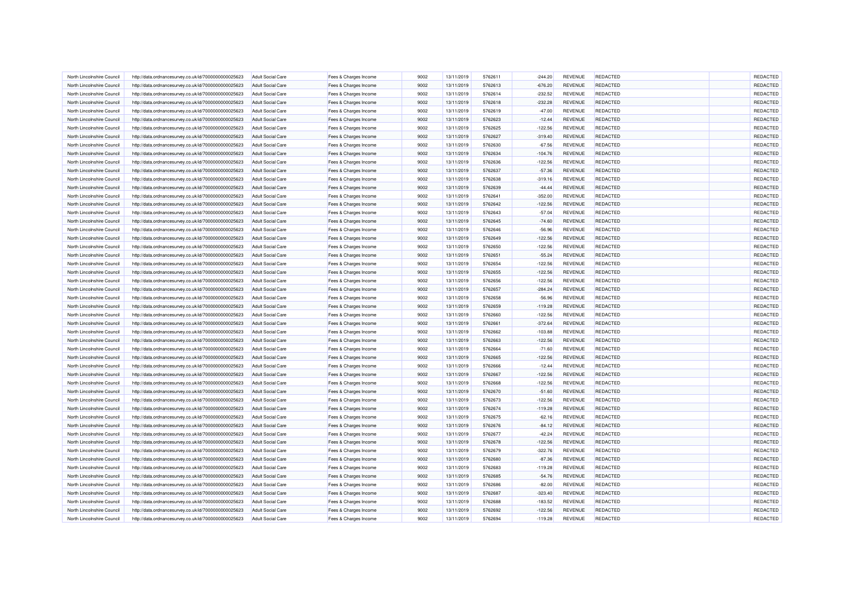| North Lincolnshire Council | http://data.ordnancesurvey.co.uk/id/7000000000025623                                                         | <b>Adult Social Care</b> | Fees & Charges Income                          | 9002 | 13/11/2019 | 5762611 | $-244.20$ | REVENUE        | REDACTED        | REDACTED |
|----------------------------|--------------------------------------------------------------------------------------------------------------|--------------------------|------------------------------------------------|------|------------|---------|-----------|----------------|-----------------|----------|
| North Lincolnshire Council | http://data.ordnancesurvey.co.uk/id/7000000000025623                                                         | <b>Adult Social Care</b> | Fees & Charges Income                          | 9002 | 13/11/2019 | 5762613 | $-676.20$ | REVENUE        | <b>REDACTED</b> | REDACTED |
| North Lincolnshire Council | http://data.ordnancesurvey.co.uk/id/7000000000025623                                                         | <b>Adult Social Care</b> | Fees & Charges Income                          | 9002 | 13/11/2019 | 5762614 | $-232.52$ | <b>REVENUE</b> | <b>REDACTED</b> | REDACTED |
| North Lincolnshire Council | http://data.ordnancesurvey.co.uk/id/7000000000025623                                                         | <b>Adult Social Care</b> | Fees & Charges Income                          | 9002 | 13/11/2019 | 5762618 | $-232.28$ | REVENUE        | REDACTED        | REDACTED |
| North Lincolnshire Council | http://data.ordnancesurvey.co.uk/id/7000000000025623                                                         | <b>Adult Social Care</b> | Fees & Charges Income                          | 9002 | 13/11/2019 | 5762619 | $-47.00$  | REVENUE        | <b>REDACTED</b> | REDACTED |
| North Lincolnshire Council | http://data.ordnancesurvey.co.uk/id/7000000000025623                                                         | <b>Adult Social Care</b> | Fees & Charges Income                          | 9002 | 13/11/2019 | 5762623 | $-12.44$  | <b>REVENUE</b> | <b>REDACTED</b> | REDACTED |
| North Lincolnshire Council | http://data.ordnancesurvey.co.uk/id/7000000000025623                                                         | <b>Adult Social Care</b> | Fees & Charges Income                          | 9002 | 13/11/2019 | 5762625 | $-122.56$ | <b>REVENUE</b> | <b>REDACTED</b> | REDACTED |
| North Lincolnshire Council | http://data.ordnancesurvey.co.uk/id/7000000000025623                                                         | <b>Adult Social Care</b> | Fees & Charges Income                          | 9002 | 13/11/2019 | 5762627 | $-319.40$ | REVENUE        | <b>REDACTED</b> | REDACTED |
| North Lincolnshire Council | http://data.ordnancesurvev.co.uk/id/7000000000025623                                                         | <b>Adult Social Care</b> | Fees & Charges Income                          | 9002 | 13/11/2019 | 5762630 | $-67.56$  | <b>REVENUE</b> | REDACTED        | REDACTED |
| North Lincolnshire Council | http://data.ordnancesurvey.co.uk/id/7000000000025623                                                         | <b>Adult Social Care</b> | Fees & Charges Income                          | 9002 | 13/11/2019 | 5762634 | $-104.76$ | <b>REVENUE</b> | <b>REDACTED</b> | REDACTED |
| North Lincolnshire Council | http://data.ordnancesurvey.co.uk/id/7000000000025623                                                         | <b>Adult Social Care</b> | Fees & Charges Income                          | 9002 | 13/11/2019 | 5762636 | $-122.56$ | REVENUE        | <b>REDACTED</b> | REDACTED |
| North Lincolnshire Council | http://data.ordnancesurvey.co.uk/id/7000000000025623                                                         | <b>Adult Social Care</b> | Fees & Charges Income                          | 9002 | 13/11/2019 | 5762637 | $-57.36$  | REVENUE        | REDACTED        | REDACTED |
| North Lincolnshire Council | http://data.ordnancesurvey.co.uk/id/7000000000025623                                                         | <b>Adult Social Care</b> | Fees & Charges Income                          | 9002 | 13/11/2019 | 5762638 | $-319.16$ | REVENUE        | <b>REDACTED</b> | REDACTED |
| North Lincolnshire Council | http://data.ordnancesurvey.co.uk/id/7000000000025623                                                         | <b>Adult Social Care</b> | Fees & Charges Income                          | 9002 | 13/11/2019 | 5762639 | $-44.44$  | <b>REVENUE</b> | <b>REDACTED</b> | REDACTED |
| North Lincolnshire Council | http://data.ordnancesurvey.co.uk/id/7000000000025623                                                         | <b>Adult Social Care</b> | Fees & Charges Income                          | 9002 | 13/11/2019 | 5762641 | $-352.00$ | <b>REVENUE</b> | <b>REDACTED</b> | REDACTED |
| North Lincolnshire Council | http://data.ordnancesurvey.co.uk/id/7000000000025623                                                         | <b>Adult Social Care</b> | Fees & Charges Income                          | 9002 | 13/11/2019 | 5762642 | $-122.56$ | REVENUE        | <b>REDACTED</b> | REDACTED |
| North Lincolnshire Council | http://data.ordnancesurvey.co.uk/id/7000000000025623                                                         | <b>Adult Social Care</b> | Fees & Charges Income                          | 9002 | 13/11/2019 | 5762643 | $-57.04$  | <b>REVENUE</b> | REDACTED        | REDACTED |
| North Lincolnshire Council | http://data.ordnancesurvey.co.uk/id/7000000000025623                                                         | <b>Adult Social Care</b> | Fees & Charges Income                          | 9002 | 13/11/2019 | 5762645 | $-74.60$  | <b>REVENUE</b> | <b>REDACTED</b> | REDACTED |
| North Lincolnshire Council |                                                                                                              | <b>Adult Social Care</b> |                                                | 9002 | 13/11/2019 | 5762646 | $-56.96$  | REVENUE        | REDACTED        | REDACTED |
| North Lincolnshire Council | http://data.ordnancesurvey.co.uk/id/7000000000025623<br>http://data.ordnancesurvey.co.uk/id/7000000000025623 | <b>Adult Social Care</b> | Fees & Charges Income                          | 9002 | 13/11/2019 | 5762649 | $-122.56$ | REVENUE        | REDACTED        | REDACTED |
| North Lincolnshire Council |                                                                                                              | <b>Adult Social Care</b> | Fees & Charges Income<br>Fees & Charges Income | 9002 | 13/11/2019 | 5762650 | $-122.56$ | REVENUE        | <b>REDACTED</b> | REDACTED |
| North Lincolnshire Council | http://data.ordnancesurvey.co.uk/id/7000000000025623                                                         | <b>Adult Social Care</b> |                                                | 9002 | 13/11/2019 | 5762651 | $-55.24$  | <b>REVENUE</b> | <b>REDACTED</b> | REDACTED |
|                            | http://data.ordnancesurvey.co.uk/id/7000000000025623                                                         |                          | Fees & Charges Income                          |      |            |         |           |                |                 | REDACTED |
| North Lincolnshire Council | http://data.ordnancesurvey.co.uk/id/7000000000025623                                                         | <b>Adult Social Care</b> | Fees & Charges Income                          | 9002 | 13/11/2019 | 5762654 | $-122.56$ | <b>REVENUE</b> | <b>REDACTED</b> |          |
| North Lincolnshire Council | http://data.ordnancesurvey.co.uk/id/7000000000025623                                                         | <b>Adult Social Care</b> | Fees & Charges Income                          | 9002 | 13/11/2019 | 5762655 | $-122.56$ | REVENUE        | REDACTED        | REDACTED |
| North Lincolnshire Council | http://data.ordnancesurvey.co.uk/id/7000000000025623                                                         | <b>Adult Social Care</b> | Fees & Charges Income                          | 9002 | 13/11/2019 | 5762656 | $-122.56$ | REVENUE        | <b>REDACTED</b> | REDACTED |
| North Lincolnshire Council | http://data.ordnancesurvey.co.uk/id/7000000000025623                                                         | <b>Adult Social Care</b> | Fees & Charges Income                          | 9002 | 13/11/2019 | 5762657 | $-284.24$ | <b>REVENUE</b> | <b>REDACTED</b> | REDACTED |
| North Lincolnshire Council | http://data.ordnancesurvey.co.uk/id/7000000000025623                                                         | <b>Adult Social Care</b> | Fees & Charges Income                          | 9002 | 13/11/2019 | 5762658 | $-56.96$  | REVENUE        | <b>REDACTED</b> | REDACTED |
| North Lincolnshire Council | http://data.ordnancesurvey.co.uk/id/7000000000025623                                                         | <b>Adult Social Care</b> | Fees & Charges Income                          | 9002 | 13/11/2019 | 5762659 | $-119.28$ | REVENUE        | <b>REDACTED</b> | REDACTED |
| North Lincolnshire Council | http://data.ordnancesurvey.co.uk/id/7000000000025623                                                         | <b>Adult Social Care</b> | Fees & Charges Income                          | 9002 | 13/11/2019 | 5762660 | $-122.56$ | REVENUE        | <b>REDACTED</b> | REDACTED |
| North Lincolnshire Council | http://data.ordnancesurvey.co.uk/id/7000000000025623                                                         | <b>Adult Social Care</b> | Fees & Charges Income                          | 9002 | 13/11/2019 | 5762661 | $-372.64$ | REVENUE        | <b>REDACTED</b> | REDACTED |
| North Lincolnshire Council | http://data.ordnancesurvey.co.uk/id/7000000000025623                                                         | <b>Adult Social Care</b> | Fees & Charges Income                          | 9002 | 13/11/2019 | 5762662 | $-103.88$ | REVENUE        | REDACTED        | REDACTED |
| North Lincolnshire Council | http://data.ordnancesurvey.co.uk/id/7000000000025623                                                         | <b>Adult Social Care</b> | Fees & Charges Income                          | 9002 | 13/11/2019 | 5762663 | $-122.56$ | REVENUE        | <b>REDACTED</b> | REDACTED |
| North Lincolnshire Council | http://data.ordnancesurvey.co.uk/id/7000000000025623                                                         | <b>Adult Social Care</b> | Fees & Charges Income                          | 9002 | 13/11/2019 | 5762664 | $-71.60$  | <b>REVENUE</b> | REDACTED        | REDACTED |
| North Lincolnshire Council | http://data.ordnancesurvey.co.uk/id/7000000000025623                                                         | <b>Adult Social Care</b> | Fees & Charges Income                          | 9002 | 13/11/2019 | 5762665 | $-122.56$ | <b>REVENUE</b> | <b>REDACTED</b> | REDACTED |
| North Lincolnshire Council | http://data.ordnancesurvey.co.uk/id/7000000000025623                                                         | <b>Adult Social Care</b> | Fees & Charges Income                          | 9002 | 13/11/2019 | 5762666 | $-12.44$  | REVENUE        | <b>REDACTED</b> | REDACTED |
| North Lincolnshire Council | http://data.ordnancesurvey.co.uk/id/7000000000025623                                                         | <b>Adult Social Care</b> | Fees & Charges Income                          | 9002 | 13/11/2019 | 5762667 | $-122.56$ | <b>REVENUE</b> | <b>REDACTED</b> | REDACTED |
| North Lincolnshire Council | http://data.ordnancesurvey.co.uk/id/7000000000025623                                                         | <b>Adult Social Care</b> | Fees & Charges Income                          | 9002 | 13/11/2019 | 5762668 | $-122.56$ | REVENUE        | <b>REDACTED</b> | REDACTED |
| North Lincolnshire Council | http://data.ordnancesurvey.co.uk/id/7000000000025623                                                         | Adult Social Care        | Fees & Charges Income                          | 9002 | 13/11/2019 | 5762670 | $-51.60$  | <b>REVENUE</b> | <b>REDACTED</b> | REDACTED |
| North Lincolnshire Council | http://data.ordnancesurvey.co.uk/id/7000000000025623                                                         | <b>Adult Social Care</b> | Fees & Charges Income                          | 9002 | 13/11/2019 | 5762673 | $-122.56$ | <b>REVENUE</b> | REDACTED        | REDACTED |
| North Lincolnshire Council | http://data.ordnancesurvey.co.uk/id/7000000000025623                                                         | <b>Adult Social Care</b> | Fees & Charges Income                          | 9002 | 13/11/2019 | 5762674 | $-119.28$ | <b>REVENUE</b> | <b>REDACTED</b> | REDACTED |
| North Lincolnshire Council | http://data.ordnancesurvey.co.uk/id/7000000000025623                                                         | <b>Adult Social Care</b> | Fees & Charges Income                          | 9002 | 13/11/2019 | 5762675 | $-62.16$  | <b>REVENUE</b> | REDACTED        | REDACTED |
| North Lincolnshire Council | http://data.ordnancesurvey.co.uk/id/7000000000025623                                                         | <b>Adult Social Care</b> | Fees & Charges Income                          | 9002 | 13/11/2019 | 5762676 | $-84.12$  | REVENUE        | <b>REDACTED</b> | REDACTED |
| North Lincolnshire Council | http://data.ordnancesurvey.co.uk/id/7000000000025623                                                         | <b>Adult Social Care</b> | Fees & Charges Income                          | 9002 | 13/11/2019 | 5762677 | $-42.24$  | REVENUE        | <b>REDACTED</b> | REDACTED |
| North Lincolnshire Council | http://data.ordnancesurvey.co.uk/id/7000000000025623                                                         | <b>Adult Social Care</b> | Fees & Charges Income                          | 9002 | 13/11/2019 | 5762678 | $-122.56$ | <b>REVENUE</b> | <b>REDACTED</b> | REDACTED |
| North Lincolnshire Council | http://data.ordnancesurvey.co.uk/id/7000000000025623                                                         | <b>Adult Social Care</b> | Fees & Charges Income                          | 9002 | 13/11/2019 | 5762679 | $-322.76$ | <b>REVENUE</b> | <b>REDACTED</b> | REDACTED |
| North Lincolnshire Council | http://data.ordnancesurvey.co.uk/id/7000000000025623                                                         | <b>Adult Social Care</b> | Fees & Charges Income                          | 9002 | 13/11/2019 | 5762680 | $-87.36$  | <b>REVENUE</b> | REDACTED        | REDACTED |
| North Lincolnshire Council | http://data.ordnancesurvey.co.uk/id/7000000000025623                                                         | <b>Adult Social Care</b> | Fees & Charges Income                          | 9002 | 13/11/2019 | 5762683 | $-119.28$ | <b>REVENUE</b> | <b>REDACTED</b> | REDACTED |
| North Lincolnshire Council | http://data.ordnancesurvey.co.uk/id/7000000000025623                                                         | <b>Adult Social Care</b> | Fees & Charges Income                          | 9002 | 13/11/2019 | 5762685 | $-54.76$  | REVENUE        | <b>REDACTED</b> | REDACTED |
| North Lincolnshire Council | http://data.ordnancesurvey.co.uk/id/7000000000025623                                                         | <b>Adult Social Care</b> | Fees & Charges Income                          | 9002 | 13/11/2019 | 5762686 | $-82.00$  | <b>REVENUE</b> | <b>REDACTED</b> | REDACTED |
| North Lincolnshire Council | http://data.ordnancesurvey.co.uk/id/7000000000025623                                                         | <b>Adult Social Care</b> | Fees & Charges Income                          | 9002 | 13/11/2019 | 5762687 | $-323.40$ | <b>REVENUE</b> | <b>REDACTED</b> | REDACTED |
| North Lincolnshire Council | http://data.ordnancesurvey.co.uk/id/7000000000025623                                                         | <b>Adult Social Care</b> | Fees & Charges Income                          | 9002 | 13/11/2019 | 5762688 | $-183.52$ | REVENUE        | REDACTED        | REDACTED |
| North Lincolnshire Council | http://data.ordnancesurvey.co.uk/id/7000000000025623                                                         | <b>Adult Social Care</b> | Fees & Charges Income                          | 9002 | 13/11/2019 | 5762692 | $-122.56$ | <b>REVENUE</b> | REDACTED        | REDACTED |
| North Lincolnshire Council | http://data.ordnancesurvey.co.uk/id/7000000000025623                                                         | <b>Adult Social Care</b> | Fees & Charges Income                          | 9002 | 13/11/2019 | 5762694 | $-119.28$ | <b>REVENUE</b> | REDACTED        | REDACTED |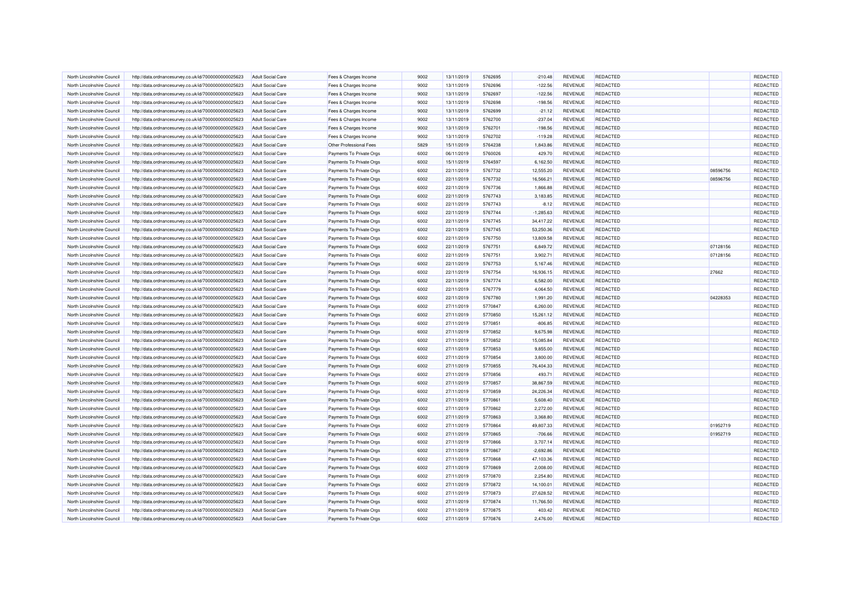| North Lincolnshire Council | http://data.ordnancesurvey.co.uk/id/7000000000025623 | <b>Adult Social Care</b> | Fees & Charges Income          | 9002 | 13/11/2019 | 5762695 | $-210.48$   | REVENUE        | <b>REDACTED</b> |          | REDACTED |
|----------------------------|------------------------------------------------------|--------------------------|--------------------------------|------|------------|---------|-------------|----------------|-----------------|----------|----------|
| North Lincolnshire Council | http://data.ordnancesurvey.co.uk/id/7000000000025623 | <b>Adult Social Care</b> | Fees & Charges Income          | 9002 | 13/11/2019 | 5762696 | $-122.56$   | REVENUE        | <b>REDACTED</b> |          | REDACTED |
| North Lincolnshire Council | http://data.ordnancesurvey.co.uk/id/7000000000025623 | <b>Adult Social Care</b> | Fees & Charges Income          | 9002 | 13/11/2019 | 5762697 | $-122.56$   | <b>REVENUE</b> | <b>REDACTED</b> |          | REDACTED |
| North Lincolnshire Council | http://data.ordnancesurvey.co.uk/id/7000000000025623 | <b>Adult Social Care</b> | Fees & Charges Income          | 9002 | 13/11/2019 | 5762698 | $-198.56$   | <b>REVENUE</b> | REDACTED        |          | REDACTED |
| North Lincolnshire Council | http://data.ordnancesurvey.co.uk/id/7000000000025623 | <b>Adult Social Care</b> | Fees & Charges Income          | 9002 | 13/11/2019 | 5762699 | $-21.12$    | REVENUE        | <b>REDACTED</b> |          | REDACTED |
| North Lincolnshire Council | http://data.ordnancesurvey.co.uk/id/7000000000025623 | <b>Adult Social Care</b> | Fees & Charges Income          | 9002 | 13/11/2019 | 5762700 | $-237.04$   | <b>REVENUE</b> | <b>REDACTED</b> |          | REDACTED |
| North Lincolnshire Council | http://data.ordnancesurvey.co.uk/id/7000000000025623 | <b>Adult Social Care</b> | Fees & Charges Income          | 9002 | 13/11/2019 | 5762701 | $-198.56$   | <b>REVENUE</b> | <b>REDACTED</b> |          | REDACTED |
| North Lincolnshire Council | http://data.ordnancesurvey.co.uk/id/7000000000025623 | <b>Adult Social Care</b> | Fees & Charges Income          | 9002 | 13/11/2019 | 5762702 | $-119.28$   | REVENUE        | <b>REDACTED</b> |          | REDACTED |
| North Lincolnshire Council | http://data.ordnancesurvey.co.uk/id/7000000000025623 | Adult Social Care        | <b>Other Professional Fees</b> | 5829 | 15/11/2019 | 5764238 | 1,843.86    | <b>REVENUE</b> | <b>REDACTED</b> |          | REDACTED |
| North Lincolnshire Council | http://data.ordnancesurvey.co.uk/id/7000000000025623 | <b>Adult Social Care</b> | Payments To Private Orgs       | 6002 | 06/11/2019 | 5760026 | 429.70      | <b>REVENUE</b> | <b>REDACTED</b> |          | REDACTED |
| North Lincolnshire Council | http://data.ordnancesurvey.co.uk/id/7000000000025623 | <b>Adult Social Care</b> | Payments To Private Orgs       | 6002 | 15/11/2019 | 5764597 | 6,162.50    | REVENUE        | <b>REDACTED</b> |          | REDACTED |
| North Lincolnshire Council | http://data.ordnancesurvey.co.uk/id/7000000000025623 | <b>Adult Social Care</b> | Payments To Private Orgs       | 6002 | 22/11/2019 | 5767732 | 12,555.20   | REVENUE        | REDACTED        | 08596756 | REDACTED |
| North Lincolnshire Council | http://data.ordnancesurvey.co.uk/id/7000000000025623 | <b>Adult Social Care</b> | Payments To Private Orgs       | 6002 | 22/11/2019 | 5767732 | 16,566.21   | <b>REVENUE</b> | <b>REDACTED</b> | 08596756 | REDACTED |
| North Lincolnshire Council | http://data.ordnancesurvey.co.uk/id/7000000000025623 | <b>Adult Social Care</b> | Payments To Private Orgs       | 6002 | 22/11/2019 | 5767736 | 1,866.88    | REVENUE        | REDACTED        |          | REDACTED |
| North Lincolnshire Council | http://data.ordnancesurvey.co.uk/id/7000000000025623 | <b>Adult Social Care</b> | Payments To Private Orgs       | 6002 | 22/11/2019 | 5767743 | 3,183.85    | <b>REVENUE</b> | <b>REDACTED</b> |          | REDACTED |
| North Lincolnshire Council | http://data.ordnancesurvey.co.uk/id/7000000000025623 | <b>Adult Social Care</b> | Payments To Private Orgs       | 6002 | 22/11/2019 | 5767743 | $-8.12$     | REVENUE        | <b>REDACTED</b> |          | REDACTED |
| North Lincolnshire Council | http://data.ordnancesurvey.co.uk/id/7000000000025623 | <b>Adult Social Care</b> | Payments To Private Orgs       | 6002 | 22/11/2019 | 5767744 | $-1,285.63$ | <b>REVENUE</b> | <b>REDACTED</b> |          | REDACTED |
| North Lincolnshire Council | http://data.ordnancesurvey.co.uk/id/7000000000025623 | <b>Adult Social Care</b> | Payments To Private Orgs       | 6002 | 22/11/2019 | 5767745 | 34,417.22   | <b>REVENUE</b> | <b>REDACTED</b> |          | REDACTED |
| North Lincolnshire Council | http://data.ordnancesurvey.co.uk/id/7000000000025623 | <b>Adult Social Care</b> | Payments To Private Orgs       | 6002 | 22/11/2019 | 5767745 | 53,250.36   | REVENUE        | <b>REDACTED</b> |          | REDACTED |
| North Lincolnshire Council | http://data.ordnancesurvey.co.uk/id/7000000000025623 | <b>Adult Social Care</b> | Payments To Private Orgs       | 6002 | 22/11/2019 | 5767750 | 13,809.58   | REVENUE        | REDACTED        |          | REDACTED |
| North Lincolnshire Council | http://data.ordnancesurvey.co.uk/id/7000000000025623 | <b>Adult Social Care</b> | Payments To Private Orgs       | 6002 | 22/11/2019 | 5767751 | 6,849.72    | REVENUE        | <b>REDACTED</b> | 07128156 | REDACTED |
| North Lincolnshire Council | http://data.ordnancesurvey.co.uk/id/7000000000025623 | Adult Social Care        | Payments To Private Orgs       | 6002 | 22/11/2019 | 5767751 | 3,902.71    | <b>REVENUE</b> | <b>REDACTED</b> | 07128156 | REDACTED |
| North Lincolnshire Council | http://data.ordnancesurvey.co.uk/id/7000000000025623 | <b>Adult Social Care</b> | Payments To Private Orgs       | 6002 | 22/11/2019 | 5767753 | 5,167.46    | <b>REVENUE</b> | <b>REDACTED</b> |          | REDACTED |
| North Lincolnshire Council | http://data.ordnancesurvey.co.uk/id/7000000000025623 | <b>Adult Social Care</b> | Payments To Private Orgs       | 6002 | 22/11/2019 | 5767754 | 16,936.15   | REVENUE        | REDACTED        | 27662    | REDACTED |
| North Lincolnshire Council | http://data.ordnancesurvey.co.uk/id/7000000000025623 | <b>Adult Social Care</b> | Payments To Private Orgs       | 6002 | 22/11/2019 | 5767774 | 6,582.00    | <b>REVENUE</b> | <b>REDACTED</b> |          | REDACTED |
| North Lincolnshire Council | http://data.ordnancesurvey.co.uk/id/7000000000025623 | <b>Adult Social Care</b> | Payments To Private Orgs       | 6002 | 22/11/2019 | 5767779 | 4,064.50    | <b>REVENUE</b> | <b>REDACTED</b> |          | REDACTED |
| North Lincolnshire Council | http://data.ordnancesurvey.co.uk/id/7000000000025623 | <b>Adult Social Care</b> | Payments To Private Orgs       | 6002 | 22/11/2019 | 5767780 | 1,991.20    | <b>REVENUE</b> | <b>REDACTED</b> | 04228353 | REDACTED |
| North Lincolnshire Council | http://data.ordnancesurvey.co.uk/id/7000000000025623 | <b>Adult Social Care</b> | Payments To Private Orgs       | 6002 | 27/11/2019 | 5770847 | 6,260.00    | REVENUE        | REDACTED        |          | REDACTED |
| North Lincolnshire Council | http://data.ordnancesurvey.co.uk/id/7000000000025623 | <b>Adult Social Care</b> | Payments To Private Orgs       | 6002 | 27/11/2019 | 5770850 | 15,261.12   | <b>REVENUE</b> | <b>REDACTED</b> |          | REDACTED |
| North Lincolnshire Council | http://data.ordnancesurvey.co.uk/id/7000000000025623 | <b>Adult Social Care</b> | Payments To Private Orgs       | 6002 | 27/11/2019 | 5770851 | $-806.85$   | REVENUE        | <b>REDACTED</b> |          | REDACTED |
| North Lincolnshire Council | http://data.ordnancesurvey.co.uk/id/7000000000025623 | <b>Adult Social Care</b> | Payments To Private Orgs       | 6002 | 27/11/2019 | 5770852 | 9,675.98    | <b>REVENUE</b> | REDACTED        |          | REDACTED |
| North Lincolnshire Council | http://data.ordnancesurvey.co.uk/id/7000000000025623 | <b>Adult Social Care</b> | Payments To Private Orgs       | 6002 | 27/11/2019 | 5770852 | 15,085.84   | REVENUE        | <b>REDACTED</b> |          | REDACTED |
| North Lincolnshire Council | http://data.ordnancesurvey.co.uk/id/7000000000025623 | <b>Adult Social Care</b> | Payments To Private Orgs       | 6002 | 27/11/2019 | 5770853 | 9,855.00    | <b>REVENUE</b> | <b>REDACTED</b> |          | REDACTED |
| North Lincolnshire Council | http://data.ordnancesurvey.co.uk/id/7000000000025623 | <b>Adult Social Care</b> | Payments To Private Orgs       | 6002 | 27/11/2019 | 5770854 | 3,800.00    | REVENUE        | <b>REDACTED</b> |          | REDACTED |
| North Lincolnshire Council | http://data.ordnancesurvey.co.uk/id/7000000000025623 | <b>Adult Social Care</b> | Payments To Private Orgs       | 6002 | 27/11/2019 | 5770855 | 76,404.33   | <b>REVENUE</b> | <b>REDACTED</b> |          | REDACTED |
| North Lincolnshire Council | http://data.ordnancesurvey.co.uk/id/7000000000025623 | Adult Social Care        | Payments To Private Orgs       | 6002 | 27/11/2019 | 5770856 | 493.71      | <b>REVENUE</b> | <b>REDACTED</b> |          | REDACTED |
| North Lincolnshire Council | http://data.ordnancesurvey.co.uk/id/7000000000025623 | <b>Adult Social Care</b> | Payments To Private Orgs       | 6002 | 27/11/2019 | 5770857 | 38,867.59   | <b>REVENUE</b> | <b>REDACTED</b> |          | REDACTED |
| North Lincolnshire Council | http://data.ordnancesurvey.co.uk/id/7000000000025623 | <b>Adult Social Care</b> | Payments To Private Orgs       | 6002 | 27/11/2019 | 5770859 | 24,226.34   | REVENUE        | <b>REDACTED</b> |          | REDACTED |
| North Lincolnshire Council | http://data.ordnancesurvey.co.uk/id/7000000000025623 | <b>Adult Social Care</b> | Payments To Private Orgs       | 6002 | 27/11/2019 | 5770861 | 5,608.40    | REVENUE        | REDACTED        |          | REDACTED |
| North Lincolnshire Council | http://data.ordnancesurvey.co.uk/id/7000000000025623 | <b>Adult Social Care</b> | Payments To Private Orgs       | 6002 | 27/11/2019 | 5770862 | 2,272.00    | REVENUE        | <b>REDACTED</b> |          | REDACTED |
| North Lincolnshire Council | http://data.ordnancesurvey.co.uk/id/7000000000025623 | <b>Adult Social Care</b> | Payments To Private Orgs       | 6002 | 27/11/2019 | 5770863 | 3,368.80    | REVENUE        | <b>REDACTED</b> |          | REDACTED |
| North Lincolnshire Council | http://data.ordnancesurvey.co.uk/id/7000000000025623 | <b>Adult Social Care</b> | Payments To Private Orgs       | 6002 | 27/11/2019 | 5770864 | 49,807.33   | <b>REVENUE</b> | <b>REDACTED</b> | 01952719 | REDACTED |
| North Lincolnshire Council | http://data.ordnancesurvey.co.uk/id/7000000000025623 | <b>Adult Social Care</b> | Payments To Private Orgs       | 6002 | 27/11/2019 | 5770865 | $-706.66$   | REVENUE        | <b>REDACTED</b> | 01952719 | REDACTED |
| North Lincolnshire Council | http://data.ordnancesurvey.co.uk/id/7000000000025623 | <b>Adult Social Care</b> | Payments To Private Orgs       | 6002 | 27/11/2019 | 5770866 | 3,707.14    | <b>REVENUE</b> | <b>REDACTED</b> |          | REDACTED |
| North Lincolnshire Council | http://data.ordnancesurvey.co.uk/id/7000000000025623 | <b>Adult Social Care</b> | Payments To Private Orgs       | 6002 | 27/11/2019 | 5770867 | $-2,692.86$ | REVENUE        | <b>REDACTED</b> |          | REDACTED |
|                            |                                                      |                          |                                |      |            |         |             |                |                 |          |          |
| North Lincolnshire Council | http://data.ordnancesurvey.co.uk/id/7000000000025623 | <b>Adult Social Care</b> | Payments To Private Orgs       | 6002 | 27/11/2019 | 5770868 | 47,103.36   | REVENUE        | <b>REDACTED</b> |          | REDACTED |
| North Lincolnshire Council | http://data.ordnancesurvey.co.uk/id/7000000000025623 | <b>Adult Social Care</b> | Payments To Private Orgs       | 6002 | 27/11/2019 | 5770869 | 2,008.00    | REVENUE        | REDACTED        |          | REDACTED |
| North Lincolnshire Council | http://data.ordnancesurvey.co.uk/id/7000000000025623 | <b>Adult Social Care</b> | Payments To Private Orgs       | 6002 | 27/11/2019 | 5770870 | 2,254.80    | REVENUE        | <b>REDACTED</b> |          | REDACTED |
| North Lincolnshire Council | http://data.ordnancesurvey.co.uk/id/7000000000025623 | <b>Adult Social Care</b> | Payments To Private Orgs       | 6002 | 27/11/2019 | 5770872 | 14,100.01   | <b>REVENUE</b> | <b>REDACTED</b> |          | REDACTED |
| North Lincolnshire Council | http://data.ordnancesurvey.co.uk/id/7000000000025623 | <b>Adult Social Care</b> | Payments To Private Orgs       | 6002 | 27/11/2019 | 5770873 | 27,628.52   | <b>REVENUE</b> | <b>REDACTED</b> |          | REDACTED |
| North Lincolnshire Council | http://data.ordnancesurvey.co.uk/id/7000000000025623 | <b>Adult Social Care</b> | Payments To Private Orgs       | 6002 | 27/11/2019 | 5770874 | 11,766.50   | REVENUE        | <b>REDACTED</b> |          | REDACTED |
| North Lincolnshire Council | http://data.ordnancesurvey.co.uk/id/7000000000025623 | <b>Adult Social Care</b> | Payments To Private Orgs       | 6002 | 27/11/2019 | 5770875 | 403.42      | <b>REVENUE</b> | <b>REDACTED</b> |          | REDACTED |
| North Lincolnshire Council | http://data.ordnancesurvey.co.uk/id/7000000000025623 | <b>Adult Social Care</b> | Payments To Private Orgs       | 6002 | 27/11/2019 | 5770876 | 2,476.00    | <b>REVENUE</b> | REDACTED        |          | REDACTED |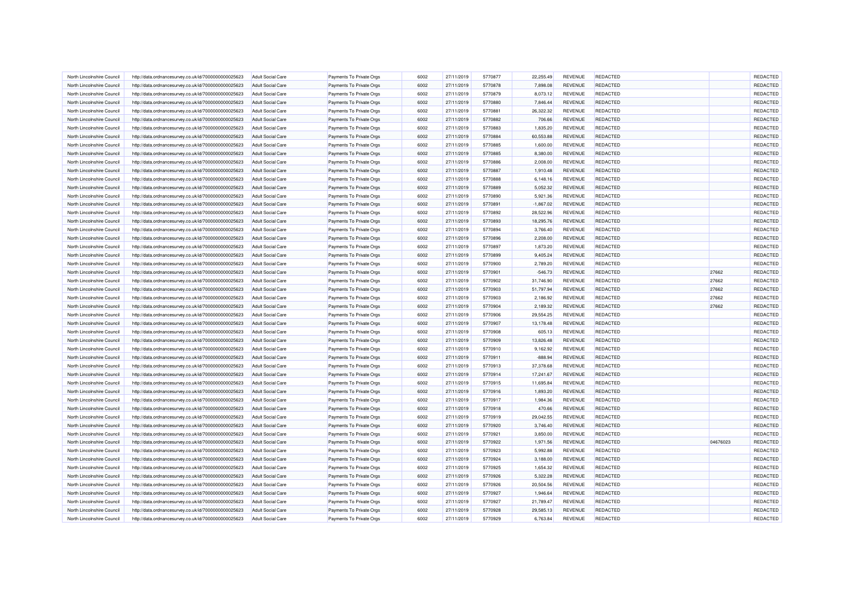| North Lincolnshire Council | http://data.ordnancesurvey.co.uk/id/7000000000025623 | Adult Social Care        | Payments To Private Orgs | 6002 | 27/11/2019 | 5770877 | 22,255.49   | <b>REVENUE</b> | <b>REDACTED</b> |          | REDACTED        |
|----------------------------|------------------------------------------------------|--------------------------|--------------------------|------|------------|---------|-------------|----------------|-----------------|----------|-----------------|
| North Lincolnshire Council | http://data.ordnancesurvey.co.uk/id/7000000000025623 | <b>Adult Social Care</b> | Payments To Private Orgs | 6002 | 27/11/2019 | 5770878 | 7,898.08    | <b>REVENUE</b> | REDACTED        |          | REDACTED        |
| North Lincolnshire Council | http://data.ordnancesurvey.co.uk/id/7000000000025623 | <b>Adult Social Care</b> | Payments To Private Orgs | 6002 | 27/11/2019 | 5770879 | 8,073.12    | REVENUE        | REDACTED        |          | REDACTED        |
| North Lincolnshire Council | http://data.ordnancesurvey.co.uk/id/7000000000025623 | <b>Adult Social Care</b> | Payments To Private Orgs | 6002 | 27/11/2019 | 5770880 | 7,846.44    | REVENUE        | <b>REDACTED</b> |          | REDACTED        |
| North Lincolnshire Council | http://data.ordnancesurvey.co.uk/id/7000000000025623 | <b>Adult Social Care</b> | Payments To Private Orgs | 6002 | 27/11/2019 | 5770881 | 26,322.32   | <b>REVENUE</b> | <b>REDACTED</b> |          | REDACTED        |
| North Lincolnshire Council | http://data.ordnancesurvey.co.uk/id/7000000000025623 | <b>Adult Social Care</b> | Payments To Private Orgs | 6002 | 27/11/2019 | 5770882 | 706.66      | REVENUE        | REDACTED        |          | REDACTED        |
| North Lincolnshire Council | http://data.ordnancesurvey.co.uk/id/7000000000025623 | <b>Adult Social Care</b> | Payments To Private Orgs | 6002 | 27/11/2019 | 5770883 | 1,835.20    | <b>REVENUE</b> | REDACTED        |          | REDACTED        |
| North Lincolnshire Council | http://data.ordnancesurvey.co.uk/id/7000000000025623 | Adult Social Care        | Payments To Private Orgs | 6002 | 27/11/2019 | 5770884 | 60,553.88   | <b>REVENUE</b> | <b>REDACTED</b> |          | REDACTED        |
| North Lincolnshire Council | http://data.ordnancesurvey.co.uk/id/7000000000025623 | <b>Adult Social Care</b> | Payments To Private Orgs | 6002 | 27/11/2019 | 5770885 | 1,600.00    | REVENUE        | REDACTED        |          | REDACTED        |
| North Lincolnshire Council | http://data.ordnancesurvey.co.uk/id/7000000000025623 | <b>Adult Social Care</b> | Payments To Private Orgs | 6002 | 27/11/2019 | 5770885 | 8,380.00    | <b>REVENUE</b> | <b>REDACTED</b> |          | REDACTED        |
| North Lincolnshire Council | http://data.ordnancesurvey.co.uk/id/7000000000025623 | <b>Adult Social Care</b> | Payments To Private Orgs | 6002 | 27/11/2019 | 5770886 | 2,008.00    | <b>REVENUE</b> | <b>REDACTED</b> |          | REDACTED        |
| North Lincolnshire Council | http://data.ordnancesurvey.co.uk/id/7000000000025623 | Adult Social Care        | Payments To Private Orgs | 6002 | 27/11/2019 | 5770887 | 1,910.48    | <b>REVENUE</b> | <b>REDACTED</b> |          | <b>REDACTED</b> |
| North Lincolnshire Council | http://data.ordnancesurvey.co.uk/id/7000000000025623 | <b>Adult Social Care</b> | Payments To Private Orgs | 6002 | 27/11/2019 | 5770888 | 6,148.16    | <b>REVENUE</b> | <b>REDACTED</b> |          | REDACTED        |
| North Lincolnshire Council | http://data.ordnancesurvey.co.uk/id/7000000000025623 | <b>Adult Social Care</b> | Payments To Private Orgs | 6002 | 27/11/2019 | 5770889 | 5,052.32    | REVENUE        | <b>REDACTED</b> |          | REDACTED        |
| North Lincolnshire Council | http://data.ordnancesurvey.co.uk/id/7000000000025623 | <b>Adult Social Care</b> | Payments To Private Orgs | 6002 | 27/11/2019 | 5770890 | 5,921.36    | REVENUE        | <b>REDACTED</b> |          | REDACTED        |
| North Lincolnshire Council | http://data.ordnancesurvey.co.uk/id/7000000000025623 | Adult Social Care        | Payments To Private Orgs | 6002 | 27/11/2019 | 5770891 | $-1,867.02$ | REVENUE        | <b>REDACTED</b> |          | REDACTED        |
| North Lincolnshire Council | http://data.ordnancesurvey.co.uk/id/7000000000025623 | <b>Adult Social Care</b> | Payments To Private Orgs | 6002 | 27/11/2019 | 5770892 | 28,522.96   | REVENUE        | REDACTED        |          | REDACTED        |
| North Lincolnshire Council | http://data.ordnancesurvey.co.uk/id/7000000000025623 | Adult Social Care        | Payments To Private Orgs | 6002 | 27/11/2019 | 5770893 | 18,295.76   | <b>REVENUE</b> | <b>REDACTED</b> |          | REDACTED        |
| North Lincolnshire Council | http://data.ordnancesurvey.co.uk/id/7000000000025623 | Adult Social Care        | Payments To Private Orgs | 6002 | 27/11/2019 | 5770894 | 3,766.40    | REVENUE        | REDACTED        |          | REDACTED        |
| North Lincolnshire Council | http://data.ordnancesurvey.co.uk/id/7000000000025623 | <b>Adult Social Care</b> | Payments To Private Orgs | 6002 | 27/11/2019 | 5770896 | 2,208.00    | <b>REVENUE</b> | <b>REDACTED</b> |          | REDACTED        |
| North Lincolnshire Council | http://data.ordnancesurvey.co.uk/id/7000000000025623 | <b>Adult Social Care</b> | Payments To Private Orgs | 6002 | 27/11/2019 | 5770897 | 1,873.20    | <b>REVENUE</b> | <b>REDACTED</b> |          | REDACTED        |
| North Lincolnshire Council | http://data.ordnancesurvey.co.uk/id/7000000000025623 | <b>Adult Social Care</b> | Payments To Private Orgs | 6002 | 27/11/2019 | 5770899 | 9,405.24    | <b>REVENUE</b> | <b>REDACTED</b> |          | REDACTED        |
| North Lincolnshire Council | http://data.ordnancesurvey.co.uk/id/7000000000025623 | <b>Adult Social Care</b> | Payments To Private Orgs | 6002 | 27/11/2019 | 5770900 | 2,789.20    | REVENUE        | REDACTED        |          | REDACTED        |
| North Lincolnshire Council | http://data.ordnancesurvey.co.uk/id/7000000000025623 | <b>Adult Social Care</b> | Payments To Private Orgs | 6002 | 27/11/2019 | 5770901 | $-546.73$   | <b>REVENUE</b> | <b>REDACTED</b> | 27662    | REDACTED        |
| North Lincolnshire Council | http://data.ordnancesurvey.co.uk/id/7000000000025623 | Adult Social Care        | Payments To Private Orgs | 6002 | 27/11/2019 | 5770902 | 31,746.90   | REVENUE        | <b>REDACTED</b> | 27662    | REDACTED        |
| North Lincolnshire Council | http://data.ordnancesurvey.co.uk/id/7000000000025623 | <b>Adult Social Care</b> | Payments To Private Orgs | 6002 | 27/11/2019 | 5770903 | 51,797.94   | <b>REVENUE</b> | REDACTED        | 27662    | REDACTED        |
| North Lincolnshire Council | http://data.ordnancesurvey.co.uk/id/7000000000025623 | <b>Adult Social Care</b> | Payments To Private Orgs | 6002 | 27/11/2019 | 5770903 | 2,186.92    | REVENUE        | REDACTED        | 27662    | REDACTED        |
| North Lincolnshire Council | http://data.ordnancesurvey.co.uk/id/7000000000025623 | <b>Adult Social Care</b> | Payments To Private Orgs | 6002 | 27/11/2019 | 5770904 | 2,189.32    | <b>REVENUE</b> | <b>REDACTED</b> | 27662    | REDACTED        |
| North Lincolnshire Council | http://data.ordnancesurvey.co.uk/id/7000000000025623 | <b>Adult Social Care</b> | Payments To Private Orgs | 6002 | 27/11/2019 | 5770906 | 29,554.25   | REVENUE        | REDACTED        |          | REDACTED        |
| North Lincolnshire Council | http://data.ordnancesurvey.co.uk/id/7000000000025623 | Adult Social Care        | Payments To Private Orgs | 6002 | 27/11/2019 | 5770907 | 13,178.48   | <b>REVENUE</b> | <b>REDACTED</b> |          | REDACTED        |
| North Lincolnshire Council | http://data.ordnancesurvey.co.uk/id/7000000000025623 | <b>Adult Social Care</b> | Payments To Private Orgs | 6002 | 27/11/2019 | 5770908 | 605.13      | <b>REVENUE</b> | REDACTED        |          | REDACTED        |
| North Lincolnshire Council | http://data.ordnancesurvey.co.uk/id/7000000000025623 | <b>Adult Social Care</b> | Payments To Private Orgs | 6002 | 27/11/2019 | 5770909 | 13,826.48   | <b>REVENUE</b> | <b>REDACTED</b> |          | REDACTED        |
| North Lincolnshire Council | http://data.ordnancesurvey.co.uk/id/7000000000025623 | Adult Social Care        | Payments To Private Orgs | 6002 | 27/11/2019 | 5770910 | 9.162.92    | <b>REVENUE</b> | <b>REDACTED</b> |          | REDACTED        |
| North Lincolnshire Council | http://data.ordnancesurvey.co.uk/id/7000000000025623 | <b>Adult Social Care</b> | Payments To Private Orgs | 6002 | 27/11/2019 | 5770911 | $-888.94$   | <b>REVENUE</b> | REDACTED        |          | REDACTED        |
| North Lincolnshire Council | http://data.ordnancesurvey.co.uk/id/7000000000025623 | Adult Social Care        | Payments To Private Orgs | 6002 | 27/11/2019 | 5770913 | 37,378.68   | REVENUE        | REDACTED        |          | REDACTED        |
| North Lincolnshire Council | http://data.ordnancesurvey.co.uk/id/7000000000025623 | <b>Adult Social Care</b> | Payments To Private Orgs | 6002 | 27/11/2019 | 5770914 | 17,241.67   | <b>REVENUE</b> | <b>REDACTED</b> |          | REDACTED        |
| North Lincolnshire Council | http://data.ordnancesurvey.co.uk/id/7000000000025623 | <b>Adult Social Care</b> | Payments To Private Orgs | 6002 | 27/11/2019 | 5770915 | 11,695.84   | <b>REVENUE</b> | <b>REDACTED</b> |          | REDACTED        |
| North Lincolnshire Council | http://data.ordnancesurvey.co.uk/id/7000000000025623 | <b>Adult Social Care</b> | Payments To Private Orgs | 6002 | 27/11/2019 | 5770916 | 1,893.20    | <b>REVENUE</b> | <b>REDACTED</b> |          | REDACTED        |
| North Lincolnshire Council | http://data.ordnancesurvey.co.uk/id/7000000000025623 | <b>Adult Social Care</b> | Payments To Private Orgs | 6002 | 27/11/2019 | 5770917 | 1,984.36    | <b>REVENUE</b> | REDACTED        |          | REDACTED        |
| North Lincolnshire Council | http://data.ordnancesurvey.co.uk/id/7000000000025623 | Adult Social Care        | Payments To Private Orgs | 6002 | 27/11/2019 | 5770918 | 470.66      | REVENUE        | <b>REDACTED</b> |          | REDACTED        |
| North Lincolnshire Council | http://data.ordnancesurvey.co.uk/id/7000000000025623 | <b>Adult Social Care</b> | Payments To Private Orgs | 6002 | 27/11/2019 | 5770919 | 29,042.55   | REVENUE        | REDACTED        |          | REDACTED        |
| North Lincolnshire Council | http://data.ordnancesurvey.co.uk/id/7000000000025623 | <b>Adult Social Care</b> | Payments To Private Orgs | 6002 | 27/11/2019 | 5770920 | 3,746.40    | REVENUE        | <b>REDACTED</b> |          | REDACTED        |
| North Lincolnshire Council | http://data.ordnancesurvey.co.uk/id/7000000000025623 | <b>Adult Social Care</b> | Payments To Private Orgs | 6002 | 27/11/2019 | 5770921 | 3,850.00    | <b>REVENUE</b> | <b>REDACTED</b> |          | REDACTED        |
| North Lincolnshire Council | http://data.ordnancesurvey.co.uk/id/7000000000025623 | Adult Social Care        | Payments To Private Orgs | 6002 | 27/11/2019 | 5770922 | 1.971.56    | <b>REVENUE</b> | <b>REDACTED</b> | 04676023 | REDACTED        |
| North Lincolnshire Council | http://data.ordnancesurvey.co.uk/id/7000000000025623 | <b>Adult Social Care</b> | Payments To Private Orgs | 6002 | 27/11/2019 | 5770923 | 5,992.88    | REVENUE        | REDACTED        |          | REDACTED        |
| North Lincolnshire Council | http://data.ordnancesurvey.co.uk/id/7000000000025623 | Adult Social Care        | Payments To Private Orgs | 6002 | 27/11/2019 | 5770924 | 3,188.00    | REVENUE        | <b>REDACTED</b> |          | REDACTED        |
| North Lincolnshire Council | http://data.ordnancesurvey.co.uk/id/7000000000025623 | <b>Adult Social Care</b> | Payments To Private Orgs | 6002 | 27/11/2019 | 5770925 | 1,654.32    | REVENUE        | REDACTED        |          | REDACTED        |
| North Lincolnshire Council | http://data.ordnancesurvey.co.uk/id/7000000000025623 | Adult Social Care        | Payments To Private Orgs | 6002 | 27/11/2019 | 5770926 | 5,322.28    | REVENUE        | <b>REDACTED</b> |          | REDACTED        |
| North Lincolnshire Council | http://data.ordnancesurvey.co.uk/id/7000000000025623 | <b>Adult Social Care</b> | Payments To Private Orgs | 6002 | 27/11/2019 | 5770926 | 20,504.56   | REVENUE        | <b>REDACTED</b> |          | REDACTED        |
| North Lincolnshire Council | http://data.ordnancesurvey.co.uk/id/7000000000025623 | Adult Social Care        | Payments To Private Orgs | 6002 | 27/11/2019 | 5770927 | 1,946.64    | <b>REVENUE</b> | <b>REDACTED</b> |          | REDACTED        |
| North Lincolnshire Council | http://data.ordnancesurvey.co.uk/id/7000000000025623 | <b>Adult Social Care</b> | Payments To Private Orgs | 6002 | 27/11/2019 | 5770927 | 21,789.47   | REVENUE        | REDACTED        |          | REDACTED        |
| North Lincolnshire Council | http://data.ordnancesurvey.co.uk/id/7000000000025623 | <b>Adult Social Care</b> | Payments To Private Orgs | 6002 | 27/11/2019 | 5770928 | 29,585.13   | <b>REVENUE</b> | <b>REDACTED</b> |          | REDACTED        |
| North Lincolnshire Council | http://data.ordnancesurvey.co.uk/id/7000000000025623 | Adult Social Care        | Payments To Private Orgs | 6002 | 27/11/2019 | 5770929 | 6,763.84    | REVENUE        | <b>REDACTED</b> |          | REDACTED        |
|                            |                                                      |                          |                          |      |            |         |             |                |                 |          |                 |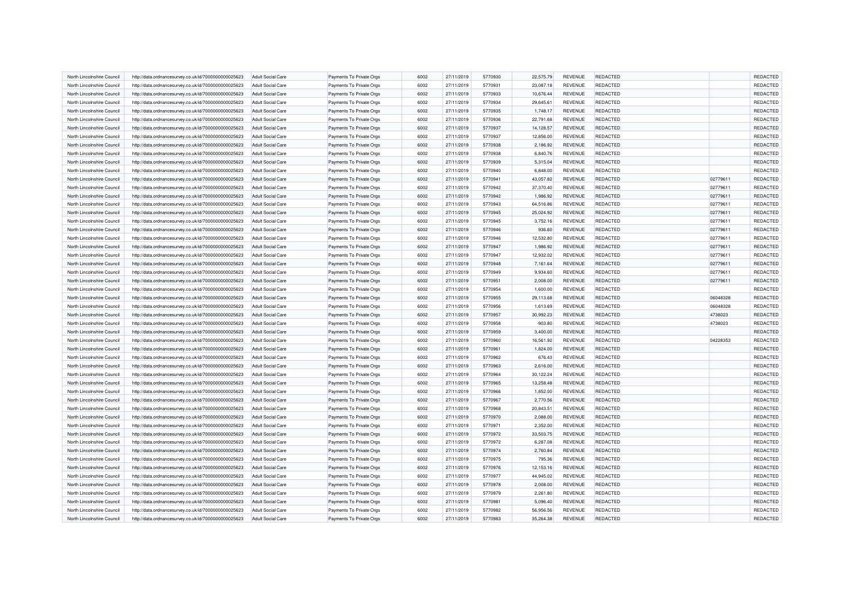| North Lincolnshire Council | http://data.ordnancesurvey.co.uk/id/7000000000025623 | <b>Adult Social Care</b> | Payments To Private Orgs | 6002 | 27/11/2019 | 5770930 | 22,575.79 | REVENUE        | <b>REDACTED</b> |          | REDACTED |
|----------------------------|------------------------------------------------------|--------------------------|--------------------------|------|------------|---------|-----------|----------------|-----------------|----------|----------|
| North Lincolnshire Council | http://data.ordnancesurvey.co.uk/id/7000000000025623 | <b>Adult Social Care</b> | Payments To Private Orgs | 6002 | 27/11/2019 | 5770931 | 23,087.18 | <b>REVENUE</b> | <b>REDACTED</b> |          | REDACTED |
| North Lincolnshire Council | http://data.ordnancesurvey.co.uk/id/7000000000025623 | <b>Adult Social Care</b> | Payments To Private Orgs | 6002 | 27/11/2019 | 5770933 | 10.676.44 | <b>REVENUE</b> | <b>REDACTED</b> |          | REDACTED |
| North Lincolnshire Council | http://data.ordnancesurvey.co.uk/id/7000000000025623 | <b>Adult Social Care</b> | Payments To Private Orgs | 6002 | 27/11/2019 | 5770934 | 29,645.61 | <b>REVENUE</b> | REDACTED        |          | REDACTED |
| North Lincolnshire Council | http://data.ordnancesurvey.co.uk/id/7000000000025623 | <b>Adult Social Care</b> | Payments To Private Orgs | 6002 | 27/11/2019 | 5770935 | 1,748.17  | REVENUE        | <b>REDACTED</b> |          | REDACTED |
| North Lincolnshire Council | http://data.ordnancesurvey.co.uk/id/7000000000025623 | <b>Adult Social Care</b> | Payments To Private Orgs | 6002 | 27/11/2019 | 5770936 | 22,791.68 | <b>REVENUE</b> | <b>REDACTED</b> |          | REDACTED |
| North Lincolnshire Council | http://data.ordnancesurvey.co.uk/id/7000000000025623 | <b>Adult Social Care</b> | Payments To Private Orgs | 6002 | 27/11/2019 | 5770937 | 14,128.57 | <b>REVENUE</b> | <b>REDACTED</b> |          | REDACTED |
| North Lincolnshire Council | http://data.ordnancesurvey.co.uk/id/7000000000025623 | <b>Adult Social Care</b> | Payments To Private Orgs | 6002 | 27/11/2019 | 5770937 | 12,856.00 | REVENUE        | <b>REDACTED</b> |          | REDACTED |
| North Lincolnshire Council | http://data.ordnancesurvey.co.uk/id/7000000000025623 | Adult Social Care        | Payments To Private Oras | 6002 | 27/11/2019 | 5770938 | 2.186.92  | <b>REVENUE</b> | <b>REDACTED</b> |          | REDACTED |
| North Lincolnshire Council | http://data.ordnancesurvey.co.uk/id/7000000000025623 | <b>Adult Social Care</b> | Payments To Private Orgs | 6002 | 27/11/2019 | 5770938 | 6,840.76  | <b>REVENUE</b> | <b>REDACTED</b> |          | REDACTED |
| North Lincolnshire Council | http://data.ordnancesurvey.co.uk/id/7000000000025623 | <b>Adult Social Care</b> | Payments To Private Orgs | 6002 | 27/11/2019 | 5770939 | 5,315.04  | REVENUE        | <b>REDACTED</b> |          | REDACTED |
| North Lincolnshire Council | http://data.ordnancesurvey.co.uk/id/7000000000025623 | <b>Adult Social Care</b> | Payments To Private Orgs | 6002 | 27/11/2019 | 5770940 | 6,848.00  | REVENUE        | REDACTED        |          | REDACTED |
| North Lincolnshire Council | http://data.ordnancesurvey.co.uk/id/7000000000025623 | <b>Adult Social Care</b> | Payments To Private Orgs | 6002 | 27/11/2019 | 5770941 | 43,057.82 | REVENUE        | <b>REDACTED</b> | 02779611 | REDACTED |
| North Lincolnshire Council | http://data.ordnancesurvey.co.uk/id/7000000000025623 | <b>Adult Social Care</b> | Payments To Private Orgs | 6002 | 27/11/2019 | 5770942 | 37,370.40 | REVENUE        | REDACTED        | 02779611 | REDACTED |
| North Lincolnshire Council | http://data.ordnancesurvey.co.uk/id/7000000000025623 | <b>Adult Social Care</b> | Payments To Private Orgs | 6002 | 27/11/2019 | 5770942 | 1,986.92  | <b>REVENUE</b> | <b>REDACTED</b> | 02779611 | REDACTED |
| North Lincolnshire Council | http://data.ordnancesurvey.co.uk/id/7000000000025623 | <b>Adult Social Care</b> | Payments To Private Orgs | 6002 | 27/11/2019 | 5770943 | 64,516.86 | REVENUE        | <b>REDACTED</b> | 02779611 | REDACTED |
| North Lincolnshire Council | http://data.ordnancesurvey.co.uk/id/7000000000025623 | <b>Adult Social Care</b> | Payments To Private Orgs | 6002 | 27/11/2019 | 5770945 | 25,024.92 | <b>REVENUE</b> | <b>REDACTED</b> | 02779611 | REDACTED |
| North Lincolnshire Council | http://data.ordnancesurvey.co.uk/id/7000000000025623 | <b>Adult Social Care</b> | Payments To Private Orgs | 6002 | 27/11/2019 | 5770945 | 3,752.16  | <b>REVENUE</b> | <b>REDACTED</b> | 02779611 | REDACTED |
| North Lincolnshire Council | http://data.ordnancesurvey.co.uk/id/7000000000025623 | <b>Adult Social Care</b> | Payments To Private Orgs | 6002 | 27/11/2019 | 5770946 | 936.60    | REVENUE        | <b>REDACTED</b> | 02779611 | REDACTED |
| North Lincolnshire Council | http://data.ordnancesurvey.co.uk/id/7000000000025623 | <b>Adult Social Care</b> | Payments To Private Orgs | 6002 | 27/11/2019 | 5770946 | 12,532.80 | REVENUE        | REDACTED        | 02779611 | REDACTED |
| North Lincolnshire Council | http://data.ordnancesurvey.co.uk/id/7000000000025623 | <b>Adult Social Care</b> | Payments To Private Orgs | 6002 | 27/11/2019 | 5770947 | 1,986.92  | REVENUE        | <b>REDACTED</b> | 02779611 | REDACTED |
| North Lincolnshire Council |                                                      | Adult Social Care        |                          | 6002 | 27/11/2019 | 5770947 | 12,932.02 | <b>REVENUE</b> | <b>REDACTED</b> | 02779611 | REDACTED |
| North Lincolnshire Council | http://data.ordnancesurvey.co.uk/id/7000000000025623 | <b>Adult Social Care</b> | Payments To Private Orgs | 6002 | 27/11/2019 | 5770948 | 7,161.64  | <b>REVENUE</b> | <b>REDACTED</b> | 02779611 | REDACTED |
|                            | http://data.ordnancesurvey.co.uk/id/7000000000025623 |                          | Payments To Private Orgs |      |            |         |           |                |                 |          |          |
| North Lincolnshire Council | http://data.ordnancesurvey.co.uk/id/7000000000025623 | <b>Adult Social Care</b> | Payments To Private Orgs | 6002 | 27/11/2019 | 5770949 | 9,934.60  | REVENUE        | REDACTED        | 02779611 | REDACTED |
| North Lincolnshire Council | http://data.ordnancesurvey.co.uk/id/7000000000025623 | <b>Adult Social Care</b> | Payments To Private Orgs | 6002 | 27/11/2019 | 5770951 | 2,008.00  | <b>REVENUE</b> | <b>REDACTED</b> | 02779611 | REDACTED |
| North Lincolnshire Council | http://data.ordnancesurvey.co.uk/id/7000000000025623 | <b>Adult Social Care</b> | Payments To Private Orgs | 6002 | 27/11/2019 | 5770954 | 1,600.00  | <b>REVENUE</b> | REDACTED        |          | REDACTED |
| North Lincolnshire Council | http://data.ordnancesurvey.co.uk/id/7000000000025623 | Adult Social Care        | Payments To Private Orgs | 6002 | 27/11/2019 | 5770955 | 29,113.68 | REVENUE        | <b>REDACTED</b> | 06048328 | REDACTED |
| North Lincolnshire Council | http://data.ordnancesurvey.co.uk/id/7000000000025623 | <b>Adult Social Care</b> | Payments To Private Orgs | 6002 | 27/11/2019 | 5770956 | 1,613.69  | REVENUE        | REDACTED        | 06048328 | REDACTED |
| North Lincolnshire Council | http://data.ordnancesurvey.co.uk/id/7000000000025623 | <b>Adult Social Care</b> | Payments To Private Orgs | 6002 | 27/11/2019 | 5770957 | 30,992.23 | <b>REVENUE</b> | <b>REDACTED</b> | 4738023  | REDACTED |
| North Lincolnshire Council | http://data.ordnancesurvey.co.uk/id/7000000000025623 | <b>Adult Social Care</b> | Payments To Private Orgs | 6002 | 27/11/2019 | 5770958 | $-903.80$ | REVENUE        | <b>REDACTED</b> | 4738023  | REDACTED |
| North Lincolnshire Council | http://data.ordnancesurvey.co.uk/id/7000000000025623 | <b>Adult Social Care</b> | Payments To Private Orgs | 6002 | 27/11/2019 | 5770959 | 3,400.00  | <b>REVENUE</b> | REDACTED        |          | REDACTED |
| North Lincolnshire Council | http://data.ordnancesurvey.co.uk/id/7000000000025623 | <b>Adult Social Care</b> | Payments To Private Orgs | 6002 | 27/11/2019 | 5770960 | 16,561.92 | REVENUE        | <b>REDACTED</b> | 04228353 | REDACTED |
| North Lincolnshire Council | http://data.ordnancesurvey.co.uk/id/7000000000025623 | <b>Adult Social Care</b> | Payments To Private Orgs | 6002 | 27/11/2019 | 5770961 | 1,824.00  | <b>REVENUE</b> | <b>REDACTED</b> |          | REDACTED |
| North Lincolnshire Council | http://data.ordnancesurvey.co.uk/id/7000000000025623 | <b>Adult Social Care</b> | Payments To Private Orgs | 6002 | 27/11/2019 | 5770962 | 676.43    | REVENUE        | REDACTED        |          | REDACTED |
| North Lincolnshire Council | http://data.ordnancesurvey.co.uk/id/7000000000025623 | <b>Adult Social Care</b> | Payments To Private Orgs | 6002 | 27/11/2019 | 5770963 | 2,616.00  | REVENUE        | <b>REDACTED</b> |          | REDACTED |
| North Lincolnshire Council | http://data.ordnancesurvey.co.uk/id/7000000000025623 | Adult Social Care        | Payments To Private Orgs | 6002 | 27/11/2019 | 5770964 | 30,122.24 | <b>REVENUE</b> | <b>REDACTED</b> |          | REDACTED |
| North Lincolnshire Council | http://data.ordnancesurvey.co.uk/id/7000000000025623 | <b>Adult Social Care</b> | Payments To Private Orgs | 6002 | 27/11/2019 | 5770965 | 13,258.48 | <b>REVENUE</b> | <b>REDACTED</b> |          | REDACTED |
| North Lincolnshire Council | http://data.ordnancesurvey.co.uk/id/7000000000025623 | <b>Adult Social Care</b> | Payments To Private Orgs | 6002 | 27/11/2019 | 5770966 | 1,852.00  | REVENUE        | <b>REDACTED</b> |          | REDACTED |
| North Lincolnshire Council | http://data.ordnancesurvey.co.uk/id/7000000000025623 | <b>Adult Social Care</b> | Payments To Private Orgs | 6002 | 27/11/2019 | 5770967 | 2,770.56  | REVENUE        | REDACTED        |          | REDACTED |
| North Lincolnshire Council | http://data.ordnancesurvey.co.uk/id/7000000000025623 | <b>Adult Social Care</b> | Payments To Private Orgs | 6002 | 27/11/2019 | 5770968 | 20,843.51 | <b>REVENUE</b> | <b>REDACTED</b> |          | REDACTED |
| North Lincolnshire Council | http://data.ordnancesurvey.co.uk/id/7000000000025623 | <b>Adult Social Care</b> | Payments To Private Orgs | 6002 | 27/11/2019 | 5770970 | 2,088.00  | REVENUE        | <b>REDACTED</b> |          | REDACTED |
| North Lincolnshire Council | http://data.ordnancesurvey.co.uk/id/7000000000025623 | <b>Adult Social Care</b> | Payments To Private Orgs | 6002 | 27/11/2019 | 5770971 | 2,352.00  | <b>REVENUE</b> | <b>REDACTED</b> |          | REDACTED |
| North Lincolnshire Council | http://data.ordnancesurvey.co.uk/id/7000000000025623 | <b>Adult Social Care</b> | Payments To Private Orgs | 6002 | 27/11/2019 | 5770972 | 33,503.75 | REVENUE        | <b>REDACTED</b> |          | REDACTED |
| North Lincolnshire Council | http://data.ordnancesurvey.co.uk/id/7000000000025623 | <b>Adult Social Care</b> | Payments To Private Orgs | 6002 | 27/11/2019 | 5770972 | 6,287.08  | <b>REVENUE</b> | <b>REDACTED</b> |          | REDACTED |
| North Lincolnshire Council | http://data.ordnancesurvey.co.uk/id/7000000000025623 | <b>Adult Social Care</b> | Payments To Private Orgs | 6002 | 27/11/2019 | 5770974 | 2,760.84  | REVENUE        | <b>REDACTED</b> |          | REDACTED |
| North Lincolnshire Council | http://data.ordnancesurvey.co.uk/id/7000000000025623 | <b>Adult Social Care</b> | Payments To Private Orgs | 6002 | 27/11/2019 | 5770975 | 795.36    | REVENUE        | <b>REDACTED</b> |          | REDACTED |
| North Lincolnshire Council | http://data.ordnancesurvey.co.uk/id/7000000000025623 | <b>Adult Social Care</b> | Payments To Private Orgs | 6002 | 27/11/2019 | 5770976 | 12,153.16 | REVENUE        | REDACTED        |          | REDACTED |
| North Lincolnshire Council | http://data.ordnancesurvey.co.uk/id/7000000000025623 | <b>Adult Social Care</b> | Payments To Private Orgs | 6002 | 27/11/2019 | 5770977 | 44,945.02 | REVENUE        | <b>REDACTED</b> |          | REDACTED |
| North Lincolnshire Council | http://data.ordnancesurvey.co.uk/id/7000000000025623 | <b>Adult Social Care</b> | Payments To Private Orgs | 6002 | 27/11/2019 | 5770978 | 2,008.00  | REVENUE        | <b>REDACTED</b> |          | REDACTED |
| North Lincolnshire Council | http://data.ordnancesurvey.co.uk/id/7000000000025623 | <b>Adult Social Care</b> | Payments To Private Orgs | 6002 | 27/11/2019 | 5770979 | 2,261.80  | <b>REVENUE</b> | <b>REDACTED</b> |          | REDACTED |
| North Lincolnshire Council | http://data.ordnancesurvey.co.uk/id/7000000000025623 | <b>Adult Social Care</b> | Payments To Private Orgs | 6002 | 27/11/2019 | 5770981 | 5,096.40  | REVENUE        | <b>REDACTED</b> |          | REDACTED |
| North Lincolnshire Council | http://data.ordnancesurvey.co.uk/id/7000000000025623 | <b>Adult Social Care</b> | Payments To Private Orgs | 6002 | 27/11/2019 | 5770982 | 56,956.56 | <b>REVENUE</b> | <b>REDACTED</b> |          | REDACTED |
| North Lincolnshire Council | http://data.ordnancesurvey.co.uk/id/7000000000025623 | <b>Adult Social Care</b> | Payments To Private Orgs | 6002 | 27/11/2019 | 5770983 | 35,264.38 | REVENUE        | REDACTED        |          | REDACTED |
|                            |                                                      |                          |                          |      |            |         |           |                |                 |          |          |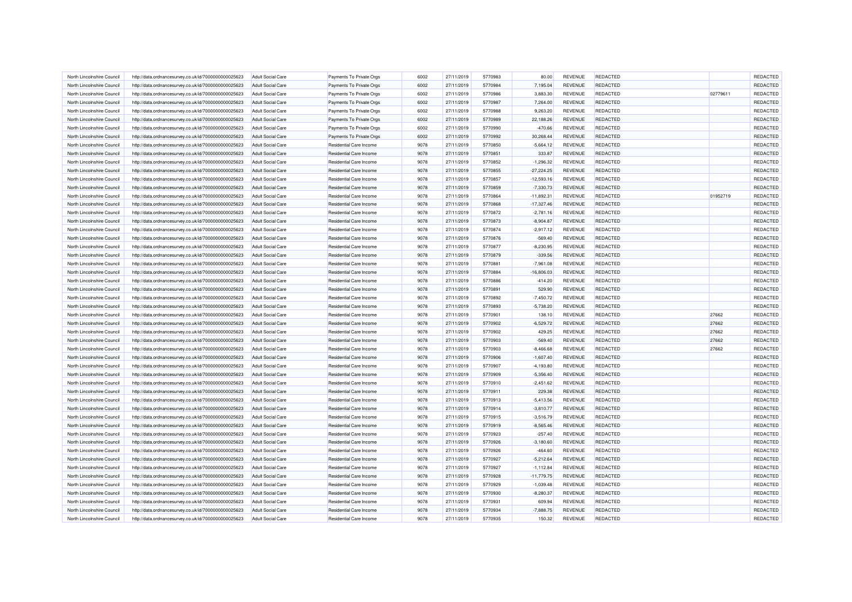| North Lincolnshire Council | http://data.ordnancesurvey.co.uk/id/7000000000025623 | <b>Adult Social Care</b> | Payments To Private Orgs       | 6002 | 27/11/2019 | 5770983 | 80.00        | REVENUE        | <b>REDACTED</b> |          | REDACTED |
|----------------------------|------------------------------------------------------|--------------------------|--------------------------------|------|------------|---------|--------------|----------------|-----------------|----------|----------|
| North Lincolnshire Council | http://data.ordnancesurvey.co.uk/id/7000000000025623 | <b>Adult Social Care</b> | Payments To Private Orgs       | 6002 | 27/11/2019 | 5770984 | 7,195.04     | <b>REVENUE</b> | <b>REDACTED</b> |          | REDACTED |
| North Lincolnshire Council | http://data.ordnancesurvey.co.uk/id/7000000000025623 | <b>Adult Social Care</b> | Payments To Private Orgs       | 6002 | 27/11/2019 | 5770986 | 3,883.30     | REVENUE        | <b>REDACTED</b> | 02779611 | REDACTED |
| North Lincolnshire Council | http://data.ordnancesurvey.co.uk/id/7000000000025623 | <b>Adult Social Care</b> | Payments To Private Orgs       | 6002 | 27/11/2019 | 5770987 | 7,264.00     | <b>REVENUE</b> | REDACTED        |          | REDACTED |
| North Lincolnshire Council | http://data.ordnancesurvey.co.uk/id/7000000000025623 | <b>Adult Social Care</b> | Payments To Private Orgs       | 6002 | 27/11/2019 | 5770988 | 9,263.20     | REVENUE        | <b>REDACTED</b> |          | REDACTED |
| North Lincolnshire Council | http://data.ordnancesurvey.co.uk/id/7000000000025623 | <b>Adult Social Care</b> | Payments To Private Orgs       | 6002 | 27/11/2019 | 5770989 | 22,188.26    | <b>REVENUE</b> | <b>REDACTED</b> |          | REDACTED |
| North Lincolnshire Council | http://data.ordnancesurvey.co.uk/id/7000000000025623 | <b>Adult Social Care</b> | Payments To Private Orgs       | 6002 | 27/11/2019 | 5770990 | $-470.66$    | <b>REVENUE</b> | REDACTED        |          | REDACTED |
| North Lincolnshire Council | http://data.ordnancesurvey.co.uk/id/7000000000025623 | <b>Adult Social Care</b> | Payments To Private Orgs       | 6002 | 27/11/2019 | 5770992 | 30,268.44    | REVENUE        | <b>REDACTED</b> |          | REDACTED |
| North Lincolnshire Council | http://data.ordnancesurvey.co.uk/id/7000000000025623 | Adult Social Care        | <b>Residential Care Income</b> | 9078 | 27/11/2019 | 5770850 | $-5,664.12$  | <b>REVENUE</b> | REDACTED        |          | REDACTED |
| North Lincolnshire Council | http://data.ordnancesurvey.co.uk/id/7000000000025623 | <b>Adult Social Care</b> | <b>Residential Care Income</b> | 9078 | 27/11/2019 | 5770851 | 333.87       | <b>REVENUE</b> | <b>REDACTED</b> |          | REDACTED |
| North Lincolnshire Council | http://data.ordnancesurvey.co.uk/id/7000000000025623 | <b>Adult Social Care</b> | <b>Residential Care Income</b> | 9078 | 27/11/2019 | 5770852 | $-1,296.32$  | <b>REVENUE</b> | <b>REDACTED</b> |          | REDACTED |
| North Lincolnshire Council | http://data.ordnancesurvey.co.uk/id/7000000000025623 | <b>Adult Social Care</b> | <b>Residential Care Income</b> | 9078 | 27/11/2019 | 5770855 | $-27,224.25$ | REVENUE        | REDACTED        |          | REDACTED |
| North Lincolnshire Council | http://data.ordnancesurvey.co.uk/id/7000000000025623 | <b>Adult Social Care</b> | Residential Care Income        | 9078 | 27/11/2019 | 5770857 | $-12,593.16$ | <b>REVENUE</b> | <b>REDACTED</b> |          | REDACTED |
| North Lincolnshire Council | http://data.ordnancesurvey.co.uk/id/7000000000025623 | <b>Adult Social Care</b> | <b>Residential Care Income</b> | 9078 | 27/11/2019 | 5770859 | $-7,330.73$  | REVENUE        | REDACTED        |          | REDACTED |
| North Lincolnshire Council | http://data.ordnancesurvey.co.uk/id/7000000000025623 | <b>Adult Social Care</b> | <b>Residential Care Income</b> | 9078 | 27/11/2019 | 5770864 | $-11,892.31$ | <b>REVENUE</b> | <b>REDACTED</b> | 01952719 | REDACTED |
| North Lincolnshire Council | http://data.ordnancesurvey.co.uk/id/7000000000025623 | <b>Adult Social Care</b> | <b>Residential Care Income</b> | 9078 | 27/11/2019 | 5770868 | $-17,327.46$ | REVENUE        | <b>REDACTED</b> |          | REDACTED |
| North Lincolnshire Council | http://data.ordnancesurvey.co.uk/id/7000000000025623 | <b>Adult Social Care</b> | <b>Residential Care Income</b> | 9078 | 27/11/2019 | 5770872 | $-2,781.16$  | <b>REVENUE</b> | <b>REDACTED</b> |          | REDACTED |
| North Lincolnshire Council | http://data.ordnancesurvey.co.uk/id/7000000000025623 | <b>Adult Social Care</b> | <b>Residential Care Income</b> | 9078 | 27/11/2019 | 5770873 | $-8,904.87$  | <b>REVENUE</b> | <b>REDACTED</b> |          | REDACTED |
| North Lincolnshire Council |                                                      | <b>Adult Social Care</b> | <b>Residential Care Income</b> | 9078 | 27/11/2019 | 5770874 |              | REVENUE        | <b>REDACTED</b> |          | REDACTED |
|                            | http://data.ordnancesurvey.co.uk/id/7000000000025623 |                          |                                | 9078 | 27/11/2019 | 5770876 | $-2,917.12$  | REVENUE        | REDACTED        |          | REDACTED |
| North Lincolnshire Council | http://data.ordnancesurvey.co.uk/id/7000000000025623 | <b>Adult Social Care</b> | Residential Care Income        |      |            |         | $-569.40$    |                |                 |          |          |
| North Lincolnshire Council | http://data.ordnancesurvey.co.uk/id/7000000000025623 | <b>Adult Social Care</b> | <b>Residential Care Income</b> | 9078 | 27/11/2019 | 5770877 | $-8,230.95$  | <b>REVENUE</b> | <b>REDACTED</b> |          | REDACTED |
| North Lincolnshire Council | http://data.ordnancesurvey.co.uk/id/7000000000025623 | Adult Social Care        | <b>Residential Care Income</b> | 9078 | 27/11/2019 | 5770879 | $-339.56$    | REVENUE        | <b>REDACTED</b> |          | REDACTED |
| North Lincolnshire Council | http://data.ordnancesurvey.co.uk/id/7000000000025623 | <b>Adult Social Care</b> | Residential Care Income        | 9078 | 27/11/2019 | 5770881 | $-7,961.08$  | <b>REVENUE</b> | <b>REDACTED</b> |          | REDACTED |
| North Lincolnshire Council | http://data.ordnancesurvey.co.uk/id/7000000000025623 | <b>Adult Social Care</b> | <b>Residential Care Income</b> | 9078 | 27/11/2019 | 5770884 | $-16,806.03$ | REVENUE        | REDACTED        |          | REDACTED |
| North Lincolnshire Council | http://data.ordnancesurvey.co.uk/id/7000000000025623 | <b>Adult Social Care</b> | <b>Residential Care Income</b> | 9078 | 27/11/2019 | 5770886 | $-414.20$    | <b>REVENUE</b> | <b>REDACTED</b> |          | REDACTED |
| North Lincolnshire Council | http://data.ordnancesurvey.co.uk/id/7000000000025623 | <b>Adult Social Care</b> | <b>Residential Care Income</b> | 9078 | 27/11/2019 | 5770891 | 529.90       | REVENUE        | <b>REDACTED</b> |          | REDACTED |
| North Lincolnshire Council | http://data.ordnancesurvey.co.uk/id/7000000000025623 | Adult Social Care        | <b>Residential Care Income</b> | 9078 | 27/11/2019 | 5770892 | $-7,450.72$  | <b>REVENUE</b> | <b>REDACTED</b> |          | REDACTED |
| North Lincolnshire Council | http://data.ordnancesurvey.co.uk/id/7000000000025623 | <b>Adult Social Care</b> | <b>Residential Care Income</b> | 9078 | 27/11/2019 | 5770893 | $-5,738.20$  | REVENUE        | REDACTED        |          | REDACTED |
| North Lincolnshire Council | http://data.ordnancesurvey.co.uk/id/7000000000025623 | <b>Adult Social Care</b> | <b>Residential Care Income</b> | 9078 | 27/11/2019 | 5770901 | 138.10       | <b>REVENUE</b> | <b>REDACTED</b> | 27662    | REDACTED |
| North Lincolnshire Council | http://data.ordnancesurvey.co.uk/id/7000000000025623 | <b>Adult Social Care</b> | Residential Care Income        | 9078 | 27/11/2019 | 5770902 | $-6,529.72$  | REVENUE        | <b>REDACTED</b> | 27662    | REDACTED |
| North Lincolnshire Council | http://data.ordnancesurvey.co.uk/id/7000000000025623 | <b>Adult Social Care</b> | Residential Care Income        | 9078 | 27/11/2019 | 5770902 | 429.25       | <b>REVENUE</b> | REDACTED        | 27662    | REDACTED |
| North Lincolnshire Council | http://data.ordnancesurvey.co.uk/id/7000000000025623 | <b>Adult Social Care</b> | <b>Residential Care Income</b> | 9078 | 27/11/2019 | 5770903 | $-569.40$    | REVENUE        | <b>REDACTED</b> | 27662    | REDACTED |
| North Lincolnshire Council | http://data.ordnancesurvey.co.uk/id/7000000000025623 | <b>Adult Social Care</b> | Residential Care Income        | 9078 | 27/11/2019 | 5770903 | $-8,466.68$  | <b>REVENUE</b> | <b>REDACTED</b> | 27662    | REDACTED |
| North Lincolnshire Council | http://data.ordnancesurvey.co.uk/id/7000000000025623 | <b>Adult Social Care</b> | Residential Care Income        | 9078 | 27/11/2019 | 5770906 | $-1,607.40$  | REVENUE        | <b>REDACTED</b> |          | REDACTED |
| North Lincolnshire Council | http://data.ordnancesurvey.co.uk/id/7000000000025623 | <b>Adult Social Care</b> | Residential Care Income        | 9078 | 27/11/2019 | 5770907 | $-4,193.80$  | REVENUE        | <b>REDACTED</b> |          | REDACTED |
| North Lincolnshire Council | http://data.ordnancesurvey.co.uk/id/7000000000025623 | Adult Social Care        | <b>Residential Care Income</b> | 9078 | 27/11/2019 | 5770909 | $-5.356.40$  | <b>REVENUE</b> | <b>REDACTED</b> |          | REDACTED |
| North Lincolnshire Council | http://data.ordnancesurvey.co.uk/id/7000000000025623 | <b>Adult Social Care</b> | Residential Care Income        | 9078 | 27/11/2019 | 5770910 | $-2,451.62$  | <b>REVENUE</b> | <b>REDACTED</b> |          | REDACTED |
| North Lincolnshire Council | http://data.ordnancesurvey.co.uk/id/7000000000025623 | <b>Adult Social Care</b> | <b>Residential Care Income</b> | 9078 | 27/11/2019 | 5770911 | 229.38       | REVENUE        | <b>REDACTED</b> |          | REDACTED |
| North Lincolnshire Council | http://data.ordnancesurvey.co.uk/id/7000000000025623 | <b>Adult Social Care</b> | Residential Care Income        | 9078 | 27/11/2019 | 5770913 | $-5,413.56$  | REVENUE        | REDACTED        |          | REDACTED |
| North Lincolnshire Council | http://data.ordnancesurvey.co.uk/id/7000000000025623 | <b>Adult Social Care</b> | Residential Care Income        | 9078 | 27/11/2019 | 5770914 | $-3,810.77$  | REVENUE        | <b>REDACTED</b> |          | REDACTED |
| North Lincolnshire Council | http://data.ordnancesurvey.co.uk/id/7000000000025623 | <b>Adult Social Care</b> | Residential Care Income        | 9078 | 27/11/2019 | 5770915 | $-3,516.79$  | REVENUE        | REDACTED        |          | REDACTED |
| North Lincolnshire Council | http://data.ordnancesurvey.co.uk/id/7000000000025623 | <b>Adult Social Care</b> | Residential Care Income        | 9078 | 27/11/2019 | 5770919 | $-8,565.46$  | REVENUE        | <b>REDACTED</b> |          | REDACTED |
| North Lincolnshire Council | http://data.ordnancesurvey.co.uk/id/7000000000025623 | <b>Adult Social Care</b> | <b>Residential Care Income</b> | 9078 | 27/11/2019 | 5770923 | $-257.40$    | REVENUE        | <b>REDACTED</b> |          | REDACTED |
| North Lincolnshire Council | http://data.ordnancesurvey.co.uk/id/7000000000025623 | <b>Adult Social Care</b> | <b>Residential Care Income</b> | 9078 | 27/11/2019 | 5770926 | $-3,180.60$  | <b>REVENUE</b> | <b>REDACTED</b> |          | REDACTED |
| North Lincolnshire Council | http://data.ordnancesurvey.co.uk/id/7000000000025623 | <b>Adult Social Care</b> | Residential Care Income        | 9078 | 27/11/2019 | 5770926 | $-464.60$    | REVENUE        | <b>REDACTED</b> |          | REDACTED |
| North Lincolnshire Council | http://data.ordnancesurvey.co.uk/id/7000000000025623 | <b>Adult Social Care</b> | <b>Residential Care Income</b> | 9078 | 27/11/2019 | 5770927 | $-5,212.64$  | REVENUE        | REDACTED        |          | REDACTED |
| North Lincolnshire Council | http://data.ordnancesurvey.co.uk/id/7000000000025623 | <b>Adult Social Care</b> | Residential Care Income        | 9078 | 27/11/2019 | 5770927 | $-1, 112.84$ | REVENUE        | REDACTED        |          | REDACTED |
| North Lincolnshire Council |                                                      | <b>Adult Social Care</b> | <b>Residential Care Income</b> | 9078 | 27/11/2019 | 5770928 | $-11,779.75$ | REVENUE        | <b>REDACTED</b> |          | REDACTED |
| North Lincolnshire Council | http://data.ordnancesurvey.co.uk/id/7000000000025623 | <b>Adult Social Care</b> | <b>Residential Care Income</b> | 9078 | 27/11/2019 | 5770929 |              | REVENUE        | <b>REDACTED</b> |          | REDACTED |
|                            | http://data.ordnancesurvey.co.uk/id/7000000000025623 |                          |                                |      |            |         | $-1,039.48$  |                |                 |          |          |
| North Lincolnshire Council | http://data.ordnancesurvey.co.uk/id/7000000000025623 | <b>Adult Social Care</b> | <b>Residential Care Income</b> | 9078 | 27/11/2019 | 5770930 | $-8,280.37$  | <b>REVENUE</b> | <b>REDACTED</b> |          | REDACTED |
| North Lincolnshire Council | http://data.ordnancesurvey.co.uk/id/7000000000025623 | <b>Adult Social Care</b> | Residential Care Income        | 9078 | 27/11/2019 | 5770931 | 609.94       | <b>REVENUE</b> | REDACTED        |          | REDACTED |
| North Lincolnshire Council | http://data.ordnancesurvey.co.uk/id/7000000000025623 | <b>Adult Social Care</b> | <b>Residential Care Income</b> | 9078 | 27/11/2019 | 5770934 | $-7,888.75$  | <b>REVENUE</b> | <b>REDACTED</b> |          | REDACTED |
| North Lincolnshire Council | http://data.ordnancesurvey.co.uk/id/7000000000025623 | <b>Adult Social Care</b> | <b>Residential Care Income</b> | 9078 | 27/11/2019 | 5770935 | 150.32       | REVENUE        | <b>REDACTED</b> |          | REDACTED |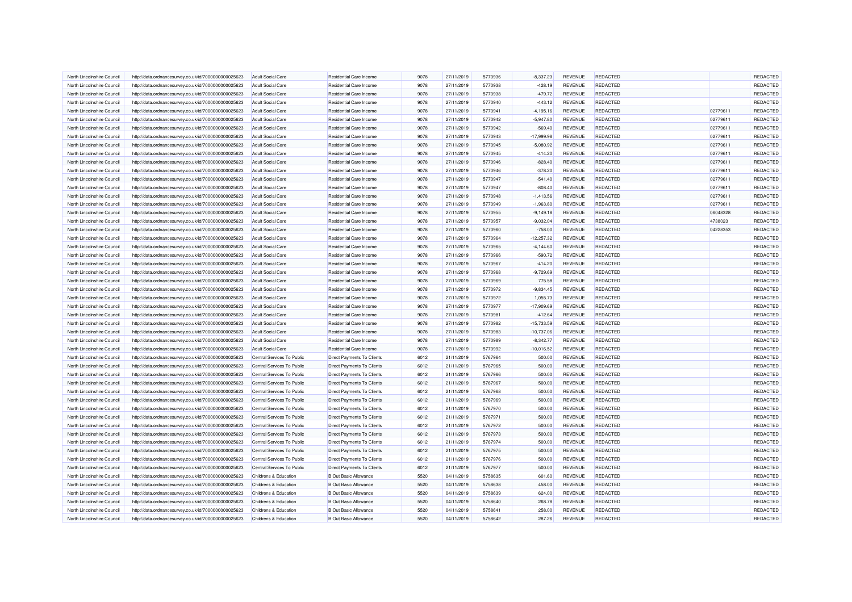| North Lincolnshire Council | http://data.ordnancesurvey.co.uk/id/7000000000025623 | <b>Adult Social Care</b>         | Residential Care Income           | 9078 | 27/11/2019 | 5770936 | $-8,337.23$  | REVENUE        | <b>REDACTED</b> |          | REDACTED |
|----------------------------|------------------------------------------------------|----------------------------------|-----------------------------------|------|------------|---------|--------------|----------------|-----------------|----------|----------|
| North Lincolnshire Council | http://data.ordnancesurvey.co.uk/id/7000000000025623 | <b>Adult Social Care</b>         | <b>Residential Care Income</b>    | 9078 | 27/11/2019 | 5770938 | $-428.19$    | <b>REVENUE</b> | <b>REDACTED</b> |          | REDACTED |
| North Lincolnshire Council | http://data.ordnancesurvey.co.uk/id/7000000000025623 | <b>Adult Social Care</b>         | Residential Care Income           | 9078 | 27/11/2019 | 5770938 | $-479.72$    | REVENUE        | <b>REDACTED</b> |          | REDACTED |
| North Lincolnshire Council | http://data.ordnancesurvey.co.uk/id/7000000000025623 | <b>Adult Social Care</b>         | Residential Care Income           | 9078 | 27/11/2019 | 5770940 | $-443.12$    | <b>REVENUE</b> | REDACTED        |          | REDACTED |
| North Lincolnshire Council | http://data.ordnancesurvey.co.uk/id/7000000000025623 | <b>Adult Social Care</b>         | <b>Residential Care Income</b>    | 9078 | 27/11/2019 | 5770941 | $-4,195.16$  | REVENUE        | <b>REDACTED</b> | 02779611 | REDACTED |
| North Lincolnshire Council | http://data.ordnancesurvey.co.uk/id/7000000000025623 | <b>Adult Social Care</b>         | <b>Residential Care Income</b>    | 9078 | 27/11/2019 | 5770942 | $-5,947.80$  | <b>REVENUE</b> | REDACTED        | 02779611 | REDACTED |
| North Lincolnshire Council | http://data.ordnancesurvey.co.uk/id/7000000000025623 | <b>Adult Social Care</b>         | Residential Care Income           | 9078 | 27/11/2019 | 5770942 | $-569.40$    | REVENUE        | <b>REDACTED</b> | 02779611 | REDACTED |
| North Lincolnshire Council | http://data.ordnancesurvey.co.uk/id/7000000000025623 | <b>Adult Social Care</b>         | <b>Residential Care Income</b>    | 9078 | 27/11/2019 | 5770943 | $-17,999.98$ | REVENUE        | <b>REDACTED</b> | 02779611 | REDACTED |
| North Lincolnshire Council | http://data.ordnancesurvey.co.uk/id/7000000000025623 | Adult Social Care                | <b>Residential Care Income</b>    | 9078 | 27/11/2019 | 5770945 | $-5.080.92$  | <b>REVENUE</b> | REDACTED        | 02779611 | REDACTED |
| North Lincolnshire Council | http://data.ordnancesurvey.co.uk/id/7000000000025623 | <b>Adult Social Care</b>         | <b>Residential Care Income</b>    | 9078 | 27/11/2019 | 5770945 | $-414.20$    | <b>REVENUE</b> | <b>REDACTED</b> | 02779611 | REDACTED |
| North Lincolnshire Council | http://data.ordnancesurvey.co.uk/id/7000000000025623 | <b>Adult Social Care</b>         | Residential Care Income           | 9078 | 27/11/2019 | 5770946 | $-828.40$    | REVENUE        | <b>REDACTED</b> | 02779611 | REDACTED |
| North Lincolnshire Council | http://data.ordnancesurvey.co.uk/id/7000000000025623 | <b>Adult Social Care</b>         | <b>Residential Care Income</b>    | 9078 | 27/11/2019 | 5770946 | $-378.20$    | REVENUE        | REDACTED        | 02779611 | REDACTED |
| North Lincolnshire Council | http://data.ordnancesurvey.co.uk/id/7000000000025623 | <b>Adult Social Care</b>         | <b>Residential Care Income</b>    | 9078 | 27/11/2019 | 5770947 | $-541.40$    | REVENUE        | <b>REDACTED</b> | 02779611 | REDACTED |
| North Lincolnshire Council | http://data.ordnancesurvey.co.uk/id/7000000000025623 | <b>Adult Social Care</b>         | <b>Residential Care Income</b>    | 9078 | 27/11/2019 | 5770947 | $-808.40$    | REVENUE        | REDACTED        | 02779611 | REDACTED |
| North Lincolnshire Council | http://data.ordnancesurvey.co.uk/id/7000000000025623 | <b>Adult Social Care</b>         | Residential Care Income           | 9078 | 27/11/2019 | 5770948 | $-1,413.56$  | <b>REVENUE</b> | <b>REDACTED</b> | 02779611 | REDACTED |
| North Lincolnshire Council | http://data.ordnancesurvey.co.uk/id/7000000000025623 | <b>Adult Social Care</b>         | <b>Residential Care Income</b>    | 9078 | 27/11/2019 | 5770949 | $-1,963.80$  | REVENUE        | <b>REDACTED</b> | 02779611 | REDACTED |
| North Lincolnshire Council | http://data.ordnancesurvey.co.uk/id/7000000000025623 | <b>Adult Social Care</b>         | <b>Residential Care Income</b>    | 9078 | 27/11/2019 | 5770955 | $-9,149.18$  | <b>REVENUE</b> | <b>REDACTED</b> | 06048328 | REDACTED |
| North Lincolnshire Council | http://data.ordnancesurvey.co.uk/id/7000000000025623 | <b>Adult Social Care</b>         | Residential Care Income           | 9078 | 27/11/2019 | 5770957 | $-9,032.04$  | <b>REVENUE</b> | <b>REDACTED</b> | 4738023  | REDACTED |
| North Lincolnshire Council | http://data.ordnancesurvey.co.uk/id/7000000000025623 | <b>Adult Social Care</b>         | <b>Residential Care Income</b>    | 9078 | 27/11/2019 | 5770960 | $-758.00$    | REVENUE        | <b>REDACTED</b> | 04228353 | REDACTED |
| North Lincolnshire Council | http://data.ordnancesurvey.co.uk/id/7000000000025623 | <b>Adult Social Care</b>         | Residential Care Income           | 9078 | 27/11/2019 | 5770964 | $-12,257.32$ | REVENUE        | REDACTED        |          | REDACTED |
| North Lincolnshire Council | http://data.ordnancesurvey.co.uk/id/7000000000025623 | <b>Adult Social Care</b>         | <b>Residential Care Income</b>    | 9078 | 27/11/2019 | 5770965 | $-4,144.60$  | REVENUE        | <b>REDACTED</b> |          | REDACTED |
| North Lincolnshire Council |                                                      | Adult Social Care                | Residential Care Income           | 9078 | 27/11/2019 | 5770966 |              | REVENUE        | <b>REDACTED</b> |          | REDACTED |
|                            | http://data.ordnancesurvey.co.uk/id/7000000000025623 |                                  |                                   |      |            |         | $-590.72$    |                |                 |          | REDACTED |
| North Lincolnshire Council | http://data.ordnancesurvey.co.uk/id/7000000000025623 | <b>Adult Social Care</b>         | <b>Residential Care Income</b>    | 9078 | 27/11/2019 | 5770967 | $-414.20$    | <b>REVENUE</b> | <b>REDACTED</b> |          |          |
| North Lincolnshire Council | http://data.ordnancesurvey.co.uk/id/7000000000025623 | <b>Adult Social Care</b>         | <b>Residential Care Income</b>    | 9078 | 27/11/2019 | 5770968 | $-9,729.69$  | REVENUE        | REDACTED        |          | REDACTED |
| North Lincolnshire Council | http://data.ordnancesurvey.co.uk/id/7000000000025623 | <b>Adult Social Care</b>         | <b>Residential Care Income</b>    | 9078 | 27/11/2019 | 5770969 | 775.58       | <b>REVENUE</b> | <b>REDACTED</b> |          | REDACTED |
| North Lincolnshire Council | http://data.ordnancesurvey.co.uk/id/7000000000025623 | <b>Adult Social Care</b>         | Residential Care Income           | 9078 | 27/11/2019 | 5770972 | $-9,834.45$  | REVENUE        | REDACTED        |          | REDACTED |
| North Lincolnshire Council | http://data.ordnancesurvey.co.uk/id/7000000000025623 | <b>Adult Social Care</b>         | <b>Residential Care Income</b>    | 9078 | 27/11/2019 | 5770972 | 1,055.73     | <b>REVENUE</b> | <b>REDACTED</b> |          | REDACTED |
| North Lincolnshire Council | http://data.ordnancesurvey.co.uk/id/7000000000025623 | <b>Adult Social Care</b>         | Residential Care Income           | 9078 | 27/11/2019 | 5770977 | $-17,909.69$ | REVENUE        | REDACTED        |          | REDACTED |
| North Lincolnshire Council | http://data.ordnancesurvey.co.uk/id/7000000000025623 | <b>Adult Social Care</b>         | <b>Residential Care Income</b>    | 9078 | 27/11/2019 | 5770981 | $-412.64$    | <b>REVENUE</b> | <b>REDACTED</b> |          | REDACTED |
| North Lincolnshire Council | http://data.ordnancesurvey.co.uk/id/7000000000025623 | <b>Adult Social Care</b>         | Residential Care Income           | 9078 | 27/11/2019 | 5770982 | $-15,733.59$ | REVENUE        | <b>REDACTED</b> |          | REDACTED |
| North Lincolnshire Council | http://data.ordnancesurvey.co.uk/id/7000000000025623 | <b>Adult Social Care</b>         | <b>Residential Care Income</b>    | 9078 | 27/11/2019 | 5770983 | $-10,737.06$ | <b>REVENUE</b> | REDACTED        |          | REDACTED |
| North Lincolnshire Council | http://data.ordnancesurvey.co.uk/id/7000000000025623 | <b>Adult Social Care</b>         | Residential Care Income           | 9078 | 27/11/2019 | 5770989 | $-8,342.77$  | REVENUE        | <b>REDACTED</b> |          | REDACTED |
| North Lincolnshire Council | http://data.ordnancesurvey.co.uk/id/7000000000025623 | <b>Adult Social Care</b>         | <b>Residential Care Income</b>    | 9078 | 27/11/2019 | 5770992 | $-10,016.52$ | <b>REVENUE</b> | <b>REDACTED</b> |          | REDACTED |
| North Lincolnshire Council | http://data.ordnancesurvey.co.uk/id/7000000000025623 | Central Services To Public       | Direct Payments To Clients        | 6012 | 21/11/2019 | 5767964 | 500.00       | REVENUE        | REDACTED        |          | REDACTED |
| North Lincolnshire Council | http://data.ordnancesurvey.co.uk/id/7000000000025623 | Central Services To Public       | <b>Direct Payments To Clients</b> | 6012 | 21/11/2019 | 5767965 | 500.00       | REVENUE        | <b>REDACTED</b> |          | REDACTED |
| North Lincolnshire Council | http://data.ordnancesurvey.co.uk/id/7000000000025623 | Central Services To Public       | <b>Direct Payments To Clients</b> | 6012 | 21/11/2019 | 5767966 | 500.00       | <b>REVENUE</b> | <b>REDACTED</b> |          | REDACTED |
| North Lincolnshire Council | http://data.ordnancesurvey.co.uk/id/7000000000025623 | Central Services To Public       | Direct Payments To Clients        | 6012 | 21/11/2019 | 5767967 | 500.00       | <b>REVENUE</b> | <b>REDACTED</b> |          | REDACTED |
| North Lincolnshire Council | http://data.ordnancesurvey.co.uk/id/7000000000025623 | Central Services To Public       | <b>Direct Payments To Clients</b> | 6012 | 21/11/2019 | 5767968 | 500.00       | REVENUE        | <b>REDACTED</b> |          | REDACTED |
| North Lincolnshire Council | http://data.ordnancesurvey.co.uk/id/7000000000025623 | Central Services To Public       | <b>Direct Payments To Clients</b> | 6012 | 21/11/2019 | 5767969 | 500.00       | REVENUE        | REDACTED        |          | REDACTED |
| North Lincolnshire Council | http://data.ordnancesurvey.co.uk/id/7000000000025623 | Central Services To Public       | Direct Payments To Clients        | 6012 | 21/11/2019 | 5767970 | 500.00       | <b>REVENUE</b> | <b>REDACTED</b> |          | REDACTED |
| North Lincolnshire Council | http://data.ordnancesurvey.co.uk/id/7000000000025623 | Central Services To Public       | Direct Payments To Clients        | 6012 | 21/11/2019 | 5767971 | 500.00       | REVENUE        | <b>REDACTED</b> |          | REDACTED |
| North Lincolnshire Council | http://data.ordnancesurvey.co.uk/id/7000000000025623 | Central Services To Public       | Direct Payments To Clients        | 6012 | 21/11/2019 | 5767972 | 500.00       | REVENUE        | <b>REDACTED</b> |          | REDACTED |
| North Lincolnshire Council | http://data.ordnancesurvey.co.uk/id/7000000000025623 | Central Services To Public       | Direct Payments To Clients        | 6012 | 21/11/2019 | 5767973 | 500.00       | REVENUE        | <b>REDACTED</b> |          | REDACTED |
| North Lincolnshire Council | http://data.ordnancesurvey.co.uk/id/7000000000025623 | Central Services To Public       | Direct Payments To Clients        | 6012 | 21/11/2019 | 5767974 | 500.00       | <b>REVENUE</b> | REDACTED        |          | REDACTED |
| North Lincolnshire Council | http://data.ordnancesurvey.co.uk/id/7000000000025623 | Central Services To Public       | <b>Direct Payments To Clients</b> | 6012 | 21/11/2019 | 5767975 | 500.00       | REVENUE        | <b>REDACTED</b> |          | REDACTED |
| North Lincolnshire Council | http://data.ordnancesurvey.co.uk/id/7000000000025623 | Central Services To Public       | <b>Direct Payments To Clients</b> | 6012 | 21/11/2019 | 5767976 | 500.00       | REVENUE        | REDACTED        |          | REDACTED |
| North Lincolnshire Council | http://data.ordnancesurvey.co.uk/id/7000000000025623 | Central Services To Public       | Direct Payments To Clients        | 6012 | 21/11/2019 | 5767977 | 500.00       | REVENUE        | REDACTED        |          | REDACTED |
| North Lincolnshire Council | http://data.ordnancesurvey.co.uk/id/7000000000025623 | Childrens & Education            | <b>B Out Basic Allowance</b>      | 5520 | 04/11/2019 | 5758635 | 601.60       | REVENUE        | <b>REDACTED</b> |          | REDACTED |
| North Lincolnshire Council | http://data.ordnancesurvey.co.uk/id/7000000000025623 | Childrens & Education            | <b>B Out Basic Allowance</b>      | 5520 | 04/11/2019 | 5758638 | 458.00       | REVENUE        | <b>REDACTED</b> |          | REDACTED |
| North Lincolnshire Council | http://data.ordnancesurvey.co.uk/id/7000000000025623 | Childrens & Education            | <b>B Out Basic Allowance</b>      | 5520 | 04/11/2019 | 5758639 | 624.00       | <b>REVENUE</b> | REDACTED        |          | REDACTED |
| North Lincolnshire Council | http://data.ordnancesurvey.co.uk/id/7000000000025623 | <b>Childrens &amp; Education</b> | <b>B Out Basic Allowance</b>      | 5520 | 04/11/2019 | 5758640 | 268.78       | REVENUE        | <b>REDACTED</b> |          | REDACTED |
| North Lincolnshire Council | http://data.ordnancesurvey.co.uk/id/7000000000025623 | Childrens & Education            | <b>B Out Basic Allowance</b>      | 5520 | 04/11/2019 | 5758641 | 258.00       | <b>REVENUE</b> | <b>REDACTED</b> |          | REDACTED |
| North Lincolnshire Council | http://data.ordnancesurvey.co.uk/id/7000000000025623 | Childrens & Education            | <b>B Out Basic Allowance</b>      | 5520 | 04/11/2019 | 5758642 | 287.26       | <b>REVENUE</b> | <b>REDACTED</b> |          | REDACTED |
|                            |                                                      |                                  |                                   |      |            |         |              |                |                 |          |          |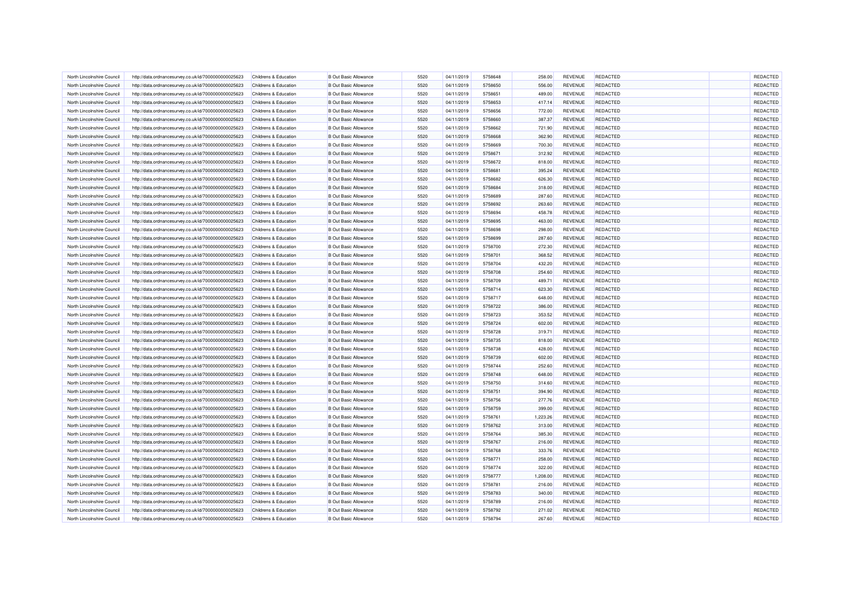| North Lincolnshire Council                               | http://data.ordnancesurvey.co.uk/id/7000000000025623 | Childrens & Education                          | <b>B Out Basic Allowance</b>                                 | 5520         | 04/11/2019               | 5758648 | 258.00           | <b>REVENUE</b>            | <b>REDACTED</b> | REDACTED |
|----------------------------------------------------------|------------------------------------------------------|------------------------------------------------|--------------------------------------------------------------|--------------|--------------------------|---------|------------------|---------------------------|-----------------|----------|
| North Lincolnshire Council                               | http://data.ordnancesurvey.co.uk/id/7000000000025623 | <b>Childrens &amp; Education</b>               | <b>B Out Basic Allowance</b>                                 | 5520         | 04/11/2019               | 5758650 | 556.00           | <b>REVENUE</b>            | <b>REDACTED</b> | REDACTED |
| North Lincolnshire Council                               | http://data.ordnancesurvey.co.uk/id/7000000000025623 | Childrens & Education                          | <b>B Out Basic Allowance</b>                                 | 5520         | 04/11/2019               | 5758651 | 489.00           | REVENUE                   | <b>REDACTED</b> | REDACTED |
| North Lincolnshire Council                               | http://data.ordnancesurvey.co.uk/id/7000000000025623 | <b>Childrens &amp; Education</b>               | <b>B Out Basic Allowance</b>                                 | 5520         | 04/11/2019               | 5758653 | 417.14           | REVENUE                   | <b>REDACTED</b> | REDACTED |
| North Lincolnshire Council                               | http://data.ordnancesurvey.co.uk/id/7000000000025623 | Childrens & Education                          | <b>B Out Basic Allowance</b>                                 | 5520         | 04/11/2019               | 5758656 | 772.00           | <b>REVENUE</b>            | <b>REDACTED</b> | REDACTED |
| North Lincolnshire Council                               | http://data.ordnancesurvey.co.uk/id/7000000000025623 | Childrens & Education                          | <b>B Out Basic Allowance</b>                                 | 5520         | 04/11/2019               | 5758660 | 387.37           | <b>REVENUE</b>            | <b>REDACTED</b> | REDACTED |
| North Lincolnshire Council                               | http://data.ordnancesurvey.co.uk/id/7000000000025623 | Childrens & Education                          | <b>B Out Basic Allowance</b>                                 | 5520         | 04/11/2019               | 5758662 | 721.90           | <b>REVENUE</b>            | <b>REDACTED</b> | REDACTED |
| North Lincolnshire Council                               | http://data.ordnancesurvey.co.uk/id/7000000000025623 | Childrens & Education                          | <b>B Out Basic Allowance</b>                                 | 5520         | 04/11/2019               | 5758668 | 362.90           | <b>REVENUE</b>            | REDACTED        | REDACTED |
| North Lincolnshire Council                               | http://data.ordnancesurvey.co.uk/id/7000000000025623 | Childrens & Education                          | <b>B Out Basic Allowance</b>                                 | 5520         | 04/11/2019               | 5758669 | 700.30           | REVENUE                   | REDACTED        | REDACTED |
| North Lincolnshire Council                               | http://data.ordnancesurvey.co.uk/id/7000000000025623 | Childrens & Education                          | <b>B Out Basic Allowance</b>                                 | 5520         | 04/11/2019               | 5758671 | 312.92           | REVENUE                   | REDACTED        | REDACTED |
| North Lincolnshire Council                               | http://data.ordnancesurvey.co.uk/id/7000000000025623 | Childrens & Education                          | <b>B Out Basic Allowance</b>                                 | 5520         | 04/11/2019               | 5758672 | 818.00           | <b>REVENUE</b>            | <b>REDACTED</b> | REDACTED |
| North Lincolnshire Council                               | http://data.ordnancesurvey.co.uk/id/7000000000025623 | Childrens & Education                          | <b>B</b> Out Basic Allowance                                 | 5520         | 04/11/2019               | 5758681 | 395.24           | <b>REVENUE</b>            | <b>REDACTED</b> | REDACTED |
| North Lincolnshire Council                               | http://data.ordnancesurvey.co.uk/id/7000000000025623 | Childrens & Education                          | <b>B Out Basic Allowance</b>                                 | 5520         | 04/11/2019               | 5758682 | 626.30           | <b>REVENUE</b>            | <b>REDACTED</b> | REDACTED |
| North Lincolnshire Council                               | http://data.ordnancesurvey.co.uk/id/7000000000025623 | Childrens & Education                          | <b>B Out Basic Allowance</b>                                 | 5520         | 04/11/2019               | 5758684 | 318.00           | REVENUE                   | <b>REDACTED</b> | REDACTED |
| North Lincolnshire Council                               | http://data.ordnancesurvey.co.uk/id/7000000000025623 | Childrens & Education                          | <b>B Out Basic Allowance</b>                                 | 5520         | 04/11/2019               | 5758689 | 287.60           | REVENUE                   | REDACTED        | REDACTED |
| North Lincolnshire Council                               | http://data.ordnancesurvey.co.uk/id/7000000000025623 | Childrens & Education                          | <b>B Out Basic Allowance</b>                                 | 5520         | 04/11/2019               | 5758692 | 263.60           | REVENUE                   | <b>REDACTED</b> | REDACTED |
| North Lincolnshire Council                               | http://data.ordnancesurvey.co.uk/id/7000000000025623 | Childrens & Education                          | <b>B Out Basic Allowance</b>                                 | 5520         | 04/11/2019               | 5758694 | 458.78           | REVENUE                   | <b>REDACTED</b> | REDACTED |
| North Lincolnshire Council                               | http://data.ordnancesurvey.co.uk/id/7000000000025623 | Childrens & Education                          | <b>B Out Basic Allowance</b>                                 | 5520         | 04/11/2019               | 5758695 | 463.00           | REVENUE                   | <b>REDACTED</b> | REDACTED |
| North Lincolnshire Council                               | http://data.ordnancesurvey.co.uk/id/7000000000025623 | Childrens & Education                          | <b>B Out Basic Allowance</b>                                 | 5520         | 04/11/2019               | 5758698 | 298.00           | REVENUE                   | <b>REDACTED</b> | REDACTED |
| North Lincolnshire Council                               | http://data.ordnancesurvey.co.uk/id/7000000000025623 | Childrens & Education                          | <b>B Out Basic Allowance</b>                                 | 5520         | 04/11/2019               | 5758699 | 287.60           | <b>REVENUE</b>            | <b>REDACTED</b> | REDACTED |
| North Lincolnshire Council                               | http://data.ordnancesurvey.co.uk/id/7000000000025623 | Childrens & Education                          | <b>B Out Basic Allowance</b>                                 | 5520         | 04/11/2019               | 5758700 | 272.30           | REVENUE                   | <b>REDACTED</b> | REDACTED |
| North Lincolnshire Council                               | http://data.ordnancesurvey.co.uk/id/7000000000025623 | Childrens & Education                          | <b>B Out Basic Allowance</b>                                 | 5520         | 04/11/2019               | 5758701 | 368.52           | <b>REVENUE</b>            | <b>REDACTED</b> | REDACTED |
| North Lincolnshire Council                               | http://data.ordnancesurvey.co.uk/id/7000000000025623 | Childrens & Education                          | <b>B Out Basic Allowance</b>                                 | 5520         | 04/11/2019               | 5758704 | 432.20           | REVENUE                   | REDACTED        | REDACTED |
|                                                          |                                                      |                                                |                                                              |              |                          | 5758708 |                  |                           | <b>REDACTED</b> | REDACTED |
| North Lincolnshire Council<br>North Lincolnshire Council | http://data.ordnancesurvey.co.uk/id/7000000000025623 | Childrens & Education<br>Childrens & Education | <b>B Out Basic Allowance</b><br><b>B Out Basic Allowance</b> | 5520<br>5520 | 04/11/2019<br>04/11/2019 | 5758709 | 254.60<br>489.71 | <b>REVENUE</b><br>REVENUE | <b>REDACTED</b> | REDACTED |
|                                                          | http://data.ordnancesurvey.co.uk/id/7000000000025623 |                                                |                                                              |              |                          |         |                  |                           |                 |          |
| North Lincolnshire Council                               | http://data.ordnancesurvey.co.uk/id/7000000000025623 | Childrens & Education                          | <b>B Out Basic Allowance</b>                                 | 5520         | 04/11/2019               | 5758714 | 623.30           | <b>REVENUE</b>            | <b>REDACTED</b> | REDACTED |
| North Lincolnshire Council                               | http://data.ordnancesurvey.co.uk/id/7000000000025623 | Childrens & Education                          | <b>B Out Basic Allowance</b>                                 | 5520         | 04/11/2019               | 5758717 | 648.00           | REVENUE                   | <b>REDACTED</b> | REDACTED |
| North Lincolnshire Council                               | http://data.ordnancesurvey.co.uk/id/7000000000025623 | Childrens & Education                          | <b>B Out Basic Allowance</b>                                 | 5520         | 04/11/2019               | 5758722 | 386.00           | <b>REVENUE</b>            | <b>REDACTED</b> | REDACTED |
| North Lincolnshire Council                               | http://data.ordnancesurvey.co.uk/id/7000000000025623 | Childrens & Education                          | <b>B Out Basic Allowance</b>                                 | 5520         | 04/11/2019               | 5758723 | 353.52           | REVENUE                   | <b>REDACTED</b> | REDACTED |
| North Lincolnshire Council                               | http://data.ordnancesurvey.co.uk/id/7000000000025623 | Childrens & Education                          | <b>B Out Basic Allowance</b>                                 | 5520         | 04/11/2019               | 5758724 | 602.00           | REVENUE                   | REDACTED        | REDACTED |
| North Lincolnshire Council                               | http://data.ordnancesurvey.co.uk/id/7000000000025623 | Childrens & Education                          | <b>B Out Basic Allowance</b>                                 | 5520         | 04/11/2019               | 5758728 | 319.71           | REVENUE                   | REDACTED        | REDACTED |
| North Lincolnshire Council                               | http://data.ordnancesurvey.co.uk/id/7000000000025623 | Childrens & Education                          | <b>B Out Basic Allowance</b>                                 | 5520         | 04/11/2019               | 5758735 | 818.00           | <b>REVENUE</b>            | <b>REDACTED</b> | REDACTED |
| North Lincolnshire Council                               | http://data.ordnancesurvey.co.uk/id/7000000000025623 | Childrens & Education                          | <b>B Out Basic Allowance</b>                                 | 5520         | 04/11/2019               | 5758738 | 428.00           | <b>REVENUE</b>            | <b>REDACTED</b> | REDACTED |
| North Lincolnshire Council                               | http://data.ordnancesurvey.co.uk/id/7000000000025623 | Childrens & Education                          | <b>B Out Basic Allowance</b>                                 | 5520         | 04/11/2019               | 5758739 | 602.00           | REVENUE                   | <b>REDACTED</b> | REDACTED |
| North Lincolnshire Council                               | http://data.ordnancesurvey.co.uk/id/7000000000025623 | Childrens & Education                          | <b>B Out Basic Allowance</b>                                 | 5520         | 04/11/2019               | 5758744 | 252.60           | REVENUE                   | <b>REDACTED</b> | REDACTED |
| North Lincolnshire Council                               | http://data.ordnancesurvey.co.uk/id/7000000000025623 | Childrens & Education                          | <b>B Out Basic Allowance</b>                                 | 5520         | 04/11/2019               | 5758748 | 648.00           | <b>REVENUE</b>            | <b>REDACTED</b> | REDACTED |
| North Lincolnshire Council                               | http://data.ordnancesurvey.co.uk/id/7000000000025623 | Childrens & Education                          | <b>B Out Basic Allowance</b>                                 | 5520         | 04/11/2019               | 5758750 | 314.60           | <b>REVENUE</b>            | <b>REDACTED</b> | REDACTED |
| North Lincolnshire Council                               | http://data.ordnancesurvey.co.uk/id/7000000000025623 | Childrens & Education                          | <b>B Out Basic Allowance</b>                                 | 5520         | 04/11/2019               | 5758751 | 394.90           | REVENUE                   | <b>REDACTED</b> | REDACTED |
| North Lincolnshire Council                               | http://data.ordnancesurvey.co.uk/id/7000000000025623 | Childrens & Education                          | <b>B Out Basic Allowance</b>                                 | 5520         | 04/11/2019               | 5758756 | 277.76           | <b>REVENUE</b>            | <b>REDACTED</b> | REDACTED |
| North Lincolnshire Council                               | http://data.ordnancesurvey.co.uk/id/7000000000025623 | Childrens & Education                          | <b>B Out Basic Allowance</b>                                 | 5520         | 04/11/2019               | 5758759 | 399.00           | REVENUE                   | <b>REDACTED</b> | REDACTED |
| North Lincolnshire Council                               | http://data.ordnancesurvey.co.uk/id/7000000000025623 | Childrens & Education                          | <b>B Out Basic Allowance</b>                                 | 5520         | 04/11/2019               | 5758761 | 1,223.26         | REVENUE                   | REDACTED        | REDACTED |
| North Lincolnshire Council                               | http://data.ordnancesurvey.co.uk/id/7000000000025623 | Childrens & Education                          | <b>B Out Basic Allowance</b>                                 | 5520         | 04/11/2019               | 5758762 | 313.00           | REVENUE                   | <b>REDACTED</b> | REDACTED |
| North Lincolnshire Council                               | http://data.ordnancesurvey.co.uk/id/7000000000025623 | Childrens & Education                          | <b>B Out Basic Allowance</b>                                 | 5520         | 04/11/2019               | 5758764 | 385.30           | <b>REVENUE</b>            | <b>REDACTED</b> | REDACTED |
| North Lincolnshire Council                               | http://data.ordnancesurvey.co.uk/id/7000000000025623 | Childrens & Education                          | <b>B Out Basic Allowance</b>                                 | 5520         | 04/11/2019               | 5758767 | 216.00           | <b>REVENUE</b>            | <b>REDACTED</b> | REDACTED |
| North Lincolnshire Council                               | http://data.ordnancesurvey.co.uk/id/7000000000025623 | Childrens & Education                          | <b>B Out Basic Allowance</b>                                 | 5520         | 04/11/2019               | 5758768 | 333.76           | REVENUE                   | <b>REDACTED</b> | REDACTED |
| North Lincolnshire Council                               | http://data.ordnancesurvey.co.uk/id/7000000000025623 | Childrens & Education                          | <b>B Out Basic Allowance</b>                                 | 5520         | 04/11/2019               | 5758771 | 258.00           | REVENUE                   | <b>REDACTED</b> | REDACTED |
| North Lincolnshire Council                               | http://data.ordnancesurvey.co.uk/id/7000000000025623 | Childrens & Education                          | <b>B Out Basic Allowance</b>                                 | 5520         | 04/11/2019               | 5758774 | 322.00           | <b>REVENUE</b>            | <b>REDACTED</b> | REDACTED |
| North Lincolnshire Council                               | http://data.ordnancesurvey.co.uk/id/7000000000025623 | Childrens & Education                          | <b>B Out Basic Allowance</b>                                 | 5520         | 04/11/2019               | 5758777 | 1,208.00         | REVENUE                   | <b>REDACTED</b> | REDACTED |
| North Lincolnshire Council                               | http://data.ordnancesurvey.co.uk/id/7000000000025623 | Childrens & Education                          | <b>B Out Basic Allowance</b>                                 | 5520         | 04/11/2019               | 5758781 | 216.00           | REVENUE                   | <b>REDACTED</b> | REDACTED |
| North Lincolnshire Council                               | http://data.ordnancesurvey.co.uk/id/7000000000025623 | Childrens & Education                          | <b>B Out Basic Allowance</b>                                 | 5520         | 04/11/2019               | 5758783 | 340.00           | REVENUE                   | <b>REDACTED</b> | REDACTED |
| North Lincolnshire Council                               | http://data.ordnancesurvey.co.uk/id/7000000000025623 | Childrens & Education                          | <b>B Out Basic Allowance</b>                                 | 5520         | 04/11/2019               | 5758789 | 216.00           | REVENUE                   | <b>REDACTED</b> | REDACTED |
| North Lincolnshire Council                               | http://data.ordnancesurvey.co.uk/id/7000000000025623 | Childrens & Education                          | <b>B Out Basic Allowance</b>                                 | 5520         | 04/11/2019               | 5758792 | 271.02           | <b>REVENUE</b>            | <b>REDACTED</b> | REDACTED |
| North Lincolnshire Council                               | http://data.ordnancesurvey.co.uk/id/7000000000025623 | Childrens & Education                          | <b>B Out Basic Allowance</b>                                 | 5520         | 04/11/2019               | 5758794 | 267.60           | REVENUE                   | <b>REDACTED</b> | REDACTED |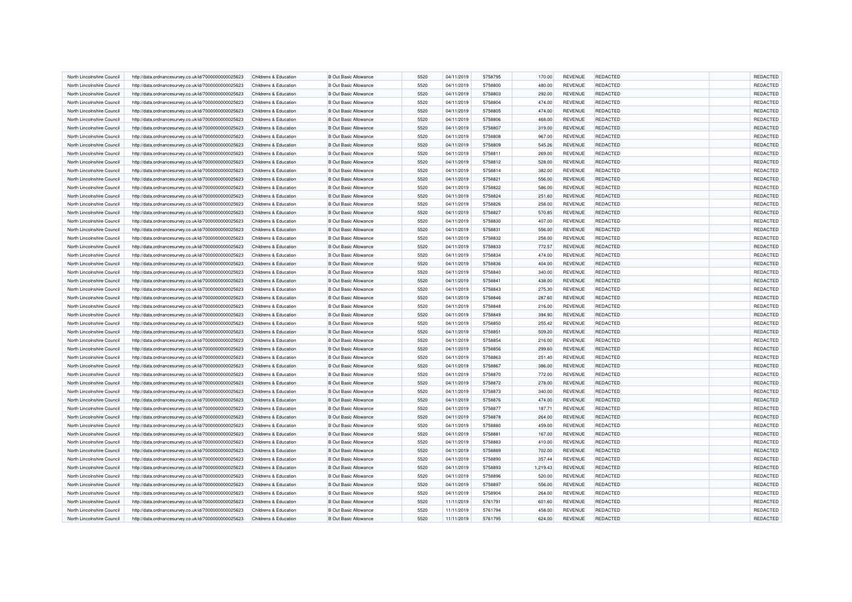| North Lincolnshire Council                               | http://data.ordnancesurvey.co.uk/id/7000000000025623 | Childrens & Education                                     | <b>B</b> Out Basic Allowance                                 | 5520         | 04/11/2019               | 5758795            | 170.00           | <b>REVENUE</b>                   | <b>REDACTED</b> | REDACTED             |
|----------------------------------------------------------|------------------------------------------------------|-----------------------------------------------------------|--------------------------------------------------------------|--------------|--------------------------|--------------------|------------------|----------------------------------|-----------------|----------------------|
| North Lincolnshire Council                               | http://data.ordnancesurvey.co.uk/id/7000000000025623 | Childrens & Education                                     | <b>B Out Basic Allowance</b>                                 | 5520         | 04/11/2019               | 5758800            | 480.00           | REVENUE                          | <b>REDACTED</b> | REDACTED             |
| North Lincolnshire Council                               | http://data.ordnancesurvey.co.uk/id/7000000000025623 | Childrens & Education                                     | <b>B Out Basic Allowance</b>                                 | 5520         | 04/11/2019               | 5758803            | 292.00           | <b>REVENUE</b>                   | <b>REDACTED</b> | REDACTED             |
| North Lincolnshire Council                               | http://data.ordnancesurvey.co.uk/id/7000000000025623 | Childrens & Education                                     | <b>B Out Basic Allowance</b>                                 | 5520         | 04/11/2019               | 5758804            | 474.00           | REVENUE                          | <b>REDACTED</b> | REDACTED             |
| North Lincolnshire Council                               | http://data.ordnancesurvey.co.uk/id/7000000000025623 | Childrens & Education                                     | <b>B Out Basic Allowance</b>                                 | 5520         | 04/11/2019               | 5758805            | 474.00           | <b>REVENUE</b>                   | <b>REDACTED</b> | REDACTED             |
| North Lincolnshire Council                               | http://data.ordnancesurvey.co.uk/id/7000000000025623 | Childrens & Education                                     | <b>B Out Basic Allowance</b>                                 | 5520         | 04/11/2019               | 5758806            | 468.00           | REVENUE                          | <b>REDACTED</b> | REDACTED             |
| North Lincolnshire Council                               | http://data.ordnancesurvey.co.uk/id/7000000000025623 | Childrens & Education                                     | <b>B Out Basic Allowance</b>                                 | 5520         | 04/11/2019               | 5758807            | 319.00           | <b>REVENUE</b>                   | <b>REDACTED</b> | REDACTED             |
| North Lincolnshire Council                               | http://data.ordnancesurvey.co.uk/id/7000000000025623 | Childrens & Education                                     | <b>B Out Basic Allowance</b>                                 | 5520         | 04/11/2019               | 5758808            | 967.00           | REVENUE                          | <b>REDACTED</b> | REDACTED             |
| North Lincolnshire Council                               | http://data.ordnancesurvey.co.uk/id/7000000000025623 | Childrens & Education                                     | <b>B Out Basic Allowance</b>                                 | 5520         | 04/11/2019               | 5758809            | 545.26           | REVENUE                          | REDACTED        | REDACTED             |
| North Lincolnshire Council                               | http://data.ordnancesurvey.co.uk/id/7000000000025623 | Childrens & Education                                     | <b>B Out Basic Allowance</b>                                 | 5520         | 04/11/2019               | 5758811            | 269.00           | REVENUE                          | <b>REDACTED</b> | REDACTED             |
| North Lincolnshire Council                               | http://data.ordnancesurvey.co.uk/id/7000000000025623 | Childrens & Education                                     | <b>B Out Basic Allowance</b>                                 | 5520         | 04/11/2019               | 5758812            | 528.00           | <b>REVENUE</b>                   | <b>REDACTED</b> | REDACTED             |
| North Lincolnshire Council                               | http://data.ordnancesurvey.co.uk/id/7000000000025623 | Childrens & Education                                     | <b>B</b> Out Basic Allowance                                 | 5520         | 04/11/2019               | 5758814            | 382.00           | <b>REVENUE</b>                   | <b>REDACTED</b> | REDACTED             |
| North Lincolnshire Council                               | http://data.ordnancesurvey.co.uk/id/7000000000025623 | Childrens & Education                                     | <b>B Out Basic Allowance</b>                                 | 5520         | 04/11/2019               | 5758821            | 556.00           | <b>REVENUE</b>                   | <b>REDACTED</b> | REDACTED             |
| North Lincolnshire Council                               | http://data.ordnancesurvey.co.uk/id/7000000000025623 | Childrens & Education                                     | <b>B Out Basic Allowance</b>                                 | 5520         | 04/11/2019               | 5758822            | 586.00           | REVENUE                          | <b>REDACTED</b> | REDACTED             |
| North Lincolnshire Council                               | http://data.ordnancesurvey.co.uk/id/7000000000025623 | Childrens & Education                                     | <b>B Out Basic Allowance</b>                                 | 5520         | 04/11/2019               | 5758824            | 251.60           | REVENUE                          | REDACTED        | REDACTED             |
| North Lincolnshire Council                               | http://data.ordnancesurvey.co.uk/id/7000000000025623 | Childrens & Education                                     | <b>B Out Basic Allowance</b>                                 | 5520         | 04/11/2019               | 5758826            | 258.00           | REVENUE                          | <b>REDACTED</b> | REDACTED             |
| North Lincolnshire Council                               | http://data.ordnancesurvey.co.uk/id/7000000000025623 | Childrens & Education                                     | <b>B Out Basic Allowance</b>                                 | 5520         | 04/11/2019               | 5758827            | 570.85           | <b>REVENUE</b>                   | <b>REDACTED</b> | REDACTED             |
| North Lincolnshire Council                               | http://data.ordnancesurvey.co.uk/id/7000000000025623 | Childrens & Education                                     | <b>B Out Basic Allowance</b>                                 | 5520         | 04/11/2019               | 5758830            | 407.00           | REVENUE                          | <b>REDACTED</b> | REDACTED             |
| North Lincolnshire Council                               | http://data.ordnancesurvey.co.uk/id/7000000000025623 | Childrens & Education                                     | <b>B Out Basic Allowance</b>                                 | 5520         | 04/11/2019               | 5758831            | 556.00           | REVENUE                          | REDACTED        | REDACTED             |
| North Lincolnshire Council                               | http://data.ordnancesurvey.co.uk/id/7000000000025623 | Childrens & Education                                     | <b>B Out Basic Allowance</b>                                 | 5520         | 04/11/2019               | 5758832            | 258.00           | <b>REVENUE</b>                   | <b>REDACTED</b> | REDACTED             |
| North Lincolnshire Council                               | http://data.ordnancesurvey.co.uk/id/7000000000025623 | Childrens & Education                                     | <b>B Out Basic Allowance</b>                                 | 5520         | 04/11/2019               | 5758833            | 772.57           | REVENUE                          | <b>REDACTED</b> | REDACTED             |
| North Lincolnshire Council                               | http://data.ordnancesurvey.co.uk/id/7000000000025623 | Childrens & Education                                     | <b>B Out Basic Allowance</b>                                 | 5520         | 04/11/2019               | 5758834            | 474.00           | <b>REVENUE</b>                   | <b>REDACTED</b> | REDACTED             |
| North Lincolnshire Council                               | http://data.ordnancesurvey.co.uk/id/7000000000025623 | <b>Childrens &amp; Education</b>                          | <b>B Out Basic Allowance</b>                                 | 5520         | 04/11/2019               | 5758836            | 404.00           | <b>REVENUE</b>                   | <b>REDACTED</b> | REDACTED             |
|                                                          |                                                      |                                                           |                                                              |              |                          | 5758840            |                  |                                  | <b>REDACTED</b> | REDACTED             |
| North Lincolnshire Council<br>North Lincolnshire Council | http://data.ordnancesurvey.co.uk/id/7000000000025623 | Childrens & Education<br><b>Childrens &amp; Education</b> | <b>B Out Basic Allowance</b><br><b>B Out Basic Allowance</b> | 5520<br>5520 | 04/11/2019<br>04/11/2019 | 5758841            | 340.00<br>438.00 | <b>REVENUE</b><br><b>REVENUE</b> | REDACTED        | REDACTED             |
|                                                          | http://data.ordnancesurvey.co.uk/id/7000000000025623 |                                                           |                                                              |              |                          |                    |                  |                                  |                 |                      |
| North Lincolnshire Council                               | http://data.ordnancesurvey.co.uk/id/7000000000025623 | Childrens & Education                                     | <b>B Out Basic Allowance</b>                                 | 5520         | 04/11/2019               | 5758843<br>5758846 | 275.30           | <b>REVENUE</b>                   | REDACTED        | REDACTED<br>REDACTED |
| North Lincolnshire Council                               | http://data.ordnancesurvey.co.uk/id/7000000000025623 | Childrens & Education                                     | <b>B Out Basic Allowance</b>                                 | 5520         | 04/11/2019               |                    | 287.60           | REVENUE                          | <b>REDACTED</b> | REDACTED             |
| North Lincolnshire Council                               | http://data.ordnancesurvey.co.uk/id/7000000000025623 | Childrens & Education                                     | <b>B Out Basic Allowance</b>                                 | 5520         | 04/11/2019               | 5758848            | 216.00           | <b>REVENUE</b>                   | <b>REDACTED</b> |                      |
| North Lincolnshire Council                               | http://data.ordnancesurvey.co.uk/id/7000000000025623 | Childrens & Education                                     | <b>B Out Basic Allowance</b>                                 | 5520         | 04/11/2019               | 5758849            | 394.90           | REVENUE                          | <b>REDACTED</b> | REDACTED             |
| North Lincolnshire Council                               | http://data.ordnancesurvey.co.uk/id/7000000000025623 | Childrens & Education                                     | <b>B Out Basic Allowance</b>                                 | 5520         | 04/11/2019               | 5758850            | 255.42           | REVENUE                          | <b>REDACTED</b> | REDACTED             |
| North Lincolnshire Council                               | http://data.ordnancesurvey.co.uk/id/7000000000025623 | Childrens & Education                                     | <b>B Out Basic Allowance</b>                                 | 5520         | 04/11/2019               | 5758851            | 509.20           | <b>REVENUE</b>                   | <b>REDACTED</b> | REDACTED             |
| North Lincolnshire Council                               | http://data.ordnancesurvey.co.uk/id/7000000000025623 | Childrens & Education                                     | <b>B Out Basic Allowance</b>                                 | 5520         | 04/11/2019               | 5758854            | 216.00           | <b>REVENUE</b>                   | <b>REDACTED</b> | REDACTED             |
| North Lincolnshire Council                               | http://data.ordnancesurvey.co.uk/id/7000000000025623 | Childrens & Education                                     | <b>B Out Basic Allowance</b>                                 | 5520         | 04/11/2019               | 5758856            | 299.60           | <b>REVENUE</b>                   | <b>REDACTED</b> | REDACTED             |
| North Lincolnshire Council                               | http://data.ordnancesurvey.co.uk/id/7000000000025623 | Childrens & Education                                     | <b>B Out Basic Allowance</b>                                 | 5520         | 04/11/2019               | 5758863            | 251.40           | REVENUE                          | REDACTED        | REDACTED             |
| North Lincolnshire Council                               | http://data.ordnancesurvey.co.uk/id/7000000000025623 | Childrens & Education                                     | <b>B Out Basic Allowance</b>                                 | 5520         | 04/11/2019               | 5758867            | 386.00           | <b>REVENUE</b>                   | REDACTED        | REDACTED             |
| North Lincolnshire Council                               | http://data.ordnancesurvey.co.uk/id/7000000000025623 | Childrens & Education                                     | <b>B Out Basic Allowance</b>                                 | 5520         | 04/11/2019               | 5758870            | 772.00           | REVENUE                          | <b>REDACTED</b> | REDACTED             |
| North Lincolnshire Council                               | http://data.ordnancesurvey.co.uk/id/7000000000025623 | Childrens & Education                                     | <b>B Out Basic Allowance</b>                                 | 5520         | 04/11/2019               | 5758872            | 278.00           | <b>REVENUE</b>                   | <b>REDACTED</b> | REDACTED             |
| North Lincolnshire Council                               | http://data.ordnancesurvey.co.uk/id/7000000000025623 | Childrens & Education                                     | <b>B Out Basic Allowance</b>                                 | 5520         | 04/11/2019               | 5758873            | 340.00           | REVENUE                          | <b>REDACTED</b> | REDACTED             |
| North Lincolnshire Council                               | http://data.ordnancesurvey.co.uk/id/7000000000025623 | Childrens & Education                                     | <b>B Out Basic Allowance</b>                                 | 5520         | 04/11/2019               | 5758876            | 474.00           | <b>REVENUE</b>                   | <b>REDACTED</b> | REDACTED             |
| North Lincolnshire Council                               | http://data.ordnancesurvey.co.uk/id/7000000000025623 | Childrens & Education                                     | <b>B Out Basic Allowance</b>                                 | 5520         | 04/11/2019               | 5758877            | 187.71           | REVENUE                          | <b>REDACTED</b> | REDACTED             |
| North Lincolnshire Council                               | http://data.ordnancesurvey.co.uk/id/7000000000025623 | Childrens & Education                                     | <b>B Out Basic Allowance</b>                                 | 5520         | 04/11/2019               | 5758878            | 264.00           | REVENUE                          | REDACTED        | REDACTED             |
| North Lincolnshire Council                               | http://data.ordnancesurvey.co.uk/id/7000000000025623 | Childrens & Education                                     | <b>B Out Basic Allowance</b>                                 | 5520         | 04/11/2019               | 5758880            | 459.00           | REVENUE                          | <b>REDACTED</b> | REDACTED             |
| North Lincolnshire Council                               | http://data.ordnancesurvey.co.uk/id/7000000000025623 | Childrens & Education                                     | <b>B Out Basic Allowance</b>                                 | 5520         | 04/11/2019               | 5758881            | 167.00           | <b>REVENUE</b>                   | <b>REDACTED</b> | REDACTED             |
| North Lincolnshire Council                               | http://data.ordnancesurvey.co.uk/id/7000000000025623 | Childrens & Education                                     | <b>B Out Basic Allowance</b>                                 | 5520         | 04/11/2019               | 5758883            | 410.00           | <b>REVENUE</b>                   | <b>REDACTED</b> | REDACTED             |
| North Lincolnshire Council                               | http://data.ordnancesurvey.co.uk/id/7000000000025623 | Childrens & Education                                     | <b>B Out Basic Allowance</b>                                 | 5520         | 04/11/2019               | 5758889            | 702.00           | <b>REVENUE</b>                   | <b>REDACTED</b> | REDACTED             |
| North Lincolnshire Council                               | http://data.ordnancesurvey.co.uk/id/7000000000025623 | Childrens & Education                                     | <b>B Out Basic Allowance</b>                                 | 5520         | 04/11/2019               | 5758890            | 357.44           | REVENUE                          | <b>REDACTED</b> | REDACTED             |
| North Lincolnshire Council                               | http://data.ordnancesurvey.co.uk/id/7000000000025623 | Childrens & Education                                     | <b>B Out Basic Allowance</b>                                 | 5520         | 04/11/2019               | 5758893            | 1,219.43         | <b>REVENUE</b>                   | <b>REDACTED</b> | REDACTED             |
| North Lincolnshire Council                               | http://data.ordnancesurvey.co.uk/id/7000000000025623 | Childrens & Education                                     | <b>B Out Basic Allowance</b>                                 | 5520         | 04/11/2019               | 5758896            | 520.00           | REVENUE                          | <b>REDACTED</b> | REDACTED             |
| North Lincolnshire Council                               | http://data.ordnancesurvey.co.uk/id/7000000000025623 | Childrens & Education                                     | <b>B Out Basic Allowance</b>                                 | 5520         | 04/11/2019               | 5758897            | 556.00           | <b>REVENUE</b>                   | <b>REDACTED</b> | REDACTED             |
| North Lincolnshire Council                               | http://data.ordnancesurvey.co.uk/id/7000000000025623 | Childrens & Education                                     | <b>B Out Basic Allowance</b>                                 | 5520         | 04/11/2019               | 5758904            | 264.00           | REVENUE                          | <b>REDACTED</b> | REDACTED             |
| North Lincolnshire Council                               | http://data.ordnancesurvey.co.uk/id/7000000000025623 | <b>Childrens &amp; Education</b>                          | <b>B Out Basic Allowance</b>                                 | 5520         | 11/11/2019               | 5761791            | 601.60           | REVENUE                          | <b>REDACTED</b> | REDACTED             |
| North Lincolnshire Council                               | http://data.ordnancesurvey.co.uk/id/7000000000025623 | Childrens & Education                                     | <b>B Out Basic Allowance</b>                                 | 5520         | 11/11/2019               | 5761794            | 458.00           | <b>REVENUE</b>                   | <b>REDACTED</b> | REDACTED             |
| North Lincolnshire Council                               | http://data.ordnancesurvey.co.uk/id/7000000000025623 | Childrens & Education                                     | <b>B Out Basic Allowance</b>                                 | 5520         | 11/11/2019               | 5761795            | 624.00           | REVENUE                          | <b>REDACTED</b> | REDACTED             |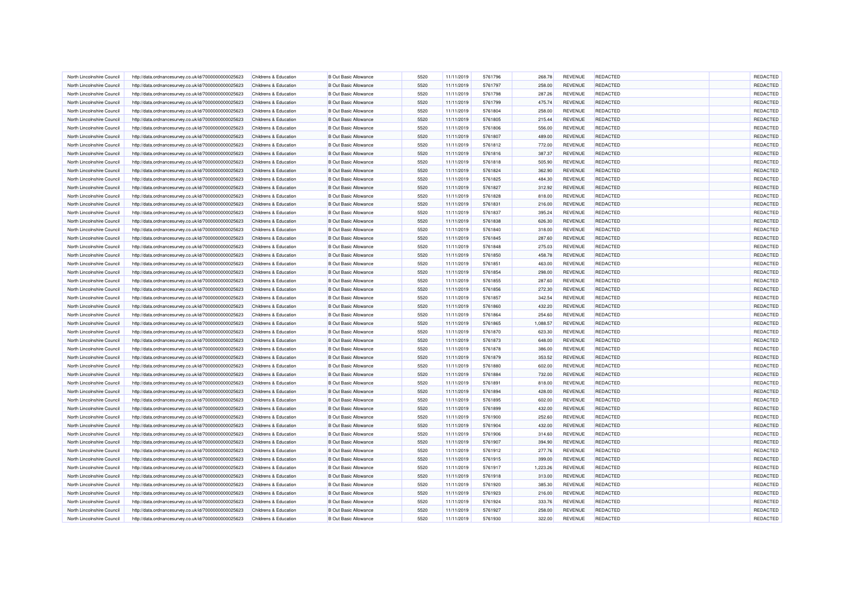| North Lincolnshire Council                               | http://data.ordnancesurvey.co.uk/id/7000000000025623 | Childrens & Education                          | <b>B Out Basic Allowance</b>                                 | 5520 | 11/11/2019               | 5761796 | 268.78           | <b>REVENUE</b>            | <b>REDACTED</b> | REDACTED             |
|----------------------------------------------------------|------------------------------------------------------|------------------------------------------------|--------------------------------------------------------------|------|--------------------------|---------|------------------|---------------------------|-----------------|----------------------|
| North Lincolnshire Council                               | http://data.ordnancesurvey.co.uk/id/7000000000025623 | <b>Childrens &amp; Education</b>               | <b>B Out Basic Allowance</b>                                 | 5520 | 11/11/2019               | 5761797 | 258.00           | <b>REVENUE</b>            | <b>REDACTED</b> | REDACTED             |
| North Lincolnshire Council                               | http://data.ordnancesurvey.co.uk/id/7000000000025623 | Childrens & Education                          | <b>B Out Basic Allowance</b>                                 | 5520 | 11/11/2019               | 5761798 | 287.26           | REVENUE                   | <b>REDACTED</b> | REDACTED             |
| North Lincolnshire Council                               | http://data.ordnancesurvey.co.uk/id/7000000000025623 | <b>Childrens &amp; Education</b>               | <b>B Out Basic Allowance</b>                                 | 5520 | 11/11/2019               | 5761799 | 475.74           | <b>REVENUE</b>            | REDACTED        | REDACTED             |
| North Lincolnshire Council                               | http://data.ordnancesurvey.co.uk/id/7000000000025623 | Childrens & Education                          | <b>B Out Basic Allowance</b>                                 | 5520 | 11/11/2019               | 5761804 | 258.00           | <b>REVENUE</b>            | <b>REDACTED</b> | REDACTED             |
| North Lincolnshire Council                               | http://data.ordnancesurvey.co.uk/id/7000000000025623 | Childrens & Education                          | <b>B Out Basic Allowance</b>                                 | 5520 | 11/11/2019               | 5761805 | 215.44           | <b>REVENUE</b>            | <b>REDACTED</b> | REDACTED             |
| North Lincolnshire Council                               | http://data.ordnancesurvey.co.uk/id/7000000000025623 | Childrens & Education                          | <b>B Out Basic Allowance</b>                                 | 5520 | 11/11/2019               | 5761806 | 556.00           | <b>REVENUE</b>            | <b>REDACTED</b> | REDACTED             |
| North Lincolnshire Council                               | http://data.ordnancesurvey.co.uk/id/7000000000025623 | Childrens & Education                          | <b>B Out Basic Allowance</b>                                 | 5520 | 11/11/2019               | 5761807 | 489.00           | REVENUE                   | REDACTED        | REDACTED             |
| North Lincolnshire Council                               | http://data.ordnancesurvey.co.uk/id/7000000000025623 | Childrens & Education                          | <b>B Out Basic Allowance</b>                                 | 5520 | 11/11/2019               | 5761812 | 772.00           | REVENUE                   | <b>REDACTED</b> | REDACTED             |
| North Lincolnshire Council                               | http://data.ordnancesurvey.co.uk/id/7000000000025623 | Childrens & Education                          | <b>B Out Basic Allowance</b>                                 | 5520 | 11/11/2019               | 5761816 | 387.37           | REVENUE                   | <b>REDACTED</b> | REDACTED             |
| North Lincolnshire Council                               | http://data.ordnancesurvey.co.uk/id/7000000000025623 | Childrens & Education                          | <b>B Out Basic Allowance</b>                                 | 5520 | 11/11/2019               | 5761818 | 505.90           | <b>REVENUE</b>            | <b>REDACTED</b> | REDACTED             |
| North Lincolnshire Council                               | http://data.ordnancesurvey.co.uk/id/7000000000025623 | Childrens & Education                          | <b>B</b> Out Basic Allowance                                 | 5520 | 11/11/2019               | 5761824 | 362.90           | <b>REVENUE</b>            | <b>REDACTED</b> | REDACTED             |
| North Lincolnshire Council                               | http://data.ordnancesurvey.co.uk/id/7000000000025623 | Childrens & Education                          | <b>B Out Basic Allowance</b>                                 | 5520 | 11/11/2019               | 5761825 | 484.30           | <b>REVENUE</b>            | <b>REDACTED</b> | REDACTED             |
| North Lincolnshire Council                               | http://data.ordnancesurvey.co.uk/id/7000000000025623 | Childrens & Education                          | <b>B Out Basic Allowance</b>                                 | 5520 | 11/11/2019               | 5761827 | 312.92           | REVENUE                   | REDACTED        | REDACTED             |
| North Lincolnshire Council                               | http://data.ordnancesurvey.co.uk/id/7000000000025623 | Childrens & Education                          | <b>B Out Basic Allowance</b>                                 | 5520 | 11/11/2019               | 5761828 | 818.00           | REVENUE                   | <b>REDACTED</b> | REDACTED             |
| North Lincolnshire Council                               | http://data.ordnancesurvey.co.uk/id/7000000000025623 | Childrens & Education                          | <b>B Out Basic Allowance</b>                                 | 5520 | 11/11/2019               | 5761831 | 216.00           | REVENUE                   | <b>REDACTED</b> | REDACTED             |
| North Lincolnshire Council                               | http://data.ordnancesurvey.co.uk/id/7000000000025623 | Childrens & Education                          | <b>B Out Basic Allowance</b>                                 | 5520 | 11/11/2019               | 5761837 | 395.24           | REVENUE                   | <b>REDACTED</b> | REDACTED             |
| North Lincolnshire Council                               | http://data.ordnancesurvey.co.uk/id/7000000000025623 | Childrens & Education                          | <b>B Out Basic Allowance</b>                                 | 5520 | 11/11/2019               | 5761838 | 626.30           | REVENUE                   | <b>REDACTED</b> | REDACTED             |
| North Lincolnshire Council                               | http://data.ordnancesurvey.co.uk/id/7000000000025623 | Childrens & Education                          | <b>B Out Basic Allowance</b>                                 | 5520 | 11/11/2019               | 5761840 | 318.00           | REVENUE                   | <b>REDACTED</b> | REDACTED             |
| North Lincolnshire Council                               | http://data.ordnancesurvey.co.uk/id/7000000000025623 | Childrens & Education                          | <b>B Out Basic Allowance</b>                                 | 5520 | 11/11/2019               | 5761845 | 287.60           | <b>REVENUE</b>            | <b>REDACTED</b> | REDACTED             |
| North Lincolnshire Council                               | http://data.ordnancesurvey.co.uk/id/7000000000025623 | Childrens & Education                          | <b>B Out Basic Allowance</b>                                 | 5520 | 11/11/2019               | 5761848 | 275.03           | REVENUE                   | <b>REDACTED</b> | REDACTED             |
| North Lincolnshire Council                               | http://data.ordnancesurvey.co.uk/id/7000000000025623 | Childrens & Education                          | <b>B Out Basic Allowance</b>                                 | 5520 | 11/11/2019               | 5761850 | 458.78           | <b>REVENUE</b>            | <b>REDACTED</b> | REDACTED             |
| North Lincolnshire Council                               | http://data.ordnancesurvey.co.uk/id/7000000000025623 | Childrens & Education                          | <b>B Out Basic Allowance</b>                                 | 5520 | 11/11/2019               | 5761851 | 463.00           | REVENUE                   | REDACTED        | REDACTED             |
|                                                          |                                                      |                                                |                                                              | 5520 |                          | 5761854 |                  |                           | <b>REDACTED</b> | REDACTED             |
| North Lincolnshire Council<br>North Lincolnshire Council | http://data.ordnancesurvey.co.uk/id/7000000000025623 | Childrens & Education<br>Childrens & Education | <b>B Out Basic Allowance</b><br><b>B Out Basic Allowance</b> | 5520 | 11/11/2019<br>11/11/2019 | 5761855 | 298.00<br>287.60 | <b>REVENUE</b><br>REVENUE | <b>REDACTED</b> | REDACTED             |
|                                                          | http://data.ordnancesurvey.co.uk/id/7000000000025623 |                                                |                                                              |      |                          |         |                  |                           |                 |                      |
| North Lincolnshire Council                               | http://data.ordnancesurvey.co.uk/id/7000000000025623 | Childrens & Education                          | <b>B Out Basic Allowance</b>                                 | 5520 | 11/11/2019               | 5761856 | 272.30           | <b>REVENUE</b>            | <b>REDACTED</b> | REDACTED             |
| North Lincolnshire Council                               | http://data.ordnancesurvey.co.uk/id/7000000000025623 | Childrens & Education                          | <b>B Out Basic Allowance</b>                                 | 5520 | 11/11/2019               | 5761857 | 342.54           | REVENUE                   | <b>REDACTED</b> | REDACTED<br>REDACTED |
| North Lincolnshire Council                               | http://data.ordnancesurvey.co.uk/id/7000000000025623 | Childrens & Education                          | <b>B Out Basic Allowance</b>                                 | 5520 | 11/11/2019               | 5761860 | 432.20           | <b>REVENUE</b>            | <b>REDACTED</b> |                      |
| North Lincolnshire Council                               | http://data.ordnancesurvey.co.uk/id/7000000000025623 | Childrens & Education                          | <b>B Out Basic Allowance</b>                                 | 5520 | 11/11/2019               | 5761864 | 254.60           | REVENUE                   | <b>REDACTED</b> | REDACTED             |
| North Lincolnshire Council                               | http://data.ordnancesurvey.co.uk/id/7000000000025623 | Childrens & Education                          | <b>B Out Basic Allowance</b>                                 | 5520 | 11/11/2019               | 5761865 | 1,088.57         | REVENUE                   | REDACTED        | REDACTED             |
| North Lincolnshire Council                               | http://data.ordnancesurvey.co.uk/id/7000000000025623 | Childrens & Education                          | <b>B Out Basic Allowance</b>                                 | 5520 | 11/11/2019               | 5761870 | 623.30           | REVENUE                   | REDACTED        | REDACTED             |
| North Lincolnshire Council                               | http://data.ordnancesurvey.co.uk/id/7000000000025623 | Childrens & Education                          | <b>B Out Basic Allowance</b>                                 | 5520 | 11/11/2019               | 5761873 | 648.00           | <b>REVENUE</b>            | <b>REDACTED</b> | REDACTED             |
| North Lincolnshire Council                               | http://data.ordnancesurvey.co.uk/id/7000000000025623 | Childrens & Education                          | <b>B Out Basic Allowance</b>                                 | 5520 | 11/11/2019               | 5761878 | 386.00           | <b>REVENUE</b>            | <b>REDACTED</b> | REDACTED             |
| North Lincolnshire Council                               | http://data.ordnancesurvey.co.uk/id/7000000000025623 | <b>Childrens &amp; Education</b>               | <b>B Out Basic Allowance</b>                                 | 5520 | 11/11/2019               | 5761879 | 353.52           | REVENUE                   | <b>REDACTED</b> | REDACTED             |
| North Lincolnshire Council                               | http://data.ordnancesurvey.co.uk/id/7000000000025623 | Childrens & Education                          | <b>B Out Basic Allowance</b>                                 | 5520 | 11/11/2019               | 5761880 | 602.00           | REVENUE                   | <b>REDACTED</b> | REDACTED             |
| North Lincolnshire Council                               | http://data.ordnancesurvey.co.uk/id/7000000000025623 | <b>Childrens &amp; Education</b>               | <b>B Out Basic Allowance</b>                                 | 5520 | 11/11/2019               | 5761884 | 732.00           | <b>REVENUE</b>            | <b>REDACTED</b> | REDACTED             |
| North Lincolnshire Council                               | http://data.ordnancesurvey.co.uk/id/7000000000025623 | Childrens & Education                          | <b>B Out Basic Allowance</b>                                 | 5520 | 11/11/2019               | 5761891 | 818.00           | <b>REVENUE</b>            | <b>REDACTED</b> | REDACTED             |
| North Lincolnshire Council                               | http://data.ordnancesurvey.co.uk/id/7000000000025623 | Childrens & Education                          | <b>B Out Basic Allowance</b>                                 | 5520 | 11/11/2019               | 5761894 | 428.00           | REVENUE                   | <b>REDACTED</b> | REDACTED             |
| North Lincolnshire Council                               | http://data.ordnancesurvey.co.uk/id/7000000000025623 | Childrens & Education                          | <b>B Out Basic Allowance</b>                                 | 5520 | 11/11/2019               | 5761895 | 602.00           | <b>REVENUE</b>            | <b>REDACTED</b> | REDACTED             |
| North Lincolnshire Council                               | http://data.ordnancesurvey.co.uk/id/7000000000025623 | Childrens & Education                          | <b>B Out Basic Allowance</b>                                 | 5520 | 11/11/2019               | 5761899 | 432.00           | REVENUE                   | <b>REDACTED</b> | REDACTED             |
| North Lincolnshire Council                               | http://data.ordnancesurvey.co.uk/id/7000000000025623 | Childrens & Education                          | <b>B Out Basic Allowance</b>                                 | 5520 | 11/11/2019               | 5761900 | 252.60           | REVENUE                   | <b>REDACTED</b> | REDACTED             |
| North Lincolnshire Council                               | http://data.ordnancesurvey.co.uk/id/7000000000025623 | Childrens & Education                          | <b>B Out Basic Allowance</b>                                 | 5520 | 11/11/2019               | 5761904 | 432.00           | REVENUE                   | <b>REDACTED</b> | REDACTED             |
| North Lincolnshire Council                               | http://data.ordnancesurvey.co.uk/id/7000000000025623 | Childrens & Education                          | <b>B Out Basic Allowance</b>                                 | 5520 | 11/11/2019               | 5761906 | 314.60           | <b>REVENUE</b>            | <b>REDACTED</b> | REDACTED             |
| North Lincolnshire Council                               | http://data.ordnancesurvey.co.uk/id/7000000000025623 | Childrens & Education                          | <b>B Out Basic Allowance</b>                                 | 5520 | 11/11/2019               | 5761907 | 394.90           | <b>REVENUE</b>            | <b>REDACTED</b> | REDACTED             |
| North Lincolnshire Council                               | http://data.ordnancesurvey.co.uk/id/7000000000025623 | Childrens & Education                          | <b>B Out Basic Allowance</b>                                 | 5520 | 11/11/2019               | 5761912 | 277.76           | REVENUE                   | <b>REDACTED</b> | REDACTED             |
| North Lincolnshire Council                               | http://data.ordnancesurvey.co.uk/id/7000000000025623 | Childrens & Education                          | <b>B Out Basic Allowance</b>                                 | 5520 | 11/11/2019               | 5761915 | 399.00           | REVENUE                   | <b>REDACTED</b> | REDACTED             |
| North Lincolnshire Council                               | http://data.ordnancesurvey.co.uk/id/7000000000025623 | Childrens & Education                          | <b>B Out Basic Allowance</b>                                 | 5520 | 11/11/2019               | 5761917 | 1,223.26         | REVENUE                   | <b>REDACTED</b> | REDACTED             |
| North Lincolnshire Council                               | http://data.ordnancesurvey.co.uk/id/7000000000025623 | Childrens & Education                          | <b>B Out Basic Allowance</b>                                 | 5520 | 11/11/2019               | 5761918 | 313.00           | REVENUE                   | REDACTED        | REDACTED             |
| North Lincolnshire Council                               | http://data.ordnancesurvey.co.uk/id/7000000000025623 | Childrens & Education                          | <b>B Out Basic Allowance</b>                                 | 5520 | 11/11/2019               | 5761920 | 385.30           | REVENUE                   | <b>REDACTED</b> | REDACTED             |
| North Lincolnshire Council                               | http://data.ordnancesurvey.co.uk/id/7000000000025623 | Childrens & Education                          | <b>B Out Basic Allowance</b>                                 | 5520 | 11/11/2019               | 5761923 | 216.00           | <b>REVENUE</b>            | <b>REDACTED</b> | REDACTED             |
| North Lincolnshire Council                               | http://data.ordnancesurvey.co.uk/id/7000000000025623 | Childrens & Education                          | <b>B Out Basic Allowance</b>                                 | 5520 | 11/11/2019               | 5761924 | 333.76           | REVENUE                   | <b>REDACTED</b> | REDACTED             |
| North Lincolnshire Council                               | http://data.ordnancesurvey.co.uk/id/7000000000025623 | Childrens & Education                          | <b>B Out Basic Allowance</b>                                 | 5520 | 11/11/2019               | 5761927 | 258.00           | <b>REVENUE</b>            | <b>REDACTED</b> | REDACTED             |
| North Lincolnshire Council                               | http://data.ordnancesurvey.co.uk/id/7000000000025623 | Childrens & Education                          | <b>B Out Basic Allowance</b>                                 | 5520 | 11/11/2019               | 5761930 | 322.00           | REVENUE                   | <b>REDACTED</b> | REDACTED             |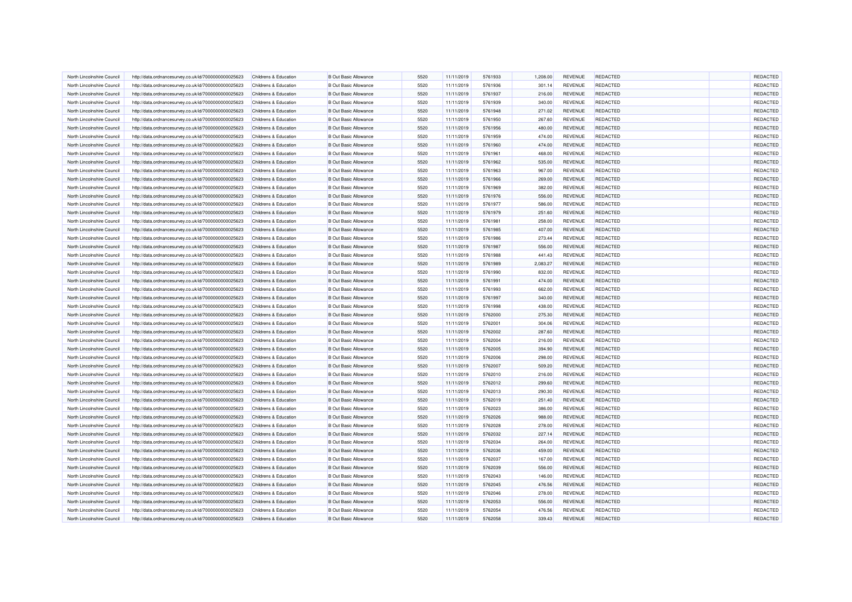| North Lincolnshire Council | http://data.ordnancesurvey.co.uk/id/7000000000025623 | Childrens & Education                          | <b>B Out Basic Allowance</b> | 5520 | 11/11/2019               | 5761933 | 1,208.00 | <b>REVENUE</b> | <b>REDACTED</b> | <b>REDACTED</b> |
|----------------------------|------------------------------------------------------|------------------------------------------------|------------------------------|------|--------------------------|---------|----------|----------------|-----------------|-----------------|
| North Lincolnshire Council | http://data.ordnancesurvey.co.uk/id/7000000000025623 | Childrens & Education                          | <b>B Out Basic Allowance</b> | 5520 | 11/11/2019               | 5761936 | 301.14   | REVENUE        | <b>REDACTED</b> | REDACTED        |
| North Lincolnshire Council | http://data.ordnancesurvey.co.uk/id/7000000000025623 | Childrens & Education                          | <b>B Out Basic Allowance</b> | 5520 | 11/11/2019               | 5761937 | 216.00   | <b>REVENUE</b> | <b>REDACTED</b> | REDACTED        |
| North Lincolnshire Council | http://data.ordnancesurvey.co.uk/id/7000000000025623 | Childrens & Education                          | <b>B Out Basic Allowance</b> | 5520 | 11/11/2019               | 5761939 | 340.00   | REVENUE        | REDACTED        | REDACTED        |
| North Lincolnshire Council | http://data.ordnancesurvey.co.uk/id/7000000000025623 | Childrens & Education                          | <b>B Out Basic Allowance</b> | 5520 | 11/11/2019               | 5761948 | 271.02   | <b>REVENUE</b> | <b>REDACTED</b> | REDACTED        |
| North Lincolnshire Council | http://data.ordnancesurvey.co.uk/id/7000000000025623 | Childrens & Education                          | <b>B Out Basic Allowance</b> | 5520 | 11/11/2019               | 5761950 | 267.60   | REVENUE        | <b>REDACTED</b> | REDACTED        |
| North Lincolnshire Council | http://data.ordnancesurvey.co.uk/id/7000000000025623 | Childrens & Education                          | <b>B Out Basic Allowance</b> | 5520 | 11/11/2019               | 5761956 | 480.00   | <b>REVENUE</b> | <b>REDACTED</b> | REDACTED        |
| North Lincolnshire Council | http://data.ordnancesurvey.co.uk/id/7000000000025623 | Childrens & Education                          | <b>B Out Basic Allowance</b> | 5520 | 11/11/2019               | 5761959 | 474.00   | REVENUE        | <b>REDACTED</b> | REDACTED        |
| North Lincolnshire Council | http://data.ordnancesurvey.co.uk/id/7000000000025623 | Childrens & Education                          | <b>B Out Basic Allowance</b> | 5520 | 11/11/2019               | 5761960 | 474.00   | REVENUE        | <b>REDACTED</b> | REDACTED        |
| North Lincolnshire Council | http://data.ordnancesurvey.co.uk/id/7000000000025623 | Childrens & Education                          | <b>B Out Basic Allowance</b> | 5520 | 11/11/2019               | 5761961 | 468.00   | REVENUE        | <b>REDACTED</b> | REDACTED        |
| North Lincolnshire Council | http://data.ordnancesurvey.co.uk/id/7000000000025623 | Childrens & Education                          | <b>B Out Basic Allowance</b> | 5520 | 11/11/2019               | 5761962 | 535.00   | <b>REVENUE</b> | <b>REDACTED</b> | REDACTED        |
| North Lincolnshire Council | http://data.ordnancesurvey.co.uk/id/7000000000025623 | Childrens & Education                          | <b>B</b> Out Basic Allowance | 5520 | 11/11/2019               | 5761963 | 967.00   | <b>REVENUE</b> | <b>REDACTED</b> | REDACTED        |
| North Lincolnshire Council | http://data.ordnancesurvey.co.uk/id/7000000000025623 | Childrens & Education                          | <b>B Out Basic Allowance</b> | 5520 | 11/11/2019               | 5761966 | 269.00   | <b>REVENUE</b> | <b>REDACTED</b> | REDACTED        |
| North Lincolnshire Council | http://data.ordnancesurvey.co.uk/id/7000000000025623 | Childrens & Education                          | <b>B Out Basic Allowance</b> | 5520 | 11/11/2019               | 5761969 | 382.00   | REVENUE        | REDACTED        | REDACTED        |
| North Lincolnshire Council | http://data.ordnancesurvey.co.uk/id/7000000000025623 | Childrens & Education                          | <b>B Out Basic Allowance</b> | 5520 | 11/11/2019               | 5761976 | 556.00   | REVENUE        | <b>REDACTED</b> | REDACTED        |
| North Lincolnshire Council | http://data.ordnancesurvey.co.uk/id/7000000000025623 | Childrens & Education                          | <b>B Out Basic Allowance</b> | 5520 | 11/11/2019               | 5761977 | 586.00   | REVENUE        | <b>REDACTED</b> | REDACTED        |
| North Lincolnshire Council | http://data.ordnancesurvey.co.uk/id/7000000000025623 | Childrens & Education                          | <b>B Out Basic Allowance</b> | 5520 | 11/11/2019               | 5761979 | 251.60   | <b>REVENUE</b> | <b>REDACTED</b> | REDACTED        |
| North Lincolnshire Council | http://data.ordnancesurvey.co.uk/id/7000000000025623 | Childrens & Education                          | <b>B Out Basic Allowance</b> | 5520 | 11/11/2019               | 5761981 | 258.00   | REVENUE        | <b>REDACTED</b> | REDACTED        |
| North Lincolnshire Council |                                                      | Childrens & Education                          | <b>B Out Basic Allowance</b> | 5520 |                          | 5761985 | 407.00   | REVENUE        | REDACTED        | REDACTED        |
| North Lincolnshire Council | http://data.ordnancesurvey.co.uk/id/7000000000025623 | Childrens & Education                          | <b>B Out Basic Allowance</b> | 5520 | 11/11/2019<br>11/11/2019 | 5761986 | 273.44   | <b>REVENUE</b> | <b>REDACTED</b> | REDACTED        |
| North Lincolnshire Council | http://data.ordnancesurvey.co.uk/id/7000000000025623 |                                                |                              | 5520 |                          |         |          |                |                 | REDACTED        |
| North Lincolnshire Council | http://data.ordnancesurvey.co.uk/id/7000000000025623 | Childrens & Education<br>Childrens & Education | <b>B Out Basic Allowance</b> | 5520 | 11/11/2019               | 5761987 | 556.00   | REVENUE        | <b>REDACTED</b> | REDACTED        |
|                            | http://data.ordnancesurvey.co.uk/id/7000000000025623 |                                                | <b>B Out Basic Allowance</b> |      | 11/11/2019               | 5761988 | 441.43   | <b>REVENUE</b> | <b>REDACTED</b> |                 |
| North Lincolnshire Council | http://data.ordnancesurvey.co.uk/id/7000000000025623 | <b>Childrens &amp; Education</b>               | <b>B Out Basic Allowance</b> | 5520 | 11/11/2019               | 5761989 | 2,083.27 | <b>REVENUE</b> | <b>REDACTED</b> | REDACTED        |
| North Lincolnshire Council | http://data.ordnancesurvey.co.uk/id/7000000000025623 | Childrens & Education                          | <b>B Out Basic Allowance</b> | 5520 | 11/11/2019               | 5761990 | 832.00   | <b>REVENUE</b> | <b>REDACTED</b> | REDACTED        |
| North Lincolnshire Council | http://data.ordnancesurvey.co.uk/id/7000000000025623 | <b>Childrens &amp; Education</b>               | <b>B Out Basic Allowance</b> | 5520 | 11/11/2019               | 5761991 | 474.00   | <b>REVENUE</b> | REDACTED        | REDACTED        |
| North Lincolnshire Council | http://data.ordnancesurvey.co.uk/id/7000000000025623 | Childrens & Education                          | <b>B Out Basic Allowance</b> | 5520 | 11/11/2019               | 5761993 | 662.00   | <b>REVENUE</b> | REDACTED        | REDACTED        |
| North Lincolnshire Council | http://data.ordnancesurvey.co.uk/id/7000000000025623 | Childrens & Education                          | <b>B Out Basic Allowance</b> | 5520 | 11/11/2019               | 5761997 | 340.00   | REVENUE        | <b>REDACTED</b> | REDACTED        |
| North Lincolnshire Council | http://data.ordnancesurvey.co.uk/id/7000000000025623 | Childrens & Education                          | <b>B Out Basic Allowance</b> | 5520 | 11/11/2019               | 5761998 | 438.00   | <b>REVENUE</b> | <b>REDACTED</b> | REDACTED        |
| North Lincolnshire Council | http://data.ordnancesurvey.co.uk/id/7000000000025623 | Childrens & Education                          | <b>B Out Basic Allowance</b> | 5520 | 11/11/2019               | 5762000 | 275.30   | REVENUE        | <b>REDACTED</b> | REDACTED        |
| North Lincolnshire Council | http://data.ordnancesurvey.co.uk/id/7000000000025623 | Childrens & Education                          | <b>B Out Basic Allowance</b> | 5520 | 11/11/2019               | 5762001 | 304.06   | REVENUE        | <b>REDACTED</b> | REDACTED        |
| North Lincolnshire Council | http://data.ordnancesurvey.co.uk/id/7000000000025623 | Childrens & Education                          | <b>B Out Basic Allowance</b> | 5520 | 11/11/2019               | 5762002 | 287.60   | <b>REVENUE</b> | <b>REDACTED</b> | REDACTED        |
| North Lincolnshire Council | http://data.ordnancesurvey.co.uk/id/7000000000025623 | Childrens & Education                          | <b>B Out Basic Allowance</b> | 5520 | 11/11/2019               | 5762004 | 216.00   | <b>REVENUE</b> | <b>REDACTED</b> | REDACTED        |
| North Lincolnshire Council | http://data.ordnancesurvey.co.uk/id/7000000000025623 | Childrens & Education                          | <b>B Out Basic Allowance</b> | 5520 | 11/11/2019               | 5762005 | 394.90   | <b>REVENUE</b> | <b>REDACTED</b> | REDACTED        |
| North Lincolnshire Council | http://data.ordnancesurvey.co.uk/id/7000000000025623 | Childrens & Education                          | <b>B Out Basic Allowance</b> | 5520 | 11/11/2019               | 5762006 | 298.00   | REVENUE        | REDACTED        | REDACTED        |
| North Lincolnshire Council | http://data.ordnancesurvey.co.uk/id/7000000000025623 | Childrens & Education                          | <b>B Out Basic Allowance</b> | 5520 | 11/11/2019               | 5762007 | 509.20   | <b>REVENUE</b> | REDACTED        | REDACTED        |
| North Lincolnshire Council | http://data.ordnancesurvey.co.uk/id/7000000000025623 | Childrens & Education                          | <b>B Out Basic Allowance</b> | 5520 | 11/11/2019               | 5762010 | 216.00   | REVENUE        | <b>REDACTED</b> | REDACTED        |
| North Lincolnshire Council | http://data.ordnancesurvey.co.uk/id/7000000000025623 | Childrens & Education                          | <b>B Out Basic Allowance</b> | 5520 | 11/11/2019               | 5762012 | 299.60   | <b>REVENUE</b> | <b>REDACTED</b> | REDACTED        |
| North Lincolnshire Council | http://data.ordnancesurvey.co.uk/id/7000000000025623 | Childrens & Education                          | <b>B Out Basic Allowance</b> | 5520 | 11/11/2019               | 5762013 | 290.30   | REVENUE        | <b>REDACTED</b> | REDACTED        |
| North Lincolnshire Council | http://data.ordnancesurvey.co.uk/id/7000000000025623 | Childrens & Education                          | <b>B Out Basic Allowance</b> | 5520 | 11/11/2019               | 5762019 | 251.40   | <b>REVENUE</b> | <b>REDACTED</b> | REDACTED        |
| North Lincolnshire Council | http://data.ordnancesurvey.co.uk/id/7000000000025623 | Childrens & Education                          | <b>B Out Basic Allowance</b> | 5520 | 11/11/2019               | 5762023 | 386.00   | REVENUE        | <b>REDACTED</b> | REDACTED        |
| North Lincolnshire Council | http://data.ordnancesurvey.co.uk/id/7000000000025623 | Childrens & Education                          | <b>B Out Basic Allowance</b> | 5520 | 11/11/2019               | 5762026 | 988.00   | REVENUE        | REDACTED        | REDACTED        |
| North Lincolnshire Council | http://data.ordnancesurvey.co.uk/id/7000000000025623 | Childrens & Education                          | <b>B Out Basic Allowance</b> | 5520 | 11/11/2019               | 5762028 | 278.00   | REVENUE        | <b>REDACTED</b> | REDACTED        |
| North Lincolnshire Council | http://data.ordnancesurvey.co.uk/id/7000000000025623 | Childrens & Education                          | <b>B Out Basic Allowance</b> | 5520 | 11/11/2019               | 5762032 | 227.14   | <b>REVENUE</b> | <b>REDACTED</b> | REDACTED        |
| North Lincolnshire Council | http://data.ordnancesurvey.co.uk/id/7000000000025623 | Childrens & Education                          | <b>B Out Basic Allowance</b> | 5520 | 11/11/2019               | 5762034 | 264.00   | <b>REVENUE</b> | <b>REDACTED</b> | REDACTED        |
| North Lincolnshire Council | http://data.ordnancesurvey.co.uk/id/7000000000025623 | Childrens & Education                          | <b>B Out Basic Allowance</b> | 5520 | 11/11/2019               | 5762036 | 459.00   | <b>REVENUE</b> | <b>REDACTED</b> | REDACTED        |
| North Lincolnshire Council | http://data.ordnancesurvey.co.uk/id/7000000000025623 | Childrens & Education                          | <b>B Out Basic Allowance</b> | 5520 | 11/11/2019               | 5762037 | 167.00   | REVENUE        | <b>REDACTED</b> | REDACTED        |
| North Lincolnshire Council | http://data.ordnancesurvey.co.uk/id/7000000000025623 | Childrens & Education                          | <b>B Out Basic Allowance</b> | 5520 | 11/11/2019               | 5762039 | 556.00   | <b>REVENUE</b> | <b>REDACTED</b> | REDACTED        |
| North Lincolnshire Council | http://data.ordnancesurvey.co.uk/id/7000000000025623 | Childrens & Education                          | <b>B Out Basic Allowance</b> | 5520 | 11/11/2019               | 5762043 | 146.00   | REVENUE        | <b>REDACTED</b> | REDACTED        |
| North Lincolnshire Council | http://data.ordnancesurvey.co.uk/id/7000000000025623 | Childrens & Education                          | <b>B Out Basic Allowance</b> | 5520 | 11/11/2019               | 5762045 | 476.56   | <b>REVENUE</b> | <b>REDACTED</b> | REDACTED        |
| North Lincolnshire Council | http://data.ordnancesurvey.co.uk/id/7000000000025623 | Childrens & Education                          | <b>B Out Basic Allowance</b> | 5520 | 11/11/2019               | 5762046 | 278.00   | REVENUE        | <b>REDACTED</b> | REDACTED        |
| North Lincolnshire Council | http://data.ordnancesurvey.co.uk/id/7000000000025623 | <b>Childrens &amp; Education</b>               | <b>B Out Basic Allowance</b> | 5520 | 11/11/2019               | 5762053 | 556.00   | REVENUE        | <b>REDACTED</b> | REDACTED        |
| North Lincolnshire Council | http://data.ordnancesurvey.co.uk/id/7000000000025623 | Childrens & Education                          | <b>B Out Basic Allowance</b> | 5520 | 11/11/2019               | 5762054 | 476.56   | <b>REVENUE</b> | <b>REDACTED</b> | REDACTED        |
| North Lincolnshire Council | http://data.ordnancesurvey.co.uk/id/7000000000025623 | Childrens & Education                          | <b>B Out Basic Allowance</b> | 5520 | 11/11/2019               | 5762058 | 339.43   | REVENUE        | <b>REDACTED</b> | REDACTED        |
|                            |                                                      |                                                |                              |      |                          |         |          |                |                 |                 |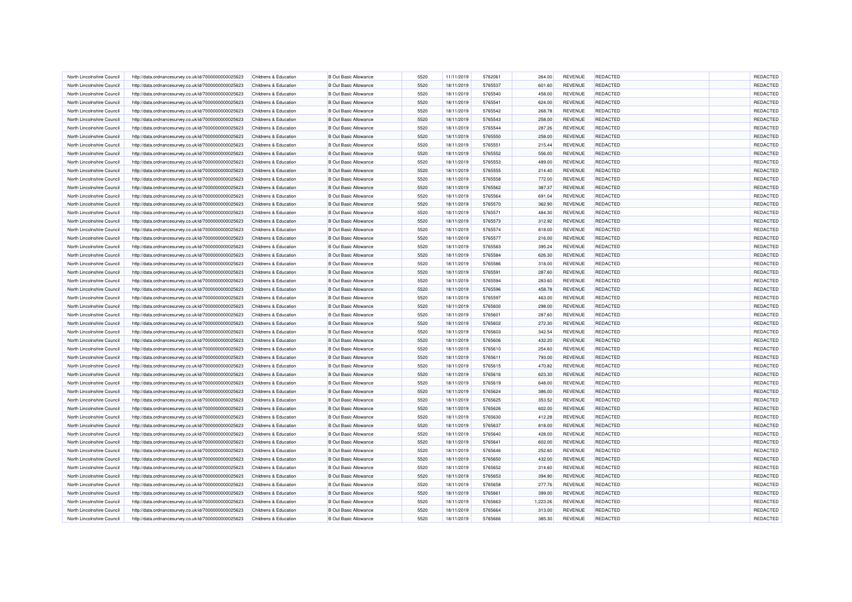| North Lincolnshire Council | http://data.ordnancesurvey.co.uk/id/7000000000025623 | Childrens & Education                          | <b>B Out Basic Allowance</b> | 5520         | 11/11/2019               | 5762061 | 264.00           | <b>REVENUE</b> | <b>REDACTED</b> | REDACTED |
|----------------------------|------------------------------------------------------|------------------------------------------------|------------------------------|--------------|--------------------------|---------|------------------|----------------|-----------------|----------|
| North Lincolnshire Council | http://data.ordnancesurvey.co.uk/id/7000000000025623 | <b>Childrens &amp; Education</b>               | <b>B Out Basic Allowance</b> | 5520         | 18/11/2019               | 5765537 | 601.60           | <b>REVENUE</b> | <b>REDACTED</b> | REDACTED |
| North Lincolnshire Council | http://data.ordnancesurvey.co.uk/id/7000000000025623 | Childrens & Education                          | <b>B Out Basic Allowance</b> | 5520         | 18/11/2019               | 5765540 | 458.00           | REVENUE        | <b>REDACTED</b> | REDACTED |
| North Lincolnshire Council | http://data.ordnancesurvey.co.uk/id/7000000000025623 | <b>Childrens &amp; Education</b>               | <b>B Out Basic Allowance</b> | 5520         | 18/11/2019               | 5765541 | 624.00           | <b>REVENUE</b> | REDACTED        | REDACTED |
| North Lincolnshire Council | http://data.ordnancesurvey.co.uk/id/7000000000025623 | Childrens & Education                          | <b>B Out Basic Allowance</b> | 5520         | 18/11/2019               | 5765542 | 268.78           | <b>REVENUE</b> | <b>REDACTED</b> | REDACTED |
| North Lincolnshire Council | http://data.ordnancesurvey.co.uk/id/7000000000025623 | Childrens & Education                          | <b>B Out Basic Allowance</b> | 5520         | 18/11/2019               | 5765543 | 258.00           | <b>REVENUE</b> | <b>REDACTED</b> | REDACTED |
| North Lincolnshire Council | http://data.ordnancesurvey.co.uk/id/7000000000025623 | Childrens & Education                          | <b>B Out Basic Allowance</b> | 5520         | 18/11/2019               | 5765544 | 287.26           | <b>REVENUE</b> | <b>REDACTED</b> | REDACTED |
| North Lincolnshire Council | http://data.ordnancesurvey.co.uk/id/7000000000025623 | Childrens & Education                          | <b>B Out Basic Allowance</b> | 5520         | 18/11/2019               | 5765550 | 258.00           | REVENUE        | REDACTED        | REDACTED |
| North Lincolnshire Council | http://data.ordnancesurvey.co.uk/id/7000000000025623 | Childrens & Education                          | <b>B Out Basic Allowance</b> | 5520         | 18/11/2019               | 5765551 | 215.44           | REVENUE        | <b>REDACTED</b> | REDACTED |
| North Lincolnshire Council | http://data.ordnancesurvey.co.uk/id/7000000000025623 | Childrens & Education                          | <b>B Out Basic Allowance</b> | 5520         | 18/11/2019               | 5765552 | 556.00           | REVENUE        | REDACTED        | REDACTED |
| North Lincolnshire Council | http://data.ordnancesurvey.co.uk/id/7000000000025623 | Childrens & Education                          | <b>B Out Basic Allowance</b> | 5520         | 18/11/2019               | 5765553 | 489.00           | <b>REVENUE</b> | <b>REDACTED</b> | REDACTED |
| North Lincolnshire Council | http://data.ordnancesurvey.co.uk/id/7000000000025623 | Childrens & Education                          | <b>B</b> Out Basic Allowance | 5520         | 18/11/2019               | 5765555 | 214.40           | <b>REVENUE</b> | <b>REDACTED</b> | REDACTED |
| North Lincolnshire Council | http://data.ordnancesurvey.co.uk/id/7000000000025623 | Childrens & Education                          | <b>B Out Basic Allowance</b> | 5520         | 18/11/2019               | 5765558 | 772.00           | <b>REVENUE</b> | <b>REDACTED</b> | REDACTED |
| North Lincolnshire Council | http://data.ordnancesurvey.co.uk/id/7000000000025623 | Childrens & Education                          | <b>B Out Basic Allowance</b> | 5520         | 18/11/2019               | 5765562 | 387.37           | <b>REVENUE</b> | REDACTED        | REDACTED |
| North Lincolnshire Council | http://data.ordnancesurvey.co.uk/id/7000000000025623 | Childrens & Education                          | <b>B Out Basic Allowance</b> | 5520         | 18/11/2019               | 5765564 | 691.04           | REVENUE        | <b>REDACTED</b> | REDACTED |
| North Lincolnshire Council | http://data.ordnancesurvey.co.uk/id/7000000000025623 | Childrens & Education                          | <b>B Out Basic Allowance</b> | 5520         | 18/11/2019               | 5765570 | 362.90           | REVENUE        | <b>REDACTED</b> | REDACTED |
| North Lincolnshire Council | http://data.ordnancesurvey.co.uk/id/7000000000025623 | Childrens & Education                          | <b>B Out Basic Allowance</b> | 5520         | 18/11/2019               | 5765571 | 484.30           | REVENUE        | <b>REDACTED</b> | REDACTED |
| North Lincolnshire Council | http://data.ordnancesurvey.co.uk/id/7000000000025623 | Childrens & Education                          | <b>B Out Basic Allowance</b> | 5520         | 18/11/2019               | 5765573 | 312.92           | REVENUE        | <b>REDACTED</b> | REDACTED |
| North Lincolnshire Council | http://data.ordnancesurvey.co.uk/id/7000000000025623 | Childrens & Education                          | <b>B Out Basic Allowance</b> | 5520         |                          | 5765574 |                  | REVENUE        | <b>REDACTED</b> | REDACTED |
| North Lincolnshire Council | http://data.ordnancesurvey.co.uk/id/7000000000025623 | Childrens & Education                          | <b>B Out Basic Allowance</b> | 5520         | 18/11/2019<br>18/11/2019 | 5765577 | 818.00<br>216.00 | <b>REVENUE</b> | <b>REDACTED</b> | REDACTED |
| North Lincolnshire Council |                                                      |                                                | <b>B Out Basic Allowance</b> |              |                          | 5765583 |                  | REVENUE        | <b>REDACTED</b> | REDACTED |
| North Lincolnshire Council | http://data.ordnancesurvey.co.uk/id/7000000000025623 | Childrens & Education<br>Childrens & Education | <b>B Out Basic Allowance</b> | 5520<br>5520 | 18/11/2019               | 5765584 | 395.24           | <b>REVENUE</b> | <b>REDACTED</b> | REDACTED |
| North Lincolnshire Council | http://data.ordnancesurvey.co.uk/id/7000000000025623 | Childrens & Education                          | <b>B Out Basic Allowance</b> | 5520         | 18/11/2019               | 5765586 | 626.30           | REVENUE        | REDACTED        | REDACTED |
|                            | http://data.ordnancesurvey.co.uk/id/7000000000025623 |                                                |                              |              | 18/11/2019               |         | 318.00           |                |                 |          |
| North Lincolnshire Council | http://data.ordnancesurvey.co.uk/id/7000000000025623 | Childrens & Education                          | <b>B Out Basic Allowance</b> | 5520         | 18/11/2019               | 5765591 | 287.60           | <b>REVENUE</b> | <b>REDACTED</b> | REDACTED |
| North Lincolnshire Council | http://data.ordnancesurvey.co.uk/id/7000000000025623 | Childrens & Education                          | <b>B Out Basic Allowance</b> | 5520         | 18/11/2019               | 5765594 | 283.60           | REVENUE        | <b>REDACTED</b> | REDACTED |
| North Lincolnshire Council | http://data.ordnancesurvey.co.uk/id/7000000000025623 | Childrens & Education                          | <b>B Out Basic Allowance</b> | 5520         | 18/11/2019               | 5765596 | 458.78           | <b>REVENUE</b> | <b>REDACTED</b> | REDACTED |
| North Lincolnshire Council | http://data.ordnancesurvey.co.uk/id/7000000000025623 | Childrens & Education                          | <b>B Out Basic Allowance</b> | 5520         | 18/11/2019               | 5765597 | 463.00           | REVENUE        | <b>REDACTED</b> | REDACTED |
| North Lincolnshire Council | http://data.ordnancesurvey.co.uk/id/7000000000025623 | Childrens & Education                          | <b>B Out Basic Allowance</b> | 5520         | 18/11/2019               | 5765600 | 298.00           | <b>REVENUE</b> | <b>REDACTED</b> | REDACTED |
| North Lincolnshire Council | http://data.ordnancesurvey.co.uk/id/7000000000025623 | Childrens & Education                          | <b>B Out Basic Allowance</b> | 5520         | 18/11/2019               | 5765601 | 287.60           | REVENUE        | <b>REDACTED</b> | REDACTED |
| North Lincolnshire Council | http://data.ordnancesurvey.co.uk/id/7000000000025623 | Childrens & Education                          | <b>B Out Basic Allowance</b> | 5520         | 18/11/2019               | 5765602 | 272.30           | REVENUE        | REDACTED        | REDACTED |
| North Lincolnshire Council | http://data.ordnancesurvey.co.uk/id/7000000000025623 | Childrens & Education                          | <b>B Out Basic Allowance</b> | 5520         | 18/11/2019               | 5765603 | 342.54           | REVENUE        | REDACTED        | REDACTED |
| North Lincolnshire Council | http://data.ordnancesurvey.co.uk/id/7000000000025623 | Childrens & Education                          | <b>B Out Basic Allowance</b> | 5520         | 18/11/2019               | 5765606 | 432.20           | <b>REVENUE</b> | <b>REDACTED</b> | REDACTED |
| North Lincolnshire Council | http://data.ordnancesurvey.co.uk/id/7000000000025623 | Childrens & Education                          | <b>B Out Basic Allowance</b> | 5520         | 18/11/2019               | 5765610 | 254.60           | <b>REVENUE</b> | <b>REDACTED</b> | REDACTED |
| North Lincolnshire Council | http://data.ordnancesurvey.co.uk/id/7000000000025623 | <b>Childrens &amp; Education</b>               | <b>B Out Basic Allowance</b> | 5520         | 18/11/2019               | 5765611 | 793.00           | REVENUE        | <b>REDACTED</b> | REDACTED |
| North Lincolnshire Council | http://data.ordnancesurvey.co.uk/id/7000000000025623 | Childrens & Education                          | <b>B Out Basic Allowance</b> | 5520         | 18/11/2019               | 5765615 | 470.82           | REVENUE        | <b>REDACTED</b> | REDACTED |
| North Lincolnshire Council | http://data.ordnancesurvey.co.uk/id/7000000000025623 | <b>Childrens &amp; Education</b>               | <b>B Out Basic Allowance</b> | 5520         | 18/11/2019               | 5765616 | 623.30           | <b>REVENUE</b> | <b>REDACTED</b> | REDACTED |
| North Lincolnshire Council | http://data.ordnancesurvey.co.uk/id/7000000000025623 | Childrens & Education                          | <b>B Out Basic Allowance</b> | 5520         | 18/11/2019               | 5765619 | 648.00           | <b>REVENUE</b> | <b>REDACTED</b> | REDACTED |
| North Lincolnshire Council | http://data.ordnancesurvey.co.uk/id/7000000000025623 | Childrens & Education                          | <b>B Out Basic Allowance</b> | 5520         | 18/11/2019               | 5765624 | 386.00           | REVENUE        | <b>REDACTED</b> | REDACTED |
| North Lincolnshire Council | http://data.ordnancesurvey.co.uk/id/7000000000025623 | Childrens & Education                          | <b>B Out Basic Allowance</b> | 5520         | 18/11/2019               | 5765625 | 353.52           | <b>REVENUE</b> | <b>REDACTED</b> | REDACTED |
| North Lincolnshire Council | http://data.ordnancesurvey.co.uk/id/7000000000025623 | Childrens & Education                          | <b>B Out Basic Allowance</b> | 5520         | 18/11/2019               | 5765626 | 602.00           | REVENUE        | <b>REDACTED</b> | REDACTED |
| North Lincolnshire Council | http://data.ordnancesurvey.co.uk/id/7000000000025623 | Childrens & Education                          | <b>B Out Basic Allowance</b> | 5520         | 18/11/2019               | 5765630 | 412.28           | REVENUE        | REDACTED        | REDACTED |
| North Lincolnshire Council | http://data.ordnancesurvey.co.uk/id/7000000000025623 | Childrens & Education                          | <b>B Out Basic Allowance</b> | 5520         | 18/11/2019               | 5765637 | 818.00           | REVENUE        | <b>REDACTED</b> | REDACTED |
| North Lincolnshire Council | http://data.ordnancesurvey.co.uk/id/7000000000025623 | Childrens & Education                          | <b>B Out Basic Allowance</b> | 5520         | 18/11/2019               | 5765640 | 428.00           | <b>REVENUE</b> | <b>REDACTED</b> | REDACTED |
| North Lincolnshire Council | http://data.ordnancesurvey.co.uk/id/7000000000025623 | Childrens & Education                          | <b>B Out Basic Allowance</b> | 5520         | 18/11/2019               | 5765641 | 602.00           | <b>REVENUE</b> | <b>REDACTED</b> | REDACTED |
| North Lincolnshire Council | http://data.ordnancesurvey.co.uk/id/7000000000025623 | Childrens & Education                          | <b>B Out Basic Allowance</b> | 5520         | 18/11/2019               | 5765646 | 252.60           | REVENUE        | <b>REDACTED</b> | REDACTED |
| North Lincolnshire Council | http://data.ordnancesurvey.co.uk/id/7000000000025623 | Childrens & Education                          | <b>B Out Basic Allowance</b> | 5520         | 18/11/2019               | 5765650 | 432.00           | REVENUE        | <b>REDACTED</b> | REDACTED |
| North Lincolnshire Council | http://data.ordnancesurvey.co.uk/id/7000000000025623 | Childrens & Education                          | <b>B Out Basic Allowance</b> | 5520         | 18/11/2019               | 5765652 | 314.60           | <b>REVENUE</b> | <b>REDACTED</b> | REDACTED |
| North Lincolnshire Council | http://data.ordnancesurvey.co.uk/id/7000000000025623 | Childrens & Education                          | <b>B Out Basic Allowance</b> | 5520         | 18/11/2019               | 5765653 | 394.90           | <b>REVENUE</b> | <b>REDACTED</b> | REDACTED |
| North Lincolnshire Council | http://data.ordnancesurvey.co.uk/id/7000000000025623 | Childrens & Education                          | <b>B Out Basic Allowance</b> | 5520         | 18/11/2019               | 5765658 | 277.76           | REVENUE        | <b>REDACTED</b> | REDACTED |
| North Lincolnshire Council | http://data.ordnancesurvey.co.uk/id/7000000000025623 | Childrens & Education                          | <b>B Out Basic Allowance</b> | 5520         | 18/11/2019               | 5765661 | 399.00           | <b>REVENUE</b> | <b>REDACTED</b> | REDACTED |
| North Lincolnshire Council | http://data.ordnancesurvey.co.uk/id/7000000000025623 | Childrens & Education                          | <b>B Out Basic Allowance</b> | 5520         | 18/11/2019               | 5765663 | 1,223.26         | REVENUE        | <b>REDACTED</b> | REDACTED |
| North Lincolnshire Council | http://data.ordnancesurvey.co.uk/id/7000000000025623 | Childrens & Education                          | <b>B Out Basic Allowance</b> | 5520         | 18/11/2019               | 5765664 | 313.00           | <b>REVENUE</b> | <b>REDACTED</b> | REDACTED |
| North Lincolnshire Council | http://data.ordnancesurvey.co.uk/id/7000000000025623 | Childrens & Education                          | <b>B Out Basic Allowance</b> | 5520         | 18/11/2019               | 5765666 | 385.30           | REVENUE        | <b>REDACTED</b> | REDACTED |
|                            |                                                      |                                                |                              |              |                          |         |                  |                |                 |          |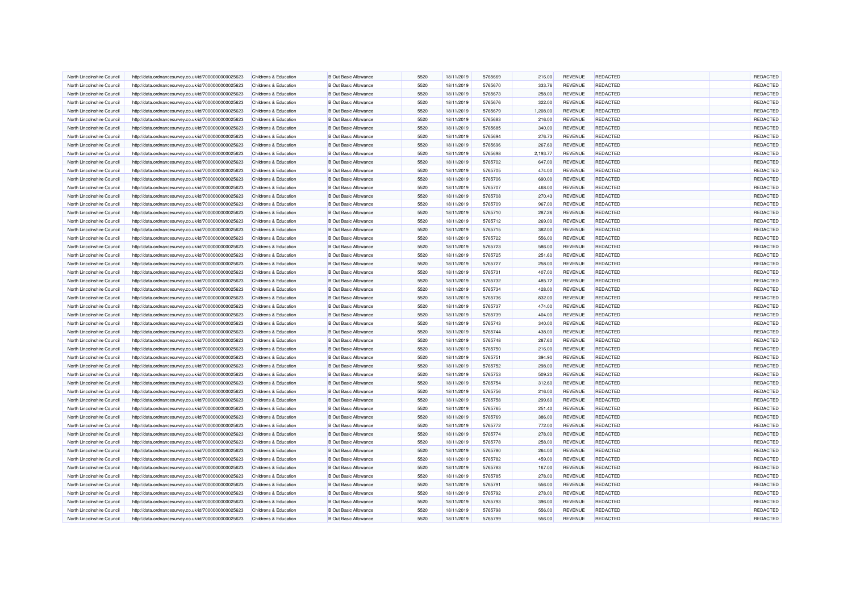| North Lincolnshire Council | http://data.ordnancesurvey.co.uk/id/7000000000025623                                                         | Childrens & Education                          | <b>B Out Basic Allowance</b> | 5520 | 18/11/2019               | 5765669 | 216.00           | <b>REVENUE</b> | <b>REDACTED</b> | <b>REDACTED</b> |
|----------------------------|--------------------------------------------------------------------------------------------------------------|------------------------------------------------|------------------------------|------|--------------------------|---------|------------------|----------------|-----------------|-----------------|
| North Lincolnshire Council | http://data.ordnancesurvey.co.uk/id/7000000000025623                                                         | Childrens & Education                          | <b>B Out Basic Allowance</b> | 5520 | 18/11/2019               | 5765670 | 333.76           | REVENUE        | <b>REDACTED</b> | REDACTED        |
| North Lincolnshire Council | http://data.ordnancesurvey.co.uk/id/7000000000025623                                                         | Childrens & Education                          | <b>B Out Basic Allowance</b> | 5520 | 18/11/2019               | 5765673 | 258.00           | REVENUE        | <b>REDACTED</b> | REDACTED        |
| North Lincolnshire Council | http://data.ordnancesurvey.co.uk/id/7000000000025623                                                         | Childrens & Education                          | <b>B Out Basic Allowance</b> | 5520 | 18/11/2019               | 5765676 | 322.00           | REVENUE        | <b>REDACTED</b> | REDACTED        |
| North Lincolnshire Council | http://data.ordnancesurvey.co.uk/id/7000000000025623                                                         | Childrens & Education                          | <b>B Out Basic Allowance</b> | 5520 | 18/11/2019               | 5765679 | 1,208.00         | <b>REVENUE</b> | <b>REDACTED</b> | REDACTED        |
| North Lincolnshire Council | http://data.ordnancesurvey.co.uk/id/7000000000025623                                                         | Childrens & Education                          | <b>B Out Basic Allowance</b> | 5520 | 18/11/2019               | 5765683 | 216.00           | REVENUE        | <b>REDACTED</b> | REDACTED        |
| North Lincolnshire Council | http://data.ordnancesurvey.co.uk/id/7000000000025623                                                         | Childrens & Education                          | <b>B Out Basic Allowance</b> | 5520 | 18/11/2019               | 5765685 | 340.00           | <b>REVENUE</b> | <b>REDACTED</b> | REDACTED        |
| North Lincolnshire Council | http://data.ordnancesurvey.co.uk/id/7000000000025623                                                         | Childrens & Education                          | <b>B Out Basic Allowance</b> | 5520 | 18/11/2019               | 5765694 | 276.73           | REVENUE        | <b>REDACTED</b> | REDACTED        |
| North Lincolnshire Council | http://data.ordnancesurvey.co.uk/id/7000000000025623                                                         | Childrens & Education                          | <b>B Out Basic Allowance</b> | 5520 | 18/11/2019               | 5765696 | 267.60           | REVENUE        | <b>REDACTED</b> | REDACTED        |
| North Lincolnshire Council | http://data.ordnancesurvey.co.uk/id/7000000000025623                                                         | Childrens & Education                          | <b>B Out Basic Allowance</b> | 5520 | 18/11/2019               | 5765698 | 2,193.77         | REVENUE        | <b>REDACTED</b> | REDACTED        |
| North Lincolnshire Council | http://data.ordnancesurvey.co.uk/id/7000000000025623                                                         | Childrens & Education                          | <b>B Out Basic Allowance</b> | 5520 | 18/11/2019               | 5765702 | 647.00           | <b>REVENUE</b> | <b>REDACTED</b> | REDACTED        |
| North Lincolnshire Council | http://data.ordnancesurvey.co.uk/id/7000000000025623                                                         | Childrens & Education                          | <b>B</b> Out Basic Allowance | 5520 | 18/11/2019               | 5765705 | 474.00           | <b>REVENUE</b> | <b>REDACTED</b> | REDACTED        |
| North Lincolnshire Council | http://data.ordnancesurvey.co.uk/id/7000000000025623                                                         | Childrens & Education                          | <b>B Out Basic Allowance</b> | 5520 | 18/11/2019               | 5765706 | 690.00           | <b>REVENUE</b> | <b>REDACTED</b> | REDACTED        |
| North Lincolnshire Council | http://data.ordnancesurvey.co.uk/id/7000000000025623                                                         | Childrens & Education                          | <b>B Out Basic Allowance</b> | 5520 | 18/11/2019               | 5765707 | 468.00           | REVENUE        | REDACTED        | REDACTED        |
| North Lincolnshire Council | http://data.ordnancesurvey.co.uk/id/7000000000025623                                                         | Childrens & Education                          | <b>B Out Basic Allowance</b> | 5520 | 18/11/2019               | 5765708 | 270.43           | REVENUE        | <b>REDACTED</b> | REDACTED        |
| North Lincolnshire Council | http://data.ordnancesurvey.co.uk/id/7000000000025623                                                         | Childrens & Education                          | <b>B Out Basic Allowance</b> | 5520 | 18/11/2019               | 5765709 | 967.00           | REVENUE        | <b>REDACTED</b> | REDACTED        |
| North Lincolnshire Council | http://data.ordnancesurvey.co.uk/id/7000000000025623                                                         | Childrens & Education                          | <b>B Out Basic Allowance</b> | 5520 | 18/11/2019               | 5765710 | 287.26           | <b>REVENUE</b> | <b>REDACTED</b> | REDACTED        |
| North Lincolnshire Council | http://data.ordnancesurvey.co.uk/id/7000000000025623                                                         | Childrens & Education                          | <b>B Out Basic Allowance</b> | 5520 | 18/11/2019               | 5765712 | 269.00           | REVENUE        | <b>REDACTED</b> | REDACTED        |
| North Lincolnshire Council |                                                                                                              | Childrens & Education                          | <b>B Out Basic Allowance</b> | 5520 |                          | 5765715 | 382.00           | <b>REVENUE</b> | REDACTED        | REDACTED        |
| North Lincolnshire Council | http://data.ordnancesurvey.co.uk/id/7000000000025623<br>http://data.ordnancesurvey.co.uk/id/7000000000025623 | Childrens & Education                          | <b>B Out Basic Allowance</b> | 5520 | 18/11/2019<br>18/11/2019 | 5765722 | 556.00           | <b>REVENUE</b> | <b>REDACTED</b> | REDACTED        |
| North Lincolnshire Council |                                                                                                              |                                                | <b>B Out Basic Allowance</b> | 5520 |                          | 5765723 |                  | <b>REVENUE</b> | <b>REDACTED</b> | REDACTED        |
| North Lincolnshire Council | http://data.ordnancesurvey.co.uk/id/7000000000025623                                                         | Childrens & Education<br>Childrens & Education | <b>B Out Basic Allowance</b> | 5520 | 18/11/2019<br>18/11/2019 | 5765725 | 586.00           | <b>REVENUE</b> | <b>REDACTED</b> | REDACTED        |
| North Lincolnshire Council | http://data.ordnancesurvey.co.uk/id/7000000000025623                                                         | Childrens & Education                          | <b>B Out Basic Allowance</b> | 5520 | 18/11/2019               | 5765727 | 251.60<br>258.00 | <b>REVENUE</b> | <b>REDACTED</b> | REDACTED        |
|                            | http://data.ordnancesurvey.co.uk/id/7000000000025623                                                         |                                                |                              |      |                          |         |                  |                |                 |                 |
| North Lincolnshire Council | http://data.ordnancesurvey.co.uk/id/7000000000025623                                                         | Childrens & Education                          | <b>B Out Basic Allowance</b> | 5520 | 18/11/2019               | 5765731 | 407.00           | <b>REVENUE</b> | <b>REDACTED</b> | REDACTED        |
| North Lincolnshire Council | http://data.ordnancesurvey.co.uk/id/7000000000025623                                                         | Childrens & Education                          | <b>B Out Basic Allowance</b> | 5520 | 18/11/2019               | 5765732 | 485.72           | REVENUE        | REDACTED        | REDACTED        |
| North Lincolnshire Council | http://data.ordnancesurvey.co.uk/id/7000000000025623                                                         | Childrens & Education                          | <b>B Out Basic Allowance</b> | 5520 | 18/11/2019               | 5765734 | 428.00           | <b>REVENUE</b> | REDACTED        | REDACTED        |
| North Lincolnshire Council | http://data.ordnancesurvey.co.uk/id/7000000000025623                                                         | Childrens & Education                          | <b>B Out Basic Allowance</b> | 5520 | 18/11/2019               | 5765736 | 832.00           | REVENUE        | <b>REDACTED</b> | REDACTED        |
| North Lincolnshire Council | http://data.ordnancesurvey.co.uk/id/7000000000025623                                                         | Childrens & Education                          | <b>B Out Basic Allowance</b> | 5520 | 18/11/2019               | 5765737 | 474.00           | <b>REVENUE</b> | <b>REDACTED</b> | REDACTED        |
| North Lincolnshire Council | http://data.ordnancesurvey.co.uk/id/7000000000025623                                                         | Childrens & Education                          | <b>B Out Basic Allowance</b> | 5520 | 18/11/2019               | 5765739 | 404.00           | REVENUE        | <b>REDACTED</b> | REDACTED        |
| North Lincolnshire Council | http://data.ordnancesurvey.co.uk/id/7000000000025623                                                         | Childrens & Education                          | <b>B Out Basic Allowance</b> | 5520 | 18/11/2019               | 5765743 | 340.00           | REVENUE        | <b>REDACTED</b> | REDACTED        |
| North Lincolnshire Council | http://data.ordnancesurvey.co.uk/id/7000000000025623                                                         | Childrens & Education                          | <b>B Out Basic Allowance</b> | 5520 | 18/11/2019               | 5765744 | 438.00           | REVENUE        | <b>REDACTED</b> | REDACTED        |
| North Lincolnshire Council | http://data.ordnancesurvey.co.uk/id/7000000000025623                                                         | Childrens & Education                          | <b>B Out Basic Allowance</b> | 5520 | 18/11/2019               | 5765748 | 287.60           | <b>REVENUE</b> | <b>REDACTED</b> | REDACTED        |
| North Lincolnshire Council | http://data.ordnancesurvey.co.uk/id/7000000000025623                                                         | Childrens & Education                          | <b>B Out Basic Allowance</b> | 5520 | 18/11/2019               | 5765750 | 216.00           | <b>REVENUE</b> | <b>REDACTED</b> | REDACTED        |
| North Lincolnshire Council | http://data.ordnancesurvey.co.uk/id/7000000000025623                                                         | Childrens & Education                          | <b>B Out Basic Allowance</b> | 5520 | 18/11/2019               | 5765751 | 394.90           | REVENUE        | REDACTED        | REDACTED        |
| North Lincolnshire Council | http://data.ordnancesurvey.co.uk/id/7000000000025623                                                         | Childrens & Education                          | <b>B Out Basic Allowance</b> | 5520 | 18/11/2019               | 5765752 | 298.00           | REVENUE        | REDACTED        | REDACTED        |
| North Lincolnshire Council | http://data.ordnancesurvey.co.uk/id/7000000000025623                                                         | Childrens & Education                          | <b>B Out Basic Allowance</b> | 5520 | 18/11/2019               | 5765753 | 509.20           | REVENUE        | <b>REDACTED</b> | REDACTED        |
| North Lincolnshire Council | http://data.ordnancesurvey.co.uk/id/7000000000025623                                                         | Childrens & Education                          | <b>B Out Basic Allowance</b> | 5520 | 18/11/2019               | 5765754 | 312.60           | <b>REVENUE</b> | <b>REDACTED</b> | REDACTED        |
| North Lincolnshire Council | http://data.ordnancesurvey.co.uk/id/7000000000025623                                                         | Childrens & Education                          | <b>B Out Basic Allowance</b> | 5520 | 18/11/2019               | 5765756 | 216.00           | REVENUE        | <b>REDACTED</b> | REDACTED        |
| North Lincolnshire Council | http://data.ordnancesurvey.co.uk/id/7000000000025623                                                         | Childrens & Education                          | <b>B Out Basic Allowance</b> | 5520 | 18/11/2019               | 5765758 | 299.60           | <b>REVENUE</b> | <b>REDACTED</b> | REDACTED        |
| North Lincolnshire Council | http://data.ordnancesurvey.co.uk/id/7000000000025623                                                         | Childrens & Education                          | <b>B Out Basic Allowance</b> | 5520 | 18/11/2019               | 5765765 | 251.40           | REVENUE        | <b>REDACTED</b> | REDACTED        |
| North Lincolnshire Council | http://data.ordnancesurvey.co.uk/id/7000000000025623                                                         | Childrens & Education                          | <b>B Out Basic Allowance</b> | 5520 | 18/11/2019               | 5765769 | 386.00           | REVENUE        | REDACTED        | REDACTED        |
| North Lincolnshire Council | http://data.ordnancesurvey.co.uk/id/7000000000025623                                                         | Childrens & Education                          | <b>B Out Basic Allowance</b> | 5520 | 18/11/2019               | 5765772 | 772.00           | REVENUE        | <b>REDACTED</b> | REDACTED        |
| North Lincolnshire Council | http://data.ordnancesurvey.co.uk/id/7000000000025623                                                         | Childrens & Education                          | <b>B Out Basic Allowance</b> | 5520 | 18/11/2019               | 5765774 | 278.00           | <b>REVENUE</b> | <b>REDACTED</b> | REDACTED        |
| North Lincolnshire Council | http://data.ordnancesurvey.co.uk/id/7000000000025623                                                         | Childrens & Education                          | <b>B Out Basic Allowance</b> | 5520 | 18/11/2019               | 5765778 | 258.00           | <b>REVENUE</b> | <b>REDACTED</b> | REDACTED        |
| North Lincolnshire Council | http://data.ordnancesurvey.co.uk/id/7000000000025623                                                         | Childrens & Education                          | <b>B Out Basic Allowance</b> | 5520 | 18/11/2019               | 5765780 | 264.00           | <b>REVENUE</b> | <b>REDACTED</b> | REDACTED        |
| North Lincolnshire Council | http://data.ordnancesurvey.co.uk/id/7000000000025623                                                         | Childrens & Education                          | <b>B Out Basic Allowance</b> | 5520 | 18/11/2019               | 5765782 | 459.00           | REVENUE        | <b>REDACTED</b> | REDACTED        |
| North Lincolnshire Council | http://data.ordnancesurvey.co.uk/id/7000000000025623                                                         | Childrens & Education                          | <b>B Out Basic Allowance</b> | 5520 | 18/11/2019               | 5765783 | 167.00           | <b>REVENUE</b> | <b>REDACTED</b> | REDACTED        |
| North Lincolnshire Council | http://data.ordnancesurvey.co.uk/id/7000000000025623                                                         | Childrens & Education                          | <b>B Out Basic Allowance</b> | 5520 | 18/11/2019               | 5765785 | 278.00           | REVENUE        | <b>REDACTED</b> | REDACTED        |
| North Lincolnshire Council | http://data.ordnancesurvey.co.uk/id/7000000000025623                                                         | Childrens & Education                          | <b>B Out Basic Allowance</b> | 5520 | 18/11/2019               | 5765791 | 556.00           | <b>REVENUE</b> | <b>REDACTED</b> | REDACTED        |
| North Lincolnshire Council | http://data.ordnancesurvey.co.uk/id/7000000000025623                                                         | Childrens & Education                          | <b>B Out Basic Allowance</b> | 5520 | 18/11/2019               | 5765792 | 278.00           | REVENUE        | <b>REDACTED</b> | REDACTED        |
| North Lincolnshire Council | http://data.ordnancesurvey.co.uk/id/7000000000025623                                                         | <b>Childrens &amp; Education</b>               | <b>B Out Basic Allowance</b> | 5520 | 18/11/2019               | 5765793 | 396.00           | REVENUE        | <b>REDACTED</b> | REDACTED        |
| North Lincolnshire Council | http://data.ordnancesurvey.co.uk/id/7000000000025623                                                         | Childrens & Education                          | <b>B Out Basic Allowance</b> | 5520 | 18/11/2019               | 5765798 | 556.00           | <b>REVENUE</b> | <b>REDACTED</b> | REDACTED        |
| North Lincolnshire Council | http://data.ordnancesurvey.co.uk/id/7000000000025623                                                         | Childrens & Education                          | <b>B Out Basic Allowance</b> | 5520 | 18/11/2019               | 5765799 | 556.00           | REVENUE        | <b>REDACTED</b> | REDACTED        |
|                            |                                                                                                              |                                                |                              |      |                          |         |                  |                |                 |                 |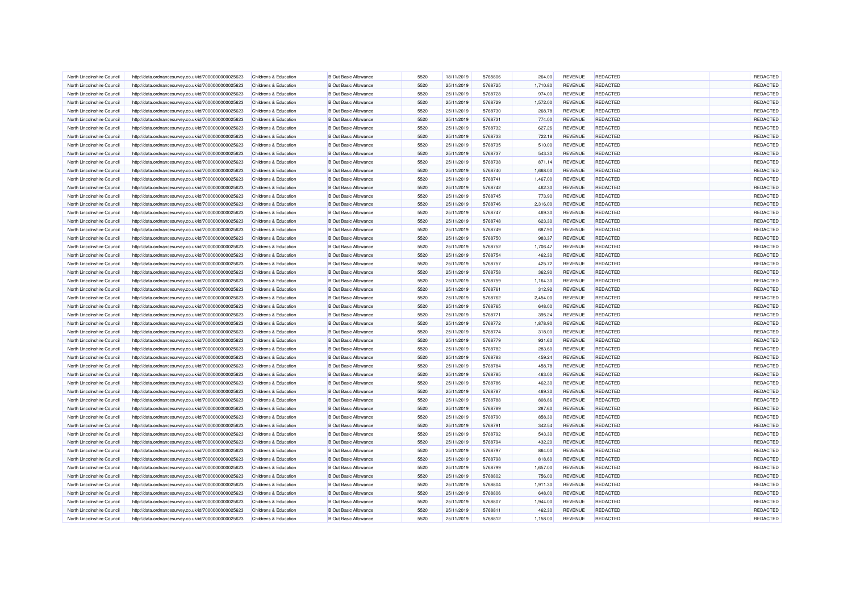| North Lincolnshire Council | http://data.ordnancesurvey.co.uk/id/7000000000025623 | Childrens & Education                          | <b>B Out Basic Allowance</b> | 5520         | 18/11/2019               | 5765806 | 264.00           | <b>REVENUE</b> | <b>REDACTED</b> | REDACTED |
|----------------------------|------------------------------------------------------|------------------------------------------------|------------------------------|--------------|--------------------------|---------|------------------|----------------|-----------------|----------|
| North Lincolnshire Council | http://data.ordnancesurvey.co.uk/id/7000000000025623 | <b>Childrens &amp; Education</b>               | <b>B Out Basic Allowance</b> | 5520         | 25/11/2019               | 5768725 | 1,710.80         | <b>REVENUE</b> | <b>REDACTED</b> | REDACTED |
| North Lincolnshire Council | http://data.ordnancesurvey.co.uk/id/7000000000025623 | Childrens & Education                          | <b>B Out Basic Allowance</b> | 5520         | 25/11/2019               | 5768728 | 974.00           | REVENUE        | <b>REDACTED</b> | REDACTED |
| North Lincolnshire Council | http://data.ordnancesurvey.co.uk/id/7000000000025623 | <b>Childrens &amp; Education</b>               | <b>B Out Basic Allowance</b> | 5520         | 25/11/2019               | 5768729 | 1,572.00         | <b>REVENUE</b> | REDACTED        | REDACTED |
| North Lincolnshire Council | http://data.ordnancesurvey.co.uk/id/7000000000025623 | Childrens & Education                          | <b>B Out Basic Allowance</b> | 5520         | 25/11/2019               | 5768730 | 268.78           | <b>REVENUE</b> | <b>REDACTED</b> | REDACTED |
| North Lincolnshire Council | http://data.ordnancesurvey.co.uk/id/7000000000025623 | Childrens & Education                          | <b>B Out Basic Allowance</b> | 5520         | 25/11/2019               | 5768731 | 774.00           | REVENUE        | <b>REDACTED</b> | REDACTED |
| North Lincolnshire Council | http://data.ordnancesurvey.co.uk/id/7000000000025623 | Childrens & Education                          | <b>B Out Basic Allowance</b> | 5520         | 25/11/2019               | 5768732 | 627.26           | <b>REVENUE</b> | <b>REDACTED</b> | REDACTED |
| North Lincolnshire Council | http://data.ordnancesurvey.co.uk/id/7000000000025623 | Childrens & Education                          | <b>B Out Basic Allowance</b> | 5520         | 25/11/2019               | 5768733 | 722.18           | REVENUE        | REDACTED        | REDACTED |
| North Lincolnshire Council | http://data.ordnancesurvey.co.uk/id/7000000000025623 | Childrens & Education                          | <b>B Out Basic Allowance</b> | 5520         | 25/11/2019               | 5768735 | 510.00           | REVENUE        | <b>REDACTED</b> | REDACTED |
| North Lincolnshire Council | http://data.ordnancesurvey.co.uk/id/7000000000025623 | Childrens & Education                          | <b>B Out Basic Allowance</b> | 5520         | 25/11/2019               | 5768737 | 543.30           | REVENUE        | REDACTED        | REDACTED |
| North Lincolnshire Council | http://data.ordnancesurvey.co.uk/id/7000000000025623 | Childrens & Education                          | <b>B Out Basic Allowance</b> | 5520         | 25/11/2019               | 5768738 | 871.14           | <b>REVENUE</b> | <b>REDACTED</b> | REDACTED |
| North Lincolnshire Council | http://data.ordnancesurvey.co.uk/id/7000000000025623 | Childrens & Education                          | <b>B</b> Out Basic Allowance | 5520         | 25/11/2019               | 5768740 | 1,668.00         | <b>REVENUE</b> | <b>REDACTED</b> | REDACTED |
| North Lincolnshire Council | http://data.ordnancesurvey.co.uk/id/7000000000025623 | Childrens & Education                          | <b>B Out Basic Allowance</b> | 5520         | 25/11/2019               | 5768741 | 1,467.00         | <b>REVENUE</b> | <b>REDACTED</b> | REDACTED |
| North Lincolnshire Council | http://data.ordnancesurvey.co.uk/id/7000000000025623 | Childrens & Education                          | <b>B Out Basic Allowance</b> | 5520         | 25/11/2019               | 5768742 | 462.30           | REVENUE        | REDACTED        | REDACTED |
| North Lincolnshire Council | http://data.ordnancesurvey.co.uk/id/7000000000025623 | Childrens & Education                          | <b>B Out Basic Allowance</b> | 5520         | 25/11/2019               | 5768745 | 773.90           | REVENUE        | <b>REDACTED</b> | REDACTED |
| North Lincolnshire Council | http://data.ordnancesurvey.co.uk/id/7000000000025623 | Childrens & Education                          | <b>B Out Basic Allowance</b> | 5520         | 25/11/2019               | 5768746 | 2,316.00         | REVENUE        | <b>REDACTED</b> | REDACTED |
| North Lincolnshire Council | http://data.ordnancesurvey.co.uk/id/7000000000025623 | Childrens & Education                          | <b>B Out Basic Allowance</b> | 5520         | 25/11/2019               | 5768747 | 469.30           | REVENUE        | <b>REDACTED</b> | REDACTED |
| North Lincolnshire Council | http://data.ordnancesurvey.co.uk/id/7000000000025623 | Childrens & Education                          | <b>B Out Basic Allowance</b> | 5520         | 25/11/2019               | 5768748 | 623.30           | REVENUE        | <b>REDACTED</b> | REDACTED |
| North Lincolnshire Council | http://data.ordnancesurvey.co.uk/id/7000000000025623 | Childrens & Education                          | <b>B Out Basic Allowance</b> | 5520         |                          | 5768749 | 687.90           | REVENUE        | <b>REDACTED</b> | REDACTED |
| North Lincolnshire Council | http://data.ordnancesurvey.co.uk/id/7000000000025623 | Childrens & Education                          | <b>B Out Basic Allowance</b> | 5520         | 25/11/2019<br>25/11/2019 | 5768750 | 983.37           | <b>REVENUE</b> | <b>REDACTED</b> | REDACTED |
| North Lincolnshire Council |                                                      |                                                | <b>B Out Basic Allowance</b> |              |                          | 5768752 |                  | REVENUE        | <b>REDACTED</b> | REDACTED |
| North Lincolnshire Council | http://data.ordnancesurvey.co.uk/id/7000000000025623 | Childrens & Education<br>Childrens & Education | <b>B Out Basic Allowance</b> | 5520<br>5520 | 25/11/2019<br>25/11/2019 | 5768754 | 1,706.47         | <b>REVENUE</b> | <b>REDACTED</b> | REDACTED |
| North Lincolnshire Council | http://data.ordnancesurvey.co.uk/id/7000000000025623 | Childrens & Education                          | <b>B Out Basic Allowance</b> | 5520         | 25/11/2019               | 5768757 | 462.30<br>425.72 | REVENUE        | REDACTED        | REDACTED |
|                            | http://data.ordnancesurvey.co.uk/id/7000000000025623 |                                                |                              |              |                          |         |                  |                |                 |          |
| North Lincolnshire Council | http://data.ordnancesurvey.co.uk/id/7000000000025623 | Childrens & Education                          | <b>B Out Basic Allowance</b> | 5520         | 25/11/2019               | 5768758 | 362.90           | <b>REVENUE</b> | <b>REDACTED</b> | REDACTED |
| North Lincolnshire Council | http://data.ordnancesurvey.co.uk/id/7000000000025623 | Childrens & Education                          | <b>B Out Basic Allowance</b> | 5520         | 25/11/2019               | 5768759 | 1,164.30         | REVENUE        | <b>REDACTED</b> | REDACTED |
| North Lincolnshire Council | http://data.ordnancesurvey.co.uk/id/7000000000025623 | Childrens & Education                          | <b>B Out Basic Allowance</b> | 5520         | 25/11/2019               | 5768761 | 312.92           | <b>REVENUE</b> | <b>REDACTED</b> | REDACTED |
| North Lincolnshire Council | http://data.ordnancesurvey.co.uk/id/7000000000025623 | Childrens & Education                          | <b>B Out Basic Allowance</b> | 5520         | 25/11/2019               | 5768762 | 2,454.00         | REVENUE        | <b>REDACTED</b> | REDACTED |
| North Lincolnshire Council | http://data.ordnancesurvey.co.uk/id/7000000000025623 | Childrens & Education                          | <b>B Out Basic Allowance</b> | 5520         | 25/11/2019               | 5768765 | 648.00           | <b>REVENUE</b> | <b>REDACTED</b> | REDACTED |
| North Lincolnshire Council | http://data.ordnancesurvey.co.uk/id/7000000000025623 | Childrens & Education                          | <b>B Out Basic Allowance</b> | 5520         | 25/11/2019               | 5768771 | 395.24           | REVENUE        | <b>REDACTED</b> | REDACTED |
| North Lincolnshire Council | http://data.ordnancesurvey.co.uk/id/7000000000025623 | Childrens & Education                          | <b>B Out Basic Allowance</b> | 5520         | 25/11/2019               | 5768772 | 1,878.90         | REVENUE        | REDACTED        | REDACTED |
| North Lincolnshire Council | http://data.ordnancesurvey.co.uk/id/7000000000025623 | Childrens & Education                          | <b>B Out Basic Allowance</b> | 5520         | 25/11/2019               | 5768774 | 318.00           | REVENUE        | REDACTED        | REDACTED |
| North Lincolnshire Council | http://data.ordnancesurvey.co.uk/id/7000000000025623 | Childrens & Education                          | <b>B Out Basic Allowance</b> | 5520         | 25/11/2019               | 5768779 | 931.60           | <b>REVENUE</b> | <b>REDACTED</b> | REDACTED |
| North Lincolnshire Council | http://data.ordnancesurvey.co.uk/id/7000000000025623 | Childrens & Education                          | <b>B Out Basic Allowance</b> | 5520         | 25/11/2019               | 5768782 | 283.60           | <b>REVENUE</b> | <b>REDACTED</b> | REDACTED |
| North Lincolnshire Council | http://data.ordnancesurvey.co.uk/id/7000000000025623 | <b>Childrens &amp; Education</b>               | <b>B Out Basic Allowance</b> | 5520         | 25/11/2019               | 5768783 | 459.24           | REVENUE        | <b>REDACTED</b> | REDACTED |
| North Lincolnshire Council | http://data.ordnancesurvey.co.uk/id/7000000000025623 | Childrens & Education                          | <b>B Out Basic Allowance</b> | 5520         | 25/11/2019               | 5768784 | 458.78           | REVENUE        | <b>REDACTED</b> | REDACTED |
| North Lincolnshire Council | http://data.ordnancesurvey.co.uk/id/7000000000025623 | <b>Childrens &amp; Education</b>               | <b>B Out Basic Allowance</b> | 5520         | 25/11/2019               | 5768785 | 463.00           | <b>REVENUE</b> | <b>REDACTED</b> | REDACTED |
| North Lincolnshire Council | http://data.ordnancesurvey.co.uk/id/7000000000025623 | Childrens & Education                          | <b>B Out Basic Allowance</b> | 5520         | 25/11/2019               | 5768786 | 462.30           | <b>REVENUE</b> | <b>REDACTED</b> | REDACTED |
| North Lincolnshire Council | http://data.ordnancesurvey.co.uk/id/7000000000025623 | Childrens & Education                          | <b>B Out Basic Allowance</b> | 5520         | 25/11/2019               | 5768787 | 469.30           | REVENUE        | <b>REDACTED</b> | REDACTED |
| North Lincolnshire Council | http://data.ordnancesurvey.co.uk/id/7000000000025623 | Childrens & Education                          | <b>B Out Basic Allowance</b> | 5520         | 25/11/2019               | 5768788 | 808.86           | <b>REVENUE</b> | <b>REDACTED</b> | REDACTED |
| North Lincolnshire Council | http://data.ordnancesurvey.co.uk/id/7000000000025623 | Childrens & Education                          | <b>B Out Basic Allowance</b> | 5520         | 25/11/2019               | 5768789 | 287.60           | <b>REVENUE</b> | <b>REDACTED</b> | REDACTED |
| North Lincolnshire Council | http://data.ordnancesurvey.co.uk/id/7000000000025623 | Childrens & Education                          | <b>B Out Basic Allowance</b> | 5520         | 25/11/2019               | 5768790 | 858.30           | REVENUE        | REDACTED        | REDACTED |
| North Lincolnshire Council | http://data.ordnancesurvey.co.uk/id/7000000000025623 | Childrens & Education                          | <b>B Out Basic Allowance</b> | 5520         | 25/11/2019               | 5768791 | 342.54           | REVENUE        | <b>REDACTED</b> | REDACTED |
| North Lincolnshire Council | http://data.ordnancesurvey.co.uk/id/7000000000025623 | Childrens & Education                          | <b>B Out Basic Allowance</b> | 5520         | 25/11/2019               | 5768792 | 543.30           | <b>REVENUE</b> | <b>REDACTED</b> | REDACTED |
| North Lincolnshire Council | http://data.ordnancesurvey.co.uk/id/7000000000025623 | Childrens & Education                          | <b>B Out Basic Allowance</b> | 5520         | 25/11/2019               | 5768794 | 432.20           | <b>REVENUE</b> | <b>REDACTED</b> | REDACTED |
| North Lincolnshire Council | http://data.ordnancesurvey.co.uk/id/7000000000025623 | Childrens & Education                          | <b>B Out Basic Allowance</b> | 5520         | 25/11/2019               | 5768797 | 864.00           | <b>REVENUE</b> | <b>REDACTED</b> | REDACTED |
| North Lincolnshire Council | http://data.ordnancesurvey.co.uk/id/7000000000025623 | Childrens & Education                          | <b>B Out Basic Allowance</b> | 5520         | 25/11/2019               | 5768798 | 818.60           | REVENUE        | <b>REDACTED</b> | REDACTED |
| North Lincolnshire Council | http://data.ordnancesurvey.co.uk/id/7000000000025623 | Childrens & Education                          | <b>B Out Basic Allowance</b> | 5520         | 25/11/2019               | 5768799 | 1,657.00         | <b>REVENUE</b> | <b>REDACTED</b> | REDACTED |
| North Lincolnshire Council | http://data.ordnancesurvey.co.uk/id/7000000000025623 | Childrens & Education                          | <b>B Out Basic Allowance</b> | 5520         | 25/11/2019               | 5768802 | 756.00           | REVENUE        | <b>REDACTED</b> | REDACTED |
| North Lincolnshire Council | http://data.ordnancesurvey.co.uk/id/7000000000025623 | Childrens & Education                          | <b>B Out Basic Allowance</b> | 5520         | 25/11/2019               | 5768804 | 1,911.30         | REVENUE        | <b>REDACTED</b> | REDACTED |
| North Lincolnshire Council | http://data.ordnancesurvey.co.uk/id/7000000000025623 | Childrens & Education                          | <b>B Out Basic Allowance</b> | 5520         | 25/11/2019               | 5768806 | 648.00           | <b>REVENUE</b> | <b>REDACTED</b> | REDACTED |
| North Lincolnshire Council | http://data.ordnancesurvey.co.uk/id/7000000000025623 | Childrens & Education                          | <b>B Out Basic Allowance</b> | 5520         | 25/11/2019               | 5768807 | 1,944.00         | REVENUE        | <b>REDACTED</b> | REDACTED |
| North Lincolnshire Council | http://data.ordnancesurvey.co.uk/id/7000000000025623 | Childrens & Education                          | <b>B Out Basic Allowance</b> | 5520         | 25/11/2019               | 5768811 | 462.30           | <b>REVENUE</b> | <b>REDACTED</b> | REDACTED |
| North Lincolnshire Council | http://data.ordnancesurvey.co.uk/id/7000000000025623 | Childrens & Education                          | <b>B Out Basic Allowance</b> | 5520         | 25/11/2019               | 5768812 | 1,158.00         | REVENUE        | <b>REDACTED</b> | REDACTED |
|                            |                                                      |                                                |                              |              |                          |         |                  |                |                 |          |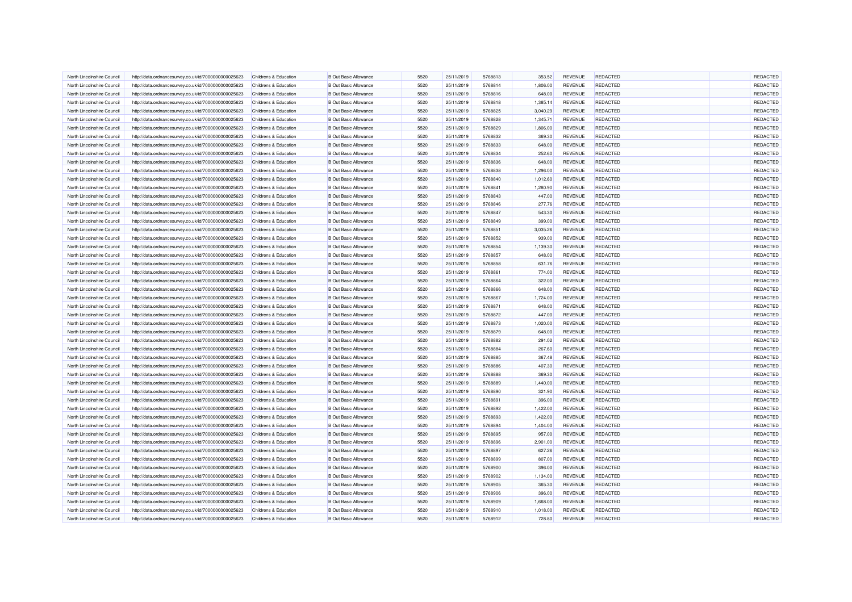| North Lincolnshire Council                               | http://data.ordnancesurvey.co.uk/id/7000000000025623                                                         | Childrens & Education            | <b>B Out Basic Allowance</b> | 5520 | 25/11/2019 | 5768813            | 353.52   | <b>REVENUE</b> | <b>REDACTED</b> | <b>REDACTED</b> |
|----------------------------------------------------------|--------------------------------------------------------------------------------------------------------------|----------------------------------|------------------------------|------|------------|--------------------|----------|----------------|-----------------|-----------------|
| North Lincolnshire Council                               | http://data.ordnancesurvey.co.uk/id/7000000000025623                                                         | Childrens & Education            | <b>B Out Basic Allowance</b> | 5520 | 25/11/2019 | 5768814            | 1,806.00 | REVENUE        | <b>REDACTED</b> | REDACTED        |
| North Lincolnshire Council                               | http://data.ordnancesurvey.co.uk/id/7000000000025623                                                         | Childrens & Education            | <b>B Out Basic Allowance</b> | 5520 | 25/11/2019 | 5768816            | 648.00   | <b>REVENUE</b> | <b>REDACTED</b> | REDACTED        |
| North Lincolnshire Council                               | http://data.ordnancesurvey.co.uk/id/7000000000025623                                                         | Childrens & Education            | <b>B Out Basic Allowance</b> | 5520 | 25/11/2019 | 5768818            | 1,385.14 | REVENUE        | <b>REDACTED</b> | REDACTED        |
| North Lincolnshire Council                               | http://data.ordnancesurvey.co.uk/id/7000000000025623                                                         | Childrens & Education            | <b>B Out Basic Allowance</b> | 5520 | 25/11/2019 | 5768825            | 3,040.29 | <b>REVENUE</b> | <b>REDACTED</b> | REDACTED        |
| North Lincolnshire Council                               | http://data.ordnancesurvey.co.uk/id/7000000000025623                                                         | Childrens & Education            | <b>B Out Basic Allowance</b> | 5520 | 25/11/2019 | 5768828            | 1,345.71 | REVENUE        | <b>REDACTED</b> | REDACTED        |
| North Lincolnshire Council                               | http://data.ordnancesurvey.co.uk/id/7000000000025623                                                         | Childrens & Education            | <b>B Out Basic Allowance</b> | 5520 | 25/11/2019 | 5768829            | 1,806.00 | <b>REVENUE</b> | <b>REDACTED</b> | REDACTED        |
| North Lincolnshire Council                               | http://data.ordnancesurvey.co.uk/id/7000000000025623                                                         | Childrens & Education            | <b>B Out Basic Allowance</b> | 5520 | 25/11/2019 | 5768832            | 369.30   | REVENUE        | <b>REDACTED</b> | REDACTED        |
| North Lincolnshire Council                               | http://data.ordnancesurvey.co.uk/id/7000000000025623                                                         | Childrens & Education            | <b>B Out Basic Allowance</b> | 5520 | 25/11/2019 | 5768833            | 648.00   | REVENUE        | <b>REDACTED</b> | REDACTED        |
| North Lincolnshire Council                               | http://data.ordnancesurvey.co.uk/id/7000000000025623                                                         | Childrens & Education            | <b>B Out Basic Allowance</b> | 5520 | 25/11/2019 | 5768834            | 252.60   | REVENUE        | <b>REDACTED</b> | REDACTED        |
| North Lincolnshire Council                               | http://data.ordnancesurvey.co.uk/id/7000000000025623                                                         | Childrens & Education            | <b>B Out Basic Allowance</b> | 5520 | 25/11/2019 | 5768836            | 648.00   | <b>REVENUE</b> | <b>REDACTED</b> | REDACTED        |
| North Lincolnshire Council                               | http://data.ordnancesurvey.co.uk/id/7000000000025623                                                         | Childrens & Education            | <b>B</b> Out Basic Allowance | 5520 | 25/11/2019 | 5768838            | 1,296.00 | <b>REVENUE</b> | <b>REDACTED</b> | REDACTED        |
| North Lincolnshire Council                               | http://data.ordnancesurvey.co.uk/id/7000000000025623                                                         | Childrens & Education            | <b>B Out Basic Allowance</b> | 5520 | 25/11/2019 | 5768840            | 1,012.60 | <b>REVENUE</b> | <b>REDACTED</b> | REDACTED        |
| North Lincolnshire Council                               | http://data.ordnancesurvey.co.uk/id/7000000000025623                                                         | Childrens & Education            | <b>B Out Basic Allowance</b> | 5520 | 25/11/2019 | 5768841            | 1,280.90 | REVENUE        | REDACTED        | REDACTED        |
| North Lincolnshire Council                               | http://data.ordnancesurvey.co.uk/id/7000000000025623                                                         | Childrens & Education            | <b>B Out Basic Allowance</b> | 5520 | 25/11/2019 | 5768843            | 447.00   | REVENUE        | <b>REDACTED</b> | REDACTED        |
| North Lincolnshire Council                               | http://data.ordnancesurvey.co.uk/id/7000000000025623                                                         | Childrens & Education            | <b>B Out Basic Allowance</b> | 5520 | 25/11/2019 | 5768846            | 277.76   | REVENUE        | <b>REDACTED</b> | REDACTED        |
| North Lincolnshire Council                               | http://data.ordnancesurvey.co.uk/id/7000000000025623                                                         | Childrens & Education            | <b>B Out Basic Allowance</b> | 5520 | 25/11/2019 | 5768847            | 543.30   | <b>REVENUE</b> | <b>REDACTED</b> | REDACTED        |
| North Lincolnshire Council                               | http://data.ordnancesurvey.co.uk/id/7000000000025623                                                         | Childrens & Education            | <b>B Out Basic Allowance</b> | 5520 | 25/11/2019 | 5768849            | 399.00   | REVENUE        | <b>REDACTED</b> | REDACTED        |
| North Lincolnshire Council                               | http://data.ordnancesurvey.co.uk/id/7000000000025623                                                         | Childrens & Education            | <b>B Out Basic Allowance</b> | 5520 | 25/11/2019 | 5768851            | 3,035.26 | <b>REVENUE</b> | REDACTED        | REDACTED        |
| North Lincolnshire Council                               | http://data.ordnancesurvey.co.uk/id/7000000000025623                                                         | Childrens & Education            | <b>B Out Basic Allowance</b> | 5520 | 25/11/2019 | 5768852            | 939.00   | <b>REVENUE</b> | <b>REDACTED</b> | REDACTED        |
| North Lincolnshire Council                               | http://data.ordnancesurvey.co.uk/id/7000000000025623                                                         | Childrens & Education            | <b>B Out Basic Allowance</b> | 5520 | 25/11/2019 | 5768854            | 1,139.30 | <b>REVENUE</b> | <b>REDACTED</b> | REDACTED        |
| North Lincolnshire Council                               |                                                                                                              | Childrens & Education            | <b>B Out Basic Allowance</b> | 5520 | 25/11/2019 | 5768857            | 648.00   | <b>REVENUE</b> | <b>REDACTED</b> | REDACTED        |
| North Lincolnshire Council                               | http://data.ordnancesurvey.co.uk/id/7000000000025623<br>http://data.ordnancesurvey.co.uk/id/7000000000025623 | <b>Childrens &amp; Education</b> | <b>B Out Basic Allowance</b> | 5520 | 25/11/2019 | 5768858            | 631.76   | <b>REVENUE</b> | <b>REDACTED</b> | REDACTED        |
|                                                          |                                                                                                              |                                  |                              |      |            |                    |          |                |                 |                 |
| North Lincolnshire Council<br>North Lincolnshire Council | http://data.ordnancesurvey.co.uk/id/7000000000025623                                                         | Childrens & Education            | <b>B Out Basic Allowance</b> | 5520 | 25/11/2019 | 5768861<br>5768864 | 774.00   | <b>REVENUE</b> | <b>REDACTED</b> | REDACTED        |
|                                                          | http://data.ordnancesurvey.co.uk/id/7000000000025623                                                         | <b>Childrens &amp; Education</b> | <b>B Out Basic Allowance</b> | 5520 | 25/11/2019 |                    | 322.00   | REVENUE        | REDACTED        | REDACTED        |
| North Lincolnshire Council                               | http://data.ordnancesurvey.co.uk/id/7000000000025623                                                         | Childrens & Education            | <b>B Out Basic Allowance</b> | 5520 | 25/11/2019 | 5768866            | 648.00   | <b>REVENUE</b> | <b>REDACTED</b> | REDACTED        |
| North Lincolnshire Council                               | http://data.ordnancesurvey.co.uk/id/7000000000025623                                                         | Childrens & Education            | <b>B Out Basic Allowance</b> | 5520 | 25/11/2019 | 5768867            | 1,724.00 | REVENUE        | <b>REDACTED</b> | REDACTED        |
| North Lincolnshire Council                               | http://data.ordnancesurvey.co.uk/id/7000000000025623                                                         | Childrens & Education            | <b>B Out Basic Allowance</b> | 5520 | 25/11/2019 | 5768871            | 648.00   | <b>REVENUE</b> | <b>REDACTED</b> | REDACTED        |
| North Lincolnshire Council                               | http://data.ordnancesurvey.co.uk/id/7000000000025623                                                         | Childrens & Education            | <b>B Out Basic Allowance</b> | 5520 | 25/11/2019 | 5768872            | 447.00   | REVENUE        | <b>REDACTED</b> | REDACTED        |
| North Lincolnshire Council                               | http://data.ordnancesurvey.co.uk/id/7000000000025623                                                         | Childrens & Education            | <b>B Out Basic Allowance</b> | 5520 | 25/11/2019 | 5768873            | 1,020.00 | REVENUE        | <b>REDACTED</b> | REDACTED        |
| North Lincolnshire Council                               | http://data.ordnancesurvey.co.uk/id/7000000000025623                                                         | Childrens & Education            | <b>B Out Basic Allowance</b> | 5520 | 25/11/2019 | 5768879            | 648.00   | REVENUE        | <b>REDACTED</b> | REDACTED        |
| North Lincolnshire Council                               | http://data.ordnancesurvey.co.uk/id/7000000000025623                                                         | Childrens & Education            | <b>B Out Basic Allowance</b> | 5520 | 25/11/2019 | 5768882            | 291.02   | <b>REVENUE</b> | <b>REDACTED</b> | REDACTED        |
| North Lincolnshire Council                               | http://data.ordnancesurvey.co.uk/id/7000000000025623                                                         | Childrens & Education            | <b>B Out Basic Allowance</b> | 5520 | 25/11/2019 | 5768884            | 267.60   | <b>REVENUE</b> | REDACTED        | REDACTED        |
| North Lincolnshire Council                               | http://data.ordnancesurvey.co.uk/id/7000000000025623                                                         | Childrens & Education            | <b>B Out Basic Allowance</b> | 5520 | 25/11/2019 | 5768885            | 367.48   | REVENUE        | REDACTED        | REDACTED        |
| North Lincolnshire Council                               | http://data.ordnancesurvey.co.uk/id/7000000000025623                                                         | Childrens & Education            | <b>B Out Basic Allowance</b> | 5520 | 25/11/2019 | 5768886            | 407.30   | <b>REVENUE</b> | REDACTED        | REDACTED        |
| North Lincolnshire Council                               | http://data.ordnancesurvey.co.uk/id/7000000000025623                                                         | Childrens & Education            | <b>B Out Basic Allowance</b> | 5520 | 25/11/2019 | 5768888            | 369.30   | REVENUE        | <b>REDACTED</b> | REDACTED        |
| North Lincolnshire Council                               | http://data.ordnancesurvey.co.uk/id/7000000000025623                                                         | Childrens & Education            | <b>B Out Basic Allowance</b> | 5520 | 25/11/2019 | 5768889            | 1,440.00 | <b>REVENUE</b> | <b>REDACTED</b> | REDACTED        |
| North Lincolnshire Council                               | http://data.ordnancesurvey.co.uk/id/7000000000025623                                                         | Childrens & Education            | <b>B Out Basic Allowance</b> | 5520 | 25/11/2019 | 5768890            | 321.90   | REVENUE        | <b>REDACTED</b> | REDACTED        |
| North Lincolnshire Council                               | http://data.ordnancesurvey.co.uk/id/7000000000025623                                                         | Childrens & Education            | <b>B Out Basic Allowance</b> | 5520 | 25/11/2019 | 5768891            | 396.00   | <b>REVENUE</b> | <b>REDACTED</b> | REDACTED        |
| North Lincolnshire Council                               | http://data.ordnancesurvey.co.uk/id/7000000000025623                                                         | Childrens & Education            | <b>B Out Basic Allowance</b> | 5520 | 25/11/2019 | 5768892            | 1,422.00 | REVENUE        | <b>REDACTED</b> | REDACTED        |
| North Lincolnshire Council                               | http://data.ordnancesurvey.co.uk/id/7000000000025623                                                         | Childrens & Education            | <b>B Out Basic Allowance</b> | 5520 | 25/11/2019 | 5768893            | 1,422.00 | REVENUE        | REDACTED        | REDACTED        |
| North Lincolnshire Council                               | http://data.ordnancesurvey.co.uk/id/7000000000025623                                                         | Childrens & Education            | <b>B Out Basic Allowance</b> | 5520 | 25/11/2019 | 5768894            | 1,404.00 | REVENUE        | <b>REDACTED</b> | REDACTED        |
| North Lincolnshire Council                               | http://data.ordnancesurvey.co.uk/id/7000000000025623                                                         | Childrens & Education            | <b>B Out Basic Allowance</b> | 5520 | 25/11/2019 | 5768895            | 957.00   | <b>REVENUE</b> | <b>REDACTED</b> | REDACTED        |
| North Lincolnshire Council                               | http://data.ordnancesurvey.co.uk/id/7000000000025623                                                         | Childrens & Education            | <b>B Out Basic Allowance</b> | 5520 | 25/11/2019 | 5768896            | 2.901.00 | <b>REVENUE</b> | <b>REDACTED</b> | REDACTED        |
| North Lincolnshire Council                               | http://data.ordnancesurvey.co.uk/id/7000000000025623                                                         | Childrens & Education            | <b>B Out Basic Allowance</b> | 5520 | 25/11/2019 | 5768897            | 627.26   | <b>REVENUE</b> | <b>REDACTED</b> | REDACTED        |
| North Lincolnshire Council                               | http://data.ordnancesurvey.co.uk/id/7000000000025623                                                         | Childrens & Education            | <b>B Out Basic Allowance</b> | 5520 | 25/11/2019 | 5768899            | 807.00   | REVENUE        | <b>REDACTED</b> | REDACTED        |
| North Lincolnshire Council                               | http://data.ordnancesurvey.co.uk/id/7000000000025623                                                         | Childrens & Education            | <b>B Out Basic Allowance</b> | 5520 | 25/11/2019 | 5768900            | 396.00   | <b>REVENUE</b> | <b>REDACTED</b> | REDACTED        |
| North Lincolnshire Council                               | http://data.ordnancesurvey.co.uk/id/7000000000025623                                                         | Childrens & Education            | <b>B Out Basic Allowance</b> | 5520 | 25/11/2019 | 5768902            | 1,134.00 | REVENUE        | <b>REDACTED</b> | REDACTED        |
| North Lincolnshire Council                               | http://data.ordnancesurvey.co.uk/id/7000000000025623                                                         | Childrens & Education            | <b>B Out Basic Allowance</b> | 5520 | 25/11/2019 | 5768905            | 365.30   | <b>REVENUE</b> | <b>REDACTED</b> | REDACTED        |
| North Lincolnshire Council                               | http://data.ordnancesurvey.co.uk/id/7000000000025623                                                         | Childrens & Education            | <b>B Out Basic Allowance</b> | 5520 | 25/11/2019 | 5768906            | 396.00   | REVENUE        | <b>REDACTED</b> | REDACTED        |
| North Lincolnshire Council                               | http://data.ordnancesurvey.co.uk/id/7000000000025623                                                         | <b>Childrens &amp; Education</b> | <b>B</b> Out Basic Allowance | 5520 | 25/11/2019 | 5768909            | 1,668.00 | REVENUE        | <b>REDACTED</b> | REDACTED        |
| North Lincolnshire Council                               | http://data.ordnancesurvey.co.uk/id/7000000000025623                                                         | Childrens & Education            | <b>B Out Basic Allowance</b> | 5520 | 25/11/2019 | 5768910            | 1,018.00 | <b>REVENUE</b> | <b>REDACTED</b> | REDACTED        |
| North Lincolnshire Council                               | http://data.ordnancesurvey.co.uk/id/7000000000025623                                                         | Childrens & Education            | <b>B Out Basic Allowance</b> | 5520 | 25/11/2019 | 5768912            | 728.80   | REVENUE        | <b>REDACTED</b> | REDACTED        |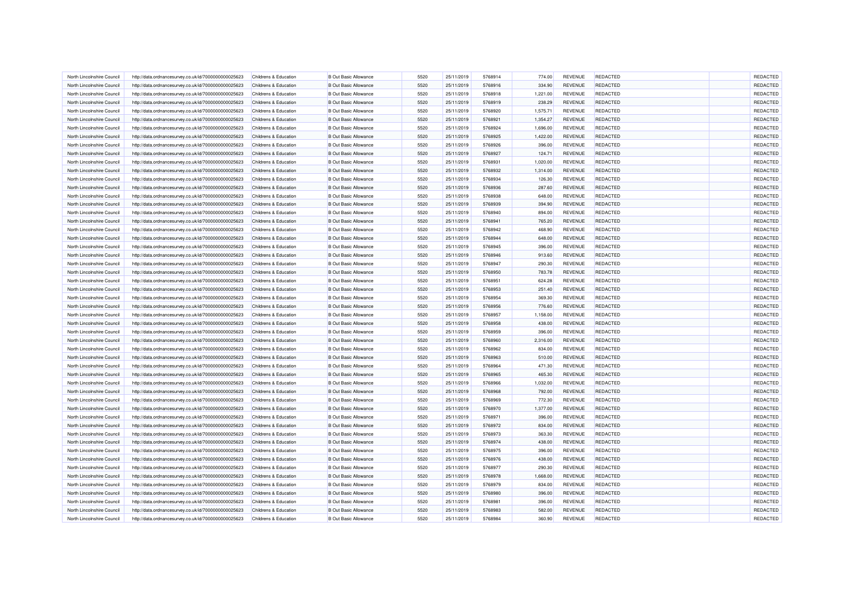| North Lincolnshire Council                               | http://data.ordnancesurvey.co.uk/id/7000000000025623                                                         | Childrens & Education                          | <b>B Out Basic Allowance</b>                                 | 5520         | 25/11/2019               | 5768914 | 774.00           | <b>REVENUE</b>            | <b>REDACTED</b> | REDACTED |
|----------------------------------------------------------|--------------------------------------------------------------------------------------------------------------|------------------------------------------------|--------------------------------------------------------------|--------------|--------------------------|---------|------------------|---------------------------|-----------------|----------|
| North Lincolnshire Council                               | http://data.ordnancesurvey.co.uk/id/7000000000025623                                                         | <b>Childrens &amp; Education</b>               | <b>B Out Basic Allowance</b>                                 | 5520         | 25/11/2019               | 5768916 | 334.90           | <b>REVENUE</b>            | <b>REDACTED</b> | REDACTED |
| North Lincolnshire Council                               | http://data.ordnancesurvey.co.uk/id/7000000000025623                                                         | Childrens & Education                          | <b>B Out Basic Allowance</b>                                 | 5520         | 25/11/2019               | 5768918 | 1,221.00         | REVENUE                   | <b>REDACTED</b> | REDACTED |
| North Lincolnshire Council                               | http://data.ordnancesurvey.co.uk/id/7000000000025623                                                         | <b>Childrens &amp; Education</b>               | <b>B Out Basic Allowance</b>                                 | 5520         | 25/11/2019               | 5768919 | 238.29           | <b>REVENUE</b>            | REDACTED        | REDACTED |
| North Lincolnshire Council                               | http://data.ordnancesurvey.co.uk/id/7000000000025623                                                         | Childrens & Education                          | <b>B Out Basic Allowance</b>                                 | 5520         | 25/11/2019               | 5768920 | 1,575.71         | <b>REVENUE</b>            | <b>REDACTED</b> | REDACTED |
| North Lincolnshire Council                               | http://data.ordnancesurvey.co.uk/id/7000000000025623                                                         | Childrens & Education                          | <b>B Out Basic Allowance</b>                                 | 5520         | 25/11/2019               | 5768921 | 1,354.27         | <b>REVENUE</b>            | <b>REDACTED</b> | REDACTED |
| North Lincolnshire Council                               | http://data.ordnancesurvey.co.uk/id/7000000000025623                                                         | Childrens & Education                          | <b>B Out Basic Allowance</b>                                 | 5520         | 25/11/2019               | 5768924 | 1,696.00         | <b>REVENUE</b>            | <b>REDACTED</b> | REDACTED |
| North Lincolnshire Council                               | http://data.ordnancesurvey.co.uk/id/7000000000025623                                                         | Childrens & Education                          | <b>B Out Basic Allowance</b>                                 | 5520         | 25/11/2019               | 5768925 | 1,422.00         | REVENUE                   | REDACTED        | REDACTED |
| North Lincolnshire Council                               | http://data.ordnancesurvey.co.uk/id/7000000000025623                                                         | Childrens & Education                          | <b>B Out Basic Allowance</b>                                 | 5520         | 25/11/2019               | 5768926 | 396.00           | REVENUE                   | <b>REDACTED</b> | REDACTED |
| North Lincolnshire Council                               | http://data.ordnancesurvey.co.uk/id/7000000000025623                                                         | Childrens & Education                          | <b>B Out Basic Allowance</b>                                 | 5520         | 25/11/2019               | 5768927 | 124.71           | REVENUE                   | REDACTED        | REDACTED |
| North Lincolnshire Council                               | http://data.ordnancesurvey.co.uk/id/7000000000025623                                                         | Childrens & Education                          | <b>B Out Basic Allowance</b>                                 | 5520         | 25/11/2019               | 5768931 | 1,020.00         | <b>REVENUE</b>            | <b>REDACTED</b> | REDACTED |
| North Lincolnshire Council                               | http://data.ordnancesurvey.co.uk/id/7000000000025623                                                         | Childrens & Education                          | <b>B</b> Out Basic Allowance                                 | 5520         | 25/11/2019               | 5768932 | 1,314.00         | <b>REVENUE</b>            | <b>REDACTED</b> | REDACTED |
| North Lincolnshire Council                               | http://data.ordnancesurvey.co.uk/id/7000000000025623                                                         | Childrens & Education                          | <b>B Out Basic Allowance</b>                                 | 5520         | 25/11/2019               | 5768934 | 126.30           | <b>REVENUE</b>            | <b>REDACTED</b> | REDACTED |
| North Lincolnshire Council                               | http://data.ordnancesurvey.co.uk/id/7000000000025623                                                         | Childrens & Education                          | <b>B Out Basic Allowance</b>                                 | 5520         | 25/11/2019               | 5768936 | 287.60           | REVENUE                   | REDACTED        | REDACTED |
| North Lincolnshire Council                               | http://data.ordnancesurvey.co.uk/id/7000000000025623                                                         | Childrens & Education                          | <b>B Out Basic Allowance</b>                                 | 5520         | 25/11/2019               | 5768938 | 648.00           | REVENUE                   | <b>REDACTED</b> | REDACTED |
| North Lincolnshire Council                               | http://data.ordnancesurvey.co.uk/id/7000000000025623                                                         | Childrens & Education                          | <b>B Out Basic Allowance</b>                                 | 5520         | 25/11/2019               | 5768939 | 394.90           | REVENUE                   | <b>REDACTED</b> | REDACTED |
| North Lincolnshire Council                               | http://data.ordnancesurvey.co.uk/id/7000000000025623                                                         | Childrens & Education                          | <b>B Out Basic Allowance</b>                                 | 5520         | 25/11/2019               | 5768940 | 894.00           | REVENUE                   | <b>REDACTED</b> | REDACTED |
| North Lincolnshire Council                               | http://data.ordnancesurvey.co.uk/id/7000000000025623                                                         | Childrens & Education                          | <b>B Out Basic Allowance</b>                                 | 5520         | 25/11/2019               | 5768941 | 765.20           | REVENUE                   | <b>REDACTED</b> | REDACTED |
| North Lincolnshire Council                               | http://data.ordnancesurvey.co.uk/id/7000000000025623                                                         | Childrens & Education                          | <b>B Out Basic Allowance</b>                                 | 5520         | 25/11/2019               | 5768942 | 468.90           | REVENUE                   | <b>REDACTED</b> | REDACTED |
| North Lincolnshire Council                               | http://data.ordnancesurvey.co.uk/id/7000000000025623                                                         | Childrens & Education                          | <b>B Out Basic Allowance</b>                                 | 5520         | 25/11/2019               | 5768944 | 648.00           | <b>REVENUE</b>            | <b>REDACTED</b> | REDACTED |
| North Lincolnshire Council                               | http://data.ordnancesurvey.co.uk/id/7000000000025623                                                         | Childrens & Education                          | <b>B Out Basic Allowance</b>                                 | 5520         | 25/11/2019               | 5768945 | 396.00           | REVENUE                   | <b>REDACTED</b> | REDACTED |
| North Lincolnshire Council                               |                                                                                                              | Childrens & Education                          | <b>B Out Basic Allowance</b>                                 | 5520         | 25/11/2019               | 5768946 | 913.60           | <b>REVENUE</b>            | <b>REDACTED</b> | REDACTED |
| North Lincolnshire Council                               | http://data.ordnancesurvey.co.uk/id/7000000000025623<br>http://data.ordnancesurvey.co.uk/id/7000000000025623 | Childrens & Education                          | <b>B Out Basic Allowance</b>                                 | 5520         | 25/11/2019               | 5768947 | 290.30           | REVENUE                   | REDACTED        | REDACTED |
|                                                          |                                                                                                              |                                                |                                                              |              |                          | 5768950 |                  |                           | <b>REDACTED</b> | REDACTED |
| North Lincolnshire Council<br>North Lincolnshire Council | http://data.ordnancesurvey.co.uk/id/7000000000025623                                                         | Childrens & Education<br>Childrens & Education | <b>B Out Basic Allowance</b><br><b>B Out Basic Allowance</b> | 5520<br>5520 | 25/11/2019<br>25/11/2019 | 5768951 | 783.78<br>624.28 | <b>REVENUE</b><br>REVENUE | <b>REDACTED</b> | REDACTED |
|                                                          | http://data.ordnancesurvey.co.uk/id/7000000000025623                                                         |                                                |                                                              |              |                          |         |                  |                           |                 |          |
| North Lincolnshire Council                               | http://data.ordnancesurvey.co.uk/id/7000000000025623                                                         | Childrens & Education                          | <b>B Out Basic Allowance</b>                                 | 5520         | 25/11/2019               | 5768953 | 251.40           | <b>REVENUE</b>            | <b>REDACTED</b> | REDACTED |
| North Lincolnshire Council                               | http://data.ordnancesurvey.co.uk/id/7000000000025623                                                         | Childrens & Education                          | <b>B Out Basic Allowance</b>                                 | 5520         | 25/11/2019               | 5768954 | 369.30           | REVENUE                   | <b>REDACTED</b> | REDACTED |
| North Lincolnshire Council                               | http://data.ordnancesurvey.co.uk/id/7000000000025623                                                         | Childrens & Education                          | <b>B Out Basic Allowance</b>                                 | 5520         | 25/11/2019               | 5768956 | 776.60           | <b>REVENUE</b>            | <b>REDACTED</b> | REDACTED |
| North Lincolnshire Council                               | http://data.ordnancesurvey.co.uk/id/7000000000025623                                                         | Childrens & Education                          | <b>B Out Basic Allowance</b>                                 | 5520         | 25/11/2019               | 5768957 | 1,158.00         | REVENUE                   | <b>REDACTED</b> | REDACTED |
| North Lincolnshire Council                               | http://data.ordnancesurvey.co.uk/id/7000000000025623                                                         | Childrens & Education                          | <b>B Out Basic Allowance</b>                                 | 5520         | 25/11/2019               | 5768958 | 438.00           | REVENUE                   | REDACTED        | REDACTED |
| North Lincolnshire Council                               | http://data.ordnancesurvey.co.uk/id/7000000000025623                                                         | Childrens & Education                          | <b>B Out Basic Allowance</b>                                 | 5520         | 25/11/2019               | 5768959 | 396.00           | REVENUE                   | REDACTED        | REDACTED |
| North Lincolnshire Council                               | http://data.ordnancesurvey.co.uk/id/7000000000025623                                                         | Childrens & Education                          | <b>B Out Basic Allowance</b>                                 | 5520         | 25/11/2019               | 5768960 | 2,316.00         | <b>REVENUE</b>            | <b>REDACTED</b> | REDACTED |
| North Lincolnshire Council                               | http://data.ordnancesurvey.co.uk/id/7000000000025623                                                         | Childrens & Education                          | <b>B Out Basic Allowance</b>                                 | 5520         | 25/11/2019               | 5768962 | 834.00           | <b>REVENUE</b>            | <b>REDACTED</b> | REDACTED |
| North Lincolnshire Council                               | http://data.ordnancesurvey.co.uk/id/7000000000025623                                                         | <b>Childrens &amp; Education</b>               | <b>B Out Basic Allowance</b>                                 | 5520         | 25/11/2019               | 5768963 | 510.00           | REVENUE                   | <b>REDACTED</b> | REDACTED |
| North Lincolnshire Council                               | http://data.ordnancesurvey.co.uk/id/7000000000025623                                                         | Childrens & Education                          | <b>B Out Basic Allowance</b>                                 | 5520         | 25/11/2019               | 5768964 | 471.30           | REVENUE                   | <b>REDACTED</b> | REDACTED |
| North Lincolnshire Council                               | http://data.ordnancesurvey.co.uk/id/7000000000025623                                                         | <b>Childrens &amp; Education</b>               | <b>B Out Basic Allowance</b>                                 | 5520         | 25/11/2019               | 5768965 | 465.30           | <b>REVENUE</b>            | <b>REDACTED</b> | REDACTED |
| North Lincolnshire Council                               | http://data.ordnancesurvey.co.uk/id/7000000000025623                                                         | Childrens & Education                          | <b>B Out Basic Allowance</b>                                 | 5520         | 25/11/2019               | 5768966 | 1,032.00         | <b>REVENUE</b>            | <b>REDACTED</b> | REDACTED |
| North Lincolnshire Council                               | http://data.ordnancesurvey.co.uk/id/7000000000025623                                                         | Childrens & Education                          | <b>B Out Basic Allowance</b>                                 | 5520         | 25/11/2019               | 5768968 | 792.00           | REVENUE                   | <b>REDACTED</b> | REDACTED |
| North Lincolnshire Council                               | http://data.ordnancesurvey.co.uk/id/7000000000025623                                                         | Childrens & Education                          | <b>B Out Basic Allowance</b>                                 | 5520         | 25/11/2019               | 5768969 | 772.30           | <b>REVENUE</b>            | <b>REDACTED</b> | REDACTED |
| North Lincolnshire Council                               | http://data.ordnancesurvey.co.uk/id/7000000000025623                                                         | Childrens & Education                          | <b>B Out Basic Allowance</b>                                 | 5520         | 25/11/2019               | 5768970 | 1,377.00         | REVENUE                   | <b>REDACTED</b> | REDACTED |
| North Lincolnshire Council                               | http://data.ordnancesurvey.co.uk/id/7000000000025623                                                         | Childrens & Education                          | <b>B Out Basic Allowance</b>                                 | 5520         | 25/11/2019               | 5768971 | 396.00           | REVENUE                   | <b>REDACTED</b> | REDACTED |
| North Lincolnshire Council                               | http://data.ordnancesurvey.co.uk/id/7000000000025623                                                         | Childrens & Education                          | <b>B Out Basic Allowance</b>                                 | 5520         | 25/11/2019               | 5768972 | 834.00           | REVENUE                   | <b>REDACTED</b> | REDACTED |
| North Lincolnshire Council                               | http://data.ordnancesurvey.co.uk/id/7000000000025623                                                         | Childrens & Education                          | <b>B Out Basic Allowance</b>                                 | 5520         | 25/11/2019               | 5768973 | 363.30           | <b>REVENUE</b>            | <b>REDACTED</b> | REDACTED |
| North Lincolnshire Council                               | http://data.ordnancesurvey.co.uk/id/7000000000025623                                                         | Childrens & Education                          | <b>B Out Basic Allowance</b>                                 | 5520         | 25/11/2019               | 5768974 | 438.00           | <b>REVENUE</b>            | <b>REDACTED</b> | REDACTED |
| North Lincolnshire Council                               | http://data.ordnancesurvey.co.uk/id/7000000000025623                                                         | Childrens & Education                          | <b>B Out Basic Allowance</b>                                 | 5520         | 25/11/2019               | 5768975 | 396.00           | REVENUE                   | <b>REDACTED</b> | REDACTED |
| North Lincolnshire Council                               | http://data.ordnancesurvey.co.uk/id/7000000000025623                                                         | Childrens & Education                          | <b>B Out Basic Allowance</b>                                 | 5520         | 25/11/2019               | 5768976 | 438.00           | REVENUE                   | <b>REDACTED</b> | REDACTED |
| North Lincolnshire Council                               | http://data.ordnancesurvey.co.uk/id/7000000000025623                                                         | Childrens & Education                          | <b>B Out Basic Allowance</b>                                 | 5520         | 25/11/2019               | 5768977 | 290.30           | <b>REVENUE</b>            | <b>REDACTED</b> | REDACTED |
| North Lincolnshire Council                               | http://data.ordnancesurvey.co.uk/id/7000000000025623                                                         | Childrens & Education                          | <b>B Out Basic Allowance</b>                                 | 5520         | 25/11/2019               | 5768978 | 1,668.00         | REVENUE                   | <b>REDACTED</b> | REDACTED |
| North Lincolnshire Council                               | http://data.ordnancesurvey.co.uk/id/7000000000025623                                                         | Childrens & Education                          | <b>B Out Basic Allowance</b>                                 | 5520         | 25/11/2019               | 5768979 | 834.00           | REVENUE                   | <b>REDACTED</b> | REDACTED |
| North Lincolnshire Council                               | http://data.ordnancesurvey.co.uk/id/7000000000025623                                                         | Childrens & Education                          | <b>B Out Basic Allowance</b>                                 | 5520         | 25/11/2019               | 5768980 | 396.00           | REVENUE                   | <b>REDACTED</b> | REDACTED |
| North Lincolnshire Council                               | http://data.ordnancesurvey.co.uk/id/7000000000025623                                                         | Childrens & Education                          | <b>B Out Basic Allowance</b>                                 | 5520         | 25/11/2019               | 5768981 | 396.00           | REVENUE                   | <b>REDACTED</b> | REDACTED |
| North Lincolnshire Council                               | http://data.ordnancesurvey.co.uk/id/7000000000025623                                                         | Childrens & Education                          | <b>B Out Basic Allowance</b>                                 | 5520         | 25/11/2019               | 5768983 | 582.00           | <b>REVENUE</b>            | <b>REDACTED</b> | REDACTED |
| North Lincolnshire Council                               | http://data.ordnancesurvey.co.uk/id/7000000000025623                                                         | Childrens & Education                          | <b>B Out Basic Allowance</b>                                 | 5520         | 25/11/2019               | 5768984 | 360.90           | REVENUE                   | <b>REDACTED</b> | REDACTED |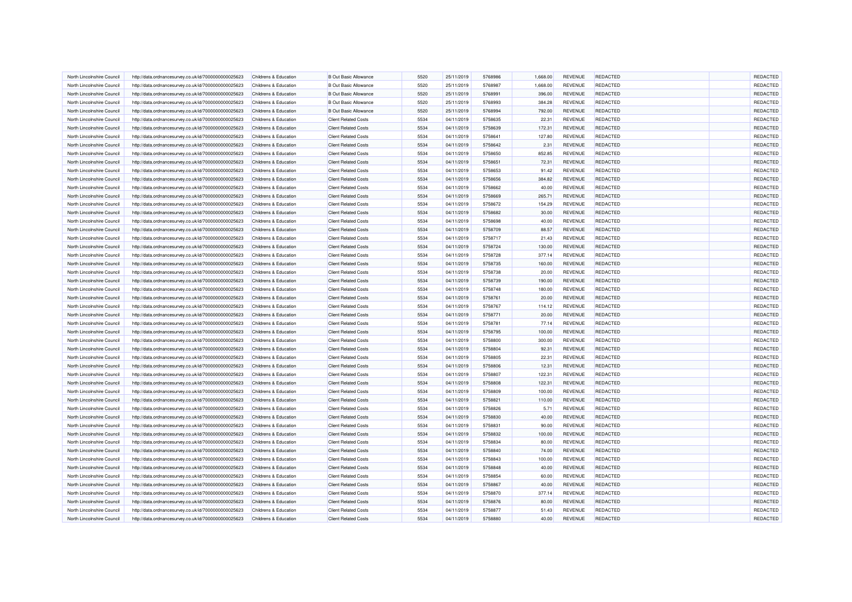| North Lincolnshire Council                               | http://data.ordnancesurvey.co.uk/id/7000000000025623 | Childrens & Education                          | <b>B</b> Out Basic Allowance                               | 5520 | 25/11/2019               | 5768986            | 1.668.00 | <b>REVENUE</b> | <b>REDACTED</b>                    | <b>REDACTED</b> |
|----------------------------------------------------------|------------------------------------------------------|------------------------------------------------|------------------------------------------------------------|------|--------------------------|--------------------|----------|----------------|------------------------------------|-----------------|
| North Lincolnshire Council                               | http://data.ordnancesurvey.co.uk/id/7000000000025623 | Childrens & Education                          | <b>B Out Basic Allowance</b>                               | 5520 | 25/11/2019               | 5768987            | 1,668.00 | REVENUE        | <b>REDACTED</b>                    | REDACTED        |
| North Lincolnshire Council                               | http://data.ordnancesurvey.co.uk/id/7000000000025623 | Childrens & Education                          | <b>B Out Basic Allowance</b>                               | 5520 | 25/11/2019               | 5768991            | 396.00   | <b>REVENUE</b> | <b>REDACTED</b>                    | REDACTED        |
| North Lincolnshire Council                               | http://data.ordnancesurvey.co.uk/id/7000000000025623 | Childrens & Education                          | <b>B</b> Out Basic Allowance                               | 5520 | 25/11/2019               | 5768993            | 384.28   | REVENUE        | REDACTED                           | REDACTED        |
| North Lincolnshire Council                               | http://data.ordnancesurvey.co.uk/id/7000000000025623 | Childrens & Education                          | <b>B Out Basic Allowance</b>                               | 5520 | 25/11/2019               | 5768994            | 792.00   | <b>REVENUE</b> | <b>REDACTED</b>                    | REDACTED        |
| North Lincolnshire Council                               | http://data.ordnancesurvey.co.uk/id/7000000000025623 | Childrens & Education                          | <b>Client Related Costs</b>                                | 5534 | 04/11/2019               | 5758635            | 22.31    | REVENUE        | <b>REDACTED</b>                    | REDACTED        |
| North Lincolnshire Council                               | http://data.ordnancesurvey.co.uk/id/7000000000025623 | Childrens & Education                          | <b>Client Related Costs</b>                                | 5534 | 04/11/2019               | 5758639            | 172.31   | <b>REVENUE</b> | <b>REDACTED</b>                    | REDACTED        |
| North Lincolnshire Council                               | http://data.ordnancesurvey.co.uk/id/7000000000025623 | Childrens & Education                          | <b>Client Related Costs</b>                                | 5534 | 04/11/2019               | 5758641            | 127.80   | REVENUE        | <b>REDACTED</b>                    | REDACTED        |
| North Lincolnshire Council                               | http://data.ordnancesurvey.co.uk/id/7000000000025623 | Childrens & Education                          | <b>Client Related Costs</b>                                | 5534 | 04/11/2019               | 5758642            | 2.31     | REVENUE        | <b>REDACTED</b>                    | REDACTED        |
| North Lincolnshire Council                               | http://data.ordnancesurvey.co.uk/id/7000000000025623 | Childrens & Education                          | <b>Client Related Costs</b>                                | 5534 | 04/11/2019               | 5758650            | 852.85   | REVENUE        | <b>REDACTED</b>                    | REDACTED        |
| North Lincolnshire Council                               | http://data.ordnancesurvey.co.uk/id/7000000000025623 | Childrens & Education                          | <b>Client Related Costs</b>                                | 5534 | 04/11/2019               | 5758651            | 72.31    | <b>REVENUE</b> | <b>REDACTED</b>                    | REDACTED        |
| North Lincolnshire Council                               | http://data.ordnancesurvey.co.uk/id/7000000000025623 | Childrens & Education                          | <b>Client Related Costs</b>                                | 5534 | 04/11/2019               | 5758653            | 91.42    | <b>REVENUE</b> | <b>REDACTED</b>                    | REDACTED        |
| North Lincolnshire Council                               | http://data.ordnancesurvey.co.uk/id/7000000000025623 | Childrens & Education                          | <b>Client Related Costs</b>                                | 5534 | 04/11/2019               | 5758656            | 384.82   | <b>REVENUE</b> | <b>REDACTED</b>                    | REDACTED        |
| North Lincolnshire Council                               | http://data.ordnancesurvey.co.uk/id/7000000000025623 | Childrens & Education                          | <b>Client Related Costs</b>                                | 5534 | 04/11/2019               | 5758662            | 40.00    | REVENUE        | <b>REDACTED</b>                    | REDACTED        |
| North Lincolnshire Council                               | http://data.ordnancesurvey.co.uk/id/7000000000025623 | Childrens & Education                          | <b>Client Related Costs</b>                                | 5534 | 04/11/2019               | 5758669            | 265.71   | REVENUE        | <b>REDACTED</b>                    | REDACTED        |
| North Lincolnshire Council                               | http://data.ordnancesurvey.co.uk/id/7000000000025623 | Childrens & Education                          | <b>Client Related Costs</b>                                | 5534 | 04/11/2019               | 5758672            | 154.29   | REVENUE        | <b>REDACTED</b>                    | REDACTED        |
| North Lincolnshire Council                               | http://data.ordnancesurvey.co.uk/id/7000000000025623 | Childrens & Education                          | <b>Client Related Costs</b>                                | 5534 | 04/11/2019               | 5758682            | 30.00    | REVENUE        | <b>REDACTED</b>                    | REDACTED        |
| North Lincolnshire Council                               | http://data.ordnancesurvey.co.uk/id/7000000000025623 | Childrens & Education                          | <b>Client Related Costs</b>                                | 5534 | 04/11/2019               | 5758698            | 40.00    | <b>REVENUE</b> | <b>REDACTED</b>                    | REDACTED        |
|                                                          |                                                      | Childrens & Education                          | <b>Client Related Costs</b>                                | 5534 |                          | 5758709            | 88.57    | <b>REVENUE</b> | <b>REDACTED</b>                    | REDACTED        |
| North Lincolnshire Council<br>North Lincolnshire Council | http://data.ordnancesurvey.co.uk/id/7000000000025623 | Childrens & Education                          | <b>Client Related Costs</b>                                | 5534 | 04/11/2019<br>04/11/2019 | 5758717            | 21.43    | <b>REVENUE</b> | <b>REDACTED</b>                    | REDACTED        |
| North Lincolnshire Council                               | http://data.ordnancesurvey.co.uk/id/7000000000025623 |                                                |                                                            | 5534 |                          |                    |          |                |                                    | REDACTED        |
| North Lincolnshire Council                               | http://data.ordnancesurvey.co.uk/id/7000000000025623 | Childrens & Education<br>Childrens & Education | <b>Client Related Costs</b><br><b>Client Related Costs</b> | 5534 | 04/11/2019               | 5758724<br>5758728 | 130.00   | <b>REVENUE</b> | <b>REDACTED</b><br><b>REDACTED</b> | REDACTED        |
|                                                          | http://data.ordnancesurvey.co.uk/id/7000000000025623 |                                                |                                                            | 5534 | 04/11/2019               |                    | 377.14   | REVENUE        |                                    |                 |
| North Lincolnshire Council                               | http://data.ordnancesurvey.co.uk/id/7000000000025623 | <b>Childrens &amp; Education</b>               | <b>Client Related Costs</b>                                |      | 04/11/2019               | 5758735            | 160.00   | REVENUE        | <b>REDACTED</b>                    | REDACTED        |
| North Lincolnshire Council                               | http://data.ordnancesurvey.co.uk/id/7000000000025623 | Childrens & Education                          | <b>Client Related Costs</b>                                | 5534 | 04/11/2019               | 5758738            | 20.00    | <b>REVENUE</b> | <b>REDACTED</b>                    | REDACTED        |
| North Lincolnshire Council                               | http://data.ordnancesurvey.co.uk/id/7000000000025623 | Childrens & Education                          | <b>Client Related Costs</b>                                | 5534 | 04/11/2019               | 5758739            | 190.00   | REVENUE        | REDACTED                           | REDACTED        |
| North Lincolnshire Council                               | http://data.ordnancesurvey.co.uk/id/7000000000025623 | Childrens & Education                          | <b>Client Related Costs</b>                                | 5534 | 04/11/2019               | 5758748            | 180.00   | <b>REVENUE</b> | REDACTED                           | REDACTED        |
| North Lincolnshire Council                               | http://data.ordnancesurvey.co.uk/id/7000000000025623 | Childrens & Education                          | <b>Client Related Costs</b>                                | 5534 | 04/11/2019               | 5758761            | 20.00    | REVENUE        | <b>REDACTED</b>                    | REDACTED        |
| North Lincolnshire Council                               | http://data.ordnancesurvey.co.uk/id/7000000000025623 | Childrens & Education                          | <b>Client Related Costs</b>                                | 5534 | 04/11/2019               | 5758767            | 114.12   | <b>REVENUE</b> | <b>REDACTED</b>                    | REDACTED        |
| North Lincolnshire Council                               | http://data.ordnancesurvey.co.uk/id/7000000000025623 | Childrens & Education                          | <b>Client Related Costs</b>                                | 5534 | 04/11/2019               | 5758771            | 20.00    | <b>REVENUE</b> | <b>REDACTED</b>                    | REDACTED        |
| North Lincolnshire Council                               | http://data.ordnancesurvey.co.uk/id/7000000000025623 | Childrens & Education                          | <b>Client Related Costs</b>                                | 5534 | 04/11/2019               | 5758781            | 77.14    | REVENUE        | <b>REDACTED</b>                    | REDACTED        |
| North Lincolnshire Council                               | http://data.ordnancesurvey.co.uk/id/7000000000025623 | Childrens & Education                          | <b>Client Related Costs</b>                                | 5534 | 04/11/2019               | 5758795            | 100.00   | <b>REVENUE</b> | <b>REDACTED</b>                    | REDACTED        |
| North Lincolnshire Council                               | http://data.ordnancesurvey.co.uk/id/7000000000025623 | Childrens & Education                          | <b>Client Related Costs</b>                                | 5534 | 04/11/2019               | 5758800            | 300.00   | <b>REVENUE</b> | <b>REDACTED</b>                    | REDACTED        |
| North Lincolnshire Council                               | http://data.ordnancesurvey.co.uk/id/7000000000025623 | Childrens & Education                          | <b>Client Related Costs</b>                                | 5534 | 04/11/2019               | 5758804            | 92.31    | REVENUE        | <b>REDACTED</b>                    | REDACTED        |
| North Lincolnshire Council                               | http://data.ordnancesurvey.co.uk/id/7000000000025623 | Childrens & Education                          | <b>Client Related Costs</b>                                | 5534 | 04/11/2019               | 5758805            | 22.31    | REVENUE        | <b>REDACTED</b>                    | REDACTED        |
| North Lincolnshire Council                               | http://data.ordnancesurvey.co.uk/id/7000000000025623 | Childrens & Education                          | <b>Client Related Costs</b>                                | 5534 | 04/11/2019               | 5758806            | 12.31    | REVENUE        | <b>REDACTED</b>                    | REDACTED        |
| North Lincolnshire Council                               | http://data.ordnancesurvey.co.uk/id/7000000000025623 | Childrens & Education                          | <b>Client Related Costs</b>                                | 5534 | 04/11/2019               | 5758807            | 122.31   | REVENUE        | <b>REDACTED</b>                    | REDACTED        |
| North Lincolnshire Council                               | http://data.ordnancesurvey.co.uk/id/7000000000025623 | Childrens & Education                          | <b>Client Related Costs</b>                                | 5534 | 04/11/2019               | 5758808            | 122.31   | <b>REVENUE</b> | <b>REDACTED</b>                    | REDACTED        |
| North Lincolnshire Council                               | http://data.ordnancesurvey.co.uk/id/7000000000025623 | Childrens & Education                          | <b>Client Related Costs</b>                                | 5534 | 04/11/2019               | 5758809            | 100.00   | REVENUE        | <b>REDACTED</b>                    | REDACTED        |
| North Lincolnshire Council                               | http://data.ordnancesurvey.co.uk/id/7000000000025623 | Childrens & Education                          | <b>Client Related Costs</b>                                | 5534 | 04/11/2019               | 5758821            | 110.00   | <b>REVENUE</b> | <b>REDACTED</b>                    | REDACTED        |
| North Lincolnshire Council                               | http://data.ordnancesurvey.co.uk/id/7000000000025623 | Childrens & Education                          | <b>Client Related Costs</b>                                | 5534 | 04/11/2019               | 5758826            | 5.71     | REVENUE        | <b>REDACTED</b>                    | REDACTED        |
| North Lincolnshire Council                               | http://data.ordnancesurvey.co.uk/id/7000000000025623 | Childrens & Education                          | <b>Client Related Costs</b>                                | 5534 | 04/11/2019               | 5758830            | 40.00    | <b>REVENUE</b> | <b>REDACTED</b>                    | REDACTED        |
| North Lincolnshire Council                               | http://data.ordnancesurvey.co.uk/id/7000000000025623 | Childrens & Education                          | <b>Client Related Costs</b>                                | 5534 | 04/11/2019               | 5758831            | 90.00    | REVENUE        | <b>REDACTED</b>                    | REDACTED        |
| North Lincolnshire Council                               | http://data.ordnancesurvey.co.uk/id/7000000000025623 | Childrens & Education                          | <b>Client Related Costs</b>                                | 5534 | 04/11/2019               | 5758832            | 100.00   | <b>REVENUE</b> | <b>REDACTED</b>                    | REDACTED        |
| North Lincolnshire Council                               | http://data.ordnancesurvey.co.uk/id/7000000000025623 | Childrens & Education                          | <b>Client Related Costs</b>                                | 5534 | 04/11/2019               | 5758834            | 80.00    | <b>REVENUE</b> | <b>REDACTED</b>                    | REDACTED        |
| North Lincolnshire Council                               | http://data.ordnancesurvey.co.uk/id/7000000000025623 | Childrens & Education                          | <b>Client Related Costs</b>                                | 5534 | 04/11/2019               | 5758840            | 74.00    | REVENUE        | <b>REDACTED</b>                    | REDACTED        |
| North Lincolnshire Council                               | http://data.ordnancesurvey.co.uk/id/7000000000025623 | Childrens & Education                          | <b>Client Related Costs</b>                                | 5534 | 04/11/2019               | 5758843            | 100.00   | REVENUE        | <b>REDACTED</b>                    | REDACTED        |
| North Lincolnshire Council                               | http://data.ordnancesurvey.co.uk/id/7000000000025623 | Childrens & Education                          | <b>Client Related Costs</b>                                | 5534 | 04/11/2019               | 5758848            | 40.00    | <b>REVENUE</b> | <b>REDACTED</b>                    | REDACTED        |
| North Lincolnshire Council                               | http://data.ordnancesurvey.co.uk/id/7000000000025623 | Childrens & Education                          | <b>Client Related Costs</b>                                | 5534 | 04/11/2019               | 5758854            | 60.00    | REVENUE        | <b>REDACTED</b>                    | REDACTED        |
| North Lincolnshire Council                               | http://data.ordnancesurvey.co.uk/id/7000000000025623 | Childrens & Education                          | <b>Client Related Costs</b>                                | 5534 | 04/11/2019               | 5758867            | 40.00    | REVENUE        | <b>REDACTED</b>                    | REDACTED        |
| North Lincolnshire Council                               | http://data.ordnancesurvey.co.uk/id/7000000000025623 | Childrens & Education                          | <b>Client Related Costs</b>                                | 5534 | 04/11/2019               | 5758870            | 377.14   | <b>REVENUE</b> | <b>REDACTED</b>                    | REDACTED        |
| North Lincolnshire Council                               | http://data.ordnancesurvey.co.uk/id/7000000000025623 | <b>Childrens &amp; Education</b>               | <b>Client Related Costs</b>                                | 5534 | 04/11/2019               | 5758876            | 80.00    | REVENUE        | <b>REDACTED</b>                    | REDACTED        |
| North Lincolnshire Council                               | http://data.ordnancesurvey.co.uk/id/7000000000025623 | Childrens & Education                          | <b>Client Related Costs</b>                                | 5534 | 04/11/2019               | 5758877            | 51.43    | <b>REVENUE</b> | <b>REDACTED</b>                    | REDACTED        |
| North Lincolnshire Council                               | http://data.ordnancesurvey.co.uk/id/7000000000025623 | Childrens & Education                          | <b>Client Related Costs</b>                                | 5534 | 04/11/2019               | 5758880            | 40.00    | REVENUE        | <b>REDACTED</b>                    | REDACTED        |
|                                                          |                                                      |                                                |                                                            |      |                          |                    |          |                |                                    |                 |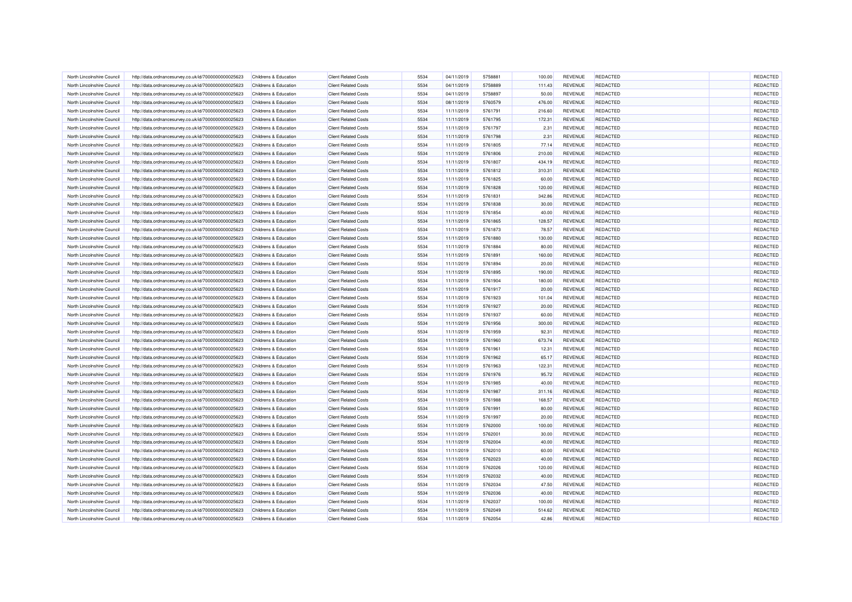| North Lincolnshire Council                               | http://data.ordnancesurvey.co.uk/id/7000000000025623 | Childrens & Education                          | <b>Client Related Costs</b>                                | 5534 | 04/11/2019               | 5758881            | 100.00           | <b>REVENUE</b>                   | <b>REDACTED</b> | REDACTED |
|----------------------------------------------------------|------------------------------------------------------|------------------------------------------------|------------------------------------------------------------|------|--------------------------|--------------------|------------------|----------------------------------|-----------------|----------|
| North Lincolnshire Council                               | http://data.ordnancesurvey.co.uk/id/7000000000025623 | Childrens & Education                          | <b>Client Related Costs</b>                                | 5534 | 04/11/2019               | 5758889            | 111.43           | REVENUE                          | <b>REDACTED</b> | REDACTED |
| North Lincolnshire Council                               | http://data.ordnancesurvey.co.uk/id/7000000000025623 | Childrens & Education                          | <b>Client Related Costs</b>                                | 5534 | 04/11/2019               | 5758897            | 50.00            | REVENUE                          | <b>REDACTED</b> | REDACTED |
| North Lincolnshire Council                               | http://data.ordnancesurvey.co.uk/id/7000000000025623 | Childrens & Education                          | <b>Client Related Costs</b>                                | 5534 | 08/11/2019               | 5760579            | 476.00           | REVENUE                          | <b>REDACTED</b> | REDACTED |
| North Lincolnshire Council                               | http://data.ordnancesurvey.co.uk/id/7000000000025623 | Childrens & Education                          | <b>Client Related Costs</b>                                | 5534 | 11/11/2019               | 5761791            | 216.60           | <b>REVENUE</b>                   | <b>REDACTED</b> | REDACTED |
| North Lincolnshire Council                               | http://data.ordnancesurvey.co.uk/id/7000000000025623 | Childrens & Education                          | <b>Client Related Costs</b>                                | 5534 | 11/11/2019               | 5761795            | 172.31           | REVENUE                          | <b>REDACTED</b> | REDACTED |
| North Lincolnshire Council                               | http://data.ordnancesurvey.co.uk/id/7000000000025623 | Childrens & Education                          | <b>Client Related Costs</b>                                | 5534 | 11/11/2019               | 5761797            | 2.31             | <b>REVENUE</b>                   | REDACTED        | REDACTED |
| North Lincolnshire Council                               | http://data.ordnancesurvey.co.uk/id/7000000000025623 | Childrens & Education                          | <b>Client Related Costs</b>                                | 5534 | 11/11/2019               | 5761798            | 2.31             | <b>REVENUE</b>                   | REDACTED        | REDACTED |
| North Lincolnshire Council                               | http://data.ordnancesurvey.co.uk/id/7000000000025623 | Childrens & Education                          | <b>Client Related Costs</b>                                | 5534 | 11/11/2019               | 5761805            | 77.14            | REVENUE                          | <b>REDACTED</b> | REDACTED |
| North Lincolnshire Council                               | http://data.ordnancesurvey.co.uk/id/7000000000025623 | Childrens & Education                          | <b>Client Related Costs</b>                                | 5534 | 11/11/2019               | 5761806            | 210.00           | REVENUE                          | <b>REDACTED</b> | REDACTED |
| North Lincolnshire Council                               | http://data.ordnancesurvey.co.uk/id/7000000000025623 | Childrens & Education                          | <b>Client Related Costs</b>                                | 5534 | 11/11/2019               | 5761807            | 434.19           | <b>REVENUE</b>                   | <b>REDACTED</b> | REDACTED |
| North Lincolnshire Council                               | http://data.ordnancesurvey.co.uk/id/7000000000025623 | Childrens & Education                          | <b>Client Related Costs</b>                                | 5534 | 11/11/2019               | 5761812            | 310.31           | <b>REVENUE</b>                   | <b>REDACTED</b> | REDACTED |
| North Lincolnshire Council                               | http://data.ordnancesurvey.co.uk/id/7000000000025623 | Childrens & Education                          | <b>Client Related Costs</b>                                | 5534 | 11/11/2019               | 5761825            | 60.00            | <b>REVENUE</b>                   | <b>REDACTED</b> | REDACTED |
| North Lincolnshire Council                               | http://data.ordnancesurvey.co.uk/id/7000000000025623 | Childrens & Education                          | <b>Client Related Costs</b>                                | 5534 | 11/11/2019               | 5761828            | 120.00           | REVENUE                          | <b>REDACTED</b> | REDACTED |
| North Lincolnshire Council                               | http://data.ordnancesurvey.co.uk/id/7000000000025623 | Childrens & Education                          | <b>Client Related Costs</b>                                | 5534 | 11/11/2019               | 5761831            | 342.86           | REVENUE                          | <b>REDACTED</b> | REDACTED |
| North Lincolnshire Council                               | http://data.ordnancesurvey.co.uk/id/7000000000025623 | Childrens & Education                          | <b>Client Related Costs</b>                                | 5534 | 11/11/2019               | 5761838            | 30.00            | REVENUE                          | <b>REDACTED</b> | REDACTED |
| North Lincolnshire Council                               | http://data.ordnancesurvey.co.uk/id/7000000000025623 | Childrens & Education                          | <b>Client Related Costs</b>                                | 5534 | 11/11/2019               | 5761854            | 40.00            | REVENUE                          | <b>REDACTED</b> | REDACTED |
| North Lincolnshire Council                               | http://data.ordnancesurvey.co.uk/id/7000000000025623 | Childrens & Education                          | <b>Client Related Costs</b>                                | 5534 | 11/11/2019               | 5761865            | 128.57           | <b>REVENUE</b>                   | <b>REDACTED</b> | REDACTED |
| North Lincolnshire Council                               | http://data.ordnancesurvey.co.uk/id/7000000000025623 | Childrens & Education                          | <b>Client Related Costs</b>                                | 5534 | 11/11/2019               | 5761873            | 78.57            | REVENUE                          | <b>REDACTED</b> | REDACTED |
| North Lincolnshire Council                               | http://data.ordnancesurvey.co.uk/id/7000000000025623 | Childrens & Education                          | <b>Client Related Costs</b>                                | 5534 | 11/11/2019               | 5761880            | 130.00           | <b>REVENUE</b>                   | <b>REDACTED</b> | REDACTED |
| North Lincolnshire Council                               | http://data.ordnancesurvey.co.uk/id/7000000000025623 | Childrens & Education                          | <b>Client Related Costs</b>                                | 5534 | 11/11/2019               | 5761884            | 80.00            | REVENUE                          | <b>REDACTED</b> | REDACTED |
| North Lincolnshire Council                               | http://data.ordnancesurvey.co.uk/id/7000000000025623 | Childrens & Education                          | <b>Client Related Costs</b>                                | 5534 | 11/11/2019               | 5761891            | 160.00           | <b>REVENUE</b>                   | REDACTED        | REDACTED |
| North Lincolnshire Council                               | http://data.ordnancesurvey.co.uk/id/7000000000025623 | Childrens & Education                          | <b>Client Related Costs</b>                                | 5534 | 11/11/2019               | 5761894            | 20.00            | REVENUE                          | REDACTED        | REDACTED |
|                                                          |                                                      |                                                |                                                            | 5534 |                          |                    |                  |                                  | <b>REDACTED</b> | REDACTED |
| North Lincolnshire Council<br>North Lincolnshire Council | http://data.ordnancesurvey.co.uk/id/7000000000025623 | Childrens & Education<br>Childrens & Education | <b>Client Related Costs</b><br><b>Client Related Costs</b> | 5534 | 11/11/2019<br>11/11/2019 | 5761895<br>5761904 | 190.00<br>180.00 | <b>REVENUE</b><br><b>REVENUE</b> | <b>REDACTED</b> | REDACTED |
|                                                          | http://data.ordnancesurvey.co.uk/id/7000000000025623 |                                                |                                                            |      |                          |                    |                  |                                  |                 |          |
| North Lincolnshire Council                               | http://data.ordnancesurvey.co.uk/id/7000000000025623 | Childrens & Education                          | <b>Client Related Costs</b>                                | 5534 | 11/11/2019               | 5761917            | 20.00            | <b>REVENUE</b>                   | <b>REDACTED</b> | REDACTED |
| North Lincolnshire Council                               | http://data.ordnancesurvey.co.uk/id/7000000000025623 | Childrens & Education                          | <b>Client Related Costs</b>                                | 5534 | 11/11/2019               | 5761923            | 101.04           | REVENUE                          | <b>REDACTED</b> | REDACTED |
| North Lincolnshire Council                               | http://data.ordnancesurvey.co.uk/id/7000000000025623 | Childrens & Education                          | <b>Client Related Costs</b>                                | 5534 | 11/11/2019               | 5761927            | 20.00            | <b>REVENUE</b>                   | <b>REDACTED</b> | REDACTED |
| North Lincolnshire Council                               | http://data.ordnancesurvey.co.uk/id/7000000000025623 | Childrens & Education                          | <b>Client Related Costs</b>                                | 5534 | 11/11/2019               | 5761937            | 60.00            | <b>REVENUE</b>                   | <b>REDACTED</b> | REDACTED |
| North Lincolnshire Council                               | http://data.ordnancesurvey.co.uk/id/7000000000025623 | Childrens & Education                          | <b>Client Related Costs</b>                                | 5534 | 11/11/2019               | 5761956            | 300.00           | REVENUE                          | <b>REDACTED</b> | REDACTED |
| North Lincolnshire Council                               | http://data.ordnancesurvey.co.uk/id/7000000000025623 | Childrens & Education                          | <b>Client Related Costs</b>                                | 5534 | 11/11/2019               | 5761959            | 92.31            | <b>REVENUE</b>                   | REDACTED        | REDACTED |
| North Lincolnshire Council                               | http://data.ordnancesurvey.co.uk/id/7000000000025623 | Childrens & Education                          | <b>Client Related Costs</b>                                | 5534 | 11/11/2019               | 5761960            | 673.74           | <b>REVENUE</b>                   | <b>REDACTED</b> | REDACTED |
| North Lincolnshire Council                               | http://data.ordnancesurvey.co.uk/id/7000000000025623 | Childrens & Education                          | <b>Client Related Costs</b>                                | 5534 | 11/11/2019               | 5761961            | 12.31            | <b>REVENUE</b>                   | <b>REDACTED</b> | REDACTED |
| North Lincolnshire Council                               | http://data.ordnancesurvey.co.uk/id/7000000000025623 | <b>Childrens &amp; Education</b>               | <b>Client Related Costs</b>                                | 5534 | 11/11/2019               | 5761962            | 65.17            | REVENUE                          | <b>REDACTED</b> | REDACTED |
| North Lincolnshire Council                               | http://data.ordnancesurvey.co.uk/id/7000000000025623 | Childrens & Education                          | <b>Client Related Costs</b>                                | 5534 | 11/11/2019               | 5761963            | 122.31           | REVENUE                          | <b>REDACTED</b> | REDACTED |
| North Lincolnshire Council                               | http://data.ordnancesurvey.co.uk/id/7000000000025623 | Childrens & Education                          | <b>Client Related Costs</b>                                | 5534 | 11/11/2019               | 5761976            | 95.72            | REVENUE                          | <b>REDACTED</b> | REDACTED |
| North Lincolnshire Council                               | http://data.ordnancesurvey.co.uk/id/7000000000025623 | Childrens & Education                          | <b>Client Related Costs</b>                                | 5534 | 11/11/2019               | 5761985            | 40.00            | <b>REVENUE</b>                   | <b>REDACTED</b> | REDACTED |
| North Lincolnshire Council                               | http://data.ordnancesurvey.co.uk/id/7000000000025623 | Childrens & Education                          | <b>Client Related Costs</b>                                | 5534 | 11/11/2019               | 5761987            | 311.16           | REVENUE                          | <b>REDACTED</b> | REDACTED |
| North Lincolnshire Council                               | http://data.ordnancesurvey.co.uk/id/7000000000025623 | Childrens & Education                          | <b>Client Related Costs</b>                                | 5534 | 11/11/2019               | 5761988            | 168.57           | <b>REVENUE</b>                   | <b>REDACTED</b> | REDACTED |
| North Lincolnshire Council                               | http://data.ordnancesurvey.co.uk/id/7000000000025623 | <b>Childrens &amp; Education</b>               | <b>Client Related Costs</b>                                | 5534 | 11/11/2019               | 5761991            | 80.00            | <b>REVENUE</b>                   | <b>REDACTED</b> | REDACTED |
| North Lincolnshire Council                               | http://data.ordnancesurvey.co.uk/id/7000000000025623 | Childrens & Education                          | <b>Client Related Costs</b>                                | 5534 | 11/11/2019               | 5761997            | 20.00            | REVENUE                          | <b>REDACTED</b> | REDACTED |
| North Lincolnshire Council                               | http://data.ordnancesurvey.co.uk/id/7000000000025623 | Childrens & Education                          | <b>Client Related Costs</b>                                | 5534 | 11/11/2019               | 5762000            | 100.00           | REVENUE                          | <b>REDACTED</b> | REDACTED |
| North Lincolnshire Council                               | http://data.ordnancesurvey.co.uk/id/7000000000025623 | Childrens & Education                          | <b>Client Related Costs</b>                                | 5534 | 11/11/2019               | 5762001            | 30.00            | <b>REVENUE</b>                   | <b>REDACTED</b> | REDACTED |
| North Lincolnshire Council                               | http://data.ordnancesurvey.co.uk/id/7000000000025623 | Childrens & Education                          | <b>Client Related Costs</b>                                | 5534 | 11/11/2019               | 5762004            | 40.00            | <b>REVENUE</b>                   | <b>REDACTED</b> | REDACTED |
| North Lincolnshire Council                               | http://data.ordnancesurvey.co.uk/id/7000000000025623 | Childrens & Education                          | <b>Client Related Costs</b>                                | 5534 | 11/11/2019               | 5762010            | 60.00            | REVENUE                          | <b>REDACTED</b> | REDACTED |
| North Lincolnshire Council                               | http://data.ordnancesurvey.co.uk/id/7000000000025623 | Childrens & Education                          | <b>Client Related Costs</b>                                | 5534 | 11/11/2019               | 5762023            | 40.00            | REVENUE                          | <b>REDACTED</b> | REDACTED |
| North Lincolnshire Council                               | http://data.ordnancesurvey.co.uk/id/7000000000025623 | Childrens & Education                          | <b>Client Related Costs</b>                                | 5534 | 11/11/2019               | 5762026            | 120.00           | <b>REVENUE</b>                   | <b>REDACTED</b> | REDACTED |
| North Lincolnshire Council                               | http://data.ordnancesurvey.co.uk/id/7000000000025623 | Childrens & Education                          | <b>Client Related Costs</b>                                | 5534 | 11/11/2019               | 5762032            | 40.00            | <b>REVENUE</b>                   | <b>REDACTED</b> | REDACTED |
| North Lincolnshire Council                               | http://data.ordnancesurvey.co.uk/id/7000000000025623 | Childrens & Education                          | <b>Client Related Costs</b>                                | 5534 | 11/11/2019               | 5762034            | 47.50            | REVENUE                          | <b>REDACTED</b> | REDACTED |
| North Lincolnshire Council                               | http://data.ordnancesurvey.co.uk/id/7000000000025623 | Childrens & Education                          | <b>Client Related Costs</b>                                | 5534 | 11/11/2019               | 5762036            | 40.00            | <b>REVENUE</b>                   | <b>REDACTED</b> | REDACTED |
| North Lincolnshire Council                               | http://data.ordnancesurvey.co.uk/id/7000000000025623 | Childrens & Education                          | <b>Client Related Costs</b>                                | 5534 | 11/11/2019               | 5762037            | 100.00           | REVENUE                          | <b>REDACTED</b> | REDACTED |
| North Lincolnshire Council                               | http://data.ordnancesurvey.co.uk/id/7000000000025623 | Childrens & Education                          | <b>Client Related Costs</b>                                | 5534 | 11/11/2019               | 5762049            | 514.62           | <b>REVENUE</b>                   | <b>REDACTED</b> | REDACTED |
| North Lincolnshire Council                               | http://data.ordnancesurvey.co.uk/id/7000000000025623 | Childrens & Education                          | <b>Client Related Costs</b>                                | 5534 | 11/11/2019               | 5762054            | 42.86            | REVENUE                          | <b>REDACTED</b> | REDACTED |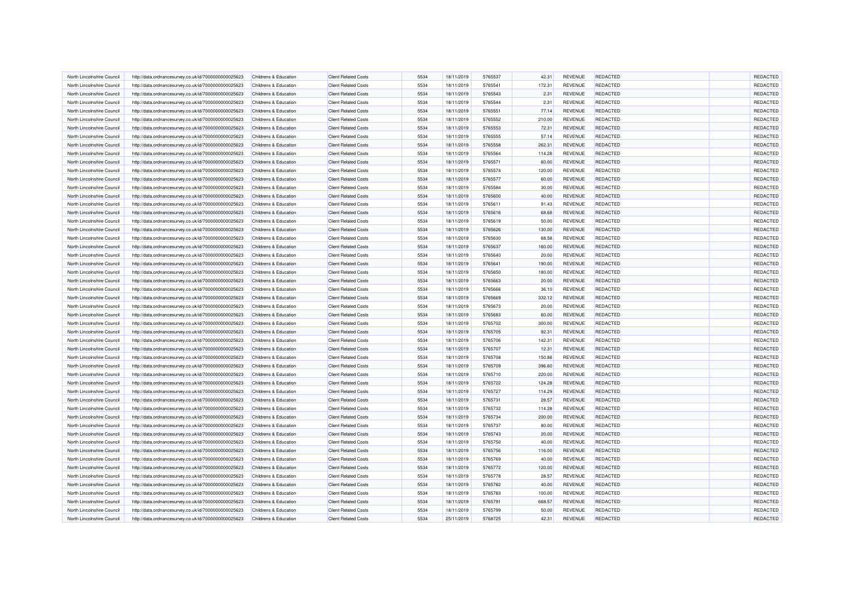| North Lincolnshire Council                               | http://data.ordnancesurvey.co.uk/id/7000000000025623 | Childrens & Education                          | <b>Client Related Costs</b>                                | 5534         | 18/11/2019               | 5765537 | 42.31           | <b>REVENUE</b>                   | <b>REDACTED</b> | <b>REDACTED</b> |
|----------------------------------------------------------|------------------------------------------------------|------------------------------------------------|------------------------------------------------------------|--------------|--------------------------|---------|-----------------|----------------------------------|-----------------|-----------------|
| North Lincolnshire Council                               | http://data.ordnancesurvey.co.uk/id/7000000000025623 | Childrens & Education                          | <b>Client Related Costs</b>                                | 5534         | 18/11/2019               | 5765541 | 172.31          | REVENUE                          | <b>REDACTED</b> | REDACTED        |
| North Lincolnshire Council                               | http://data.ordnancesurvey.co.uk/id/7000000000025623 | Childrens & Education                          | <b>Client Related Costs</b>                                | 5534         | 18/11/2019               | 5765543 | 2.31            | REVENUE                          | <b>REDACTED</b> | REDACTED        |
| North Lincolnshire Council                               | http://data.ordnancesurvey.co.uk/id/7000000000025623 | Childrens & Education                          | <b>Client Related Costs</b>                                | 5534         | 18/11/2019               | 5765544 | 2.31            | REVENUE                          | REDACTED        | REDACTED        |
| North Lincolnshire Council                               | http://data.ordnancesurvey.co.uk/id/7000000000025623 | Childrens & Education                          | <b>Client Related Costs</b>                                | 5534         | 18/11/2019               | 5765551 | 77.14           | <b>REVENUE</b>                   | <b>REDACTED</b> | REDACTED        |
| North Lincolnshire Council                               | http://data.ordnancesurvey.co.uk/id/7000000000025623 | Childrens & Education                          | <b>Client Related Costs</b>                                | 5534         | 18/11/2019               | 5765552 | 210.00          | REVENUE                          | <b>REDACTED</b> | REDACTED        |
| North Lincolnshire Council                               | http://data.ordnancesurvey.co.uk/id/7000000000025623 | Childrens & Education                          | <b>Client Related Costs</b>                                | 5534         | 18/11/2019               | 5765553 | 72.31           | <b>REVENUE</b>                   | <b>REDACTED</b> | REDACTED        |
| North Lincolnshire Council                               | http://data.ordnancesurvey.co.uk/id/7000000000025623 | Childrens & Education                          | <b>Client Related Costs</b>                                | 5534         | 18/11/2019               | 5765555 | 57.14           | REVENUE                          | <b>REDACTED</b> | REDACTED        |
| North Lincolnshire Council                               | http://data.ordnancesurvey.co.uk/id/7000000000025623 | Childrens & Education                          | <b>Client Related Costs</b>                                | 5534         | 18/11/2019               | 5765558 | 262.31          | REVENUE                          | <b>REDACTED</b> | REDACTED        |
| North Lincolnshire Council                               | http://data.ordnancesurvey.co.uk/id/7000000000025623 | Childrens & Education                          | <b>Client Related Costs</b>                                | 5534         | 18/11/2019               | 5765564 | 114.28          | REVENUE                          | <b>REDACTED</b> | REDACTED        |
| North Lincolnshire Council                               | http://data.ordnancesurvey.co.uk/id/7000000000025623 | Childrens & Education                          | <b>Client Related Costs</b>                                | 5534         | 18/11/2019               | 5765571 | 60.00           | <b>REVENUE</b>                   | <b>REDACTED</b> | REDACTED        |
| North Lincolnshire Council                               | http://data.ordnancesurvey.co.uk/id/7000000000025623 | Childrens & Education                          | <b>Client Related Costs</b>                                | 5534         | 18/11/2019               | 5765574 | 120.00          | <b>REVENUE</b>                   | <b>REDACTED</b> | REDACTED        |
| North Lincolnshire Council                               | http://data.ordnancesurvey.co.uk/id/7000000000025623 | Childrens & Education                          | <b>Client Related Costs</b>                                | 5534         | 18/11/2019               | 5765577 | 60.00           | <b>REVENUE</b>                   | <b>REDACTED</b> | REDACTED        |
| North Lincolnshire Council                               | http://data.ordnancesurvey.co.uk/id/7000000000025623 | Childrens & Education                          | <b>Client Related Costs</b>                                | 5534         | 18/11/2019               | 5765584 | 30.00           | REVENUE                          | <b>REDACTED</b> | REDACTED        |
| North Lincolnshire Council                               | http://data.ordnancesurvey.co.uk/id/7000000000025623 | Childrens & Education                          | <b>Client Related Costs</b>                                | 5534         | 18/11/2019               | 5765600 | 40.00           | REVENUE                          | <b>REDACTED</b> | REDACTED        |
| North Lincolnshire Council                               | http://data.ordnancesurvey.co.uk/id/7000000000025623 | Childrens & Education                          | <b>Client Related Costs</b>                                | 5534         | 18/11/2019               | 5765611 | 91.43           | REVENUE                          | <b>REDACTED</b> | REDACTED        |
| North Lincolnshire Council                               | http://data.ordnancesurvey.co.uk/id/7000000000025623 | Childrens & Education                          | <b>Client Related Costs</b>                                | 5534         | 18/11/2019               | 5765616 | 68.68           | <b>REVENUE</b>                   | <b>REDACTED</b> | REDACTED        |
| North Lincolnshire Council                               | http://data.ordnancesurvey.co.uk/id/7000000000025623 | Childrens & Education                          | <b>Client Related Costs</b>                                | 5534         | 18/11/2019               | 5765619 | 50.00           | <b>REVENUE</b>                   | <b>REDACTED</b> | REDACTED        |
| North Lincolnshire Council                               | http://data.ordnancesurvey.co.uk/id/7000000000025623 | <b>Childrens &amp; Education</b>               | <b>Client Related Costs</b>                                | 5534         | 18/11/2019               | 5765626 | 130.00          | REVENUE                          | <b>REDACTED</b> | REDACTED        |
| North Lincolnshire Council                               | http://data.ordnancesurvey.co.uk/id/7000000000025623 | Childrens & Education                          | <b>Client Related Costs</b>                                | 5534         | 18/11/2019               | 5765630 | 68.58           | <b>REVENUE</b>                   | <b>REDACTED</b> | REDACTED        |
| North Lincolnshire Council                               | http://data.ordnancesurvey.co.uk/id/7000000000025623 | Childrens & Education                          | <b>Client Related Costs</b>                                | 5534         | 18/11/2019               | 5765637 | 160.00          | <b>REVENUE</b>                   | <b>REDACTED</b> | REDACTED        |
| North Lincolnshire Council                               | http://data.ordnancesurvey.co.uk/id/7000000000025623 | Childrens & Education                          | <b>Client Related Costs</b>                                | 5534         | 18/11/2019               | 5765640 | 20.00           | REVENUE                          | <b>REDACTED</b> | REDACTED        |
| North Lincolnshire Council                               | http://data.ordnancesurvey.co.uk/id/7000000000025623 | Childrens & Education                          | <b>Client Related Costs</b>                                | 5534         | 18/11/2019               | 5765641 | 190.00          | REVENUE                          | <b>REDACTED</b> | REDACTED        |
|                                                          |                                                      |                                                |                                                            |              |                          | 5765650 |                 |                                  | <b>REDACTED</b> | REDACTED        |
| North Lincolnshire Council<br>North Lincolnshire Council | http://data.ordnancesurvey.co.uk/id/7000000000025623 | Childrens & Education<br>Childrens & Education | <b>Client Related Costs</b><br><b>Client Related Costs</b> | 5534<br>5534 | 18/11/2019<br>18/11/2019 | 5765663 | 180.00<br>20.00 | <b>REVENUE</b><br><b>REVENUE</b> | REDACTED        | REDACTED        |
|                                                          | http://data.ordnancesurvey.co.uk/id/7000000000025623 |                                                |                                                            |              |                          |         |                 |                                  |                 |                 |
| North Lincolnshire Council                               | http://data.ordnancesurvey.co.uk/id/7000000000025623 | Childrens & Education                          | <b>Client Related Costs</b>                                | 5534         | 18/11/2019               | 5765666 | 36.10           | <b>REVENUE</b>                   | REDACTED        | REDACTED        |
| North Lincolnshire Council                               | http://data.ordnancesurvey.co.uk/id/7000000000025623 | Childrens & Education                          | <b>Client Related Costs</b>                                | 5534         | 18/11/2019               | 5765669 | 332.12          | <b>REVENUE</b>                   | <b>REDACTED</b> | REDACTED        |
| North Lincolnshire Council                               | http://data.ordnancesurvey.co.uk/id/7000000000025623 | Childrens & Education                          | <b>Client Related Costs</b>                                | 5534         | 18/11/2019               | 5765673 | 20.00           | <b>REVENUE</b>                   | <b>REDACTED</b> | REDACTED        |
| North Lincolnshire Council                               | http://data.ordnancesurvey.co.uk/id/7000000000025623 | Childrens & Education                          | <b>Client Related Costs</b>                                | 5534         | 18/11/2019               | 5765683 | 60.00           | <b>REVENUE</b>                   | <b>REDACTED</b> | REDACTED        |
| North Lincolnshire Council                               | http://data.ordnancesurvey.co.uk/id/7000000000025623 | Childrens & Education                          | <b>Client Related Costs</b>                                | 5534         | 18/11/2019               | 5765702 | 300.00          | REVENUE                          | <b>REDACTED</b> | REDACTED        |
| North Lincolnshire Council                               | http://data.ordnancesurvey.co.uk/id/7000000000025623 | Childrens & Education                          | <b>Client Related Costs</b>                                | 5534         | 18/11/2019               | 5765705 | 92.31           | <b>REVENUE</b>                   | <b>REDACTED</b> | REDACTED        |
| North Lincolnshire Council                               | http://data.ordnancesurvey.co.uk/id/7000000000025623 | Childrens & Education                          | <b>Client Related Costs</b>                                | 5534         | 18/11/2019               | 5765706 | 142.31          | <b>REVENUE</b>                   | <b>REDACTED</b> | REDACTED        |
| North Lincolnshire Council                               | http://data.ordnancesurvey.co.uk/id/7000000000025623 | Childrens & Education                          | <b>Client Related Costs</b>                                | 5534         | 18/11/2019               | 5765707 | 12.31           | <b>REVENUE</b>                   | <b>REDACTED</b> | REDACTED        |
| North Lincolnshire Council                               | http://data.ordnancesurvey.co.uk/id/7000000000025623 | Childrens & Education                          | <b>Client Related Costs</b>                                | 5534         | 18/11/2019               | 5765708 | 150.88          | REVENUE                          | <b>REDACTED</b> | REDACTED        |
| North Lincolnshire Council                               | http://data.ordnancesurvey.co.uk/id/7000000000025623 | Childrens & Education                          | <b>Client Related Costs</b>                                | 5534         | 18/11/2019               | 5765709 | 396.60          | <b>REVENUE</b>                   | <b>REDACTED</b> | REDACTED        |
| North Lincolnshire Council                               | http://data.ordnancesurvey.co.uk/id/7000000000025623 | Childrens & Education                          | <b>Client Related Costs</b>                                | 5534         | 18/11/2019               | 5765710 | 220.00          | REVENUE                          | <b>REDACTED</b> | REDACTED        |
| North Lincolnshire Council                               | http://data.ordnancesurvey.co.uk/id/7000000000025623 | Childrens & Education                          | <b>Client Related Costs</b>                                | 5534         | 18/11/2019               | 5765722 | 124.28          | <b>REVENUE</b>                   | <b>REDACTED</b> | REDACTED        |
| North Lincolnshire Council                               | http://data.ordnancesurvey.co.uk/id/7000000000025623 | Childrens & Education                          | <b>Client Related Costs</b>                                | 5534         | 18/11/2019               | 5765727 | 114.29          | REVENUE                          | <b>REDACTED</b> | REDACTED        |
| North Lincolnshire Council                               | http://data.ordnancesurvey.co.uk/id/7000000000025623 | Childrens & Education                          | <b>Client Related Costs</b>                                | 5534         | 18/11/2019               | 5765731 | 28.57           | <b>REVENUE</b>                   | <b>REDACTED</b> | REDACTED        |
| North Lincolnshire Council                               | http://data.ordnancesurvey.co.uk/id/7000000000025623 | Childrens & Education                          | <b>Client Related Costs</b>                                | 5534         | 18/11/2019               | 5765732 | 114.28          | REVENUE                          | <b>REDACTED</b> | REDACTED        |
| North Lincolnshire Council                               | http://data.ordnancesurvey.co.uk/id/7000000000025623 | Childrens & Education                          | <b>Client Related Costs</b>                                | 5534         | 18/11/2019               | 5765734 | 200.00          | <b>REVENUE</b>                   | <b>REDACTED</b> | REDACTED        |
| North Lincolnshire Council                               | http://data.ordnancesurvey.co.uk/id/7000000000025623 | Childrens & Education                          | <b>Client Related Costs</b>                                | 5534         | 18/11/2019               | 5765737 | 80.00           | REVENUE                          | <b>REDACTED</b> | REDACTED        |
| North Lincolnshire Council                               | http://data.ordnancesurvey.co.uk/id/7000000000025623 | Childrens & Education                          | <b>Client Related Costs</b>                                | 5534         | 18/11/2019               | 5765743 | 20.00           | <b>REVENUE</b>                   | <b>REDACTED</b> | REDACTED        |
| North Lincolnshire Council                               | http://data.ordnancesurvey.co.uk/id/7000000000025623 | Childrens & Education                          | <b>Client Related Costs</b>                                | 5534         | 18/11/2019               | 5765750 | 40.00           | <b>REVENUE</b>                   | <b>REDACTED</b> | REDACTED        |
| North Lincolnshire Council                               | http://data.ordnancesurvey.co.uk/id/7000000000025623 | Childrens & Education                          | <b>Client Related Costs</b>                                | 5534         | 18/11/2019               | 5765756 | 116.00          | <b>REVENUE</b>                   | <b>REDACTED</b> | REDACTED        |
| North Lincolnshire Council                               | http://data.ordnancesurvey.co.uk/id/7000000000025623 | Childrens & Education                          | <b>Client Related Costs</b>                                | 5534         | 18/11/2019               | 5765769 | 40.00           | REVENUE                          | <b>REDACTED</b> | REDACTED        |
| North Lincolnshire Council                               | http://data.ordnancesurvey.co.uk/id/7000000000025623 | Childrens & Education                          | <b>Client Related Costs</b>                                | 5534         | 18/11/2019               | 5765772 | 120.00          | <b>REVENUE</b>                   | <b>REDACTED</b> | REDACTED        |
| North Lincolnshire Council                               | http://data.ordnancesurvey.co.uk/id/7000000000025623 | Childrens & Education                          | <b>Client Related Costs</b>                                | 5534         | 18/11/2019               | 5765778 | 28.57           | REVENUE                          | <b>REDACTED</b> | REDACTED        |
| North Lincolnshire Council                               | http://data.ordnancesurvey.co.uk/id/7000000000025623 | Childrens & Education                          | <b>Client Related Costs</b>                                | 5534         | 18/11/2019               | 5765782 | 40.00           | <b>REVENUE</b>                   | <b>REDACTED</b> | REDACTED        |
| North Lincolnshire Council                               | http://data.ordnancesurvey.co.uk/id/7000000000025623 | Childrens & Education                          | <b>Client Related Costs</b>                                | 5534         | 18/11/2019               | 5765783 | 100.00          | <b>REVENUE</b>                   | <b>REDACTED</b> | REDACTED        |
| North Lincolnshire Council                               | http://data.ordnancesurvey.co.uk/id/7000000000025623 | <b>Childrens &amp; Education</b>               | <b>Client Related Costs</b>                                | 5534         | 18/11/2019               | 5765791 | 668.57          | REVENUE                          | <b>REDACTED</b> | REDACTED        |
| North Lincolnshire Council                               | http://data.ordnancesurvey.co.uk/id/7000000000025623 | Childrens & Education                          | <b>Client Related Costs</b>                                | 5534         | 18/11/2019               | 5765799 | 50.00           | <b>REVENUE</b>                   | <b>REDACTED</b> | REDACTED        |
| North Lincolnshire Council                               | http://data.ordnancesurvey.co.uk/id/7000000000025623 | Childrens & Education                          | <b>Client Related Costs</b>                                | 5534         | 25/11/2019               | 5768725 | 42.31           | REVENUE                          | <b>REDACTED</b> | REDACTED        |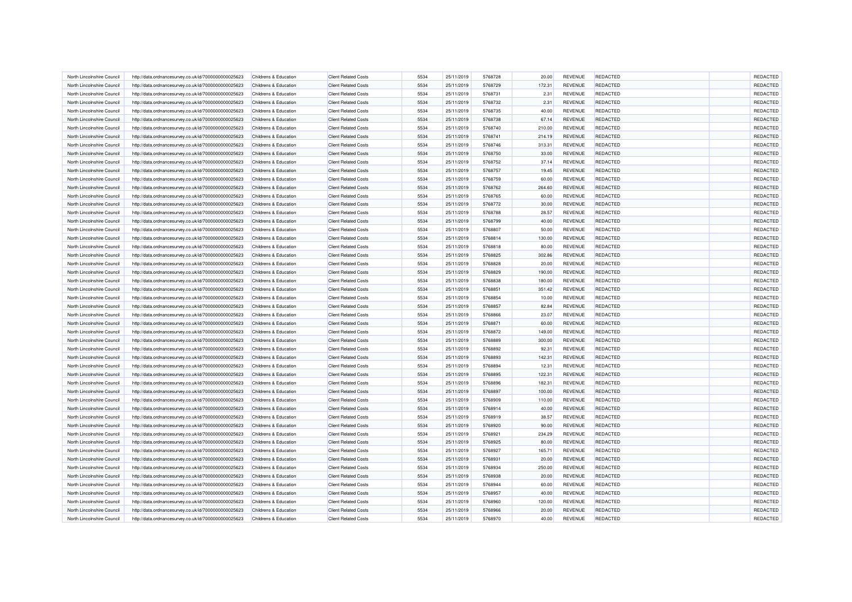| North Lincolnshire Council                               | http://data.ordnancesurvey.co.uk/id/7000000000025623 | Childrens & Education                          | <b>Client Related Costs</b>                                | 5534 | 25/11/2019               | 5768728            | 20.00           | <b>REVENUE</b> | <b>REDACTED</b>             | REDACTED             |
|----------------------------------------------------------|------------------------------------------------------|------------------------------------------------|------------------------------------------------------------|------|--------------------------|--------------------|-----------------|----------------|-----------------------------|----------------------|
| North Lincolnshire Council                               | http://data.ordnancesurvey.co.uk/id/7000000000025623 | Childrens & Education                          | <b>Client Related Costs</b>                                | 5534 | 25/11/2019               | 5768729            | 172.31          | REVENUE        | <b>REDACTED</b>             | REDACTED             |
| North Lincolnshire Council                               | http://data.ordnancesurvey.co.uk/id/7000000000025623 | Childrens & Education                          | <b>Client Related Costs</b>                                | 5534 | 25/11/2019               | 5768731            | 2.31            | REVENUE        | <b>REDACTED</b>             | REDACTED             |
| North Lincolnshire Council                               | http://data.ordnancesurvey.co.uk/id/7000000000025623 | Childrens & Education                          | <b>Client Related Costs</b>                                | 5534 | 25/11/2019               | 5768732            | 2.31            | <b>REVENUE</b> | <b>REDACTED</b>             | REDACTED             |
| North Lincolnshire Council                               | http://data.ordnancesurvey.co.uk/id/7000000000025623 | Childrens & Education                          | <b>Client Related Costs</b>                                | 5534 | 25/11/2019               | 5768735            | 40.00           | <b>REVENUE</b> | <b>REDACTED</b>             | REDACTED             |
| North Lincolnshire Council                               | http://data.ordnancesurvey.co.uk/id/7000000000025623 | Childrens & Education                          | <b>Client Related Costs</b>                                | 5534 | 25/11/2019               | 5768738            | 67.14           | REVENUE        | <b>REDACTED</b>             | REDACTED             |
| North Lincolnshire Council                               | http://data.ordnancesurvey.co.uk/id/7000000000025623 | Childrens & Education                          | <b>Client Related Costs</b>                                | 5534 | 25/11/2019               | 5768740            | 210.00          | <b>REVENUE</b> | <b>REDACTED</b>             | REDACTED             |
| North Lincolnshire Council                               | http://data.ordnancesurvey.co.uk/id/7000000000025623 | Childrens & Education                          | <b>Client Related Costs</b>                                | 5534 | 25/11/2019               | 5768741            | 214.19          | <b>REVENUE</b> | <b>REDACTED</b>             | REDACTED             |
| North Lincolnshire Council                               | http://data.ordnancesurvey.co.uk/id/7000000000025623 | Childrens & Education                          | <b>Client Related Costs</b>                                | 5534 | 25/11/2019               | 5768746            | 313.31          | REVENUE        | <b>REDACTED</b>             | REDACTED             |
| North Lincolnshire Council                               | http://data.ordnancesurvey.co.uk/id/7000000000025623 | Childrens & Education                          | <b>Client Related Costs</b>                                | 5534 | 25/11/2019               | 5768750            | 33.00           | REVENUE        | <b>REDACTED</b>             | REDACTED             |
| North Lincolnshire Council                               | http://data.ordnancesurvey.co.uk/id/7000000000025623 | Childrens & Education                          | <b>Client Related Costs</b>                                | 5534 | 25/11/2019               | 5768752            | 37.14           | <b>REVENUE</b> | <b>REDACTED</b>             | REDACTED             |
| North Lincolnshire Council                               | http://data.ordnancesurvey.co.uk/id/7000000000025623 | Childrens & Education                          | <b>Client Related Costs</b>                                | 5534 | 25/11/2019               | 5768757            | 19.45           | <b>REVENUE</b> | <b>REDACTED</b>             | REDACTED             |
| North Lincolnshire Council                               | http://data.ordnancesurvey.co.uk/id/7000000000025623 | Childrens & Education                          | <b>Client Related Costs</b>                                | 5534 | 25/11/2019               | 5768759            | 60.00           | <b>REVENUE</b> | <b>REDACTED</b>             | REDACTED             |
| North Lincolnshire Council                               | http://data.ordnancesurvey.co.uk/id/7000000000025623 | Childrens & Education                          | <b>Client Related Costs</b>                                | 5534 | 25/11/2019               | 5768762            | 264.60          | REVENUE        | <b>REDACTED</b>             | REDACTED             |
| North Lincolnshire Council                               | http://data.ordnancesurvey.co.uk/id/7000000000025623 | Childrens & Education                          | <b>Client Related Costs</b>                                | 5534 | 25/11/2019               | 5768765            | 60.00           | REVENUE        | <b>REDACTED</b>             | REDACTED             |
| North Lincolnshire Council                               | http://data.ordnancesurvey.co.uk/id/7000000000025623 | Childrens & Education                          | <b>Client Related Costs</b>                                | 5534 | 25/11/2019               | 5768772            | 30.00           | REVENUE        | <b>REDACTED</b>             | REDACTED             |
| North Lincolnshire Council                               | http://data.ordnancesurvey.co.uk/id/7000000000025623 | Childrens & Education                          | <b>Client Related Costs</b>                                | 5534 | 25/11/2019               | 5768788            | 28.57           | REVENUE        | <b>REDACTED</b>             | REDACTED             |
| North Lincolnshire Council                               | http://data.ordnancesurvey.co.uk/id/7000000000025623 | Childrens & Education                          | <b>Client Related Costs</b>                                | 5534 | 25/11/2019               | 5768799            | 40.00           | <b>REVENUE</b> | <b>REDACTED</b>             | REDACTED             |
|                                                          |                                                      | Childrens & Education                          | <b>Client Related Costs</b>                                | 5534 |                          | 5768807            |                 | REVENUE        | <b>REDACTED</b>             | REDACTED             |
| North Lincolnshire Council<br>North Lincolnshire Council | http://data.ordnancesurvey.co.uk/id/7000000000025623 | Childrens & Education                          | <b>Client Related Costs</b>                                | 5534 | 25/11/2019<br>25/11/2019 | 5768814            | 50.00<br>130.00 | <b>REVENUE</b> | <b>REDACTED</b>             | REDACTED             |
| North Lincolnshire Council                               | http://data.ordnancesurvey.co.uk/id/7000000000025623 |                                                |                                                            | 5534 |                          |                    |                 |                |                             |                      |
| North Lincolnshire Council                               | http://data.ordnancesurvey.co.uk/id/7000000000025623 | Childrens & Education<br>Childrens & Education | <b>Client Related Costs</b><br><b>Client Related Costs</b> | 5534 | 25/11/2019               | 5768818<br>5768825 | 80.00           | REVENUE        | <b>REDACTED</b><br>REDACTED | REDACTED<br>REDACTED |
|                                                          | http://data.ordnancesurvey.co.uk/id/7000000000025623 |                                                |                                                            |      | 25/11/2019               | 5768828            | 302.86          | REVENUE        |                             |                      |
| North Lincolnshire Council                               | http://data.ordnancesurvey.co.uk/id/7000000000025623 | Childrens & Education                          | <b>Client Related Costs</b>                                | 5534 | 25/11/2019               |                    | 20.00           | REVENUE        | REDACTED                    | REDACTED             |
| North Lincolnshire Council                               | http://data.ordnancesurvey.co.uk/id/7000000000025623 | Childrens & Education                          | <b>Client Related Costs</b>                                | 5534 | 25/11/2019               | 5768829            | 190.00          | <b>REVENUE</b> | <b>REDACTED</b>             | REDACTED             |
| North Lincolnshire Council                               | http://data.ordnancesurvey.co.uk/id/7000000000025623 | Childrens & Education                          | <b>Client Related Costs</b>                                | 5534 | 25/11/2019               | 5768838            | 180.00          | REVENUE        | <b>REDACTED</b>             | REDACTED             |
| North Lincolnshire Council                               | http://data.ordnancesurvey.co.uk/id/7000000000025623 | Childrens & Education                          | <b>Client Related Costs</b>                                | 5534 | 25/11/2019               | 5768851            | 351.42          | <b>REVENUE</b> | <b>REDACTED</b>             | REDACTED             |
| North Lincolnshire Council                               | http://data.ordnancesurvey.co.uk/id/7000000000025623 | Childrens & Education                          | <b>Client Related Costs</b>                                | 5534 | 25/11/2019               | 5768854            | 10.00           | REVENUE        | <b>REDACTED</b>             | REDACTED             |
| North Lincolnshire Council                               | http://data.ordnancesurvey.co.uk/id/7000000000025623 | Childrens & Education                          | <b>Client Related Costs</b>                                | 5534 | 25/11/2019               | 5768857            | 82.84           | <b>REVENUE</b> | <b>REDACTED</b>             | REDACTED             |
| North Lincolnshire Council                               | http://data.ordnancesurvey.co.uk/id/7000000000025623 | Childrens & Education                          | <b>Client Related Costs</b>                                | 5534 | 25/11/2019               | 5768866            | 23.07           | <b>REVENUE</b> | <b>REDACTED</b>             | REDACTED             |
| North Lincolnshire Council                               | http://data.ordnancesurvey.co.uk/id/7000000000025623 | Childrens & Education                          | <b>Client Related Costs</b>                                | 5534 | 25/11/2019               | 5768871            | 60.00           | REVENUE        | REDACTED                    | REDACTED             |
| North Lincolnshire Council                               | http://data.ordnancesurvey.co.uk/id/7000000000025623 | Childrens & Education                          | <b>Client Related Costs</b>                                | 5534 | 25/11/2019               | 5768872            | 149.00          | <b>REVENUE</b> | REDACTED                    | REDACTED             |
| North Lincolnshire Council                               | http://data.ordnancesurvey.co.uk/id/7000000000025623 | Childrens & Education                          | <b>Client Related Costs</b>                                | 5534 | 25/11/2019               | 5768889            | 300.00          | <b>REVENUE</b> | <b>REDACTED</b>             | REDACTED             |
| North Lincolnshire Council                               | http://data.ordnancesurvey.co.uk/id/7000000000025623 | Childrens & Education                          | <b>Client Related Costs</b>                                | 5534 | 25/11/2019               | 5768892            | 92.31           | <b>REVENUE</b> | <b>REDACTED</b>             | REDACTED             |
| North Lincolnshire Council                               | http://data.ordnancesurvey.co.uk/id/7000000000025623 | <b>Childrens &amp; Education</b>               | <b>Client Related Costs</b>                                | 5534 | 25/11/2019               | 5768893            | 142.31          | REVENUE        | <b>REDACTED</b>             | REDACTED             |
| North Lincolnshire Council                               | http://data.ordnancesurvey.co.uk/id/7000000000025623 | Childrens & Education                          | <b>Client Related Costs</b>                                | 5534 | 25/11/2019               | 5768894            | 12.31           | REVENUE        | <b>REDACTED</b>             | REDACTED             |
| North Lincolnshire Council                               | http://data.ordnancesurvey.co.uk/id/7000000000025623 | Childrens & Education                          | <b>Client Related Costs</b>                                | 5534 | 25/11/2019               | 5768895            | 122.31          | REVENUE        | <b>REDACTED</b>             | REDACTED             |
| North Lincolnshire Council                               | http://data.ordnancesurvey.co.uk/id/7000000000025623 | Childrens & Education                          | <b>Client Related Costs</b>                                | 5534 | 25/11/2019               | 5768896            | 182.31          | <b>REVENUE</b> | <b>REDACTED</b>             | REDACTED             |
| North Lincolnshire Council                               | http://data.ordnancesurvey.co.uk/id/7000000000025623 | Childrens & Education                          | <b>Client Related Costs</b>                                | 5534 | 25/11/2019               | 5768897            | 100.00          | REVENUE        | <b>REDACTED</b>             | REDACTED             |
| North Lincolnshire Council                               | http://data.ordnancesurvey.co.uk/id/7000000000025623 | Childrens & Education                          | <b>Client Related Costs</b>                                | 5534 | 25/11/2019               | 5768909            | 110.00          | <b>REVENUE</b> | <b>REDACTED</b>             | REDACTED             |
| North Lincolnshire Council                               | http://data.ordnancesurvey.co.uk/id/7000000000025623 | <b>Childrens &amp; Education</b>               | <b>Client Related Costs</b>                                | 5534 | 25/11/2019               | 5768914            | 40.00           | <b>REVENUE</b> | <b>REDACTED</b>             | REDACTED             |
| North Lincolnshire Council                               | http://data.ordnancesurvey.co.uk/id/7000000000025623 | Childrens & Education                          | <b>Client Related Costs</b>                                | 5534 | 25/11/2019               | 5768919            | 38.57           | REVENUE        | <b>REDACTED</b>             | REDACTED             |
| North Lincolnshire Council                               | http://data.ordnancesurvey.co.uk/id/7000000000025623 | Childrens & Education                          | <b>Client Related Costs</b>                                | 5534 | 25/11/2019               | 5768920            | 90.00           | REVENUE        | <b>REDACTED</b>             | REDACTED             |
| North Lincolnshire Council                               | http://data.ordnancesurvey.co.uk/id/7000000000025623 | Childrens & Education                          | <b>Client Related Costs</b>                                | 5534 | 25/11/2019               | 5768921            | 234.29          | <b>REVENUE</b> | <b>REDACTED</b>             | REDACTED             |
| North Lincolnshire Council                               | http://data.ordnancesurvey.co.uk/id/7000000000025623 | Childrens & Education                          | <b>Client Related Costs</b>                                | 5534 | 25/11/2019               | 5768925            | 80.00           | <b>REVENUE</b> | <b>REDACTED</b>             | REDACTED             |
| North Lincolnshire Council                               | http://data.ordnancesurvey.co.uk/id/7000000000025623 | Childrens & Education                          | <b>Client Related Costs</b>                                | 5534 | 25/11/2019               | 5768927            | 165.71          | <b>REVENUE</b> | <b>REDACTED</b>             | REDACTED             |
| North Lincolnshire Council                               | http://data.ordnancesurvey.co.uk/id/7000000000025623 | Childrens & Education                          | <b>Client Related Costs</b>                                | 5534 | 25/11/2019               | 5768931            | 20.00           | REVENUE        | <b>REDACTED</b>             | REDACTED             |
| North Lincolnshire Council                               | http://data.ordnancesurvey.co.uk/id/7000000000025623 | Childrens & Education                          | <b>Client Related Costs</b>                                | 5534 | 25/11/2019               | 5768934            | 250.00          | <b>REVENUE</b> | <b>REDACTED</b>             | REDACTED             |
| North Lincolnshire Council                               | http://data.ordnancesurvey.co.uk/id/7000000000025623 | Childrens & Education                          | <b>Client Related Costs</b>                                | 5534 | 25/11/2019               | 5768938            | 20.00           | <b>REVENUE</b> | <b>REDACTED</b>             | REDACTED             |
| North Lincolnshire Council                               | http://data.ordnancesurvey.co.uk/id/7000000000025623 | Childrens & Education                          | <b>Client Related Costs</b>                                | 5534 | 25/11/2019               | 5768944            | 60.00           | REVENUE        | <b>REDACTED</b>             | REDACTED             |
| North Lincolnshire Council                               | http://data.ordnancesurvey.co.uk/id/7000000000025623 | Childrens & Education                          | <b>Client Related Costs</b>                                | 5534 | 25/11/2019               | 5768957            | 40.00           | <b>REVENUE</b> | <b>REDACTED</b>             | REDACTED             |
| North Lincolnshire Council                               | http://data.ordnancesurvey.co.uk/id/7000000000025623 | Childrens & Education                          | <b>Client Related Costs</b>                                | 5534 | 25/11/2019               | 5768960            | 120.00          | REVENUE        | <b>REDACTED</b>             | REDACTED             |
| North Lincolnshire Council                               | http://data.ordnancesurvey.co.uk/id/7000000000025623 | Childrens & Education                          | <b>Client Related Costs</b>                                | 5534 | 25/11/2019               | 5768966            | 20.00           | <b>REVENUE</b> | <b>REDACTED</b>             | REDACTED             |
| North Lincolnshire Council                               | http://data.ordnancesurvey.co.uk/id/7000000000025623 | Childrens & Education                          | <b>Client Related Costs</b>                                | 5534 | 25/11/2019               | 5768970            | 40.00           | REVENUE        | <b>REDACTED</b>             | REDACTED             |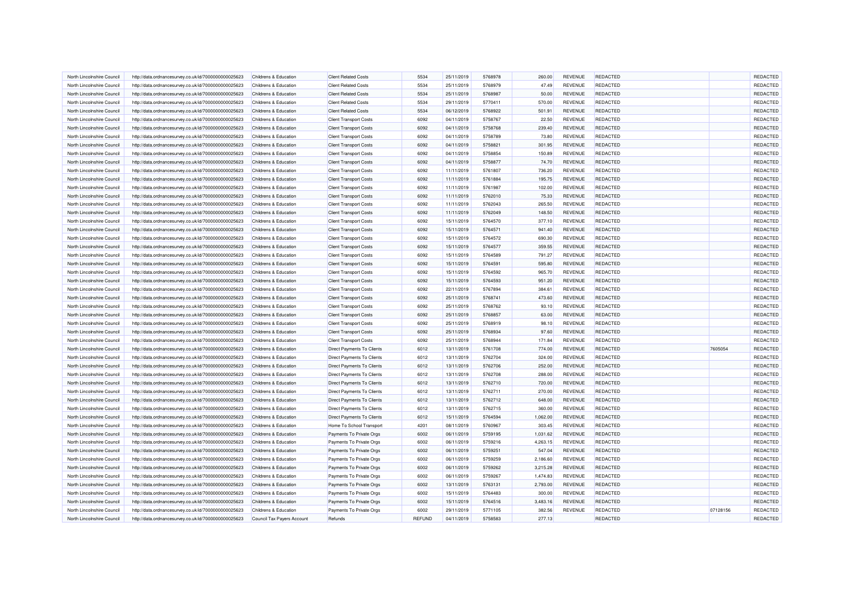| North Lincolnshire Council | http://data.ordnancesurvey.co.uk/id/7000000000025623                                                         | Childrens & Education                          | <b>Client Related Costs</b>       | 5534   | 25/11/2019               | 5768978 | 260.00           | REVENUE            | <b>REDACTED</b>                    |          | <b>REDACTED</b> |
|----------------------------|--------------------------------------------------------------------------------------------------------------|------------------------------------------------|-----------------------------------|--------|--------------------------|---------|------------------|--------------------|------------------------------------|----------|-----------------|
| North Lincolnshire Council | http://data.ordnancesurvey.co.uk/id/7000000000025623                                                         | Childrens & Education                          | <b>Client Related Costs</b>       | 5534   | 25/11/2019               | 5768979 | 47.49            | REVENUE            | REDACTED                           |          | REDACTED        |
| North Lincolnshire Council | http://data.ordnancesurvey.co.uk/id/7000000000025623                                                         | Childrens & Education                          | <b>Client Related Costs</b>       | 5534   | 25/11/2019               | 5768987 | 50.00            | REVENUE            | REDACTED                           |          | REDACTED        |
| North Lincolnshire Council | http://data.ordnancesurvey.co.uk/id/7000000000025623                                                         | Childrens & Education                          | <b>Client Related Costs</b>       | 5534   | 29/11/2019               | 5770411 | 570.00           | REVENUE            | REDACTED                           |          | REDACTED        |
| North Lincolnshire Council | http://data.ordnancesurvey.co.uk/id/7000000000025623                                                         | Childrens & Education                          | <b>Client Related Costs</b>       | 5534   | 06/12/2019               | 5768922 | 501.91           | <b>REVENUE</b>     | <b>REDACTED</b>                    |          | REDACTED        |
| North Lincolnshire Council | http://data.ordnancesurvey.co.uk/id/7000000000025623                                                         | Childrens & Education                          | <b>Client Transport Costs</b>     | 6092   | 04/11/2019               | 5758767 | 22.50            | REVENUE            | <b>REDACTED</b>                    |          | REDACTED        |
| North Lincolnshire Council | http://data.ordnancesurvey.co.uk/id/7000000000025623                                                         | Childrens & Education                          | <b>Client Transport Costs</b>     | 6092   | 04/11/2019               | 5758768 | 239.40           | <b>REVENUE</b>     | <b>REDACTED</b>                    |          | REDACTED        |
| North Lincolnshire Council | http://data.ordnancesurvey.co.uk/id/7000000000025623                                                         | Childrens & Education                          | <b>Client Transport Costs</b>     | 6092   | 04/11/2019               | 5758789 | 73.80            | REVENUE            | <b>REDACTED</b>                    |          | REDACTED        |
| North Lincolnshire Council | http://data.ordnancesurvey.co.uk/id/7000000000025623                                                         | Childrens & Education                          | <b>Client Transport Costs</b>     | 6092   | 04/11/2019               | 5758821 | 301.95           | REVENUE            | <b>REDACTED</b>                    |          | REDACTED        |
| North Lincolnshire Council | http://data.ordnancesurvey.co.uk/id/7000000000025623                                                         | Childrens & Education                          | <b>Client Transport Costs</b>     | 6092   | 04/11/2019               | 5758854 | 150.89           | REVENUE            | <b>REDACTED</b>                    |          | REDACTED        |
| North Lincolnshire Council | http://data.ordnancesurvey.co.uk/id/7000000000025623                                                         | Childrens & Education                          | <b>Client Transport Costs</b>     | 6092   | 04/11/2019               | 5758877 | 74.70            | <b>REVENUE</b>     | <b>REDACTED</b>                    |          | REDACTED        |
| North Lincolnshire Council | http://data.ordnancesurvey.co.uk/id/7000000000025623                                                         | Childrens & Education                          | <b>Client Transport Costs</b>     | 6092   | 11/11/2019               | 5761807 | 736.20           | <b>REVENUE</b>     | <b>REDACTED</b>                    |          | REDACTED        |
| North Lincolnshire Council | http://data.ordnancesurvey.co.uk/id/7000000000025623                                                         | Childrens & Education                          | <b>Client Transport Costs</b>     | 6092   | 11/11/2019               | 5761884 | 195.75           | <b>REVENUE</b>     | <b>REDACTED</b>                    |          | REDACTED        |
| North Lincolnshire Council | http://data.ordnancesurvey.co.uk/id/7000000000025623                                                         | Childrens & Education                          | <b>Client Transport Costs</b>     | 6092   | 11/11/2019               | 5761987 | 102.00           | REVENUE            | REDACTED                           |          | REDACTED        |
| North Lincolnshire Council | http://data.ordnancesurvey.co.uk/id/7000000000025623                                                         | <b>Childrens &amp; Education</b>               | <b>Client Transport Costs</b>     | 6092   | 11/11/2019               | 5762010 | 75.33            | REVENUE            | <b>REDACTED</b>                    |          | REDACTED        |
| North Lincolnshire Council | http://data.ordnancesurvey.co.uk/id/7000000000025623                                                         | Childrens & Education                          | <b>Client Transport Costs</b>     | 6092   | 11/11/2019               | 5762043 | 265.50           | REVENUE            | <b>REDACTED</b>                    |          | REDACTED        |
| North Lincolnshire Council | http://data.ordnancesurvey.co.uk/id/7000000000025623                                                         | Childrens & Education                          | <b>Client Transport Costs</b>     | 6092   | 11/11/2019               | 5762049 | 148.50           | REVENUE            | <b>REDACTED</b>                    |          | REDACTED        |
| North Lincolnshire Council | http://data.ordnancesurvey.co.uk/id/7000000000025623                                                         | Childrens & Education                          | <b>Client Transport Costs</b>     | 6092   | 15/11/2019               | 5764570 | 377.10           | <b>REVENUE</b>     | <b>REDACTED</b>                    |          | REDACTED        |
| North Lincolnshire Council |                                                                                                              | Childrens & Education                          | <b>Client Transport Costs</b>     | 6092   |                          | 5764571 | 941.40           | <b>REVENUE</b>     | REDACTED                           |          | REDACTED        |
| North Lincolnshire Council | http://data.ordnancesurvey.co.uk/id/7000000000025623<br>http://data.ordnancesurvey.co.uk/id/7000000000025623 | Childrens & Education                          | <b>Client Transport Costs</b>     | 6092   | 15/11/2019<br>15/11/2019 | 5764572 | 690.30           | <b>REVENUE</b>     | <b>REDACTED</b>                    |          | REDACTED        |
| North Lincolnshire Council |                                                                                                              |                                                |                                   | 6092   |                          | 5764577 |                  | <b>REVENUE</b>     | <b>REDACTED</b>                    |          | REDACTED        |
| North Lincolnshire Council | http://data.ordnancesurvey.co.uk/id/7000000000025623                                                         | Childrens & Education<br>Childrens & Education | <b>Client Transport Costs</b>     | 6092   | 15/11/2019               | 5764589 | 359.55           |                    |                                    |          | REDACTED        |
| North Lincolnshire Council | http://data.ordnancesurvey.co.uk/id/7000000000025623                                                         | <b>Childrens &amp; Education</b>               | <b>Client Transport Costs</b>     | 6092   | 15/11/2019<br>15/11/2019 | 5764591 | 791.27<br>595.80 | REVENUE<br>REVENUE | <b>REDACTED</b><br><b>REDACTED</b> |          | REDACTED        |
|                            | http://data.ordnancesurvey.co.uk/id/7000000000025623                                                         |                                                | <b>Client Transport Costs</b>     |        |                          |         |                  |                    |                                    |          |                 |
| North Lincolnshire Council | http://data.ordnancesurvey.co.uk/id/7000000000025623                                                         | Childrens & Education                          | <b>Client Transport Costs</b>     | 6092   | 15/11/2019               | 5764592 | 965.70           | <b>REVENUE</b>     | <b>REDACTED</b>                    |          | REDACTED        |
| North Lincolnshire Council | http://data.ordnancesurvey.co.uk/id/7000000000025623                                                         | Childrens & Education                          | <b>Client Transport Costs</b>     | 6092   | 15/11/2019               | 5764593 | 951.20           | REVENUE            | <b>REDACTED</b>                    |          | REDACTED        |
| North Lincolnshire Council | http://data.ordnancesurvey.co.uk/id/7000000000025623                                                         | Childrens & Education                          | <b>Client Transport Costs</b>     | 6092   | 22/11/2019               | 5767894 | 384.61           | <b>REVENUE</b>     | REDACTED                           |          | REDACTED        |
| North Lincolnshire Council | http://data.ordnancesurvey.co.uk/id/7000000000025623                                                         | Childrens & Education                          | <b>Client Transport Costs</b>     | 6092   | 25/11/2019               | 5768741 | 473.60           | REVENUE            | <b>REDACTED</b>                    |          | REDACTED        |
| North Lincolnshire Council | http://data.ordnancesurvey.co.uk/id/7000000000025623                                                         | Childrens & Education                          | <b>Client Transport Costs</b>     | 6092   | 25/11/2019               | 5768762 | 93.10            | <b>REVENUE</b>     | <b>REDACTED</b>                    |          | REDACTED        |
| North Lincolnshire Council | http://data.ordnancesurvey.co.uk/id/7000000000025623                                                         | Childrens & Education                          | <b>Client Transport Costs</b>     | 6092   | 25/11/2019               | 5768857 | 63.00            | <b>REVENUE</b>     | <b>REDACTED</b>                    |          | REDACTED        |
| North Lincolnshire Council | http://data.ordnancesurvey.co.uk/id/7000000000025623                                                         | Childrens & Education                          | <b>Client Transport Costs</b>     | 6092   | 25/11/2019               | 5768919 | 98.10            | REVENUE            | <b>REDACTED</b>                    |          | REDACTED        |
| North Lincolnshire Council | http://data.ordnancesurvey.co.uk/id/7000000000025623                                                         | Childrens & Education                          | <b>Client Transport Costs</b>     | 6092   | 25/11/2019               | 5768934 | 97.60            | <b>REVENUE</b>     | <b>REDACTED</b>                    |          | REDACTED        |
| North Lincolnshire Council | http://data.ordnancesurvey.co.uk/id/7000000000025623                                                         | Childrens & Education                          | <b>Client Transport Costs</b>     | 6092   | 25/11/2019               | 5768944 | 171.84           | <b>REVENUE</b>     | <b>REDACTED</b>                    |          | REDACTED        |
| North Lincolnshire Council | http://data.ordnancesurvey.co.uk/id/7000000000025623                                                         | Childrens & Education                          | <b>Direct Payments To Clients</b> | 6012   | 13/11/2019               | 5761708 | 774.00           | REVENUE            | <b>REDACTED</b>                    | 7605054  | REDACTED        |
| North Lincolnshire Council | http://data.ordnancesurvey.co.uk/id/7000000000025623                                                         | Childrens & Education                          | Direct Payments To Clients        | 6012   | 13/11/2019               | 5762704 | 324.00           | REVENUE            | REDACTED                           |          | REDACTED        |
| North Lincolnshire Council | http://data.ordnancesurvey.co.uk/id/7000000000025623                                                         | Childrens & Education                          | Direct Payments To Clients        | 6012   | 13/11/2019               | 5762706 | 252.00           | REVENUE            | <b>REDACTED</b>                    |          | REDACTED        |
| North Lincolnshire Council | http://data.ordnancesurvey.co.uk/id/7000000000025623                                                         | Childrens & Education                          | Direct Payments To Clients        | 6012   | 13/11/2019               | 5762708 | 288.00           | REVENUE            | <b>REDACTED</b>                    |          | REDACTED        |
| North Lincolnshire Council | http://data.ordnancesurvey.co.uk/id/7000000000025623                                                         | Childrens & Education                          | Direct Payments To Clients        | 6012   | 13/11/2019               | 5762710 | 720.00           | <b>REVENUE</b>     | <b>REDACTED</b>                    |          | REDACTED        |
| North Lincolnshire Council | http://data.ordnancesurvey.co.uk/id/7000000000025623                                                         | Childrens & Education                          | Direct Payments To Clients        | 6012   | 13/11/2019               | 5762711 | 270.00           | REVENUE            | <b>REDACTED</b>                    |          | REDACTED        |
| North Lincolnshire Council | http://data.ordnancesurvey.co.uk/id/7000000000025623                                                         | Childrens & Education                          | Direct Payments To Clients        | 6012   | 13/11/2019               | 5762712 | 648.00           | <b>REVENUE</b>     | <b>REDACTED</b>                    |          | REDACTED        |
| North Lincolnshire Council | http://data.ordnancesurvey.co.uk/id/7000000000025623                                                         | Childrens & Education                          | Direct Payments To Clients        | 6012   | 13/11/2019               | 5762715 | 360.00           | REVENUE            | <b>REDACTED</b>                    |          | REDACTED        |
| North Lincolnshire Council | http://data.ordnancesurvey.co.uk/id/7000000000025623                                                         | Childrens & Education                          | Direct Payments To Clients        | 6012   | 15/11/2019               | 5764594 | 1,062.00         | <b>REVENUE</b>     | <b>REDACTED</b>                    |          | REDACTED        |
| North Lincolnshire Council | http://data.ordnancesurvey.co.uk/id/7000000000025623                                                         | Childrens & Education                          | Home To School Transport          | 4201   | 08/11/2019               | 5760967 | 303.45           | REVENUE            | <b>REDACTED</b>                    |          | REDACTED        |
| North Lincolnshire Council | http://data.ordnancesurvey.co.uk/id/7000000000025623                                                         | Childrens & Education                          | Payments To Private Orgs          | 6002   | 06/11/2019               | 5759195 | 1,031.62         | <b>REVENUE</b>     | <b>REDACTED</b>                    |          | REDACTED        |
| North Lincolnshire Council | http://data.ordnancesurvey.co.uk/id/7000000000025623                                                         | Childrens & Education                          | Payments To Private Orgs          | 6002   | 06/11/2019               | 5759216 | 4.263.15         | <b>REVENUE</b>     | <b>REDACTED</b>                    |          | REDACTED        |
| North Lincolnshire Council | http://data.ordnancesurvey.co.uk/id/7000000000025623                                                         | Childrens & Education                          | Payments To Private Orgs          | 6002   | 06/11/2019               | 5759251 | 547.04           | <b>REVENUE</b>     | <b>REDACTED</b>                    |          | REDACTED        |
| North Lincolnshire Council | http://data.ordnancesurvey.co.uk/id/7000000000025623                                                         | Childrens & Education                          | Payments To Private Orgs          | 6002   | 06/11/2019               | 5759259 | 2,186.60         | REVENUE            | <b>REDACTED</b>                    |          | REDACTED        |
| North Lincolnshire Council | http://data.ordnancesurvey.co.uk/id/7000000000025623                                                         | Childrens & Education                          | Payments To Private Orgs          | 6002   | 06/11/2019               | 5759262 | 3,215.28         | <b>REVENUE</b>     | <b>REDACTED</b>                    |          | REDACTED        |
| North Lincolnshire Council | http://data.ordnancesurvey.co.uk/id/7000000000025623                                                         | Childrens & Education                          | Payments To Private Orgs          | 6002   | 06/11/2019               | 5759267 | 1,474.83         | REVENUE            | <b>REDACTED</b>                    |          | REDACTED        |
| North Lincolnshire Council | http://data.ordnancesurvey.co.uk/id/7000000000025623                                                         | Childrens & Education                          | Payments To Private Orgs          | 6002   | 13/11/2019               | 5763131 | 2,793.00         | <b>REVENUE</b>     | <b>REDACTED</b>                    |          | REDACTED        |
| North Lincolnshire Council | http://data.ordnancesurvey.co.uk/id/7000000000025623                                                         | Childrens & Education                          | Payments To Private Orgs          | 6002   | 15/11/2019               | 5764483 | 300.00           | <b>REVENUE</b>     | <b>REDACTED</b>                    |          | REDACTED        |
| North Lincolnshire Council | http://data.ordnancesurvey.co.uk/id/7000000000025623                                                         | <b>Childrens &amp; Education</b>               | Payments To Private Orgs          | 6002   | 15/11/2019               | 5764516 | 3,483.16         | REVENUE            | <b>REDACTED</b>                    |          | REDACTED        |
| North Lincolnshire Council | http://data.ordnancesurvey.co.uk/id/7000000000025623                                                         | Childrens & Education                          | Payments To Private Orgs          | 6002   | 29/11/2019               | 5771105 | 382.56           | <b>REVENUE</b>     | <b>REDACTED</b>                    | 07128156 | REDACTED        |
| North Lincolnshire Council | http://data.ordnancesurvey.co.uk/id/7000000000025623                                                         | Council Tax Payers Account                     | Refunds                           | REFUND | 04/11/2019               | 5758583 | 277.13           |                    | <b>REDACTED</b>                    |          | REDACTED        |
|                            |                                                                                                              |                                                |                                   |        |                          |         |                  |                    |                                    |          |                 |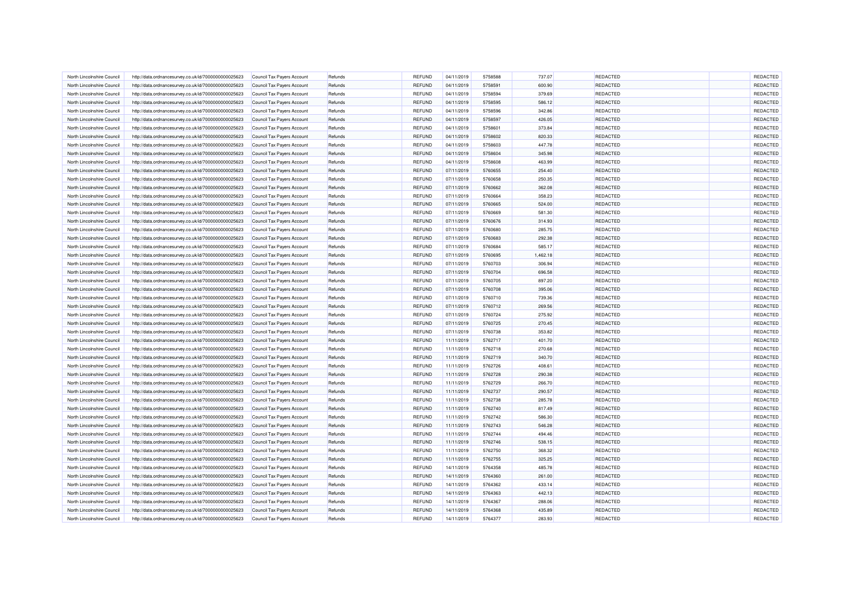| North Lincolnshire Council | http://data.ordnancesurvey.co.uk/id/7000000000025623                                                         | <b>Council Tax Payers Account</b> | Refunds            | REFUND        | 04/11/2019 | 5758588 | 737.07   | <b>REDACTED</b> | REDACTED |
|----------------------------|--------------------------------------------------------------------------------------------------------------|-----------------------------------|--------------------|---------------|------------|---------|----------|-----------------|----------|
| North Lincolnshire Council | http://data.ordnancesurvey.co.uk/id/7000000000025623                                                         | <b>Council Tax Payers Account</b> | Refunds            | REFUND        | 04/11/2019 | 5758591 | 600.90   | REDACTED        | REDACTED |
| North Lincolnshire Council | http://data.ordnancesurvey.co.uk/id/7000000000025623                                                         | <b>Council Tax Payers Account</b> | Refunds            | REFUND        | 04/11/2019 | 5758594 | 379.69   | REDACTED        | REDACTED |
| North Lincolnshire Council | http://data.ordnancesurvey.co.uk/id/7000000000025623                                                         | <b>Council Tax Payers Account</b> | Refunds            | <b>REFUND</b> | 04/11/2019 | 5758595 | 586.12   | REDACTED        | REDACTED |
| North Lincolnshire Council | http://data.ordnancesurvey.co.uk/id/7000000000025623                                                         | Council Tax Payers Account        | Refunds            | REFUND        | 04/11/2019 | 5758596 | 342.86   | <b>REDACTED</b> | REDACTED |
| North Lincolnshire Council | http://data.ordnancesurvey.co.uk/id/7000000000025623                                                         | Council Tax Payers Account        | Refunds            | <b>REFUND</b> | 04/11/2019 | 5758597 | 426.05   | <b>REDACTED</b> | REDACTED |
| North Lincolnshire Council | http://data.ordnancesurvey.co.uk/id/7000000000025623                                                         | Council Tax Payers Account        | Refunds            | REFUND        | 04/11/2019 | 5758601 | 373.84   | <b>REDACTED</b> | REDACTED |
| North Lincolnshire Council | http://data.ordnancesurvey.co.uk/id/7000000000025623                                                         | Council Tax Payers Account        | Refunds            | <b>REFUND</b> | 04/11/2019 | 5758602 | 820.33   | REDACTED        | REDACTED |
| North Lincolnshire Council | http://data.ordnancesurvey.co.uk/id/7000000000025623                                                         | Council Tax Payers Account        | Refunds            | REFUND        | 04/11/2019 | 5758603 | 447.78   | <b>REDACTED</b> | REDACTED |
| North Lincolnshire Council | http://data.ordnancesurvey.co.uk/id/7000000000025623                                                         | <b>Council Tax Payers Account</b> | Refunds            | <b>REFUND</b> | 04/11/2019 | 5758604 | 345.98   | <b>REDACTED</b> | REDACTED |
| North Lincolnshire Council | http://data.ordnancesurvey.co.uk/id/7000000000025623                                                         | <b>Council Tax Payers Account</b> | Refunds            | REFUND        | 04/11/2019 | 5758608 | 463.99   | REDACTED        | REDACTED |
| North Lincolnshire Council | http://data.ordnancesurvey.co.uk/id/7000000000025623                                                         | Council Tax Payers Account        | Refunds            | REFUND        | 07/11/2019 | 5760655 | 254.40   | <b>REDACTED</b> | REDACTED |
| North Lincolnshire Council | http://data.ordnancesurvey.co.uk/id/7000000000025623                                                         | Council Tax Payers Account        | Refunds            | REFUND        | 07/11/2019 | 5760658 | 250.35   | REDACTED        | REDACTED |
| North Lincolnshire Council | http://data.ordnancesurvey.co.uk/id/7000000000025623                                                         | <b>Council Tax Payers Account</b> | Refunds            | REFUND        | 07/11/2019 | 5760662 | 362.08   | REDACTED        | REDACTED |
| North Lincolnshire Council | http://data.ordnancesurvey.co.uk/id/7000000000025623                                                         | Council Tax Payers Account        | Refunds            | REFUND        | 07/11/2019 | 5760664 | 358.23   | <b>REDACTED</b> | REDACTED |
| North Lincolnshire Council | http://data.ordnancesurvey.co.uk/id/7000000000025623                                                         | Council Tax Payers Account        | Refunds            | REFUND        | 07/11/2019 | 5760665 | 524.00   | <b>REDACTED</b> | REDACTED |
| North Lincolnshire Council | http://data.ordnancesurvey.co.uk/id/7000000000025623                                                         | Council Tax Payers Account        | Refunds            | REFUND        | 07/11/2019 | 5760669 | 581.30   | <b>REDACTED</b> | REDACTED |
| North Lincolnshire Council | http://data.ordnancesurvey.co.uk/id/7000000000025623                                                         | <b>Council Tax Payers Account</b> | Refunds            | REFUND        | 07/11/2019 | 5760676 | 314.93   | <b>REDACTED</b> | REDACTED |
| North Lincolnshire Council | http://data.ordnancesurvey.co.uk/id/7000000000025623                                                         | Council Tax Payers Account        | Refunds            | REFUND        | 07/11/2019 | 5760680 | 285.75   | REDACTED        | REDACTED |
| North Lincolnshire Council | http://data.ordnancesurvey.co.uk/id/7000000000025623                                                         | <b>Council Tax Payers Account</b> | Refunds            | REFUND        | 07/11/2019 | 5760683 | 292.38   | REDACTED        | REDACTED |
| North Lincolnshire Council | http://data.ordnancesurvey.co.uk/id/7000000000025623                                                         | Council Tax Payers Account        | Refunds            | REFUND        | 07/11/2019 | 5760684 | 585.17   | REDACTED        | REDACTED |
| North Lincolnshire Council | http://data.ordnancesurvey.co.uk/id/7000000000025623                                                         | Council Tax Payers Account        | Refunds            | REFUND        | 07/11/2019 | 5760695 | 1.462.18 | REDACTED        | REDACTED |
| North Lincolnshire Council | http://data.ordnancesurvey.co.uk/id/7000000000025623                                                         | Council Tax Payers Account        | Refunds            | REFUND        | 07/11/2019 | 5760703 | 306.94   | <b>REDACTED</b> | REDACTED |
| North Lincolnshire Council | http://data.ordnancesurvey.co.uk/id/7000000000025623                                                         | Council Tax Payers Account        | Refunds            | <b>REFUND</b> | 07/11/2019 | 5760704 | 696.58   | REDACTED        | REDACTED |
| North Lincolnshire Council | http://data.ordnancesurvey.co.uk/id/7000000000025623                                                         | Council Tax Payers Account        | Refunds            | REFUND        | 07/11/2019 | 5760705 | 897.20   | REDACTED        | REDACTED |
| North Lincolnshire Council | http://data.ordnancesurvey.co.uk/id/7000000000025623                                                         | Council Tax Payers Account        | Refunds            | <b>REFUND</b> | 07/11/2019 | 5760708 | 395.06   | REDACTED        | REDACTED |
| North Lincolnshire Council | http://data.ordnancesurvey.co.uk/id/7000000000025623                                                         | Council Tax Payers Account        | Refunds            | REFUND        | 07/11/2019 | 5760710 | 739.36   | REDACTED        | REDACTED |
| North Lincolnshire Council | http://data.ordnancesurvey.co.uk/id/7000000000025623                                                         | Council Tax Payers Account        | Refunds            | <b>REFUND</b> | 07/11/2019 | 5760712 | 269.56   | <b>REDACTED</b> | REDACTED |
| North Lincolnshire Council | http://data.ordnancesurvey.co.uk/id/7000000000025623                                                         | Council Tax Payers Account        | Refunds            | REFUND        | 07/11/2019 | 5760724 | 275.92   | <b>REDACTED</b> | REDACTED |
| North Lincolnshire Council | http://data.ordnancesurvey.co.uk/id/7000000000025623                                                         | <b>Council Tax Payers Account</b> | Refunds            | REFUND        | 07/11/2019 | 5760725 | 270.45   | REDACTED        | REDACTED |
| North Lincolnshire Council | http://data.ordnancesurvey.co.uk/id/7000000000025623                                                         | Council Tax Payers Account        | Refunds            | REFUND        | 07/11/2019 | 5760738 | 353.82   | REDACTED        | REDACTED |
| North Lincolnshire Council | http://data.ordnancesurvey.co.uk/id/7000000000025623                                                         | Council Tax Payers Account        | Refunds            | <b>REFUND</b> | 11/11/2019 | 5762717 | 401.70   | <b>REDACTED</b> | REDACTED |
| North Lincolnshire Council | http://data.ordnancesurvey.co.uk/id/7000000000025623                                                         | Council Tax Payers Account        | Refunds            | REFUND        | 11/11/2019 | 5762718 | 270.68   | <b>REDACTED</b> | REDACTED |
| North Lincolnshire Council | http://data.ordnancesurvey.co.uk/id/7000000000025623                                                         | Council Tax Payers Account        | Refunds            | <b>REFUND</b> | 11/11/2019 | 5762719 | 340.70   | <b>REDACTED</b> | REDACTED |
| North Lincolnshire Council |                                                                                                              | Council Tax Payers Account        | Refunds            | REFUND        | 11/11/2019 | 5762726 | 408.61   | REDACTED        | REDACTED |
| North Lincolnshire Council | http://data.ordnancesurvey.co.uk/id/7000000000025623<br>http://data.ordnancesurvey.co.uk/id/7000000000025623 | Council Tax Payers Account        |                    | <b>REFUND</b> | 11/11/2019 | 5762728 | 290.38   | <b>REDACTED</b> | REDACTED |
| North Lincolnshire Council | http://data.ordnancesurvey.co.uk/id/7000000000025623                                                         | Council Tax Payers Account        | Refunds<br>Refunds | REFUND        | 11/11/2019 | 5762729 | 266.70   | <b>REDACTED</b> | REDACTED |
| North Lincolnshire Council | http://data.ordnancesurvey.co.uk/id/7000000000025623                                                         | Council Tax Payers Account        | Refunds            | REFUND        | 11/11/2019 | 5762737 | 290.57   | REDACTED        | REDACTED |
| North Lincolnshire Council | http://data.ordnancesurvey.co.uk/id/7000000000025623                                                         | Council Tax Payers Account        | Refunds            | REFUND        | 11/11/2019 | 5762738 | 285.78   | <b>REDACTED</b> | REDACTED |
| North Lincolnshire Council | http://data.ordnancesurvey.co.uk/id/7000000000025623                                                         |                                   |                    | REFUND        | 11/11/2019 | 5762740 | 817.49   | REDACTED        | REDACTED |
| North Lincolnshire Council |                                                                                                              | Council Tax Payers Account        | Refunds            | REFUND        | 11/11/2019 | 5762742 | 586.30   | REDACTED        | REDACTED |
|                            | http://data.ordnancesurvey.co.uk/id/7000000000025623                                                         | Council Tax Payers Account        | Refunds            |               |            |         |          |                 |          |
| North Lincolnshire Council | http://data.ordnancesurvey.co.uk/id/7000000000025623                                                         | Council Tax Payers Account        | Refunds            | <b>REFUND</b> | 11/11/2019 | 5762743 | 546.28   | REDACTED        | REDACTED |
| North Lincolnshire Council | http://data.ordnancesurvey.co.uk/id/7000000000025623                                                         | Council Tax Payers Account        | Refunds            | <b>REFUND</b> | 11/11/2019 | 5762744 | 494.46   | <b>REDACTED</b> | REDACTED |
| North Lincolnshire Council | http://data.ordnancesurvey.co.uk/id/7000000000025623                                                         | Council Tax Payers Account        | Refunds            | <b>REFUND</b> | 11/11/2019 | 5762746 | 538.15   | <b>REDACTED</b> | REDACTED |
| North Lincolnshire Council | http://data.ordnancesurvey.co.uk/id/7000000000025623                                                         | Council Tax Payers Account        | Refunds            | REFUND        | 11/11/2019 | 5762750 | 368.32   | REDACTED        | REDACTED |
| North Lincolnshire Council | http://data.ordnancesurvey.co.uk/id/7000000000025623                                                         | Council Tax Payers Account        | Refunds            | REFUND        | 11/11/2019 | 5762755 | 325.25   | REDACTED        | REDACTED |
| North Lincolnshire Council | http://data.ordnancesurvey.co.uk/id/7000000000025623                                                         | Council Tax Payers Account        | Refunds            | REFUND        | 14/11/2019 | 5764358 | 485.78   | REDACTED        | REDACTED |
| North Lincolnshire Council | http://data.ordnancesurvey.co.uk/id/7000000000025623                                                         | Council Tax Payers Account        | Refunds            | <b>REFUND</b> | 14/11/2019 | 5764360 | 261.00   | REDACTED        | REDACTED |
| North Lincolnshire Council | http://data.ordnancesurvey.co.uk/id/7000000000025623                                                         | Council Tax Payers Account        | Refunds            | REFUND        | 14/11/2019 | 5764362 | 433.14   | REDACTED        | REDACTED |
| North Lincolnshire Council | http://data.ordnancesurvey.co.uk/id/7000000000025623                                                         | Council Tax Payers Account        | Refunds            | <b>REFUND</b> | 14/11/2019 | 5764363 | 442.13   | <b>REDACTED</b> | REDACTED |
| North Lincolnshire Council | http://data.ordnancesurvey.co.uk/id/7000000000025623                                                         | Council Tax Payers Account        | Refunds            | REFUND        | 14/11/2019 | 5764367 | 288.06   | REDACTED        | REDACTED |
| North Lincolnshire Council | http://data.ordnancesurvey.co.uk/id/7000000000025623                                                         | <b>Council Tax Payers Account</b> | Refunds            | <b>REFUND</b> | 14/11/2019 | 5764368 | 435.89   | REDACTED        | REDACTED |
| North Lincolnshire Council | http://data.ordnancesurvey.co.uk/id/7000000000025623                                                         | Council Tax Payers Account        | Refunds            | REFUND        | 14/11/2019 | 5764377 | 283.93   | REDACTED        | REDACTED |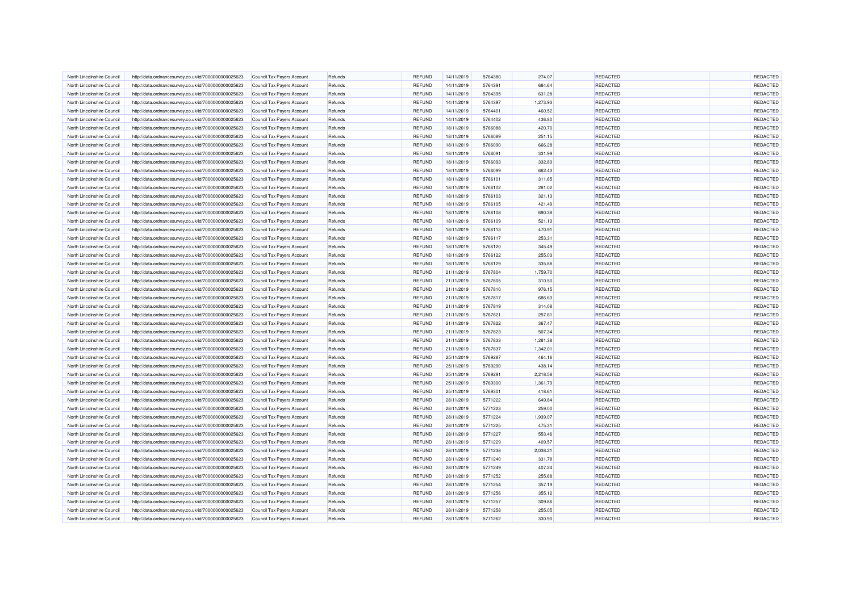| North Lincolnshire Council | http://data.ordnancesurvey.co.uk/id/7000000000025623 | <b>Council Tax Payers Account</b> | Refunds            | REFUND                  | 14/11/2019               | 5764380            | 274.07             | <b>REDACTED</b> | REDACTED |
|----------------------------|------------------------------------------------------|-----------------------------------|--------------------|-------------------------|--------------------------|--------------------|--------------------|-----------------|----------|
| North Lincolnshire Council | http://data.ordnancesurvey.co.uk/id/7000000000025623 | Council Tax Payers Account        | Refunds            | REFUND                  | 14/11/2019               | 5764391            | 684.64             | <b>REDACTED</b> | REDACTED |
| North Lincolnshire Council | http://data.ordnancesurvey.co.uk/id/7000000000025623 | <b>Council Tax Payers Account</b> | Refunds            | REFUND                  | 14/11/2019               | 5764395            | 631.28             | REDACTED        | REDACTED |
| North Lincolnshire Council | http://data.ordnancesurvey.co.uk/id/7000000000025623 | Council Tax Payers Account        | Refunds            | REFUND                  | 14/11/2019               | 5764397            | 1,273.93           | REDACTED        | REDACTED |
| North Lincolnshire Council | http://data.ordnancesurvey.co.uk/id/7000000000025623 | Council Tax Payers Account        | Refunds            | <b>REFUND</b>           | 14/11/2019               | 5764401            | 460.52             | <b>REDACTED</b> | REDACTED |
| North Lincolnshire Council | http://data.ordnancesurvey.co.uk/id/7000000000025623 | Council Tax Payers Account        | Refunds            | REFUND                  | 14/11/2019               | 5764402            | 436.80             | <b>REDACTED</b> | REDACTED |
| North Lincolnshire Council | http://data.ordnancesurvey.co.uk/id/7000000000025623 | Council Tax Payers Account        | Refunds            | <b>REFUND</b>           | 18/11/2019               | 5766088            | 420.70             | <b>REDACTED</b> | REDACTED |
| North Lincolnshire Council | http://data.ordnancesurvey.co.uk/id/7000000000025623 | Council Tax Payers Account        | Refunds            | REFUND                  | 18/11/2019               | 5766089            | 251.15             | REDACTED        | REDACTED |
| North Lincolnshire Council | http://data.ordnancesurvey.co.uk/id/7000000000025623 | Council Tax Payers Account        | Refunds            | <b>REFUND</b>           | 18/11/2019               | 5766090            | 666.28             | <b>REDACTED</b> | REDACTED |
| North Lincolnshire Council | http://data.ordnancesurvey.co.uk/id/7000000000025623 | <b>Council Tax Payers Account</b> | Refunds            | REFUND                  | 18/11/2019               | 5766091            | 331.99             | REDACTED        | REDACTED |
| North Lincolnshire Council | http://data.ordnancesurvey.co.uk/id/7000000000025623 | Council Tax Payers Account        | Refunds            | REFUND                  | 18/11/2019               | 5766093            | 332.83             | REDACTED        | REDACTED |
| North Lincolnshire Council | http://data.ordnancesurvey.co.uk/id/7000000000025623 | Council Tax Payers Account        | Refunds            | REFUND                  | 18/11/2019               | 5766099            | 662.43             | <b>REDACTED</b> | REDACTED |
| North Lincolnshire Council | http://data.ordnancesurvey.co.uk/id/7000000000025623 | Council Tax Payers Account        | Refunds            | REFUND                  | 18/11/2019               | 5766101            | 311.65             | REDACTED        | REDACTED |
| North Lincolnshire Council | http://data.ordnancesurvey.co.uk/id/7000000000025623 | Council Tax Payers Account        | Refunds            | REFUND                  | 18/11/2019               | 5766102            | 281.02             | REDACTED        | REDACTED |
| North Lincolnshire Council | http://data.ordnancesurvey.co.uk/id/7000000000025623 | Council Tax Payers Account        | Refunds            | <b>REFUND</b>           | 18/11/2019               | 5766103            | 321.13             | REDACTED        | REDACTED |
| North Lincolnshire Council | http://data.ordnancesurvey.co.uk/id/7000000000025623 | Council Tax Payers Account        | Refunds            | REFUND                  | 18/11/2019               | 5766105            | 421.49             | REDACTED        | REDACTED |
| North Lincolnshire Council | http://data.ordnancesurvey.co.uk/id/7000000000025623 | Council Tax Payers Account        | Refunds            | <b>REFUND</b>           | 18/11/2019               | 5766108            | 690.38             | <b>REDACTED</b> | REDACTED |
| North Lincolnshire Council | http://data.ordnancesurvey.co.uk/id/7000000000025623 | <b>Council Tax Payers Account</b> | Refunds            | REFUND                  | 18/11/2019               | 5766109            | 521.13             | <b>REDACTED</b> | REDACTED |
| North Lincolnshire Council | http://data.ordnancesurvey.co.uk/id/7000000000025623 | Council Tax Payers Account        | Refunds            | REFUND                  | 18/11/2019               | 5766113            | 470.91             | REDACTED        | REDACTED |
| North Lincolnshire Council | http://data.ordnancesurvey.co.uk/id/7000000000025623 | <b>Council Tax Payers Account</b> | Refunds            | REFUND                  | 18/11/2019               | 5766117            | 253.31             | REDACTED        | REDACTED |
| North Lincolnshire Council | http://data.ordnancesurvey.co.uk/id/7000000000025623 | Council Tax Payers Account        | Refunds            | <b>REFUND</b>           | 18/11/2019               | 5766120            | 345.49             | REDACTED        | REDACTED |
| North Lincolnshire Council | http://data.ordnancesurvey.co.uk/id/7000000000025623 | Council Tax Payers Account        | Refunds            | REFUND                  | 18/11/2019               | 5766122            | 255.03             | REDACTED        | REDACTED |
| North Lincolnshire Council | http://data.ordnancesurvey.co.uk/id/7000000000025623 | Council Tax Payers Account        | Refunds            | <b>REFUND</b>           | 18/11/2019               | 5766129            | 335.88             | <b>REDACTED</b> | REDACTED |
| North Lincolnshire Council |                                                      |                                   |                    |                         |                          |                    |                    | REDACTED        | REDACTED |
| North Lincolnshire Council | http://data.ordnancesurvey.co.uk/id/7000000000025623 | Council Tax Payers Account        | Refunds<br>Refunds | REFUND<br><b>REFUND</b> | 21/11/2019<br>21/11/2019 | 5767804<br>5767805 | 1,759.70<br>310.50 | <b>REDACTED</b> | REDACTED |
|                            | http://data.ordnancesurvey.co.uk/id/7000000000025623 | <b>Council Tax Payers Account</b> |                    |                         |                          |                    |                    |                 |          |
| North Lincolnshire Council | http://data.ordnancesurvey.co.uk/id/7000000000025623 | Council Tax Payers Account        | Refunds            | REFUND                  | 21/11/2019               | 5767810            | 976.15             | REDACTED        | REDACTED |
| North Lincolnshire Council | http://data.ordnancesurvey.co.uk/id/7000000000025623 | Council Tax Payers Account        | Refunds            | <b>REFUND</b>           | 21/11/2019               | 5767817            | 686.63             | <b>REDACTED</b> | REDACTED |
| North Lincolnshire Council | http://data.ordnancesurvey.co.uk/id/7000000000025623 | Council Tax Payers Account        | Refunds            | REFUND                  | 21/11/2019               | 5767819            | 314.08             | REDACTED        | REDACTED |
| North Lincolnshire Council | http://data.ordnancesurvey.co.uk/id/7000000000025623 | Council Tax Payers Account        | Refunds            | <b>REFUND</b>           | 21/11/2019               | 5767821            | 257.61             | REDACTED        | REDACTED |
| North Lincolnshire Council | http://data.ordnancesurvey.co.uk/id/7000000000025623 | Council Tax Payers Account        | Refunds            | REFUND                  | 21/11/2019               | 5767822            | 367.47             | REDACTED        | REDACTED |
| North Lincolnshire Council | http://data.ordnancesurvey.co.uk/id/7000000000025623 | <b>Council Tax Payers Account</b> | Refunds            | <b>REFUND</b>           | 21/11/2019               | 5767823            | 507.34             | REDACTED        | REDACTED |
| North Lincolnshire Council | http://data.ordnancesurvey.co.uk/id/7000000000025623 | Council Tax Payers Account        | Refunds            | <b>REFUND</b>           | 21/11/2019               | 5767833            | 1,281.38           | <b>REDACTED</b> | REDACTED |
| North Lincolnshire Council | http://data.ordnancesurvey.co.uk/id/7000000000025623 | Council Tax Payers Account        | Refunds            | <b>REFUND</b>           | 21/11/2019               | 5767837            | 1,342.01           | <b>REDACTED</b> | REDACTED |
| North Lincolnshire Council | http://data.ordnancesurvey.co.uk/id/7000000000025623 | Council Tax Payers Account        | Refunds            | REFUND                  | 25/11/2019               | 5769287            | 464.16             | <b>REDACTED</b> | REDACTED |
| North Lincolnshire Council | http://data.ordnancesurvey.co.uk/id/7000000000025623 | Council Tax Payers Account        | Refunds            | <b>REFUND</b>           | 25/11/2019               | 5769290            | 438.14             | REDACTED        | REDACTED |
| North Lincolnshire Council | http://data.ordnancesurvey.co.uk/id/7000000000025623 | Council Tax Payers Account        | Refunds            | REFUND                  | 25/11/2019               | 5769291            | 2.218.58           | <b>REDACTED</b> | REDACTED |
| North Lincolnshire Council | http://data.ordnancesurvey.co.uk/id/7000000000025623 | <b>Council Tax Payers Account</b> | Refunds            | <b>REFUND</b>           | 25/11/2019               | 5769300            | 1,361.79           | <b>REDACTED</b> | REDACTED |
| North Lincolnshire Council | http://data.ordnancesurvey.co.uk/id/7000000000025623 | <b>Council Tax Payers Account</b> | Refunds            | REFUND                  | 25/11/2019               | 5769301            | 418.61             | REDACTED        | REDACTED |
| North Lincolnshire Council | http://data.ordnancesurvey.co.uk/id/7000000000025623 | Council Tax Payers Account        | Refunds            | <b>REFUND</b>           | 28/11/2019               | 5771222            | 649.84             | <b>REDACTED</b> | REDACTED |
| North Lincolnshire Council | http://data.ordnancesurvey.co.uk/id/7000000000025623 | Council Tax Payers Account        | Refunds            | REFUND                  | 28/11/2019               | 5771223            | 259.00             | REDACTED        | REDACTED |
| North Lincolnshire Council | http://data.ordnancesurvey.co.uk/id/7000000000025623 | Council Tax Payers Account        | Refunds            | REFUND                  | 28/11/2019               | 5771224            | 1,939.07           | REDACTED        | REDACTED |
| North Lincolnshire Council | http://data.ordnancesurvey.co.uk/id/7000000000025623 | Council Tax Payers Account        | Refunds            | <b>REFUND</b>           | 28/11/2019               | 5771225            | 475.31             | REDACTED        | REDACTED |
| North Lincolnshire Council | http://data.ordnancesurvey.co.uk/id/7000000000025623 | Council Tax Payers Account        | Refunds            | <b>REFUND</b>           | 28/11/2019               | 5771227            | 553.46             | <b>REDACTED</b> | REDACTED |
| North Lincolnshire Council | http://data.ordnancesurvey.co.uk/id/7000000000025623 | Council Tax Payers Account        | Refunds            | REFUND                  | 28/11/2019               | 5771229            | 409.57             | <b>REDACTED</b> | REDACTED |
| North Lincolnshire Council | http://data.ordnancesurvey.co.uk/id/7000000000025623 | <b>Council Tax Payers Account</b> | Refunds            | REFUND                  | 28/11/2019               | 5771238            | 2,038.21           | REDACTED        | REDACTED |
| North Lincolnshire Council | http://data.ordnancesurvey.co.uk/id/7000000000025623 | Council Tax Payers Account        | Refunds            | REFUND                  | 28/11/2019               | 5771240            | 331.78             | REDACTED        | REDACTED |
| North Lincolnshire Council | http://data.ordnancesurvey.co.uk/id/7000000000025623 | <b>Council Tax Payers Account</b> | Refunds            | <b>REFUND</b>           | 28/11/2019               | 5771249            | 407.24             | REDACTED        | REDACTED |
| North Lincolnshire Council | http://data.ordnancesurvey.co.uk/id/7000000000025623 | Council Tax Payers Account        | Refunds            | REFUND                  | 28/11/2019               | 5771252            | 255.68             | REDACTED        | REDACTED |
| North Lincolnshire Council | http://data.ordnancesurvey.co.uk/id/7000000000025623 | Council Tax Payers Account        | Refunds            | REFUND                  | 28/11/2019               | 5771254            | 357.19             | REDACTED        | REDACTED |
| North Lincolnshire Council | http://data.ordnancesurvey.co.uk/id/7000000000025623 | Council Tax Payers Account        | Refunds            | REFUND                  | 28/11/2019               | 5771256            | 355.12             | <b>REDACTED</b> | REDACTED |
| North Lincolnshire Council | http://data.ordnancesurvey.co.uk/id/7000000000025623 | Council Tax Payers Account        | Refunds            | <b>REFUND</b>           | 28/11/2019               | 5771257            | 309.86             | REDACTED        | REDACTED |
| North Lincolnshire Council | http://data.ordnancesurvey.co.uk/id/7000000000025623 | Council Tax Payers Account        | Refunds            | REFUND                  | 28/11/2019               | 5771258            | 255.05             | REDACTED        | REDACTED |
| North Lincolnshire Council | http://data.ordnancesurvey.co.uk/id/7000000000025623 | Council Tax Payers Account        | Refunds            | <b>REFUND</b>           | 28/11/2019               | 5771262            | 330.90             | REDACTED        | REDACTED |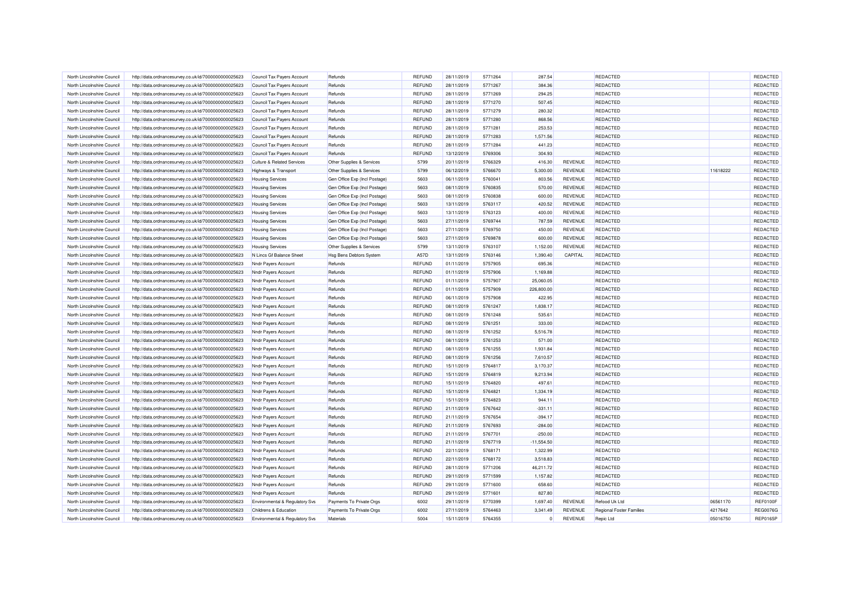| North Lincolnshire Council | http://data.ordnancesurvey.co.uk/id/7000000000025623 | Council Tax Payers Account                         | Refunds                       | <b>REFUND</b> | 28/11/2019 | 5771264 | 287.54         |                | REDACTED                        |          | REDACTED        |
|----------------------------|------------------------------------------------------|----------------------------------------------------|-------------------------------|---------------|------------|---------|----------------|----------------|---------------------------------|----------|-----------------|
| North Lincolnshire Council | http://data.ordnancesurvey.co.uk/id/7000000000025623 | <b>Council Tax Payers Account</b>                  | Refunds                       | <b>REFUND</b> | 28/11/2019 | 5771267 | 384.36         |                | REDACTED                        |          | REDACTED        |
| North Lincolnshire Council | http://data.ordnancesurvey.co.uk/id/7000000000025623 | Council Tax Payers Account                         | Refunds                       | <b>REFUND</b> | 28/11/2019 | 5771269 | 294.25         |                | REDACTED                        |          | REDACTED        |
| North Lincolnshire Council | http://data.ordnancesurvey.co.uk/id/7000000000025623 | <b>Council Tax Payers Account</b>                  | Refunds                       | <b>REFUND</b> | 28/11/2019 | 5771270 | 507.45         |                | REDACTED                        |          | REDACTED        |
| North Lincolnshire Council | http://data.ordnancesurvey.co.uk/id/7000000000025623 | Council Tax Payers Account                         | Refunds                       | <b>REFUND</b> | 28/11/2019 | 5771279 | 280.32         |                | REDACTED                        |          | REDACTED        |
| North Lincolnshire Council | http://data.ordnancesurvey.co.uk/id/7000000000025623 | <b>Council Tax Payers Account</b>                  | Refunds                       | <b>REFUND</b> | 28/11/2019 | 5771280 | 868.56         |                | <b>REDACTED</b>                 |          | REDACTED        |
| North Lincolnshire Council | http://data.ordnancesurvey.co.uk/id/7000000000025623 | Council Tax Payers Account                         | Refunds                       | <b>REFUND</b> | 28/11/2019 | 5771281 | 253.53         |                | REDACTED                        |          | REDACTED        |
| North Lincolnshire Council | http://data.ordnancesurvey.co.uk/id/7000000000025623 | Council Tax Payers Account                         | Refunds                       | <b>REFUND</b> | 28/11/2019 | 5771283 | 1,571.56       |                | REDACTED                        |          | REDACTED        |
| North Lincolnshire Council | http://data.ordnancesurvey.co.uk/id/7000000000025623 | <b>Council Tax Payers Account</b>                  | Refunds                       | <b>REFUND</b> | 28/11/2019 | 5771284 | 441.23         |                | REDACTED                        |          | REDACTED        |
| North Lincolnshire Council | http://data.ordnancesurvey.co.uk/id/7000000000025623 | Council Tax Payers Account                         | Refunds                       | <b>REFUND</b> | 13/12/2019 | 5769306 | 304.93         |                | <b>REDACTED</b>                 |          | REDACTED        |
| North Lincolnshire Council | http://data.ordnancesurvey.co.uk/id/7000000000025623 | <b>Culture &amp; Related Services</b>              | Other Supplies & Services     | 5799          | 20/11/2019 | 5766329 | 416.30         | <b>REVENUE</b> | REDACTED                        |          | REDACTED        |
| North Lincolnshire Council | http://data.ordnancesurvey.co.uk/id/7000000000025623 | Highways & Transport                               | Other Supplies & Services     | 5799          | 06/12/2019 | 5766670 | 5,300.00       | <b>REVENUE</b> | REDACTED                        | 11618222 | REDACTED        |
| North Lincolnshire Council | http://data.ordnancesurvey.co.uk/id/7000000000025623 | <b>Housing Services</b>                            | Gen Office Exp (Incl Postage) | 5603          | 06/11/2019 | 5760041 | 803.56         | REVENUE        | REDACTED                        |          | REDACTED        |
| North Lincolnshire Council | http://data.ordnancesurvey.co.uk/id/7000000000025623 | <b>Housing Services</b>                            | Gen Office Exp (Incl Postage) | 5603          | 08/11/2019 | 5760835 | 570.00         | REVENUE        | REDACTED                        |          | REDACTED        |
| North Lincolnshire Council | http://data.ordnancesurvey.co.uk/id/7000000000025623 | <b>Housing Services</b>                            | Gen Office Exp (Incl Postage) | 5603          | 08/11/2019 | 5760838 | 600.00         | REVENUE        | REDACTED                        |          | REDACTED        |
| North Lincolnshire Council | http://data.ordnancesurvey.co.uk/id/7000000000025623 | <b>Housing Services</b>                            | Gen Office Exp (Incl Postage) | 5603          | 13/11/2019 | 5763117 | 420.52         | <b>REVENUE</b> | REDACTED                        |          | REDACTED        |
| North Lincolnshire Council | http://data.ordnancesurvey.co.uk/id/7000000000025623 | <b>Housing Services</b>                            | Gen Office Exp (Incl Postage) | 5603          | 13/11/2019 | 5763123 | 400.00         | <b>REVENUE</b> | REDACTED                        |          | REDACTED        |
| North Lincolnshire Council | http://data.ordnancesurvey.co.uk/id/7000000000025623 | <b>Housing Services</b>                            | Gen Office Exp (Incl Postage) | 5603          | 27/11/2019 | 5769744 | 787.59         | <b>REVENUE</b> | <b>REDACTED</b>                 |          | REDACTED        |
| North Lincolnshire Council | http://data.ordnancesurvey.co.uk/id/7000000000025623 |                                                    | Gen Office Exp (Incl Postage) | 5603          | 27/11/2019 | 5769750 | 450.00         | <b>REVENUE</b> | REDACTED                        |          | REDACTED        |
| North Lincolnshire Council | http://data.ordnancesurvey.co.uk/id/7000000000025623 | <b>Housing Services</b><br><b>Housing Services</b> | Gen Office Exp (Incl Postage) | 5603          | 27/11/2019 | 5769878 | 600.00         | <b>REVENUE</b> | REDACTED                        |          | REDACTED        |
| North Lincolnshire Council |                                                      |                                                    |                               | 5799          |            | 5763107 |                | REVENUE        | REDACTED                        |          | REDACTED        |
|                            | http://data.ordnancesurvey.co.uk/id/7000000000025623 | <b>Housing Services</b>                            | Other Supplies & Services     |               | 13/11/2019 |         | 1,152.00       |                |                                 |          |                 |
| North Lincolnshire Council | http://data.ordnancesurvey.co.uk/id/7000000000025623 | N Lincs Gf Balance Sheet                           | Hsg Bens Debtors System       | A57D          | 13/11/2019 | 5763146 | 1,390.40       | CAPITAL        | REDACTED                        |          | REDACTED        |
| North Lincolnshire Council | http://data.ordnancesurvey.co.uk/id/7000000000025623 | <b>Nndr Payers Account</b>                         | Refunds                       | <b>REFUND</b> | 01/11/2019 | 5757905 | 695.36         |                | <b>REDACTED</b>                 |          | REDACTED        |
| North Lincolnshire Council | http://data.ordnancesurvey.co.uk/id/7000000000025623 | Nndr Payers Account                                | Refunds                       | <b>REFUND</b> | 01/11/2019 | 5757906 | 1,169.88       |                | REDACTED                        |          | REDACTED        |
| North Lincolnshire Council | http://data.ordnancesurvey.co.uk/id/7000000000025623 | Nndr Payers Account                                | Refunds                       | <b>REFUND</b> | 01/11/2019 | 5757907 | 25.060.05      |                | REDACTED                        |          | REDACTED        |
| North Lincolnshire Council | http://data.ordnancesurvey.co.uk/id/7000000000025623 | Nndr Payers Account                                | Refunds                       | <b>REFUND</b> | 01/11/2019 | 5757909 | 226,800.00     |                | REDACTED                        |          | REDACTED        |
| North Lincolnshire Council | http://data.ordnancesurvey.co.uk/id/7000000000025623 | Nndr Payers Account                                | Refunds                       | <b>REFUND</b> | 06/11/2019 | 5757908 | 422.95         |                | REDACTED                        |          | REDACTED        |
| North Lincolnshire Council | http://data.ordnancesurvey.co.uk/id/7000000000025623 | Nndr Payers Account                                | Refunds                       | <b>REFUND</b> | 08/11/2019 | 5761247 | 1,838.17       |                | <b>REDACTED</b>                 |          | REDACTED        |
| North Lincolnshire Council | http://data.ordnancesurvey.co.uk/id/7000000000025623 | Nndr Payers Account                                | Refunds                       | <b>REFUND</b> | 08/11/2019 | 5761248 | 535.61         |                | REDACTED                        |          | REDACTED        |
| North Lincolnshire Council | http://data.ordnancesurvey.co.uk/id/7000000000025623 | Nndr Payers Account                                | Refunds                       | <b>REFUND</b> | 08/11/2019 | 5761251 | 333.00         |                | REDACTED                        |          | REDACTED        |
| North Lincolnshire Council | http://data.ordnancesurvey.co.uk/id/7000000000025623 | Nndr Payers Account                                | Refunds                       | <b>REFUND</b> | 08/11/2019 | 5761252 | 5,516.78       |                | REDACTED                        |          | REDACTED        |
| North Lincolnshire Council | http://data.ordnancesurvey.co.uk/id/7000000000025623 | Nndr Payers Account                                | Refunds                       | <b>REFUND</b> | 08/11/2019 | 5761253 | 571.00         |                | REDACTED                        |          | REDACTED        |
| North Lincolnshire Council | http://data.ordnancesurvey.co.uk/id/7000000000025623 | Nndr Payers Account                                | Refunds                       | <b>REFUND</b> | 08/11/2019 | 5761255 | 1,931.84       |                | REDACTED                        |          | REDACTED        |
| North Lincolnshire Council | http://data.ordnancesurvey.co.uk/id/7000000000025623 | Nndr Payers Account                                | Refunds                       | <b>REFUND</b> | 08/11/2019 | 5761256 | 7,610.57       |                | REDACTED                        |          | REDACTED        |
| North Lincolnshire Council | http://data.ordnancesurvey.co.uk/id/7000000000025623 | Nndr Payers Account                                | Refunds                       | <b>REFUND</b> | 15/11/2019 | 5764817 | 3,170.37       |                | REDACTED                        |          | REDACTED        |
| North Lincolnshire Council | http://data.ordnancesurvey.co.uk/id/7000000000025623 | Nndr Payers Account                                | Refunds                       | <b>REFUND</b> | 15/11/2019 | 5764819 | 9,213.94       |                | REDACTED                        |          | REDACTED        |
| North Lincolnshire Council | http://data.ordnancesurvey.co.uk/id/7000000000025623 | Nndr Payers Account                                | Refunds                       | <b>REFUND</b> | 15/11/2019 | 5764820 | 497.61         |                | REDACTED                        |          | REDACTED        |
| North Lincolnshire Council | http://data.ordnancesurvey.co.uk/id/7000000000025623 | Nndr Payers Account                                | Refunds                       | <b>REFUND</b> | 15/11/2019 | 5764821 | 1,334.19       |                | REDACTED                        |          | REDACTED        |
| North Lincolnshire Council | http://data.ordnancesurvey.co.uk/id/7000000000025623 | Nndr Payers Account                                | Refunds                       | <b>REFUND</b> | 15/11/2019 | 5764823 | 944.11         |                | REDACTED                        |          | REDACTED        |
| North Lincolnshire Council | http://data.ordnancesurvey.co.uk/id/7000000000025623 | Nndr Payers Account                                | Refunds                       | <b>REFUND</b> | 21/11/2019 | 5767642 | $-331.11$      |                | REDACTED                        |          | REDACTED        |
| North Lincolnshire Council | http://data.ordnancesurvey.co.uk/id/7000000000025623 | Nndr Payers Account                                | Refunds                       | REFUND        | 21/11/2019 | 5767654 | $-394.17$      |                | REDACTED                        |          | REDACTED        |
| North Lincolnshire Council | http://data.ordnancesurvey.co.uk/id/7000000000025623 | Nndr Payers Account                                | Refunds                       | <b>REFUND</b> | 21/11/2019 | 5767693 | $-284.00$      |                | REDACTED                        |          | REDACTED        |
| North Lincolnshire Council | http://data.ordnancesurvey.co.uk/id/7000000000025623 | Nndr Payers Account                                | Refunds                       | <b>REFUND</b> | 21/11/2019 | 5767701 | $-250.00$      |                | REDACTED                        |          | REDACTED        |
| North Lincolnshire Council | http://data.ordnancesurvey.co.uk/id/7000000000025623 | Nndr Payers Account                                | Refunds                       | <b>REFUND</b> | 21/11/2019 | 5767719 | $-11,554.50$   |                | REDACTED                        |          | REDACTED        |
| North Lincolnshire Council | http://data.ordnancesurvey.co.uk/id/7000000000025623 | Nndr Payers Account                                | Refunds                       | <b>REFUND</b> | 22/11/2019 | 5768171 | 1,322.99       |                | REDACTED                        |          | REDACTED        |
| North Lincolnshire Council | http://data.ordnancesurvey.co.uk/id/7000000000025623 | Nndr Payers Account                                | Refunds                       | <b>REFUND</b> | 22/11/2019 | 5768172 | 3,518.83       |                | <b>REDACTED</b>                 |          | REDACTED        |
| North Lincolnshire Council | http://data.ordnancesurvey.co.uk/id/7000000000025623 | Nndr Payers Account                                | Refunds                       | <b>REFUND</b> | 28/11/2019 | 5771206 | 46.211.72      |                | REDACTED                        |          | REDACTED        |
| North Lincolnshire Council | http://data.ordnancesurvey.co.uk/id/7000000000025623 | Nndr Payers Account                                | Refunds                       | <b>REFUND</b> | 29/11/2019 | 5771599 | 1,157.82       |                | REDACTED                        |          | REDACTED        |
| North Lincolnshire Council | http://data.ordnancesurvey.co.uk/id/7000000000025623 | Nndr Payers Account                                | Refunds                       | <b>REFUND</b> | 29/11/2019 | 5771600 | 658.60         |                | REDACTED                        |          | REDACTED        |
| North Lincolnshire Council | http://data.ordnancesurvey.co.uk/id/7000000000025623 | Nndr Payers Account                                | Refunds                       | <b>REFUND</b> | 29/11/2019 | 5771601 | 827.80         |                | REDACTED                        |          | REDACTED        |
| North Lincolnshire Council | http://data.ordnancesurvey.co.uk/id/7000000000025623 | Environmental & Regulatory Svs                     | Payments To Private Orgs      | 6002          | 29/11/2019 | 5770399 | 1,697.40       | <b>REVENUE</b> | Refood Uk Ltd                   | 06561170 | <b>REF0100F</b> |
| North Lincolnshire Council | http://data.ordnancesurvey.co.uk/id/7000000000025623 | Childrens & Education                              | Payments To Private Orgs      | 6002          | 27/11/2019 | 5764463 | 3.341.49       | <b>REVENUE</b> | <b>Regional Foster Families</b> | 4217642  | <b>REG0076G</b> |
| North Lincolnshire Council | http://data.ordnancesurvey.co.uk/id/7000000000025623 | Environmental & Regulatory Svs                     | Materials                     | 5004          | 15/11/2019 | 5764355 | $\overline{0}$ | <b>REVENUE</b> | Repic Ltd                       | 05016750 | <b>REP0165P</b> |
|                            |                                                      |                                                    |                               |               |            |         |                |                |                                 |          |                 |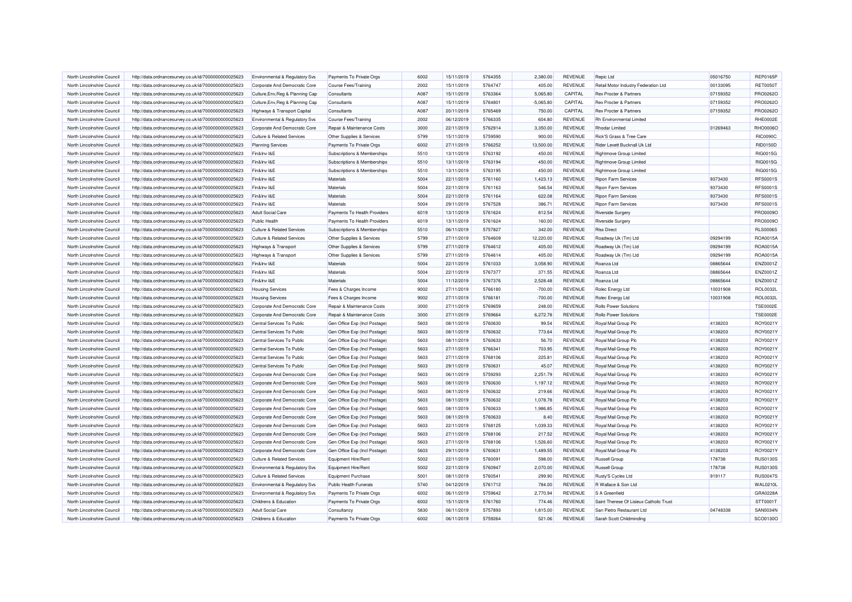| North Lincolnshire Council | http://data.ordnancesurvey.co.uk/id/7000000000025623 | Environmental & Regulatory Svs        | Payments To Private Orgs               | 6002 | 15/11/2019 | 5764355 | 2,380.00    | REVENUE        | Repic Ltd                               | 05016750 | <b>REP0165P</b> |
|----------------------------|------------------------------------------------------|---------------------------------------|----------------------------------------|------|------------|---------|-------------|----------------|-----------------------------------------|----------|-----------------|
| North Lincolnshire Council | http://data.ordnancesurvey.co.uk/id/7000000000025623 | Corporate And Democratic Core         | Course Fees/Training                   | 2002 | 15/11/2019 | 5764747 | 405.00      | REVENUE        | Retail Motor Industry Federation Ltd    | 00133095 | <b>RET0050T</b> |
| North Lincolnshire Council | http://data.ordnancesurvey.co.uk/id/7000000000025623 | Culture, Env, Reg & Planning Cap      | Consultants                            | A087 | 15/11/2019 | 5763364 | 5,065.80    | CAPITAL        | Rex Procter & Partners                  | 07159352 | PRO0262O        |
| North Lincolnshire Council | http://data.ordnancesurvey.co.uk/id/7000000000025623 | Culture, Env, Reg & Planning Cap      | Consultants                            | A087 | 15/11/2019 | 5764801 | $-5,065.80$ | CAPITAL        | Rex Procter & Partners                  | 07159352 | PRO0262O        |
| North Lincolnshire Council | http://data.ordnancesurvey.co.uk/id/7000000000025623 | Highways & Transport Capital          | Consultants                            | A087 | 20/11/2019 | 5765469 | 750.00      | CAPITAL        | Rex Procter & Partners                  | 07159352 | PRO0262O        |
| North Lincolnshire Council | http://data.ordnancesurvey.co.uk/id/7000000000025623 | Environmental & Regulatory Svs        | Course Fees/Training                   | 2002 | 06/12/2019 | 5766335 | 604.80      | <b>REVENUE</b> | <b>Rh Environmental Limited</b>         |          | <b>RHE0002E</b> |
| North Lincolnshire Council | http://data.ordnancesurvey.co.uk/id/7000000000025623 | Corporate And Democratic Core         | Repair & Maintenance Costs             | 3000 | 22/11/2019 | 5762914 | 3,350.00    | <b>REVENUE</b> | Rhodar Limited                          | 01269463 | <b>RHO0006O</b> |
| North Lincolnshire Council | http://data.ordnancesurvey.co.uk/id/7000000000025623 | <b>Culture &amp; Related Services</b> | Other Supplies & Services              | 5799 | 15/11/2019 | 5759590 | 900.00      | <b>REVENUE</b> | Rick'S Grass & Tree Care                |          | <b>RIC0090C</b> |
| North Lincolnshire Council | http://data.ordnancesurvey.co.uk/id/7000000000025623 | <b>Planning Services</b>              | Payments To Private Orgs               | 6002 | 27/11/2019 | 5766252 | 13,500.00   | REVENUE        | Rider Levett Bucknall Uk Ltd            |          | RID0150D        |
| North Lincolnshire Council | http://data.ordnancesurvey.co.uk/id/7000000000025623 | Fin&Inv I&E                           | Subscriptions & Memberships            | 5510 | 13/11/2019 | 5763192 | 450.00      | <b>REVENUE</b> | <b>Rightmove Group Limited</b>          |          | RIG0015G        |
| North Lincolnshire Council | http://data.ordnancesurvey.co.uk/id/7000000000025623 | Fin&Inv I&E                           | Subscriptions & Memberships            | 5510 | 13/11/2019 | 5763194 | 450.00      | <b>REVENUE</b> | Rightmove Group Limited                 |          | RIG0015G        |
| North Lincolnshire Council | http://data.ordnancesurvey.co.uk/id/7000000000025623 | Fin&Inv I&E                           | Subscriptions & Memberships            | 5510 | 13/11/2019 | 5763195 | 450.00      | REVENUE        | Rightmove Group Limited                 |          | RIG0015G        |
| North Lincolnshire Council | http://data.ordnancesurvey.co.uk/id/7000000000025623 | Fin&Inv I&E                           | Materials                              | 5004 | 22/11/2019 | 5761160 | 1,423.13    | REVENUE        | <b>Ripon Farm Services</b>              | 9373430  | <b>RFS0001S</b> |
| North Lincolnshire Council | http://data.ordnancesurvey.co.uk/id/7000000000025623 | Fin&Inv I&E                           | Materials                              | 5004 | 22/11/2019 | 5761163 | 546.54      | REVENUE        | <b>Ripon Farm Services</b>              | 9373430  | <b>RFS0001S</b> |
| North Lincolnshire Council | http://data.ordnancesurvey.co.uk/id/7000000000025623 | Fin&Inv I&E                           | Materials                              | 5004 | 22/11/2019 | 5761164 | 622.08      | REVENUE        | <b>Ripon Farm Services</b>              | 9373430  | <b>RFS0001S</b> |
| North Lincolnshire Council | http://data.ordnancesurvey.co.uk/id/7000000000025623 | Fin&Inv I&E                           | Materials                              | 5004 | 29/11/2019 | 5767528 | 386.71      | REVENUE        | Ripon Farm Services                     | 9373430  | <b>RFS0001S</b> |
| North Lincolnshire Council | http://data.ordnancesurvey.co.uk/id/7000000000025623 | <b>Adult Social Care</b>              | Payments To Health Providers           | 6019 | 13/11/2019 | 5761624 | 812.54      | <b>REVENUE</b> | <b>Riverside Surgery</b>                |          | PRO0009O        |
| North Lincolnshire Council | http://data.ordnancesurvey.co.uk/id/7000000000025623 | <b>Public Health</b>                  | Payments To Health Providers           | 6019 | 13/11/2019 | 5761624 | 160.00      | REVENUE        | Riverside Surgery                       |          | <b>PRO0009C</b> |
| North Lincolnshire Council | http://data.ordnancesurvey.co.uk/id/7000000000025623 | <b>Culture &amp; Related Services</b> | Subscriptions & Memberships            | 5510 | 06/11/2019 | 5757827 | 342.00      | REVENUE        | <b>RIss Direct</b>                      |          | <b>RLS0006S</b> |
| North Lincolnshire Council | http://data.ordnancesurvey.co.uk/id/7000000000025623 | <b>Culture &amp; Related Services</b> | Other Supplies & Services              | 5799 | 27/11/2019 | 5764609 | 12,220.00   | <b>REVENUE</b> | Roadway Uk (Tm) Ltd                     | 09294199 | ROA0015A        |
| North Lincolnshire Council | http://data.ordnancesurvey.co.uk/id/7000000000025623 | Highways & Transport                  | Other Supplies & Services              | 5799 | 27/11/2019 | 5764612 | 405.00      | REVENUE        | Roadway Uk (Tm) Ltd                     | 09294199 | ROA0015A        |
| North Lincolnshire Council |                                                      |                                       |                                        | 5799 | 27/11/2019 | 5764614 | 405.00      | REVENUE        |                                         | 09294199 | ROA0015A        |
|                            | http://data.ordnancesurvey.co.uk/id/7000000000025623 | Highways & Transport                  | Other Supplies & Services<br>Materials | 5004 |            |         | 3,058.90    | REVENUE        | Roadway Uk (Tm) Ltd                     |          | ENZ0001Z        |
| North Lincolnshire Council | http://data.ordnancesurvey.co.uk/id/7000000000025623 | Fin&Inv I&E                           |                                        |      | 22/11/2019 | 5761033 |             |                | Roanza Ltd                              | 08865644 |                 |
| North Lincolnshire Council | http://data.ordnancesurvey.co.uk/id/7000000000025623 | Fin&Inv I&E                           | Materials                              | 5004 | 22/11/2019 | 5767377 | 371.55      | <b>REVENUE</b> | Roanza Ltd                              | 08865644 | ENZ0001Z        |
| North Lincolnshire Council | http://data.ordnancesurvey.co.uk/id/7000000000025623 | Fin&Inv I&E                           | Materials                              | 5004 | 11/12/2019 | 5767376 | 2,528.48    | <b>REVENUE</b> | Roanza Ltd                              | 08865644 | ENZ0001Z        |
| North Lincolnshire Council | http://data.ordnancesurvey.co.uk/id/7000000000025623 | <b>Housing Services</b>               | Fees & Charges Income                  | 9002 | 27/11/2019 | 5766180 | $-700.00$   | <b>REVENUE</b> | Rolec Energy Ltd                        | 10031908 | ROL0032L        |
| North Lincolnshire Council | http://data.ordnancesurvey.co.uk/id/7000000000025623 | <b>Housing Services</b>               | Fees & Charges Income                  | 9002 | 27/11/2019 | 5766181 | $-700.00$   | REVENUE        | Rolec Energy Ltd                        | 10031908 | <b>ROL0032L</b> |
| North Lincolnshire Council | http://data.ordnancesurvey.co.uk/id/7000000000025623 | Corporate And Democratic Core         | Repair & Maintenance Costs             | 3000 | 27/11/2019 | 5769659 | 248.00      | <b>REVENUE</b> | Rollo Power Solutions                   |          | <b>TSE0002E</b> |
| North Lincolnshire Council | http://data.ordnancesurvey.co.uk/id/7000000000025623 | Corporate And Democratic Core         | Repair & Maintenance Costs             | 3000 | 27/11/2019 | 5769664 | 6,272.78    | REVENUE        | <b>Rollo Power Solutions</b>            |          | <b>TSE0002E</b> |
| North Lincolnshire Council | http://data.ordnancesurvey.co.uk/id/7000000000025623 | Central Services To Public            | Gen Office Exp (Incl Postage)          | 5603 | 08/11/2019 | 5760630 | 99.54       | REVENUE        | Royal Mail Group Plc                    | 4138203  | ROY0021Y        |
| North Lincolnshire Council | http://data.ordnancesurvey.co.uk/id/7000000000025623 | Central Services To Public            | Gen Office Exp (Incl Postage)          | 5603 | 08/11/2019 | 5760632 | 773.64      | REVENUE        | Royal Mail Group Plc                    | 4138203  | ROY0021Y        |
| North Lincolnshire Council | http://data.ordnancesurvey.co.uk/id/7000000000025623 | Central Services To Public            | Gen Office Exp (Incl Postage)          | 5603 | 08/11/2019 | 5760633 | 56.70       | <b>REVENUE</b> | Royal Mail Group Plc                    | 4138203  | ROY0021Y        |
| North Lincolnshire Council | http://data.ordnancesurvey.co.uk/id/7000000000025623 | Central Services To Public            | Gen Office Exp (Incl Postage)          | 5603 | 27/11/2019 | 5766341 | 703.95      | REVENUE        | Royal Mail Group Plc                    | 4138203  | ROY0021Y        |
| North Lincolnshire Council | http://data.ordnancesurvey.co.uk/id/7000000000025623 | Central Services To Public            | Gen Office Exp (Incl Postage)          | 5603 | 27/11/2019 | 5768106 | 225.81      | <b>REVENUE</b> | Royal Mail Group Plc                    | 4138203  | ROY0021Y        |
| North Lincolnshire Council | http://data.ordnancesurvey.co.uk/id/7000000000025623 | Central Services To Public            | Gen Office Exp (Incl Postage)          | 5603 | 29/11/2019 | 5760631 | 45.07       | <b>REVENUE</b> | Royal Mail Group Plc                    | 4138203  | ROY0021Y        |
| North Lincolnshire Council | http://data.ordnancesurvey.co.uk/id/7000000000025623 | Corporate And Democratic Core         | Gen Office Exp (Incl Postage)          | 5603 | 06/11/2019 | 5759293 | 2,251.79    | REVENUE        | Royal Mail Group Plc                    | 4138203  | ROY0021Y        |
| North Lincolnshire Council | http://data.ordnancesurvey.co.uk/id/7000000000025623 | Corporate And Democratic Core         | Gen Office Exp (Incl Postage)          | 5603 | 08/11/2019 | 5760630 | 1,197.12    | REVENUE        | Royal Mail Group Plc                    | 4138203  | ROY0021Y        |
| North Lincolnshire Council | http://data.ordnancesurvey.co.uk/id/7000000000025623 | Corporate And Democratic Core         | Gen Office Exp (Incl Postage)          | 5603 | 08/11/2019 | 5760632 | 219.66      | <b>REVENUE</b> | Royal Mail Group Plc                    | 4138203  | ROY0021Y        |
| North Lincolnshire Council | http://data.ordnancesurvey.co.uk/id/7000000000025623 | Corporate And Democratic Core         | Gen Office Exp (Incl Postage)          | 5603 | 08/11/2019 | 5760632 | 1,078.78    | <b>REVENUE</b> | Royal Mail Group Plc                    | 4138203  | ROY0021Y        |
| North Lincolnshire Council | http://data.ordnancesurvey.co.uk/id/7000000000025623 | Corporate And Democratic Core         | Gen Office Exp (Incl Postage)          | 5603 | 08/11/2019 | 5760633 | 1,986.85    | <b>REVENUE</b> | Royal Mail Group Plc                    | 4138203  | ROY0021Y        |
| North Lincolnshire Council | http://data.ordnancesurvey.co.uk/id/7000000000025623 | Corporate And Democratic Core         | Gen Office Exp (Incl Postage)          | 5603 | 08/11/2019 | 5760633 | 8.40        | REVENUE        | Royal Mail Group Plc                    | 4138203  | ROY0021Y        |
| North Lincolnshire Council | http://data.ordnancesurvey.co.uk/id/7000000000025623 | Corporate And Democratic Core         | Gen Office Exp (Incl Postage)          | 5603 | 22/11/2019 | 5768125 | 1.039.33    | <b>REVENUE</b> | Royal Mail Group Plc                    | 4138203  | ROY0021Y        |
| North Lincolnshire Council | http://data.ordnancesurvey.co.uk/id/7000000000025623 | Corporate And Democratic Core         | Gen Office Exp (Incl Postage)          | 5603 | 27/11/2019 | 5768106 | 217.52      | <b>REVENUE</b> | Royal Mail Group Plc                    | 4138203  | ROY0021Y        |
| North Lincolnshire Council | http://data.ordnancesurvey.co.uk/id/7000000000025623 | Corporate And Democratic Core         | Gen Office Exp (Incl Postage)          | 5603 | 27/11/2019 | 5768106 | 1,526.60    | REVENUE        | Royal Mail Group Plc                    | 4138203  | ROY0021Y        |
| North Lincolnshire Council | http://data.ordnancesurvey.co.uk/id/7000000000025623 | Corporate And Democratic Core         | Gen Office Exp (Incl Postage)          | 5603 | 29/11/2019 | 5760631 | 1,489.55    | <b>REVENUE</b> | Royal Mail Group Plc                    | 4138203  | ROY0021Y        |
| North Lincolnshire Council | http://data.ordnancesurvey.co.uk/id/7000000000025623 | <b>Culture &amp; Related Services</b> | <b>Equipment Hire/Rent</b>             | 5002 | 22/11/2019 | 5760091 | 598.00      | <b>REVENUE</b> | Russell Group                           | 178738   | <b>RUS0130S</b> |
| North Lincolnshire Council | http://data.ordnancesurvey.co.uk/id/7000000000025623 | Environmental & Regulatory Svs        | Equipment Hire/Rent                    | 5002 | 22/11/2019 | 5760947 | 2,070.00    | <b>REVENUE</b> | <b>Russell Group</b>                    | 178738   | <b>RUS0130S</b> |
| North Lincolnshire Council | http://data.ordnancesurvey.co.uk/id/7000000000025623 | <b>Culture &amp; Related Services</b> | <b>Equipment Purchase</b>              | 5001 | 08/11/2019 | 5760541 | 299.90      | REVENUE        | Rusty'S Cycles Ltd                      | 919117   | <b>RUS0047S</b> |
| North Lincolnshire Council | http://data.ordnancesurvey.co.uk/id/7000000000025623 | Environmental & Regulatory Svs        | <b>Public Health Funerals</b>          | 5740 | 04/12/2019 | 5761712 | 784.00      | <b>REVENUE</b> | R Wallace & Son Ltd                     |          | <b>WAL0210L</b> |
| North Lincolnshire Council | http://data.ordnancesurvey.co.uk/id/7000000000025623 | Environmental & Regulatory Svs        | Payments To Private Orgs               | 6002 | 06/11/2019 | 5759642 | 2,770.94    | REVENUE        | S A Greenfield                          |          | GRA0228A        |
| North Lincolnshire Council | http://data.ordnancesurvey.co.uk/id/7000000000025623 | Childrens & Education                 | Payments To Private Orgs               | 6002 | 15/11/2019 | 5761760 | 774.46      | <b>REVENUE</b> | Saint Therese Of Lisieux Catholic Trust |          | STT0001T        |
| North Lincolnshire Council | http://data.ordnancesurvey.co.uk/id/7000000000025623 | <b>Adult Social Care</b>              | Consultancy                            | 5830 | 06/11/2019 | 5757893 | 1,815.00    | REVENUE        | San Pietro Restaurant Ltd               | 04748338 | SAN0034N        |
| North Lincolnshire Council | http://data.ordnancesurvey.co.uk/id/7000000000025623 | Childrens & Education                 | Payments To Private Orgs               | 6002 | 06/11/2019 | 5759264 | 521.06      | REVENUE        | Sarah Scott Childminding                |          | SCO0130O        |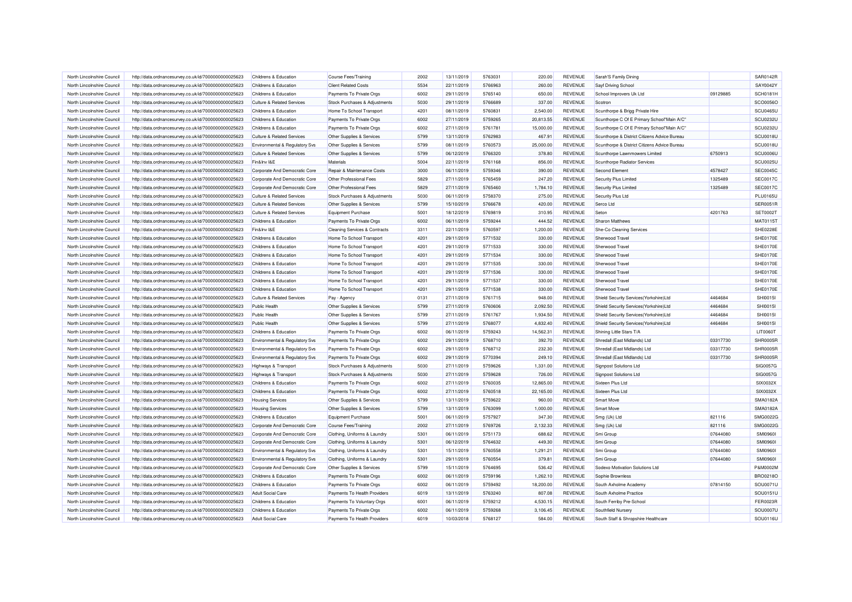| North Lincolnshire Council                               | http://data.ordnancesurvey.co.uk/id/7000000000025623 | Childrens & Education                 | Course Fees/Training                     | 2002         | 13/11/2019               | 5763031 | 220.00    | REVENUE                          | Sarah'S Family Dining                        |          | <b>SAR0142R</b> |
|----------------------------------------------------------|------------------------------------------------------|---------------------------------------|------------------------------------------|--------------|--------------------------|---------|-----------|----------------------------------|----------------------------------------------|----------|-----------------|
| North Lincolnshire Council                               | http://data.ordnancesurvey.co.uk/id/7000000000025623 | Childrens & Education                 | <b>Client Related Costs</b>              | 5534         | 22/11/2019               | 5766963 | 260.00    | <b>REVENUE</b>                   | <b>Sayf Driving School</b>                   |          | SAY0042Y        |
| North Lincolnshire Council                               | http://data.ordnancesurvey.co.uk/id/7000000000025623 | Childrens & Education                 | Payments To Private Orgs                 | 6002         | 29/11/2019               | 5765140 | 650.00    | REVENUE                          | School Improvers Uk Ltd                      | 09129885 | <b>SCH0181H</b> |
| North Lincolnshire Council                               | http://data.ordnancesurvey.co.uk/id/7000000000025623 | <b>Culture &amp; Related Services</b> | Stock Purchases & Adjustments            | 5030         | 29/11/2019               | 5766689 | 337.00    | <b>REVENUE</b>                   | Scotron                                      |          | SCO0056C        |
| North Lincolnshire Council                               | http://data.ordnancesurvey.co.uk/id/7000000000025623 | Childrens & Education                 | Home To School Transport                 | 4201         | 08/11/2019               | 5760831 | 2,540.00  | <b>REVENUE</b>                   | Scunthorpe & Brigg Private Hire              |          | SCU0465U        |
| North Lincolnshire Council                               | http://data.ordnancesurvey.co.uk/id/7000000000025623 | Childrens & Education                 | Payments To Private Orgs                 | 6002         | 27/11/2019               | 5759265 | 20,813.55 | REVENUE                          | Scunthorpe C Of E Primary School"Main A/C"   |          | <b>SCU0232U</b> |
| North Lincolnshire Council                               | http://data.ordnancesurvey.co.uk/id/7000000000025623 | Childrens & Education                 | Payments To Private Orgs                 | 6002         | 27/11/2019               | 5761781 | 15,000.00 | <b>REVENUE</b>                   | Scunthorpe C Of E Primary School"Main A/C"   |          | <b>SCU0232U</b> |
| North Lincolnshire Council                               | http://data.ordnancesurvey.co.uk/id/7000000000025623 | <b>Culture &amp; Related Services</b> | Other Supplies & Services                | 5799         | 13/11/2019               | 5762983 | 467.91    | REVENUE                          | Scunthorpe & District Citizens Advice Bureau |          | SCU0018U        |
| North Lincolnshire Council                               | http://data.ordnancesurvey.co.uk/id/7000000000025623 | Environmental & Regulatory Svs        | Other Supplies & Services                | 5799         | 08/11/2019               | 5760573 | 25,000.00 | <b>REVENUE</b>                   | Scunthorpe & District Citizens Advice Bureau |          | SCU0018U        |
| North Lincolnshire Council                               | http://data.ordnancesurvey.co.uk/id/7000000000025623 | <b>Culture &amp; Related Services</b> | Other Supplies & Services                | 5799         | 06/12/2019               | 5766320 | 378.80    | <b>REVENUE</b>                   | Scunthorpe Lawnmowers Limited                | 6750913  | SCU0006U        |
| North Lincolnshire Council                               | http://data.ordnancesurvey.co.uk/id/7000000000025623 | Fin&Inv I&F                           | Materials                                | 5004         | 22/11/2019               | 5761168 | 856.00    | <b>REVENUE</b>                   | Scunthorpe Radiator Services                 |          | SCU0025U        |
| North Lincolnshire Council                               | http://data.ordnancesurvey.co.uk/id/7000000000025623 | Corporate And Democratic Core         | Repair & Maintenance Costs               | 3000         | 06/11/2019               | 5759346 | 390.00    | REVENUE                          | <b>Second Element</b>                        | 4578427  | SEC0045C        |
| North Lincolnshire Council                               | http://data.ordnancesurvey.co.uk/id/7000000000025623 | Corporate And Democratic Core         | Other Professional Fees                  | 5829         | 27/11/2019               | 5765459 | 247.20    | <b>REVENUE</b>                   | Security Plus Limited                        | 1325489  | <b>SEC0017C</b> |
| North Lincolnshire Council                               | http://data.ordnancesurvey.co.uk/id/7000000000025623 | Corporate And Democratic Core         | <b>Other Professional Fees</b>           | 5829         | 27/11/2019               | 5765460 | 1,784.10  | REVENUE                          | Security Plus Limited                        | 1325489  | <b>SEC0017C</b> |
| North Lincolnshire Council                               | http://data.ordnancesurvey.co.uk/id/7000000000025623 | <b>Culture &amp; Related Services</b> | Stock Purchases & Adjustments            | 5030         | 06/11/2019               | 5758370 | 275.00    | <b>REVENUE</b>                   | Security Plus Ltd                            |          | <b>PLU0165U</b> |
| North Lincolnshire Council                               | http://data.ordnancesurvey.co.uk/id/7000000000025623 | <b>Culture &amp; Related Services</b> | Other Supplies & Services                | 5799         | 15/10/2019               | 5766678 | 420.00    | REVENUE                          | Serco Ltd                                    |          | <b>SER0051R</b> |
| North Lincolnshire Council                               | http://data.ordnancesurvey.co.uk/id/7000000000025623 | <b>Culture &amp; Related Services</b> | <b>Equipment Purchase</b>                | 5001         | 18/12/2019               | 5769819 | 310.95    | REVENUE                          | Seton                                        | 4201763  | SET0002T        |
| North Lincolnshire Council                               | http://data.ordnancesurvey.co.uk/id/7000000000025623 | Childrens & Education                 | Payments To Private Orgs                 | 6002         | 06/11/2019               | 5759244 | 444.52    | <b>REVENUE</b>                   | <b>Sharon Matthews</b>                       |          | MAT0115T        |
|                                                          |                                                      |                                       |                                          |              |                          | 5760597 |           |                                  |                                              |          | SHE0228E        |
| North Lincolnshire Council<br>North Lincolnshire Council | http://data.ordnancesurvey.co.uk/id/7000000000025623 | Fin&Inv I&E                           | <b>Cleaning Services &amp; Contracts</b> | 3311<br>4201 | 22/11/2019<br>29/11/2019 | 5771532 | 1,200.00  | <b>REVENUE</b><br><b>REVENUE</b> | She-Co Cleaning Services<br>Sherwood Trave   |          | SHE0170E        |
|                                                          | http://data.ordnancesurvey.co.uk/id/7000000000025623 | Childrens & Education                 | Home To School Transport                 |              |                          |         | 330.00    |                                  |                                              |          |                 |
| North Lincolnshire Council                               | http://data.ordnancesurvey.co.uk/id/7000000000025623 | Childrens & Education                 | Home To School Transport                 | 4201         | 29/11/2019               | 5771533 | 330.00    | <b>REVENUE</b>                   | Sherwood Travel                              |          | SHE0170E        |
| North Lincolnshire Council                               | http://data.ordnancesurvey.co.uk/id/7000000000025623 | Childrens & Education                 | Home To School Transport                 | 4201         | 29/11/2019               | 5771534 | 330.00    | REVENUE                          | <b>Sherwood Trave</b>                        |          | SHE0170E        |
| North Lincolnshire Council                               | http://data.ordnancesurvey.co.uk/id/7000000000025623 | Childrens & Education                 | Home To School Transport                 | 4201         | 29/11/2019               | 5771535 | 330.00    | <b>REVENUE</b>                   | Sherwood Travel                              |          | SHE0170E        |
| North Lincolnshire Council                               | http://data.ordnancesurvey.co.uk/id/7000000000025623 | Childrens & Education                 | Home To School Transport                 | 4201         | 29/11/2019               | 5771536 | 330.00    | <b>REVENUE</b>                   | Sherwood Trave                               |          | SHE0170E        |
| North Lincolnshire Council                               | http://data.ordnancesurvey.co.uk/id/7000000000025623 | Childrens & Education                 | Home To School Transport                 | 4201         | 29/11/2019               | 5771537 | 330.00    | REVENUE                          | <b>Sherwood Trave</b>                        |          | SHE0170E        |
| North Lincolnshire Council                               | http://data.ordnancesurvey.co.uk/id/7000000000025623 | Childrens & Education                 | Home To School Transport                 | 4201         | 29/11/2019               | 5771538 | 330.00    | <b>REVENUE</b>                   | Sherwood Trave                               |          | SHE0170E        |
| North Lincolnshire Council                               | http://data.ordnancesurvey.co.uk/id/7000000000025623 | <b>Culture &amp; Related Services</b> | Pay - Agency                             | 0131         | 27/11/2019               | 5761715 | 948.00    | <b>REVENUE</b>                   | Shield Security Services(Yorkshire)Ltd       | 4464684  | <b>SHI0015I</b> |
| North Lincolnshire Council                               | http://data.ordnancesurvey.co.uk/id/7000000000025623 | Public Health                         | Other Supplies & Services                | 5799         | 27/11/2019               | 5760606 | 2,092.50  | <b>REVENUE</b>                   | Shield Security Services(Yorkshire)Ltd       | 4464684  | <b>SHI0015I</b> |
| North Lincolnshire Council                               | http://data.ordnancesurvey.co.uk/id/7000000000025623 | Public Health                         | Other Supplies & Services                | 5799         | 27/11/2019               | 5761767 | 1,934.50  | <b>REVENUE</b>                   | Shield Security Services(Yorkshire)Ltd       | 4464684  | <b>SHI0015I</b> |
| North Lincolnshire Council                               | http://data.ordnancesurvey.co.uk/id/7000000000025623 | <b>Public Health</b>                  | Other Supplies & Services                | 5799         | 27/11/2019               | 5768077 | 4,832.40  | REVENUE                          | Shield Security Services(Yorkshire)Ltd       | 4464684  | <b>SHI0015I</b> |
| North Lincolnshire Council                               | http://data.ordnancesurvey.co.uk/id/7000000000025623 | Childrens & Education                 | Payments To Private Orgs                 | 6002         | 06/11/2019               | 5759243 | 14,562.31 | <b>REVENUE</b>                   | Shining Little Stars T/A                     |          | <b>LIT0060T</b> |
| North Lincolnshire Council                               | http://data.ordnancesurvey.co.uk/id/7000000000025623 | Environmental & Regulatory Svs        | Payments To Private Orgs                 | 6002         | 29/11/2019               | 5768710 | 392.70    | <b>REVENUE</b>                   | Shredall (East Midlands) Ltd                 | 03317730 | SHR0005R        |
| North Lincolnshire Council                               | http://data.ordnancesurvey.co.uk/id/7000000000025623 | Environmental & Regulatory Svs        | Payments To Private Orgs                 | 6002         | 29/11/2019               | 5768712 | 232.30    | <b>REVENUE</b>                   | Shredall (East Midlands) Ltd                 | 03317730 | SHR0005R        |
| North Lincolnshire Council                               | http://data.ordnancesurvey.co.uk/id/7000000000025623 | Environmental & Regulatory Svs        | Payments To Private Orgs                 | 6002         | 29/11/2019               | 5770394 | 249.10    | REVENUE                          | Shredall (East Midlands) Ltd                 | 03317730 | SHR0005R        |
| North Lincolnshire Council                               | http://data.ordnancesurvey.co.uk/id/7000000000025623 | Highways & Transport                  | Stock Purchases & Adjustments            | 5030         | 27/11/2019               | 5759626 | 1,331.00  | <b>REVENUE</b>                   | <b>Signpost Solutions Ltd</b>                |          | SIG0057G        |
| North Lincolnshire Council                               | http://data.ordnancesurvey.co.uk/id/7000000000025623 | Highways & Transport                  | Stock Purchases & Adjustments            | 5030         | 27/11/2019               | 5759628 | 726.00    | REVENUE                          | <b>Signpost Solutions Ltd</b>                |          | SIG0057G        |
| North Lincolnshire Council                               | http://data.ordnancesurvey.co.uk/id/7000000000025623 | Childrens & Education                 | Payments To Private Orgs                 | 6002         | 27/11/2019               | 5760035 | 12,865.00 | <b>REVENUE</b>                   | Sixteen Plus Ltd                             |          | SIX0032X        |
| North Lincolnshire Council                               | http://data.ordnancesurvey.co.uk/id/7000000000025623 | Childrens & Education                 | Payments To Private Orgs                 | 6002         | 27/11/2019               | 5760518 | 22,165.00 | REVENUE                          | Sixteen Plus Ltd                             |          | SIX0032X        |
| North Lincolnshire Council                               | http://data.ordnancesurvey.co.uk/id/7000000000025623 | <b>Housing Services</b>               | Other Supplies & Services                | 5799         | 13/11/2019               | 5759622 | 960.00    | <b>REVENUE</b>                   | <b>Smart Move</b>                            |          | SMA0182A        |
| North Lincolnshire Council                               | http://data.ordnancesurvey.co.uk/id/7000000000025623 | <b>Housing Services</b>               | Other Supplies & Services                | 5799         | 13/11/2019               | 5763099 | 1,000.00  | <b>REVENUE</b>                   | <b>Smart Move</b>                            |          | <b>SMA0182A</b> |
| North Lincolnshire Council                               | http://data.ordnancesurvey.co.uk/id/7000000000025623 | Childrens & Education                 | <b>Equipment Purchase</b>                | 5001         | 06/11/2019               | 5757927 | 347.30    | <b>REVENUE</b>                   | Smg (Uk) Ltd                                 | 821116   | SMG0022C        |
| North Lincolnshire Council                               | http://data.ordnancesurvey.co.uk/id/7000000000025623 | Corporate And Democratic Core         | Course Fees/Training                     | 2002         | 27/11/2019               | 5769726 | 2,132.33  | <b>REVENUE</b>                   | Smg (Uk) Ltd                                 | 821116   | SMG0022C        |
| North Lincolnshire Council                               | http://data.ordnancesurvey.co.uk/id/7000000000025623 | Corporate And Democratic Core         | Clothing, Uniforms & Laundry             | 5301         | 06/11/2019               | 5751173 | 688.62    | <b>REVENUE</b>                   | Smi Group                                    | 07644080 | <b>SMI09601</b> |
| North Lincolnshire Council                               | http://data.ordnancesurvey.co.uk/id/7000000000025623 | Corporate And Democratic Core         | Clothing, Uniforms & Laundry             | 5301         | 06/12/2019               | 5764632 | 449.30    | REVENUE                          | Smi Group                                    | 07644080 | <b>SMI09601</b> |
| North Lincolnshire Council                               | http://data.ordnancesurvey.co.uk/id/7000000000025623 | Environmental & Regulatory Svs        | Clothing, Uniforms & Laundry             | 5301         | 15/11/2019               | 5760558 | 1,291.21  | REVENUE                          | Smi Group                                    | 07644080 | <b>SMI09601</b> |
| North Lincolnshire Council                               | http://data.ordnancesurvey.co.uk/id/7000000000025623 | Environmental & Regulatory Svs        | Clothing, Uniforms & Laundry             | 5301         | 29/11/2019               | 5760554 | 379.81    | <b>REVENUE</b>                   | Smi Group                                    | 07644080 | <b>SMI09601</b> |
| North Lincolnshire Council                               | http://data.ordnancesurvey.co.uk/id/7000000000025623 | Corporate And Democratic Core         | Other Supplies & Services                | 5799         | 15/11/2019               | 5764695 | 536.42    | REVENUE                          | Sodexo Motivation Solutions Ltd              |          | P&M0002M        |
| North Lincolnshire Council                               | http://data.ordnancesurvey.co.uk/id/7000000000025623 | Childrens & Education                 | Payments To Private Orgs                 | 6002         | 06/11/2019               | 5759196 | 1,262.10  | <b>REVENUE</b>                   | Sophie Brownless                             |          | <b>BRO0218C</b> |
| North Lincolnshire Council                               | http://data.ordnancesurvey.co.uk/id/7000000000025623 | Childrens & Education                 | Payments To Private Orgs                 | 6002         | 06/11/2019               | 5759492 | 18,200.00 | <b>REVENUE</b>                   | South Axholme Academy                        | 07814150 | SOU0071U        |
| North Lincolnshire Council                               | http://data.ordnancesurvey.co.uk/id/7000000000025623 | <b>Adult Social Care</b>              | Payments To Health Providers             | 6019         | 13/11/2019               | 5763240 | 807.08    | REVENUE                          | South Axholme Practice                       |          | SOU0151U        |
| North Lincolnshire Council                               | http://data.ordnancesurvey.co.uk/id/7000000000025623 | Childrens & Education                 | Payments To Voluntary Orgs               | 6001         | 06/11/2019               | 5759212 | 4,530.15  | <b>REVENUE</b>                   | South Ferriby Pre-School                     |          | <b>FER0023R</b> |
| North Lincolnshire Council                               | http://data.ordnancesurvey.co.uk/id/7000000000025623 | Childrens & Education                 | Payments To Private Orgs                 | 6002         | 06/11/2019               | 5759268 | 3,106.45  | <b>REVENUE</b>                   | Southfield Nursery                           |          | SOU0007U        |
| North Lincolnshire Council                               | http://data.ordnancesurvey.co.uk/id/7000000000025623 | <b>Adult Social Care</b>              | Payments To Health Providers             | 6019         | 10/03/2018               | 5768127 | 584.00    | <b>REVENUE</b>                   | South Staff & Shropshire Healthcare          |          | SOU0116U        |
|                                                          |                                                      |                                       |                                          |              |                          |         |           |                                  |                                              |          |                 |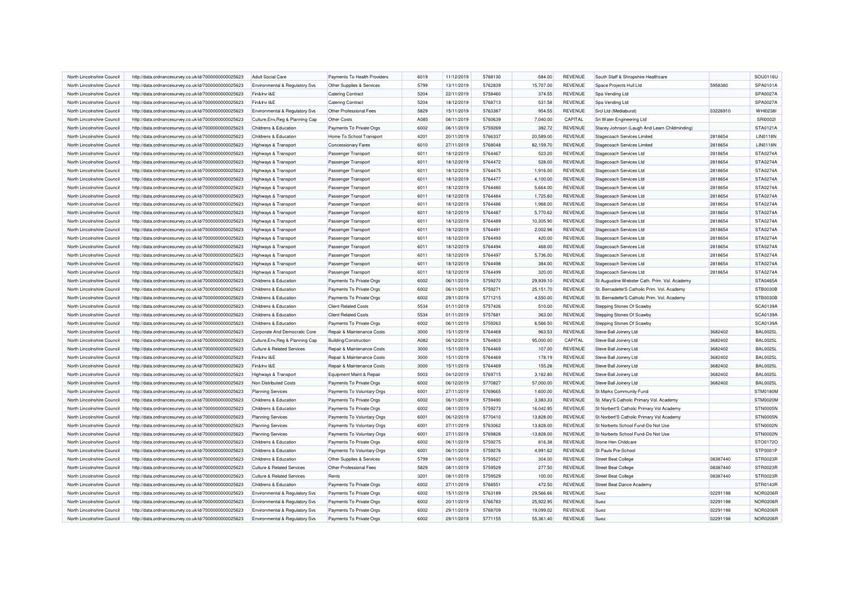| North Lincolnshire Council<br>http://data.ordnancesurvey.co.uk/id/7000000000025623<br><b>Adult Social Care</b><br>Payments To Health Providers<br>6019<br>11/12/2019<br>5768130<br>$-584.00$<br><b>REVENUE</b><br>South Staff & Shropshire Healthcare<br>North Lincolnshire Council<br>Environmental & Regulatory Svs<br>Other Supplies & Services<br>5799<br>13/11/2019<br>5762839<br>15,707.00<br>REVENUE<br>Space Projects Hull Ltd<br>http://data.ordnancesurvey.co.uk/id/7000000000025623<br>5204<br>5758460<br>374.55<br>REVENUE<br>North Lincolnshire Council<br>http://data.ordnancesurvey.co.uk/id/7000000000025623<br>Fin&Inv I&E<br><b>Catering Contract</b><br>22/11/2019<br>Spa Vending Ltd<br>North Lincolnshire Council<br>Fin&Inv I&E<br>5204<br>18/12/2019<br>5768713<br>531.58<br><b>REVENUE</b><br>http://data.ordnancesurvey.co.uk/id/7000000000025623<br><b>Catering Contract</b><br>Spa Vending Ltd<br>North Lincolnshire Council<br>http://data.ordnancesurvey.co.uk/id/7000000000025623<br>Environmental & Regulatory Svs<br>Other Professional Fees<br>5829<br>15/11/2019<br>5763387<br>954.55<br><b>REVENUE</b><br>Srcl Ltd (Mediaburst)<br>A085<br>5760639<br>7,040.00<br>CAPITAL<br>North Lincolnshire Council<br>Culture, Env, Reg & Planning Cap<br>Other Costs<br>08/11/2019<br>http://data.ordnancesurvey.co.uk/id/7000000000025623<br>Sri Water Engineering Ltd<br>North Lincolnshire Council<br>http://data.ordnancesurvey.co.uk/id/7000000000025623<br>Childrens & Education<br>Payments To Private Orgs<br>6002<br>06/11/2019<br>5759269<br>382.72<br><b>REVENUE</b><br>4201<br>20/11/2019<br>5766337<br>20,589.00<br><b>REVENUE</b><br>North Lincolnshire Council<br>http://data.ordnancesurvey.co.uk/id/7000000000025623<br>Childrens & Education<br>Home To School Transport<br>Stagecoach Services Limited<br><b>REVENUE</b><br>6010<br>27/11/2019<br>5768048<br>82,159.70<br>North Lincolnshire Council<br>http://data.ordnancesurvey.co.uk/id/7000000000025623<br>Highways & Transport<br><b>Concessionary Fares</b><br>Stagecoach Services Limited<br>North Lincolnshire Council<br>6011<br>18/12/2019<br>5764467<br>523.20<br>REVENUE<br>Stagecoach Services Ltd<br>http://data.ordnancesurvey.co.uk/id/7000000000025623<br>Highways & Transport<br><b>Passenger Transport</b><br>5764472<br>REVENUE<br>North Lincolnshire Council<br>Passenger Transport<br>6011<br>18/12/2019<br>528.00<br>Stagecoach Services Ltd<br>http://data.ordnancesurvey.co.uk/id/7000000000025623<br>Highways & Transport<br>North Lincolnshire Council<br>6011<br>18/12/2019<br>5764475<br>REVENUE<br>Stagecoach Services Ltd<br>http://data.ordnancesurvey.co.uk/id/7000000000025623<br>Highways & Transport<br>Passenger Transport<br>1.916.00<br>North Lincolnshire Council<br>Highways & Transport<br>Passenger Transport<br>6011<br>18/12/2019<br>5764477<br>4,100.00<br><b>REVENUE</b><br><b>Stagecoach Services Ltd</b><br>http://data.ordnancesurvey.co.uk/id/7000000000025623<br>REVENUE<br>North Lincolnshire Council<br>6011<br>18/12/2019<br>5764480<br>5,664.00<br>Stagecoach Services Ltd<br>http://data.ordnancesurvey.co.uk/id/7000000000025623<br>Highways & Transport<br>Passenger Transport<br>REVENUE<br>North Lincolnshire Council<br>http://data.ordnancesurvey.co.uk/id/7000000000025623<br>Highways & Transport<br>Passenger Transport<br>6011<br>18/12/2019<br>5764484<br>1,725.60<br>Stagecoach Services Ltd<br>5764486<br>1,968.00<br>REVENUE<br>North Lincolnshire Council<br>http://data.ordnancesurvey.co.uk/id/7000000000025623<br>Highways & Transport<br>Passenger Transport<br>6011<br>18/12/2019<br>Stagecoach Services Ltd<br>North Lincolnshire Council<br>6011<br>5764487<br>5,770.62<br><b>REVENUE</b><br>http://data.ordnancesurvey.co.uk/id/7000000000025623<br>Highways & Transport<br>Passenger Transport<br>18/12/2019<br>Stagecoach Services Ltd<br>6011<br>10,305.90<br>REVENUE<br>North Lincolnshire Council<br>http://data.ordnancesurvey.co.uk/id/7000000000025623<br><b>Highways &amp; Transport</b><br>Passenger Transport<br>18/12/2019<br>5764489<br>Stagecoach Services Ltd<br>6011<br><b>REVENUE</b><br>North Lincolnshire Council<br>http://data.ordnancesurvey.co.uk/id/7000000000025623<br>Highways & Transport<br>Passenger Transport<br>18/12/2019<br>5764491<br>2,002.98<br>Stagecoach Services Ltd<br>North Lincolnshire Council<br>6011<br>18/12/2019<br>5764493<br>420.00<br><b>REVENUE</b><br>Stagecoach Services Ltd<br>http://data.ordnancesurvey.co.uk/id/7000000000025623<br>Highways & Transport<br>Passenger Transport<br>North Lincolnshire Council<br>http://data.ordnancesurvey.co.uk/id/7000000000025623<br>Highways & Transport<br>Passenger Transport<br>6011<br>18/12/2019<br>5764494<br>468.00<br><b>REVENUE</b><br><b>Stagecoach Services Ltd</b><br>REVENUE<br>North Lincolnshire Council<br>6011<br>5764497<br>Stagecoach Services Ltd<br>http://data.ordnancesurvey.co.uk/id/7000000000025623<br>Highways & Transport<br>Passenger Transport<br>18/12/2019<br>5,736.00<br><b>REVENUE</b><br>North Lincolnshire Council<br>http://data.ordnancesurvey.co.uk/id/7000000000025623<br><b>Passenger Transport</b><br>6011<br>18/12/2019<br>5764498<br>384.00<br>Stagecoach Services Ltd<br><b>Highways &amp; Transport</b><br>North Lincolnshire Council<br>6011<br>18/12/2019<br>5764499<br>320.00<br>REVENUE<br><b>Stagecoach Services Ltd</b><br>http://data.ordnancesurvey.co.uk/id/7000000000025623<br>Highways & Transport<br>Passenger Transport<br><b>REVENUE</b><br>6002<br>06/11/2019<br>5759270<br>29,939.10<br>North Lincolnshire Council<br>http://data.ordnancesurvey.co.uk/id/7000000000025623<br>Childrens & Education<br>Payments To Private Orgs<br>North Lincolnshire Council<br>Payments To Private Orgs<br>6002<br>06/11/2019<br>5759271<br>25,151.70<br><b>REVENUE</b><br>http://data.ordnancesurvey.co.uk/id/7000000000025623<br>Childrens & Education<br>5771215<br>North Lincolnshire Council<br>http://data.ordnancesurvey.co.uk/id/7000000000025623<br>Childrens & Education<br>Payments To Private Orgs<br>6002<br>29/11/2019<br>4,550.00<br><b>REVENUE</b><br>5534<br>5757426<br>REVENUE<br>North Lincolnshire Council<br>http://data.ordnancesurvey.co.uk/id/7000000000025623<br>Childrens & Education<br><b>Client Related Costs</b><br>01/11/2019<br>510.00<br>Stepping Stones Of Scawby<br>North Lincolnshire Council<br>http://data.ordnancesurvey.co.uk/id/7000000000025623<br>Childrens & Education<br><b>Client Related Costs</b><br>5534<br>01/11/2019<br>5757681<br>363.00<br><b>REVENUE</b><br>Stepping Stones Of Scawby<br>6002<br>06/11/2019<br>5759263<br>6,566.50<br>REVENUE<br>Stepping Stones Of Scawby<br>North Lincolnshire Council<br>http://data.ordnancesurvey.co.uk/id/7000000000025623<br>Childrens & Education<br>Payments To Private Orgs<br>5764469<br>Repair & Maintenance Costs<br>3000<br>15/11/2019<br>963.53<br><b>REVENUE</b><br>North Lincolnshire Council<br>http://data.ordnancesurvey.co.uk/id/7000000000025623<br>Corporate And Democratic Core<br>Steve Ball Joinery Ltd<br>North Lincolnshire Council<br>Building/Construction<br>A082<br>06/12/2019<br>5764803<br>95,000.00<br>CAPITAL<br>http://data.ordnancesurvey.co.uk/id/7000000000025623<br>Culture, Env, Reg & Planning Cap<br>Steve Ball Joinery Ltd<br>3000<br>5764469<br><b>REVENUE</b><br>North Lincolnshire Council<br>http://data.ordnancesurvey.co.uk/id/7000000000025623<br><b>Culture &amp; Related Services</b><br>Repair & Maintenance Costs<br>15/11/2019<br>107.00<br>Steve Ball Joinery Ltd<br>North Lincolnshire Council<br>Fin&Inv I&E<br>Repair & Maintenance Costs<br>3000<br>15/11/2019<br>5764469<br>178.19<br>REVENUE<br>http://data.ordnancesurvey.co.uk/id/7000000000025623<br>Steve Ball Joinery Ltd<br>North Lincolnshire Council<br>Fin&Inv I&E<br>Repair & Maintenance Costs<br>3000<br>15/11/2019<br>5764469<br>155.28<br><b>REVENUE</b><br>Steve Ball Joinery Ltd<br>http://data.ordnancesurvey.co.uk/id/7000000000025623<br>REVENUE<br>Equipment Maint.& Repair<br>5003<br>04/12/2019<br>5769715<br>3,162.80<br>North Lincolnshire Council<br>http://data.ordnancesurvey.co.uk/id/7000000000025623<br>Highways & Transport<br>Steve Ball Joinery Ltd | 5958380<br>03226910<br>Stacey Johnson (Laugh And Learn Childminding)<br>2818654<br>2818654<br>2818654<br>2818654<br>2818654<br>2818654<br>2818654<br>2818654<br>2818654<br>2818654<br>2818654<br>2818654<br>2818654<br>2818654<br>2818654<br>2818654<br>2818654<br>St Augustine Webster Cath. Prim. Vol. Academy<br>St. Bernadette'S Catholic Prim, Vol. Academy<br>St. Bernadette'S Catholic Prim. Vol. Academy<br>3682402 | SOU0116U<br>SPA0101A<br>SPA0027A<br>SPA0027A<br>WHI0238I<br><b>SRI00021</b><br>STA0121A<br><b>LIN0118N</b><br><b>LIN0118N</b><br>STA0274A<br>STA0274A<br>STA0274A<br>STA0274A<br>STA0274A<br>STA0274A<br>STA0274A<br>STA0274A<br>STA0274A<br>STA0274A<br>STA0274A<br>STA0274A<br>STA0274A<br><b>STA0274A</b><br>STA0274A<br><b>STA0465A</b><br><b>STB0030B</b><br><b>STB0030B</b><br><b>SCA0139A</b><br><b>SCA0139A</b> |
|-----------------------------------------------------------------------------------------------------------------------------------------------------------------------------------------------------------------------------------------------------------------------------------------------------------------------------------------------------------------------------------------------------------------------------------------------------------------------------------------------------------------------------------------------------------------------------------------------------------------------------------------------------------------------------------------------------------------------------------------------------------------------------------------------------------------------------------------------------------------------------------------------------------------------------------------------------------------------------------------------------------------------------------------------------------------------------------------------------------------------------------------------------------------------------------------------------------------------------------------------------------------------------------------------------------------------------------------------------------------------------------------------------------------------------------------------------------------------------------------------------------------------------------------------------------------------------------------------------------------------------------------------------------------------------------------------------------------------------------------------------------------------------------------------------------------------------------------------------------------------------------------------------------------------------------------------------------------------------------------------------------------------------------------------------------------------------------------------------------------------------------------------------------------------------------------------------------------------------------------------------------------------------------------------------------------------------------------------------------------------------------------------------------------------------------------------------------------------------------------------------------------------------------------------------------------------------------------------------------------------------------------------------------------------------------------------------------------------------------------------------------------------------------------------------------------------------------------------------------------------------------------------------------------------------------------------------------------------------------------------------------------------------------------------------------------------------------------------------------------------------------------------------------------------------------------------------------------------------------------------------------------------------------------------------------------------------------------------------------------------------------------------------------------------------------------------------------------------------------------------------------------------------------------------------------------------------------------------------------------------------------------------------------------------------------------------------------------------------------------------------------------------------------------------------------------------------------------------------------------------------------------------------------------------------------------------------------------------------------------------------------------------------------------------------------------------------------------------------------------------------------------------------------------------------------------------------------------------------------------------------------------------------------------------------------------------------------------------------------------------------------------------------------------------------------------------------------------------------------------------------------------------------------------------------------------------------------------------------------------------------------------------------------------------------------------------------------------------------------------------------------------------------------------------------------------------------------------------------------------------------------------------------------------------------------------------------------------------------------------------------------------------------------------------------------------------------------------------------------------------------------------------------------------------------------------------------------------------------------------------------------------------------------------------------------------------------------------------------------------------------------------------------------------------------------------------------------------------------------------------------------------------------------------------------------------------------------------------------------------------------------------------------------------------------------------------------------------------------------------------------------------------------------------------------------------------------------------------------------------------------------------------------------------------------------------------------------------------------------------------------------------------------------------------------------------------------------------------------------------------------------------------------------------------------------------------------------------------------------------------------------------------------------------------------------------------------------------------------------------------------------------------------------------------------------------------------------------------------------------------------------------------------------------------------------------------------------------------------------------------------------------------------------------------------------------------------------------------------------------------------------------------------------------------------------------------------------------------------------------------------------------------------------------------------------------------------------------------------------------------------------------------------------------------------------------------------------------------------------------------------------------------------------------------------------------------------------------------------------------------------------------------------------------------------------------------------------------------------------------------------------------------------------------------------------------------------------------------------------------------------------------------------------------------------------------------------------------------------------------------------------------------------------------------------------------------------------------------------------------------------------------------------------------------------------------------------------------------------------------------------------------------------------------------------------------------------------------------------------------------------------------------------------------------------------------------------------------------------------------------------------------------------------------------------------------------------------------------------------------------------------------------------------------------------------------------|-----------------------------------------------------------------------------------------------------------------------------------------------------------------------------------------------------------------------------------------------------------------------------------------------------------------------------------------------------------------------------------------------------------------------------|-------------------------------------------------------------------------------------------------------------------------------------------------------------------------------------------------------------------------------------------------------------------------------------------------------------------------------------------------------------------------------------------------------------------------|
|                                                                                                                                                                                                                                                                                                                                                                                                                                                                                                                                                                                                                                                                                                                                                                                                                                                                                                                                                                                                                                                                                                                                                                                                                                                                                                                                                                                                                                                                                                                                                                                                                                                                                                                                                                                                                                                                                                                                                                                                                                                                                                                                                                                                                                                                                                                                                                                                                                                                                                                                                                                                                                                                                                                                                                                                                                                                                                                                                                                                                                                                                                                                                                                                                                                                                                                                                                                                                                                                                                                                                                                                                                                                                                                                                                                                                                                                                                                                                                                                                                                                                                                                                                                                                                                                                                                                                                                                                                                                                                                                                                                                                                                                                                                                                                                                                                                                                                                                                                                                                                                                                                                                                                                                                                                                                                                                                                                                                                                                                                                                                                                                                                                                                                                                                                                                                                                                                                                                                                                                                                                                                                                                                                                                                                                                                                                                                                                                                                                                                                                                                                                                                                                                                                                                                                                                                                                                                                                                                                                                                                                                                                                                                                                                                                                                                                                                                                                                                                                                                                                                                                                                                                                                                                                                                                                                                                                                                                                                                                                                                                                                                                                                                                                                                                                                                                                       |                                                                                                                                                                                                                                                                                                                                                                                                                             |                                                                                                                                                                                                                                                                                                                                                                                                                         |
|                                                                                                                                                                                                                                                                                                                                                                                                                                                                                                                                                                                                                                                                                                                                                                                                                                                                                                                                                                                                                                                                                                                                                                                                                                                                                                                                                                                                                                                                                                                                                                                                                                                                                                                                                                                                                                                                                                                                                                                                                                                                                                                                                                                                                                                                                                                                                                                                                                                                                                                                                                                                                                                                                                                                                                                                                                                                                                                                                                                                                                                                                                                                                                                                                                                                                                                                                                                                                                                                                                                                                                                                                                                                                                                                                                                                                                                                                                                                                                                                                                                                                                                                                                                                                                                                                                                                                                                                                                                                                                                                                                                                                                                                                                                                                                                                                                                                                                                                                                                                                                                                                                                                                                                                                                                                                                                                                                                                                                                                                                                                                                                                                                                                                                                                                                                                                                                                                                                                                                                                                                                                                                                                                                                                                                                                                                                                                                                                                                                                                                                                                                                                                                                                                                                                                                                                                                                                                                                                                                                                                                                                                                                                                                                                                                                                                                                                                                                                                                                                                                                                                                                                                                                                                                                                                                                                                                                                                                                                                                                                                                                                                                                                                                                                                                                                                                                       |                                                                                                                                                                                                                                                                                                                                                                                                                             |                                                                                                                                                                                                                                                                                                                                                                                                                         |
|                                                                                                                                                                                                                                                                                                                                                                                                                                                                                                                                                                                                                                                                                                                                                                                                                                                                                                                                                                                                                                                                                                                                                                                                                                                                                                                                                                                                                                                                                                                                                                                                                                                                                                                                                                                                                                                                                                                                                                                                                                                                                                                                                                                                                                                                                                                                                                                                                                                                                                                                                                                                                                                                                                                                                                                                                                                                                                                                                                                                                                                                                                                                                                                                                                                                                                                                                                                                                                                                                                                                                                                                                                                                                                                                                                                                                                                                                                                                                                                                                                                                                                                                                                                                                                                                                                                                                                                                                                                                                                                                                                                                                                                                                                                                                                                                                                                                                                                                                                                                                                                                                                                                                                                                                                                                                                                                                                                                                                                                                                                                                                                                                                                                                                                                                                                                                                                                                                                                                                                                                                                                                                                                                                                                                                                                                                                                                                                                                                                                                                                                                                                                                                                                                                                                                                                                                                                                                                                                                                                                                                                                                                                                                                                                                                                                                                                                                                                                                                                                                                                                                                                                                                                                                                                                                                                                                                                                                                                                                                                                                                                                                                                                                                                                                                                                                                                       |                                                                                                                                                                                                                                                                                                                                                                                                                             |                                                                                                                                                                                                                                                                                                                                                                                                                         |
|                                                                                                                                                                                                                                                                                                                                                                                                                                                                                                                                                                                                                                                                                                                                                                                                                                                                                                                                                                                                                                                                                                                                                                                                                                                                                                                                                                                                                                                                                                                                                                                                                                                                                                                                                                                                                                                                                                                                                                                                                                                                                                                                                                                                                                                                                                                                                                                                                                                                                                                                                                                                                                                                                                                                                                                                                                                                                                                                                                                                                                                                                                                                                                                                                                                                                                                                                                                                                                                                                                                                                                                                                                                                                                                                                                                                                                                                                                                                                                                                                                                                                                                                                                                                                                                                                                                                                                                                                                                                                                                                                                                                                                                                                                                                                                                                                                                                                                                                                                                                                                                                                                                                                                                                                                                                                                                                                                                                                                                                                                                                                                                                                                                                                                                                                                                                                                                                                                                                                                                                                                                                                                                                                                                                                                                                                                                                                                                                                                                                                                                                                                                                                                                                                                                                                                                                                                                                                                                                                                                                                                                                                                                                                                                                                                                                                                                                                                                                                                                                                                                                                                                                                                                                                                                                                                                                                                                                                                                                                                                                                                                                                                                                                                                                                                                                                                                       |                                                                                                                                                                                                                                                                                                                                                                                                                             |                                                                                                                                                                                                                                                                                                                                                                                                                         |
|                                                                                                                                                                                                                                                                                                                                                                                                                                                                                                                                                                                                                                                                                                                                                                                                                                                                                                                                                                                                                                                                                                                                                                                                                                                                                                                                                                                                                                                                                                                                                                                                                                                                                                                                                                                                                                                                                                                                                                                                                                                                                                                                                                                                                                                                                                                                                                                                                                                                                                                                                                                                                                                                                                                                                                                                                                                                                                                                                                                                                                                                                                                                                                                                                                                                                                                                                                                                                                                                                                                                                                                                                                                                                                                                                                                                                                                                                                                                                                                                                                                                                                                                                                                                                                                                                                                                                                                                                                                                                                                                                                                                                                                                                                                                                                                                                                                                                                                                                                                                                                                                                                                                                                                                                                                                                                                                                                                                                                                                                                                                                                                                                                                                                                                                                                                                                                                                                                                                                                                                                                                                                                                                                                                                                                                                                                                                                                                                                                                                                                                                                                                                                                                                                                                                                                                                                                                                                                                                                                                                                                                                                                                                                                                                                                                                                                                                                                                                                                                                                                                                                                                                                                                                                                                                                                                                                                                                                                                                                                                                                                                                                                                                                                                                                                                                                                                       |                                                                                                                                                                                                                                                                                                                                                                                                                             |                                                                                                                                                                                                                                                                                                                                                                                                                         |
|                                                                                                                                                                                                                                                                                                                                                                                                                                                                                                                                                                                                                                                                                                                                                                                                                                                                                                                                                                                                                                                                                                                                                                                                                                                                                                                                                                                                                                                                                                                                                                                                                                                                                                                                                                                                                                                                                                                                                                                                                                                                                                                                                                                                                                                                                                                                                                                                                                                                                                                                                                                                                                                                                                                                                                                                                                                                                                                                                                                                                                                                                                                                                                                                                                                                                                                                                                                                                                                                                                                                                                                                                                                                                                                                                                                                                                                                                                                                                                                                                                                                                                                                                                                                                                                                                                                                                                                                                                                                                                                                                                                                                                                                                                                                                                                                                                                                                                                                                                                                                                                                                                                                                                                                                                                                                                                                                                                                                                                                                                                                                                                                                                                                                                                                                                                                                                                                                                                                                                                                                                                                                                                                                                                                                                                                                                                                                                                                                                                                                                                                                                                                                                                                                                                                                                                                                                                                                                                                                                                                                                                                                                                                                                                                                                                                                                                                                                                                                                                                                                                                                                                                                                                                                                                                                                                                                                                                                                                                                                                                                                                                                                                                                                                                                                                                                                                       |                                                                                                                                                                                                                                                                                                                                                                                                                             |                                                                                                                                                                                                                                                                                                                                                                                                                         |
|                                                                                                                                                                                                                                                                                                                                                                                                                                                                                                                                                                                                                                                                                                                                                                                                                                                                                                                                                                                                                                                                                                                                                                                                                                                                                                                                                                                                                                                                                                                                                                                                                                                                                                                                                                                                                                                                                                                                                                                                                                                                                                                                                                                                                                                                                                                                                                                                                                                                                                                                                                                                                                                                                                                                                                                                                                                                                                                                                                                                                                                                                                                                                                                                                                                                                                                                                                                                                                                                                                                                                                                                                                                                                                                                                                                                                                                                                                                                                                                                                                                                                                                                                                                                                                                                                                                                                                                                                                                                                                                                                                                                                                                                                                                                                                                                                                                                                                                                                                                                                                                                                                                                                                                                                                                                                                                                                                                                                                                                                                                                                                                                                                                                                                                                                                                                                                                                                                                                                                                                                                                                                                                                                                                                                                                                                                                                                                                                                                                                                                                                                                                                                                                                                                                                                                                                                                                                                                                                                                                                                                                                                                                                                                                                                                                                                                                                                                                                                                                                                                                                                                                                                                                                                                                                                                                                                                                                                                                                                                                                                                                                                                                                                                                                                                                                                                                       |                                                                                                                                                                                                                                                                                                                                                                                                                             |                                                                                                                                                                                                                                                                                                                                                                                                                         |
|                                                                                                                                                                                                                                                                                                                                                                                                                                                                                                                                                                                                                                                                                                                                                                                                                                                                                                                                                                                                                                                                                                                                                                                                                                                                                                                                                                                                                                                                                                                                                                                                                                                                                                                                                                                                                                                                                                                                                                                                                                                                                                                                                                                                                                                                                                                                                                                                                                                                                                                                                                                                                                                                                                                                                                                                                                                                                                                                                                                                                                                                                                                                                                                                                                                                                                                                                                                                                                                                                                                                                                                                                                                                                                                                                                                                                                                                                                                                                                                                                                                                                                                                                                                                                                                                                                                                                                                                                                                                                                                                                                                                                                                                                                                                                                                                                                                                                                                                                                                                                                                                                                                                                                                                                                                                                                                                                                                                                                                                                                                                                                                                                                                                                                                                                                                                                                                                                                                                                                                                                                                                                                                                                                                                                                                                                                                                                                                                                                                                                                                                                                                                                                                                                                                                                                                                                                                                                                                                                                                                                                                                                                                                                                                                                                                                                                                                                                                                                                                                                                                                                                                                                                                                                                                                                                                                                                                                                                                                                                                                                                                                                                                                                                                                                                                                                                                       |                                                                                                                                                                                                                                                                                                                                                                                                                             |                                                                                                                                                                                                                                                                                                                                                                                                                         |
|                                                                                                                                                                                                                                                                                                                                                                                                                                                                                                                                                                                                                                                                                                                                                                                                                                                                                                                                                                                                                                                                                                                                                                                                                                                                                                                                                                                                                                                                                                                                                                                                                                                                                                                                                                                                                                                                                                                                                                                                                                                                                                                                                                                                                                                                                                                                                                                                                                                                                                                                                                                                                                                                                                                                                                                                                                                                                                                                                                                                                                                                                                                                                                                                                                                                                                                                                                                                                                                                                                                                                                                                                                                                                                                                                                                                                                                                                                                                                                                                                                                                                                                                                                                                                                                                                                                                                                                                                                                                                                                                                                                                                                                                                                                                                                                                                                                                                                                                                                                                                                                                                                                                                                                                                                                                                                                                                                                                                                                                                                                                                                                                                                                                                                                                                                                                                                                                                                                                                                                                                                                                                                                                                                                                                                                                                                                                                                                                                                                                                                                                                                                                                                                                                                                                                                                                                                                                                                                                                                                                                                                                                                                                                                                                                                                                                                                                                                                                                                                                                                                                                                                                                                                                                                                                                                                                                                                                                                                                                                                                                                                                                                                                                                                                                                                                                                                       |                                                                                                                                                                                                                                                                                                                                                                                                                             |                                                                                                                                                                                                                                                                                                                                                                                                                         |
|                                                                                                                                                                                                                                                                                                                                                                                                                                                                                                                                                                                                                                                                                                                                                                                                                                                                                                                                                                                                                                                                                                                                                                                                                                                                                                                                                                                                                                                                                                                                                                                                                                                                                                                                                                                                                                                                                                                                                                                                                                                                                                                                                                                                                                                                                                                                                                                                                                                                                                                                                                                                                                                                                                                                                                                                                                                                                                                                                                                                                                                                                                                                                                                                                                                                                                                                                                                                                                                                                                                                                                                                                                                                                                                                                                                                                                                                                                                                                                                                                                                                                                                                                                                                                                                                                                                                                                                                                                                                                                                                                                                                                                                                                                                                                                                                                                                                                                                                                                                                                                                                                                                                                                                                                                                                                                                                                                                                                                                                                                                                                                                                                                                                                                                                                                                                                                                                                                                                                                                                                                                                                                                                                                                                                                                                                                                                                                                                                                                                                                                                                                                                                                                                                                                                                                                                                                                                                                                                                                                                                                                                                                                                                                                                                                                                                                                                                                                                                                                                                                                                                                                                                                                                                                                                                                                                                                                                                                                                                                                                                                                                                                                                                                                                                                                                                                                       |                                                                                                                                                                                                                                                                                                                                                                                                                             |                                                                                                                                                                                                                                                                                                                                                                                                                         |
|                                                                                                                                                                                                                                                                                                                                                                                                                                                                                                                                                                                                                                                                                                                                                                                                                                                                                                                                                                                                                                                                                                                                                                                                                                                                                                                                                                                                                                                                                                                                                                                                                                                                                                                                                                                                                                                                                                                                                                                                                                                                                                                                                                                                                                                                                                                                                                                                                                                                                                                                                                                                                                                                                                                                                                                                                                                                                                                                                                                                                                                                                                                                                                                                                                                                                                                                                                                                                                                                                                                                                                                                                                                                                                                                                                                                                                                                                                                                                                                                                                                                                                                                                                                                                                                                                                                                                                                                                                                                                                                                                                                                                                                                                                                                                                                                                                                                                                                                                                                                                                                                                                                                                                                                                                                                                                                                                                                                                                                                                                                                                                                                                                                                                                                                                                                                                                                                                                                                                                                                                                                                                                                                                                                                                                                                                                                                                                                                                                                                                                                                                                                                                                                                                                                                                                                                                                                                                                                                                                                                                                                                                                                                                                                                                                                                                                                                                                                                                                                                                                                                                                                                                                                                                                                                                                                                                                                                                                                                                                                                                                                                                                                                                                                                                                                                                                                       |                                                                                                                                                                                                                                                                                                                                                                                                                             |                                                                                                                                                                                                                                                                                                                                                                                                                         |
|                                                                                                                                                                                                                                                                                                                                                                                                                                                                                                                                                                                                                                                                                                                                                                                                                                                                                                                                                                                                                                                                                                                                                                                                                                                                                                                                                                                                                                                                                                                                                                                                                                                                                                                                                                                                                                                                                                                                                                                                                                                                                                                                                                                                                                                                                                                                                                                                                                                                                                                                                                                                                                                                                                                                                                                                                                                                                                                                                                                                                                                                                                                                                                                                                                                                                                                                                                                                                                                                                                                                                                                                                                                                                                                                                                                                                                                                                                                                                                                                                                                                                                                                                                                                                                                                                                                                                                                                                                                                                                                                                                                                                                                                                                                                                                                                                                                                                                                                                                                                                                                                                                                                                                                                                                                                                                                                                                                                                                                                                                                                                                                                                                                                                                                                                                                                                                                                                                                                                                                                                                                                                                                                                                                                                                                                                                                                                                                                                                                                                                                                                                                                                                                                                                                                                                                                                                                                                                                                                                                                                                                                                                                                                                                                                                                                                                                                                                                                                                                                                                                                                                                                                                                                                                                                                                                                                                                                                                                                                                                                                                                                                                                                                                                                                                                                                                                       |                                                                                                                                                                                                                                                                                                                                                                                                                             |                                                                                                                                                                                                                                                                                                                                                                                                                         |
|                                                                                                                                                                                                                                                                                                                                                                                                                                                                                                                                                                                                                                                                                                                                                                                                                                                                                                                                                                                                                                                                                                                                                                                                                                                                                                                                                                                                                                                                                                                                                                                                                                                                                                                                                                                                                                                                                                                                                                                                                                                                                                                                                                                                                                                                                                                                                                                                                                                                                                                                                                                                                                                                                                                                                                                                                                                                                                                                                                                                                                                                                                                                                                                                                                                                                                                                                                                                                                                                                                                                                                                                                                                                                                                                                                                                                                                                                                                                                                                                                                                                                                                                                                                                                                                                                                                                                                                                                                                                                                                                                                                                                                                                                                                                                                                                                                                                                                                                                                                                                                                                                                                                                                                                                                                                                                                                                                                                                                                                                                                                                                                                                                                                                                                                                                                                                                                                                                                                                                                                                                                                                                                                                                                                                                                                                                                                                                                                                                                                                                                                                                                                                                                                                                                                                                                                                                                                                                                                                                                                                                                                                                                                                                                                                                                                                                                                                                                                                                                                                                                                                                                                                                                                                                                                                                                                                                                                                                                                                                                                                                                                                                                                                                                                                                                                                                                       |                                                                                                                                                                                                                                                                                                                                                                                                                             |                                                                                                                                                                                                                                                                                                                                                                                                                         |
|                                                                                                                                                                                                                                                                                                                                                                                                                                                                                                                                                                                                                                                                                                                                                                                                                                                                                                                                                                                                                                                                                                                                                                                                                                                                                                                                                                                                                                                                                                                                                                                                                                                                                                                                                                                                                                                                                                                                                                                                                                                                                                                                                                                                                                                                                                                                                                                                                                                                                                                                                                                                                                                                                                                                                                                                                                                                                                                                                                                                                                                                                                                                                                                                                                                                                                                                                                                                                                                                                                                                                                                                                                                                                                                                                                                                                                                                                                                                                                                                                                                                                                                                                                                                                                                                                                                                                                                                                                                                                                                                                                                                                                                                                                                                                                                                                                                                                                                                                                                                                                                                                                                                                                                                                                                                                                                                                                                                                                                                                                                                                                                                                                                                                                                                                                                                                                                                                                                                                                                                                                                                                                                                                                                                                                                                                                                                                                                                                                                                                                                                                                                                                                                                                                                                                                                                                                                                                                                                                                                                                                                                                                                                                                                                                                                                                                                                                                                                                                                                                                                                                                                                                                                                                                                                                                                                                                                                                                                                                                                                                                                                                                                                                                                                                                                                                                                       |                                                                                                                                                                                                                                                                                                                                                                                                                             |                                                                                                                                                                                                                                                                                                                                                                                                                         |
|                                                                                                                                                                                                                                                                                                                                                                                                                                                                                                                                                                                                                                                                                                                                                                                                                                                                                                                                                                                                                                                                                                                                                                                                                                                                                                                                                                                                                                                                                                                                                                                                                                                                                                                                                                                                                                                                                                                                                                                                                                                                                                                                                                                                                                                                                                                                                                                                                                                                                                                                                                                                                                                                                                                                                                                                                                                                                                                                                                                                                                                                                                                                                                                                                                                                                                                                                                                                                                                                                                                                                                                                                                                                                                                                                                                                                                                                                                                                                                                                                                                                                                                                                                                                                                                                                                                                                                                                                                                                                                                                                                                                                                                                                                                                                                                                                                                                                                                                                                                                                                                                                                                                                                                                                                                                                                                                                                                                                                                                                                                                                                                                                                                                                                                                                                                                                                                                                                                                                                                                                                                                                                                                                                                                                                                                                                                                                                                                                                                                                                                                                                                                                                                                                                                                                                                                                                                                                                                                                                                                                                                                                                                                                                                                                                                                                                                                                                                                                                                                                                                                                                                                                                                                                                                                                                                                                                                                                                                                                                                                                                                                                                                                                                                                                                                                                                                       |                                                                                                                                                                                                                                                                                                                                                                                                                             |                                                                                                                                                                                                                                                                                                                                                                                                                         |
|                                                                                                                                                                                                                                                                                                                                                                                                                                                                                                                                                                                                                                                                                                                                                                                                                                                                                                                                                                                                                                                                                                                                                                                                                                                                                                                                                                                                                                                                                                                                                                                                                                                                                                                                                                                                                                                                                                                                                                                                                                                                                                                                                                                                                                                                                                                                                                                                                                                                                                                                                                                                                                                                                                                                                                                                                                                                                                                                                                                                                                                                                                                                                                                                                                                                                                                                                                                                                                                                                                                                                                                                                                                                                                                                                                                                                                                                                                                                                                                                                                                                                                                                                                                                                                                                                                                                                                                                                                                                                                                                                                                                                                                                                                                                                                                                                                                                                                                                                                                                                                                                                                                                                                                                                                                                                                                                                                                                                                                                                                                                                                                                                                                                                                                                                                                                                                                                                                                                                                                                                                                                                                                                                                                                                                                                                                                                                                                                                                                                                                                                                                                                                                                                                                                                                                                                                                                                                                                                                                                                                                                                                                                                                                                                                                                                                                                                                                                                                                                                                                                                                                                                                                                                                                                                                                                                                                                                                                                                                                                                                                                                                                                                                                                                                                                                                                                       |                                                                                                                                                                                                                                                                                                                                                                                                                             |                                                                                                                                                                                                                                                                                                                                                                                                                         |
|                                                                                                                                                                                                                                                                                                                                                                                                                                                                                                                                                                                                                                                                                                                                                                                                                                                                                                                                                                                                                                                                                                                                                                                                                                                                                                                                                                                                                                                                                                                                                                                                                                                                                                                                                                                                                                                                                                                                                                                                                                                                                                                                                                                                                                                                                                                                                                                                                                                                                                                                                                                                                                                                                                                                                                                                                                                                                                                                                                                                                                                                                                                                                                                                                                                                                                                                                                                                                                                                                                                                                                                                                                                                                                                                                                                                                                                                                                                                                                                                                                                                                                                                                                                                                                                                                                                                                                                                                                                                                                                                                                                                                                                                                                                                                                                                                                                                                                                                                                                                                                                                                                                                                                                                                                                                                                                                                                                                                                                                                                                                                                                                                                                                                                                                                                                                                                                                                                                                                                                                                                                                                                                                                                                                                                                                                                                                                                                                                                                                                                                                                                                                                                                                                                                                                                                                                                                                                                                                                                                                                                                                                                                                                                                                                                                                                                                                                                                                                                                                                                                                                                                                                                                                                                                                                                                                                                                                                                                                                                                                                                                                                                                                                                                                                                                                                                                       |                                                                                                                                                                                                                                                                                                                                                                                                                             |                                                                                                                                                                                                                                                                                                                                                                                                                         |
|                                                                                                                                                                                                                                                                                                                                                                                                                                                                                                                                                                                                                                                                                                                                                                                                                                                                                                                                                                                                                                                                                                                                                                                                                                                                                                                                                                                                                                                                                                                                                                                                                                                                                                                                                                                                                                                                                                                                                                                                                                                                                                                                                                                                                                                                                                                                                                                                                                                                                                                                                                                                                                                                                                                                                                                                                                                                                                                                                                                                                                                                                                                                                                                                                                                                                                                                                                                                                                                                                                                                                                                                                                                                                                                                                                                                                                                                                                                                                                                                                                                                                                                                                                                                                                                                                                                                                                                                                                                                                                                                                                                                                                                                                                                                                                                                                                                                                                                                                                                                                                                                                                                                                                                                                                                                                                                                                                                                                                                                                                                                                                                                                                                                                                                                                                                                                                                                                                                                                                                                                                                                                                                                                                                                                                                                                                                                                                                                                                                                                                                                                                                                                                                                                                                                                                                                                                                                                                                                                                                                                                                                                                                                                                                                                                                                                                                                                                                                                                                                                                                                                                                                                                                                                                                                                                                                                                                                                                                                                                                                                                                                                                                                                                                                                                                                                                                       |                                                                                                                                                                                                                                                                                                                                                                                                                             |                                                                                                                                                                                                                                                                                                                                                                                                                         |
|                                                                                                                                                                                                                                                                                                                                                                                                                                                                                                                                                                                                                                                                                                                                                                                                                                                                                                                                                                                                                                                                                                                                                                                                                                                                                                                                                                                                                                                                                                                                                                                                                                                                                                                                                                                                                                                                                                                                                                                                                                                                                                                                                                                                                                                                                                                                                                                                                                                                                                                                                                                                                                                                                                                                                                                                                                                                                                                                                                                                                                                                                                                                                                                                                                                                                                                                                                                                                                                                                                                                                                                                                                                                                                                                                                                                                                                                                                                                                                                                                                                                                                                                                                                                                                                                                                                                                                                                                                                                                                                                                                                                                                                                                                                                                                                                                                                                                                                                                                                                                                                                                                                                                                                                                                                                                                                                                                                                                                                                                                                                                                                                                                                                                                                                                                                                                                                                                                                                                                                                                                                                                                                                                                                                                                                                                                                                                                                                                                                                                                                                                                                                                                                                                                                                                                                                                                                                                                                                                                                                                                                                                                                                                                                                                                                                                                                                                                                                                                                                                                                                                                                                                                                                                                                                                                                                                                                                                                                                                                                                                                                                                                                                                                                                                                                                                                                       |                                                                                                                                                                                                                                                                                                                                                                                                                             |                                                                                                                                                                                                                                                                                                                                                                                                                         |
|                                                                                                                                                                                                                                                                                                                                                                                                                                                                                                                                                                                                                                                                                                                                                                                                                                                                                                                                                                                                                                                                                                                                                                                                                                                                                                                                                                                                                                                                                                                                                                                                                                                                                                                                                                                                                                                                                                                                                                                                                                                                                                                                                                                                                                                                                                                                                                                                                                                                                                                                                                                                                                                                                                                                                                                                                                                                                                                                                                                                                                                                                                                                                                                                                                                                                                                                                                                                                                                                                                                                                                                                                                                                                                                                                                                                                                                                                                                                                                                                                                                                                                                                                                                                                                                                                                                                                                                                                                                                                                                                                                                                                                                                                                                                                                                                                                                                                                                                                                                                                                                                                                                                                                                                                                                                                                                                                                                                                                                                                                                                                                                                                                                                                                                                                                                                                                                                                                                                                                                                                                                                                                                                                                                                                                                                                                                                                                                                                                                                                                                                                                                                                                                                                                                                                                                                                                                                                                                                                                                                                                                                                                                                                                                                                                                                                                                                                                                                                                                                                                                                                                                                                                                                                                                                                                                                                                                                                                                                                                                                                                                                                                                                                                                                                                                                                                                       |                                                                                                                                                                                                                                                                                                                                                                                                                             |                                                                                                                                                                                                                                                                                                                                                                                                                         |
|                                                                                                                                                                                                                                                                                                                                                                                                                                                                                                                                                                                                                                                                                                                                                                                                                                                                                                                                                                                                                                                                                                                                                                                                                                                                                                                                                                                                                                                                                                                                                                                                                                                                                                                                                                                                                                                                                                                                                                                                                                                                                                                                                                                                                                                                                                                                                                                                                                                                                                                                                                                                                                                                                                                                                                                                                                                                                                                                                                                                                                                                                                                                                                                                                                                                                                                                                                                                                                                                                                                                                                                                                                                                                                                                                                                                                                                                                                                                                                                                                                                                                                                                                                                                                                                                                                                                                                                                                                                                                                                                                                                                                                                                                                                                                                                                                                                                                                                                                                                                                                                                                                                                                                                                                                                                                                                                                                                                                                                                                                                                                                                                                                                                                                                                                                                                                                                                                                                                                                                                                                                                                                                                                                                                                                                                                                                                                                                                                                                                                                                                                                                                                                                                                                                                                                                                                                                                                                                                                                                                                                                                                                                                                                                                                                                                                                                                                                                                                                                                                                                                                                                                                                                                                                                                                                                                                                                                                                                                                                                                                                                                                                                                                                                                                                                                                                                       |                                                                                                                                                                                                                                                                                                                                                                                                                             |                                                                                                                                                                                                                                                                                                                                                                                                                         |
|                                                                                                                                                                                                                                                                                                                                                                                                                                                                                                                                                                                                                                                                                                                                                                                                                                                                                                                                                                                                                                                                                                                                                                                                                                                                                                                                                                                                                                                                                                                                                                                                                                                                                                                                                                                                                                                                                                                                                                                                                                                                                                                                                                                                                                                                                                                                                                                                                                                                                                                                                                                                                                                                                                                                                                                                                                                                                                                                                                                                                                                                                                                                                                                                                                                                                                                                                                                                                                                                                                                                                                                                                                                                                                                                                                                                                                                                                                                                                                                                                                                                                                                                                                                                                                                                                                                                                                                                                                                                                                                                                                                                                                                                                                                                                                                                                                                                                                                                                                                                                                                                                                                                                                                                                                                                                                                                                                                                                                                                                                                                                                                                                                                                                                                                                                                                                                                                                                                                                                                                                                                                                                                                                                                                                                                                                                                                                                                                                                                                                                                                                                                                                                                                                                                                                                                                                                                                                                                                                                                                                                                                                                                                                                                                                                                                                                                                                                                                                                                                                                                                                                                                                                                                                                                                                                                                                                                                                                                                                                                                                                                                                                                                                                                                                                                                                                                       |                                                                                                                                                                                                                                                                                                                                                                                                                             |                                                                                                                                                                                                                                                                                                                                                                                                                         |
|                                                                                                                                                                                                                                                                                                                                                                                                                                                                                                                                                                                                                                                                                                                                                                                                                                                                                                                                                                                                                                                                                                                                                                                                                                                                                                                                                                                                                                                                                                                                                                                                                                                                                                                                                                                                                                                                                                                                                                                                                                                                                                                                                                                                                                                                                                                                                                                                                                                                                                                                                                                                                                                                                                                                                                                                                                                                                                                                                                                                                                                                                                                                                                                                                                                                                                                                                                                                                                                                                                                                                                                                                                                                                                                                                                                                                                                                                                                                                                                                                                                                                                                                                                                                                                                                                                                                                                                                                                                                                                                                                                                                                                                                                                                                                                                                                                                                                                                                                                                                                                                                                                                                                                                                                                                                                                                                                                                                                                                                                                                                                                                                                                                                                                                                                                                                                                                                                                                                                                                                                                                                                                                                                                                                                                                                                                                                                                                                                                                                                                                                                                                                                                                                                                                                                                                                                                                                                                                                                                                                                                                                                                                                                                                                                                                                                                                                                                                                                                                                                                                                                                                                                                                                                                                                                                                                                                                                                                                                                                                                                                                                                                                                                                                                                                                                                                                       |                                                                                                                                                                                                                                                                                                                                                                                                                             |                                                                                                                                                                                                                                                                                                                                                                                                                         |
|                                                                                                                                                                                                                                                                                                                                                                                                                                                                                                                                                                                                                                                                                                                                                                                                                                                                                                                                                                                                                                                                                                                                                                                                                                                                                                                                                                                                                                                                                                                                                                                                                                                                                                                                                                                                                                                                                                                                                                                                                                                                                                                                                                                                                                                                                                                                                                                                                                                                                                                                                                                                                                                                                                                                                                                                                                                                                                                                                                                                                                                                                                                                                                                                                                                                                                                                                                                                                                                                                                                                                                                                                                                                                                                                                                                                                                                                                                                                                                                                                                                                                                                                                                                                                                                                                                                                                                                                                                                                                                                                                                                                                                                                                                                                                                                                                                                                                                                                                                                                                                                                                                                                                                                                                                                                                                                                                                                                                                                                                                                                                                                                                                                                                                                                                                                                                                                                                                                                                                                                                                                                                                                                                                                                                                                                                                                                                                                                                                                                                                                                                                                                                                                                                                                                                                                                                                                                                                                                                                                                                                                                                                                                                                                                                                                                                                                                                                                                                                                                                                                                                                                                                                                                                                                                                                                                                                                                                                                                                                                                                                                                                                                                                                                                                                                                                                                       |                                                                                                                                                                                                                                                                                                                                                                                                                             |                                                                                                                                                                                                                                                                                                                                                                                                                         |
|                                                                                                                                                                                                                                                                                                                                                                                                                                                                                                                                                                                                                                                                                                                                                                                                                                                                                                                                                                                                                                                                                                                                                                                                                                                                                                                                                                                                                                                                                                                                                                                                                                                                                                                                                                                                                                                                                                                                                                                                                                                                                                                                                                                                                                                                                                                                                                                                                                                                                                                                                                                                                                                                                                                                                                                                                                                                                                                                                                                                                                                                                                                                                                                                                                                                                                                                                                                                                                                                                                                                                                                                                                                                                                                                                                                                                                                                                                                                                                                                                                                                                                                                                                                                                                                                                                                                                                                                                                                                                                                                                                                                                                                                                                                                                                                                                                                                                                                                                                                                                                                                                                                                                                                                                                                                                                                                                                                                                                                                                                                                                                                                                                                                                                                                                                                                                                                                                                                                                                                                                                                                                                                                                                                                                                                                                                                                                                                                                                                                                                                                                                                                                                                                                                                                                                                                                                                                                                                                                                                                                                                                                                                                                                                                                                                                                                                                                                                                                                                                                                                                                                                                                                                                                                                                                                                                                                                                                                                                                                                                                                                                                                                                                                                                                                                                                                                       |                                                                                                                                                                                                                                                                                                                                                                                                                             |                                                                                                                                                                                                                                                                                                                                                                                                                         |
|                                                                                                                                                                                                                                                                                                                                                                                                                                                                                                                                                                                                                                                                                                                                                                                                                                                                                                                                                                                                                                                                                                                                                                                                                                                                                                                                                                                                                                                                                                                                                                                                                                                                                                                                                                                                                                                                                                                                                                                                                                                                                                                                                                                                                                                                                                                                                                                                                                                                                                                                                                                                                                                                                                                                                                                                                                                                                                                                                                                                                                                                                                                                                                                                                                                                                                                                                                                                                                                                                                                                                                                                                                                                                                                                                                                                                                                                                                                                                                                                                                                                                                                                                                                                                                                                                                                                                                                                                                                                                                                                                                                                                                                                                                                                                                                                                                                                                                                                                                                                                                                                                                                                                                                                                                                                                                                                                                                                                                                                                                                                                                                                                                                                                                                                                                                                                                                                                                                                                                                                                                                                                                                                                                                                                                                                                                                                                                                                                                                                                                                                                                                                                                                                                                                                                                                                                                                                                                                                                                                                                                                                                                                                                                                                                                                                                                                                                                                                                                                                                                                                                                                                                                                                                                                                                                                                                                                                                                                                                                                                                                                                                                                                                                                                                                                                                                                       |                                                                                                                                                                                                                                                                                                                                                                                                                             |                                                                                                                                                                                                                                                                                                                                                                                                                         |
|                                                                                                                                                                                                                                                                                                                                                                                                                                                                                                                                                                                                                                                                                                                                                                                                                                                                                                                                                                                                                                                                                                                                                                                                                                                                                                                                                                                                                                                                                                                                                                                                                                                                                                                                                                                                                                                                                                                                                                                                                                                                                                                                                                                                                                                                                                                                                                                                                                                                                                                                                                                                                                                                                                                                                                                                                                                                                                                                                                                                                                                                                                                                                                                                                                                                                                                                                                                                                                                                                                                                                                                                                                                                                                                                                                                                                                                                                                                                                                                                                                                                                                                                                                                                                                                                                                                                                                                                                                                                                                                                                                                                                                                                                                                                                                                                                                                                                                                                                                                                                                                                                                                                                                                                                                                                                                                                                                                                                                                                                                                                                                                                                                                                                                                                                                                                                                                                                                                                                                                                                                                                                                                                                                                                                                                                                                                                                                                                                                                                                                                                                                                                                                                                                                                                                                                                                                                                                                                                                                                                                                                                                                                                                                                                                                                                                                                                                                                                                                                                                                                                                                                                                                                                                                                                                                                                                                                                                                                                                                                                                                                                                                                                                                                                                                                                                                                       |                                                                                                                                                                                                                                                                                                                                                                                                                             |                                                                                                                                                                                                                                                                                                                                                                                                                         |
|                                                                                                                                                                                                                                                                                                                                                                                                                                                                                                                                                                                                                                                                                                                                                                                                                                                                                                                                                                                                                                                                                                                                                                                                                                                                                                                                                                                                                                                                                                                                                                                                                                                                                                                                                                                                                                                                                                                                                                                                                                                                                                                                                                                                                                                                                                                                                                                                                                                                                                                                                                                                                                                                                                                                                                                                                                                                                                                                                                                                                                                                                                                                                                                                                                                                                                                                                                                                                                                                                                                                                                                                                                                                                                                                                                                                                                                                                                                                                                                                                                                                                                                                                                                                                                                                                                                                                                                                                                                                                                                                                                                                                                                                                                                                                                                                                                                                                                                                                                                                                                                                                                                                                                                                                                                                                                                                                                                                                                                                                                                                                                                                                                                                                                                                                                                                                                                                                                                                                                                                                                                                                                                                                                                                                                                                                                                                                                                                                                                                                                                                                                                                                                                                                                                                                                                                                                                                                                                                                                                                                                                                                                                                                                                                                                                                                                                                                                                                                                                                                                                                                                                                                                                                                                                                                                                                                                                                                                                                                                                                                                                                                                                                                                                                                                                                                                                       |                                                                                                                                                                                                                                                                                                                                                                                                                             |                                                                                                                                                                                                                                                                                                                                                                                                                         |
|                                                                                                                                                                                                                                                                                                                                                                                                                                                                                                                                                                                                                                                                                                                                                                                                                                                                                                                                                                                                                                                                                                                                                                                                                                                                                                                                                                                                                                                                                                                                                                                                                                                                                                                                                                                                                                                                                                                                                                                                                                                                                                                                                                                                                                                                                                                                                                                                                                                                                                                                                                                                                                                                                                                                                                                                                                                                                                                                                                                                                                                                                                                                                                                                                                                                                                                                                                                                                                                                                                                                                                                                                                                                                                                                                                                                                                                                                                                                                                                                                                                                                                                                                                                                                                                                                                                                                                                                                                                                                                                                                                                                                                                                                                                                                                                                                                                                                                                                                                                                                                                                                                                                                                                                                                                                                                                                                                                                                                                                                                                                                                                                                                                                                                                                                                                                                                                                                                                                                                                                                                                                                                                                                                                                                                                                                                                                                                                                                                                                                                                                                                                                                                                                                                                                                                                                                                                                                                                                                                                                                                                                                                                                                                                                                                                                                                                                                                                                                                                                                                                                                                                                                                                                                                                                                                                                                                                                                                                                                                                                                                                                                                                                                                                                                                                                                                                       |                                                                                                                                                                                                                                                                                                                                                                                                                             |                                                                                                                                                                                                                                                                                                                                                                                                                         |
|                                                                                                                                                                                                                                                                                                                                                                                                                                                                                                                                                                                                                                                                                                                                                                                                                                                                                                                                                                                                                                                                                                                                                                                                                                                                                                                                                                                                                                                                                                                                                                                                                                                                                                                                                                                                                                                                                                                                                                                                                                                                                                                                                                                                                                                                                                                                                                                                                                                                                                                                                                                                                                                                                                                                                                                                                                                                                                                                                                                                                                                                                                                                                                                                                                                                                                                                                                                                                                                                                                                                                                                                                                                                                                                                                                                                                                                                                                                                                                                                                                                                                                                                                                                                                                                                                                                                                                                                                                                                                                                                                                                                                                                                                                                                                                                                                                                                                                                                                                                                                                                                                                                                                                                                                                                                                                                                                                                                                                                                                                                                                                                                                                                                                                                                                                                                                                                                                                                                                                                                                                                                                                                                                                                                                                                                                                                                                                                                                                                                                                                                                                                                                                                                                                                                                                                                                                                                                                                                                                                                                                                                                                                                                                                                                                                                                                                                                                                                                                                                                                                                                                                                                                                                                                                                                                                                                                                                                                                                                                                                                                                                                                                                                                                                                                                                                                                       |                                                                                                                                                                                                                                                                                                                                                                                                                             | SCA0139A                                                                                                                                                                                                                                                                                                                                                                                                                |
|                                                                                                                                                                                                                                                                                                                                                                                                                                                                                                                                                                                                                                                                                                                                                                                                                                                                                                                                                                                                                                                                                                                                                                                                                                                                                                                                                                                                                                                                                                                                                                                                                                                                                                                                                                                                                                                                                                                                                                                                                                                                                                                                                                                                                                                                                                                                                                                                                                                                                                                                                                                                                                                                                                                                                                                                                                                                                                                                                                                                                                                                                                                                                                                                                                                                                                                                                                                                                                                                                                                                                                                                                                                                                                                                                                                                                                                                                                                                                                                                                                                                                                                                                                                                                                                                                                                                                                                                                                                                                                                                                                                                                                                                                                                                                                                                                                                                                                                                                                                                                                                                                                                                                                                                                                                                                                                                                                                                                                                                                                                                                                                                                                                                                                                                                                                                                                                                                                                                                                                                                                                                                                                                                                                                                                                                                                                                                                                                                                                                                                                                                                                                                                                                                                                                                                                                                                                                                                                                                                                                                                                                                                                                                                                                                                                                                                                                                                                                                                                                                                                                                                                                                                                                                                                                                                                                                                                                                                                                                                                                                                                                                                                                                                                                                                                                                                                       |                                                                                                                                                                                                                                                                                                                                                                                                                             | <b>BAL0025L</b>                                                                                                                                                                                                                                                                                                                                                                                                         |
|                                                                                                                                                                                                                                                                                                                                                                                                                                                                                                                                                                                                                                                                                                                                                                                                                                                                                                                                                                                                                                                                                                                                                                                                                                                                                                                                                                                                                                                                                                                                                                                                                                                                                                                                                                                                                                                                                                                                                                                                                                                                                                                                                                                                                                                                                                                                                                                                                                                                                                                                                                                                                                                                                                                                                                                                                                                                                                                                                                                                                                                                                                                                                                                                                                                                                                                                                                                                                                                                                                                                                                                                                                                                                                                                                                                                                                                                                                                                                                                                                                                                                                                                                                                                                                                                                                                                                                                                                                                                                                                                                                                                                                                                                                                                                                                                                                                                                                                                                                                                                                                                                                                                                                                                                                                                                                                                                                                                                                                                                                                                                                                                                                                                                                                                                                                                                                                                                                                                                                                                                                                                                                                                                                                                                                                                                                                                                                                                                                                                                                                                                                                                                                                                                                                                                                                                                                                                                                                                                                                                                                                                                                                                                                                                                                                                                                                                                                                                                                                                                                                                                                                                                                                                                                                                                                                                                                                                                                                                                                                                                                                                                                                                                                                                                                                                                                                       | 3682402                                                                                                                                                                                                                                                                                                                                                                                                                     | <b>BAL0025L</b>                                                                                                                                                                                                                                                                                                                                                                                                         |
|                                                                                                                                                                                                                                                                                                                                                                                                                                                                                                                                                                                                                                                                                                                                                                                                                                                                                                                                                                                                                                                                                                                                                                                                                                                                                                                                                                                                                                                                                                                                                                                                                                                                                                                                                                                                                                                                                                                                                                                                                                                                                                                                                                                                                                                                                                                                                                                                                                                                                                                                                                                                                                                                                                                                                                                                                                                                                                                                                                                                                                                                                                                                                                                                                                                                                                                                                                                                                                                                                                                                                                                                                                                                                                                                                                                                                                                                                                                                                                                                                                                                                                                                                                                                                                                                                                                                                                                                                                                                                                                                                                                                                                                                                                                                                                                                                                                                                                                                                                                                                                                                                                                                                                                                                                                                                                                                                                                                                                                                                                                                                                                                                                                                                                                                                                                                                                                                                                                                                                                                                                                                                                                                                                                                                                                                                                                                                                                                                                                                                                                                                                                                                                                                                                                                                                                                                                                                                                                                                                                                                                                                                                                                                                                                                                                                                                                                                                                                                                                                                                                                                                                                                                                                                                                                                                                                                                                                                                                                                                                                                                                                                                                                                                                                                                                                                                                       | 3682402                                                                                                                                                                                                                                                                                                                                                                                                                     | <b>BAL0025L</b>                                                                                                                                                                                                                                                                                                                                                                                                         |
|                                                                                                                                                                                                                                                                                                                                                                                                                                                                                                                                                                                                                                                                                                                                                                                                                                                                                                                                                                                                                                                                                                                                                                                                                                                                                                                                                                                                                                                                                                                                                                                                                                                                                                                                                                                                                                                                                                                                                                                                                                                                                                                                                                                                                                                                                                                                                                                                                                                                                                                                                                                                                                                                                                                                                                                                                                                                                                                                                                                                                                                                                                                                                                                                                                                                                                                                                                                                                                                                                                                                                                                                                                                                                                                                                                                                                                                                                                                                                                                                                                                                                                                                                                                                                                                                                                                                                                                                                                                                                                                                                                                                                                                                                                                                                                                                                                                                                                                                                                                                                                                                                                                                                                                                                                                                                                                                                                                                                                                                                                                                                                                                                                                                                                                                                                                                                                                                                                                                                                                                                                                                                                                                                                                                                                                                                                                                                                                                                                                                                                                                                                                                                                                                                                                                                                                                                                                                                                                                                                                                                                                                                                                                                                                                                                                                                                                                                                                                                                                                                                                                                                                                                                                                                                                                                                                                                                                                                                                                                                                                                                                                                                                                                                                                                                                                                                                       | 3682402                                                                                                                                                                                                                                                                                                                                                                                                                     | <b>BAL0025L</b>                                                                                                                                                                                                                                                                                                                                                                                                         |
|                                                                                                                                                                                                                                                                                                                                                                                                                                                                                                                                                                                                                                                                                                                                                                                                                                                                                                                                                                                                                                                                                                                                                                                                                                                                                                                                                                                                                                                                                                                                                                                                                                                                                                                                                                                                                                                                                                                                                                                                                                                                                                                                                                                                                                                                                                                                                                                                                                                                                                                                                                                                                                                                                                                                                                                                                                                                                                                                                                                                                                                                                                                                                                                                                                                                                                                                                                                                                                                                                                                                                                                                                                                                                                                                                                                                                                                                                                                                                                                                                                                                                                                                                                                                                                                                                                                                                                                                                                                                                                                                                                                                                                                                                                                                                                                                                                                                                                                                                                                                                                                                                                                                                                                                                                                                                                                                                                                                                                                                                                                                                                                                                                                                                                                                                                                                                                                                                                                                                                                                                                                                                                                                                                                                                                                                                                                                                                                                                                                                                                                                                                                                                                                                                                                                                                                                                                                                                                                                                                                                                                                                                                                                                                                                                                                                                                                                                                                                                                                                                                                                                                                                                                                                                                                                                                                                                                                                                                                                                                                                                                                                                                                                                                                                                                                                                                                       | 3682402                                                                                                                                                                                                                                                                                                                                                                                                                     | <b>BAL0025L</b>                                                                                                                                                                                                                                                                                                                                                                                                         |
|                                                                                                                                                                                                                                                                                                                                                                                                                                                                                                                                                                                                                                                                                                                                                                                                                                                                                                                                                                                                                                                                                                                                                                                                                                                                                                                                                                                                                                                                                                                                                                                                                                                                                                                                                                                                                                                                                                                                                                                                                                                                                                                                                                                                                                                                                                                                                                                                                                                                                                                                                                                                                                                                                                                                                                                                                                                                                                                                                                                                                                                                                                                                                                                                                                                                                                                                                                                                                                                                                                                                                                                                                                                                                                                                                                                                                                                                                                                                                                                                                                                                                                                                                                                                                                                                                                                                                                                                                                                                                                                                                                                                                                                                                                                                                                                                                                                                                                                                                                                                                                                                                                                                                                                                                                                                                                                                                                                                                                                                                                                                                                                                                                                                                                                                                                                                                                                                                                                                                                                                                                                                                                                                                                                                                                                                                                                                                                                                                                                                                                                                                                                                                                                                                                                                                                                                                                                                                                                                                                                                                                                                                                                                                                                                                                                                                                                                                                                                                                                                                                                                                                                                                                                                                                                                                                                                                                                                                                                                                                                                                                                                                                                                                                                                                                                                                                                       | 3682402                                                                                                                                                                                                                                                                                                                                                                                                                     | <b>BAL0025L</b>                                                                                                                                                                                                                                                                                                                                                                                                         |
| 5770827<br>North Lincolnshire Council<br>http://data.ordnancesurvey.co.uk/id/7000000000025623<br>Non Distributed Costs<br>Payments To Private Orgs<br>6002<br>06/12/2019<br>57,000.00<br><b>REVENUE</b><br>Steve Ball Joinery Ltd                                                                                                                                                                                                                                                                                                                                                                                                                                                                                                                                                                                                                                                                                                                                                                                                                                                                                                                                                                                                                                                                                                                                                                                                                                                                                                                                                                                                                                                                                                                                                                                                                                                                                                                                                                                                                                                                                                                                                                                                                                                                                                                                                                                                                                                                                                                                                                                                                                                                                                                                                                                                                                                                                                                                                                                                                                                                                                                                                                                                                                                                                                                                                                                                                                                                                                                                                                                                                                                                                                                                                                                                                                                                                                                                                                                                                                                                                                                                                                                                                                                                                                                                                                                                                                                                                                                                                                                                                                                                                                                                                                                                                                                                                                                                                                                                                                                                                                                                                                                                                                                                                                                                                                                                                                                                                                                                                                                                                                                                                                                                                                                                                                                                                                                                                                                                                                                                                                                                                                                                                                                                                                                                                                                                                                                                                                                                                                                                                                                                                                                                                                                                                                                                                                                                                                                                                                                                                                                                                                                                                                                                                                                                                                                                                                                                                                                                                                                                                                                                                                                                                                                                                                                                                                                                                                                                                                                                                                                                                                                                                                                                                     | 3682402                                                                                                                                                                                                                                                                                                                                                                                                                     | <b>BAL0025L</b>                                                                                                                                                                                                                                                                                                                                                                                                         |
| 27/11/2019<br>5769665<br>1,600.00<br>REVENUE<br>North Lincolnshire Council<br>http://data.ordnancesurvey.co.uk/id/7000000000025623<br><b>Planning Services</b><br>Payments To Voluntary Orgs<br>6001<br>St Marks Community Fund                                                                                                                                                                                                                                                                                                                                                                                                                                                                                                                                                                                                                                                                                                                                                                                                                                                                                                                                                                                                                                                                                                                                                                                                                                                                                                                                                                                                                                                                                                                                                                                                                                                                                                                                                                                                                                                                                                                                                                                                                                                                                                                                                                                                                                                                                                                                                                                                                                                                                                                                                                                                                                                                                                                                                                                                                                                                                                                                                                                                                                                                                                                                                                                                                                                                                                                                                                                                                                                                                                                                                                                                                                                                                                                                                                                                                                                                                                                                                                                                                                                                                                                                                                                                                                                                                                                                                                                                                                                                                                                                                                                                                                                                                                                                                                                                                                                                                                                                                                                                                                                                                                                                                                                                                                                                                                                                                                                                                                                                                                                                                                                                                                                                                                                                                                                                                                                                                                                                                                                                                                                                                                                                                                                                                                                                                                                                                                                                                                                                                                                                                                                                                                                                                                                                                                                                                                                                                                                                                                                                                                                                                                                                                                                                                                                                                                                                                                                                                                                                                                                                                                                                                                                                                                                                                                                                                                                                                                                                                                                                                                                                                       |                                                                                                                                                                                                                                                                                                                                                                                                                             | STM0180M                                                                                                                                                                                                                                                                                                                                                                                                                |
| North Lincolnshire Council<br>6002<br>06/11/2019<br>5759490<br>3,383.33<br><b>REVENUE</b><br>http://data.ordnancesurvey.co.uk/id/7000000000025623<br>Childrens & Education<br>Payments To Private Orgs<br>St. Mary'S Catholic Primary Vol. Academy                                                                                                                                                                                                                                                                                                                                                                                                                                                                                                                                                                                                                                                                                                                                                                                                                                                                                                                                                                                                                                                                                                                                                                                                                                                                                                                                                                                                                                                                                                                                                                                                                                                                                                                                                                                                                                                                                                                                                                                                                                                                                                                                                                                                                                                                                                                                                                                                                                                                                                                                                                                                                                                                                                                                                                                                                                                                                                                                                                                                                                                                                                                                                                                                                                                                                                                                                                                                                                                                                                                                                                                                                                                                                                                                                                                                                                                                                                                                                                                                                                                                                                                                                                                                                                                                                                                                                                                                                                                                                                                                                                                                                                                                                                                                                                                                                                                                                                                                                                                                                                                                                                                                                                                                                                                                                                                                                                                                                                                                                                                                                                                                                                                                                                                                                                                                                                                                                                                                                                                                                                                                                                                                                                                                                                                                                                                                                                                                                                                                                                                                                                                                                                                                                                                                                                                                                                                                                                                                                                                                                                                                                                                                                                                                                                                                                                                                                                                                                                                                                                                                                                                                                                                                                                                                                                                                                                                                                                                                                                                                                                                                    |                                                                                                                                                                                                                                                                                                                                                                                                                             | STM0020M                                                                                                                                                                                                                                                                                                                                                                                                                |
| North Lincolnshire Council<br>6002<br>08/11/2019<br>5759273<br>16,042.95<br>REVENUE<br>http://data.ordnancesurvey.co.uk/id/7000000000025623<br>Childrens & Education<br>Payments To Private Orgs<br>St Norbert'S Catholic Primary Vol Academy                                                                                                                                                                                                                                                                                                                                                                                                                                                                                                                                                                                                                                                                                                                                                                                                                                                                                                                                                                                                                                                                                                                                                                                                                                                                                                                                                                                                                                                                                                                                                                                                                                                                                                                                                                                                                                                                                                                                                                                                                                                                                                                                                                                                                                                                                                                                                                                                                                                                                                                                                                                                                                                                                                                                                                                                                                                                                                                                                                                                                                                                                                                                                                                                                                                                                                                                                                                                                                                                                                                                                                                                                                                                                                                                                                                                                                                                                                                                                                                                                                                                                                                                                                                                                                                                                                                                                                                                                                                                                                                                                                                                                                                                                                                                                                                                                                                                                                                                                                                                                                                                                                                                                                                                                                                                                                                                                                                                                                                                                                                                                                                                                                                                                                                                                                                                                                                                                                                                                                                                                                                                                                                                                                                                                                                                                                                                                                                                                                                                                                                                                                                                                                                                                                                                                                                                                                                                                                                                                                                                                                                                                                                                                                                                                                                                                                                                                                                                                                                                                                                                                                                                                                                                                                                                                                                                                                                                                                                                                                                                                                                                         |                                                                                                                                                                                                                                                                                                                                                                                                                             | STN0005N                                                                                                                                                                                                                                                                                                                                                                                                                |
| 5770410<br>North Lincolnshire Council<br>http://data.ordnancesurvey.co.uk/id/7000000000025623<br><b>Planning Services</b><br>Payments To Voluntary Orgs<br>6001<br>06/12/2019<br>13,828.00<br><b>REVENUE</b><br>St Norbert'S Catholic Primary Vol Academy                                                                                                                                                                                                                                                                                                                                                                                                                                                                                                                                                                                                                                                                                                                                                                                                                                                                                                                                                                                                                                                                                                                                                                                                                                                                                                                                                                                                                                                                                                                                                                                                                                                                                                                                                                                                                                                                                                                                                                                                                                                                                                                                                                                                                                                                                                                                                                                                                                                                                                                                                                                                                                                                                                                                                                                                                                                                                                                                                                                                                                                                                                                                                                                                                                                                                                                                                                                                                                                                                                                                                                                                                                                                                                                                                                                                                                                                                                                                                                                                                                                                                                                                                                                                                                                                                                                                                                                                                                                                                                                                                                                                                                                                                                                                                                                                                                                                                                                                                                                                                                                                                                                                                                                                                                                                                                                                                                                                                                                                                                                                                                                                                                                                                                                                                                                                                                                                                                                                                                                                                                                                                                                                                                                                                                                                                                                                                                                                                                                                                                                                                                                                                                                                                                                                                                                                                                                                                                                                                                                                                                                                                                                                                                                                                                                                                                                                                                                                                                                                                                                                                                                                                                                                                                                                                                                                                                                                                                                                                                                                                                                             |                                                                                                                                                                                                                                                                                                                                                                                                                             | STN0005N                                                                                                                                                                                                                                                                                                                                                                                                                |
| North Lincolnshire Council<br>6001<br>27/11/2019<br>5763062<br>13,828,00<br><b>REVENUE</b><br>St Norberts School Fund-Do Not Use<br>http://data.ordnancesurvey.co.uk/id/7000000000025623<br><b>Planning Services</b><br>Payments To Voluntary Orgs                                                                                                                                                                                                                                                                                                                                                                                                                                                                                                                                                                                                                                                                                                                                                                                                                                                                                                                                                                                                                                                                                                                                                                                                                                                                                                                                                                                                                                                                                                                                                                                                                                                                                                                                                                                                                                                                                                                                                                                                                                                                                                                                                                                                                                                                                                                                                                                                                                                                                                                                                                                                                                                                                                                                                                                                                                                                                                                                                                                                                                                                                                                                                                                                                                                                                                                                                                                                                                                                                                                                                                                                                                                                                                                                                                                                                                                                                                                                                                                                                                                                                                                                                                                                                                                                                                                                                                                                                                                                                                                                                                                                                                                                                                                                                                                                                                                                                                                                                                                                                                                                                                                                                                                                                                                                                                                                                                                                                                                                                                                                                                                                                                                                                                                                                                                                                                                                                                                                                                                                                                                                                                                                                                                                                                                                                                                                                                                                                                                                                                                                                                                                                                                                                                                                                                                                                                                                                                                                                                                                                                                                                                                                                                                                                                                                                                                                                                                                                                                                                                                                                                                                                                                                                                                                                                                                                                                                                                                                                                                                                                                                    |                                                                                                                                                                                                                                                                                                                                                                                                                             | <b>STN0002N</b>                                                                                                                                                                                                                                                                                                                                                                                                         |
| North Lincolnshire Council<br>http://data.ordnancesurvey.co.uk/id/7000000000025623<br><b>Planning Services</b><br>Payments To Voluntary Orgs<br>6001<br>27/11/2019<br>5769828<br>$-13,828.00$<br><b>REVENUE</b><br>St Norberts School Fund-Do Not Use                                                                                                                                                                                                                                                                                                                                                                                                                                                                                                                                                                                                                                                                                                                                                                                                                                                                                                                                                                                                                                                                                                                                                                                                                                                                                                                                                                                                                                                                                                                                                                                                                                                                                                                                                                                                                                                                                                                                                                                                                                                                                                                                                                                                                                                                                                                                                                                                                                                                                                                                                                                                                                                                                                                                                                                                                                                                                                                                                                                                                                                                                                                                                                                                                                                                                                                                                                                                                                                                                                                                                                                                                                                                                                                                                                                                                                                                                                                                                                                                                                                                                                                                                                                                                                                                                                                                                                                                                                                                                                                                                                                                                                                                                                                                                                                                                                                                                                                                                                                                                                                                                                                                                                                                                                                                                                                                                                                                                                                                                                                                                                                                                                                                                                                                                                                                                                                                                                                                                                                                                                                                                                                                                                                                                                                                                                                                                                                                                                                                                                                                                                                                                                                                                                                                                                                                                                                                                                                                                                                                                                                                                                                                                                                                                                                                                                                                                                                                                                                                                                                                                                                                                                                                                                                                                                                                                                                                                                                                                                                                                                                                 |                                                                                                                                                                                                                                                                                                                                                                                                                             | STN0002N                                                                                                                                                                                                                                                                                                                                                                                                                |
| North Lincolnshire Council<br>Childrens & Education<br>6002<br>06/11/2019<br>5759275<br><b>REVENUE</b><br>Stone Hen Childcare<br>http://data.ordnancesurvey.co.uk/id/7000000000025623<br>Payments To Private Orgs<br>816.38                                                                                                                                                                                                                                                                                                                                                                                                                                                                                                                                                                                                                                                                                                                                                                                                                                                                                                                                                                                                                                                                                                                                                                                                                                                                                                                                                                                                                                                                                                                                                                                                                                                                                                                                                                                                                                                                                                                                                                                                                                                                                                                                                                                                                                                                                                                                                                                                                                                                                                                                                                                                                                                                                                                                                                                                                                                                                                                                                                                                                                                                                                                                                                                                                                                                                                                                                                                                                                                                                                                                                                                                                                                                                                                                                                                                                                                                                                                                                                                                                                                                                                                                                                                                                                                                                                                                                                                                                                                                                                                                                                                                                                                                                                                                                                                                                                                                                                                                                                                                                                                                                                                                                                                                                                                                                                                                                                                                                                                                                                                                                                                                                                                                                                                                                                                                                                                                                                                                                                                                                                                                                                                                                                                                                                                                                                                                                                                                                                                                                                                                                                                                                                                                                                                                                                                                                                                                                                                                                                                                                                                                                                                                                                                                                                                                                                                                                                                                                                                                                                                                                                                                                                                                                                                                                                                                                                                                                                                                                                                                                                                                                           |                                                                                                                                                                                                                                                                                                                                                                                                                             | STO0172C                                                                                                                                                                                                                                                                                                                                                                                                                |
| North Lincolnshire Council<br>http://data.ordnancesurvey.co.uk/id/7000000000025623<br>Childrens & Education<br>Payments To Voluntary Orgs<br>6001<br>06/11/2019<br>5759276<br>4,991.62<br><b>REVENUE</b><br>St Pauls Pre-School                                                                                                                                                                                                                                                                                                                                                                                                                                                                                                                                                                                                                                                                                                                                                                                                                                                                                                                                                                                                                                                                                                                                                                                                                                                                                                                                                                                                                                                                                                                                                                                                                                                                                                                                                                                                                                                                                                                                                                                                                                                                                                                                                                                                                                                                                                                                                                                                                                                                                                                                                                                                                                                                                                                                                                                                                                                                                                                                                                                                                                                                                                                                                                                                                                                                                                                                                                                                                                                                                                                                                                                                                                                                                                                                                                                                                                                                                                                                                                                                                                                                                                                                                                                                                                                                                                                                                                                                                                                                                                                                                                                                                                                                                                                                                                                                                                                                                                                                                                                                                                                                                                                                                                                                                                                                                                                                                                                                                                                                                                                                                                                                                                                                                                                                                                                                                                                                                                                                                                                                                                                                                                                                                                                                                                                                                                                                                                                                                                                                                                                                                                                                                                                                                                                                                                                                                                                                                                                                                                                                                                                                                                                                                                                                                                                                                                                                                                                                                                                                                                                                                                                                                                                                                                                                                                                                                                                                                                                                                                                                                                                                                       |                                                                                                                                                                                                                                                                                                                                                                                                                             | STP0001P                                                                                                                                                                                                                                                                                                                                                                                                                |
| North Lincolnshire Council<br>Childrens & Education<br>Other Supplies & Services<br>5799<br>08/11/2019<br>5759527<br>304.00<br><b>REVENUE</b><br><b>Street Beat College</b><br>http://data.ordnancesurvey.co.uk/id/7000000000025623                                                                                                                                                                                                                                                                                                                                                                                                                                                                                                                                                                                                                                                                                                                                                                                                                                                                                                                                                                                                                                                                                                                                                                                                                                                                                                                                                                                                                                                                                                                                                                                                                                                                                                                                                                                                                                                                                                                                                                                                                                                                                                                                                                                                                                                                                                                                                                                                                                                                                                                                                                                                                                                                                                                                                                                                                                                                                                                                                                                                                                                                                                                                                                                                                                                                                                                                                                                                                                                                                                                                                                                                                                                                                                                                                                                                                                                                                                                                                                                                                                                                                                                                                                                                                                                                                                                                                                                                                                                                                                                                                                                                                                                                                                                                                                                                                                                                                                                                                                                                                                                                                                                                                                                                                                                                                                                                                                                                                                                                                                                                                                                                                                                                                                                                                                                                                                                                                                                                                                                                                                                                                                                                                                                                                                                                                                                                                                                                                                                                                                                                                                                                                                                                                                                                                                                                                                                                                                                                                                                                                                                                                                                                                                                                                                                                                                                                                                                                                                                                                                                                                                                                                                                                                                                                                                                                                                                                                                                                                                                                                                                                                   | 08387440                                                                                                                                                                                                                                                                                                                                                                                                                    | STR0023R                                                                                                                                                                                                                                                                                                                                                                                                                |
| 5829<br>5759529<br><b>REVENUE</b><br>North Lincolnshire Council<br>Other Professional Fees<br>08/11/2019<br>277.50<br>http://data.ordnancesurvey.co.uk/id/7000000000025623<br>Culture & Related Services<br><b>Street Beat College</b>                                                                                                                                                                                                                                                                                                                                                                                                                                                                                                                                                                                                                                                                                                                                                                                                                                                                                                                                                                                                                                                                                                                                                                                                                                                                                                                                                                                                                                                                                                                                                                                                                                                                                                                                                                                                                                                                                                                                                                                                                                                                                                                                                                                                                                                                                                                                                                                                                                                                                                                                                                                                                                                                                                                                                                                                                                                                                                                                                                                                                                                                                                                                                                                                                                                                                                                                                                                                                                                                                                                                                                                                                                                                                                                                                                                                                                                                                                                                                                                                                                                                                                                                                                                                                                                                                                                                                                                                                                                                                                                                                                                                                                                                                                                                                                                                                                                                                                                                                                                                                                                                                                                                                                                                                                                                                                                                                                                                                                                                                                                                                                                                                                                                                                                                                                                                                                                                                                                                                                                                                                                                                                                                                                                                                                                                                                                                                                                                                                                                                                                                                                                                                                                                                                                                                                                                                                                                                                                                                                                                                                                                                                                                                                                                                                                                                                                                                                                                                                                                                                                                                                                                                                                                                                                                                                                                                                                                                                                                                                                                                                                                                | 08387440                                                                                                                                                                                                                                                                                                                                                                                                                    | STR0023R                                                                                                                                                                                                                                                                                                                                                                                                                |
| 3201<br>08/11/2019<br>5759529<br>100.00<br>REVENUE<br>North Lincolnshire Council<br>http://data.ordnancesurvey.co.uk/id/7000000000025623<br>Culture & Related Services<br>Rents<br><b>Street Beat College</b>                                                                                                                                                                                                                                                                                                                                                                                                                                                                                                                                                                                                                                                                                                                                                                                                                                                                                                                                                                                                                                                                                                                                                                                                                                                                                                                                                                                                                                                                                                                                                                                                                                                                                                                                                                                                                                                                                                                                                                                                                                                                                                                                                                                                                                                                                                                                                                                                                                                                                                                                                                                                                                                                                                                                                                                                                                                                                                                                                                                                                                                                                                                                                                                                                                                                                                                                                                                                                                                                                                                                                                                                                                                                                                                                                                                                                                                                                                                                                                                                                                                                                                                                                                                                                                                                                                                                                                                                                                                                                                                                                                                                                                                                                                                                                                                                                                                                                                                                                                                                                                                                                                                                                                                                                                                                                                                                                                                                                                                                                                                                                                                                                                                                                                                                                                                                                                                                                                                                                                                                                                                                                                                                                                                                                                                                                                                                                                                                                                                                                                                                                                                                                                                                                                                                                                                                                                                                                                                                                                                                                                                                                                                                                                                                                                                                                                                                                                                                                                                                                                                                                                                                                                                                                                                                                                                                                                                                                                                                                                                                                                                                                                         | 08387440                                                                                                                                                                                                                                                                                                                                                                                                                    | STR0023R                                                                                                                                                                                                                                                                                                                                                                                                                |
| North Lincolnshire Council<br>http://data.ordnancesurvey.co.uk/id/7000000000025623<br>Childrens & Education<br>Payments To Private Orgs<br>6002<br>27/11/2019<br>5768551<br>472.50<br><b>REVENUE</b><br><b>Street Beat Dance Academy</b>                                                                                                                                                                                                                                                                                                                                                                                                                                                                                                                                                                                                                                                                                                                                                                                                                                                                                                                                                                                                                                                                                                                                                                                                                                                                                                                                                                                                                                                                                                                                                                                                                                                                                                                                                                                                                                                                                                                                                                                                                                                                                                                                                                                                                                                                                                                                                                                                                                                                                                                                                                                                                                                                                                                                                                                                                                                                                                                                                                                                                                                                                                                                                                                                                                                                                                                                                                                                                                                                                                                                                                                                                                                                                                                                                                                                                                                                                                                                                                                                                                                                                                                                                                                                                                                                                                                                                                                                                                                                                                                                                                                                                                                                                                                                                                                                                                                                                                                                                                                                                                                                                                                                                                                                                                                                                                                                                                                                                                                                                                                                                                                                                                                                                                                                                                                                                                                                                                                                                                                                                                                                                                                                                                                                                                                                                                                                                                                                                                                                                                                                                                                                                                                                                                                                                                                                                                                                                                                                                                                                                                                                                                                                                                                                                                                                                                                                                                                                                                                                                                                                                                                                                                                                                                                                                                                                                                                                                                                                                                                                                                                                              |                                                                                                                                                                                                                                                                                                                                                                                                                             | STR0143R                                                                                                                                                                                                                                                                                                                                                                                                                |
| 6002<br>15/11/2019<br>5763189<br>29,566.66<br><b>REVENUE</b><br>North Lincolnshire Council<br>http://data.ordnancesurvey.co.uk/id/7000000000025623<br>Environmental & Regulatory Svs<br>Payments To Private Orgs<br>Suez                                                                                                                                                                                                                                                                                                                                                                                                                                                                                                                                                                                                                                                                                                                                                                                                                                                                                                                                                                                                                                                                                                                                                                                                                                                                                                                                                                                                                                                                                                                                                                                                                                                                                                                                                                                                                                                                                                                                                                                                                                                                                                                                                                                                                                                                                                                                                                                                                                                                                                                                                                                                                                                                                                                                                                                                                                                                                                                                                                                                                                                                                                                                                                                                                                                                                                                                                                                                                                                                                                                                                                                                                                                                                                                                                                                                                                                                                                                                                                                                                                                                                                                                                                                                                                                                                                                                                                                                                                                                                                                                                                                                                                                                                                                                                                                                                                                                                                                                                                                                                                                                                                                                                                                                                                                                                                                                                                                                                                                                                                                                                                                                                                                                                                                                                                                                                                                                                                                                                                                                                                                                                                                                                                                                                                                                                                                                                                                                                                                                                                                                                                                                                                                                                                                                                                                                                                                                                                                                                                                                                                                                                                                                                                                                                                                                                                                                                                                                                                                                                                                                                                                                                                                                                                                                                                                                                                                                                                                                                                                                                                                                                              |                                                                                                                                                                                                                                                                                                                                                                                                                             |                                                                                                                                                                                                                                                                                                                                                                                                                         |
|                                                                                                                                                                                                                                                                                                                                                                                                                                                                                                                                                                                                                                                                                                                                                                                                                                                                                                                                                                                                                                                                                                                                                                                                                                                                                                                                                                                                                                                                                                                                                                                                                                                                                                                                                                                                                                                                                                                                                                                                                                                                                                                                                                                                                                                                                                                                                                                                                                                                                                                                                                                                                                                                                                                                                                                                                                                                                                                                                                                                                                                                                                                                                                                                                                                                                                                                                                                                                                                                                                                                                                                                                                                                                                                                                                                                                                                                                                                                                                                                                                                                                                                                                                                                                                                                                                                                                                                                                                                                                                                                                                                                                                                                                                                                                                                                                                                                                                                                                                                                                                                                                                                                                                                                                                                                                                                                                                                                                                                                                                                                                                                                                                                                                                                                                                                                                                                                                                                                                                                                                                                                                                                                                                                                                                                                                                                                                                                                                                                                                                                                                                                                                                                                                                                                                                                                                                                                                                                                                                                                                                                                                                                                                                                                                                                                                                                                                                                                                                                                                                                                                                                                                                                                                                                                                                                                                                                                                                                                                                                                                                                                                                                                                                                                                                                                                                                       | 02291198                                                                                                                                                                                                                                                                                                                                                                                                                    | <b>NOR0206F</b>                                                                                                                                                                                                                                                                                                                                                                                                         |
| 25,922.95<br>REVENUE<br>North Lincolnshire Council<br>http://data.ordnancesurvey.co.uk/id/7000000000025623<br>Environmental & Regulatory Svs<br>Payments To Private Orgs<br>6002<br>20/11/2019<br>5766783<br>Suez                                                                                                                                                                                                                                                                                                                                                                                                                                                                                                                                                                                                                                                                                                                                                                                                                                                                                                                                                                                                                                                                                                                                                                                                                                                                                                                                                                                                                                                                                                                                                                                                                                                                                                                                                                                                                                                                                                                                                                                                                                                                                                                                                                                                                                                                                                                                                                                                                                                                                                                                                                                                                                                                                                                                                                                                                                                                                                                                                                                                                                                                                                                                                                                                                                                                                                                                                                                                                                                                                                                                                                                                                                                                                                                                                                                                                                                                                                                                                                                                                                                                                                                                                                                                                                                                                                                                                                                                                                                                                                                                                                                                                                                                                                                                                                                                                                                                                                                                                                                                                                                                                                                                                                                                                                                                                                                                                                                                                                                                                                                                                                                                                                                                                                                                                                                                                                                                                                                                                                                                                                                                                                                                                                                                                                                                                                                                                                                                                                                                                                                                                                                                                                                                                                                                                                                                                                                                                                                                                                                                                                                                                                                                                                                                                                                                                                                                                                                                                                                                                                                                                                                                                                                                                                                                                                                                                                                                                                                                                                                                                                                                                                     | 02291198                                                                                                                                                                                                                                                                                                                                                                                                                    | <b>NOR0206F</b>                                                                                                                                                                                                                                                                                                                                                                                                         |
| 6002<br>5768709<br>19,099.02<br>REVENUE<br>North Lincolnshire Council<br>29/11/2019<br>http://data.ordnancesurvey.co.uk/id/7000000000025623<br>Environmental & Regulatory Svs<br>Payments To Private Orgs<br>Suez                                                                                                                                                                                                                                                                                                                                                                                                                                                                                                                                                                                                                                                                                                                                                                                                                                                                                                                                                                                                                                                                                                                                                                                                                                                                                                                                                                                                                                                                                                                                                                                                                                                                                                                                                                                                                                                                                                                                                                                                                                                                                                                                                                                                                                                                                                                                                                                                                                                                                                                                                                                                                                                                                                                                                                                                                                                                                                                                                                                                                                                                                                                                                                                                                                                                                                                                                                                                                                                                                                                                                                                                                                                                                                                                                                                                                                                                                                                                                                                                                                                                                                                                                                                                                                                                                                                                                                                                                                                                                                                                                                                                                                                                                                                                                                                                                                                                                                                                                                                                                                                                                                                                                                                                                                                                                                                                                                                                                                                                                                                                                                                                                                                                                                                                                                                                                                                                                                                                                                                                                                                                                                                                                                                                                                                                                                                                                                                                                                                                                                                                                                                                                                                                                                                                                                                                                                                                                                                                                                                                                                                                                                                                                                                                                                                                                                                                                                                                                                                                                                                                                                                                                                                                                                                                                                                                                                                                                                                                                                                                                                                                                                     | 02291198                                                                                                                                                                                                                                                                                                                                                                                                                    | <b>NOR0206F</b>                                                                                                                                                                                                                                                                                                                                                                                                         |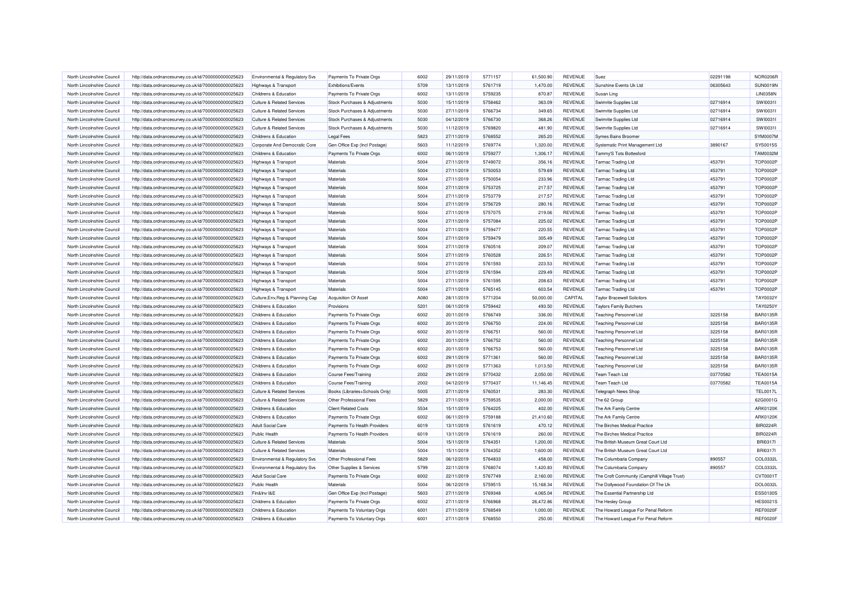| North Lincolnshire Council | http://data.ordnancesurvey.co.uk/id/7000000000025623 | Environmental & Regulatory Svs        | Payments To Private Orgs       | 6002 | 29/11/2019 | 5771157            | 61.500.90 | <b>REVENUE</b> | Suez                                         | 02291198 | <b>NOR0206F</b> |
|----------------------------|------------------------------------------------------|---------------------------------------|--------------------------------|------|------------|--------------------|-----------|----------------|----------------------------------------------|----------|-----------------|
| North Lincolnshire Council | http://data.ordnancesurvey.co.uk/id/7000000000025623 | Highways & Transport                  | <b>Exhibitions/Events</b>      | 5709 | 13/11/2019 | 5761719            | 1,470.00  | <b>REVENUE</b> | Sunshine Events Uk Ltd                       | 06305643 | <b>SUN0019N</b> |
| North Lincolnshire Council | http://data.ordnancesurvey.co.uk/id/7000000000025623 | Childrens & Education                 | Payments To Private Orgs       | 6002 | 13/11/2019 | 5759235            | 870.87    | REVENUE        | Susan Ling                                   |          | <b>LIN0358N</b> |
| North Lincolnshire Council | http://data.ordnancesurvey.co.uk/id/7000000000025623 | <b>Culture &amp; Related Services</b> | Stock Purchases & Adjustments  | 5030 | 15/11/2019 | 5758462            | 363.09    | REVENUE        | Swimrite Supplies Ltd                        | 02716914 | SW 100311       |
| North Lincolnshire Council | http://data.ordnancesurvey.co.uk/id/7000000000025623 | <b>Culture &amp; Related Services</b> | Stock Purchases & Adjustments  | 5030 | 27/11/2019 | 5766734            | 349.65    | REVENUE        | Swimrite Supplies Ltd                        | 02716914 | SW100311        |
| North Lincolnshire Council | http://data.ordnancesurvey.co.uk/id/7000000000025623 | <b>Culture &amp; Related Services</b> | Stock Purchases & Adjustments  | 5030 | 04/12/2019 | 5766730            | 368.26    | <b>REVENUE</b> | Swimrite Supplies Ltd                        | 02716914 | SW 100311       |
| North Lincolnshire Council |                                                      | <b>Culture &amp; Related Services</b> |                                | 5030 | 11/12/2019 | 5769820            | 481.90    | <b>REVENUE</b> |                                              | 02716914 | SW10031         |
|                            | http://data.ordnancesurvey.co.uk/id/7000000000025623 |                                       | Stock Purchases & Adjustments  | 5823 | 27/11/2019 | 5768552            |           | <b>REVENUE</b> | Swimrite Supplies Ltd                        |          | SYM0007M        |
| North Lincolnshire Council | http://data.ordnancesurvey.co.uk/id/7000000000025623 | Childrens & Education                 | <b>Legal Fees</b>              |      |            |                    | 265.20    |                | Symes Bains Broomer                          |          |                 |
| North Lincolnshire Council | http://data.ordnancesurvey.co.uk/id/7000000000025623 | Corporate And Democratic Core         | Gen Office Exp (Incl Postage)  | 5603 | 11/12/2019 | 5769774            | 1,320.00  | <b>REVENUE</b> | Systematic Print Management Ltd              | 3890167  | SYS0015S        |
| North Lincolnshire Council | http://data.ordnancesurvey.co.uk/id/7000000000025623 | Childrens & Education                 | Payments To Private Orgs       | 6002 | 06/11/2019 | 5759277            | 1,306.17  | REVENUE        | Tammy'S Tots Bottesford                      |          | <b>TAM0032M</b> |
| North Lincolnshire Council | http://data.ordnancesurvey.co.uk/id/7000000000025623 | <b>Highways &amp; Transport</b>       | Materials                      | 5004 | 27/11/2019 | 5749072            | 356.16    | <b>REVENUE</b> | <b>Tarmac Trading Ltd</b>                    | 453791   | <b>TOP0002P</b> |
| North Lincolnshire Council | http://data.ordnancesurvey.co.uk/id/7000000000025623 | Highways & Transport                  | Materials                      | 5004 | 27/11/2019 | 5750053            | 579.69    | REVENUE        | <b>Tarmac Trading Ltd</b>                    | 453791   | <b>TOP0002P</b> |
| North Lincolnshire Council | http://data.ordnancesurvey.co.uk/id/7000000000025623 | Highways & Transport                  | Materials                      | 5004 | 27/11/2019 | 5750054            | 233.96    | REVENUE        | <b>Tarmac Trading Ltd</b>                    | 453791   | <b>TOP0002P</b> |
| North Lincolnshire Council | http://data.ordnancesurvey.co.uk/id/7000000000025623 | Highways & Transport                  | Materials                      | 5004 | 27/11/2019 | 5753725            | 217.57    | <b>REVENUE</b> | <b>Tarmac Trading Ltd</b>                    | 453791   | <b>TOP0002P</b> |
| North Lincolnshire Council | http://data.ordnancesurvey.co.uk/id/7000000000025623 | Highways & Transport                  | Materials                      | 5004 | 27/11/2019 | 5753779            | 217.57    | <b>REVENUE</b> | <b>Tarmac Trading Ltd</b>                    | 453791   | <b>TOP0002P</b> |
| North Lincolnshire Council | http://data.ordnancesurvey.co.uk/id/7000000000025623 | Highways & Transport                  | Materials                      | 5004 | 27/11/2019 | 5756729            | 280.16    | <b>REVENUE</b> | <b>Tarmac Trading Ltd</b>                    | 453791   | <b>TOP0002P</b> |
| North Lincolnshire Council | http://data.ordnancesurvey.co.uk/id/7000000000025623 | Highways & Transport                  | Materials                      | 5004 | 27/11/2019 | 5757075            | 219.06    | <b>REVENUE</b> | Tarmac Trading Ltd                           | 453791   | <b>TOP0002P</b> |
| North Lincolnshire Council | http://data.ordnancesurvey.co.uk/id/7000000000025623 | Highways & Transport                  | Materials                      | 5004 | 27/11/2019 | 5757084            | 225.02    | REVENUE        | <b>Tarmac Trading Ltd</b>                    | 453791   | <b>TOP0002P</b> |
| North Lincolnshire Council | http://data.ordnancesurvey.co.uk/id/7000000000025623 | Highways & Transport                  | Materials                      | 5004 | 27/11/2019 | 5759477            | 220.55    | REVENUE        | <b>Tarmac Trading Ltd</b>                    | 453791   | <b>TOP0002P</b> |
| North Lincolnshire Council | http://data.ordnancesurvey.co.uk/id/7000000000025623 | Highways & Transport                  | Materials                      | 5004 | 27/11/2019 | 5759479            | 305.49    | REVENUE        | <b>Tarmac Trading Ltd</b>                    | 453791   | <b>TOP0002F</b> |
| North Lincolnshire Council | http://data.ordnancesurvey.co.uk/id/7000000000025623 | Highways & Transport                  | Materials                      | 5004 | 27/11/2019 | 5760516            | 209.07    | REVENUE        | <b>Tarmac Trading Ltd</b>                    | 453791   | <b>TOP0002P</b> |
| North Lincolnshire Council | http://data.ordnancesurvey.co.uk/id/7000000000025623 | Highways & Transport                  | Materials                      | 5004 | 27/11/2019 | 5760528            | 226.51    | <b>REVENUE</b> | <b>Tarmac Trading Ltd</b>                    | 453791   | <b>TOP0002P</b> |
| North Lincolnshire Council | http://data.ordnancesurvey.co.uk/id/7000000000025623 | <b>Highways &amp; Transport</b>       | Materials                      | 5004 | 27/11/2019 | 5761593            | 223.53    | REVENUE        | <b>Tarmac Trading Ltd</b>                    | 453791   | <b>TOP0002P</b> |
| North Lincolnshire Council | http://data.ordnancesurvey.co.uk/id/7000000000025623 | Highways & Transport                  | Materials                      | 5004 | 27/11/2019 | 5761594            | 229.49    | <b>REVENUE</b> | <b>Tarmac Trading Ltd</b>                    | 453791   | <b>TOP0002P</b> |
| North Lincolnshire Council | http://data.ordnancesurvey.co.uk/id/7000000000025623 | Highways & Transport                  | Materials                      | 5004 | 27/11/2019 | 5761595            | 208.63    | REVENUE        | <b>Tarmac Trading Ltd</b>                    | 453791   | <b>TOP0002P</b> |
| North Lincolnshire Council | http://data.ordnancesurvey.co.uk/id/7000000000025623 | Highways & Transport                  | Materials                      | 5004 | 27/11/2019 | 5765145            | 603.54    | <b>REVENUE</b> | <b>Tarmac Trading Ltd</b>                    | 453791   | <b>TOP0002P</b> |
| North Lincolnshire Council | http://data.ordnancesurvey.co.uk/id/7000000000025623 | Culture, Env, Reg & Planning Cap      | Acquisition Of Asset           | A080 | 28/11/2019 | 5771204            | 50,000.00 | CAPITAL        | <b>Taylor Bracewell Solicitors</b>           |          | TAY0032Y        |
| North Lincolnshire Council | http://data.ordnancesurvey.co.uk/id/7000000000025623 | Childrens & Education                 | Provisions                     | 5201 | 06/11/2019 | 5759442            | 493.50    | <b>REVENUE</b> | <b>Taylors Family Butchers</b>               |          | TAY0250Y        |
|                            |                                                      |                                       |                                |      |            |                    |           |                |                                              |          |                 |
| North Lincolnshire Council | http://data.ordnancesurvey.co.uk/id/7000000000025623 | Childrens & Education                 | Payments To Private Orgs       | 6002 | 20/11/2019 | 5766749            | 336.00    | REVENUE        | <b>Teaching Personnel Ltd</b>                | 3225158  | <b>BAR0135R</b> |
| North Lincolnshire Council | http://data.ordnancesurvey.co.uk/id/7000000000025623 | Childrens & Education                 | Payments To Private Orgs       | 6002 | 20/11/2019 | 5766750            | 224.00    | <b>REVENUE</b> | <b>Teaching Personnel Ltd</b>                | 3225158  | <b>BAR0135R</b> |
| North Lincolnshire Council | http://data.ordnancesurvey.co.uk/id/7000000000025623 | Childrens & Education                 | Payments To Private Orgs       | 6002 | 20/11/2019 | 5766751            | 560.00    | <b>REVENUE</b> | <b>Teaching Personnel Ltd</b>                | 3225158  | <b>BAR0135R</b> |
| North Lincolnshire Council | http://data.ordnancesurvey.co.uk/id/7000000000025623 | Childrens & Education                 | Payments To Private Orgs       | 6002 | 20/11/2019 | 5766752            | 560.00    | REVENUE        | <b>Teaching Personnel Ltd</b>                | 3225158  | <b>BAR0135R</b> |
| North Lincolnshire Council | http://data.ordnancesurvey.co.uk/id/7000000000025623 | Childrens & Education                 | Payments To Private Orgs       | 6002 | 20/11/2019 | 5766753            | 560.00    | REVENUE        | <b>Teaching Personnel Ltd</b>                | 3225158  | <b>BAR0135R</b> |
| North Lincolnshire Council | http://data.ordnancesurvey.co.uk/id/7000000000025623 | Childrens & Education                 | Payments To Private Orgs       | 6002 | 29/11/2019 | 5771361            | 560.00    | <b>REVENUE</b> | <b>Teaching Personnel Ltd</b>                | 3225158  | <b>BAR0135R</b> |
| North Lincolnshire Council | http://data.ordnancesurvey.co.uk/id/7000000000025623 | Childrens & Education                 | Payments To Private Orgs       | 6002 | 29/11/2019 | 5771363            | 1,013.50  | <b>REVENUE</b> | <b>Teaching Personnel Ltd</b>                | 3225158  | <b>BAR0135R</b> |
| North Lincolnshire Council | http://data.ordnancesurvey.co.uk/id/7000000000025623 | Childrens & Education                 | <b>Course Fees/Training</b>    | 2002 | 29/11/2019 | 5770432            | 2,050.00  | REVENUE        | Team Teach Ltd                               | 03770582 | <b>TEA0015A</b> |
| North Lincolnshire Council | http://data.ordnancesurvey.co.uk/id/7000000000025623 | Childrens & Education                 | <b>Course Fees/Training</b>    | 2002 | 04/12/2019 | 5770437            | 11,146.45 | REVENUE        | <b>Team Teach Ltd</b>                        | 03770582 | <b>TEA0015A</b> |
| North Lincolnshire Council | http://data.ordnancesurvey.co.uk/id/7000000000025623 | <b>Culture &amp; Related Services</b> | Books (Libraries+Schools Only) | 5005 | 27/11/2019 | 5760531            | 283.30    | <b>REVENUE</b> | Telegraph News Shop                          |          | <b>TEL0017L</b> |
| North Lincolnshire Council | http://data.ordnancesurvey.co.uk/id/7000000000025623 | <b>Culture &amp; Related Services</b> | Other Professional Fees        | 5829 | 27/11/2019 | 5759535            | 2,000.00  | <b>REVENUE</b> | The 62 Group                                 |          | 62G0001G        |
| North Lincolnshire Council | http://data.ordnancesurvey.co.uk/id/7000000000025623 | Childrens & Education                 | <b>Client Related Costs</b>    | 5534 | 15/11/2019 | 5764225            | 402.00    | <b>REVENUE</b> | The Ark Family Centre                        |          | ARK0120K        |
| North Lincolnshire Council | http://data.ordnancesurvey.co.uk/id/7000000000025623 | Childrens & Education                 | Payments To Private Orgs       | 6002 | 06/11/2019 | 5759188            | 21,410.60 | <b>REVENUE</b> | The Ark Family Centre                        |          | ARK0120K        |
| North Lincolnshire Council | http://data.ordnancesurvey.co.uk/id/7000000000025623 | <b>Adult Social Care</b>              | Payments To Health Providers   | 6019 | 13/11/2019 | 5761619            | 470.12    | REVENUE        | The Birches Medical Practice                 |          | <b>BIR0224R</b> |
| North Lincolnshire Council | http://data.ordnancesurvey.co.uk/id/7000000000025623 | Public Health                         | Payments To Health Providers   | 6019 | 13/11/2019 | 5761619            | 260.00    | <b>REVENUE</b> | The Birches Medical Practice                 |          | <b>BIR0224R</b> |
| North Lincolnshire Council | http://data.ordnancesurvey.co.uk/id/7000000000025623 | <b>Culture &amp; Related Services</b> | Materials                      | 5004 | 15/11/2019 | 5764351            | 1,200.00  | REVENUE        | The British Museum Great Court Ltd           |          | <b>BRI0317I</b> |
| North Lincolnshire Council | http://data.ordnancesurvey.co.uk/id/7000000000025623 | <b>Culture &amp; Related Services</b> | Materials                      | 5004 | 15/11/2019 | 5764352            | 1,600.00  | <b>REVENUE</b> | The British Museum Great Court Ltd           |          | <b>BRI0317I</b> |
| North Lincolnshire Council | http://data.ordnancesurvey.co.uk/id/7000000000025623 | Environmental & Regulatory Svs        | Other Professional Fees        | 5829 | 06/12/2019 | 5764833            | 458.00    | <b>REVENUE</b> | The Columbaria Company                       | 890557   | COL0332L        |
| North Lincolnshire Council | http://data.ordnancesurvey.co.uk/id/7000000000025623 | Environmental & Regulatory Svs        | Other Supplies & Services      | 5799 | 22/11/2019 | 5768074            | 1,420.83  | <b>REVENUE</b> | The Columbaria Company                       | 890557   | COL0332L        |
| North Lincolnshire Council | http://data.ordnancesurvey.co.uk/id/7000000000025623 | <b>Adult Social Care</b>              | Payments To Private Orgs       | 6002 | 22/11/2019 | 5767749            | 2,160.00  | REVENUE        | The Croft Community (Camphill Village Trust) |          | CVT0001T        |
| North Lincolnshire Council | http://data.ordnancesurvey.co.uk/id/7000000000025623 | <b>Public Health</b>                  | Materials                      | 5004 | 06/12/2019 | 5759515            | 15,168.34 | REVENUE        | The Dollywood Foundation Of The Uk           |          | DOL0032L        |
| North Lincolnshire Council | http://data.ordnancesurvey.co.uk/id/7000000000025623 | Fin&Inv I&E                           | Gen Office Exp (Incl Postage)  | 5603 | 27/11/2019 | 5769348            | 4,065.04  | REVENUE        | The Essential Partnership Ltd                |          | ESS0130S        |
| North Lincolnshire Council |                                                      | Childrens & Education                 |                                | 6002 | 27/11/2019 | 5766968            | 26,472.86 | <b>REVENUE</b> |                                              |          | <b>HES0021S</b> |
|                            | http://data.ordnancesurvey.co.uk/id/7000000000025623 |                                       | Payments To Private Orgs       |      |            |                    |           |                | The Hesley Group                             |          |                 |
| North Lincolnshire Council | http://data.ordnancesurvey.co.uk/id/7000000000025623 | Childrens & Education                 | Payments To Voluntary Orgs     | 6001 | 27/11/2019 | 5768549<br>5768550 | 1,000.00  | <b>REVENUE</b> | The Howard League For Penal Reform           |          | <b>REF0020F</b> |
| North Lincolnshire Council | http://data.ordnancesurvey.co.uk/id/7000000000025623 | Childrens & Education                 | Payments To Voluntary Orgs     | 6001 | 27/11/2019 |                    | 250.00    | REVENUE        | The Howard League For Penal Reform           |          | <b>REF0020F</b> |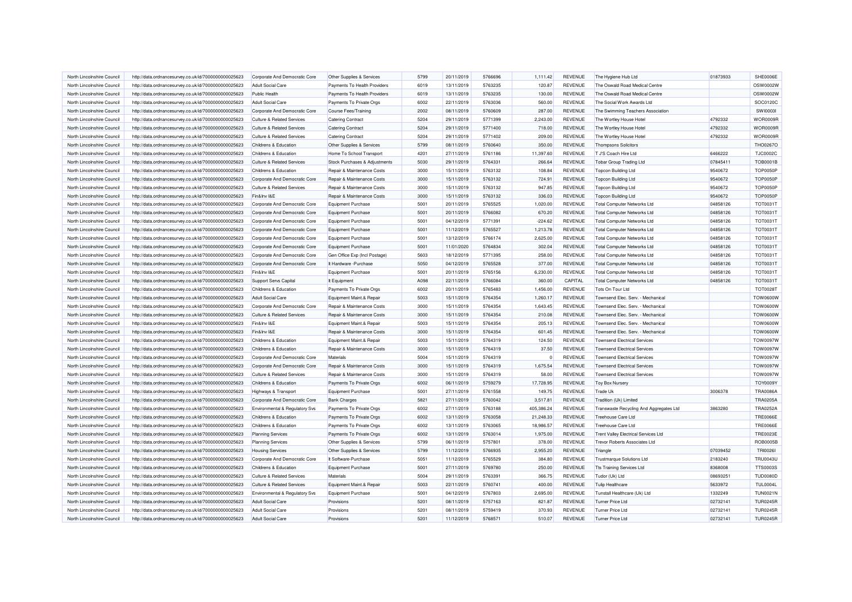| North Lincolnshire Council                               | http://data.ordnancesurvey.co.uk/id/7000000000025623                                                         | Corporate And Democratic Core                                   | Other Supplies & Services                            | 5799         | 20/11/2019               | 5766696            | 1.111.42               | REVENUE                          | The Hygiene Hub Ltd                             | 01873933 | SHE0006E        |
|----------------------------------------------------------|--------------------------------------------------------------------------------------------------------------|-----------------------------------------------------------------|------------------------------------------------------|--------------|--------------------------|--------------------|------------------------|----------------------------------|-------------------------------------------------|----------|-----------------|
| North Lincolnshire Council                               | http://data.ordnancesurvey.co.uk/id/7000000000025623                                                         | <b>Adult Social Care</b>                                        | Payments To Health Providers                         | 6019         | 13/11/2019               | 5763235            | 120.87                 | <b>REVENUE</b>                   | The Oswald Road Medical Centre                  |          | OSW0002W        |
| North Lincolnshire Council                               | http://data.ordnancesurvey.co.uk/id/7000000000025623                                                         | Public Health                                                   | Payments To Health Providers                         | 6019         | 13/11/2019               | 5763235            | 130.00                 | REVENUE                          | The Oswald Road Medical Centre                  |          | OSW0002W        |
| North Lincolnshire Council                               | http://data.ordnancesurvey.co.uk/id/7000000000025623                                                         | <b>Adult Social Care</b>                                        | Payments To Private Orgs                             | 6002         | 22/11/2019               | 5763036            | 560.00                 | <b>REVENUE</b>                   | The Social Work Awards Ltd                      |          | SOC0120C        |
| North Lincolnshire Council                               | http://data.ordnancesurvey.co.uk/id/7000000000025623                                                         | Corporate And Democratic Core                                   | Course Fees/Training                                 | 2002         | 08/11/2019               | 5760609            | 287.00                 | <b>REVENUE</b>                   | The Swimming Teachers Association               |          | <b>SW100031</b> |
| North Lincolnshire Council                               | http://data.ordnancesurvey.co.uk/id/7000000000025623                                                         | <b>Culture &amp; Related Services</b>                           | <b>Catering Contract</b>                             | 5204         | 29/11/2019               | 5771399            | 2,243.00               | REVENUE                          | The Wortley House Hotel                         | 4792332  | WOR0009R        |
| North Lincolnshire Council                               | http://data.ordnancesurvey.co.uk/id/7000000000025623                                                         | <b>Culture &amp; Related Services</b>                           | <b>Catering Contract</b>                             | 5204         | 29/11/2019               | 5771400            | 718.00                 | <b>REVENUE</b>                   | The Wortley House Hotel                         | 4792332  | WOR0009R        |
| North Lincolnshire Council                               | http://data.ordnancesurvey.co.uk/id/7000000000025623                                                         | <b>Culture &amp; Related Services</b>                           | <b>Catering Contract</b>                             | 5204         | 29/11/2019               | 5771402            | 209.00                 | <b>REVENUE</b>                   | The Wortley House Hotel                         | 4792332  | WOR0009F        |
| North Lincolnshire Council                               | http://data.ordnancesurvey.co.uk/id/7000000000025623                                                         | Childrens & Education                                           | Other Supplies & Services                            | 5799         | 08/11/2019               | 5760640            | 350.00                 | <b>REVENUE</b>                   | <b>Thompsons Solicitors</b>                     |          | THO0267C        |
| North Lincolnshire Council                               | http://data.ordnancesurvey.co.uk/id/7000000000025623                                                         | Childrens & Education                                           | Home To School Transport                             | 4201         | 27/11/2019               | 5761186            | 11,397.60              | <b>REVENUE</b>                   | T J'S Coach Hire Ltd                            | 6466222  | <b>TJC0002C</b> |
| North Lincolnshire Council                               | http://data.ordnancesurvey.co.uk/id/7000000000025623                                                         | <b>Culture &amp; Related Services</b>                           | Stock Purchases & Adjustments                        | 5030         | 29/11/2019               | 5764331            | 266.64                 | <b>REVENUE</b>                   | <b>Tobar Group Trading Ltd</b>                  | 07845411 | <b>TOB0001B</b> |
| North Lincolnshire Council                               | http://data.ordnancesurvey.co.uk/id/7000000000025623                                                         | Childrens & Education                                           | Repair & Maintenance Costs                           | 3000         | 15/11/2019               | 5763132            | 108.84                 | REVENUE                          | <b>Topcon Building Ltd</b>                      | 9540672  | <b>TOP0050P</b> |
| North Lincolnshire Council                               | http://data.ordnancesurvey.co.uk/id/7000000000025623                                                         | Corporate And Democratic Core                                   | Repair & Maintenance Costs                           | 3000         | 15/11/2019               | 5763132            | 724.91                 | <b>REVENUE</b>                   | Topcon Building Ltd                             | 9540672  | TOP0050P        |
| North Lincolnshire Council                               | http://data.ordnancesurvey.co.uk/id/7000000000025623                                                         | <b>Culture &amp; Related Services</b>                           | Repair & Maintenance Costs                           | 3000         | 15/11/2019               | 5763132            | 947.85                 | <b>REVENUE</b>                   | <b>Topcon Building Ltd</b>                      | 9540672  | <b>TOP0050P</b> |
| North Lincolnshire Council                               | http://data.ordnancesurvey.co.uk/id/7000000000025623                                                         | Fin&Inv I&E                                                     | Repair & Maintenance Costs                           | 3000         | 15/11/2019               | 5763132            | 336.03                 | <b>REVENUE</b>                   | <b>Topcon Building Ltd</b>                      | 9540672  | <b>TOP0050P</b> |
| North Lincolnshire Council                               | http://data.ordnancesurvey.co.uk/id/7000000000025623                                                         | Corporate And Democratic Core                                   | <b>Equipment Purchase</b>                            | 5001         | 20/11/2019               | 5765525            | 1,020.00               | <b>REVENUE</b>                   | <b>Total Computer Networks Ltd</b>              | 04858126 | <b>TOT0031T</b> |
| North Lincolnshire Council                               | http://data.ordnancesurvey.co.uk/id/7000000000025623                                                         | Corporate And Democratic Core                                   | <b>Equipment Purchase</b>                            | 5001         | 20/11/2019               | 5766082            | 670.20                 | REVENUE                          | <b>Total Computer Networks Ltd</b>              | 04858126 | <b>TOT0031T</b> |
| North Lincolnshire Council                               | http://data.ordnancesurvey.co.uk/id/7000000000025623                                                         | Corporate And Democratic Core                                   | <b>Equipment Purchase</b>                            | 5001         | 04/12/2019               | 5771391            | $-224.62$              | <b>REVENUE</b>                   | <b>Total Computer Networks Ltd</b>              | 04858126 | <b>TOT0031T</b> |
| North Lincolnshire Council                               | http://data.ordnancesurvey.co.uk/id/7000000000025623                                                         | Corporate And Democratic Core                                   | <b>Equipment Purchase</b>                            | 5001         | 11/12/2019               | 5765527            | 1,213.78               | <b>REVENUE</b>                   | <b>Total Computer Networks Ltd</b>              | 04858126 | <b>TOT0031T</b> |
| North Lincolnshire Council                               | http://data.ordnancesurvey.co.uk/id/7000000000025623                                                         | Corporate And Democratic Core                                   | <b>Equipment Purchase</b>                            | 5001         | 13/12/2019               | 5766174            | 2.625.00               | <b>REVENUE</b>                   | <b>Total Computer Networks Ltd</b>              | 04858126 | <b>TOT0031T</b> |
| North Lincolnshire Council                               | http://data.ordnancesurvey.co.uk/id/7000000000025623                                                         | Corporate And Democratic Core                                   | <b>Equipment Purchase</b>                            | 5001         | 11/01/2020               | 5764834            | 302.04                 | <b>REVENUE</b>                   | <b>Total Computer Networks Ltd</b>              | 04858126 | <b>TOT0031T</b> |
| North Lincolnshire Council                               | http://data.ordnancesurvey.co.uk/id/7000000000025623                                                         | Corporate And Democratic Core                                   | Gen Office Exp (Incl Postage)                        | 5603         | 18/12/2019               | 5771395            | 258.00                 | <b>REVENUE</b>                   | <b>Total Computer Networks Ltd</b>              | 04858126 | <b>TOT0031T</b> |
| North Lincolnshire Council                               | http://data.ordnancesurvey.co.uk/id/7000000000025623                                                         | Corporate And Democratic Core                                   | It Hardware - Purchase                               | 5050         | 04/12/2019               | 5765528            | 377.00                 | <b>REVENUE</b>                   | <b>Total Computer Networks Ltd</b>              | 04858126 | <b>TOT0031T</b> |
| North Lincolnshire Council                               | http://data.ordnancesurvey.co.uk/id/7000000000025623                                                         | Fin&Inv I&E                                                     | <b>Equipment Purchase</b>                            | 5001         | 20/11/2019               | 5765156            | 6,230.00               | <b>REVENUE</b>                   | <b>Total Computer Networks Ltd</b>              | 04858126 | <b>TOT0031T</b> |
| North Lincolnshire Council                               | http://data.ordnancesurvey.co.uk/id/7000000000025623                                                         | <b>Support Servs Capital</b>                                    | It Equipment                                         | A098         | 22/11/2019               | 5766084            | 360.00                 | CAPITAL                          | <b>Total Computer Networks Ltd</b>              | 04858126 | <b>TOT0031T</b> |
| North Lincolnshire Council                               | http://data.ordnancesurvey.co.uk/id/7000000000025623                                                         | Childrens & Education                                           | Payments To Private Orgs                             | 6002         | 20/11/2019               | 5765483            | 1,456.00               | <b>REVENUE</b>                   | Tots On Tour Ltd                                |          | <b>TOT0028T</b> |
| North Lincolnshire Council                               | http://data.ordnancesurvey.co.uk/id/7000000000025623                                                         | <b>Adult Social Care</b>                                        | Equipment Maint.& Repair                             | 5003         | 15/11/2019               | 5764354            | 1,260.17               | <b>REVENUE</b>                   | Townsend Elec. Serv. - Mechanical               |          | <b>TOW0600W</b> |
| North Lincolnshire Council                               | http://data.ordnancesurvey.co.uk/id/7000000000025623                                                         | Corporate And Democratic Core                                   | Repair & Maintenance Costs                           | 3000         | 15/11/2019               | 5764354            | 1,643.45               | <b>REVENUE</b>                   | Townsend Flec. Serv. - Mechanica                |          | <b>TOW0600W</b> |
| North Lincolnshire Council                               | http://data.ordnancesurvey.co.uk/id/7000000000025623                                                         | <b>Culture &amp; Related Services</b>                           | Repair & Maintenance Costs                           | 3000         | 15/11/2019               | 5764354            | 210.08                 | <b>REVENUE</b>                   | Townsend Elec. Serv. - Mechanical               |          | <b>TOW0600W</b> |
| North Lincolnshire Council                               | http://data.ordnancesurvey.co.uk/id/7000000000025623                                                         | Fin&Inv I&E                                                     | Equipment Maint.& Repair                             | 5003         | 15/11/2019               | 5764354            | 205.13                 | REVENUE                          | Townsend Elec. Serv. - Mechanical               |          | <b>TOW0600W</b> |
| North Lincolnshire Council                               | http://data.ordnancesurvey.co.uk/id/7000000000025623                                                         | Fin&Inv I&E                                                     | Repair & Maintenance Costs                           | 3000         | 15/11/2019               | 5764354            | 601.45                 | <b>REVENUE</b>                   | Townsend Elec. Serv. - Mechanical               |          | <b>TOW0600W</b> |
| North Lincolnshire Council                               | http://data.ordnancesurvey.co.uk/id/7000000000025623                                                         | Childrens & Education                                           | Equipment Maint.& Repair                             | 5003         | 15/11/2019               | 5764319            | 124.50                 | <b>REVENUE</b>                   | <b>Townsend Electrical Services</b>             |          | <b>TOW0097W</b> |
| North Lincolnshire Council                               | http://data.ordnancesurvey.co.uk/id/7000000000025623                                                         | Childrens & Education                                           | Repair & Maintenance Costs                           | 3000         | 15/11/2019               | 5764319            | 37.50                  | <b>REVENUE</b>                   | <b>Townsend Electrical Services</b>             |          | <b>TOW0097W</b> |
| North Lincolnshire Council                               | http://data.ordnancesurvey.co.uk/id/7000000000025623                                                         | Corporate And Democratic Core                                   | Materials                                            | 5004         | 15/11/2019               | 5764319            | c                      | <b>REVENUE</b>                   | <b>Townsend Electrical Services</b>             |          | <b>TOW0097W</b> |
| North Lincolnshire Council                               |                                                                                                              | Corporate And Democratic Core                                   | Repair & Maintenance Costs                           | 3000         | 15/11/2019               | 5764319            | 1,675.54               | <b>REVENUE</b>                   | <b>Townsend Electrical Services</b>             |          | <b>TOW0097W</b> |
|                                                          | http://data.ordnancesurvey.co.uk/id/7000000000025623                                                         |                                                                 |                                                      |              |                          |                    |                        |                                  |                                                 |          | TOW0097W        |
| North Lincolnshire Council<br>North Lincolnshire Council | http://data.ordnancesurvey.co.uk/id/7000000000025623                                                         | <b>Culture &amp; Related Services</b><br>Childrens & Education  | Repair & Maintenance Costs                           | 3000<br>6002 | 15/11/2019<br>06/11/2019 | 5764319<br>5759279 | 58.00<br>17,728.95     | REVENUE<br><b>REVENUE</b>        | <b>Townsend Electrical Services</b>             |          | <b>TOY0009Y</b> |
| North Lincolnshire Council                               | http://data.ordnancesurvey.co.uk/id/7000000000025623                                                         |                                                                 | Payments To Private Orgs                             | 5001         |                          | 5761558            |                        |                                  | <b>Toy Box Nursery</b>                          |          | <b>TRA0086A</b> |
| North Lincolnshire Council                               | http://data.ordnancesurvey.co.uk/id/7000000000025623                                                         | Highways & Transport                                            | <b>Equipment Purchase</b><br><b>Bank Charges</b>     | 5821         | 27/11/2019<br>27/11/2019 | 5760042            | 149.75<br>3,517.81     | REVENUE                          | Trade Uk                                        | 3006378  | <b>TRA0205A</b> |
| North Lincolnshire Council                               | http://data.ordnancesurvey.co.uk/id/7000000000025623<br>http://data.ordnancesurvey.co.uk/id/7000000000025623 | Corporate And Democratic Core<br>Environmental & Regulatory Svs | Payments To Private Orgs                             | 6002         | 27/11/2019               | 5763188            | 405,386.24             | REVENUE<br><b>REVENUE</b>        | Tradition (Uk) Limited                          | 3863280  | <b>TRA0252A</b> |
|                                                          |                                                                                                              |                                                                 |                                                      |              |                          | 5763058            |                        |                                  | Transwaste Recycling And Aggregates Ltd         |          | <b>TRE0066E</b> |
| North Lincolnshire Council<br>North Lincolnshire Council | http://data.ordnancesurvey.co.uk/id/7000000000025623                                                         | Childrens & Education<br>Childrens & Education                  | Payments To Private Orgs                             | 6002<br>6002 | 13/11/2019<br>13/11/2019 | 5763065            | 21,248.33<br>18,986.57 | <b>REVENUE</b><br><b>REVENUE</b> | <b>Treehouse Care Ltd</b><br>Treehouse Care Ltd |          | <b>TRE0066E</b> |
| North Lincolnshire Council                               | http://data.ordnancesurvey.co.uk/id/7000000000025623<br>http://data.ordnancesurvey.co.uk/id/7000000000025623 | <b>Planning Services</b>                                        | Payments To Private Orgs<br>Payments To Private Orgs | 6002         | 13/11/2019               | 5763014            | 1,975.00               | <b>REVENUE</b>                   | <b>Trent Valley Electrical Services Ltd</b>     |          | <b>TRE0023E</b> |
|                                                          |                                                                                                              |                                                                 |                                                      |              |                          |                    |                        |                                  |                                                 |          | <b>ROB0005B</b> |
| North Lincolnshire Council                               | http://data.ordnancesurvey.co.uk/id/7000000000025623                                                         | <b>Planning Services</b>                                        | Other Supplies & Services                            | 5799         | 06/11/2019               | 5757801            | 378.00                 | REVENUE                          | <b>Trevor Roberts Associates Ltd</b>            |          |                 |
| North Lincolnshire Council                               | http://data.ordnancesurvey.co.uk/id/7000000000025623                                                         | <b>Housing Services</b>                                         | Other Supplies & Services                            | 5799         | 11/12/2019               | 5766935            | 2,955.20               | <b>REVENUE</b>                   | Triangle                                        | 07039452 | <b>TRI00261</b> |
| North Lincolnshire Council                               | http://data.ordnancesurvey.co.uk/id/7000000000025623                                                         | Corporate And Democratic Core                                   | It Software-Purchase                                 | 5051         | 11/12/2019               | 5765529            | 384.80                 | <b>REVENUE</b>                   | <b>Trustmarque Solutions Ltd</b>                | 2183240  | <b>TRU0043U</b> |
| North Lincolnshire Council                               | http://data.ordnancesurvey.co.uk/id/7000000000025623                                                         | Childrens & Education                                           | Equipment Purchase                                   | 5001         | 27/11/2019               | 5769780            | 250.00                 | REVENUE                          | <b>Tts Training Services Ltd</b>                | 8368008  | <b>TTS0003S</b> |
| North Lincolnshire Council                               | http://data.ordnancesurvey.co.uk/id/7000000000025623                                                         | <b>Culture &amp; Related Services</b>                           | Materials                                            | 5004         | 29/11/2019               | 5763391            | 366.75                 | <b>REVENUE</b>                   | Tudor (Uk) Ltd                                  | 08693251 | <b>TUD0080D</b> |
| North Lincolnshire Council                               | http://data.ordnancesurvey.co.uk/id/7000000000025623                                                         | <b>Culture &amp; Related Services</b>                           | Equipment Maint.& Repair                             | 5003         | 22/11/2019               | 5760741            | 400.00                 | <b>REVENUE</b>                   | <b>Tulip Healthcare</b>                         | 5633972  | <b>TUL0004L</b> |
| North Lincolnshire Council                               | http://data.ordnancesurvey.co.uk/id/7000000000025623                                                         | Environmental & Regulatory Svs                                  | Equipment Purchase                                   | 5001         | 04/12/2019               | 5767803            | 2,695.00               | <b>REVENUE</b>                   | Tunstall Healthcare (Uk) Ltd                    | 1332249  | <b>TUN0021N</b> |
| North Lincolnshire Council                               | http://data.ordnancesurvey.co.uk/id/7000000000025623                                                         | <b>Adult Social Care</b>                                        | Provisions                                           | 5201         | 08/11/2019               | 5757163            | 821.87                 | <b>REVENUE</b>                   | <b>Turner Price Ltd</b>                         | 02732141 | <b>TUR0245R</b> |
| North Lincolnshire Council                               | http://data.ordnancesurvey.co.uk/id/7000000000025623                                                         | <b>Adult Social Care</b>                                        | Provisions                                           | 5201         | 08/11/2019               | 5759419            | 370.93                 | <b>REVENUE</b>                   | <b>Turner Price Ltd</b>                         | 02732141 | <b>TUR0245R</b> |
| North Lincolnshire Council                               | http://data.ordnancesurvey.co.uk/id/7000000000025623                                                         | <b>Adult Social Care</b>                                        | Provisions                                           | 5201         | 11/12/2019               | 5768571            | 510.07                 | <b>REVENUE</b>                   | <b>Turner Price Ltd</b>                         | 02732141 | <b>TUR0245R</b> |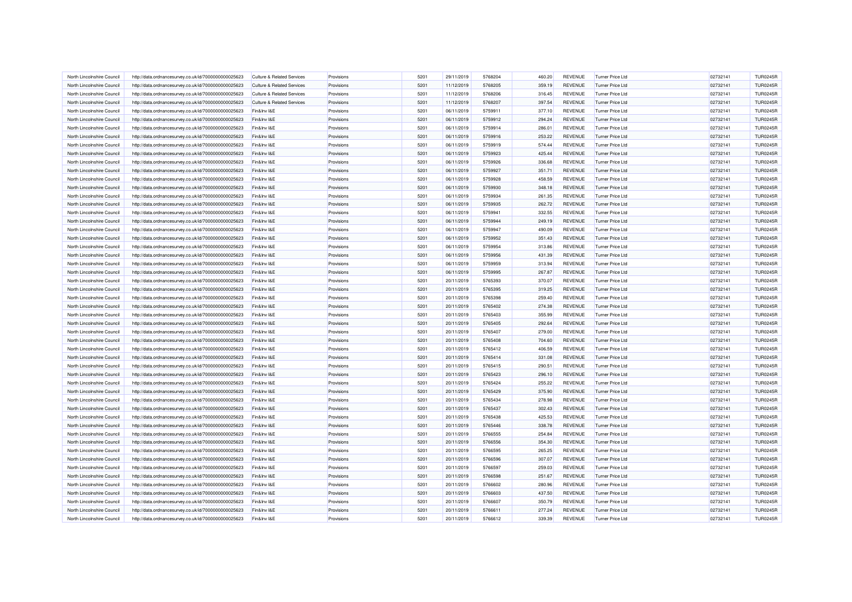| North Lincolnshire Council | http://data.ordnancesurvey.co.uk/id/7000000000025623 | <b>Culture &amp; Related Services</b> | Provisions | 5201 | 29/11/2019 | 5768204 | 460.20 | <b>REVENUE</b> | <b>Turner Price Ltd</b> | 02732141 | <b>TUR0245R</b> |
|----------------------------|------------------------------------------------------|---------------------------------------|------------|------|------------|---------|--------|----------------|-------------------------|----------|-----------------|
| North Lincolnshire Council | http://data.ordnancesurvey.co.uk/id/7000000000025623 | <b>Culture &amp; Related Services</b> | Provisions | 5201 | 11/12/2019 | 5768205 | 359.19 | <b>REVENUE</b> | <b>Turner Price Ltd</b> | 02732141 | <b>TUR0245R</b> |
| North Lincolnshire Council |                                                      | Culture & Related Services            | Provisions | 5201 | 11/12/2019 | 5768206 | 316.45 | <b>REVENUE</b> | Turner Price I td       | 02732141 | <b>TUR0245R</b> |
|                            | http://data.ordnancesurvey.co.uk/id/7000000000025623 |                                       |            |      |            |         |        |                |                         |          |                 |
| North Lincolnshire Council | http://data.ordnancesurvey.co.uk/id/7000000000025623 | <b>Culture &amp; Related Services</b> | Provisions | 5201 | 11/12/2019 | 5768207 | 397.54 | <b>REVENUE</b> | <b>Turner Price Ltd</b> | 02732141 | <b>TUR0245R</b> |
| North Lincolnshire Council | http://data.ordnancesurvey.co.uk/id/7000000000025623 | Fin&Inv I&E                           | Provisions | 5201 | 06/11/2019 | 5759911 | 377.10 | REVENUE        | <b>Turner Price Ltd</b> | 02732141 | <b>TUR0245R</b> |
| North Lincolnshire Council | http://data.ordnancesurvey.co.uk/id/7000000000025623 | Fin&Inv I&E                           | Provisions | 5201 | 06/11/2019 | 5759912 | 294.24 | REVENUE        | <b>Turner Price Ltd</b> | 02732141 | <b>TUR0245R</b> |
| North Lincolnshire Council | http://data.ordnancesurvey.co.uk/id/7000000000025623 | Fin&Inv I&E                           | Provisions | 5201 | 06/11/2019 | 5759914 | 286.01 | <b>REVENUE</b> | <b>Turner Price Ltd</b> | 02732141 | <b>TUR0245R</b> |
| North Lincolnshire Council | http://data.ordnancesurvey.co.uk/id/7000000000025623 | Fin&Inv I&E                           | Provisions | 5201 | 06/11/2019 | 5759916 | 253.22 | <b>REVENUE</b> | <b>Turner Price Ltd</b> | 02732141 | <b>TUR0245R</b> |
| North Lincolnshire Council | http://data.ordnancesurvey.co.uk/id/7000000000025623 | Fin&Inv I&E                           | Provisions | 5201 | 06/11/2019 | 5759919 | 574.44 | <b>REVENUE</b> | Turner Price I td       | 02732141 | <b>TUR0245R</b> |
| North Lincolnshire Council | http://data.ordnancesurvey.co.uk/id/7000000000025623 | Fin&Inv I&E                           | Provisions | 5201 | 06/11/2019 | 5759923 | 425.44 | <b>REVENUE</b> | <b>Turner Price Ltd</b> | 02732141 | <b>TUR0245R</b> |
| North Lincolnshire Council | http://data.ordnancesurvey.co.uk/id/7000000000025623 | Fin&Inv I&E                           | Provisions | 5201 | 06/11/2019 | 5759926 | 336.68 | <b>REVENUE</b> | <b>Turner Price Ltd</b> | 02732141 | <b>TUR0245R</b> |
| North Lincolnshire Council | http://data.ordnancesurvey.co.uk/id/7000000000025623 | Fin&Inv I&E                           | Provisions | 5201 | 06/11/2019 | 5759927 | 351.71 | REVENUE        | <b>Turner Price Ltd</b> | 02732141 | <b>TUR0245R</b> |
| North Lincolnshire Council | http://data.ordnancesurvey.co.uk/id/7000000000025623 | Fin&Inv I&E                           | Provisions | 5201 | 06/11/2019 | 5759928 | 458.59 | REVENUE        | <b>Turner Price Ltd</b> | 02732141 | <b>TUR0245R</b> |
| North Lincolnshire Council | http://data.ordnancesurvey.co.uk/id/7000000000025623 | Fin&Inv I&F                           | Provisions | 5201 | 06/11/2019 | 5759930 | 348.18 | REVENUE        | Turner Price Ltd        | 02732141 | <b>TUR0245R</b> |
| North Lincolnshire Council | http://data.ordnancesurvey.co.uk/id/7000000000025623 | Fin&Inv I&E                           | Provisions | 5201 | 06/11/2019 | 5759934 | 261.35 | REVENUE        | <b>Turner Price Ltd</b> | 02732141 | <b>TUR0245R</b> |
| North Lincolnshire Council | http://data.ordnancesurvey.co.uk/id/7000000000025623 | Fin&Inv I&E                           | Provisions | 5201 | 06/11/2019 | 5759935 | 262.72 | <b>REVENUE</b> | <b>Turner Price Ltd</b> | 02732141 | <b>TUR0245R</b> |
| North Lincolnshire Council | http://data.ordnancesurvey.co.uk/id/7000000000025623 | Fin&Inv I&E                           | Provisions | 5201 | 06/11/2019 | 5759941 | 332.55 | <b>REVENUE</b> | Turner Price I td       | 02732141 | <b>TUR0245R</b> |
| North Lincolnshire Council | http://data.ordnancesurvey.co.uk/id/7000000000025623 | Fin&Inv I&E                           | Provisions | 5201 | 06/11/2019 | 5759944 | 249.19 | <b>REVENUE</b> | <b>Turner Price Ltd</b> | 02732141 | <b>TUR0245R</b> |
| North Lincolnshire Council | http://data.ordnancesurvey.co.uk/id/7000000000025623 | Fin&Inv I&E                           | Provisions | 5201 | 06/11/2019 | 5759947 | 490.09 | REVENUE        | <b>Turner Price Ltd</b> | 02732141 | <b>TUR0245R</b> |
| North Lincolnshire Council | http://data.ordnancesurvey.co.uk/id/7000000000025623 | Fin&Inv I&E                           | Provisions | 5201 | 06/11/2019 | 5759952 | 351.43 | REVENUE        | <b>Turner Price Ltd</b> | 02732141 | <b>TUR0245R</b> |
| North Lincolnshire Council | http://data.ordnancesurvey.co.uk/id/7000000000025623 | Fin&Inv I&E                           | Provisions | 5201 | 06/11/2019 | 5759954 | 313.86 | REVENUE        | <b>Turner Price Ltd</b> | 02732141 | <b>TUR0245R</b> |
| North Lincolnshire Council | http://data.ordnancesurvey.co.uk/id/7000000000025623 | Fin&Inv I&E                           | Provisions | 5201 | 06/11/2019 | 5759956 | 431.39 | REVENUE        | Turner Price Ltd        | 02732141 | <b>TUR0245R</b> |
| North Lincolnshire Council | http://data.ordnancesurvey.co.uk/id/7000000000025623 | Fin&Inv I&E                           | Provisions | 5201 | 06/11/2019 | 5759959 | 313.94 | REVENUE        | Turner Price Ltd        | 02732141 | <b>TUR0245R</b> |
| North Lincolnshire Council | http://data.ordnancesurvey.co.uk/id/7000000000025623 | Fin&Inv I&E                           | Provisions | 5201 | 06/11/2019 | 5759995 | 267.87 | <b>REVENUE</b> | <b>Turner Price Ltd</b> | 02732141 | <b>TUR0245R</b> |
| North Lincolnshire Council | http://data.ordnancesurvey.co.uk/id/7000000000025623 | Fin&Inv I&E                           | Provisions | 5201 | 20/11/2019 | 5765393 | 370.07 | REVENUE        | <b>Turner Price Ltd</b> | 02732141 | <b>TUR0245R</b> |
| North Lincolnshire Council | http://data.ordnancesurvey.co.uk/id/7000000000025623 | Fin&Inv I&E                           | Provisions | 5201 | 20/11/2019 | 5765395 | 319.25 | <b>REVENUE</b> | <b>Turner Price Ltd</b> | 02732141 | <b>TUR0245R</b> |
| North Lincolnshire Council | http://data.ordnancesurvey.co.uk/id/7000000000025623 | Fin&Inv I&E                           | Provisions | 5201 | 20/11/2019 | 5765398 | 259.40 | <b>REVENUE</b> | <b>Turner Price Ltd</b> | 02732141 | <b>TUR0245R</b> |
| North Lincolnshire Council | http://data.ordnancesurvey.co.uk/id/7000000000025623 | Fin&Inv I&E                           | Provisions | 5201 | 20/11/2019 | 5765402 | 274.38 | <b>REVENUE</b> | Turner Price I td       | 02732141 | <b>TUR0245R</b> |
| North Lincolnshire Council | http://data.ordnancesurvey.co.uk/id/7000000000025623 | Fin&Inv I&E                           | Provisions | 5201 | 20/11/2019 | 5765403 | 355.99 | REVENUE        | Turner Price Ltd        | 02732141 | <b>TUR0245R</b> |
| North Lincolnshire Council | http://data.ordnancesurvey.co.uk/id/7000000000025623 | Fin&Inv I&E                           |            | 5201 | 20/11/2019 | 5765405 | 292.64 | REVENUE        | <b>Turner Price Ltd</b> | 02732141 | <b>TUR0245R</b> |
| North Lincolnshire Council |                                                      |                                       | Provisions |      |            |         |        |                |                         |          |                 |
|                            | http://data.ordnancesurvey.co.uk/id/7000000000025623 | Fin&Inv I&E                           | Provisions | 5201 | 20/11/2019 | 5765407 | 279.00 | REVENUE        | <b>Turner Price Ltd</b> | 02732141 | <b>TUR0245R</b> |
| North Lincolnshire Council | http://data.ordnancesurvey.co.uk/id/7000000000025623 | Fin&Inv I&E                           | Provisions | 5201 | 20/11/2019 | 5765408 | 704.60 | <b>REVENUE</b> | <b>Turner Price Ltd</b> | 02732141 | <b>TUR0245R</b> |
| North Lincolnshire Council | http://data.ordnancesurvey.co.uk/id/7000000000025623 | Fin&Inv I&E                           | Provisions | 5201 | 20/11/2019 | 5765412 | 406.59 | REVENUE        | <b>Turner Price Ltd</b> | 02732141 | <b>TUR0245R</b> |
| North Lincolnshire Council | http://data.ordnancesurvey.co.uk/id/7000000000025623 | Fin&Inv I&E                           | Provisions | 5201 | 20/11/2019 | 5765414 | 331.08 | <b>REVENUE</b> | <b>Turner Price Ltd</b> | 02732141 | <b>TUR0245R</b> |
| North Lincolnshire Council | http://data.ordnancesurvey.co.uk/id/7000000000025623 | Fin&Inv I&E                           | Provisions | 5201 | 20/11/2019 | 5765415 | 290.51 | <b>REVENUE</b> | <b>Turner Price Ltd</b> | 02732141 | <b>TUR0245R</b> |
| North Lincolnshire Council | http://data.ordnancesurvey.co.uk/id/7000000000025623 | Fin&Inv I&E                           | Provisions | 5201 | 20/11/2019 | 5765423 | 296.10 | <b>REVENUE</b> | <b>Turner Price Ltd</b> | 02732141 | <b>TUR0245R</b> |
| North Lincolnshire Council | http://data.ordnancesurvey.co.uk/id/7000000000025623 | Fin&Inv I&E                           | Provisions | 5201 | 20/11/2019 | 5765424 | 255.22 | REVENUE        | <b>Turner Price Ltd</b> | 02732141 | <b>TUR0245R</b> |
| North Lincolnshire Council | http://data.ordnancesurvey.co.uk/id/7000000000025623 | Fin&Inv I&E                           | Provisions | 5201 | 20/11/2019 | 5765429 | 375.90 | <b>REVENUE</b> | <b>Turner Price Ltd</b> | 02732141 | <b>TUR0245R</b> |
| North Lincolnshire Council | http://data.ordnancesurvey.co.uk/id/7000000000025623 | Fin&Inv I&E                           | Provisions | 5201 | 20/11/2019 | 5765434 | 278.98 | REVENUE        | <b>Turner Price Ltd</b> | 02732141 | <b>TUR0245R</b> |
| North Lincolnshire Council | http://data.ordnancesurvey.co.uk/id/7000000000025623 | Fin&Inv I&E                           | Provisions | 5201 | 20/11/2019 | 5765437 | 302.43 | <b>REVENUE</b> | <b>Turner Price Ltd</b> | 02732141 | <b>TUR0245R</b> |
| North Lincolnshire Council | http://data.ordnancesurvey.co.uk/id/7000000000025623 | Fin&Inv I&E                           | Provisions | 5201 | 20/11/2019 | 5765438 | 425.53 | <b>REVENUE</b> | <b>Turner Price Ltd</b> | 02732141 | <b>TUR0245R</b> |
| North Lincolnshire Council | http://data.ordnancesurvey.co.uk/id/7000000000025623 | Fin&Inv I&E                           | Provisions | 5201 | 20/11/2019 | 5765446 | 338.78 | <b>REVENUE</b> | <b>Turner Price Ltd</b> | 02732141 | <b>TUR0245R</b> |
| North Lincolnshire Council | http://data.ordnancesurvey.co.uk/id/7000000000025623 | Fin&Inv I&E                           | Provisions | 5201 | 20/11/2019 | 5766555 | 254.84 | <b>REVENUE</b> | <b>Turner Price Ltd</b> | 02732141 | <b>TUR0245R</b> |
| North Lincolnshire Council | http://data.ordnancesurvey.co.uk/id/7000000000025623 | Fin&Inv I&E                           | Provisions | 5201 | 20/11/2019 | 5766556 | 354.30 | <b>REVENUE</b> | <b>Turner Price Ltd</b> | 02732141 | <b>TUR0245R</b> |
| North Lincolnshire Council | http://data.ordnancesurvey.co.uk/id/7000000000025623 | Fin&Inv I&E                           | Provisions | 5201 | 20/11/2019 | 5766595 | 265.25 | REVENUE        | Turner Price Ltd        | 02732141 | <b>TUR0245R</b> |
| North Lincolnshire Council | http://data.ordnancesurvey.co.uk/id/7000000000025623 | Fin&Inv I&E                           | Provisions | 5201 | 20/11/2019 | 5766596 | 307.07 | <b>REVENUE</b> | <b>Turner Price Ltd</b> | 02732141 | <b>TUR0245R</b> |
| North Lincolnshire Council | http://data.ordnancesurvey.co.uk/id/7000000000025623 | Fin&Inv I&E                           | Provisions | 5201 | 20/11/2019 | 5766597 | 259.03 | <b>REVENUE</b> | <b>Turner Price Ltd</b> | 02732141 | <b>TUR0245R</b> |
| North Lincolnshire Council | http://data.ordnancesurvey.co.uk/id/7000000000025623 | Fin&Inv I&E                           | Provisions | 5201 | 20/11/2019 | 5766598 | 251.67 | REVENUE        | <b>Turner Price Ltd</b> | 02732141 | <b>TUR0245R</b> |
| North Lincolnshire Council | http://data.ordnancesurvey.co.uk/id/7000000000025623 | Fin&Inv I&E                           | Provisions | 5201 | 20/11/2019 | 5766602 | 280.96 | <b>REVENUE</b> | <b>Turner Price Ltd</b> | 02732141 | <b>TUR0245R</b> |
| North Lincolnshire Council | http://data.ordnancesurvey.co.uk/id/7000000000025623 | Fin&Inv I&E                           | Provisions | 5201 | 20/11/2019 | 5766603 | 437.50 | REVENUE        | <b>Turner Price Ltd</b> | 02732141 | <b>TUR0245R</b> |
| North Lincolnshire Council | http://data.ordnancesurvey.co.uk/id/7000000000025623 | Fin&Inv I&E                           | Provisions | 5201 | 20/11/2019 | 5766607 | 350.79 | <b>REVENUE</b> | <b>Turner Price Ltd</b> | 02732141 | <b>TUR0245R</b> |
| North Lincolnshire Council | http://data.ordnancesurvey.co.uk/id/7000000000025623 | Fin&Inv I&E                           | Provisions | 5201 | 20/11/2019 | 5766611 | 277.24 | REVENUE        | <b>Turner Price Ltd</b> | 02732141 | <b>TUR0245R</b> |
| North Lincolnshire Council | http://data.ordnancesurvey.co.uk/id/7000000000025623 | Fin&Inv I&E                           | Provisions | 5201 | 20/11/2019 | 5766612 | 339.39 | <b>REVENUE</b> | <b>Turner Price Ltd</b> | 02732141 | <b>TUR0245R</b> |
|                            |                                                      |                                       |            |      |            |         |        |                |                         |          |                 |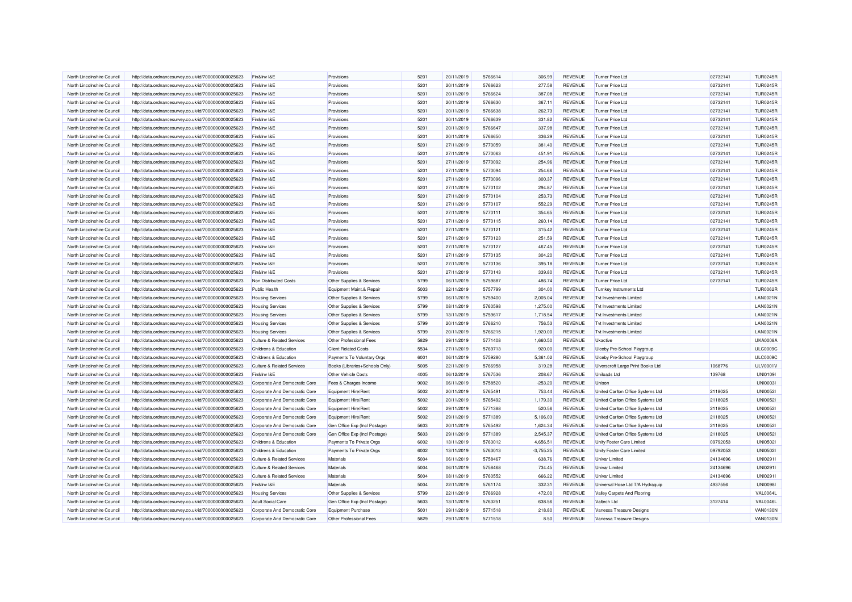| North Lincolnshire Council                               | http://data.ordnancesurvey.co.uk/id/7000000000025623                                                         | Fin&Inv I&E                           | Provisions                     | 5201 | 20/11/2019               | 5766614 | 306.99             | REVENUE        | <b>Turner Price Ltd</b>           | 02732141 | <b>TUR0245R</b> |
|----------------------------------------------------------|--------------------------------------------------------------------------------------------------------------|---------------------------------------|--------------------------------|------|--------------------------|---------|--------------------|----------------|-----------------------------------|----------|-----------------|
| North Lincolnshire Council                               | http://data.ordnancesurvey.co.uk/id/7000000000025623                                                         | Fin&Inv I&E                           | Provisions                     | 5201 | 20/11/2019               | 5766623 | 277.58             | REVENUE        | <b>Turner Price Ltd</b>           | 02732141 | <b>TUR0245R</b> |
| North Lincolnshire Council                               | http://data.ordnancesurvey.co.uk/id/7000000000025623                                                         | Fin&Inv I&E                           | Provisions                     | 5201 | 20/11/2019               | 5766624 | 387.08             | <b>REVENUE</b> | <b>Turner Price Ltd</b>           | 02732141 | <b>TUR0245R</b> |
| North Lincolnshire Council                               | http://data.ordnancesurvey.co.uk/id/7000000000025623                                                         | Fin&Inv I&E                           | Provisions                     | 5201 | 20/11/2019               | 5766630 | 367.11             | <b>REVENUE</b> | <b>Turner Price Ltd</b>           | 02732141 | <b>TUR0245R</b> |
| North Lincolnshire Council                               | http://data.ordnancesurvey.co.uk/id/7000000000025623                                                         | Fin&Inv I&E                           | Provisions                     | 5201 | 20/11/2019               | 5766638 | 262.73             | <b>REVENUE</b> | Turner Price Ltd                  | 02732141 | <b>TUR0245R</b> |
| North Lincolnshire Council                               | http://data.ordnancesurvey.co.uk/id/7000000000025623                                                         | Fin&Inv I&E                           | Provisions                     | 5201 | 20/11/2019               | 5766639 | 331.82             | <b>REVENUE</b> | <b>Turner Price Ltd</b>           | 02732141 | <b>TUR0245R</b> |
| North Lincolnshire Council                               | http://data.ordnancesurvey.co.uk/id/7000000000025623                                                         | Fin&Inv I&E                           | Provisions                     | 5201 | 20/11/2019               | 5766647 | 337.98             | REVENUE        | <b>Turner Price Ltd</b>           | 02732141 | <b>TUR0245R</b> |
| North Lincolnshire Council                               | http://data.ordnancesurvey.co.uk/id/7000000000025623                                                         | Fin&Inv I&E                           | Provisions                     | 5201 | 20/11/2019               | 5766650 | 336.29             | <b>REVENUE</b> | Turner Price Ltd                  | 02732141 | <b>TUR0245R</b> |
| North Lincolnshire Council                               | http://data.ordnancesurvey.co.uk/id/7000000000025623                                                         | Fin&Inv I&E                           | Provisions                     | 5201 | 27/11/2019               | 5770059 | 381.40             | REVENUE        | <b>Turner Price Ltd</b>           | 02732141 | <b>TUR0245R</b> |
| North Lincolnshire Council                               | http://data.ordnancesurvey.co.uk/id/7000000000025623                                                         | Fin&Inv I&E                           | Provisions                     | 5201 | 27/11/2019               | 5770063 | 451.91             | REVENUE        | <b>Turner Price Ltd</b>           | 02732141 | <b>TUR0245R</b> |
| North Lincolnshire Council                               | http://data.ordnancesurvey.co.uk/id/7000000000025623                                                         | Fin&Inv I&E                           | Provisions                     | 5201 | 27/11/2019               | 5770092 | 254.96             | <b>REVENUE</b> | <b>Turner Price Ltd</b>           | 02732141 | <b>TUR0245R</b> |
| North Lincolnshire Council                               | http://data.ordnancesurvey.co.uk/id/7000000000025623                                                         | Fin&Inv I&E                           | Provisions                     | 5201 | 27/11/2019               | 5770094 | 254.66             | <b>REVENUE</b> | <b>Turner Price Ltd</b>           | 02732141 | <b>TUR0245R</b> |
| North Lincolnshire Council                               | http://data.ordnancesurvey.co.uk/id/7000000000025623                                                         | Fin&Inv I&E                           | Provisions                     | 5201 | 27/11/2019               | 5770096 | 300.37             | <b>REVENUE</b> | <b>Turner Price Ltd</b>           | 02732141 | <b>TUR0245R</b> |
| North Lincolnshire Council                               | http://data.ordnancesurvey.co.uk/id/7000000000025623                                                         | Fin&Inv I&E                           | Provisions                     | 5201 | 27/11/2019               | 5770102 | 294.87             | <b>REVENUE</b> | <b>Turner Price Ltd</b>           | 02732141 | <b>TUR0245R</b> |
| North Lincolnshire Council                               | http://data.ordnancesurvey.co.uk/id/7000000000025623                                                         | Fin&Inv I&E                           | Provisions                     | 5201 | 27/11/2019               | 5770104 | 253.73             | <b>REVENUE</b> | <b>Turner Price Ltd</b>           | 02732141 | <b>TUR0245R</b> |
| North Lincolnshire Council                               | http://data.ordnancesurvey.co.uk/id/7000000000025623                                                         | Fin&Inv I&E                           | Provisions                     | 5201 | 27/11/2019               | 5770107 | 552.29             | REVENUE        | <b>Turner Price Ltd</b>           | 02732141 | <b>TUR0245R</b> |
| North Lincolnshire Council                               | http://data.ordnancesurvey.co.uk/id/7000000000025623                                                         | Fin&Inv I&E                           | Provisions                     | 5201 | 27/11/2019               | 5770111 | 354.65             | <b>REVENUE</b> | <b>Turner Price Ltd</b>           | 02732141 | <b>TUR0245R</b> |
| North Lincolnshire Council                               | http://data.ordnancesurvey.co.uk/id/7000000000025623                                                         | Fin&Inv I&E                           | Provisions                     | 5201 | 27/11/2019               | 5770115 | 260.14             | <b>REVENUE</b> | <b>Turner Price Ltd</b>           | 02732141 | <b>TUR0245R</b> |
| North Lincolnshire Council                               | http://data.ordnancesurvey.co.uk/id/7000000000025623                                                         | Fin&Inv I&E                           | Provisions                     | 5201 | 27/11/2019               | 5770121 | 315.42             | <b>REVENUE</b> | <b>Turner Price Ltd</b>           | 02732141 | <b>TUR0245R</b> |
| North Lincolnshire Council                               | http://data.ordnancesurvey.co.uk/id/7000000000025623                                                         | Fin&Inv I&E                           | Provisions                     | 5201 | 27/11/2019               | 5770123 | 251.59             | REVENUE        | Turner Price Ltd                  | 02732141 | <b>TUR0245R</b> |
| North Lincolnshire Council                               | http://data.ordnancesurvey.co.uk/id/7000000000025623                                                         | Fin&Inv I&E                           | Provisions                     | 5201 | 27/11/2019               | 5770127 | 467.45             | REVENUE        | <b>Turner Price Ltd</b>           | 02732141 | <b>TUR0245R</b> |
| North Lincolnshire Council                               | http://data.ordnancesurvey.co.uk/id/7000000000025623                                                         | Fin&Inv I&E                           | Provisions                     | 5201 | 27/11/2019               | 5770135 | 304.20             | <b>REVENUE</b> | <b>Turner Price Ltd</b>           | 02732141 | <b>TUR0245R</b> |
| North Lincolnshire Council                               | http://data.ordnancesurvey.co.uk/id/7000000000025623                                                         | Fin&Inv I&E                           | Provisions                     | 5201 | 27/11/2019               | 5770136 | 395.18             | <b>REVENUE</b> | <b>Turner Price Ltd</b>           | 02732141 | <b>TUR0245R</b> |
| North Lincolnshire Council                               | http://data.ordnancesurvey.co.uk/id/7000000000025623                                                         | Fin&Inv I&E                           | Provisions                     | 5201 | 27/11/2019               | 5770143 | 339.80             | <b>REVENUE</b> | <b>Turner Price Ltd</b>           | 02732141 | <b>TUR0245R</b> |
| North Lincolnshire Council                               | http://data.ordnancesurvey.co.uk/id/7000000000025623                                                         | Non Distributed Costs                 | Other Supplies & Services      | 5799 | 06/11/2019               | 5759887 | 486.74             | <b>REVENUE</b> | Turner Price Ltd                  | 02732141 | <b>TUR0245R</b> |
| North Lincolnshire Council                               | http://data.ordnancesurvey.co.uk/id/7000000000025623                                                         | <b>Public Health</b>                  | Equipment Maint.& Repair       | 5003 | 22/11/2019               | 5757799 | 304.00             | <b>REVENUE</b> | <b>Turnkey Instruments Ltd</b>    |          | <b>TUR0062R</b> |
| North Lincolnshire Council                               |                                                                                                              | <b>Housing Services</b>               | Other Supplies & Services      | 5799 | 06/11/2019               | 5759400 | 2,005.04           | REVENUE        | <b>Tvt Investments Limited</b>    |          | <b>LAN0021N</b> |
| North Lincolnshire Council                               | http://data.ordnancesurvey.co.uk/id/7000000000025623<br>http://data.ordnancesurvey.co.uk/id/7000000000025623 | <b>Housing Services</b>               | Other Supplies & Services      | 5799 | 08/11/2019               | 5760598 | 1,275.00           | <b>REVENUE</b> | <b>Tvt Investments Limited</b>    |          | <b>LAN0021N</b> |
| North Lincolnshire Council                               |                                                                                                              |                                       |                                | 5799 |                          | 5759617 |                    | <b>REVENUE</b> | <b>Tvt Investments Limited</b>    |          | <b>LAN0021N</b> |
|                                                          | http://data.ordnancesurvey.co.uk/id/7000000000025623                                                         | <b>Housing Services</b>               | Other Supplies & Services      | 5799 | 13/11/2019<br>20/11/2019 | 5766210 | 1,718.54<br>756.53 | <b>REVENUE</b> | Tyt Investments Limited           |          | <b>LAN0021N</b> |
| North Lincolnshire Council<br>North Lincolnshire Council | http://data.ordnancesurvey.co.uk/id/7000000000025623                                                         | <b>Housing Services</b>               | Other Supplies & Services      | 5799 |                          | 5766215 |                    |                | <b>Tvt Investments Limited</b>    |          | <b>LAN0021N</b> |
|                                                          | http://data.ordnancesurvey.co.uk/id/7000000000025623                                                         | <b>Housing Services</b>               | Other Supplies & Services      |      | 20/11/2019               |         | 1,920.00           | <b>REVENUE</b> |                                   |          |                 |
| North Lincolnshire Council                               | http://data.ordnancesurvey.co.uk/id/7000000000025623                                                         | <b>Culture &amp; Related Services</b> | Other Professional Fees        | 5829 | 29/11/2019               | 5771408 | 1,660.50           | <b>REVENUE</b> | Ukactive                          |          | <b>UKA0008A</b> |
| North Lincolnshire Council                               | http://data.ordnancesurvey.co.uk/id/7000000000025623                                                         | Childrens & Education                 | <b>Client Related Costs</b>    | 5534 | 27/11/2019               | 5769713 | 920.00             | <b>REVENUE</b> | Ulceby Pre-School Playgroup       |          | <b>ULC0009C</b> |
| North Lincolnshire Council                               | http://data.ordnancesurvey.co.uk/id/7000000000025623                                                         | Childrens & Education                 | Payments To Voluntary Orgs     | 6001 | 06/11/2019               | 5759280 | 5,361.02           | <b>REVENUE</b> | Ulceby Pre-School Playgroup       |          | <b>ULC0009C</b> |
| North Lincolnshire Council                               | http://data.ordnancesurvey.co.uk/id/7000000000025623                                                         | <b>Culture &amp; Related Services</b> | Books (Libraries+Schools Only) | 5005 | 22/11/2019               | 5766958 | 319.28             | REVENUE        | Ulverscroft Large Print Books Ltd | 1068776  | ULV0001V        |
| North Lincolnshire Council                               | http://data.ordnancesurvey.co.uk/id/7000000000025623                                                         | Fin&Inv I&E                           | Other Vehicle Costs            | 4005 | 06/12/2019               | 5767536 | 208.67             | REVENUE        | Uniloads Ltd                      | 139768   | <b>UNI01091</b> |
| North Lincolnshire Council                               | http://data.ordnancesurvey.co.uk/id/7000000000025623                                                         | Corporate And Democratic Core         | Fees & Charges Income          | 9002 | 06/11/2019               | 5758520 | $-253.20$          | REVENUE        | Unison                            |          | <b>UNI00031</b> |
| North Lincolnshire Council                               | http://data.ordnancesurvey.co.uk/id/7000000000025623                                                         | Corporate And Democratic Core         | Equipment Hire/Ren             | 5002 | 20/11/2019               | 5765491 | 753.44             | REVENUE        | United Carlton Office Systems Ltd | 2118025  | <b>UNI00521</b> |
| North Lincolnshire Council                               | http://data.ordnancesurvey.co.uk/id/7000000000025623                                                         | Corporate And Democratic Core         | <b>Equipment Hire/Rent</b>     | 5002 | 20/11/2019               | 5765492 | 1,179.30           | <b>REVENUE</b> | United Carlton Office Systems Ltd | 2118025  | <b>UNI00521</b> |
| North Lincolnshire Council                               | http://data.ordnancesurvey.co.uk/id/7000000000025623                                                         | Corporate And Democratic Core         | <b>Equipment Hire/Rent</b>     | 5002 | 29/11/2019               | 5771388 | 520.56             | REVENUE        | United Carlton Office Systems Ltd | 2118025  | <b>UNI00521</b> |
| North Lincolnshire Council                               | http://data.ordnancesurvey.co.uk/id/7000000000025623                                                         | Corporate And Democratic Core         | <b>Equipment Hire/Rent</b>     | 5002 | 29/11/2019               | 5771389 | 5,106.03           | REVENUE        | United Carlton Office Systems Ltd | 2118025  | <b>UNI00521</b> |
| North Lincolnshire Council                               | http://data.ordnancesurvey.co.uk/id/7000000000025623                                                         | Corporate And Democratic Core         | Gen Office Exp (Incl Postage)  | 5603 | 20/11/2019               | 5765492 | 1.624.34           | <b>REVENUE</b> | United Carlton Office Systems Ltd | 2118025  | <b>UNI00521</b> |
| North Lincolnshire Council                               | http://data.ordnancesurvey.co.uk/id/7000000000025623                                                         | Corporate And Democratic Core         | Gen Office Exp (Incl Postage)  | 5603 | 29/11/2019               | 5771389 | 2,545.37           | <b>REVENUE</b> | United Carlton Office Systems Ltd | 2118025  | <b>UNI00521</b> |
| North Lincolnshire Council                               | http://data.ordnancesurvey.co.uk/id/7000000000025623                                                         | Childrens & Education                 | Payments To Private Orgs       | 6002 | 13/11/2019               | 5763012 | 4,656.51           | REVENUE        | Unity Foster Care Limited         | 09792053 | <b>UNI0502I</b> |
| North Lincolnshire Council                               | http://data.ordnancesurvey.co.uk/id/7000000000025623                                                         | Childrens & Education                 | Payments To Private Orgs       | 6002 | 13/11/2019               | 5763013 | $-3,755.25$        | <b>REVENUE</b> | Unity Foster Care Limited         | 09792053 | <b>UNI0502I</b> |
| North Lincolnshire Council                               | http://data.ordnancesurvey.co.uk/id/7000000000025623                                                         | <b>Culture &amp; Related Services</b> | Materials                      | 5004 | 06/11/2019               | 5758467 | 638.76             | <b>REVENUE</b> | Univar Limited                    | 24134696 | UNI02911        |
| North Lincolnshire Council                               | http://data.ordnancesurvey.co.uk/id/7000000000025623                                                         | <b>Culture &amp; Related Services</b> | Materials                      | 5004 | 06/11/2019               | 5758468 | 734.45             | <b>REVENUE</b> | <b>Univar Limited</b>             | 24134696 | UNI02911        |
| North Lincolnshire Council                               | http://data.ordnancesurvey.co.uk/id/7000000000025623                                                         | <b>Culture &amp; Related Services</b> | Materials                      | 5004 | 08/11/2019               | 5760552 | 666.22             | REVENUE        | <b>Univar Limited</b>             | 24134696 | UNI02911        |
| North Lincolnshire Council                               | http://data.ordnancesurvey.co.uk/id/7000000000025623                                                         | Fin&Inv I&E                           | Materials                      | 5004 | 22/11/2019               | 5761174 | 332.31             | <b>REVENUE</b> | Universal Hose Ltd T/A Hydraquip  | 4937556  | <b>UNI0098I</b> |
| North Lincolnshire Council                               | http://data.ordnancesurvey.co.uk/id/7000000000025623                                                         | <b>Housing Services</b>               | Other Supplies & Services      | 5799 | 22/11/2019               | 5766928 | 472.00             | REVENUE        | Valley Carpets And Flooring       |          | <b>VAL0064L</b> |
| North Lincolnshire Council                               | http://data.ordnancesurvey.co.uk/id/7000000000025623                                                         | <b>Adult Social Care</b>              | Gen Office Exp (Incl Postage)  | 5603 | 13/11/2019               | 5763251 | 638.56             | <b>REVENUE</b> | Valtech Ltd                       | 3127414  | <b>VAL0046L</b> |
| North Lincolnshire Council                               | http://data.ordnancesurvey.co.uk/id/7000000000025623                                                         | Corporate And Democratic Core         | <b>Equipment Purchase</b>      | 5001 | 29/11/2019               | 5771518 | 218.80             | REVENUE        | Vanessa Treasure Designs          |          | <b>VAN0130N</b> |
| North Lincolnshire Council                               | http://data.ordnancesurvey.co.uk/id/7000000000025623                                                         | Corporate And Democratic Core         | Other Professional Fees        | 5829 | 29/11/2019               | 5771518 | 8.50               | <b>REVENUE</b> | Vanessa Treasure Designs          |          | <b>VAN0130N</b> |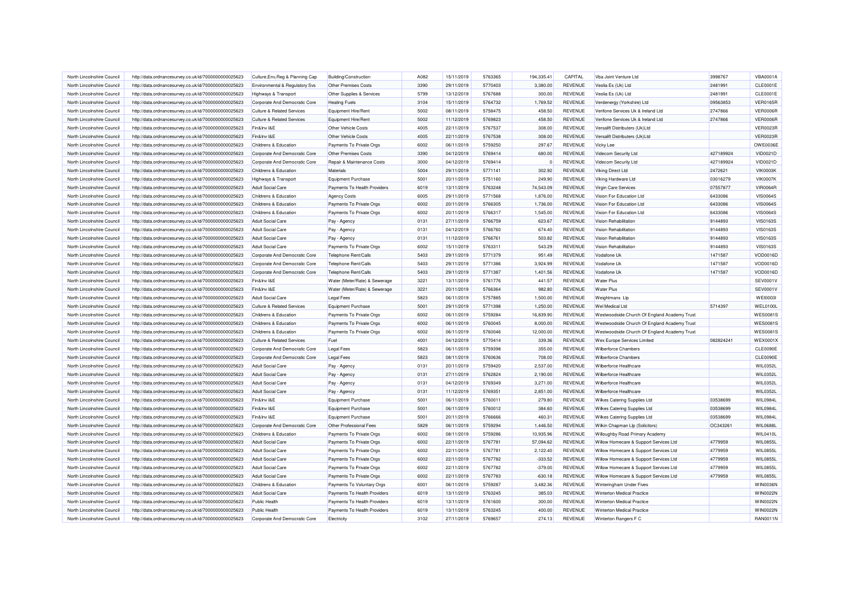| North Lincolnshire Council                               | http://data.ordnancesurvey.co.uk/id/7000000000025623 | Culture, Env, Reg & Planning Cap      | Building/Construction         | A082         | 15/11/2019 | 5763365            | 194.335.41         | CAPITAL                   | Vba Joint Venture Ltd                                 | 3998767            | <b>VBA0001A</b>             |
|----------------------------------------------------------|------------------------------------------------------|---------------------------------------|-------------------------------|--------------|------------|--------------------|--------------------|---------------------------|-------------------------------------------------------|--------------------|-----------------------------|
| North Lincolnshire Council                               | http://data.ordnancesurvey.co.uk/id/7000000000025623 | Environmental & Regulatory Svs        | Other Premises Costs          | 3390         | 29/11/2019 | 5770403            | 3,380.00           | REVENUE                   | Veolia Es (Uk) Ltd                                    | 2481991            | CLE0001E                    |
| North Lincolnshire Council                               | http://data.ordnancesurvey.co.uk/id/7000000000025623 | Highways & Transport                  | Other Supplies & Services     | 5799         | 13/12/2019 | 5767688            | 300.00             | REVENUE                   | Veolia Es (Uk) Ltd                                    | 2481991            | CLE0001E                    |
| North Lincolnshire Council                               | http://data.ordnancesurvey.co.uk/id/7000000000025623 | Corporate And Democratic Core         | <b>Heating Fuels</b>          | 3104         | 15/11/2019 | 5764732            | 1,769.52           | <b>REVENUE</b>            | Verdenergy (Yorkshire) Ltd                            | 09563853           | <b>VER0165R</b>             |
| North Lincolnshire Council                               | http://data.ordnancesurvey.co.uk/id/7000000000025623 | <b>Culture &amp; Related Services</b> | <b>Equipment Hire/Rent</b>    | 5002         | 08/11/2019 | 5758475            | 458.50             | <b>REVENUE</b>            | Verifone Services Uk & Ireland Ltd                    | 2747866            | <b>VER0006R</b>             |
| North Lincolnshire Council                               | http://data.ordnancesurvey.co.uk/id/7000000000025623 | <b>Culture &amp; Related Services</b> | Equipment Hire/Rent           | 5002         | 11/12/2019 | 5769823            | 458.50             | <b>REVENUE</b>            | Verifone Services Uk & Ireland Ltd                    | 2747866            | VER0006R                    |
| North Lincolnshire Council                               | http://data.ordnancesurvey.co.uk/id/7000000000025623 | Fin&Inv I&E                           | Other Vehicle Costs           | 4005         | 22/11/2019 | 5767537            | 308.00             | REVENUE                   | Versalift Distributers (Uk)Ltd                        |                    | <b>VER0023R</b>             |
| North Lincolnshire Council                               | http://data.ordnancesurvey.co.uk/id/7000000000025623 | Fin&Inv I&E                           | Other Vehicle Costs           | 4005         | 22/11/2019 | 5767538            | 308.00             | REVENUE                   | Versalift Distributers (Uk)Ltd                        |                    | <b>VER0023R</b>             |
| North Lincolnshire Council                               | http://data.ordnancesurvey.co.uk/id/7000000000025623 | <b>Childrens &amp; Education</b>      | Payments To Private Orgs      | 6002         | 06/11/2019 | 5759250            | 297.67             | REVENUE                   | Vicky Lee                                             |                    | OWE0036E                    |
| North Lincolnshire Council                               | http://data.ordnancesurvey.co.uk/id/7000000000025623 | Corporate And Democratic Core         | <b>Other Premises Costs</b>   | 3390         | 04/12/2019 | 5769414            | 680.00             | <b>REVENUE</b>            | Videcom Security Ltd                                  | 427189924          | <b>VID0021D</b>             |
| North Lincolnshire Council                               | http://data.ordnancesurvey.co.uk/id/7000000000025623 | Corporate And Democratic Core         | Repair & Maintenance Costs    | 3000         | 04/12/2019 | 5769414            | $\Omega$           | <b>REVENUE</b>            | Videcom Security Ltd                                  | 427189924          | VID0021D                    |
| North Lincolnshire Council                               | http://data.ordnancesurvey.co.uk/id/7000000000025623 | Childrens & Education                 | Materials                     | 5004         | 29/11/2019 | 5771141            | 302.92             | <b>REVENUE</b>            | Viking Direct Ltd                                     | 2472621            | <b>VIK0003K</b>             |
| North Lincolnshire Council                               | http://data.ordnancesurvey.co.uk/id/7000000000025623 | Highways & Transport                  | <b>Equipment Purchase</b>     | 5001         | 20/11/2019 | 5751160            | 249.90             | REVENUE                   | Viking Hardware Ltd                                   | 03016279           | <b>VIK0007K</b>             |
| North Lincolnshire Council                               | http://data.ordnancesurvey.co.uk/id/7000000000025623 | <b>Adult Social Care</b>              | Payments To Health Providers  | 6019         | 13/11/2019 | 5763248            | 74,543.09          | <b>REVENUE</b>            | Virgin Care Services                                  | 07557877           | <b>VIR0064R</b>             |
| North Lincolnshire Council                               | http://data.ordnancesurvey.co.uk/id/7000000000025623 | Childrens & Education                 | <b>Agency Costs</b>           | 6005         | 29/11/2019 | 5771568            | 1,876.00           | REVENUE                   | Vision For Education Ltd                              | 6433086            | <b>VIS0064S</b>             |
| North Lincolnshire Council                               | http://data.ordnancesurvey.co.uk/id/7000000000025623 | Childrens & Education                 | Payments To Private Orgs      | 6002         | 20/11/2019 | 5766305            | 1,736.00           | <b>REVENUE</b>            | Vision For Education Ltd                              | 6433086            | <b>VIS0064S</b>             |
| North Lincolnshire Council                               | http://data.ordnancesurvey.co.uk/id/7000000000025623 | Childrens & Education                 | Payments To Private Orgs      | 6002         | 20/11/2019 | 5766317            | 1,545.00           | REVENUE                   | Vision For Education I td                             | 6433086            | <b>VIS0064S</b>             |
| North Lincolnshire Council                               | http://data.ordnancesurvey.co.uk/id/7000000000025623 | <b>Adult Social Care</b>              | Pay - Agency                  | 0131         | 27/11/2019 | 5766759            | 623.67             | <b>REVENUE</b>            | Vision Rehabilitation                                 | 9144893            | <b>VIS0163S</b>             |
| North Lincolnshire Council                               |                                                      |                                       |                               | 0131         |            | 5766760            |                    | REVENUE                   | Vision Rehabilitation                                 |                    | <b>VIS0163S</b>             |
|                                                          | http://data.ordnancesurvey.co.uk/id/7000000000025623 | <b>Adult Social Care</b>              | Pay - Agency                  |              | 04/12/2019 |                    | 674.40             |                           |                                                       | 9144893            |                             |
| North Lincolnshire Council<br>North Lincolnshire Council | http://data.ordnancesurvey.co.uk/id/7000000000025623 | <b>Adult Social Care</b>              | Pay - Agency                  | 0131<br>6002 | 11/12/2019 | 5766761            | 503.82             | <b>REVENUE</b>            | Vision Rehabilitation<br><b>Vision Rehabilitation</b> | 9144893            | <b>VIS0163S</b>             |
| North Lincolnshire Council                               | http://data.ordnancesurvey.co.uk/id/7000000000025623 | <b>Adult Social Care</b>              | Payments To Private Orgs      | 5403         | 15/11/2019 | 5763311<br>5771379 | 543.29             | REVENUE<br><b>REVENUE</b> | Vodafone Uk                                           | 9144893<br>1471587 | <b>VIS0163S</b><br>VOD0016D |
|                                                          | http://data.ordnancesurvey.co.uk/id/7000000000025623 | Corporate And Democratic Core         | Telephone Rent/Calls          | 5403         | 29/11/2019 | 5771386            | 951.49<br>3.924.99 |                           | Vodafone Ul                                           |                    |                             |
| North Lincolnshire Council                               | http://data.ordnancesurvey.co.uk/id/7000000000025623 | Corporate And Democratic Core         | Telephone Rent/Calls          |              | 29/11/2019 |                    |                    | REVENUE                   |                                                       | 1471587            | VOD0016D                    |
| North Lincolnshire Council                               | http://data.ordnancesurvey.co.uk/id/7000000000025623 | Corporate And Democratic Core         | Telephone Rent/Calls          | 5403         | 29/11/2019 | 5771387            | 1,401.56           | REVENUE                   | Vodafone Uk                                           | 1471587            | VOD0016D                    |
| North Lincolnshire Council                               | http://data.ordnancesurvey.co.uk/id/7000000000025623 | Fin&Inv I&E                           | Water (Meter/Rate) & Sewerage | 3221         | 13/11/2019 | 5761776            | 441.57             | <b>REVENUE</b>            | <b>Water Plus</b>                                     |                    | <b>SEV0001V</b>             |
| North Lincolnshire Council                               | http://data.ordnancesurvey.co.uk/id/7000000000025623 | Fin&Inv I&E                           | Water (Meter/Rate) & Sewerage | 3221         | 20/11/2019 | 5766364            | 982.80             | REVENUE                   | <b>Water Plus</b>                                     |                    | <b>SEV0001V</b>             |
| North Lincolnshire Council                               | http://data.ordnancesurvey.co.uk/id/7000000000025623 | <b>Adult Social Care</b>              | <b>Legal Fees</b>             | 5823         | 06/11/2019 | 5757885            | 1,500.00           | REVENUE                   | Weightmans Llp                                        |                    | <b>WEI0003I</b>             |
| North Lincolnshire Council                               | http://data.ordnancesurvey.co.uk/id/7000000000025623 | <b>Culture &amp; Related Services</b> | <b>Equipment Purchase</b>     | 5001         | 29/11/2019 | 5771398            | 1,250.00           | <b>REVENUE</b>            | Wel Medical Ltd                                       | 5714397            | WEL0100L                    |
| North Lincolnshire Council                               | http://data.ordnancesurvey.co.uk/id/7000000000025623 | Childrens & Education                 | Payments To Private Orgs      | 6002         | 06/11/2019 | 5759284            | 16,839.90          | <b>REVENUE</b>            | Westwoodside Church Of England Academy Trust          |                    | <b>WES00819</b>             |
| North Lincolnshire Council                               | http://data.ordnancesurvey.co.uk/id/7000000000025623 | Childrens & Education                 | Payments To Private Orgs      | 6002         | 06/11/2019 | 5760045            | 8,000.00           | REVENUE                   | Westwoodside Church Of England Academy Trust          |                    | <b>WES00819</b>             |
| North Lincolnshire Council                               | http://data.ordnancesurvey.co.uk/id/7000000000025623 | Childrens & Education                 | Payments To Private Orgs      | 6002         | 06/11/2019 | 5760046            | 12,000.00          | <b>REVENUE</b>            | Westwoodside Church Of England Academy Trust          |                    | <b>WES0081S</b>             |
| North Lincolnshire Council                               | http://data.ordnancesurvey.co.uk/id/7000000000025623 | <b>Culture &amp; Related Services</b> | Fuel                          | 4001         | 04/12/2019 | 5770414            | 339.36             | <b>REVENUE</b>            | Wex Europe Services Limited                           | 082824241          | WEX0001>                    |
| North Lincolnshire Council                               | http://data.ordnancesurvey.co.uk/id/7000000000025623 | Corporate And Democratic Core         | <b>Legal Fees</b>             | 5823         | 06/11/2019 | 5759398            | 355.00             | <b>REVENUE</b>            | <b>Wilberforce Chambers</b>                           |                    | <b>CLE0090E</b>             |
| North Lincolnshire Council                               | http://data.ordnancesurvey.co.uk/id/7000000000025623 | Corporate And Democratic Core         | <b>Legal Fees</b>             | 5823         | 08/11/2019 | 5760636            | 708.00             | <b>REVENUE</b>            | <b>Wilberforce Chambers</b>                           |                    | CLE0090E                    |
| North Lincolnshire Council                               | http://data.ordnancesurvey.co.uk/id/7000000000025623 | <b>Adult Social Care</b>              | Pay - Agency                  | 0131         | 20/11/2019 | 5759420            | 2,537.00           | REVENUE                   | Wilberforce Healthcare                                |                    | WIL0352L                    |
| North Lincolnshire Council                               | http://data.ordnancesurvey.co.uk/id/7000000000025623 | <b>Adult Social Care</b>              | Pay - Agency                  | 0131         | 27/11/2019 | 5762824            | 2,190.00           | <b>REVENUE</b>            | Wilberforce Healthcare                                |                    | WIL0352L                    |
| North Lincolnshire Council                               | http://data.ordnancesurvey.co.uk/id/7000000000025623 | <b>Adult Social Care</b>              | Pay - Agency                  | 0131         | 04/12/2019 | 5769349            | 3,271.00           | <b>REVENUE</b>            | Wilberforce Healthcare                                |                    | <b>WIL0352L</b>             |
| North Lincolnshire Council                               | http://data.ordnancesurvey.co.uk/id/7000000000025623 | <b>Adult Social Care</b>              | Pay - Agency                  | 0131         | 11/12/2019 | 5769351            | 2,851.00           | REVENUE                   | Wilberforce Healthcare                                |                    | WIL0352L                    |
| North Lincolnshire Council                               | http://data.ordnancesurvey.co.uk/id/7000000000025623 | Fin&Inv I&E                           | Equipment Purchase            | 5001         | 06/11/2019 | 5760011            | 279.80             | REVENUE                   | Wilkes Catering Supplies Ltd                          | 03538699           | WIL0984L                    |
| North Lincolnshire Council                               | http://data.ordnancesurvey.co.uk/id/7000000000025623 | Fin&Inv I&E                           | Equipment Purchase            | 5001         | 06/11/2019 | 5760012            | 384.60             | REVENUE                   | <b>Wilkes Catering Supplies Ltd</b>                   | 03538699           | <b>WIL0984L</b>             |
| North Lincolnshire Council                               | http://data.ordnancesurvey.co.uk/id/7000000000025623 | Fin&Inv I&E                           | <b>Equipment Purchase</b>     | 5001         | 20/11/2019 | 5766666            | 460.31             | REVENUE                   | Wilkes Catering Supplies Ltd                          | 03538699           | <b>WIL0984L</b>             |
| North Lincolnshire Council                               | http://data.ordnancesurvey.co.uk/id/7000000000025623 | Corporate And Democratic Core         | Other Professional Fees       | 5829         | 06/11/2019 | 5759294            | 1,446.50           | <b>REVENUE</b>            | Wilkin Chapman Llp (Solicitors)                       | OC343261           | <b>WIL0688L</b>             |
| North Lincolnshire Council                               | http://data.ordnancesurvey.co.uk/id/7000000000025623 | Childrens & Education                 | Payments To Private Orgs      | 6002         | 08/11/2019 | 5759286            | 10,935.96          | <b>REVENUE</b>            | <b>Willoughby Road Primary Academy</b>                |                    | <b>WIL0410L</b>             |
| North Lincolnshire Council                               | http://data.ordnancesurvey.co.uk/id/7000000000025623 | <b>Adult Social Care</b>              | Payments To Private Orgs      | 6002         | 22/11/2019 | 5767781            | 57.094.62          | <b>REVENUE</b>            | Willow Homecare & Support Services Ltd                | 4779959            | WIL0855L                    |
| North Lincolnshire Council                               | http://data.ordnancesurvey.co.uk/id/7000000000025623 | <b>Adult Social Care</b>              | Payments To Private Orgs      | 6002         | 22/11/2019 | 5767781            | 2,122.40           | REVENUE                   | Willow Homecare & Support Services Ltd                | 4779959            | WIL0855L                    |
| North Lincolnshire Council                               | http://data.ordnancesurvey.co.uk/id/7000000000025623 | <b>Adult Social Care</b>              | Payments To Private Orgs      | 6002         | 22/11/2019 | 5767782            | $-333.52$          | REVENUE                   | Willow Homecare & Support Services Ltd                | 4779959            | <b>WIL0855L</b>             |
| North Lincolnshire Council                               | http://data.ordnancesurvey.co.uk/id/7000000000025623 | <b>Adult Social Care</b>              | Payments To Private Orgs      | 6002         | 22/11/2019 | 5767782            | $-379.00$          | REVENUE                   | Willow Homecare & Support Services Ltd                | 4779959            | <b>WIL0855L</b>             |
| North Lincolnshire Council                               | http://data.ordnancesurvey.co.uk/id/7000000000025623 | <b>Adult Social Care</b>              | Payments To Private Orgs      | 6002         | 22/11/2019 | 5767783            | $-630.18$          | REVENUE                   | Willow Homecare & Support Services Ltd                | 4779959            | <b>WIL0855L</b>             |
| North Lincolnshire Council                               | http://data.ordnancesurvey.co.uk/id/7000000000025623 | Childrens & Education                 | Payments To Voluntary Orgs    | 6001         | 06/11/2019 | 5759287            | 3.482.36           | <b>REVENUE</b>            | Winteringham Under Fives                              |                    | <b>WIN0036N</b>             |
| North Lincolnshire Council                               | http://data.ordnancesurvey.co.uk/id/7000000000025623 | <b>Adult Social Care</b>              | Payments To Health Providers  | 6019         | 13/11/2019 | 5763245            | 385.03             | <b>REVENUE</b>            | <b>Winterton Medical Practice</b>                     |                    | <b>WIN0022N</b>             |
| North Lincolnshire Council                               | http://data.ordnancesurvey.co.uk/id/7000000000025623 | <b>Public Health</b>                  | Payments To Health Providers  | 6019         | 13/11/2019 | 5761600            | 300.00             | REVENUE                   | <b>Winterton Medical Practice</b>                     |                    | WIN0022N                    |
| North Lincolnshire Council                               | http://data.ordnancesurvey.co.uk/id/7000000000025623 | <b>Public Health</b>                  | Payments To Health Providers  | 6019         | 13/11/2019 | 5763245            | 400.00             | <b>REVENUE</b>            | <b>Winterton Medical Practice</b>                     |                    | <b>WIN0022N</b>             |
| North Lincolnshire Council                               | http://data.ordnancesurvey.co.uk/id/7000000000025623 | Corporate And Democratic Core         | Electricity                   | 3102         | 27/11/2019 | 5769657            | 274.13             | <b>REVENUE</b>            | Winterton Rangers F C                                 |                    | <b>RAN0011N</b>             |
|                                                          |                                                      |                                       |                               |              |            |                    |                    |                           |                                                       |                    |                             |